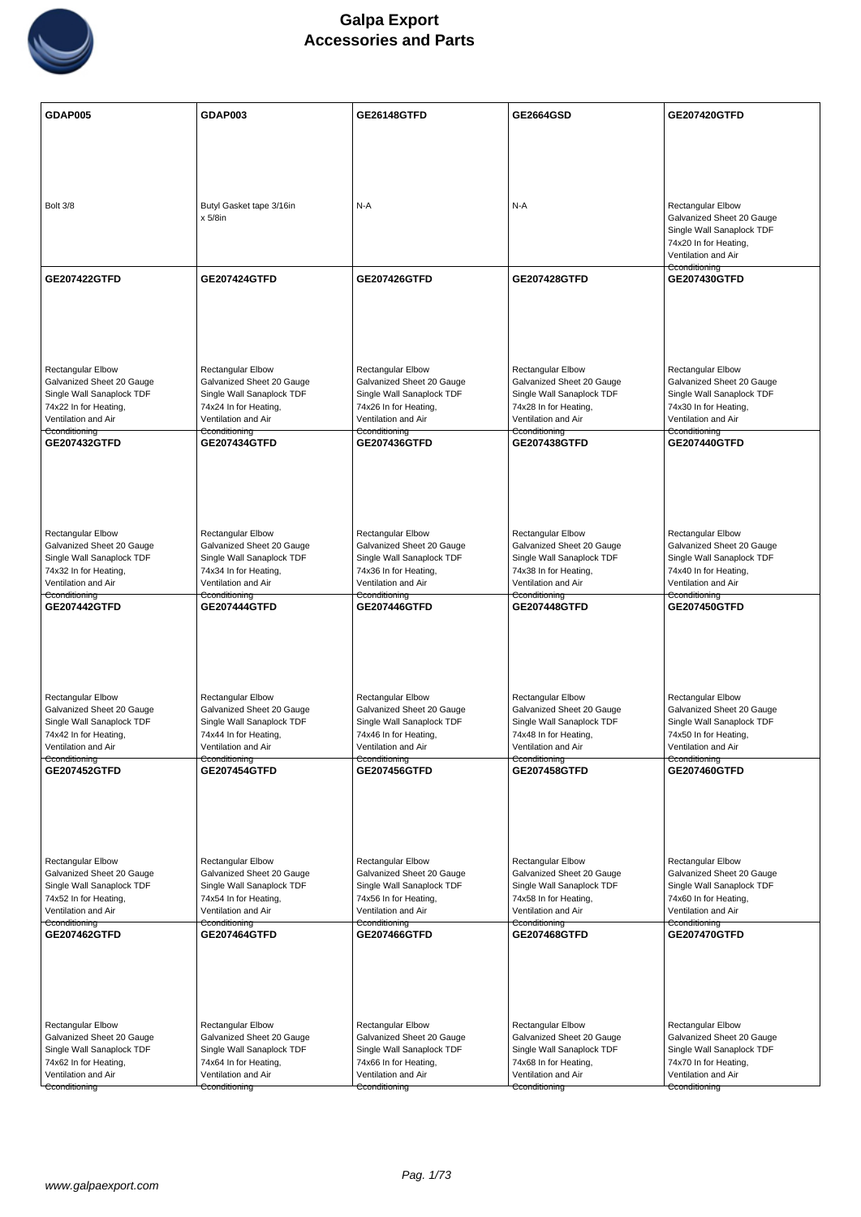

| <b>GDAP005</b>                                         | GDAP003                                                | <b>GE26148GTFD</b>                                     | <b>GE2664GSD</b>                                       | <b>GE207420GTFD</b>                                    |
|--------------------------------------------------------|--------------------------------------------------------|--------------------------------------------------------|--------------------------------------------------------|--------------------------------------------------------|
|                                                        |                                                        |                                                        |                                                        |                                                        |
|                                                        |                                                        |                                                        |                                                        |                                                        |
|                                                        |                                                        |                                                        |                                                        |                                                        |
| Bolt 3/8                                               | Butyl Gasket tape 3/16in                               | N-A                                                    | N-A                                                    | Rectangular Elbow                                      |
|                                                        | $x 5/8$ in                                             |                                                        |                                                        | Galvanized Sheet 20 Gauge<br>Single Wall Sanaplock TDF |
|                                                        |                                                        |                                                        |                                                        | 74x20 In for Heating,                                  |
|                                                        |                                                        |                                                        |                                                        | Ventilation and Air<br>Cconditioning                   |
| <b>GE207422GTFD</b>                                    | <b>GE207424GTFD</b>                                    | <b>GE207426GTFD</b>                                    | <b>GE207428GTFD</b>                                    | <b>GE207430GTFD</b>                                    |
|                                                        |                                                        |                                                        |                                                        |                                                        |
|                                                        |                                                        |                                                        |                                                        |                                                        |
|                                                        |                                                        |                                                        |                                                        |                                                        |
| <b>Rectangular Elbow</b>                               | <b>Rectangular Elbow</b>                               | <b>Rectangular Elbow</b>                               | <b>Rectangular Elbow</b>                               | <b>Rectangular Elbow</b>                               |
| Galvanized Sheet 20 Gauge<br>Single Wall Sanaplock TDF | Galvanized Sheet 20 Gauge<br>Single Wall Sanaplock TDF | Galvanized Sheet 20 Gauge<br>Single Wall Sanaplock TDF | Galvanized Sheet 20 Gauge<br>Single Wall Sanaplock TDF | Galvanized Sheet 20 Gauge<br>Single Wall Sanaplock TDF |
| 74x22 In for Heating,                                  | 74x24 In for Heating,                                  | 74x26 In for Heating,                                  | 74x28 In for Heating,                                  | 74x30 In for Heating,                                  |
| Ventilation and Air<br>Cconditioning                   | Ventilation and Air<br><del>Cconditioning</del>        | Ventilation and Air<br>Cconditioning                   | Ventilation and Air<br><del>Cconditioning</del>        | Ventilation and Air<br>Cconditioning                   |
| GE207432GTFD                                           | <b>GE207434GTFD</b>                                    | <b>GE207436GTFD</b>                                    | <b>GE207438GTFD</b>                                    | GE207440GTFD                                           |
|                                                        |                                                        |                                                        |                                                        |                                                        |
|                                                        |                                                        |                                                        |                                                        |                                                        |
|                                                        |                                                        |                                                        |                                                        |                                                        |
| <b>Rectangular Elbow</b>                               | Rectangular Elbow                                      | Rectangular Elbow                                      | Rectangular Elbow                                      | Rectangular Elbow                                      |
| Galvanized Sheet 20 Gauge<br>Single Wall Sanaplock TDF | Galvanized Sheet 20 Gauge<br>Single Wall Sanaplock TDF | Galvanized Sheet 20 Gauge<br>Single Wall Sanaplock TDF | Galvanized Sheet 20 Gauge<br>Single Wall Sanaplock TDF | Galvanized Sheet 20 Gauge<br>Single Wall Sanaplock TDF |
| 74x32 In for Heating,                                  | 74x34 In for Heating,                                  | 74x36 In for Heating,                                  | 74x38 In for Heating,                                  | 74x40 In for Heating,                                  |
| Ventilation and Air<br>Cconditioning                   | Ventilation and Air<br>Cconditioning                   | Ventilation and Air<br>Cconditioning                   | Ventilation and Air<br>Cconditioning                   | Ventilation and Air<br>Cconditioning                   |
| <b>GE207442GTFD</b>                                    | GE207444GTFD                                           | <b>GE207446GTFD</b>                                    | <b>GE207448GTFD</b>                                    | <b>GE207450GTFD</b>                                    |
|                                                        |                                                        |                                                        |                                                        |                                                        |
|                                                        |                                                        |                                                        |                                                        |                                                        |
|                                                        |                                                        |                                                        |                                                        |                                                        |
| Rectangular Elbow                                      | Rectangular Elbow                                      | Rectangular Elbow                                      | Rectangular Elbow                                      | Rectangular Elbow                                      |
| Galvanized Sheet 20 Gauge<br>Single Wall Sanaplock TDF | Galvanized Sheet 20 Gauge<br>Single Wall Sanaplock TDF | Galvanized Sheet 20 Gauge<br>Single Wall Sanaplock TDF | Galvanized Sheet 20 Gauge<br>Single Wall Sanaplock TDF | Galvanized Sheet 20 Gauge<br>Single Wall Sanaplock TDF |
| 74x42 In for Heating,<br>Ventilation and Air           | 74x44 In for Heating,<br>Ventilation and Air           | 74x46 In for Heating,<br>Ventilation and Air           | 74x48 In for Heating,<br>Ventilation and Air           | 74x50 In for Heating,<br>Ventilation and Air           |
| Cconditioning                                          | Cconditioning                                          | Cconditioning                                          | Cconditioning                                          | Cconditioning                                          |
| GE207452GTFD                                           | <b>GE207454GTFD</b>                                    | GE207456GTFD                                           | GE207458GTFD                                           | <b>GE207460GTFD</b>                                    |
|                                                        |                                                        |                                                        |                                                        |                                                        |
|                                                        |                                                        |                                                        |                                                        |                                                        |
|                                                        |                                                        |                                                        |                                                        |                                                        |
| Rectangular Elbow<br>Galvanized Sheet 20 Gauge         | Rectangular Elbow<br>Galvanized Sheet 20 Gauge         | Rectangular Elbow<br>Galvanized Sheet 20 Gauge         | Rectangular Elbow<br>Galvanized Sheet 20 Gauge         | Rectangular Elbow<br>Galvanized Sheet 20 Gauge         |
| Single Wall Sanaplock TDF                              | Single Wall Sanaplock TDF                              | Single Wall Sanaplock TDF                              | Single Wall Sanaplock TDF                              | Single Wall Sanaplock TDF                              |
| 74x52 In for Heating,<br>Ventilation and Air           | 74x54 In for Heating,<br>Ventilation and Air           | 74x56 In for Heating,<br>Ventilation and Air           | 74x58 In for Heating,<br>Ventilation and Air           | 74x60 In for Heating,<br>Ventilation and Air           |
| Cconditioning<br>GE207462GTFD                          | Cconditioning<br><b>GE207464GTFD</b>                   | Cconditioning<br><b>GE207466GTFD</b>                   | Cconditioning<br>GE207468GTFD                          | Cconditioning<br><b>GE207470GTFD</b>                   |
|                                                        |                                                        |                                                        |                                                        |                                                        |
|                                                        |                                                        |                                                        |                                                        |                                                        |
|                                                        |                                                        |                                                        |                                                        |                                                        |
|                                                        |                                                        |                                                        |                                                        |                                                        |
| <b>Rectangular Elbow</b><br>Galvanized Sheet 20 Gauge  | Rectangular Elbow<br>Galvanized Sheet 20 Gauge         | <b>Rectangular Elbow</b><br>Galvanized Sheet 20 Gauge  | <b>Rectangular Elbow</b><br>Galvanized Sheet 20 Gauge  | <b>Rectangular Elbow</b><br>Galvanized Sheet 20 Gauge  |
| Single Wall Sanaplock TDF                              | Single Wall Sanaplock TDF                              | Single Wall Sanaplock TDF                              | Single Wall Sanaplock TDF                              | Single Wall Sanaplock TDF                              |
| 74x62 In for Heating,<br>Ventilation and Air           | 74x64 In for Heating,<br>Ventilation and Air           | 74x66 In for Heating,<br>Ventilation and Air           | 74x68 In for Heating,<br>Ventilation and Air           | 74x70 In for Heating,<br>Ventilation and Air           |
| Cconditioning                                          | Cconditioning                                          | Cconditioning                                          | Cconditioning                                          | Cconditioning                                          |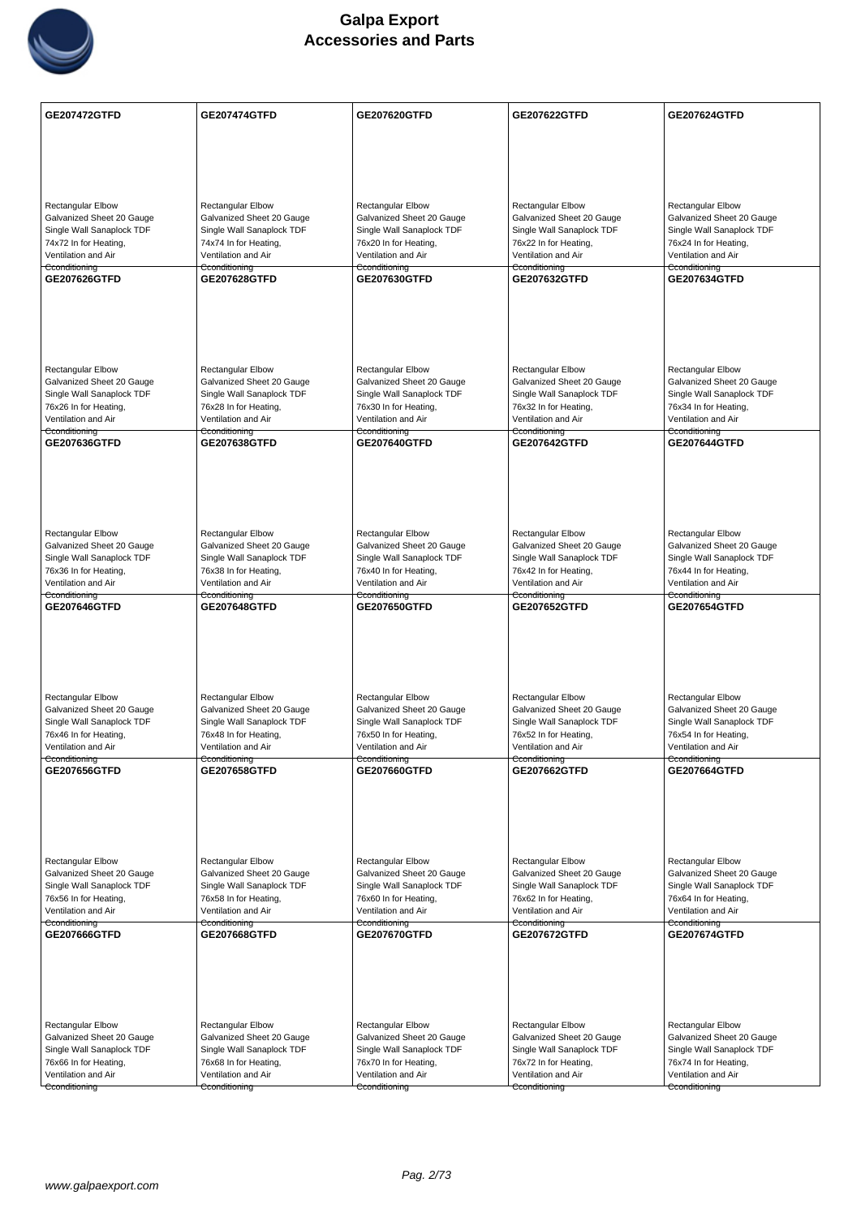

| GE207472GTFD                                           | <b>GE207474GTFD</b>                                    | GE207620GTFD                                           | GE207622GTFD                                           | <b>GE207624GTFD</b>                                    |
|--------------------------------------------------------|--------------------------------------------------------|--------------------------------------------------------|--------------------------------------------------------|--------------------------------------------------------|
|                                                        |                                                        |                                                        |                                                        |                                                        |
|                                                        |                                                        |                                                        |                                                        |                                                        |
|                                                        |                                                        |                                                        |                                                        |                                                        |
|                                                        |                                                        |                                                        |                                                        |                                                        |
| <b>Rectangular Elbow</b><br>Galvanized Sheet 20 Gauge  | Rectangular Elbow<br>Galvanized Sheet 20 Gauge         | <b>Rectangular Elbow</b><br>Galvanized Sheet 20 Gauge  | <b>Rectangular Elbow</b><br>Galvanized Sheet 20 Gauge  | Rectangular Elbow<br>Galvanized Sheet 20 Gauge         |
| Single Wall Sanaplock TDF                              | Single Wall Sanaplock TDF                              | Single Wall Sanaplock TDF                              | Single Wall Sanaplock TDF                              | Single Wall Sanaplock TDF                              |
| 74x72 In for Heating,                                  | 74x74 In for Heating,                                  | 76x20 In for Heating,                                  | 76x22 In for Heating,                                  | 76x24 In for Heating,                                  |
| Ventilation and Air<br>Cconditioning                   | Ventilation and Air<br>Cconditioning                   | Ventilation and Air<br>Cconditioning                   | Ventilation and Air<br>Cconditioning                   | Ventilation and Air<br>Cconditioning                   |
| GE207626GTFD                                           | <b>GE207628GTFD</b>                                    | GE207630GTFD                                           | <b>GE207632GTFD</b>                                    | <b>GE207634GTFD</b>                                    |
|                                                        |                                                        |                                                        |                                                        |                                                        |
|                                                        |                                                        |                                                        |                                                        |                                                        |
|                                                        |                                                        |                                                        |                                                        |                                                        |
|                                                        |                                                        |                                                        |                                                        |                                                        |
| <b>Rectangular Elbow</b>                               | <b>Rectangular Elbow</b>                               | <b>Rectangular Elbow</b>                               | <b>Rectangular Elbow</b>                               | <b>Rectangular Elbow</b>                               |
| Galvanized Sheet 20 Gauge<br>Single Wall Sanaplock TDF | Galvanized Sheet 20 Gauge<br>Single Wall Sanaplock TDF | Galvanized Sheet 20 Gauge<br>Single Wall Sanaplock TDF | Galvanized Sheet 20 Gauge<br>Single Wall Sanaplock TDF | Galvanized Sheet 20 Gauge<br>Single Wall Sanaplock TDF |
| 76x26 In for Heating,                                  | 76x28 In for Heating,                                  | 76x30 In for Heating,                                  | 76x32 In for Heating,                                  | 76x34 In for Heating,                                  |
| Ventilation and Air<br>Cconditioning                   | Ventilation and Air<br><del>Cconditioning</del>        | Ventilation and Air<br>Cconditioning                   | Ventilation and Air<br>Cconditioning                   | Ventilation and Air<br>Cconditioning                   |
| GE207636GTFD                                           | <b>GE207638GTFD</b>                                    | <b>GE207640GTFD</b>                                    | <b>GE207642GTFD</b>                                    | <b>GE207644GTFD</b>                                    |
|                                                        |                                                        |                                                        |                                                        |                                                        |
|                                                        |                                                        |                                                        |                                                        |                                                        |
|                                                        |                                                        |                                                        |                                                        |                                                        |
|                                                        |                                                        |                                                        |                                                        |                                                        |
| <b>Rectangular Elbow</b>                               | Rectangular Elbow                                      | Rectangular Elbow                                      | <b>Rectangular Elbow</b>                               | Rectangular Elbow                                      |
| Galvanized Sheet 20 Gauge<br>Single Wall Sanaplock TDF | Galvanized Sheet 20 Gauge<br>Single Wall Sanaplock TDF | Galvanized Sheet 20 Gauge<br>Single Wall Sanaplock TDF | Galvanized Sheet 20 Gauge<br>Single Wall Sanaplock TDF | Galvanized Sheet 20 Gauge<br>Single Wall Sanaplock TDF |
| 76x36 In for Heating,                                  | 76x38 In for Heating,                                  | 76x40 In for Heating,                                  | 76x42 In for Heating,                                  | 76x44 In for Heating,                                  |
| Ventilation and Air                                    | Ventilation and Air                                    | Ventilation and Air                                    | Ventilation and Air                                    | Ventilation and Air                                    |
| Cconditioning<br>GE207646GTFD                          | Cconditioning<br><b>GE207648GTFD</b>                   | Cconditioning<br>GE207650GTFD                          | Cconditioning<br>GE207652GTFD                          | Cconditioning<br>GE207654GTFD                          |
|                                                        |                                                        |                                                        |                                                        |                                                        |
|                                                        |                                                        |                                                        |                                                        |                                                        |
|                                                        |                                                        |                                                        |                                                        |                                                        |
|                                                        |                                                        |                                                        |                                                        |                                                        |
| <b>Rectangular Elbow</b>                               | Rectangular Elbow                                      | <b>Rectangular Elbow</b>                               | <b>Rectangular Elbow</b>                               | <b>Rectangular Elbow</b>                               |
| Galvanized Sheet 20 Gauge                              | Galvanized Sheet 20 Gauge                              | Galvanized Sheet 20 Gauge                              | Galvanized Sheet 20 Gauge<br>Single Wall Sanaplock TDF | Galvanized Sheet 20 Gauge                              |
| Single Wall Sanaplock TDF<br>76x46 In for Heating,     | Single Wall Sanaplock TDF<br>76x48 In for Heating,     | Single Wall Sanaplock TDF<br>76x50 In for Heating,     | 76x52 In for Heating,                                  | Single Wall Sanaplock TDF<br>76x54 In for Heating,     |
| Ventilation and Air                                    | Ventilation and Air                                    | Ventilation and Air                                    | Ventilation and Air                                    | Ventilation and Air                                    |
| Cconditioning<br>GE207656GTFD                          | Cconditioning<br>GE207658GTFD                          | Cconditioning<br>GE207660GTFD                          | Cconditioning<br>GE207662GTFD                          | Cconditioning<br>GE207664GTFD                          |
|                                                        |                                                        |                                                        |                                                        |                                                        |
|                                                        |                                                        |                                                        |                                                        |                                                        |
|                                                        |                                                        |                                                        |                                                        |                                                        |
|                                                        |                                                        |                                                        |                                                        |                                                        |
| <b>Rectangular Elbow</b>                               | <b>Rectangular Elbow</b>                               | <b>Rectangular Elbow</b>                               | <b>Rectangular Elbow</b>                               | <b>Rectangular Elbow</b>                               |
| Galvanized Sheet 20 Gauge                              | Galvanized Sheet 20 Gauge                              | Galvanized Sheet 20 Gauge                              | Galvanized Sheet 20 Gauge                              | Galvanized Sheet 20 Gauge                              |
| Single Wall Sanaplock TDF<br>76x56 In for Heating,     | Single Wall Sanaplock TDF<br>76x58 In for Heating,     | Single Wall Sanaplock TDF<br>76x60 In for Heating,     | Single Wall Sanaplock TDF<br>76x62 In for Heating,     | Single Wall Sanaplock TDF<br>76x64 In for Heating,     |
| Ventilation and Air                                    | Ventilation and Air                                    | Ventilation and Air                                    | Ventilation and Air                                    | Ventilation and Air                                    |
| Cconditioning<br>GE207666GTFD                          | Cconditioning<br><b>GE207668GTFD</b>                   | Cconditioning<br>GE207670GTFD                          | Cconditioning<br><b>GE207672GTFD</b>                   | Cconditioning<br><b>GE207674GTFD</b>                   |
|                                                        |                                                        |                                                        |                                                        |                                                        |
|                                                        |                                                        |                                                        |                                                        |                                                        |
|                                                        |                                                        |                                                        |                                                        |                                                        |
|                                                        |                                                        |                                                        |                                                        |                                                        |
| <b>Rectangular Elbow</b>                               | Rectangular Elbow                                      | Rectangular Elbow                                      | Rectangular Elbow                                      | Rectangular Elbow                                      |
| Galvanized Sheet 20 Gauge                              | Galvanized Sheet 20 Gauge                              | Galvanized Sheet 20 Gauge                              | Galvanized Sheet 20 Gauge                              | Galvanized Sheet 20 Gauge                              |
| Single Wall Sanaplock TDF<br>76x66 In for Heating,     | Single Wall Sanaplock TDF<br>76x68 In for Heating,     | Single Wall Sanaplock TDF<br>76x70 In for Heating,     | Single Wall Sanaplock TDF<br>76x72 In for Heating,     | Single Wall Sanaplock TDF<br>76x74 In for Heating,     |
| Ventilation and Air                                    | Ventilation and Air                                    | Ventilation and Air                                    | Ventilation and Air                                    | Ventilation and Air                                    |
| Cconditioning                                          | Cconditioning                                          | Cconditioning                                          | Cconditioning                                          | Cconditioning                                          |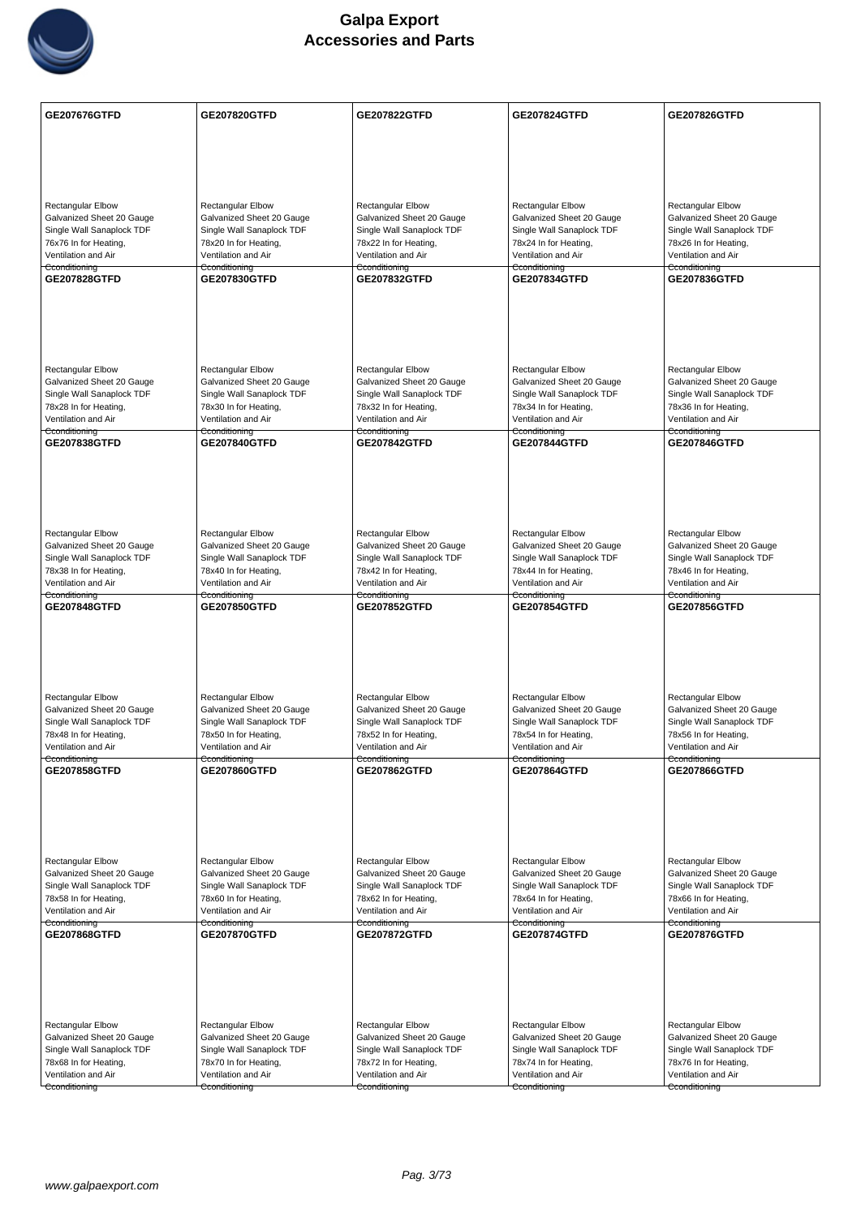

| GE207676GTFD                                           | <b>GE207820GTFD</b>                                    | GE207822GTFD                                           | <b>GE207824GTFD</b>                                    | GE207826GTFD                                           |
|--------------------------------------------------------|--------------------------------------------------------|--------------------------------------------------------|--------------------------------------------------------|--------------------------------------------------------|
|                                                        |                                                        |                                                        |                                                        |                                                        |
|                                                        |                                                        |                                                        |                                                        |                                                        |
|                                                        |                                                        |                                                        |                                                        |                                                        |
| <b>Rectangular Elbow</b>                               | <b>Rectangular Elbow</b>                               | Rectangular Elbow                                      | <b>Rectangular Elbow</b>                               | Rectangular Elbow                                      |
| Galvanized Sheet 20 Gauge                              | Galvanized Sheet 20 Gauge                              | Galvanized Sheet 20 Gauge                              | Galvanized Sheet 20 Gauge                              | Galvanized Sheet 20 Gauge                              |
| Single Wall Sanaplock TDF<br>76x76 In for Heating,     | Single Wall Sanaplock TDF<br>78x20 In for Heating,     | Single Wall Sanaplock TDF<br>78x22 In for Heating,     | Single Wall Sanaplock TDF<br>78x24 In for Heating,     | Single Wall Sanaplock TDF<br>78x26 In for Heating,     |
| Ventilation and Air                                    | Ventilation and Air                                    | Ventilation and Air                                    | Ventilation and Air                                    | Ventilation and Air                                    |
| Cconditioning<br>GE207828GTFD                          | Cconditioning<br><b>GE207830GTFD</b>                   | Cconditioning<br>GE207832GTFD                          | Cconditioning<br><b>GE207834GTFD</b>                   | Cconditioning<br>GE207836GTFD                          |
|                                                        |                                                        |                                                        |                                                        |                                                        |
|                                                        |                                                        |                                                        |                                                        |                                                        |
|                                                        |                                                        |                                                        |                                                        |                                                        |
|                                                        |                                                        |                                                        |                                                        |                                                        |
| <b>Rectangular Elbow</b><br>Galvanized Sheet 20 Gauge  | <b>Rectangular Elbow</b><br>Galvanized Sheet 20 Gauge  | Rectangular Elbow<br>Galvanized Sheet 20 Gauge         | <b>Rectangular Elbow</b><br>Galvanized Sheet 20 Gauge  | <b>Rectangular Elbow</b><br>Galvanized Sheet 20 Gauge  |
| Single Wall Sanaplock TDF                              | Single Wall Sanaplock TDF                              | Single Wall Sanaplock TDF                              | Single Wall Sanaplock TDF                              | Single Wall Sanaplock TDF                              |
| 78x28 In for Heating,<br>Ventilation and Air           | 78x30 In for Heating,<br>Ventilation and Air           | 78x32 In for Heating,<br>Ventilation and Air           | 78x34 In for Heating,<br>Ventilation and Air           | 78x36 In for Heating,<br>Ventilation and Air           |
| Cconditioning<br>GE207838GTFD                          | Cconditioning<br><b>GE207840GTFD</b>                   | Cconditioning<br>GE207842GTFD                          | Cconditioning<br><b>GE207844GTFD</b>                   | Cconditioning<br><b>GE207846GTFD</b>                   |
|                                                        |                                                        |                                                        |                                                        |                                                        |
|                                                        |                                                        |                                                        |                                                        |                                                        |
|                                                        |                                                        |                                                        |                                                        |                                                        |
|                                                        |                                                        |                                                        |                                                        |                                                        |
| <b>Rectangular Elbow</b>                               | <b>Rectangular Elbow</b>                               | Rectangular Elbow                                      | <b>Rectangular Elbow</b>                               | <b>Rectangular Elbow</b>                               |
| Galvanized Sheet 20 Gauge<br>Single Wall Sanaplock TDF | Galvanized Sheet 20 Gauge<br>Single Wall Sanaplock TDF | Galvanized Sheet 20 Gauge<br>Single Wall Sanaplock TDF | Galvanized Sheet 20 Gauge<br>Single Wall Sanaplock TDF | Galvanized Sheet 20 Gauge<br>Single Wall Sanaplock TDF |
| 78x38 In for Heating,                                  | 78x40 In for Heating,                                  | 78x42 In for Heating,                                  | 78x44 In for Heating,                                  | 78x46 In for Heating,                                  |
| Ventilation and Air<br>Cconditioning                   | Ventilation and Air<br>Cconditioning                   | Ventilation and Air<br>Cconditioning                   | Ventilation and Air<br>Cconditioning                   | Ventilation and Air<br>Cconditioning                   |
| GE207848GTFD                                           | <b>GE207850GTFD</b>                                    | GE207852GTFD                                           | GE207854GTFD                                           | <b>GE207856GTFD</b>                                    |
|                                                        |                                                        |                                                        |                                                        |                                                        |
|                                                        |                                                        |                                                        |                                                        |                                                        |
|                                                        |                                                        |                                                        |                                                        |                                                        |
| Rectangular Elbow                                      | Rectangular Elbow                                      | <b>Rectangular Elbow</b>                               | Rectangular Elbow                                      | <b>Rectangular Elbow</b>                               |
| Galvanized Sheet 20 Gauge                              | Galvanized Sheet 20 Gauge                              | Galvanized Sheet 20 Gauge                              | Galvanized Sheet 20 Gauge                              | Galvanized Sheet 20 Gauge<br>Single Wall Sanaplock TDF |
| Single Wall Sanaplock TDF<br>78x48 In for Heating,     | Single Wall Sanaplock TDF<br>78x50 In for Heating,     | Single Wall Sanaplock TDF<br>78x52 In for Heating,     | Single Wall Sanaplock TDF<br>78x54 In for Heating,     | 78x56 In for Heating,                                  |
| Ventilation and Air<br>Cconditioning                   | Ventilation and Air<br>Cconditioning                   | Ventilation and Air<br>Cconditioning                   | Ventilation and Air<br>Cconditioning                   | Ventilation and Air<br>Cconditioning                   |
| <b>GE207858GTFD</b>                                    | GE207860GTFD                                           | GE207862GTFD                                           | <b>GE207864GTFD</b>                                    | GE207866GTFD                                           |
|                                                        |                                                        |                                                        |                                                        |                                                        |
|                                                        |                                                        |                                                        |                                                        |                                                        |
|                                                        |                                                        |                                                        |                                                        |                                                        |
| Rectangular Elbow                                      | Rectangular Elbow                                      | <b>Rectangular Elbow</b>                               | Rectangular Elbow                                      | Rectangular Elbow                                      |
| Galvanized Sheet 20 Gauge                              | Galvanized Sheet 20 Gauge                              | Galvanized Sheet 20 Gauge                              | Galvanized Sheet 20 Gauge                              | Galvanized Sheet 20 Gauge                              |
| Single Wall Sanaplock TDF<br>78x58 In for Heating,     | Single Wall Sanaplock TDF<br>78x60 In for Heating,     | Single Wall Sanaplock TDF<br>78x62 In for Heating,     | Single Wall Sanaplock TDF<br>78x64 In for Heating,     | Single Wall Sanaplock TDF<br>78x66 In for Heating,     |
| Ventilation and Air                                    | Ventilation and Air                                    | Ventilation and Air                                    | Ventilation and Air                                    | Ventilation and Air                                    |
| Cconditioning<br>GE207868GTFD                          | Cconditioning<br><b>GE207870GTFD</b>                   | Cconditioning<br>GE207872GTFD                          | Cconditioning<br>GE207874GTFD                          | Cconditioning<br>GE207876GTFD                          |
|                                                        |                                                        |                                                        |                                                        |                                                        |
|                                                        |                                                        |                                                        |                                                        |                                                        |
|                                                        |                                                        |                                                        |                                                        |                                                        |
|                                                        |                                                        |                                                        |                                                        |                                                        |
| Rectangular Elbow<br>Galvanized Sheet 20 Gauge         | <b>Rectangular Elbow</b><br>Galvanized Sheet 20 Gauge  | Rectangular Elbow<br>Galvanized Sheet 20 Gauge         | <b>Rectangular Elbow</b><br>Galvanized Sheet 20 Gauge  | Rectangular Elbow<br>Galvanized Sheet 20 Gauge         |
| Single Wall Sanaplock TDF                              | Single Wall Sanaplock TDF                              | Single Wall Sanaplock TDF                              | Single Wall Sanaplock TDF                              | Single Wall Sanaplock TDF                              |
| 78x68 In for Heating,<br>Ventilation and Air           | 78x70 In for Heating,<br>Ventilation and Air           | 78x72 In for Heating,<br>Ventilation and Air           | 78x74 In for Heating,<br>Ventilation and Air           | 78x76 In for Heating,<br>Ventilation and Air           |
| Cconditioning                                          | Cconditioning                                          | Cconditioning                                          | Cconditioning                                          | Cconditioning                                          |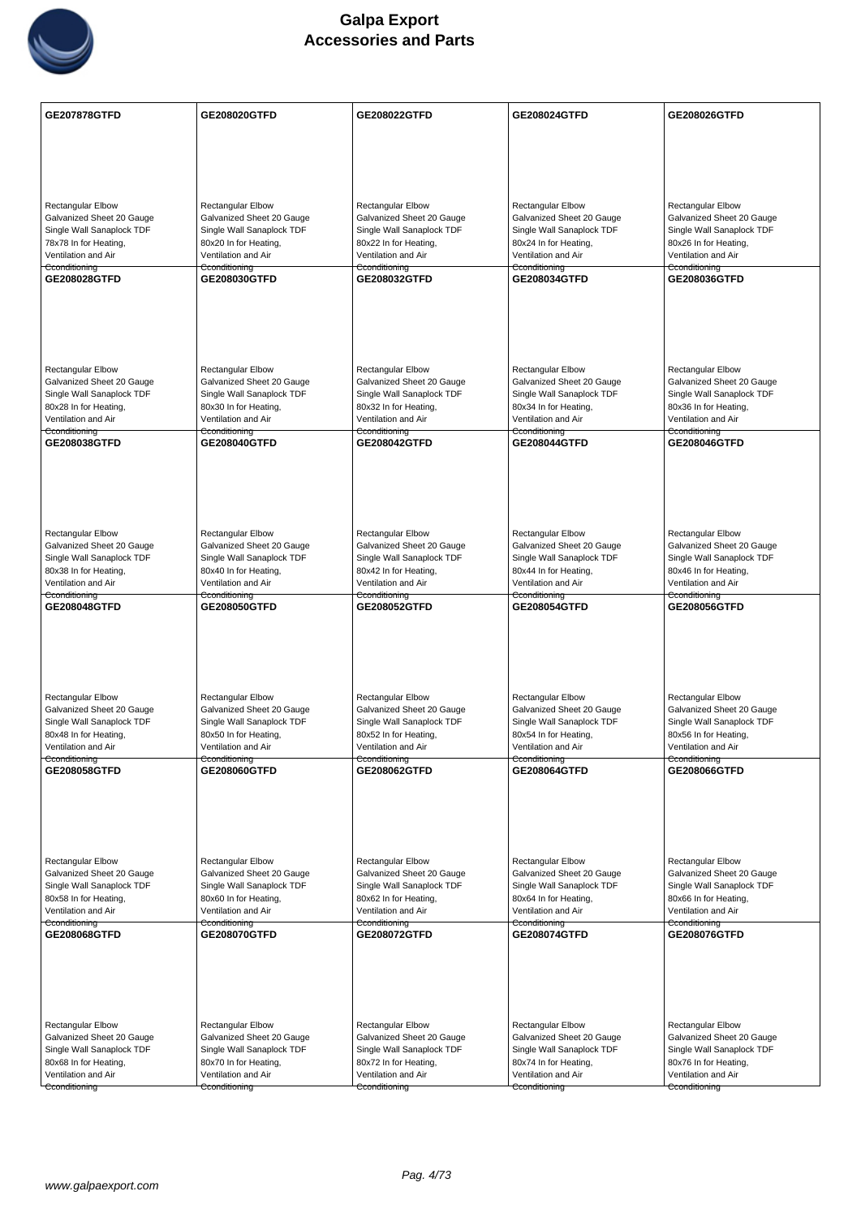

| GE207878GTFD                                           | GE208020GTFD                                           | GE208022GTFD                                           | GE208024GTFD                                           | GE208026GTFD                                           |
|--------------------------------------------------------|--------------------------------------------------------|--------------------------------------------------------|--------------------------------------------------------|--------------------------------------------------------|
|                                                        |                                                        |                                                        |                                                        |                                                        |
|                                                        |                                                        |                                                        |                                                        |                                                        |
|                                                        |                                                        |                                                        |                                                        |                                                        |
|                                                        |                                                        |                                                        |                                                        |                                                        |
| <b>Rectangular Elbow</b><br>Galvanized Sheet 20 Gauge  | <b>Rectangular Elbow</b><br>Galvanized Sheet 20 Gauge  | Rectangular Elbow<br>Galvanized Sheet 20 Gauge         | Rectangular Elbow<br>Galvanized Sheet 20 Gauge         | Rectangular Elbow<br>Galvanized Sheet 20 Gauge         |
| Single Wall Sanaplock TDF                              | Single Wall Sanaplock TDF                              | Single Wall Sanaplock TDF                              | Single Wall Sanaplock TDF                              | Single Wall Sanaplock TDF                              |
| 78x78 In for Heating,                                  | 80x20 In for Heating,                                  | 80x22 In for Heating,                                  | 80x24 In for Heating,                                  | 80x26 In for Heating,                                  |
| Ventilation and Air                                    | Ventilation and Air                                    | Ventilation and Air                                    | Ventilation and Air                                    | Ventilation and Air                                    |
| Cconditioning<br>GE208028GTFD                          | Cconditioning<br>GE208030GTFD                          | Cconditioning<br>GE208032GTFD                          | Cconditioning<br>GE208034GTFD                          | Cconditioning<br>GE208036GTFD                          |
|                                                        |                                                        |                                                        |                                                        |                                                        |
|                                                        |                                                        |                                                        |                                                        |                                                        |
|                                                        |                                                        |                                                        |                                                        |                                                        |
|                                                        |                                                        |                                                        |                                                        |                                                        |
|                                                        |                                                        |                                                        |                                                        |                                                        |
| <b>Rectangular Elbow</b><br>Galvanized Sheet 20 Gauge  | <b>Rectangular Elbow</b><br>Galvanized Sheet 20 Gauge  | Rectangular Elbow<br>Galvanized Sheet 20 Gauge         | <b>Rectangular Elbow</b><br>Galvanized Sheet 20 Gauge  | Rectangular Elbow<br>Galvanized Sheet 20 Gauge         |
| Single Wall Sanaplock TDF                              | Single Wall Sanaplock TDF                              | Single Wall Sanaplock TDF                              | Single Wall Sanaplock TDF                              | Single Wall Sanaplock TDF                              |
| 80x28 In for Heating,                                  | 80x30 In for Heating,                                  | 80x32 In for Heating,                                  | 80x34 In for Heating,                                  | 80x36 In for Heating,                                  |
| Ventilation and Air                                    | Ventilation and Air                                    | Ventilation and Air                                    | Ventilation and Air                                    | Ventilation and Air                                    |
| Cconditioning<br>GE208038GTFD                          | Cconditioning<br>GE208040GTFD                          | Cconditioning<br>GE208042GTFD                          | Cconditioning<br>GE208044GTFD                          | Cconditioning<br>GE208046GTFD                          |
|                                                        |                                                        |                                                        |                                                        |                                                        |
|                                                        |                                                        |                                                        |                                                        |                                                        |
|                                                        |                                                        |                                                        |                                                        |                                                        |
|                                                        |                                                        |                                                        |                                                        |                                                        |
|                                                        |                                                        |                                                        |                                                        |                                                        |
| Rectangular Elbow<br>Galvanized Sheet 20 Gauge         | Rectangular Elbow<br>Galvanized Sheet 20 Gauge         | Rectangular Elbow                                      | Rectangular Elbow                                      | Rectangular Elbow                                      |
| Single Wall Sanaplock TDF                              | Single Wall Sanaplock TDF                              | Galvanized Sheet 20 Gauge<br>Single Wall Sanaplock TDF | Galvanized Sheet 20 Gauge<br>Single Wall Sanaplock TDF | Galvanized Sheet 20 Gauge<br>Single Wall Sanaplock TDF |
| 80x38 In for Heating,                                  | 80x40 In for Heating,                                  | 80x42 In for Heating,                                  | 80x44 In for Heating,                                  | 80x46 In for Heating,                                  |
| Ventilation and Air                                    | Ventilation and Air                                    | Ventilation and Air                                    | Ventilation and Air                                    | Ventilation and Air                                    |
| Cconditioning<br>GE208048GTFD                          | Cconditioning<br>GE208050GTFD                          | Cconditioning<br>GE208052GTFD                          | Cconditioning<br>GE208054GTFD                          | Cconditioning<br><b>GE208056GTFD</b>                   |
|                                                        |                                                        |                                                        |                                                        |                                                        |
|                                                        |                                                        |                                                        |                                                        |                                                        |
|                                                        |                                                        |                                                        |                                                        |                                                        |
|                                                        |                                                        |                                                        |                                                        |                                                        |
|                                                        |                                                        |                                                        |                                                        |                                                        |
| Rectangular Elbow<br>Galvanized Sheet 20 Gauge         | <b>Rectangular Elbow</b><br>Galvanized Sheet 20 Gauge  | <b>Rectangular Elbow</b><br>Galvanized Sheet 20 Gauge  | <b>Rectangular Elbow</b><br>Galvanized Sheet 20 Gauge  | <b>Rectangular Elbow</b><br>Galvanized Sheet 20 Gauge  |
| Single Wall Sanaplock TDF                              | Single Wall Sanaplock TDF                              | Single Wall Sanaplock TDF                              | Single Wall Sanaplock TDF                              | Single Wall Sanaplock TDF                              |
| 80x48 In for Heating,                                  | 80x50 In for Heating,                                  | 80x52 In for Heating,                                  | 80x54 In for Heating,                                  | 80x56 In for Heating,                                  |
| Ventilation and Air<br>Cconditioning                   | Ventilation and Air<br>Cconditioning                   | Ventilation and Air<br>Cconditioning                   | Ventilation and Air<br>Cconditioning                   | Ventilation and Air<br>Cconditioning                   |
| GE208058GTFD                                           | GE208060GTFD                                           | GE208062GTFD                                           | GE208064GTFD                                           | GE208066GTFD                                           |
|                                                        |                                                        |                                                        |                                                        |                                                        |
|                                                        |                                                        |                                                        |                                                        |                                                        |
|                                                        |                                                        |                                                        |                                                        |                                                        |
|                                                        |                                                        |                                                        |                                                        |                                                        |
| Rectangular Elbow                                      | Rectangular Elbow                                      | Rectangular Elbow                                      | Rectangular Elbow                                      | <b>Rectangular Elbow</b>                               |
| Galvanized Sheet 20 Gauge                              | Galvanized Sheet 20 Gauge                              | Galvanized Sheet 20 Gauge                              | Galvanized Sheet 20 Gauge                              | Galvanized Sheet 20 Gauge                              |
| Single Wall Sanaplock TDF                              | Single Wall Sanaplock TDF                              | Single Wall Sanaplock TDF                              | Single Wall Sanaplock TDF                              | Single Wall Sanaplock TDF                              |
| 80x58 In for Heating,                                  | 80x60 In for Heating,                                  | 80x62 In for Heating,                                  | 80x64 In for Heating,                                  | 80x66 In for Heating,                                  |
| Ventilation and Air<br>Cconditioning                   | Ventilation and Air<br>Cconditioning                   | Ventilation and Air<br>Cconditioning                   | Ventilation and Air<br>Cconditioning                   | Ventilation and Air<br>Cconditioning                   |
| GE208068GTFD                                           | GE208070GTFD                                           | GE208072GTFD                                           | GE208074GTFD                                           | GE208076GTFD                                           |
|                                                        |                                                        |                                                        |                                                        |                                                        |
|                                                        |                                                        |                                                        |                                                        |                                                        |
|                                                        |                                                        |                                                        |                                                        |                                                        |
|                                                        |                                                        |                                                        |                                                        |                                                        |
|                                                        |                                                        |                                                        |                                                        |                                                        |
| <b>Rectangular Elbow</b>                               | Rectangular Elbow                                      | Rectangular Elbow                                      | <b>Rectangular Elbow</b>                               | <b>Rectangular Elbow</b>                               |
| Galvanized Sheet 20 Gauge<br>Single Wall Sanaplock TDF | Galvanized Sheet 20 Gauge<br>Single Wall Sanaplock TDF | Galvanized Sheet 20 Gauge<br>Single Wall Sanaplock TDF | Galvanized Sheet 20 Gauge<br>Single Wall Sanaplock TDF | Galvanized Sheet 20 Gauge<br>Single Wall Sanaplock TDF |
| 80x68 In for Heating,                                  | 80x70 In for Heating,                                  | 80x72 In for Heating,                                  | 80x74 In for Heating,                                  | 80x76 In for Heating,                                  |
| Ventilation and Air                                    | Ventilation and Air                                    | Ventilation and Air                                    | Ventilation and Air                                    | Ventilation and Air                                    |
| Cconditioning                                          | Cconditioning                                          | Cconditioning                                          | Cconditioning                                          | Cconditioning                                          |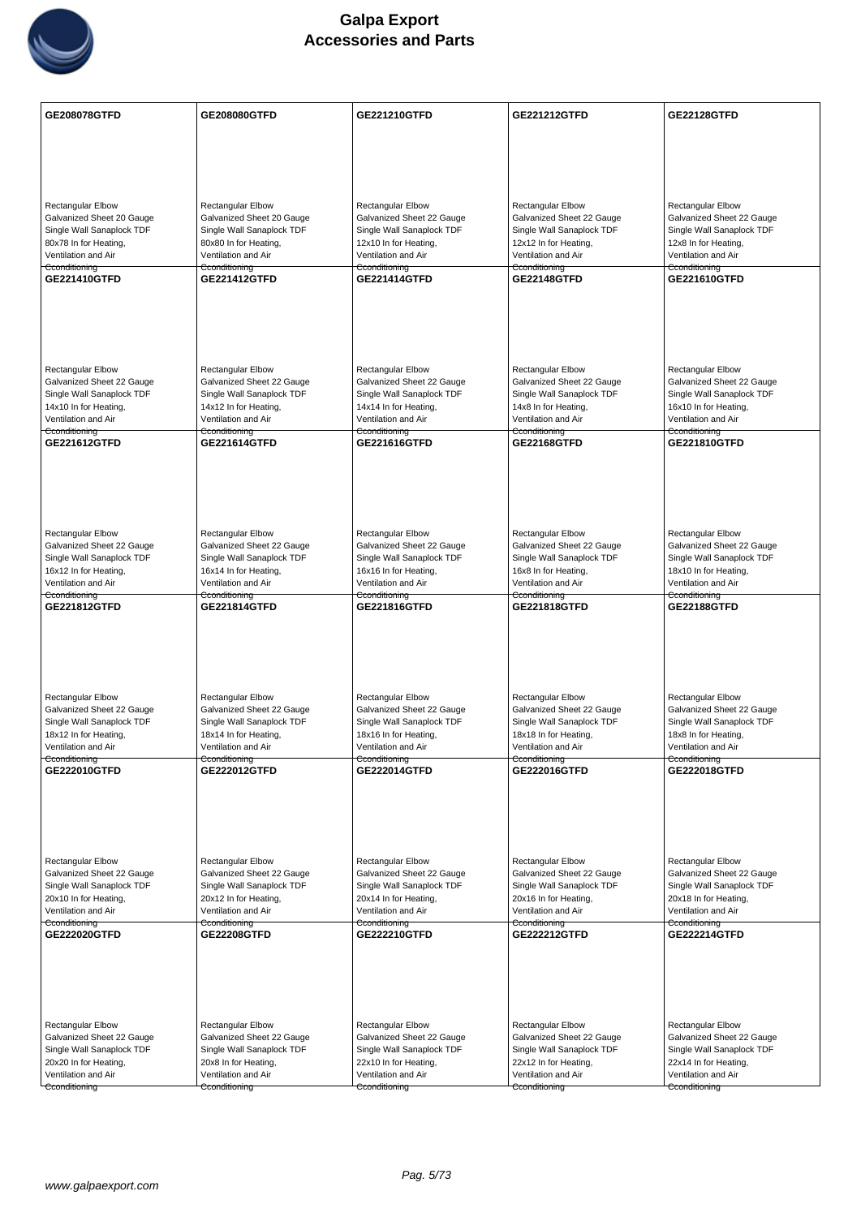

| <b>GE208078GTFD</b>                                   | GE208080GTFD                                          | GE221210GTFD                                       | <b>GE221212GTFD</b>                                   | <b>GE22128GTFD</b>                                    |
|-------------------------------------------------------|-------------------------------------------------------|----------------------------------------------------|-------------------------------------------------------|-------------------------------------------------------|
|                                                       |                                                       |                                                    |                                                       |                                                       |
|                                                       |                                                       |                                                    |                                                       |                                                       |
|                                                       |                                                       |                                                    |                                                       |                                                       |
|                                                       |                                                       |                                                    |                                                       |                                                       |
| <b>Rectangular Elbow</b><br>Galvanized Sheet 20 Gauge | <b>Rectangular Elbow</b><br>Galvanized Sheet 20 Gauge | Rectangular Elbow<br>Galvanized Sheet 22 Gauge     | <b>Rectangular Elbow</b><br>Galvanized Sheet 22 Gauge | <b>Rectangular Elbow</b><br>Galvanized Sheet 22 Gauge |
| Single Wall Sanaplock TDF                             | Single Wall Sanaplock TDF                             | Single Wall Sanaplock TDF                          | Single Wall Sanaplock TDF                             | Single Wall Sanaplock TDF                             |
| 80x78 In for Heating,                                 | 80x80 In for Heating,                                 | 12x10 In for Heating,                              | 12x12 In for Heating,                                 | 12x8 In for Heating,                                  |
| Ventilation and Air<br>Cconditioning                  | Ventilation and Air<br>Cconditioning                  | Ventilation and Air<br>Cconditioning               | Ventilation and Air<br>Cconditioning                  | Ventilation and Air<br>Cconditioning                  |
| GE221410GTFD                                          | <b>GE221412GTFD</b>                                   | <b>GE221414GTFD</b>                                | GE22148GTFD                                           | GE221610GTFD                                          |
|                                                       |                                                       |                                                    |                                                       |                                                       |
|                                                       |                                                       |                                                    |                                                       |                                                       |
|                                                       |                                                       |                                                    |                                                       |                                                       |
|                                                       |                                                       |                                                    |                                                       |                                                       |
| <b>Rectangular Elbow</b>                              | Rectangular Elbow                                     | <b>Rectangular Elbow</b>                           | Rectangular Elbow                                     | Rectangular Elbow                                     |
| Galvanized Sheet 22 Gauge                             | Galvanized Sheet 22 Gauge                             | Galvanized Sheet 22 Gauge                          | Galvanized Sheet 22 Gauge                             | Galvanized Sheet 22 Gauge                             |
| Single Wall Sanaplock TDF<br>14x10 In for Heating,    | Single Wall Sanaplock TDF<br>14x12 In for Heating,    | Single Wall Sanaplock TDF<br>14x14 In for Heating, | Single Wall Sanaplock TDF<br>14x8 In for Heating,     | Single Wall Sanaplock TDF<br>16x10 In for Heating,    |
| Ventilation and Air                                   | Ventilation and Air                                   | Ventilation and Air                                | Ventilation and Air                                   | Ventilation and Air                                   |
| Cconditioning<br>GE221612GTFD                         | Cconditioning<br><b>GE221614GTFD</b>                  | Cconditioning<br>GE221616GTFD                      | Cconditioning<br>GE22168GTFD                          | Cconditioning<br><b>GE221810GTFD</b>                  |
|                                                       |                                                       |                                                    |                                                       |                                                       |
|                                                       |                                                       |                                                    |                                                       |                                                       |
|                                                       |                                                       |                                                    |                                                       |                                                       |
|                                                       |                                                       |                                                    |                                                       |                                                       |
|                                                       |                                                       |                                                    |                                                       |                                                       |
| <b>Rectangular Elbow</b><br>Galvanized Sheet 22 Gauge | <b>Rectangular Elbow</b><br>Galvanized Sheet 22 Gauge | Rectangular Elbow<br>Galvanized Sheet 22 Gauge     | Rectangular Elbow<br>Galvanized Sheet 22 Gauge        | Rectangular Elbow<br>Galvanized Sheet 22 Gauge        |
| Single Wall Sanaplock TDF                             | Single Wall Sanaplock TDF                             | Single Wall Sanaplock TDF                          | Single Wall Sanaplock TDF                             | Single Wall Sanaplock TDF                             |
| 16x12 In for Heating,                                 | 16x14 In for Heating,                                 | 16x16 In for Heating,                              | 16x8 In for Heating,                                  | 18x10 In for Heating,                                 |
| Ventilation and Air<br>Cconditioning                  | Ventilation and Air<br>Cconditioning                  | Ventilation and Air<br>Cconditioning               | Ventilation and Air<br>Cconditioning                  | Ventilation and Air<br>Cconditioning                  |
| GE221812GTFD                                          | GE221814GTFD                                          | GE221816GTFD                                       | GE221818GTFD                                          | <b>GE22188GTFD</b>                                    |
|                                                       |                                                       |                                                    |                                                       |                                                       |
|                                                       |                                                       |                                                    |                                                       |                                                       |
|                                                       |                                                       |                                                    |                                                       |                                                       |
|                                                       |                                                       |                                                    |                                                       |                                                       |
| Rectangular Elbow                                     | Rectangular Elbow                                     | <b>Rectangular Elbow</b>                           | Rectangular Elbow                                     | <b>Rectangular Elbow</b>                              |
| Galvanized Sheet 22 Gauge                             | Galvanized Sheet 22 Gauge                             | Galvanized Sheet 22 Gauge                          | Galvanized Sheet 22 Gauge                             | Galvanized Sheet 22 Gauge                             |
| Single Wall Sanaplock TDF<br>18x12 In for Heating,    | Single Wall Sanaplock TDF<br>18x14 In for Heating,    | Single Wall Sanaplock TDF<br>18x16 In for Heating, | Single Wall Sanaplock TDF<br>18x18 In for Heating,    | Single Wall Sanaplock TDF<br>18x8 In for Heating,     |
| Ventilation and Air                                   | Ventilation and Air                                   | Ventilation and Air                                | Ventilation and Air                                   | Ventilation and Air                                   |
| Cconditioning<br>GE222010GTFD                         | Cconditioning<br>GE222012GTFD                         | Cconditioning<br>GE222014GTFD                      | Cconditioning<br>GE222016GTFD                         | Cconditioning<br><b>GE222018GTFD</b>                  |
|                                                       |                                                       |                                                    |                                                       |                                                       |
|                                                       |                                                       |                                                    |                                                       |                                                       |
|                                                       |                                                       |                                                    |                                                       |                                                       |
|                                                       |                                                       |                                                    |                                                       |                                                       |
| Rectangular Elbow                                     | Rectangular Elbow                                     | <b>Rectangular Elbow</b>                           | <b>Rectangular Elbow</b>                              | Rectangular Elbow                                     |
| Galvanized Sheet 22 Gauge                             | Galvanized Sheet 22 Gauge                             | Galvanized Sheet 22 Gauge                          | Galvanized Sheet 22 Gauge                             | Galvanized Sheet 22 Gauge                             |
| Single Wall Sanaplock TDF                             | Single Wall Sanaplock TDF                             | Single Wall Sanaplock TDF                          | Single Wall Sanaplock TDF                             | Single Wall Sanaplock TDF                             |
| 20x10 In for Heating,                                 | 20x12 In for Heating,                                 | 20x14 In for Heating,                              | 20x16 In for Heating,                                 | 20x18 In for Heating,                                 |
| Ventilation and Air<br>Cconditioning                  | Ventilation and Air<br>Cconditioning                  | Ventilation and Air<br>Cconditioning               | Ventilation and Air<br>Cconditioning                  | Ventilation and Air<br>Cconditioning                  |
| GE222020GTFD                                          | <b>GE22208GTFD</b>                                    | GE222210GTFD                                       | GE222212GTFD                                          | <b>GE222214GTFD</b>                                   |
|                                                       |                                                       |                                                    |                                                       |                                                       |
|                                                       |                                                       |                                                    |                                                       |                                                       |
|                                                       |                                                       |                                                    |                                                       |                                                       |
|                                                       |                                                       |                                                    |                                                       |                                                       |
| Rectangular Elbow                                     | <b>Rectangular Elbow</b>                              | <b>Rectangular Elbow</b>                           | Rectangular Elbow                                     | Rectangular Elbow                                     |
| Galvanized Sheet 22 Gauge                             | Galvanized Sheet 22 Gauge                             | Galvanized Sheet 22 Gauge                          | Galvanized Sheet 22 Gauge                             | Galvanized Sheet 22 Gauge                             |
| Single Wall Sanaplock TDF<br>20x20 In for Heating,    | Single Wall Sanaplock TDF<br>20x8 In for Heating,     | Single Wall Sanaplock TDF<br>22x10 In for Heating, | Single Wall Sanaplock TDF<br>22x12 In for Heating,    | Single Wall Sanaplock TDF<br>22x14 In for Heating,    |
| Ventilation and Air                                   | Ventilation and Air                                   | Ventilation and Air                                | Ventilation and Air                                   | Ventilation and Air                                   |
| Cconditioning                                         | Cconditioning                                         | Cconditioning                                      | Cconditioning                                         | Cconditioning                                         |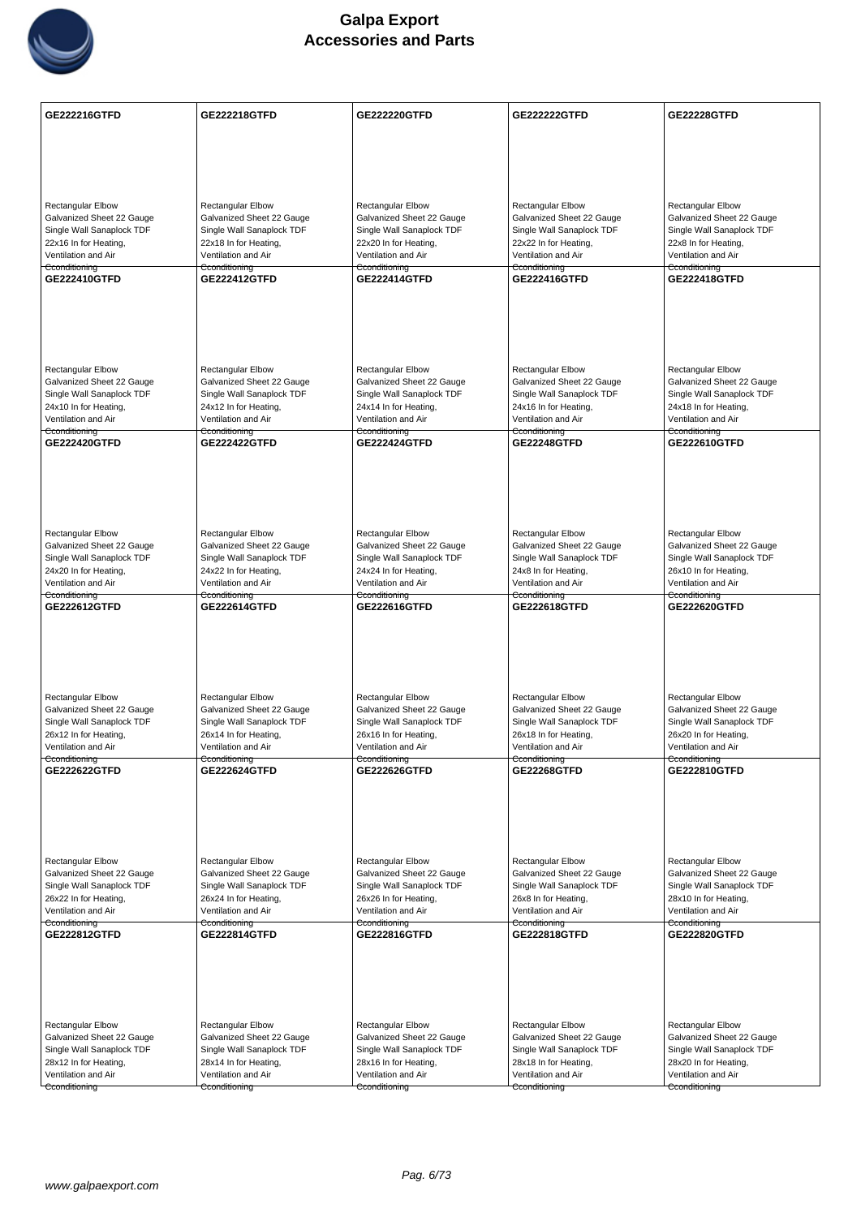

| GE222216GTFD              | <b>GE222218GTFD</b>       | <b>GE222220GTFD</b>       | <b>GE222222GTFD</b>       | <b>GE22228GTFD</b>        |
|---------------------------|---------------------------|---------------------------|---------------------------|---------------------------|
|                           |                           |                           |                           |                           |
|                           |                           |                           |                           |                           |
|                           |                           |                           |                           |                           |
| <b>Rectangular Elbow</b>  | <b>Rectangular Elbow</b>  | Rectangular Elbow         | <b>Rectangular Elbow</b>  | <b>Rectangular Elbow</b>  |
| Galvanized Sheet 22 Gauge | Galvanized Sheet 22 Gauge | Galvanized Sheet 22 Gauge | Galvanized Sheet 22 Gauge | Galvanized Sheet 22 Gauge |
| Single Wall Sanaplock TDF | Single Wall Sanaplock TDF | Single Wall Sanaplock TDF | Single Wall Sanaplock TDF | Single Wall Sanaplock TDF |
| 22x16 In for Heating,     | 22x18 In for Heating,     | 22x20 In for Heating,     | 22x22 In for Heating,     | 22x8 In for Heating,      |
| Ventilation and Air       | Ventilation and Air       | Ventilation and Air       | Ventilation and Air       | Ventilation and Air       |
| Cconditioning             | Cconditioning             | Cconditioning             | Cconditioning             | Cconditioning             |
| GE222410GTFD              | <b>GE222412GTFD</b>       | <b>GE222414GTFD</b>       | GE222416GTFD              | <b>GE222418GTFD</b>       |
|                           |                           |                           |                           |                           |
| <b>Rectangular Elbow</b>  | <b>Rectangular Elbow</b>  | Rectangular Elbow         | <b>Rectangular Elbow</b>  | <b>Rectangular Elbow</b>  |
| Galvanized Sheet 22 Gauge | Galvanized Sheet 22 Gauge | Galvanized Sheet 22 Gauge | Galvanized Sheet 22 Gauge | Galvanized Sheet 22 Gauge |
| Single Wall Sanaplock TDF | Single Wall Sanaplock TDF | Single Wall Sanaplock TDF | Single Wall Sanaplock TDF | Single Wall Sanaplock TDF |
| 24x10 In for Heating,     | 24x12 In for Heating,     | 24x14 In for Heating,     | 24x16 In for Heating,     | 24x18 In for Heating,     |
| Ventilation and Air       | Ventilation and Air       | Ventilation and Air       | Ventilation and Air       | Ventilation and Air       |
| Cconditioning             | Cconditioning             | Cconditioning             | Cconditioning             | Cconditioning             |
| GE222420GTFD              | <b>GE222422GTFD</b>       | GE222424GTFD              | <b>GE22248GTFD</b>        | GE222610GTFD              |
|                           |                           |                           |                           |                           |
| Rectangular Elbow         | Rectangular Elbow         | Rectangular Elbow         | Rectangular Elbow         | Rectangular Elbow         |
| Galvanized Sheet 22 Gauge | Galvanized Sheet 22 Gauge | Galvanized Sheet 22 Gauge | Galvanized Sheet 22 Gauge | Galvanized Sheet 22 Gauge |
| Single Wall Sanaplock TDF | Single Wall Sanaplock TDF | Single Wall Sanaplock TDF | Single Wall Sanaplock TDF | Single Wall Sanaplock TDF |
| 24x20 In for Heating,     | 24x22 In for Heating,     | 24x24 In for Heating,     | 24x8 In for Heating,      | 26x10 In for Heating,     |
| Ventilation and Air       | Ventilation and Air       | Ventilation and Air       | Ventilation and Air       | Ventilation and Air       |
| Cconditioning             | Cconditioning             | Cconditioning             | Cconditioning             | Cconditioning             |
| GE222612GTFD              | <b>GE222614GTFD</b>       | GE222616GTFD              | GE222618GTFD              | <b>GE222620GTFD</b>       |
| Rectangular Elbow         | Rectangular Elbow         | <b>Rectangular Elbow</b>  | Rectangular Elbow         | <b>Rectangular Elbow</b>  |
| Galvanized Sheet 22 Gauge | Galvanized Sheet 22 Gauge | Galvanized Sheet 22 Gauge | Galvanized Sheet 22 Gauge | Galvanized Sheet 22 Gauge |
| Single Wall Sanaplock TDF | Single Wall Sanaplock TDF | Single Wall Sanaplock TDF | Single Wall Sanaplock TDF | Single Wall Sanaplock TDF |
| 26x12 In for Heating,     | 26x14 In for Heating,     | 26x16 In for Heating,     | 26x18 In for Heating,     | 26x20 In for Heating,     |
| Ventilation and Air       | Ventilation and Air       | Ventilation and Air       | Ventilation and Air       | Ventilation and Air       |
| Cconditioning             | Cconditioning             | Cconditioning             | Cconditioning             | Cconditioning             |
| GE222622GTFD              | <b>GE222624GTFD</b>       | GE222626GTFD              | <b>GE22268GTFD</b>        | GE222810GTFD              |
| Rectangular Elbow         | Rectangular Elbow         | <b>Rectangular Elbow</b>  | Rectangular Elbow         | Rectangular Elbow         |
| Galvanized Sheet 22 Gauge | Galvanized Sheet 22 Gauge | Galvanized Sheet 22 Gauge | Galvanized Sheet 22 Gauge | Galvanized Sheet 22 Gauge |
| Single Wall Sanaplock TDF | Single Wall Sanaplock TDF | Single Wall Sanaplock TDF | Single Wall Sanaplock TDF | Single Wall Sanaplock TDF |
| 26x22 In for Heating,     | 26x24 In for Heating,     | 26x26 In for Heating,     | 26x8 In for Heating,      | 28x10 In for Heating,     |
| Ventilation and Air       | Ventilation and Air       | Ventilation and Air       | Ventilation and Air       | Ventilation and Air       |
| Cconditioning             | Cconditioning             | Cconditioning             | Cconditioning             | Cconditioning             |
| GE222812GTFD              | GE222814GTFD              | GE222816GTFD              | GE222818GTFD              | GE222820GTFD              |
|                           |                           |                           |                           |                           |
| <b>Rectangular Elbow</b>  | Rectangular Elbow         | Rectangular Elbow         | <b>Rectangular Elbow</b>  | <b>Rectangular Elbow</b>  |
| Galvanized Sheet 22 Gauge | Galvanized Sheet 22 Gauge | Galvanized Sheet 22 Gauge | Galvanized Sheet 22 Gauge | Galvanized Sheet 22 Gauge |
| Single Wall Sanaplock TDF | Single Wall Sanaplock TDF | Single Wall Sanaplock TDF | Single Wall Sanaplock TDF | Single Wall Sanaplock TDF |
| 28x12 In for Heating,     | 28x14 In for Heating,     | 28x16 In for Heating,     | 28x18 In for Heating,     | 28x20 In for Heating,     |
| Ventilation and Air       | Ventilation and Air       | Ventilation and Air       | Ventilation and Air       | Ventilation and Air       |
| Cconditioning             | Cconditioning             | Cconditioning             | Cconditioning             | Cconditioning             |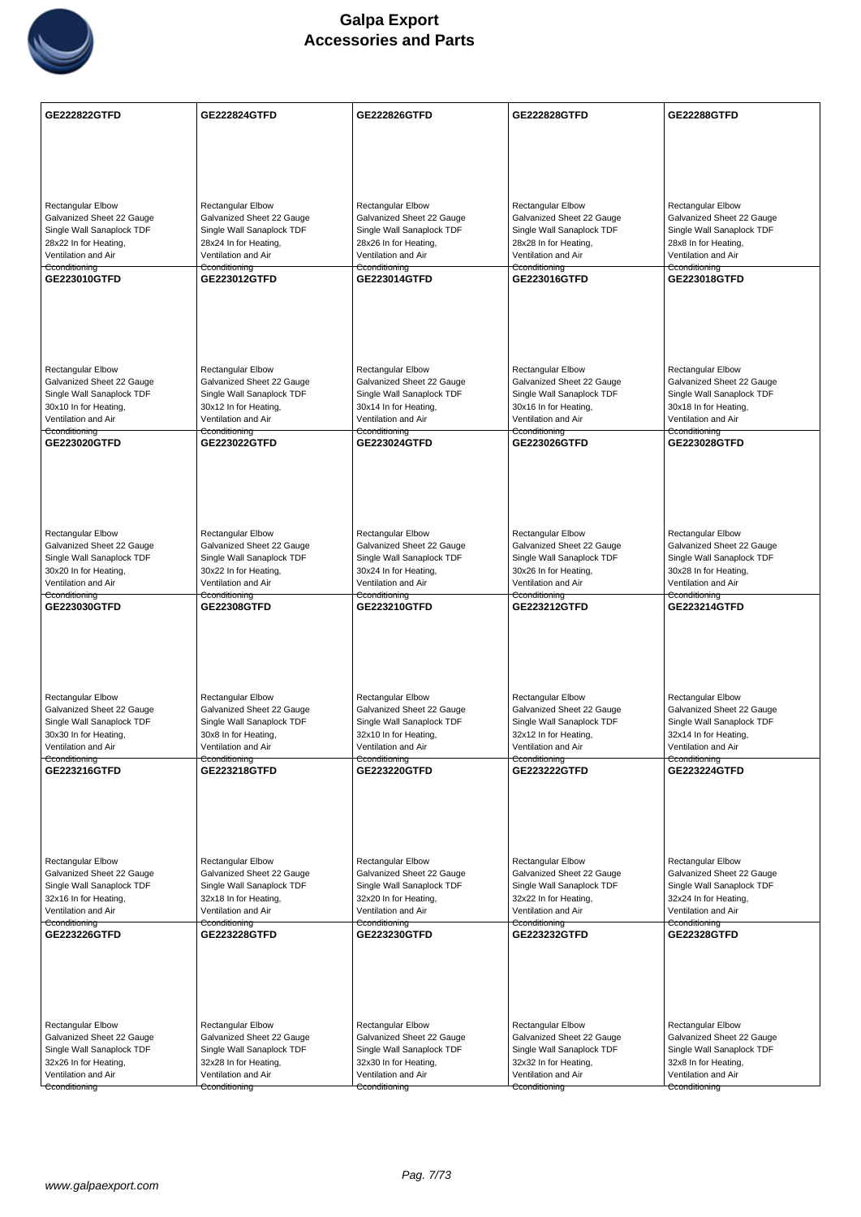

| <b>GE222822GTFD</b>                                    | <b>GE222824GTFD</b>                                    | GE222826GTFD                                           | <b>GE222828GTFD</b>                                    | <b>GE22288GTFD</b>                                     |
|--------------------------------------------------------|--------------------------------------------------------|--------------------------------------------------------|--------------------------------------------------------|--------------------------------------------------------|
|                                                        |                                                        |                                                        |                                                        |                                                        |
|                                                        |                                                        |                                                        |                                                        |                                                        |
|                                                        |                                                        |                                                        |                                                        |                                                        |
|                                                        |                                                        |                                                        |                                                        |                                                        |
| <b>Rectangular Elbow</b>                               | <b>Rectangular Elbow</b>                               | Rectangular Elbow                                      | <b>Rectangular Elbow</b>                               | Rectangular Elbow                                      |
| Galvanized Sheet 22 Gauge                              | Galvanized Sheet 22 Gauge                              | Galvanized Sheet 22 Gauge                              | Galvanized Sheet 22 Gauge                              | Galvanized Sheet 22 Gauge                              |
| Single Wall Sanaplock TDF<br>28x22 In for Heating,     | Single Wall Sanaplock TDF<br>28x24 In for Heating,     | Single Wall Sanaplock TDF<br>28x26 In for Heating,     | Single Wall Sanaplock TDF<br>28x28 In for Heating,     | Single Wall Sanaplock TDF<br>28x8 In for Heating,      |
| Ventilation and Air                                    | Ventilation and Air                                    | Ventilation and Air                                    | Ventilation and Air                                    | Ventilation and Air                                    |
| Cconditioning                                          | Cconditioning                                          | Cconditioning                                          | Cconditioning                                          | Cconditioning                                          |
| GE223010GTFD                                           | GE223012GTFD                                           | GE223014GTFD                                           | GE223016GTFD                                           | GE223018GTFD                                           |
|                                                        |                                                        |                                                        |                                                        |                                                        |
|                                                        |                                                        |                                                        |                                                        |                                                        |
|                                                        |                                                        |                                                        |                                                        |                                                        |
|                                                        |                                                        |                                                        |                                                        |                                                        |
| <b>Rectangular Elbow</b>                               | <b>Rectangular Elbow</b>                               | <b>Rectangular Elbow</b>                               | <b>Rectangular Elbow</b>                               | <b>Rectangular Elbow</b>                               |
| Galvanized Sheet 22 Gauge                              | Galvanized Sheet 22 Gauge                              | Galvanized Sheet 22 Gauge                              | Galvanized Sheet 22 Gauge                              | Galvanized Sheet 22 Gauge                              |
| Single Wall Sanaplock TDF<br>30x10 In for Heating,     | Single Wall Sanaplock TDF<br>30x12 In for Heating,     | Single Wall Sanaplock TDF<br>30x14 In for Heating,     | Single Wall Sanaplock TDF<br>30x16 In for Heating,     | Single Wall Sanaplock TDF<br>30x18 In for Heating,     |
| Ventilation and Air                                    | Ventilation and Air                                    | Ventilation and Air                                    | Ventilation and Air                                    | Ventilation and Air                                    |
| Cconditioning<br>GE223020GTFD                          | Cconditioning                                          | Cconditioning<br>GE223024GTFD                          | Cconditioning<br>GE223026GTFD                          | Cconditioning                                          |
|                                                        | <b>GE223022GTFD</b>                                    |                                                        |                                                        | <b>GE223028GTFD</b>                                    |
|                                                        |                                                        |                                                        |                                                        |                                                        |
|                                                        |                                                        |                                                        |                                                        |                                                        |
|                                                        |                                                        |                                                        |                                                        |                                                        |
|                                                        |                                                        |                                                        |                                                        |                                                        |
| Rectangular Elbow                                      | <b>Rectangular Elbow</b>                               | <b>Rectangular Elbow</b>                               | <b>Rectangular Elbow</b>                               | <b>Rectangular Elbow</b>                               |
| Galvanized Sheet 22 Gauge                              | Galvanized Sheet 22 Gauge                              | Galvanized Sheet 22 Gauge                              | Galvanized Sheet 22 Gauge                              | Galvanized Sheet 22 Gauge                              |
| Single Wall Sanaplock TDF<br>30x20 In for Heating,     | Single Wall Sanaplock TDF<br>30x22 In for Heating,     | Single Wall Sanaplock TDF<br>30x24 In for Heating,     | Single Wall Sanaplock TDF<br>30x26 In for Heating,     | Single Wall Sanaplock TDF<br>30x28 In for Heating,     |
| Ventilation and Air                                    | Ventilation and Air                                    | Ventilation and Air                                    | Ventilation and Air                                    | Ventilation and Air                                    |
| Cconditioning<br>GE223030GTFD                          | Cconditioning<br><b>GE22308GTFD</b>                    | Cconditioning<br>GE223210GTFD                          | Cconditioning<br>GE223212GTFD                          | Cconditioning<br><b>GE223214GTFD</b>                   |
|                                                        |                                                        |                                                        |                                                        |                                                        |
|                                                        |                                                        |                                                        |                                                        |                                                        |
|                                                        |                                                        |                                                        |                                                        |                                                        |
|                                                        |                                                        |                                                        |                                                        |                                                        |
|                                                        |                                                        |                                                        |                                                        |                                                        |
| Rectangular Elbow                                      | Rectangular Elbow                                      | <b>Rectangular Elbow</b>                               | Rectangular Elbow                                      | <b>Rectangular Elbow</b>                               |
| Galvanized Sheet 22 Gauge<br>Single Wall Sanaplock TDF | Galvanized Sheet 22 Gauge<br>Single Wall Sanaplock TDF | Galvanized Sheet 22 Gauge<br>Single Wall Sanaplock TDF | Galvanized Sheet 22 Gauge<br>Single Wall Sanaplock TDF | Galvanized Sheet 22 Gauge<br>Single Wall Sanaplock TDF |
| 30x30 In for Heating,                                  | 30x8 In for Heating,                                   | 32x10 In for Heating,                                  | 32x12 In for Heating,                                  | 32x14 In for Heating,                                  |
| Ventilation and Air                                    | Ventilation and Air                                    | Ventilation and Air                                    | Ventilation and Air                                    | Ventilation and Air                                    |
| Cconditioning<br>GE223216GTFD                          | Cconditioning<br><b>GE223218GTFD</b>                   | Cconditioning<br><b>GE223220GTFD</b>                   | Cconditioning<br><b>GE223222GTFD</b>                   | Cconditioning<br><b>GE223224GTFD</b>                   |
|                                                        |                                                        |                                                        |                                                        |                                                        |
|                                                        |                                                        |                                                        |                                                        |                                                        |
|                                                        |                                                        |                                                        |                                                        |                                                        |
|                                                        |                                                        |                                                        |                                                        |                                                        |
|                                                        |                                                        |                                                        |                                                        |                                                        |
| Rectangular Elbow<br>Galvanized Sheet 22 Gauge         | Rectangular Elbow<br>Galvanized Sheet 22 Gauge         | <b>Rectangular Elbow</b><br>Galvanized Sheet 22 Gauge  | <b>Rectangular Elbow</b><br>Galvanized Sheet 22 Gauge  | Rectangular Elbow<br>Galvanized Sheet 22 Gauge         |
| Single Wall Sanaplock TDF                              | Single Wall Sanaplock TDF                              | Single Wall Sanaplock TDF                              | Single Wall Sanaplock TDF                              | Single Wall Sanaplock TDF                              |
| 32x16 In for Heating,                                  | 32x18 In for Heating,                                  | 32x20 In for Heating,                                  | 32x22 In for Heating,                                  | 32x24 In for Heating,                                  |
| Ventilation and Air<br>Cconditioning                   | Ventilation and Air<br>Cconditioning                   | Ventilation and Air<br>Cconditioning                   | Ventilation and Air<br>Cconditioning                   | Ventilation and Air<br>Cconditioning                   |
| <b>GE223226GTFD</b>                                    | GE223228GTFD                                           | GE223230GTFD                                           | GE223232GTFD                                           | <b>GE22328GTFD</b>                                     |
|                                                        |                                                        |                                                        |                                                        |                                                        |
|                                                        |                                                        |                                                        |                                                        |                                                        |
|                                                        |                                                        |                                                        |                                                        |                                                        |
|                                                        |                                                        |                                                        |                                                        |                                                        |
|                                                        |                                                        |                                                        |                                                        |                                                        |
| Rectangular Elbow<br>Galvanized Sheet 22 Gauge         | <b>Rectangular Elbow</b><br>Galvanized Sheet 22 Gauge  | Rectangular Elbow<br>Galvanized Sheet 22 Gauge         | <b>Rectangular Elbow</b><br>Galvanized Sheet 22 Gauge  | Rectangular Elbow<br>Galvanized Sheet 22 Gauge         |
| Single Wall Sanaplock TDF                              | Single Wall Sanaplock TDF                              | Single Wall Sanaplock TDF                              | Single Wall Sanaplock TDF                              | Single Wall Sanaplock TDF                              |
| 32x26 In for Heating,                                  | 32x28 In for Heating,                                  | 32x30 In for Heating,                                  | 32x32 In for Heating,                                  | 32x8 In for Heating,                                   |
| Ventilation and Air                                    | Ventilation and Air                                    | Ventilation and Air                                    | Ventilation and Air                                    | Ventilation and Air                                    |
| Cconditioning                                          | Cconditioning                                          | Cconditioning                                          | Cconditioning                                          | Cconditioning                                          |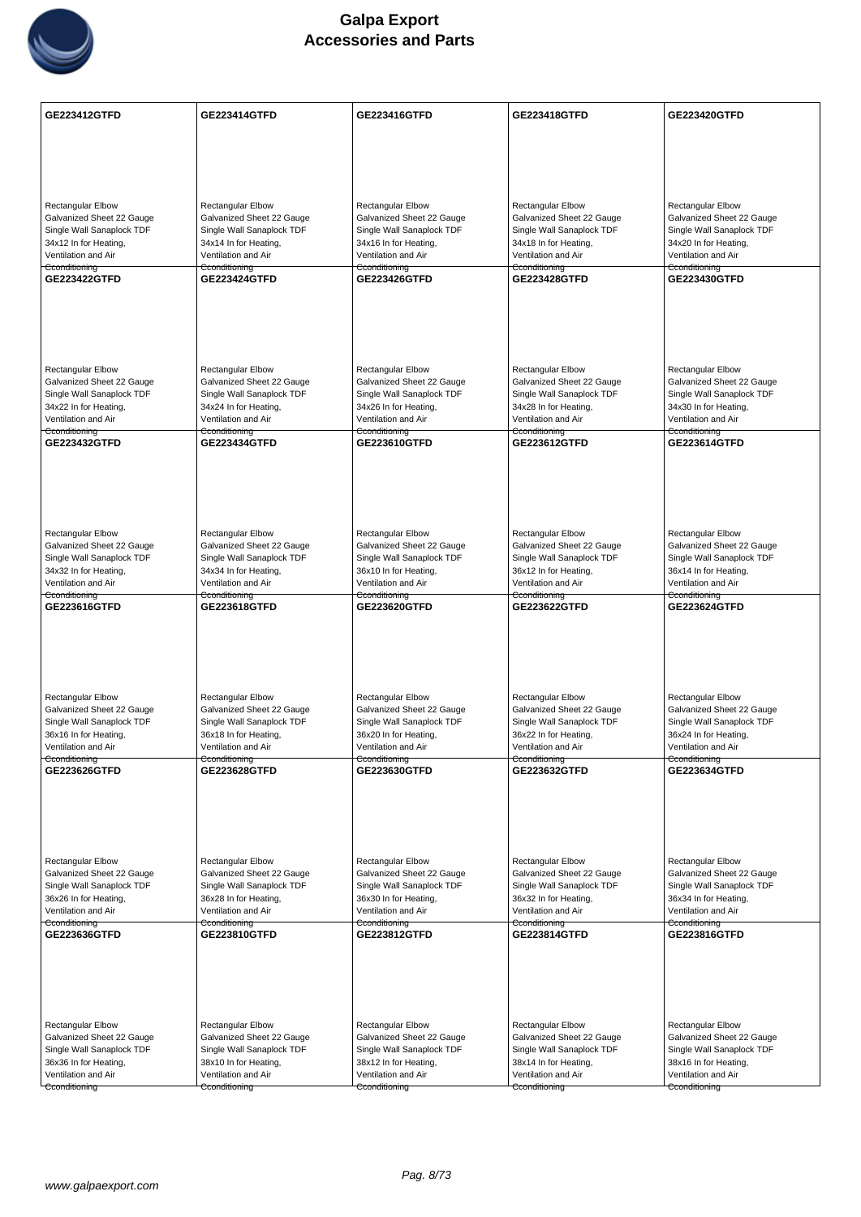

| <b>GE223412GTFD</b>                                    | <b>GE223414GTFD</b>                                    | GE223416GTFD                                           | <b>GE223418GTFD</b>                                    | GE223420GTFD                                           |
|--------------------------------------------------------|--------------------------------------------------------|--------------------------------------------------------|--------------------------------------------------------|--------------------------------------------------------|
|                                                        |                                                        |                                                        |                                                        |                                                        |
|                                                        |                                                        |                                                        |                                                        |                                                        |
|                                                        |                                                        |                                                        |                                                        |                                                        |
|                                                        |                                                        |                                                        |                                                        |                                                        |
|                                                        |                                                        |                                                        |                                                        |                                                        |
| <b>Rectangular Elbow</b><br>Galvanized Sheet 22 Gauge  | <b>Rectangular Elbow</b><br>Galvanized Sheet 22 Gauge  | <b>Rectangular Elbow</b><br>Galvanized Sheet 22 Gauge  | <b>Rectangular Elbow</b><br>Galvanized Sheet 22 Gauge  | <b>Rectangular Elbow</b><br>Galvanized Sheet 22 Gauge  |
| Single Wall Sanaplock TDF                              | Single Wall Sanaplock TDF                              | Single Wall Sanaplock TDF                              | Single Wall Sanaplock TDF                              | Single Wall Sanaplock TDF                              |
| 34x12 In for Heating,                                  | 34x14 In for Heating,                                  | 34x16 In for Heating,                                  | 34x18 In for Heating,                                  | 34x20 In for Heating,                                  |
| Ventilation and Air<br>Cconditioning                   | Ventilation and Air<br>Cconditioning                   | Ventilation and Air<br>Cconditioning                   | Ventilation and Air<br>Cconditioning                   | Ventilation and Air<br>Cconditioning                   |
| GE223422GTFD                                           | <b>GE223424GTFD</b>                                    | <b>GE223426GTFD</b>                                    | <b>GE223428GTFD</b>                                    | <b>GE223430GTFD</b>                                    |
|                                                        |                                                        |                                                        |                                                        |                                                        |
|                                                        |                                                        |                                                        |                                                        |                                                        |
|                                                        |                                                        |                                                        |                                                        |                                                        |
|                                                        |                                                        |                                                        |                                                        |                                                        |
|                                                        |                                                        |                                                        |                                                        |                                                        |
| <b>Rectangular Elbow</b>                               | Rectangular Elbow                                      | <b>Rectangular Elbow</b>                               | <b>Rectangular Elbow</b>                               | <b>Rectangular Elbow</b>                               |
| Galvanized Sheet 22 Gauge<br>Single Wall Sanaplock TDF | Galvanized Sheet 22 Gauge<br>Single Wall Sanaplock TDF | Galvanized Sheet 22 Gauge<br>Single Wall Sanaplock TDF | Galvanized Sheet 22 Gauge<br>Single Wall Sanaplock TDF | Galvanized Sheet 22 Gauge<br>Single Wall Sanaplock TDF |
| 34x22 In for Heating,                                  | 34x24 In for Heating,                                  | 34x26 In for Heating,                                  | 34x28 In for Heating,                                  | 34x30 In for Heating,                                  |
| Ventilation and Air                                    | Ventilation and Air                                    | Ventilation and Air                                    | Ventilation and Air                                    | Ventilation and Air                                    |
| Cconditioning<br>GE223432GTFD                          | Cconditioning<br><b>GE223434GTFD</b>                   | Cconditioning<br>GE223610GTFD                          | Cconditioning<br>GE223612GTFD                          | Cconditioning<br>GE223614GTFD                          |
|                                                        |                                                        |                                                        |                                                        |                                                        |
|                                                        |                                                        |                                                        |                                                        |                                                        |
|                                                        |                                                        |                                                        |                                                        |                                                        |
|                                                        |                                                        |                                                        |                                                        |                                                        |
|                                                        |                                                        |                                                        |                                                        |                                                        |
| <b>Rectangular Elbow</b>                               | Rectangular Elbow                                      | Rectangular Elbow                                      | Rectangular Elbow                                      | Rectangular Elbow                                      |
| Galvanized Sheet 22 Gauge                              | Galvanized Sheet 22 Gauge                              | Galvanized Sheet 22 Gauge                              | Galvanized Sheet 22 Gauge                              | Galvanized Sheet 22 Gauge                              |
| Single Wall Sanaplock TDF<br>34x32 In for Heating,     | Single Wall Sanaplock TDF<br>34x34 In for Heating,     | Single Wall Sanaplock TDF<br>36x10 In for Heating,     | Single Wall Sanaplock TDF<br>36x12 In for Heating,     | Single Wall Sanaplock TDF<br>36x14 In for Heating,     |
| Ventilation and Air                                    | Ventilation and Air                                    | Ventilation and Air                                    | Ventilation and Air                                    | Ventilation and Air                                    |
| Cconditioning<br>GE223616GTFD                          | Cconditioning<br><b>GE223618GTFD</b>                   | Cconditioning<br>GE223620GTFD                          | Cconditioning<br>GE223622GTFD                          | Cconditioning<br>GE223624GTFD                          |
|                                                        |                                                        |                                                        |                                                        |                                                        |
|                                                        |                                                        |                                                        |                                                        |                                                        |
|                                                        |                                                        |                                                        |                                                        |                                                        |
|                                                        |                                                        |                                                        |                                                        |                                                        |
|                                                        |                                                        |                                                        |                                                        |                                                        |
| <b>Rectangular Elbow</b>                               | Rectangular Elbow                                      | <b>Rectangular Elbow</b>                               | Rectangular Elbow                                      | <b>Rectangular Elbow</b>                               |
| Galvanized Sheet 22 Gauge                              | Galvanized Sheet 22 Gauge                              | Galvanized Sheet 22 Gauge                              | Galvanized Sheet 22 Gauge                              | Galvanized Sheet 22 Gauge                              |
| Single Wall Sanaplock TDF<br>36x16 In for Heating,     | Single Wall Sanaplock TDF<br>36x18 In for Heating,     | Single Wall Sanaplock TDF<br>36x20 In for Heating,     | Single Wall Sanaplock TDF<br>36x22 In for Heating,     | Single Wall Sanaplock TDF<br>36x24 In for Heating,     |
| Ventilation and Air                                    | Ventilation and Air                                    | Ventilation and Air                                    | Ventilation and Air                                    | Ventilation and Air                                    |
| Cconditioning                                          | Cconditioning                                          | Cconditioning                                          | Cconditioning                                          | Cconditioning                                          |
| GE223626GTFD                                           | GE223628GTFD                                           | GE223630GTFD                                           | GE223632GTFD                                           | GE223634GTFD                                           |
|                                                        |                                                        |                                                        |                                                        |                                                        |
|                                                        |                                                        |                                                        |                                                        |                                                        |
|                                                        |                                                        |                                                        |                                                        |                                                        |
|                                                        |                                                        |                                                        |                                                        |                                                        |
| Rectangular Elbow                                      | Rectangular Elbow                                      | <b>Rectangular Elbow</b>                               | <b>Rectangular Elbow</b>                               | <b>Rectangular Elbow</b>                               |
| Galvanized Sheet 22 Gauge                              | Galvanized Sheet 22 Gauge                              | Galvanized Sheet 22 Gauge                              | Galvanized Sheet 22 Gauge                              | Galvanized Sheet 22 Gauge                              |
| Single Wall Sanaplock TDF                              | Single Wall Sanaplock TDF                              | Single Wall Sanaplock TDF                              | Single Wall Sanaplock TDF                              | Single Wall Sanaplock TDF<br>36x34 In for Heating,     |
| 36x26 In for Heating,<br>Ventilation and Air           | 36x28 In for Heating,<br>Ventilation and Air           | 36x30 In for Heating,<br>Ventilation and Air           | 36x32 In for Heating,<br>Ventilation and Air           | Ventilation and Air                                    |
| Cconditioning                                          | Cconditioning                                          | Cconditioning                                          | Cconditioning                                          | Cconditioning                                          |
| GE223636GTFD                                           | GE223810GTFD                                           | GE223812GTFD                                           | GE223814GTFD                                           | GE223816GTFD                                           |
|                                                        |                                                        |                                                        |                                                        |                                                        |
|                                                        |                                                        |                                                        |                                                        |                                                        |
|                                                        |                                                        |                                                        |                                                        |                                                        |
|                                                        |                                                        |                                                        |                                                        |                                                        |
| <b>Rectangular Elbow</b>                               | Rectangular Elbow                                      | <b>Rectangular Elbow</b>                               | <b>Rectangular Elbow</b>                               | <b>Rectangular Elbow</b>                               |
| Galvanized Sheet 22 Gauge                              | Galvanized Sheet 22 Gauge                              | Galvanized Sheet 22 Gauge                              | Galvanized Sheet 22 Gauge                              | Galvanized Sheet 22 Gauge                              |
| Single Wall Sanaplock TDF                              | Single Wall Sanaplock TDF                              | Single Wall Sanaplock TDF                              | Single Wall Sanaplock TDF                              | Single Wall Sanaplock TDF                              |
| 36x36 In for Heating,<br>Ventilation and Air           | 38x10 In for Heating,<br>Ventilation and Air           | 38x12 In for Heating,<br>Ventilation and Air           | 38x14 In for Heating,<br>Ventilation and Air           | 38x16 In for Heating,<br>Ventilation and Air           |
| Cconditioning                                          | Cconditioning                                          | Cconditioning                                          | Cconditioning                                          | Cconditioning                                          |
|                                                        |                                                        |                                                        |                                                        |                                                        |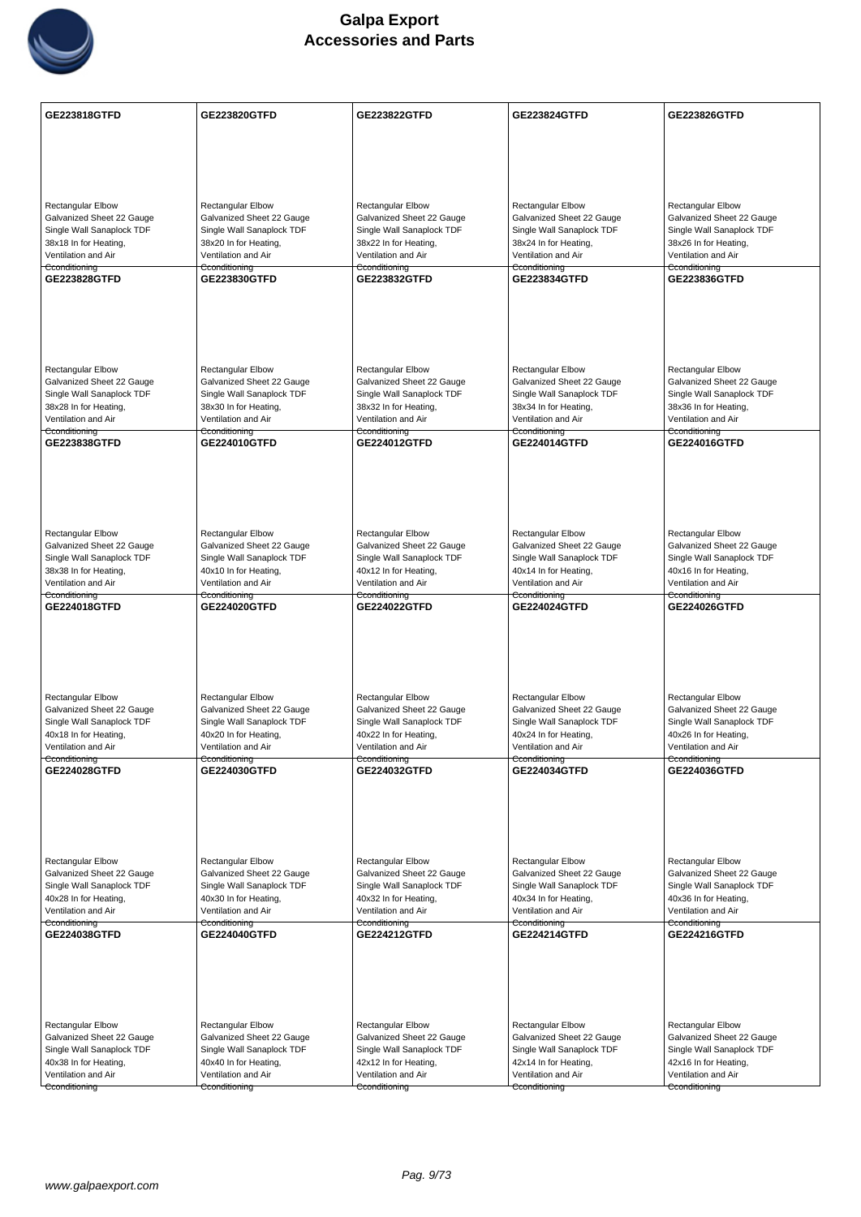

| GE223818GTFD                                                                                                                                 | GE223820GTFD                                                                                                                                        | GE223822GTFD                                                                                                                                        | <b>GE223824GTFD</b>                                                                                                                          | <b>GE223826GTFD</b>                                                                                                                                 |
|----------------------------------------------------------------------------------------------------------------------------------------------|-----------------------------------------------------------------------------------------------------------------------------------------------------|-----------------------------------------------------------------------------------------------------------------------------------------------------|----------------------------------------------------------------------------------------------------------------------------------------------|-----------------------------------------------------------------------------------------------------------------------------------------------------|
|                                                                                                                                              |                                                                                                                                                     |                                                                                                                                                     |                                                                                                                                              |                                                                                                                                                     |
|                                                                                                                                              |                                                                                                                                                     |                                                                                                                                                     |                                                                                                                                              |                                                                                                                                                     |
|                                                                                                                                              |                                                                                                                                                     |                                                                                                                                                     |                                                                                                                                              |                                                                                                                                                     |
| <b>Rectangular Elbow</b><br>Galvanized Sheet 22 Gauge<br>Single Wall Sanaplock TDF<br>38x18 In for Heating,<br>Ventilation and Air           | <b>Rectangular Elbow</b><br>Galvanized Sheet 22 Gauge<br>Single Wall Sanaplock TDF<br>38x20 In for Heating,<br>Ventilation and Air                  | Rectangular Elbow<br>Galvanized Sheet 22 Gauge<br>Single Wall Sanaplock TDF<br>38x22 In for Heating,<br>Ventilation and Air                         | <b>Rectangular Elbow</b><br>Galvanized Sheet 22 Gauge<br>Single Wall Sanaplock TDF<br>38x24 In for Heating,<br>Ventilation and Air           | <b>Rectangular Elbow</b><br>Galvanized Sheet 22 Gauge<br>Single Wall Sanaplock TDF<br>38x26 In for Heating,<br>Ventilation and Air                  |
| Cconditioning<br>GE223828GTFD                                                                                                                | Cconditioning<br>GE223830GTFD                                                                                                                       | Cconditioning<br>GE223832GTFD                                                                                                                       | Cconditioning<br><b>GE223834GTFD</b>                                                                                                         | Cconditioning<br>GE223836GTFD                                                                                                                       |
|                                                                                                                                              |                                                                                                                                                     |                                                                                                                                                     |                                                                                                                                              |                                                                                                                                                     |
| Rectangular Elbow<br>Galvanized Sheet 22 Gauge<br>Single Wall Sanaplock TDF<br>38x28 In for Heating,<br>Ventilation and Air                  | <b>Rectangular Elbow</b><br>Galvanized Sheet 22 Gauge<br>Single Wall Sanaplock TDF<br>38x30 In for Heating,<br>Ventilation and Air                  | Rectangular Elbow<br>Galvanized Sheet 22 Gauge<br>Single Wall Sanaplock TDF<br>38x32 In for Heating,<br>Ventilation and Air                         | <b>Rectangular Elbow</b><br>Galvanized Sheet 22 Gauge<br>Single Wall Sanaplock TDF<br>38x34 In for Heating,<br>Ventilation and Air           | <b>Rectangular Elbow</b><br>Galvanized Sheet 22 Gauge<br>Single Wall Sanaplock TDF<br>38x36 In for Heating,<br>Ventilation and Air                  |
| Cconditioning<br>GE223838GTFD                                                                                                                | Cconditioning<br>GE224010GTFD                                                                                                                       | Cconditioning<br>GE224012GTFD                                                                                                                       | Cconditioning<br>GE224014GTFD                                                                                                                | Cconditioning<br>GE224016GTFD                                                                                                                       |
|                                                                                                                                              |                                                                                                                                                     |                                                                                                                                                     |                                                                                                                                              |                                                                                                                                                     |
| Rectangular Elbow<br>Galvanized Sheet 22 Gauge<br>Single Wall Sanaplock TDF<br>38x38 In for Heating,<br>Ventilation and Air                  | Rectangular Elbow<br>Galvanized Sheet 22 Gauge<br>Single Wall Sanaplock TDF<br>40x10 In for Heating,<br>Ventilation and Air                         | Rectangular Elbow<br>Galvanized Sheet 22 Gauge<br>Single Wall Sanaplock TDF<br>40x12 In for Heating,<br>Ventilation and Air                         | Rectangular Elbow<br>Galvanized Sheet 22 Gauge<br>Single Wall Sanaplock TDF<br>40x14 In for Heating,<br>Ventilation and Air                  | Rectangular Elbow<br>Galvanized Sheet 22 Gauge<br>Single Wall Sanaplock TDF<br>40x16 In for Heating,<br>Ventilation and Air                         |
| Cconditioning<br>GE224018GTFD                                                                                                                | Cconditioning<br><b>GE224020GTFD</b>                                                                                                                | Cconditioning<br>GE224022GTFD                                                                                                                       | Cconditioning<br><b>GE224024GTFD</b>                                                                                                         | Cconditioning<br><b>GE224026GTFD</b>                                                                                                                |
| Rectangular Elbow<br>Galvanized Sheet 22 Gauge<br>Single Wall Sanaplock TDF<br>40x18 In for Heating,<br>Ventilation and Air<br>Cconditioning | <b>Rectangular Elbow</b><br>Galvanized Sheet 22 Gauge<br>Single Wall Sanaplock TDF<br>40x20 In for Heating,<br>Ventilation and Air<br>Cconditioning | <b>Rectangular Elbow</b><br>Galvanized Sheet 22 Gauge<br>Single Wall Sanaplock TDF<br>40x22 In for Heating,<br>Ventilation and Air<br>Cconditioning | Rectangular Elbow<br>Galvanized Sheet 22 Gauge<br>Single Wall Sanaplock TDF<br>40x24 In for Heating,<br>Ventilation and Air<br>Cconditioning | <b>Rectangular Elbow</b><br>Galvanized Sheet 22 Gauge<br>Single Wall Sanaplock TDF<br>40x26 In for Heating,<br>Ventilation and Air<br>Cconditioning |
| GE224028GTFD                                                                                                                                 | GE224030GTFD                                                                                                                                        | GE224032GTFD                                                                                                                                        | GE224034GTFD                                                                                                                                 | GE224036GTFD                                                                                                                                        |
| Rectangular Elbow<br>Galvanized Sheet 22 Gauge<br>Single Wall Sanaplock TDF<br>40x28 In for Heating,<br>Ventilation and Air<br>Cconditioning | Rectangular Elbow<br>Galvanized Sheet 22 Gauge<br>Single Wall Sanaplock TDF<br>40x30 In for Heating,<br>Ventilation and Air                         | Rectangular Elbow<br>Galvanized Sheet 22 Gauge<br>Single Wall Sanaplock TDF<br>40x32 In for Heating,<br>Ventilation and Air                         | Rectangular Elbow<br>Galvanized Sheet 22 Gauge<br>Single Wall Sanaplock TDF<br>40x34 In for Heating,<br>Ventilation and Air                  | Rectangular Elbow<br>Galvanized Sheet 22 Gauge<br>Single Wall Sanaplock TDF<br>40x36 In for Heating,<br>Ventilation and Air                         |
| GE224038GTFD                                                                                                                                 | Cconditioning<br>GE224040GTFD                                                                                                                       | Cconditioning<br><b>GE224212GTFD</b>                                                                                                                | Cconditioning<br>GE224214GTFD                                                                                                                | Cconditioning<br>GE224216GTFD                                                                                                                       |
|                                                                                                                                              |                                                                                                                                                     |                                                                                                                                                     |                                                                                                                                              |                                                                                                                                                     |
| <b>Rectangular Elbow</b><br>Galvanized Sheet 22 Gauge                                                                                        | Rectangular Elbow<br>Galvanized Sheet 22 Gauge                                                                                                      | Rectangular Elbow<br>Galvanized Sheet 22 Gauge                                                                                                      | <b>Rectangular Elbow</b><br>Galvanized Sheet 22 Gauge                                                                                        | <b>Rectangular Elbow</b><br>Galvanized Sheet 22 Gauge                                                                                               |
| Single Wall Sanaplock TDF                                                                                                                    | Single Wall Sanaplock TDF                                                                                                                           | Single Wall Sanaplock TDF                                                                                                                           | Single Wall Sanaplock TDF                                                                                                                    | Single Wall Sanaplock TDF                                                                                                                           |
| 40x38 In for Heating,<br>Ventilation and Air                                                                                                 | 40x40 In for Heating,<br>Ventilation and Air                                                                                                        | 42x12 In for Heating,<br>Ventilation and Air                                                                                                        | 42x14 In for Heating,<br>Ventilation and Air                                                                                                 | 42x16 In for Heating,<br>Ventilation and Air                                                                                                        |
| Cconditioning                                                                                                                                | Cconditioning                                                                                                                                       | Cconditioning                                                                                                                                       | Cconditioning                                                                                                                                | Cconditioning                                                                                                                                       |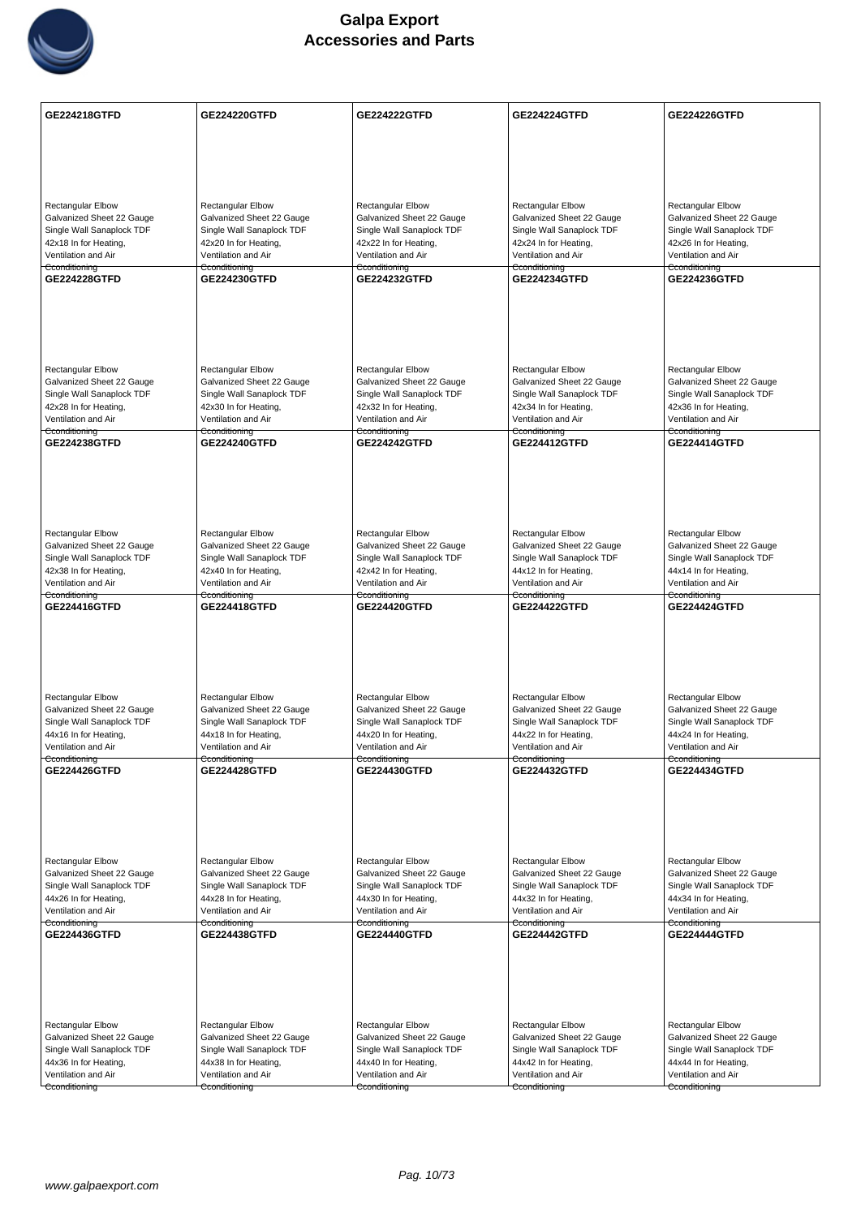

| GE224218GTFD                                                                                                                                 | GE224220GTFD                                                                                                                                 | <b>GE224222GTFD</b>                                                                                                                                 | <b>GE224224GTFD</b>                                                                                                                                 | <b>GE224226GTFD</b>                                                                                                                                 |
|----------------------------------------------------------------------------------------------------------------------------------------------|----------------------------------------------------------------------------------------------------------------------------------------------|-----------------------------------------------------------------------------------------------------------------------------------------------------|-----------------------------------------------------------------------------------------------------------------------------------------------------|-----------------------------------------------------------------------------------------------------------------------------------------------------|
|                                                                                                                                              |                                                                                                                                              |                                                                                                                                                     |                                                                                                                                                     |                                                                                                                                                     |
|                                                                                                                                              |                                                                                                                                              |                                                                                                                                                     |                                                                                                                                                     |                                                                                                                                                     |
|                                                                                                                                              |                                                                                                                                              |                                                                                                                                                     |                                                                                                                                                     |                                                                                                                                                     |
| <b>Rectangular Elbow</b><br>Galvanized Sheet 22 Gauge<br>Single Wall Sanaplock TDF<br>42x18 In for Heating,<br>Ventilation and Air           | Rectangular Elbow<br>Galvanized Sheet 22 Gauge<br>Single Wall Sanaplock TDF<br>42x20 In for Heating,<br>Ventilation and Air                  | <b>Rectangular Elbow</b><br>Galvanized Sheet 22 Gauge<br>Single Wall Sanaplock TDF<br>42x22 In for Heating,<br>Ventilation and Air                  | Rectangular Elbow<br>Galvanized Sheet 22 Gauge<br>Single Wall Sanaplock TDF<br>42x24 In for Heating,<br>Ventilation and Air                         | <b>Rectangular Elbow</b><br>Galvanized Sheet 22 Gauge<br>Single Wall Sanaplock TDF<br>42x26 In for Heating,<br>Ventilation and Air                  |
| Cconditioning<br><b>GE224228GTFD</b>                                                                                                         | Cconditioning<br>GE224230GTFD                                                                                                                | Cconditioning<br><b>GE224232GTFD</b>                                                                                                                | Cconditioning<br><b>GE224234GTFD</b>                                                                                                                | Cconditioning<br>GE224236GTFD                                                                                                                       |
|                                                                                                                                              |                                                                                                                                              |                                                                                                                                                     |                                                                                                                                                     |                                                                                                                                                     |
| <b>Rectangular Elbow</b><br>Galvanized Sheet 22 Gauge<br>Single Wall Sanaplock TDF<br>42x28 In for Heating,<br>Ventilation and Air           | Rectangular Elbow<br>Galvanized Sheet 22 Gauge<br>Single Wall Sanaplock TDF<br>42x30 In for Heating,<br>Ventilation and Air                  | <b>Rectangular Elbow</b><br>Galvanized Sheet 22 Gauge<br>Single Wall Sanaplock TDF<br>42x32 In for Heating,<br>Ventilation and Air                  | <b>Rectangular Elbow</b><br>Galvanized Sheet 22 Gauge<br>Single Wall Sanaplock TDF<br>42x34 In for Heating,<br>Ventilation and Air                  | <b>Rectangular Elbow</b><br>Galvanized Sheet 22 Gauge<br>Single Wall Sanaplock TDF<br>42x36 In for Heating,<br>Ventilation and Air                  |
| Cconditioning<br>GE224238GTFD                                                                                                                | Cconditioning<br>GE224240GTFD                                                                                                                | Cconditioning<br>GE224242GTFD                                                                                                                       | Cconditioning<br><b>GE224412GTFD</b>                                                                                                                | Cconditioning<br><b>GE224414GTFD</b>                                                                                                                |
|                                                                                                                                              |                                                                                                                                              |                                                                                                                                                     |                                                                                                                                                     |                                                                                                                                                     |
| Rectangular Elbow<br>Galvanized Sheet 22 Gauge<br>Single Wall Sanaplock TDF<br>42x38 In for Heating,<br>Ventilation and Air<br>Cconditioning | Rectangular Elbow<br>Galvanized Sheet 22 Gauge<br>Single Wall Sanaplock TDF<br>42x40 In for Heating,<br>Ventilation and Air                  | <b>Rectangular Elbow</b><br>Galvanized Sheet 22 Gauge<br>Single Wall Sanaplock TDF<br>42x42 In for Heating,<br>Ventilation and Air<br>Cconditioning | <b>Rectangular Elbow</b><br>Galvanized Sheet 22 Gauge<br>Single Wall Sanaplock TDF<br>44x12 In for Heating,<br>Ventilation and Air                  | <b>Rectangular Elbow</b><br>Galvanized Sheet 22 Gauge<br>Single Wall Sanaplock TDF<br>44x14 In for Heating,<br>Ventilation and Air                  |
| GE224416GTFD                                                                                                                                 | Cconditioning<br><b>GE224418GTFD</b>                                                                                                         | <b>GE224420GTFD</b>                                                                                                                                 | Cconditioning<br><b>GE224422GTFD</b>                                                                                                                | Cconditioning<br><b>GE224424GTFD</b>                                                                                                                |
| Rectangular Elbow<br>Galvanized Sheet 22 Gauge<br>Single Wall Sanaplock TDF<br>44x16 In for Heating,<br>Ventilation and Air<br>Cconditioning | Rectangular Elbow<br>Galvanized Sheet 22 Gauge<br>Single Wall Sanaplock TDF<br>44x18 In for Heating,<br>Ventilation and Air<br>Cconditioning | <b>Rectangular Elbow</b><br>Galvanized Sheet 22 Gauge<br>Single Wall Sanaplock TDF<br>44x20 In for Heating,<br>Ventilation and Air<br>Cconditioning | <b>Rectangular Elbow</b><br>Galvanized Sheet 22 Gauge<br>Single Wall Sanaplock TDF<br>44x22 In for Heating,<br>Ventilation and Air<br>Cconditioning | <b>Rectangular Elbow</b><br>Galvanized Sheet 22 Gauge<br>Single Wall Sanaplock TDF<br>44x24 In for Heating,<br>Ventilation and Air<br>Cconditioning |
| <b>GE224426GTFD</b>                                                                                                                          | <b>GE224428GTFD</b>                                                                                                                          | <b>GE224430GTFD</b>                                                                                                                                 | <b>GE224432GTFD</b>                                                                                                                                 | <b>GE224434GTFD</b>                                                                                                                                 |
| Rectangular Elbow<br>Galvanized Sheet 22 Gauge<br>Single Wall Sanaplock TDF<br>44x26 In for Heating,<br>Ventilation and Air                  | Rectangular Elbow<br>Galvanized Sheet 22 Gauge<br>Single Wall Sanaplock TDF<br>44x28 In for Heating,<br>Ventilation and Air                  | Rectangular Elbow<br>Galvanized Sheet 22 Gauge<br>Single Wall Sanaplock TDF<br>44x30 In for Heating,<br>Ventilation and Air                         | <b>Rectangular Elbow</b><br>Galvanized Sheet 22 Gauge<br>Single Wall Sanaplock TDF<br>44x32 In for Heating,<br>Ventilation and Air                  | Rectangular Elbow<br>Galvanized Sheet 22 Gauge<br>Single Wall Sanaplock TDF<br>44x34 In for Heating,<br>Ventilation and Air                         |
| Cconditioning<br><b>GE224436GTFD</b>                                                                                                         | Cconditioning<br><b>GE224438GTFD</b>                                                                                                         | Cconditioning<br>GE224440GTFD                                                                                                                       | Cconditioning<br><b>GE224442GTFD</b>                                                                                                                | Cconditioning<br>GE224444GTFD                                                                                                                       |
|                                                                                                                                              |                                                                                                                                              |                                                                                                                                                     |                                                                                                                                                     |                                                                                                                                                     |
| <b>Rectangular Elbow</b><br>Galvanized Sheet 22 Gauge                                                                                        | Rectangular Elbow<br>Galvanized Sheet 22 Gauge                                                                                               | <b>Rectangular Elbow</b><br>Galvanized Sheet 22 Gauge                                                                                               | <b>Rectangular Elbow</b><br>Galvanized Sheet 22 Gauge                                                                                               | <b>Rectangular Elbow</b><br>Galvanized Sheet 22 Gauge                                                                                               |
| Single Wall Sanaplock TDF                                                                                                                    | Single Wall Sanaplock TDF                                                                                                                    | Single Wall Sanaplock TDF                                                                                                                           | Single Wall Sanaplock TDF                                                                                                                           | Single Wall Sanaplock TDF                                                                                                                           |
| 44x36 In for Heating,<br>Ventilation and Air                                                                                                 | 44x38 In for Heating,<br>Ventilation and Air                                                                                                 | 44x40 In for Heating,<br>Ventilation and Air                                                                                                        | 44x42 In for Heating,<br>Ventilation and Air                                                                                                        | 44x44 In for Heating,<br>Ventilation and Air                                                                                                        |
| Cconditioning                                                                                                                                | Cconditioning                                                                                                                                | Cconditioning                                                                                                                                       | Cconditioning                                                                                                                                       | Cconditioning                                                                                                                                       |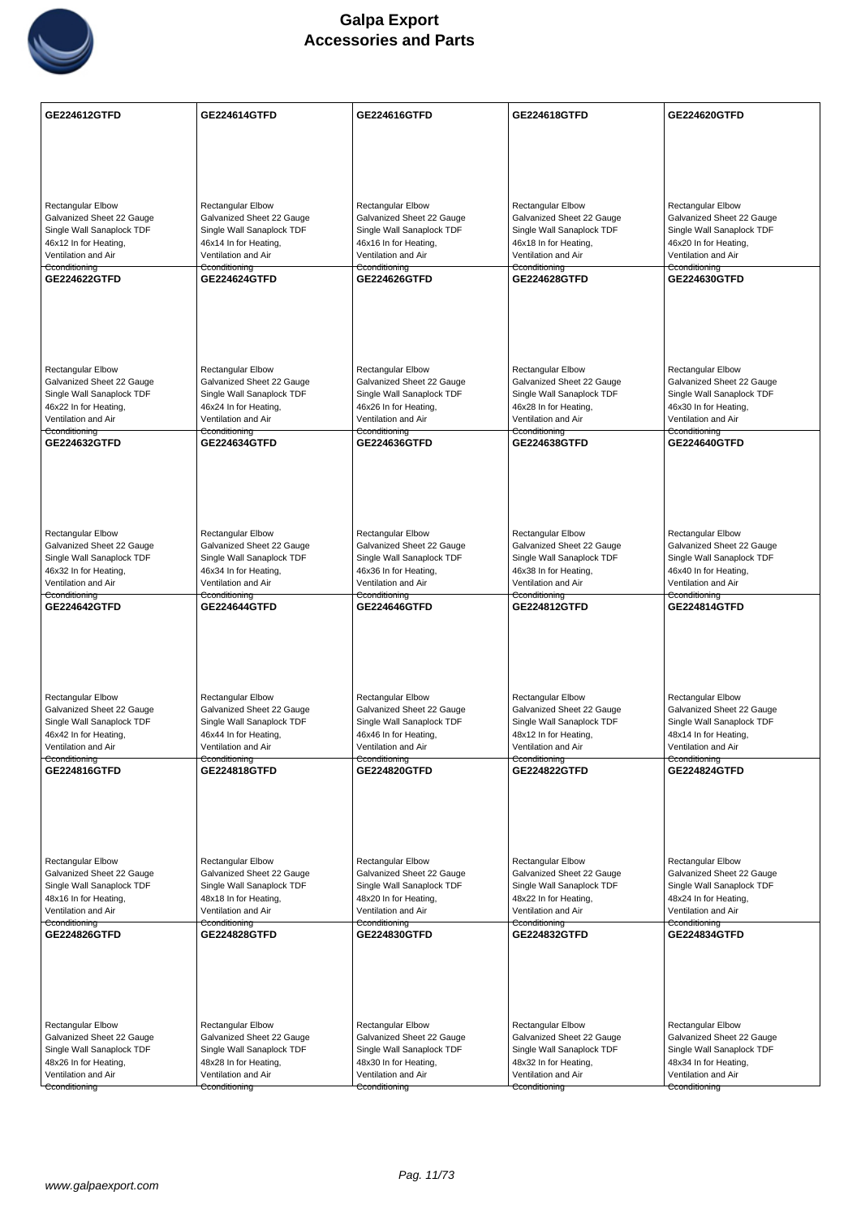

| GE224612GTFD                                           | GE224614GTFD                                           | GE224616GTFD                                           | GE224618GTFD                                           | GE224620GTFD                                           |
|--------------------------------------------------------|--------------------------------------------------------|--------------------------------------------------------|--------------------------------------------------------|--------------------------------------------------------|
|                                                        |                                                        |                                                        |                                                        |                                                        |
|                                                        |                                                        |                                                        |                                                        |                                                        |
|                                                        |                                                        |                                                        |                                                        |                                                        |
|                                                        |                                                        |                                                        |                                                        |                                                        |
| <b>Rectangular Elbow</b>                               | <b>Rectangular Elbow</b>                               | Rectangular Elbow                                      | <b>Rectangular Elbow</b>                               | Rectangular Elbow                                      |
| Galvanized Sheet 22 Gauge                              | Galvanized Sheet 22 Gauge                              | Galvanized Sheet 22 Gauge                              | Galvanized Sheet 22 Gauge                              | Galvanized Sheet 22 Gauge                              |
| Single Wall Sanaplock TDF<br>46x12 In for Heating,     | Single Wall Sanaplock TDF<br>46x14 In for Heating,     | Single Wall Sanaplock TDF<br>46x16 In for Heating,     | Single Wall Sanaplock TDF<br>46x18 In for Heating,     | Single Wall Sanaplock TDF<br>46x20 In for Heating,     |
| Ventilation and Air                                    | Ventilation and Air                                    | Ventilation and Air                                    | Ventilation and Air                                    | Ventilation and Air                                    |
| Cconditioning<br>GE224622GTFD                          | Cconditioning<br><b>GE224624GTFD</b>                   | Cconditioning<br>GE224626GTFD                          | Cconditioning<br><b>GE224628GTFD</b>                   | Cconditioning<br>GE224630GTFD                          |
|                                                        |                                                        |                                                        |                                                        |                                                        |
|                                                        |                                                        |                                                        |                                                        |                                                        |
|                                                        |                                                        |                                                        |                                                        |                                                        |
|                                                        |                                                        |                                                        |                                                        |                                                        |
|                                                        |                                                        |                                                        |                                                        |                                                        |
| <b>Rectangular Elbow</b>                               | <b>Rectangular Elbow</b>                               | <b>Rectangular Elbow</b>                               | <b>Rectangular Elbow</b>                               | <b>Rectangular Elbow</b>                               |
| Galvanized Sheet 22 Gauge<br>Single Wall Sanaplock TDF | Galvanized Sheet 22 Gauge<br>Single Wall Sanaplock TDF | Galvanized Sheet 22 Gauge<br>Single Wall Sanaplock TDF | Galvanized Sheet 22 Gauge<br>Single Wall Sanaplock TDF | Galvanized Sheet 22 Gauge<br>Single Wall Sanaplock TDF |
| 46x22 In for Heating,                                  | 46x24 In for Heating,                                  | 46x26 In for Heating,                                  | 46x28 In for Heating,                                  | 46x30 In for Heating,                                  |
| Ventilation and Air                                    | Ventilation and Air                                    | Ventilation and Air                                    | Ventilation and Air                                    | Ventilation and Air                                    |
| Cconditioning<br>GE224632GTFD                          | Cconditioning<br>GE224634GTFD                          | Cconditioning<br>GE224636GTFD                          | Cconditioning<br>GE224638GTFD                          | Cconditioning<br><b>GE224640GTFD</b>                   |
|                                                        |                                                        |                                                        |                                                        |                                                        |
|                                                        |                                                        |                                                        |                                                        |                                                        |
|                                                        |                                                        |                                                        |                                                        |                                                        |
|                                                        |                                                        |                                                        |                                                        |                                                        |
|                                                        |                                                        |                                                        |                                                        |                                                        |
| Rectangular Elbow<br>Galvanized Sheet 22 Gauge         | <b>Rectangular Elbow</b><br>Galvanized Sheet 22 Gauge  | <b>Rectangular Elbow</b><br>Galvanized Sheet 22 Gauge  | <b>Rectangular Elbow</b><br>Galvanized Sheet 22 Gauge  | <b>Rectangular Elbow</b><br>Galvanized Sheet 22 Gauge  |
| Single Wall Sanaplock TDF                              | Single Wall Sanaplock TDF                              | Single Wall Sanaplock TDF                              | Single Wall Sanaplock TDF                              | Single Wall Sanaplock TDF                              |
| 46x32 In for Heating,                                  | 46x34 In for Heating,                                  | 46x36 In for Heating,                                  | 46x38 In for Heating,                                  | 46x40 In for Heating,                                  |
| Ventilation and Air<br>Cconditioning                   | Ventilation and Air<br>Cconditioning                   | Ventilation and Air<br>Cconditioning                   | Ventilation and Air<br>Cconditioning                   | Ventilation and Air<br>Cconditioning                   |
| GE224642GTFD                                           | GE224644GTFD                                           | GE224646GTFD                                           | GE224812GTFD                                           | GE224814GTFD                                           |
|                                                        |                                                        |                                                        |                                                        |                                                        |
|                                                        |                                                        |                                                        |                                                        |                                                        |
|                                                        |                                                        |                                                        |                                                        |                                                        |
|                                                        |                                                        |                                                        |                                                        |                                                        |
| Rectangular Elbow                                      | Rectangular Elbow                                      | <b>Rectangular Elbow</b>                               | Rectangular Elbow                                      | <b>Rectangular Elbow</b>                               |
| Galvanized Sheet 22 Gauge                              | Galvanized Sheet 22 Gauge                              | Galvanized Sheet 22 Gauge                              | Galvanized Sheet 22 Gauge                              | Galvanized Sheet 22 Gauge                              |
| Single Wall Sanaplock TDF<br>46x42 In for Heating,     | Single Wall Sanaplock TDF<br>46x44 In for Heating,     | Single Wall Sanaplock TDF<br>46x46 In for Heating,     | Single Wall Sanaplock TDF<br>48x12 In for Heating,     | Single Wall Sanaplock TDF<br>48x14 In for Heating,     |
| Ventilation and Air                                    | Ventilation and Air                                    | Ventilation and Air                                    | Ventilation and Air                                    | Ventilation and Air                                    |
| Cconditioning                                          | Cconditioning                                          | Cconditioning                                          | Cconditioning                                          | Cconditioning                                          |
| GE224816GTFD                                           | GE224818GTFD                                           | GE224820GTFD                                           | <b>GE224822GTFD</b>                                    | <b>GE224824GTFD</b>                                    |
|                                                        |                                                        |                                                        |                                                        |                                                        |
|                                                        |                                                        |                                                        |                                                        |                                                        |
|                                                        |                                                        |                                                        |                                                        |                                                        |
|                                                        |                                                        |                                                        |                                                        |                                                        |
| Rectangular Elbow                                      | Rectangular Elbow                                      | <b>Rectangular Elbow</b>                               | <b>Rectangular Elbow</b>                               | <b>Rectangular Elbow</b>                               |
| Galvanized Sheet 22 Gauge<br>Single Wall Sanaplock TDF | Galvanized Sheet 22 Gauge<br>Single Wall Sanaplock TDF | Galvanized Sheet 22 Gauge<br>Single Wall Sanaplock TDF | Galvanized Sheet 22 Gauge<br>Single Wall Sanaplock TDF | Galvanized Sheet 22 Gauge<br>Single Wall Sanaplock TDF |
| 48x16 In for Heating,                                  | 48x18 In for Heating,                                  | 48x20 In for Heating,                                  | 48x22 In for Heating,                                  | 48x24 In for Heating,                                  |
| Ventilation and Air                                    | Ventilation and Air                                    | Ventilation and Air                                    | Ventilation and Air                                    | Ventilation and Air                                    |
| Cconditioning<br>GE224826GTFD                          | Cconditioning<br>GE224828GTFD                          | Cconditioning<br>GE224830GTFD                          | Cconditioning<br>GE224832GTFD                          | Cconditioning<br><b>GE224834GTFD</b>                   |
|                                                        |                                                        |                                                        |                                                        |                                                        |
|                                                        |                                                        |                                                        |                                                        |                                                        |
|                                                        |                                                        |                                                        |                                                        |                                                        |
|                                                        |                                                        |                                                        |                                                        |                                                        |
|                                                        |                                                        |                                                        |                                                        |                                                        |
| Rectangular Elbow                                      | <b>Rectangular Elbow</b>                               | Rectangular Elbow                                      | <b>Rectangular Elbow</b>                               | Rectangular Elbow                                      |
| Galvanized Sheet 22 Gauge<br>Single Wall Sanaplock TDF | Galvanized Sheet 22 Gauge<br>Single Wall Sanaplock TDF | Galvanized Sheet 22 Gauge<br>Single Wall Sanaplock TDF | Galvanized Sheet 22 Gauge<br>Single Wall Sanaplock TDF | Galvanized Sheet 22 Gauge<br>Single Wall Sanaplock TDF |
| 48x26 In for Heating,                                  | 48x28 In for Heating,                                  | 48x30 In for Heating,                                  | 48x32 In for Heating,                                  | 48x34 In for Heating,                                  |
| Ventilation and Air                                    | Ventilation and Air                                    | Ventilation and Air                                    | Ventilation and Air                                    | Ventilation and Air                                    |
| Cconditioning                                          | Cconditioning                                          | Cconditioning                                          | Cconditioning                                          | Cconditioning                                          |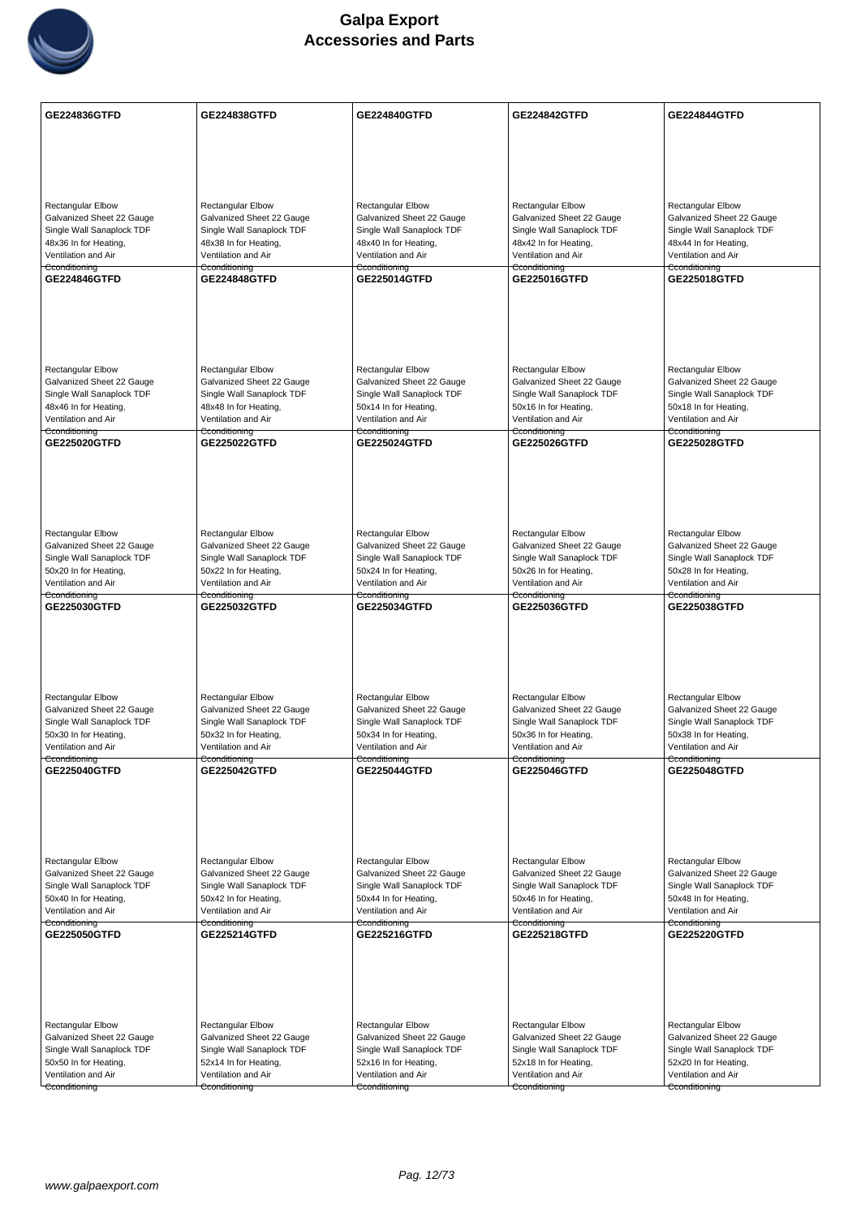

| <b>GE224836GTFD</b>                                    | GE224838GTFD                                           | GE224840GTFD                                           | <b>GE224842GTFD</b>                                    | <b>GE224844GTFD</b>                                    |
|--------------------------------------------------------|--------------------------------------------------------|--------------------------------------------------------|--------------------------------------------------------|--------------------------------------------------------|
|                                                        |                                                        |                                                        |                                                        |                                                        |
|                                                        |                                                        |                                                        |                                                        |                                                        |
|                                                        |                                                        |                                                        |                                                        |                                                        |
| <b>Rectangular Elbow</b>                               | <b>Rectangular Elbow</b>                               | <b>Rectangular Elbow</b>                               | <b>Rectangular Elbow</b>                               | <b>Rectangular Elbow</b>                               |
| Galvanized Sheet 22 Gauge                              | Galvanized Sheet 22 Gauge                              | Galvanized Sheet 22 Gauge                              | Galvanized Sheet 22 Gauge                              | Galvanized Sheet 22 Gauge                              |
| Single Wall Sanaplock TDF                              | Single Wall Sanaplock TDF                              | Single Wall Sanaplock TDF                              | Single Wall Sanaplock TDF                              | Single Wall Sanaplock TDF                              |
| 48x36 In for Heating,<br>Ventilation and Air           | 48x38 In for Heating,<br>Ventilation and Air           | 48x40 In for Heating,<br>Ventilation and Air           | 48x42 In for Heating,<br>Ventilation and Air           | 48x44 In for Heating,<br>Ventilation and Air           |
| Cconditioning<br>GE224846GTFD                          | Cconditioning<br><b>GE224848GTFD</b>                   | Cconditioning<br>GE225014GTFD                          | Cconditioning<br>GE225016GTFD                          | Cconditioning<br>GE225018GTFD                          |
|                                                        |                                                        |                                                        |                                                        |                                                        |
|                                                        |                                                        |                                                        |                                                        |                                                        |
|                                                        |                                                        |                                                        |                                                        |                                                        |
|                                                        |                                                        |                                                        |                                                        |                                                        |
| <b>Rectangular Elbow</b>                               | Rectangular Elbow                                      | <b>Rectangular Elbow</b>                               | Rectangular Elbow                                      | Rectangular Elbow                                      |
| Galvanized Sheet 22 Gauge<br>Single Wall Sanaplock TDF | Galvanized Sheet 22 Gauge<br>Single Wall Sanaplock TDF | Galvanized Sheet 22 Gauge<br>Single Wall Sanaplock TDF | Galvanized Sheet 22 Gauge<br>Single Wall Sanaplock TDF | Galvanized Sheet 22 Gauge<br>Single Wall Sanaplock TDF |
| 48x46 In for Heating,                                  | 48x48 In for Heating,                                  | 50x14 In for Heating,                                  | 50x16 In for Heating,                                  | 50x18 In for Heating,                                  |
| Ventilation and Air<br>Cconditioning                   | Ventilation and Air<br>Cconditioning                   | Ventilation and Air<br>Cconditioning                   | Ventilation and Air<br>Cconditioning                   | Ventilation and Air<br>Cconditioning                   |
| <b>GE225020GTFD</b>                                    | <b>GE225022GTFD</b>                                    | <b>GE225024GTFD</b>                                    | GE225026GTFD                                           | <b>GE225028GTFD</b>                                    |
|                                                        |                                                        |                                                        |                                                        |                                                        |
|                                                        |                                                        |                                                        |                                                        |                                                        |
|                                                        |                                                        |                                                        |                                                        |                                                        |
| Rectangular Elbow                                      | <b>Rectangular Elbow</b>                               | Rectangular Elbow                                      | Rectangular Elbow                                      | Rectangular Elbow                                      |
| Galvanized Sheet 22 Gauge                              | Galvanized Sheet 22 Gauge                              | Galvanized Sheet 22 Gauge                              | Galvanized Sheet 22 Gauge                              | Galvanized Sheet 22 Gauge                              |
| Single Wall Sanaplock TDF<br>50x20 In for Heating,     | Single Wall Sanaplock TDF<br>50x22 In for Heating,     | Single Wall Sanaplock TDF<br>50x24 In for Heating,     | Single Wall Sanaplock TDF<br>50x26 In for Heating,     | Single Wall Sanaplock TDF<br>50x28 In for Heating,     |
| Ventilation and Air                                    | Ventilation and Air                                    | Ventilation and Air                                    | Ventilation and Air                                    | Ventilation and Air                                    |
| Cconditioning<br>GE225030GTFD                          | Cconditioning<br>GE225032GTFD                          | Cconditioning<br>GE225034GTFD                          | Cconditioning<br>GE225036GTFD                          | Cconditioning<br>GE225038GTFD                          |
|                                                        |                                                        |                                                        |                                                        |                                                        |
|                                                        |                                                        |                                                        |                                                        |                                                        |
|                                                        |                                                        |                                                        |                                                        |                                                        |
|                                                        |                                                        |                                                        |                                                        |                                                        |
| Rectangular Elbow<br>Galvanized Sheet 22 Gauge         | Rectangular Elbow<br>Galvanized Sheet 22 Gauge         | <b>Rectangular Elbow</b><br>Galvanized Sheet 22 Gauge  | <b>Rectangular Elbow</b><br>Galvanized Sheet 22 Gauge  | <b>Rectangular Elbow</b><br>Galvanized Sheet 22 Gauge  |
| Single Wall Sanaplock TDF                              | Single Wall Sanaplock TDF                              | Single Wall Sanaplock TDF                              | Single Wall Sanaplock TDF                              | Single Wall Sanaplock TDF                              |
| 50x30 In for Heating,<br>Ventilation and Air           | 50x32 In for Heating,<br>Ventilation and Air           | 50x34 In for Heating,<br>Ventilation and Air           | 50x36 In for Heating,<br>Ventilation and Air           | 50x38 In for Heating,<br>Ventilation and Air           |
| Cconditioning                                          | Cconditioning                                          | Cconditioning                                          | Cconditioning<br>GE225046GTFD                          | Cconditioning                                          |
| GE225040GTFD                                           | GE225042GTFD                                           | <b>GE225044GTFD</b>                                    |                                                        | <b>GE225048GTFD</b>                                    |
|                                                        |                                                        |                                                        |                                                        |                                                        |
|                                                        |                                                        |                                                        |                                                        |                                                        |
|                                                        |                                                        |                                                        |                                                        |                                                        |
| Rectangular Elbow                                      | Rectangular Elbow                                      | <b>Rectangular Elbow</b>                               | <b>Rectangular Elbow</b>                               | Rectangular Elbow                                      |
| Galvanized Sheet 22 Gauge<br>Single Wall Sanaplock TDF | Galvanized Sheet 22 Gauge<br>Single Wall Sanaplock TDF | Galvanized Sheet 22 Gauge<br>Single Wall Sanaplock TDF | Galvanized Sheet 22 Gauge<br>Single Wall Sanaplock TDF | Galvanized Sheet 22 Gauge<br>Single Wall Sanaplock TDF |
| 50x40 In for Heating,                                  | 50x42 In for Heating,                                  | 50x44 In for Heating,                                  | 50x46 In for Heating,                                  | 50x48 In for Heating,                                  |
| Ventilation and Air<br>Cconditioning                   | Ventilation and Air<br>Cconditioning                   | Ventilation and Air<br>Cconditioning                   | Ventilation and Air<br>Cconditioning                   | Ventilation and Air<br>Cconditioning                   |
| <b>GE225050GTFD</b>                                    | GE225214GTFD                                           | GE225216GTFD                                           | GE225218GTFD                                           | <b>GE225220GTFD</b>                                    |
|                                                        |                                                        |                                                        |                                                        |                                                        |
|                                                        |                                                        |                                                        |                                                        |                                                        |
|                                                        |                                                        |                                                        |                                                        |                                                        |
| Rectangular Elbow                                      | <b>Rectangular Elbow</b>                               | <b>Rectangular Elbow</b>                               | Rectangular Elbow                                      | Rectangular Elbow                                      |
| Galvanized Sheet 22 Gauge                              | Galvanized Sheet 22 Gauge                              | Galvanized Sheet 22 Gauge                              | Galvanized Sheet 22 Gauge                              | Galvanized Sheet 22 Gauge                              |
| Single Wall Sanaplock TDF                              | Single Wall Sanaplock TDF                              | Single Wall Sanaplock TDF                              | Single Wall Sanaplock TDF                              | Single Wall Sanaplock TDF                              |
| 50x50 In for Heating,<br>Ventilation and Air           | 52x14 In for Heating,<br>Ventilation and Air           | 52x16 In for Heating,<br>Ventilation and Air           | 52x18 In for Heating,<br>Ventilation and Air           | 52x20 In for Heating,<br>Ventilation and Air           |
| Cconditioning                                          | Cconditioning                                          | Cconditioning                                          | Cconditioning                                          | Cconditioning                                          |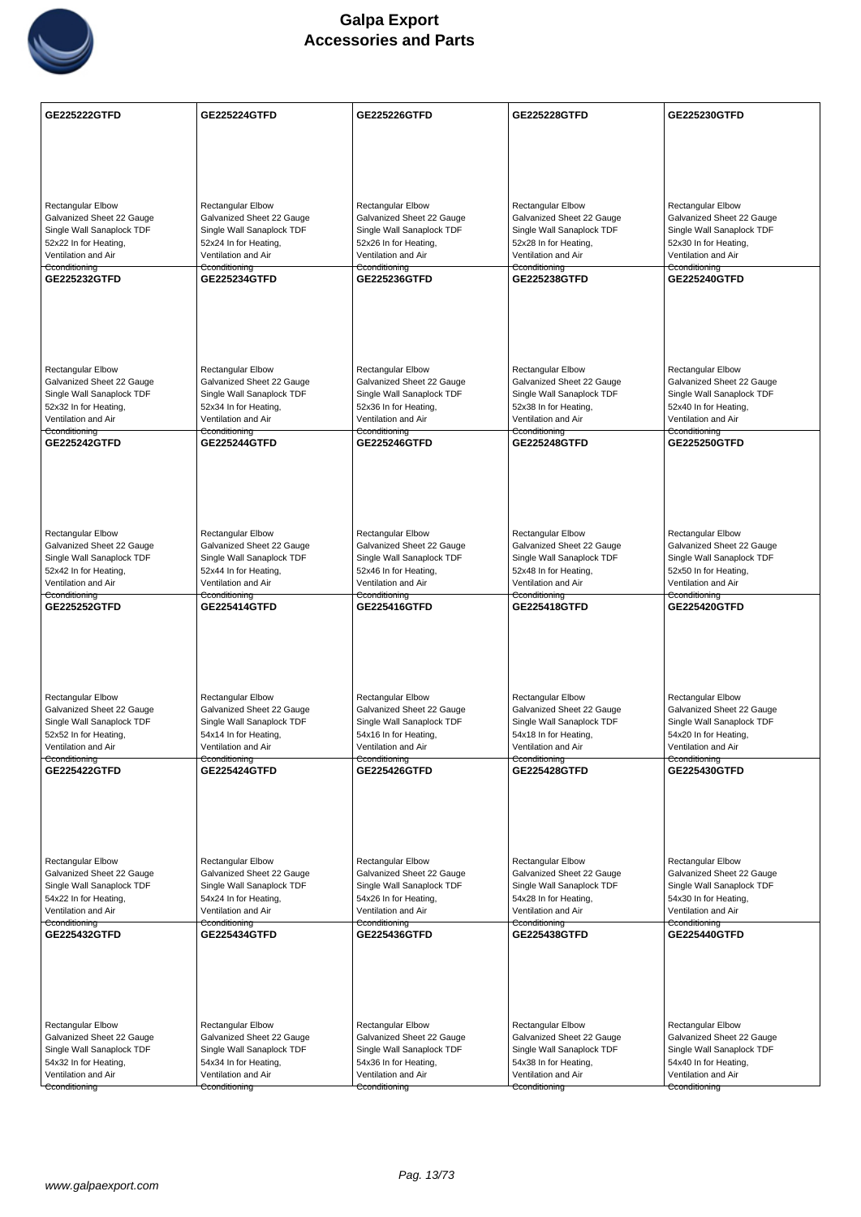

| <b>GE225222GTFD</b>                                    | <b>GE225224GTFD</b>                                    | GE225226GTFD                                           | <b>GE225228GTFD</b>                                    | <b>GE225230GTFD</b>                                    |
|--------------------------------------------------------|--------------------------------------------------------|--------------------------------------------------------|--------------------------------------------------------|--------------------------------------------------------|
|                                                        |                                                        |                                                        |                                                        |                                                        |
|                                                        |                                                        |                                                        |                                                        |                                                        |
|                                                        |                                                        |                                                        |                                                        |                                                        |
|                                                        |                                                        |                                                        |                                                        | <b>Rectangular Elbow</b>                               |
| <b>Rectangular Elbow</b><br>Galvanized Sheet 22 Gauge  | <b>Rectangular Elbow</b><br>Galvanized Sheet 22 Gauge  | <b>Rectangular Elbow</b><br>Galvanized Sheet 22 Gauge  | <b>Rectangular Elbow</b><br>Galvanized Sheet 22 Gauge  | Galvanized Sheet 22 Gauge                              |
| Single Wall Sanaplock TDF                              | Single Wall Sanaplock TDF                              | Single Wall Sanaplock TDF                              | Single Wall Sanaplock TDF                              | Single Wall Sanaplock TDF                              |
| 52x22 In for Heating,<br>Ventilation and Air           | 52x24 In for Heating,<br>Ventilation and Air           | 52x26 In for Heating,<br>Ventilation and Air           | 52x28 In for Heating,<br>Ventilation and Air           | 52x30 In for Heating,<br>Ventilation and Air           |
| Cconditioning<br><b>GE225232GTFD</b>                   | Cconditioning<br><b>GE225234GTFD</b>                   | Cconditioning<br>GE225236GTFD                          | Cconditioning<br><b>GE225238GTFD</b>                   | Cconditioning<br>GE225240GTFD                          |
|                                                        |                                                        |                                                        |                                                        |                                                        |
|                                                        |                                                        |                                                        |                                                        |                                                        |
|                                                        |                                                        |                                                        |                                                        |                                                        |
|                                                        |                                                        |                                                        |                                                        |                                                        |
| <b>Rectangular Elbow</b>                               | Rectangular Elbow                                      | <b>Rectangular Elbow</b>                               | Rectangular Elbow                                      | Rectangular Elbow                                      |
| Galvanized Sheet 22 Gauge<br>Single Wall Sanaplock TDF | Galvanized Sheet 22 Gauge<br>Single Wall Sanaplock TDF | Galvanized Sheet 22 Gauge<br>Single Wall Sanaplock TDF | Galvanized Sheet 22 Gauge<br>Single Wall Sanaplock TDF | Galvanized Sheet 22 Gauge<br>Single Wall Sanaplock TDF |
| 52x32 In for Heating,                                  | 52x34 In for Heating,                                  | 52x36 In for Heating,                                  | 52x38 In for Heating,                                  | 52x40 In for Heating,                                  |
| Ventilation and Air<br>Cconditioning                   | Ventilation and Air<br>Cconditioning                   | Ventilation and Air<br>Cconditioning                   | Ventilation and Air<br>Cconditioning                   | Ventilation and Air<br>Cconditioning                   |
| <b>GE225242GTFD</b>                                    | <b>GE225244GTFD</b>                                    | <b>GE225246GTFD</b>                                    | <b>GE225248GTFD</b>                                    | <b>GE225250GTFD</b>                                    |
|                                                        |                                                        |                                                        |                                                        |                                                        |
|                                                        |                                                        |                                                        |                                                        |                                                        |
|                                                        |                                                        |                                                        |                                                        |                                                        |
| <b>Rectangular Elbow</b>                               | <b>Rectangular Elbow</b>                               | Rectangular Elbow                                      | Rectangular Elbow                                      | Rectangular Elbow                                      |
| Galvanized Sheet 22 Gauge                              | Galvanized Sheet 22 Gauge                              | Galvanized Sheet 22 Gauge                              | Galvanized Sheet 22 Gauge                              | Galvanized Sheet 22 Gauge                              |
| Single Wall Sanaplock TDF<br>52x42 In for Heating,     | Single Wall Sanaplock TDF<br>52x44 In for Heating,     | Single Wall Sanaplock TDF<br>52x46 In for Heating,     | Single Wall Sanaplock TDF<br>52x48 In for Heating,     | Single Wall Sanaplock TDF<br>52x50 In for Heating,     |
| Ventilation and Air                                    | Ventilation and Air                                    | Ventilation and Air                                    | Ventilation and Air                                    | Ventilation and Air                                    |
| Cconditioning<br>GE225252GTFD                          | Cconditioning<br>GE225414GTFD                          | Cconditioning<br>GE225416GTFD                          | Cconditioning<br><b>GE225418GTFD</b>                   | Cconditioning<br><b>GE225420GTFD</b>                   |
|                                                        |                                                        |                                                        |                                                        |                                                        |
|                                                        |                                                        |                                                        |                                                        |                                                        |
|                                                        |                                                        |                                                        |                                                        |                                                        |
|                                                        |                                                        |                                                        |                                                        |                                                        |
| Rectangular Elbow<br>Galvanized Sheet 22 Gauge         | Rectangular Elbow<br>Galvanized Sheet 22 Gauge         | <b>Rectangular Elbow</b><br>Galvanized Sheet 22 Gauge  | <b>Rectangular Elbow</b><br>Galvanized Sheet 22 Gauge  | <b>Rectangular Elbow</b><br>Galvanized Sheet 22 Gauge  |
| Single Wall Sanaplock TDF                              | Single Wall Sanaplock TDF                              | Single Wall Sanaplock TDF                              | Single Wall Sanaplock TDF                              | Single Wall Sanaplock TDF                              |
| 52x52 In for Heating,<br>Ventilation and Air           | 54x14 In for Heating,<br>Ventilation and Air           | 54x16 In for Heating,<br>Ventilation and Air           | 54x18 In for Heating,<br>Ventilation and Air           | 54x20 In for Heating,<br>Ventilation and Air           |
| Cconditioning                                          | Cconditioning                                          | Cconditioning                                          | Cconditioning<br>GE225428GTFD                          | Cconditioning                                          |
| GE225422GTFD                                           | <b>GE225424GTFD</b>                                    | <b>GE225426GTFD</b>                                    |                                                        | GE225430GTFD                                           |
|                                                        |                                                        |                                                        |                                                        |                                                        |
|                                                        |                                                        |                                                        |                                                        |                                                        |
|                                                        |                                                        |                                                        |                                                        |                                                        |
| Rectangular Elbow                                      | Rectangular Elbow                                      | <b>Rectangular Elbow</b>                               | <b>Rectangular Elbow</b>                               | <b>Rectangular Elbow</b>                               |
| Galvanized Sheet 22 Gauge<br>Single Wall Sanaplock TDF | Galvanized Sheet 22 Gauge<br>Single Wall Sanaplock TDF | Galvanized Sheet 22 Gauge<br>Single Wall Sanaplock TDF | Galvanized Sheet 22 Gauge<br>Single Wall Sanaplock TDF | Galvanized Sheet 22 Gauge<br>Single Wall Sanaplock TDF |
| 54x22 In for Heating,                                  | 54x24 In for Heating,                                  | 54x26 In for Heating,                                  | 54x28 In for Heating,                                  | 54x30 In for Heating,                                  |
| Ventilation and Air<br>Cconditioning                   | Ventilation and Air<br>Cconditioning                   | Ventilation and Air<br>Cconditioning                   | Ventilation and Air<br>Cconditioning                   | Ventilation and Air<br>Cconditioning                   |
| GE225432GTFD                                           | <b>GE225434GTFD</b>                                    | GE225436GTFD                                           | <b>GE225438GTFD</b>                                    | <b>GE225440GTFD</b>                                    |
|                                                        |                                                        |                                                        |                                                        |                                                        |
|                                                        |                                                        |                                                        |                                                        |                                                        |
|                                                        |                                                        |                                                        |                                                        |                                                        |
| Rectangular Elbow                                      | <b>Rectangular Elbow</b>                               | <b>Rectangular Elbow</b>                               | Rectangular Elbow                                      | Rectangular Elbow                                      |
| Galvanized Sheet 22 Gauge                              | Galvanized Sheet 22 Gauge                              | Galvanized Sheet 22 Gauge                              | Galvanized Sheet 22 Gauge                              | Galvanized Sheet 22 Gauge                              |
| Single Wall Sanaplock TDF                              | Single Wall Sanaplock TDF                              | Single Wall Sanaplock TDF                              | Single Wall Sanaplock TDF                              | Single Wall Sanaplock TDF                              |
| 54x32 In for Heating,<br>Ventilation and Air           | 54x34 In for Heating,<br>Ventilation and Air           | 54x36 In for Heating,<br>Ventilation and Air           | 54x38 In for Heating,<br>Ventilation and Air           | 54x40 In for Heating,<br>Ventilation and Air           |
| Cconditioning                                          | Cconditioning                                          | Cconditioning                                          | Cconditioning                                          | Cconditioning                                          |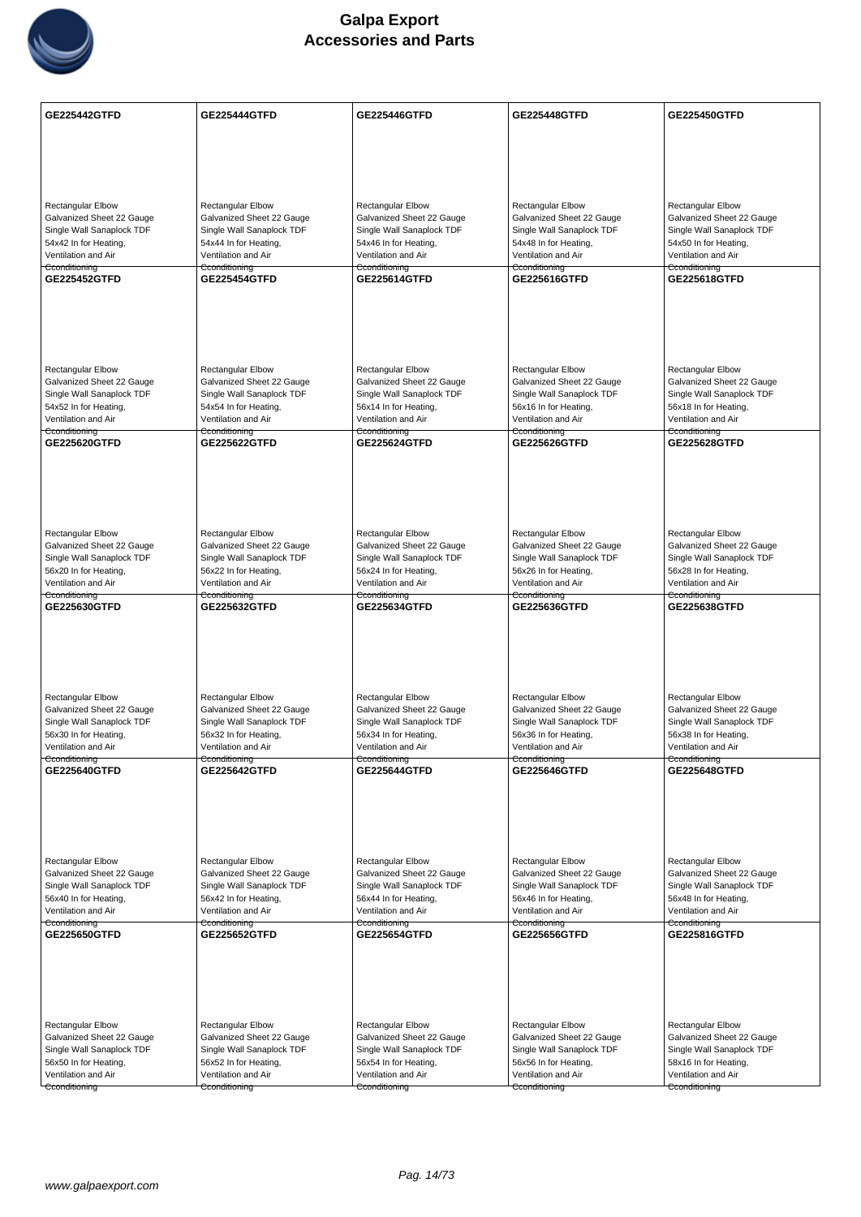

| <b>GE225442GTFD</b>                          | <b>GE225444GTFD</b>                          | <b>GE225446GTFD</b>                          | <b>GE225448GTFD</b>                          | <b>GE225450GTFD</b>                          |
|----------------------------------------------|----------------------------------------------|----------------------------------------------|----------------------------------------------|----------------------------------------------|
|                                              |                                              |                                              |                                              |                                              |
|                                              |                                              |                                              |                                              |                                              |
|                                              |                                              |                                              |                                              |                                              |
|                                              |                                              |                                              |                                              |                                              |
| <b>Rectangular Elbow</b>                     | <b>Rectangular Elbow</b>                     | <b>Rectangular Elbow</b>                     | <b>Rectangular Elbow</b>                     | <b>Rectangular Elbow</b>                     |
| Galvanized Sheet 22 Gauge                    | Galvanized Sheet 22 Gauge                    | Galvanized Sheet 22 Gauge                    | Galvanized Sheet 22 Gauge                    | Galvanized Sheet 22 Gauge                    |
| Single Wall Sanaplock TDF                    | Single Wall Sanaplock TDF                    | Single Wall Sanaplock TDF                    | Single Wall Sanaplock TDF                    | Single Wall Sanaplock TDF                    |
| 54x42 In for Heating,<br>Ventilation and Air | 54x44 In for Heating,<br>Ventilation and Air | 54x46 In for Heating,<br>Ventilation and Air | 54x48 In for Heating,<br>Ventilation and Air | 54x50 In for Heating,<br>Ventilation and Air |
| Cconditioning                                | Cconditioning                                | Cconditioning                                | Cconditioning                                | Cconditioning                                |
| GE225452GTFD                                 | <b>GE225454GTFD</b>                          | GE225614GTFD                                 | GE225616GTFD                                 | GE225618GTFD                                 |
|                                              |                                              |                                              |                                              |                                              |
|                                              |                                              |                                              |                                              |                                              |
|                                              |                                              |                                              |                                              |                                              |
|                                              |                                              |                                              |                                              |                                              |
| <b>Rectangular Elbow</b>                     | Rectangular Elbow                            | <b>Rectangular Elbow</b>                     | Rectangular Elbow                            | Rectangular Elbow                            |
| Galvanized Sheet 22 Gauge                    | Galvanized Sheet 22 Gauge                    | Galvanized Sheet 22 Gauge                    | Galvanized Sheet 22 Gauge                    | Galvanized Sheet 22 Gauge                    |
| Single Wall Sanaplock TDF                    | Single Wall Sanaplock TDF                    | Single Wall Sanaplock TDF                    | Single Wall Sanaplock TDF                    | Single Wall Sanaplock TDF                    |
| 54x52 In for Heating,<br>Ventilation and Air | 54x54 In for Heating,<br>Ventilation and Air | 56x14 In for Heating,<br>Ventilation and Air | 56x16 In for Heating,<br>Ventilation and Air | 56x18 In for Heating,<br>Ventilation and Air |
| Cconditioning                                | Cconditioning                                | Cconditioning                                | Cconditioning                                | Cconditioning                                |
| GE225620GTFD                                 | <b>GE225622GTFD</b>                          | <b>GE225624GTFD</b>                          | <b>GE225626GTFD</b>                          | <b>GE225628GTFD</b>                          |
|                                              |                                              |                                              |                                              |                                              |
|                                              |                                              |                                              |                                              |                                              |
|                                              |                                              |                                              |                                              |                                              |
|                                              |                                              |                                              |                                              |                                              |
| Rectangular Elbow                            | <b>Rectangular Elbow</b>                     | Rectangular Elbow                            | Rectangular Elbow                            | Rectangular Elbow                            |
| Galvanized Sheet 22 Gauge                    | Galvanized Sheet 22 Gauge                    | Galvanized Sheet 22 Gauge                    | Galvanized Sheet 22 Gauge                    | Galvanized Sheet 22 Gauge                    |
| Single Wall Sanaplock TDF                    | Single Wall Sanaplock TDF                    | Single Wall Sanaplock TDF                    | Single Wall Sanaplock TDF                    | Single Wall Sanaplock TDF                    |
| 56x20 In for Heating,<br>Ventilation and Air | 56x22 In for Heating,<br>Ventilation and Air | 56x24 In for Heating,<br>Ventilation and Air | 56x26 In for Heating,<br>Ventilation and Air | 56x28 In for Heating,<br>Ventilation and Air |
| Cconditioning                                | Cconditioning                                | Cconditioning                                | Cconditioning                                | Cconditioning                                |
| GE225630GTFD                                 | GE225632GTFD                                 | GE225634GTFD                                 | GE225636GTFD                                 | GE225638GTFD                                 |
|                                              |                                              |                                              |                                              |                                              |
|                                              |                                              |                                              |                                              |                                              |
|                                              |                                              |                                              |                                              |                                              |
|                                              |                                              |                                              |                                              |                                              |
| Rectangular Elbow                            | Rectangular Elbow                            | <b>Rectangular Elbow</b>                     | Rectangular Elbow                            | <b>Rectangular Elbow</b>                     |
| Galvanized Sheet 22 Gauge                    | Galvanized Sheet 22 Gauge                    | Galvanized Sheet 22 Gauge                    | Galvanized Sheet 22 Gauge                    | Galvanized Sheet 22 Gauge                    |
| Single Wall Sanaplock TDF                    | Single Wall Sanaplock TDF                    | Single Wall Sanaplock TDF                    | Single Wall Sanaplock TDF                    | Single Wall Sanaplock TDF                    |
| 56x30 In for Heating,<br>Ventilation and Air | 56x32 In for Heating,<br>Ventilation and Air | 56x34 In for Heating,<br>Ventilation and Air | 56x36 In for Heating,<br>Ventilation and Air | 56x38 In for Heating,<br>Ventilation and Air |
| Cconditioning                                | Cconditioning                                | Cconditioning                                | Cconditioning                                | Cconditioning                                |
| GE225640GTFD                                 | <b>GE225642GTFD</b>                          | <b>GE225644GTFD</b>                          | GE225646GTFD                                 | <b>GE225648GTFD</b>                          |
|                                              |                                              |                                              |                                              |                                              |
|                                              |                                              |                                              |                                              |                                              |
|                                              |                                              |                                              |                                              |                                              |
|                                              |                                              |                                              |                                              |                                              |
| Rectangular Elbow                            | Rectangular Elbow                            | <b>Rectangular Elbow</b>                     | <b>Rectangular Elbow</b>                     | <b>Rectangular Elbow</b>                     |
| Galvanized Sheet 22 Gauge                    | Galvanized Sheet 22 Gauge                    | Galvanized Sheet 22 Gauge                    | Galvanized Sheet 22 Gauge                    | Galvanized Sheet 22 Gauge                    |
| Single Wall Sanaplock TDF                    | Single Wall Sanaplock TDF                    | Single Wall Sanaplock TDF                    | Single Wall Sanaplock TDF                    | Single Wall Sanaplock TDF                    |
| 56x40 In for Heating,<br>Ventilation and Air | 56x42 In for Heating,<br>Ventilation and Air | 56x44 In for Heating,<br>Ventilation and Air | 56x46 In for Heating,<br>Ventilation and Air | 56x48 In for Heating,<br>Ventilation and Air |
| Cconditioning                                | Cconditioning                                | Cconditioning                                | Cconditioning                                | Cconditioning                                |
| <b>GE225650GTFD</b>                          | <b>GE225652GTFD</b>                          | GE225654GTFD                                 | GE225656GTFD                                 | GE225816GTFD                                 |
|                                              |                                              |                                              |                                              |                                              |
|                                              |                                              |                                              |                                              |                                              |
|                                              |                                              |                                              |                                              |                                              |
|                                              |                                              |                                              |                                              |                                              |
| Rectangular Elbow                            | <b>Rectangular Elbow</b>                     | <b>Rectangular Elbow</b>                     | Rectangular Elbow                            | Rectangular Elbow                            |
| Galvanized Sheet 22 Gauge                    | Galvanized Sheet 22 Gauge                    | Galvanized Sheet 22 Gauge                    | Galvanized Sheet 22 Gauge                    | Galvanized Sheet 22 Gauge                    |
| Single Wall Sanaplock TDF                    | Single Wall Sanaplock TDF                    | Single Wall Sanaplock TDF                    | Single Wall Sanaplock TDF                    | Single Wall Sanaplock TDF                    |
| 56x50 In for Heating,                        | 56x52 In for Heating,                        | 56x54 In for Heating,                        | 56x56 In for Heating,                        | 58x16 In for Heating,                        |
| Ventilation and Air<br>Cconditioning         | Ventilation and Air<br>Cconditioning         | Ventilation and Air<br>Cconditioning         | Ventilation and Air<br>Cconditioning         | Ventilation and Air<br>Cconditioning         |
|                                              |                                              |                                              |                                              |                                              |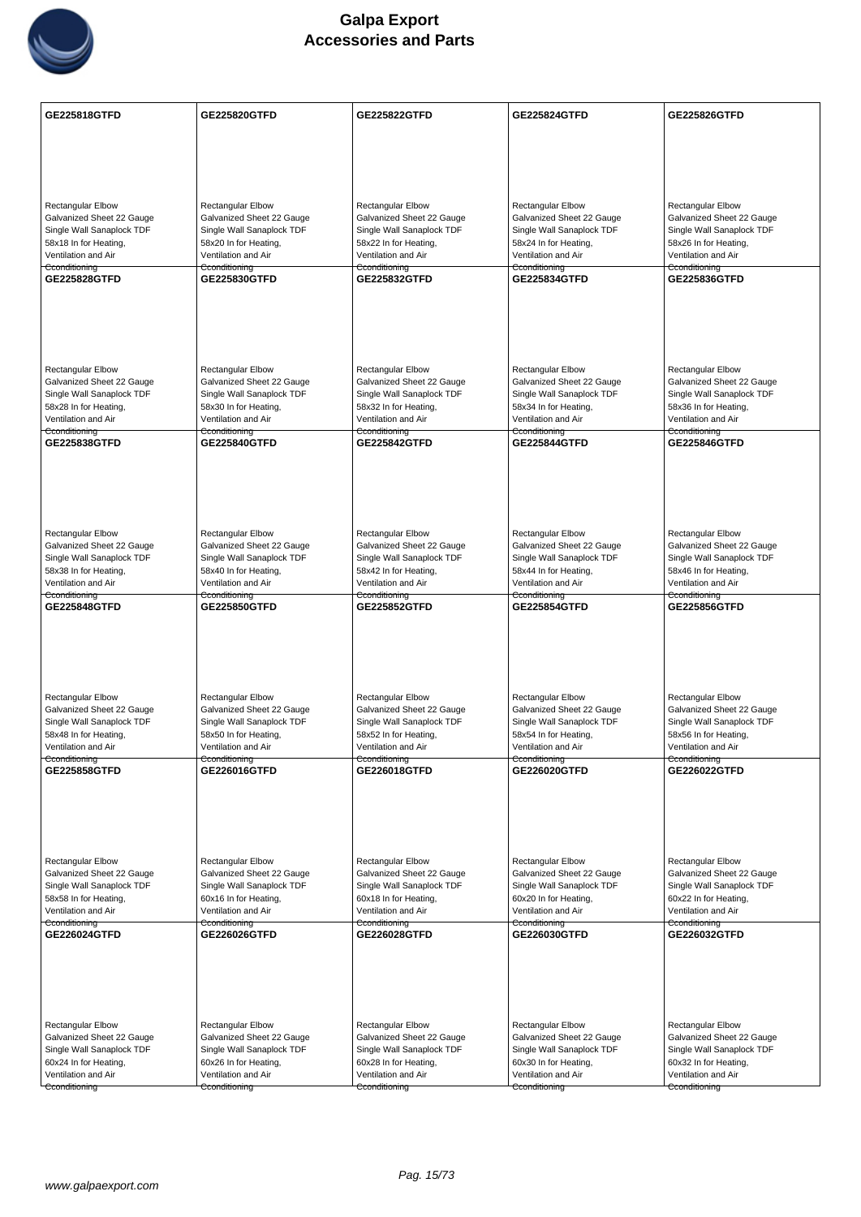

| <b>Rectangular Elbow</b><br><b>Rectangular Elbow</b><br>Rectangular Elbow<br><b>Rectangular Elbow</b><br>Rectangular Elbow<br>Galvanized Sheet 22 Gauge<br>Galvanized Sheet 22 Gauge<br>Galvanized Sheet 22 Gauge<br>Galvanized Sheet 22 Gauge<br>Galvanized Sheet 22 Gauge<br>Single Wall Sanaplock TDF<br>Single Wall Sanaplock TDF<br>Single Wall Sanaplock TDF<br>Single Wall Sanaplock TDF<br>Single Wall Sanaplock TDF<br>58x18 In for Heating,<br>58x20 In for Heating,<br>58x22 In for Heating,<br>58x24 In for Heating,<br>58x26 In for Heating,<br>Ventilation and Air<br>Ventilation and Air<br>Ventilation and Air<br>Ventilation and Air<br>Ventilation and Air<br>Cconditioning<br>Cconditioning<br>Cconditioning<br>Cconditioning<br>Cconditioning<br>GE225828GTFD<br>GE225832GTFD<br>GE225836GTFD<br><b>GE225830GTFD</b><br><b>GE225834GTFD</b><br><b>Rectangular Elbow</b><br><b>Rectangular Elbow</b><br><b>Rectangular Elbow</b><br><b>Rectangular Elbow</b><br><b>Rectangular Elbow</b><br>Galvanized Sheet 22 Gauge<br>Galvanized Sheet 22 Gauge<br>Galvanized Sheet 22 Gauge<br>Galvanized Sheet 22 Gauge<br>Galvanized Sheet 22 Gauge<br>Single Wall Sanaplock TDF<br>Single Wall Sanaplock TDF<br>Single Wall Sanaplock TDF<br>Single Wall Sanaplock TDF<br>Single Wall Sanaplock TDF<br>58x28 In for Heating,<br>58x30 In for Heating,<br>58x32 In for Heating,<br>58x34 In for Heating,<br>58x36 In for Heating,<br>Ventilation and Air<br>Ventilation and Air<br>Ventilation and Air<br>Ventilation and Air<br>Ventilation and Air<br>Cconditioning<br>Cconditioning<br>Cconditioning<br>Cconditioning<br>Cconditioning<br>GE225838GTFD<br><b>GE225844GTFD</b><br><b>GE225846GTFD</b><br><b>GE225840GTFD</b><br><b>GE225842GTFD</b><br>Rectangular Elbow<br><b>Rectangular Elbow</b><br><b>Rectangular Elbow</b><br><b>Rectangular Elbow</b><br><b>Rectangular Elbow</b><br>Galvanized Sheet 22 Gauge<br>Galvanized Sheet 22 Gauge<br>Galvanized Sheet 22 Gauge<br>Galvanized Sheet 22 Gauge<br>Galvanized Sheet 22 Gauge<br>Single Wall Sanaplock TDF<br>Single Wall Sanaplock TDF<br>Single Wall Sanaplock TDF<br>Single Wall Sanaplock TDF<br>Single Wall Sanaplock TDF<br>58x38 In for Heating,<br>58x46 In for Heating,<br>58x40 In for Heating,<br>58x42 In for Heating,<br>58x44 In for Heating,<br>Ventilation and Air<br>Ventilation and Air<br>Ventilation and Air<br>Ventilation and Air<br>Ventilation and Air<br>Cconditioning<br>Cconditioning<br>Cconditioning<br>Cconditioning<br>Cconditioning<br>GE225848GTFD<br>GE225850GTFD<br><b>GE225852GTFD</b><br><b>GE225854GTFD</b><br><b>GE225856GTFD</b><br>Rectangular Elbow<br>Rectangular Elbow<br>Rectangular Elbow<br><b>Rectangular Elbow</b><br><b>Rectangular Elbow</b><br>Galvanized Sheet 22 Gauge<br>Galvanized Sheet 22 Gauge<br>Galvanized Sheet 22 Gauge<br>Galvanized Sheet 22 Gauge<br>Galvanized Sheet 22 Gauge<br>Single Wall Sanaplock TDF<br>Single Wall Sanaplock TDF<br>Single Wall Sanaplock TDF<br>Single Wall Sanaplock TDF<br>Single Wall Sanaplock TDF<br>58x48 In for Heating,<br>58x50 In for Heating,<br>58x52 In for Heating,<br>58x54 In for Heating,<br>58x56 In for Heating,<br>Ventilation and Air<br>Ventilation and Air<br>Ventilation and Air<br>Ventilation and Air<br>Ventilation and Air<br>Cconditioning<br>Cconditioning<br>Cconditioning<br>Cconditioning<br>Cconditioning<br><b>GE225858GTFD</b><br>GE226016GTFD<br>GE226018GTFD<br>GE226020GTFD<br>GE226022GTFD<br>Rectangular Elbow<br><b>Rectangular Elbow</b><br><b>Rectangular Elbow</b><br><b>Rectangular Elbow</b><br><b>Rectangular Elbow</b><br>Galvanized Sheet 22 Gauge<br>Galvanized Sheet 22 Gauge<br>Galvanized Sheet 22 Gauge<br>Galvanized Sheet 22 Gauge<br>Galvanized Sheet 22 Gauge<br>Single Wall Sanaplock TDF<br>Single Wall Sanaplock TDF<br>Single Wall Sanaplock TDF<br>Single Wall Sanaplock TDF<br>Single Wall Sanaplock TDF<br>58x58 In for Heating,<br>60x16 In for Heating,<br>60x18 In for Heating,<br>60x20 In for Heating,<br>60x22 In for Heating,<br>Ventilation and Air<br>Ventilation and Air<br>Ventilation and Air<br>Ventilation and Air<br>Ventilation and Air<br>Cconditioning<br>Cconditioning<br>Cconditioning<br>Cconditioning<br>Cconditioning<br>GE226024GTFD<br>GE226026GTFD<br>GE226028GTFD<br>GE226030GTFD<br>GE226032GTFD<br>Rectangular Elbow<br><b>Rectangular Elbow</b><br>Rectangular Elbow<br><b>Rectangular Elbow</b><br>Rectangular Elbow<br>Galvanized Sheet 22 Gauge<br>Galvanized Sheet 22 Gauge<br>Galvanized Sheet 22 Gauge<br>Galvanized Sheet 22 Gauge<br>Galvanized Sheet 22 Gauge<br>Single Wall Sanaplock TDF<br>Single Wall Sanaplock TDF<br>Single Wall Sanaplock TDF<br>Single Wall Sanaplock TDF<br>Single Wall Sanaplock TDF<br>60x24 In for Heating,<br>60x26 In for Heating,<br>60x28 In for Heating,<br>60x30 In for Heating,<br>60x32 In for Heating,<br>Ventilation and Air<br>Ventilation and Air<br>Ventilation and Air<br>Ventilation and Air<br>Ventilation and Air<br>Cconditioning<br>Cconditioning<br>Cconditioning<br>Cconditioning<br>Cconditioning | GE225818GTFD | GE225820GTFD | <b>GE225822GTFD</b> | <b>GE225824GTFD</b> | GE225826GTFD |
|--------------------------------------------------------------------------------------------------------------------------------------------------------------------------------------------------------------------------------------------------------------------------------------------------------------------------------------------------------------------------------------------------------------------------------------------------------------------------------------------------------------------------------------------------------------------------------------------------------------------------------------------------------------------------------------------------------------------------------------------------------------------------------------------------------------------------------------------------------------------------------------------------------------------------------------------------------------------------------------------------------------------------------------------------------------------------------------------------------------------------------------------------------------------------------------------------------------------------------------------------------------------------------------------------------------------------------------------------------------------------------------------------------------------------------------------------------------------------------------------------------------------------------------------------------------------------------------------------------------------------------------------------------------------------------------------------------------------------------------------------------------------------------------------------------------------------------------------------------------------------------------------------------------------------------------------------------------------------------------------------------------------------------------------------------------------------------------------------------------------------------------------------------------------------------------------------------------------------------------------------------------------------------------------------------------------------------------------------------------------------------------------------------------------------------------------------------------------------------------------------------------------------------------------------------------------------------------------------------------------------------------------------------------------------------------------------------------------------------------------------------------------------------------------------------------------------------------------------------------------------------------------------------------------------------------------------------------------------------------------------------------------------------------------------------------------------------------------------------------------------------------------------------------------------------------------------------------------------------------------------------------------------------------------------------------------------------------------------------------------------------------------------------------------------------------------------------------------------------------------------------------------------------------------------------------------------------------------------------------------------------------------------------------------------------------------------------------------------------------------------------------------------------------------------------------------------------------------------------------------------------------------------------------------------------------------------------------------------------------------------------------------------------------------------------------------------------------------------------------------------------------------------------------------------------------------------------------------------------------------------------------------------------------------------------------------------------------------------------------------------------------------------------------------------------------------------------------------------------------------------------------------------------------------------------------------------------------------------------------------------------------------------------------------------------------------------------------------------------------------------------------------------------------------------------------------------------------------------------------------------------------------------------------------------------------------------------------------------------------------------------------------------------------------------------------------------------------------------------------------------------|--------------|--------------|---------------------|---------------------|--------------|
|                                                                                                                                                                                                                                                                                                                                                                                                                                                                                                                                                                                                                                                                                                                                                                                                                                                                                                                                                                                                                                                                                                                                                                                                                                                                                                                                                                                                                                                                                                                                                                                                                                                                                                                                                                                                                                                                                                                                                                                                                                                                                                                                                                                                                                                                                                                                                                                                                                                                                                                                                                                                                                                                                                                                                                                                                                                                                                                                                                                                                                                                                                                                                                                                                                                                                                                                                                                                                                                                                                                                                                                                                                                                                                                                                                                                                                                                                                                                                                                                                                                                                                                                                                                                                                                                                                                                                                                                                                                                                                                                                                                                                                                                                                                                                                                                                                                                                                                                                                                                                                                                                                                                |              |              |                     |                     |              |
|                                                                                                                                                                                                                                                                                                                                                                                                                                                                                                                                                                                                                                                                                                                                                                                                                                                                                                                                                                                                                                                                                                                                                                                                                                                                                                                                                                                                                                                                                                                                                                                                                                                                                                                                                                                                                                                                                                                                                                                                                                                                                                                                                                                                                                                                                                                                                                                                                                                                                                                                                                                                                                                                                                                                                                                                                                                                                                                                                                                                                                                                                                                                                                                                                                                                                                                                                                                                                                                                                                                                                                                                                                                                                                                                                                                                                                                                                                                                                                                                                                                                                                                                                                                                                                                                                                                                                                                                                                                                                                                                                                                                                                                                                                                                                                                                                                                                                                                                                                                                                                                                                                                                |              |              |                     |                     |              |
|                                                                                                                                                                                                                                                                                                                                                                                                                                                                                                                                                                                                                                                                                                                                                                                                                                                                                                                                                                                                                                                                                                                                                                                                                                                                                                                                                                                                                                                                                                                                                                                                                                                                                                                                                                                                                                                                                                                                                                                                                                                                                                                                                                                                                                                                                                                                                                                                                                                                                                                                                                                                                                                                                                                                                                                                                                                                                                                                                                                                                                                                                                                                                                                                                                                                                                                                                                                                                                                                                                                                                                                                                                                                                                                                                                                                                                                                                                                                                                                                                                                                                                                                                                                                                                                                                                                                                                                                                                                                                                                                                                                                                                                                                                                                                                                                                                                                                                                                                                                                                                                                                                                                |              |              |                     |                     |              |
|                                                                                                                                                                                                                                                                                                                                                                                                                                                                                                                                                                                                                                                                                                                                                                                                                                                                                                                                                                                                                                                                                                                                                                                                                                                                                                                                                                                                                                                                                                                                                                                                                                                                                                                                                                                                                                                                                                                                                                                                                                                                                                                                                                                                                                                                                                                                                                                                                                                                                                                                                                                                                                                                                                                                                                                                                                                                                                                                                                                                                                                                                                                                                                                                                                                                                                                                                                                                                                                                                                                                                                                                                                                                                                                                                                                                                                                                                                                                                                                                                                                                                                                                                                                                                                                                                                                                                                                                                                                                                                                                                                                                                                                                                                                                                                                                                                                                                                                                                                                                                                                                                                                                |              |              |                     |                     |              |
|                                                                                                                                                                                                                                                                                                                                                                                                                                                                                                                                                                                                                                                                                                                                                                                                                                                                                                                                                                                                                                                                                                                                                                                                                                                                                                                                                                                                                                                                                                                                                                                                                                                                                                                                                                                                                                                                                                                                                                                                                                                                                                                                                                                                                                                                                                                                                                                                                                                                                                                                                                                                                                                                                                                                                                                                                                                                                                                                                                                                                                                                                                                                                                                                                                                                                                                                                                                                                                                                                                                                                                                                                                                                                                                                                                                                                                                                                                                                                                                                                                                                                                                                                                                                                                                                                                                                                                                                                                                                                                                                                                                                                                                                                                                                                                                                                                                                                                                                                                                                                                                                                                                                |              |              |                     |                     |              |
|                                                                                                                                                                                                                                                                                                                                                                                                                                                                                                                                                                                                                                                                                                                                                                                                                                                                                                                                                                                                                                                                                                                                                                                                                                                                                                                                                                                                                                                                                                                                                                                                                                                                                                                                                                                                                                                                                                                                                                                                                                                                                                                                                                                                                                                                                                                                                                                                                                                                                                                                                                                                                                                                                                                                                                                                                                                                                                                                                                                                                                                                                                                                                                                                                                                                                                                                                                                                                                                                                                                                                                                                                                                                                                                                                                                                                                                                                                                                                                                                                                                                                                                                                                                                                                                                                                                                                                                                                                                                                                                                                                                                                                                                                                                                                                                                                                                                                                                                                                                                                                                                                                                                |              |              |                     |                     |              |
|                                                                                                                                                                                                                                                                                                                                                                                                                                                                                                                                                                                                                                                                                                                                                                                                                                                                                                                                                                                                                                                                                                                                                                                                                                                                                                                                                                                                                                                                                                                                                                                                                                                                                                                                                                                                                                                                                                                                                                                                                                                                                                                                                                                                                                                                                                                                                                                                                                                                                                                                                                                                                                                                                                                                                                                                                                                                                                                                                                                                                                                                                                                                                                                                                                                                                                                                                                                                                                                                                                                                                                                                                                                                                                                                                                                                                                                                                                                                                                                                                                                                                                                                                                                                                                                                                                                                                                                                                                                                                                                                                                                                                                                                                                                                                                                                                                                                                                                                                                                                                                                                                                                                |              |              |                     |                     |              |
|                                                                                                                                                                                                                                                                                                                                                                                                                                                                                                                                                                                                                                                                                                                                                                                                                                                                                                                                                                                                                                                                                                                                                                                                                                                                                                                                                                                                                                                                                                                                                                                                                                                                                                                                                                                                                                                                                                                                                                                                                                                                                                                                                                                                                                                                                                                                                                                                                                                                                                                                                                                                                                                                                                                                                                                                                                                                                                                                                                                                                                                                                                                                                                                                                                                                                                                                                                                                                                                                                                                                                                                                                                                                                                                                                                                                                                                                                                                                                                                                                                                                                                                                                                                                                                                                                                                                                                                                                                                                                                                                                                                                                                                                                                                                                                                                                                                                                                                                                                                                                                                                                                                                |              |              |                     |                     |              |
|                                                                                                                                                                                                                                                                                                                                                                                                                                                                                                                                                                                                                                                                                                                                                                                                                                                                                                                                                                                                                                                                                                                                                                                                                                                                                                                                                                                                                                                                                                                                                                                                                                                                                                                                                                                                                                                                                                                                                                                                                                                                                                                                                                                                                                                                                                                                                                                                                                                                                                                                                                                                                                                                                                                                                                                                                                                                                                                                                                                                                                                                                                                                                                                                                                                                                                                                                                                                                                                                                                                                                                                                                                                                                                                                                                                                                                                                                                                                                                                                                                                                                                                                                                                                                                                                                                                                                                                                                                                                                                                                                                                                                                                                                                                                                                                                                                                                                                                                                                                                                                                                                                                                |              |              |                     |                     |              |
|                                                                                                                                                                                                                                                                                                                                                                                                                                                                                                                                                                                                                                                                                                                                                                                                                                                                                                                                                                                                                                                                                                                                                                                                                                                                                                                                                                                                                                                                                                                                                                                                                                                                                                                                                                                                                                                                                                                                                                                                                                                                                                                                                                                                                                                                                                                                                                                                                                                                                                                                                                                                                                                                                                                                                                                                                                                                                                                                                                                                                                                                                                                                                                                                                                                                                                                                                                                                                                                                                                                                                                                                                                                                                                                                                                                                                                                                                                                                                                                                                                                                                                                                                                                                                                                                                                                                                                                                                                                                                                                                                                                                                                                                                                                                                                                                                                                                                                                                                                                                                                                                                                                                |              |              |                     |                     |              |
|                                                                                                                                                                                                                                                                                                                                                                                                                                                                                                                                                                                                                                                                                                                                                                                                                                                                                                                                                                                                                                                                                                                                                                                                                                                                                                                                                                                                                                                                                                                                                                                                                                                                                                                                                                                                                                                                                                                                                                                                                                                                                                                                                                                                                                                                                                                                                                                                                                                                                                                                                                                                                                                                                                                                                                                                                                                                                                                                                                                                                                                                                                                                                                                                                                                                                                                                                                                                                                                                                                                                                                                                                                                                                                                                                                                                                                                                                                                                                                                                                                                                                                                                                                                                                                                                                                                                                                                                                                                                                                                                                                                                                                                                                                                                                                                                                                                                                                                                                                                                                                                                                                                                |              |              |                     |                     |              |
|                                                                                                                                                                                                                                                                                                                                                                                                                                                                                                                                                                                                                                                                                                                                                                                                                                                                                                                                                                                                                                                                                                                                                                                                                                                                                                                                                                                                                                                                                                                                                                                                                                                                                                                                                                                                                                                                                                                                                                                                                                                                                                                                                                                                                                                                                                                                                                                                                                                                                                                                                                                                                                                                                                                                                                                                                                                                                                                                                                                                                                                                                                                                                                                                                                                                                                                                                                                                                                                                                                                                                                                                                                                                                                                                                                                                                                                                                                                                                                                                                                                                                                                                                                                                                                                                                                                                                                                                                                                                                                                                                                                                                                                                                                                                                                                                                                                                                                                                                                                                                                                                                                                                |              |              |                     |                     |              |
|                                                                                                                                                                                                                                                                                                                                                                                                                                                                                                                                                                                                                                                                                                                                                                                                                                                                                                                                                                                                                                                                                                                                                                                                                                                                                                                                                                                                                                                                                                                                                                                                                                                                                                                                                                                                                                                                                                                                                                                                                                                                                                                                                                                                                                                                                                                                                                                                                                                                                                                                                                                                                                                                                                                                                                                                                                                                                                                                                                                                                                                                                                                                                                                                                                                                                                                                                                                                                                                                                                                                                                                                                                                                                                                                                                                                                                                                                                                                                                                                                                                                                                                                                                                                                                                                                                                                                                                                                                                                                                                                                                                                                                                                                                                                                                                                                                                                                                                                                                                                                                                                                                                                |              |              |                     |                     |              |
|                                                                                                                                                                                                                                                                                                                                                                                                                                                                                                                                                                                                                                                                                                                                                                                                                                                                                                                                                                                                                                                                                                                                                                                                                                                                                                                                                                                                                                                                                                                                                                                                                                                                                                                                                                                                                                                                                                                                                                                                                                                                                                                                                                                                                                                                                                                                                                                                                                                                                                                                                                                                                                                                                                                                                                                                                                                                                                                                                                                                                                                                                                                                                                                                                                                                                                                                                                                                                                                                                                                                                                                                                                                                                                                                                                                                                                                                                                                                                                                                                                                                                                                                                                                                                                                                                                                                                                                                                                                                                                                                                                                                                                                                                                                                                                                                                                                                                                                                                                                                                                                                                                                                |              |              |                     |                     |              |
|                                                                                                                                                                                                                                                                                                                                                                                                                                                                                                                                                                                                                                                                                                                                                                                                                                                                                                                                                                                                                                                                                                                                                                                                                                                                                                                                                                                                                                                                                                                                                                                                                                                                                                                                                                                                                                                                                                                                                                                                                                                                                                                                                                                                                                                                                                                                                                                                                                                                                                                                                                                                                                                                                                                                                                                                                                                                                                                                                                                                                                                                                                                                                                                                                                                                                                                                                                                                                                                                                                                                                                                                                                                                                                                                                                                                                                                                                                                                                                                                                                                                                                                                                                                                                                                                                                                                                                                                                                                                                                                                                                                                                                                                                                                                                                                                                                                                                                                                                                                                                                                                                                                                |              |              |                     |                     |              |
|                                                                                                                                                                                                                                                                                                                                                                                                                                                                                                                                                                                                                                                                                                                                                                                                                                                                                                                                                                                                                                                                                                                                                                                                                                                                                                                                                                                                                                                                                                                                                                                                                                                                                                                                                                                                                                                                                                                                                                                                                                                                                                                                                                                                                                                                                                                                                                                                                                                                                                                                                                                                                                                                                                                                                                                                                                                                                                                                                                                                                                                                                                                                                                                                                                                                                                                                                                                                                                                                                                                                                                                                                                                                                                                                                                                                                                                                                                                                                                                                                                                                                                                                                                                                                                                                                                                                                                                                                                                                                                                                                                                                                                                                                                                                                                                                                                                                                                                                                                                                                                                                                                                                |              |              |                     |                     |              |
|                                                                                                                                                                                                                                                                                                                                                                                                                                                                                                                                                                                                                                                                                                                                                                                                                                                                                                                                                                                                                                                                                                                                                                                                                                                                                                                                                                                                                                                                                                                                                                                                                                                                                                                                                                                                                                                                                                                                                                                                                                                                                                                                                                                                                                                                                                                                                                                                                                                                                                                                                                                                                                                                                                                                                                                                                                                                                                                                                                                                                                                                                                                                                                                                                                                                                                                                                                                                                                                                                                                                                                                                                                                                                                                                                                                                                                                                                                                                                                                                                                                                                                                                                                                                                                                                                                                                                                                                                                                                                                                                                                                                                                                                                                                                                                                                                                                                                                                                                                                                                                                                                                                                |              |              |                     |                     |              |
|                                                                                                                                                                                                                                                                                                                                                                                                                                                                                                                                                                                                                                                                                                                                                                                                                                                                                                                                                                                                                                                                                                                                                                                                                                                                                                                                                                                                                                                                                                                                                                                                                                                                                                                                                                                                                                                                                                                                                                                                                                                                                                                                                                                                                                                                                                                                                                                                                                                                                                                                                                                                                                                                                                                                                                                                                                                                                                                                                                                                                                                                                                                                                                                                                                                                                                                                                                                                                                                                                                                                                                                                                                                                                                                                                                                                                                                                                                                                                                                                                                                                                                                                                                                                                                                                                                                                                                                                                                                                                                                                                                                                                                                                                                                                                                                                                                                                                                                                                                                                                                                                                                                                |              |              |                     |                     |              |
|                                                                                                                                                                                                                                                                                                                                                                                                                                                                                                                                                                                                                                                                                                                                                                                                                                                                                                                                                                                                                                                                                                                                                                                                                                                                                                                                                                                                                                                                                                                                                                                                                                                                                                                                                                                                                                                                                                                                                                                                                                                                                                                                                                                                                                                                                                                                                                                                                                                                                                                                                                                                                                                                                                                                                                                                                                                                                                                                                                                                                                                                                                                                                                                                                                                                                                                                                                                                                                                                                                                                                                                                                                                                                                                                                                                                                                                                                                                                                                                                                                                                                                                                                                                                                                                                                                                                                                                                                                                                                                                                                                                                                                                                                                                                                                                                                                                                                                                                                                                                                                                                                                                                |              |              |                     |                     |              |
|                                                                                                                                                                                                                                                                                                                                                                                                                                                                                                                                                                                                                                                                                                                                                                                                                                                                                                                                                                                                                                                                                                                                                                                                                                                                                                                                                                                                                                                                                                                                                                                                                                                                                                                                                                                                                                                                                                                                                                                                                                                                                                                                                                                                                                                                                                                                                                                                                                                                                                                                                                                                                                                                                                                                                                                                                                                                                                                                                                                                                                                                                                                                                                                                                                                                                                                                                                                                                                                                                                                                                                                                                                                                                                                                                                                                                                                                                                                                                                                                                                                                                                                                                                                                                                                                                                                                                                                                                                                                                                                                                                                                                                                                                                                                                                                                                                                                                                                                                                                                                                                                                                                                |              |              |                     |                     |              |
|                                                                                                                                                                                                                                                                                                                                                                                                                                                                                                                                                                                                                                                                                                                                                                                                                                                                                                                                                                                                                                                                                                                                                                                                                                                                                                                                                                                                                                                                                                                                                                                                                                                                                                                                                                                                                                                                                                                                                                                                                                                                                                                                                                                                                                                                                                                                                                                                                                                                                                                                                                                                                                                                                                                                                                                                                                                                                                                                                                                                                                                                                                                                                                                                                                                                                                                                                                                                                                                                                                                                                                                                                                                                                                                                                                                                                                                                                                                                                                                                                                                                                                                                                                                                                                                                                                                                                                                                                                                                                                                                                                                                                                                                                                                                                                                                                                                                                                                                                                                                                                                                                                                                |              |              |                     |                     |              |
|                                                                                                                                                                                                                                                                                                                                                                                                                                                                                                                                                                                                                                                                                                                                                                                                                                                                                                                                                                                                                                                                                                                                                                                                                                                                                                                                                                                                                                                                                                                                                                                                                                                                                                                                                                                                                                                                                                                                                                                                                                                                                                                                                                                                                                                                                                                                                                                                                                                                                                                                                                                                                                                                                                                                                                                                                                                                                                                                                                                                                                                                                                                                                                                                                                                                                                                                                                                                                                                                                                                                                                                                                                                                                                                                                                                                                                                                                                                                                                                                                                                                                                                                                                                                                                                                                                                                                                                                                                                                                                                                                                                                                                                                                                                                                                                                                                                                                                                                                                                                                                                                                                                                |              |              |                     |                     |              |
|                                                                                                                                                                                                                                                                                                                                                                                                                                                                                                                                                                                                                                                                                                                                                                                                                                                                                                                                                                                                                                                                                                                                                                                                                                                                                                                                                                                                                                                                                                                                                                                                                                                                                                                                                                                                                                                                                                                                                                                                                                                                                                                                                                                                                                                                                                                                                                                                                                                                                                                                                                                                                                                                                                                                                                                                                                                                                                                                                                                                                                                                                                                                                                                                                                                                                                                                                                                                                                                                                                                                                                                                                                                                                                                                                                                                                                                                                                                                                                                                                                                                                                                                                                                                                                                                                                                                                                                                                                                                                                                                                                                                                                                                                                                                                                                                                                                                                                                                                                                                                                                                                                                                |              |              |                     |                     |              |
|                                                                                                                                                                                                                                                                                                                                                                                                                                                                                                                                                                                                                                                                                                                                                                                                                                                                                                                                                                                                                                                                                                                                                                                                                                                                                                                                                                                                                                                                                                                                                                                                                                                                                                                                                                                                                                                                                                                                                                                                                                                                                                                                                                                                                                                                                                                                                                                                                                                                                                                                                                                                                                                                                                                                                                                                                                                                                                                                                                                                                                                                                                                                                                                                                                                                                                                                                                                                                                                                                                                                                                                                                                                                                                                                                                                                                                                                                                                                                                                                                                                                                                                                                                                                                                                                                                                                                                                                                                                                                                                                                                                                                                                                                                                                                                                                                                                                                                                                                                                                                                                                                                                                |              |              |                     |                     |              |
|                                                                                                                                                                                                                                                                                                                                                                                                                                                                                                                                                                                                                                                                                                                                                                                                                                                                                                                                                                                                                                                                                                                                                                                                                                                                                                                                                                                                                                                                                                                                                                                                                                                                                                                                                                                                                                                                                                                                                                                                                                                                                                                                                                                                                                                                                                                                                                                                                                                                                                                                                                                                                                                                                                                                                                                                                                                                                                                                                                                                                                                                                                                                                                                                                                                                                                                                                                                                                                                                                                                                                                                                                                                                                                                                                                                                                                                                                                                                                                                                                                                                                                                                                                                                                                                                                                                                                                                                                                                                                                                                                                                                                                                                                                                                                                                                                                                                                                                                                                                                                                                                                                                                |              |              |                     |                     |              |
|                                                                                                                                                                                                                                                                                                                                                                                                                                                                                                                                                                                                                                                                                                                                                                                                                                                                                                                                                                                                                                                                                                                                                                                                                                                                                                                                                                                                                                                                                                                                                                                                                                                                                                                                                                                                                                                                                                                                                                                                                                                                                                                                                                                                                                                                                                                                                                                                                                                                                                                                                                                                                                                                                                                                                                                                                                                                                                                                                                                                                                                                                                                                                                                                                                                                                                                                                                                                                                                                                                                                                                                                                                                                                                                                                                                                                                                                                                                                                                                                                                                                                                                                                                                                                                                                                                                                                                                                                                                                                                                                                                                                                                                                                                                                                                                                                                                                                                                                                                                                                                                                                                                                |              |              |                     |                     |              |
|                                                                                                                                                                                                                                                                                                                                                                                                                                                                                                                                                                                                                                                                                                                                                                                                                                                                                                                                                                                                                                                                                                                                                                                                                                                                                                                                                                                                                                                                                                                                                                                                                                                                                                                                                                                                                                                                                                                                                                                                                                                                                                                                                                                                                                                                                                                                                                                                                                                                                                                                                                                                                                                                                                                                                                                                                                                                                                                                                                                                                                                                                                                                                                                                                                                                                                                                                                                                                                                                                                                                                                                                                                                                                                                                                                                                                                                                                                                                                                                                                                                                                                                                                                                                                                                                                                                                                                                                                                                                                                                                                                                                                                                                                                                                                                                                                                                                                                                                                                                                                                                                                                                                |              |              |                     |                     |              |
|                                                                                                                                                                                                                                                                                                                                                                                                                                                                                                                                                                                                                                                                                                                                                                                                                                                                                                                                                                                                                                                                                                                                                                                                                                                                                                                                                                                                                                                                                                                                                                                                                                                                                                                                                                                                                                                                                                                                                                                                                                                                                                                                                                                                                                                                                                                                                                                                                                                                                                                                                                                                                                                                                                                                                                                                                                                                                                                                                                                                                                                                                                                                                                                                                                                                                                                                                                                                                                                                                                                                                                                                                                                                                                                                                                                                                                                                                                                                                                                                                                                                                                                                                                                                                                                                                                                                                                                                                                                                                                                                                                                                                                                                                                                                                                                                                                                                                                                                                                                                                                                                                                                                |              |              |                     |                     |              |
|                                                                                                                                                                                                                                                                                                                                                                                                                                                                                                                                                                                                                                                                                                                                                                                                                                                                                                                                                                                                                                                                                                                                                                                                                                                                                                                                                                                                                                                                                                                                                                                                                                                                                                                                                                                                                                                                                                                                                                                                                                                                                                                                                                                                                                                                                                                                                                                                                                                                                                                                                                                                                                                                                                                                                                                                                                                                                                                                                                                                                                                                                                                                                                                                                                                                                                                                                                                                                                                                                                                                                                                                                                                                                                                                                                                                                                                                                                                                                                                                                                                                                                                                                                                                                                                                                                                                                                                                                                                                                                                                                                                                                                                                                                                                                                                                                                                                                                                                                                                                                                                                                                                                |              |              |                     |                     |              |
|                                                                                                                                                                                                                                                                                                                                                                                                                                                                                                                                                                                                                                                                                                                                                                                                                                                                                                                                                                                                                                                                                                                                                                                                                                                                                                                                                                                                                                                                                                                                                                                                                                                                                                                                                                                                                                                                                                                                                                                                                                                                                                                                                                                                                                                                                                                                                                                                                                                                                                                                                                                                                                                                                                                                                                                                                                                                                                                                                                                                                                                                                                                                                                                                                                                                                                                                                                                                                                                                                                                                                                                                                                                                                                                                                                                                                                                                                                                                                                                                                                                                                                                                                                                                                                                                                                                                                                                                                                                                                                                                                                                                                                                                                                                                                                                                                                                                                                                                                                                                                                                                                                                                |              |              |                     |                     |              |
|                                                                                                                                                                                                                                                                                                                                                                                                                                                                                                                                                                                                                                                                                                                                                                                                                                                                                                                                                                                                                                                                                                                                                                                                                                                                                                                                                                                                                                                                                                                                                                                                                                                                                                                                                                                                                                                                                                                                                                                                                                                                                                                                                                                                                                                                                                                                                                                                                                                                                                                                                                                                                                                                                                                                                                                                                                                                                                                                                                                                                                                                                                                                                                                                                                                                                                                                                                                                                                                                                                                                                                                                                                                                                                                                                                                                                                                                                                                                                                                                                                                                                                                                                                                                                                                                                                                                                                                                                                                                                                                                                                                                                                                                                                                                                                                                                                                                                                                                                                                                                                                                                                                                |              |              |                     |                     |              |
|                                                                                                                                                                                                                                                                                                                                                                                                                                                                                                                                                                                                                                                                                                                                                                                                                                                                                                                                                                                                                                                                                                                                                                                                                                                                                                                                                                                                                                                                                                                                                                                                                                                                                                                                                                                                                                                                                                                                                                                                                                                                                                                                                                                                                                                                                                                                                                                                                                                                                                                                                                                                                                                                                                                                                                                                                                                                                                                                                                                                                                                                                                                                                                                                                                                                                                                                                                                                                                                                                                                                                                                                                                                                                                                                                                                                                                                                                                                                                                                                                                                                                                                                                                                                                                                                                                                                                                                                                                                                                                                                                                                                                                                                                                                                                                                                                                                                                                                                                                                                                                                                                                                                |              |              |                     |                     |              |
|                                                                                                                                                                                                                                                                                                                                                                                                                                                                                                                                                                                                                                                                                                                                                                                                                                                                                                                                                                                                                                                                                                                                                                                                                                                                                                                                                                                                                                                                                                                                                                                                                                                                                                                                                                                                                                                                                                                                                                                                                                                                                                                                                                                                                                                                                                                                                                                                                                                                                                                                                                                                                                                                                                                                                                                                                                                                                                                                                                                                                                                                                                                                                                                                                                                                                                                                                                                                                                                                                                                                                                                                                                                                                                                                                                                                                                                                                                                                                                                                                                                                                                                                                                                                                                                                                                                                                                                                                                                                                                                                                                                                                                                                                                                                                                                                                                                                                                                                                                                                                                                                                                                                |              |              |                     |                     |              |
|                                                                                                                                                                                                                                                                                                                                                                                                                                                                                                                                                                                                                                                                                                                                                                                                                                                                                                                                                                                                                                                                                                                                                                                                                                                                                                                                                                                                                                                                                                                                                                                                                                                                                                                                                                                                                                                                                                                                                                                                                                                                                                                                                                                                                                                                                                                                                                                                                                                                                                                                                                                                                                                                                                                                                                                                                                                                                                                                                                                                                                                                                                                                                                                                                                                                                                                                                                                                                                                                                                                                                                                                                                                                                                                                                                                                                                                                                                                                                                                                                                                                                                                                                                                                                                                                                                                                                                                                                                                                                                                                                                                                                                                                                                                                                                                                                                                                                                                                                                                                                                                                                                                                |              |              |                     |                     |              |
|                                                                                                                                                                                                                                                                                                                                                                                                                                                                                                                                                                                                                                                                                                                                                                                                                                                                                                                                                                                                                                                                                                                                                                                                                                                                                                                                                                                                                                                                                                                                                                                                                                                                                                                                                                                                                                                                                                                                                                                                                                                                                                                                                                                                                                                                                                                                                                                                                                                                                                                                                                                                                                                                                                                                                                                                                                                                                                                                                                                                                                                                                                                                                                                                                                                                                                                                                                                                                                                                                                                                                                                                                                                                                                                                                                                                                                                                                                                                                                                                                                                                                                                                                                                                                                                                                                                                                                                                                                                                                                                                                                                                                                                                                                                                                                                                                                                                                                                                                                                                                                                                                                                                |              |              |                     |                     |              |
|                                                                                                                                                                                                                                                                                                                                                                                                                                                                                                                                                                                                                                                                                                                                                                                                                                                                                                                                                                                                                                                                                                                                                                                                                                                                                                                                                                                                                                                                                                                                                                                                                                                                                                                                                                                                                                                                                                                                                                                                                                                                                                                                                                                                                                                                                                                                                                                                                                                                                                                                                                                                                                                                                                                                                                                                                                                                                                                                                                                                                                                                                                                                                                                                                                                                                                                                                                                                                                                                                                                                                                                                                                                                                                                                                                                                                                                                                                                                                                                                                                                                                                                                                                                                                                                                                                                                                                                                                                                                                                                                                                                                                                                                                                                                                                                                                                                                                                                                                                                                                                                                                                                                |              |              |                     |                     |              |
|                                                                                                                                                                                                                                                                                                                                                                                                                                                                                                                                                                                                                                                                                                                                                                                                                                                                                                                                                                                                                                                                                                                                                                                                                                                                                                                                                                                                                                                                                                                                                                                                                                                                                                                                                                                                                                                                                                                                                                                                                                                                                                                                                                                                                                                                                                                                                                                                                                                                                                                                                                                                                                                                                                                                                                                                                                                                                                                                                                                                                                                                                                                                                                                                                                                                                                                                                                                                                                                                                                                                                                                                                                                                                                                                                                                                                                                                                                                                                                                                                                                                                                                                                                                                                                                                                                                                                                                                                                                                                                                                                                                                                                                                                                                                                                                                                                                                                                                                                                                                                                                                                                                                |              |              |                     |                     |              |
|                                                                                                                                                                                                                                                                                                                                                                                                                                                                                                                                                                                                                                                                                                                                                                                                                                                                                                                                                                                                                                                                                                                                                                                                                                                                                                                                                                                                                                                                                                                                                                                                                                                                                                                                                                                                                                                                                                                                                                                                                                                                                                                                                                                                                                                                                                                                                                                                                                                                                                                                                                                                                                                                                                                                                                                                                                                                                                                                                                                                                                                                                                                                                                                                                                                                                                                                                                                                                                                                                                                                                                                                                                                                                                                                                                                                                                                                                                                                                                                                                                                                                                                                                                                                                                                                                                                                                                                                                                                                                                                                                                                                                                                                                                                                                                                                                                                                                                                                                                                                                                                                                                                                |              |              |                     |                     |              |
|                                                                                                                                                                                                                                                                                                                                                                                                                                                                                                                                                                                                                                                                                                                                                                                                                                                                                                                                                                                                                                                                                                                                                                                                                                                                                                                                                                                                                                                                                                                                                                                                                                                                                                                                                                                                                                                                                                                                                                                                                                                                                                                                                                                                                                                                                                                                                                                                                                                                                                                                                                                                                                                                                                                                                                                                                                                                                                                                                                                                                                                                                                                                                                                                                                                                                                                                                                                                                                                                                                                                                                                                                                                                                                                                                                                                                                                                                                                                                                                                                                                                                                                                                                                                                                                                                                                                                                                                                                                                                                                                                                                                                                                                                                                                                                                                                                                                                                                                                                                                                                                                                                                                |              |              |                     |                     |              |
|                                                                                                                                                                                                                                                                                                                                                                                                                                                                                                                                                                                                                                                                                                                                                                                                                                                                                                                                                                                                                                                                                                                                                                                                                                                                                                                                                                                                                                                                                                                                                                                                                                                                                                                                                                                                                                                                                                                                                                                                                                                                                                                                                                                                                                                                                                                                                                                                                                                                                                                                                                                                                                                                                                                                                                                                                                                                                                                                                                                                                                                                                                                                                                                                                                                                                                                                                                                                                                                                                                                                                                                                                                                                                                                                                                                                                                                                                                                                                                                                                                                                                                                                                                                                                                                                                                                                                                                                                                                                                                                                                                                                                                                                                                                                                                                                                                                                                                                                                                                                                                                                                                                                |              |              |                     |                     |              |
|                                                                                                                                                                                                                                                                                                                                                                                                                                                                                                                                                                                                                                                                                                                                                                                                                                                                                                                                                                                                                                                                                                                                                                                                                                                                                                                                                                                                                                                                                                                                                                                                                                                                                                                                                                                                                                                                                                                                                                                                                                                                                                                                                                                                                                                                                                                                                                                                                                                                                                                                                                                                                                                                                                                                                                                                                                                                                                                                                                                                                                                                                                                                                                                                                                                                                                                                                                                                                                                                                                                                                                                                                                                                                                                                                                                                                                                                                                                                                                                                                                                                                                                                                                                                                                                                                                                                                                                                                                                                                                                                                                                                                                                                                                                                                                                                                                                                                                                                                                                                                                                                                                                                |              |              |                     |                     |              |
|                                                                                                                                                                                                                                                                                                                                                                                                                                                                                                                                                                                                                                                                                                                                                                                                                                                                                                                                                                                                                                                                                                                                                                                                                                                                                                                                                                                                                                                                                                                                                                                                                                                                                                                                                                                                                                                                                                                                                                                                                                                                                                                                                                                                                                                                                                                                                                                                                                                                                                                                                                                                                                                                                                                                                                                                                                                                                                                                                                                                                                                                                                                                                                                                                                                                                                                                                                                                                                                                                                                                                                                                                                                                                                                                                                                                                                                                                                                                                                                                                                                                                                                                                                                                                                                                                                                                                                                                                                                                                                                                                                                                                                                                                                                                                                                                                                                                                                                                                                                                                                                                                                                                |              |              |                     |                     |              |
|                                                                                                                                                                                                                                                                                                                                                                                                                                                                                                                                                                                                                                                                                                                                                                                                                                                                                                                                                                                                                                                                                                                                                                                                                                                                                                                                                                                                                                                                                                                                                                                                                                                                                                                                                                                                                                                                                                                                                                                                                                                                                                                                                                                                                                                                                                                                                                                                                                                                                                                                                                                                                                                                                                                                                                                                                                                                                                                                                                                                                                                                                                                                                                                                                                                                                                                                                                                                                                                                                                                                                                                                                                                                                                                                                                                                                                                                                                                                                                                                                                                                                                                                                                                                                                                                                                                                                                                                                                                                                                                                                                                                                                                                                                                                                                                                                                                                                                                                                                                                                                                                                                                                |              |              |                     |                     |              |
|                                                                                                                                                                                                                                                                                                                                                                                                                                                                                                                                                                                                                                                                                                                                                                                                                                                                                                                                                                                                                                                                                                                                                                                                                                                                                                                                                                                                                                                                                                                                                                                                                                                                                                                                                                                                                                                                                                                                                                                                                                                                                                                                                                                                                                                                                                                                                                                                                                                                                                                                                                                                                                                                                                                                                                                                                                                                                                                                                                                                                                                                                                                                                                                                                                                                                                                                                                                                                                                                                                                                                                                                                                                                                                                                                                                                                                                                                                                                                                                                                                                                                                                                                                                                                                                                                                                                                                                                                                                                                                                                                                                                                                                                                                                                                                                                                                                                                                                                                                                                                                                                                                                                |              |              |                     |                     |              |
|                                                                                                                                                                                                                                                                                                                                                                                                                                                                                                                                                                                                                                                                                                                                                                                                                                                                                                                                                                                                                                                                                                                                                                                                                                                                                                                                                                                                                                                                                                                                                                                                                                                                                                                                                                                                                                                                                                                                                                                                                                                                                                                                                                                                                                                                                                                                                                                                                                                                                                                                                                                                                                                                                                                                                                                                                                                                                                                                                                                                                                                                                                                                                                                                                                                                                                                                                                                                                                                                                                                                                                                                                                                                                                                                                                                                                                                                                                                                                                                                                                                                                                                                                                                                                                                                                                                                                                                                                                                                                                                                                                                                                                                                                                                                                                                                                                                                                                                                                                                                                                                                                                                                |              |              |                     |                     |              |
|                                                                                                                                                                                                                                                                                                                                                                                                                                                                                                                                                                                                                                                                                                                                                                                                                                                                                                                                                                                                                                                                                                                                                                                                                                                                                                                                                                                                                                                                                                                                                                                                                                                                                                                                                                                                                                                                                                                                                                                                                                                                                                                                                                                                                                                                                                                                                                                                                                                                                                                                                                                                                                                                                                                                                                                                                                                                                                                                                                                                                                                                                                                                                                                                                                                                                                                                                                                                                                                                                                                                                                                                                                                                                                                                                                                                                                                                                                                                                                                                                                                                                                                                                                                                                                                                                                                                                                                                                                                                                                                                                                                                                                                                                                                                                                                                                                                                                                                                                                                                                                                                                                                                |              |              |                     |                     |              |
|                                                                                                                                                                                                                                                                                                                                                                                                                                                                                                                                                                                                                                                                                                                                                                                                                                                                                                                                                                                                                                                                                                                                                                                                                                                                                                                                                                                                                                                                                                                                                                                                                                                                                                                                                                                                                                                                                                                                                                                                                                                                                                                                                                                                                                                                                                                                                                                                                                                                                                                                                                                                                                                                                                                                                                                                                                                                                                                                                                                                                                                                                                                                                                                                                                                                                                                                                                                                                                                                                                                                                                                                                                                                                                                                                                                                                                                                                                                                                                                                                                                                                                                                                                                                                                                                                                                                                                                                                                                                                                                                                                                                                                                                                                                                                                                                                                                                                                                                                                                                                                                                                                                                |              |              |                     |                     |              |
|                                                                                                                                                                                                                                                                                                                                                                                                                                                                                                                                                                                                                                                                                                                                                                                                                                                                                                                                                                                                                                                                                                                                                                                                                                                                                                                                                                                                                                                                                                                                                                                                                                                                                                                                                                                                                                                                                                                                                                                                                                                                                                                                                                                                                                                                                                                                                                                                                                                                                                                                                                                                                                                                                                                                                                                                                                                                                                                                                                                                                                                                                                                                                                                                                                                                                                                                                                                                                                                                                                                                                                                                                                                                                                                                                                                                                                                                                                                                                                                                                                                                                                                                                                                                                                                                                                                                                                                                                                                                                                                                                                                                                                                                                                                                                                                                                                                                                                                                                                                                                                                                                                                                |              |              |                     |                     |              |
|                                                                                                                                                                                                                                                                                                                                                                                                                                                                                                                                                                                                                                                                                                                                                                                                                                                                                                                                                                                                                                                                                                                                                                                                                                                                                                                                                                                                                                                                                                                                                                                                                                                                                                                                                                                                                                                                                                                                                                                                                                                                                                                                                                                                                                                                                                                                                                                                                                                                                                                                                                                                                                                                                                                                                                                                                                                                                                                                                                                                                                                                                                                                                                                                                                                                                                                                                                                                                                                                                                                                                                                                                                                                                                                                                                                                                                                                                                                                                                                                                                                                                                                                                                                                                                                                                                                                                                                                                                                                                                                                                                                                                                                                                                                                                                                                                                                                                                                                                                                                                                                                                                                                |              |              |                     |                     |              |
|                                                                                                                                                                                                                                                                                                                                                                                                                                                                                                                                                                                                                                                                                                                                                                                                                                                                                                                                                                                                                                                                                                                                                                                                                                                                                                                                                                                                                                                                                                                                                                                                                                                                                                                                                                                                                                                                                                                                                                                                                                                                                                                                                                                                                                                                                                                                                                                                                                                                                                                                                                                                                                                                                                                                                                                                                                                                                                                                                                                                                                                                                                                                                                                                                                                                                                                                                                                                                                                                                                                                                                                                                                                                                                                                                                                                                                                                                                                                                                                                                                                                                                                                                                                                                                                                                                                                                                                                                                                                                                                                                                                                                                                                                                                                                                                                                                                                                                                                                                                                                                                                                                                                |              |              |                     |                     |              |
|                                                                                                                                                                                                                                                                                                                                                                                                                                                                                                                                                                                                                                                                                                                                                                                                                                                                                                                                                                                                                                                                                                                                                                                                                                                                                                                                                                                                                                                                                                                                                                                                                                                                                                                                                                                                                                                                                                                                                                                                                                                                                                                                                                                                                                                                                                                                                                                                                                                                                                                                                                                                                                                                                                                                                                                                                                                                                                                                                                                                                                                                                                                                                                                                                                                                                                                                                                                                                                                                                                                                                                                                                                                                                                                                                                                                                                                                                                                                                                                                                                                                                                                                                                                                                                                                                                                                                                                                                                                                                                                                                                                                                                                                                                                                                                                                                                                                                                                                                                                                                                                                                                                                |              |              |                     |                     |              |
|                                                                                                                                                                                                                                                                                                                                                                                                                                                                                                                                                                                                                                                                                                                                                                                                                                                                                                                                                                                                                                                                                                                                                                                                                                                                                                                                                                                                                                                                                                                                                                                                                                                                                                                                                                                                                                                                                                                                                                                                                                                                                                                                                                                                                                                                                                                                                                                                                                                                                                                                                                                                                                                                                                                                                                                                                                                                                                                                                                                                                                                                                                                                                                                                                                                                                                                                                                                                                                                                                                                                                                                                                                                                                                                                                                                                                                                                                                                                                                                                                                                                                                                                                                                                                                                                                                                                                                                                                                                                                                                                                                                                                                                                                                                                                                                                                                                                                                                                                                                                                                                                                                                                |              |              |                     |                     |              |
|                                                                                                                                                                                                                                                                                                                                                                                                                                                                                                                                                                                                                                                                                                                                                                                                                                                                                                                                                                                                                                                                                                                                                                                                                                                                                                                                                                                                                                                                                                                                                                                                                                                                                                                                                                                                                                                                                                                                                                                                                                                                                                                                                                                                                                                                                                                                                                                                                                                                                                                                                                                                                                                                                                                                                                                                                                                                                                                                                                                                                                                                                                                                                                                                                                                                                                                                                                                                                                                                                                                                                                                                                                                                                                                                                                                                                                                                                                                                                                                                                                                                                                                                                                                                                                                                                                                                                                                                                                                                                                                                                                                                                                                                                                                                                                                                                                                                                                                                                                                                                                                                                                                                |              |              |                     |                     |              |
|                                                                                                                                                                                                                                                                                                                                                                                                                                                                                                                                                                                                                                                                                                                                                                                                                                                                                                                                                                                                                                                                                                                                                                                                                                                                                                                                                                                                                                                                                                                                                                                                                                                                                                                                                                                                                                                                                                                                                                                                                                                                                                                                                                                                                                                                                                                                                                                                                                                                                                                                                                                                                                                                                                                                                                                                                                                                                                                                                                                                                                                                                                                                                                                                                                                                                                                                                                                                                                                                                                                                                                                                                                                                                                                                                                                                                                                                                                                                                                                                                                                                                                                                                                                                                                                                                                                                                                                                                                                                                                                                                                                                                                                                                                                                                                                                                                                                                                                                                                                                                                                                                                                                |              |              |                     |                     |              |
|                                                                                                                                                                                                                                                                                                                                                                                                                                                                                                                                                                                                                                                                                                                                                                                                                                                                                                                                                                                                                                                                                                                                                                                                                                                                                                                                                                                                                                                                                                                                                                                                                                                                                                                                                                                                                                                                                                                                                                                                                                                                                                                                                                                                                                                                                                                                                                                                                                                                                                                                                                                                                                                                                                                                                                                                                                                                                                                                                                                                                                                                                                                                                                                                                                                                                                                                                                                                                                                                                                                                                                                                                                                                                                                                                                                                                                                                                                                                                                                                                                                                                                                                                                                                                                                                                                                                                                                                                                                                                                                                                                                                                                                                                                                                                                                                                                                                                                                                                                                                                                                                                                                                |              |              |                     |                     |              |
|                                                                                                                                                                                                                                                                                                                                                                                                                                                                                                                                                                                                                                                                                                                                                                                                                                                                                                                                                                                                                                                                                                                                                                                                                                                                                                                                                                                                                                                                                                                                                                                                                                                                                                                                                                                                                                                                                                                                                                                                                                                                                                                                                                                                                                                                                                                                                                                                                                                                                                                                                                                                                                                                                                                                                                                                                                                                                                                                                                                                                                                                                                                                                                                                                                                                                                                                                                                                                                                                                                                                                                                                                                                                                                                                                                                                                                                                                                                                                                                                                                                                                                                                                                                                                                                                                                                                                                                                                                                                                                                                                                                                                                                                                                                                                                                                                                                                                                                                                                                                                                                                                                                                |              |              |                     |                     |              |
|                                                                                                                                                                                                                                                                                                                                                                                                                                                                                                                                                                                                                                                                                                                                                                                                                                                                                                                                                                                                                                                                                                                                                                                                                                                                                                                                                                                                                                                                                                                                                                                                                                                                                                                                                                                                                                                                                                                                                                                                                                                                                                                                                                                                                                                                                                                                                                                                                                                                                                                                                                                                                                                                                                                                                                                                                                                                                                                                                                                                                                                                                                                                                                                                                                                                                                                                                                                                                                                                                                                                                                                                                                                                                                                                                                                                                                                                                                                                                                                                                                                                                                                                                                                                                                                                                                                                                                                                                                                                                                                                                                                                                                                                                                                                                                                                                                                                                                                                                                                                                                                                                                                                |              |              |                     |                     |              |
|                                                                                                                                                                                                                                                                                                                                                                                                                                                                                                                                                                                                                                                                                                                                                                                                                                                                                                                                                                                                                                                                                                                                                                                                                                                                                                                                                                                                                                                                                                                                                                                                                                                                                                                                                                                                                                                                                                                                                                                                                                                                                                                                                                                                                                                                                                                                                                                                                                                                                                                                                                                                                                                                                                                                                                                                                                                                                                                                                                                                                                                                                                                                                                                                                                                                                                                                                                                                                                                                                                                                                                                                                                                                                                                                                                                                                                                                                                                                                                                                                                                                                                                                                                                                                                                                                                                                                                                                                                                                                                                                                                                                                                                                                                                                                                                                                                                                                                                                                                                                                                                                                                                                |              |              |                     |                     |              |
|                                                                                                                                                                                                                                                                                                                                                                                                                                                                                                                                                                                                                                                                                                                                                                                                                                                                                                                                                                                                                                                                                                                                                                                                                                                                                                                                                                                                                                                                                                                                                                                                                                                                                                                                                                                                                                                                                                                                                                                                                                                                                                                                                                                                                                                                                                                                                                                                                                                                                                                                                                                                                                                                                                                                                                                                                                                                                                                                                                                                                                                                                                                                                                                                                                                                                                                                                                                                                                                                                                                                                                                                                                                                                                                                                                                                                                                                                                                                                                                                                                                                                                                                                                                                                                                                                                                                                                                                                                                                                                                                                                                                                                                                                                                                                                                                                                                                                                                                                                                                                                                                                                                                |              |              |                     |                     |              |
|                                                                                                                                                                                                                                                                                                                                                                                                                                                                                                                                                                                                                                                                                                                                                                                                                                                                                                                                                                                                                                                                                                                                                                                                                                                                                                                                                                                                                                                                                                                                                                                                                                                                                                                                                                                                                                                                                                                                                                                                                                                                                                                                                                                                                                                                                                                                                                                                                                                                                                                                                                                                                                                                                                                                                                                                                                                                                                                                                                                                                                                                                                                                                                                                                                                                                                                                                                                                                                                                                                                                                                                                                                                                                                                                                                                                                                                                                                                                                                                                                                                                                                                                                                                                                                                                                                                                                                                                                                                                                                                                                                                                                                                                                                                                                                                                                                                                                                                                                                                                                                                                                                                                |              |              |                     |                     |              |
|                                                                                                                                                                                                                                                                                                                                                                                                                                                                                                                                                                                                                                                                                                                                                                                                                                                                                                                                                                                                                                                                                                                                                                                                                                                                                                                                                                                                                                                                                                                                                                                                                                                                                                                                                                                                                                                                                                                                                                                                                                                                                                                                                                                                                                                                                                                                                                                                                                                                                                                                                                                                                                                                                                                                                                                                                                                                                                                                                                                                                                                                                                                                                                                                                                                                                                                                                                                                                                                                                                                                                                                                                                                                                                                                                                                                                                                                                                                                                                                                                                                                                                                                                                                                                                                                                                                                                                                                                                                                                                                                                                                                                                                                                                                                                                                                                                                                                                                                                                                                                                                                                                                                |              |              |                     |                     |              |
|                                                                                                                                                                                                                                                                                                                                                                                                                                                                                                                                                                                                                                                                                                                                                                                                                                                                                                                                                                                                                                                                                                                                                                                                                                                                                                                                                                                                                                                                                                                                                                                                                                                                                                                                                                                                                                                                                                                                                                                                                                                                                                                                                                                                                                                                                                                                                                                                                                                                                                                                                                                                                                                                                                                                                                                                                                                                                                                                                                                                                                                                                                                                                                                                                                                                                                                                                                                                                                                                                                                                                                                                                                                                                                                                                                                                                                                                                                                                                                                                                                                                                                                                                                                                                                                                                                                                                                                                                                                                                                                                                                                                                                                                                                                                                                                                                                                                                                                                                                                                                                                                                                                                |              |              |                     |                     |              |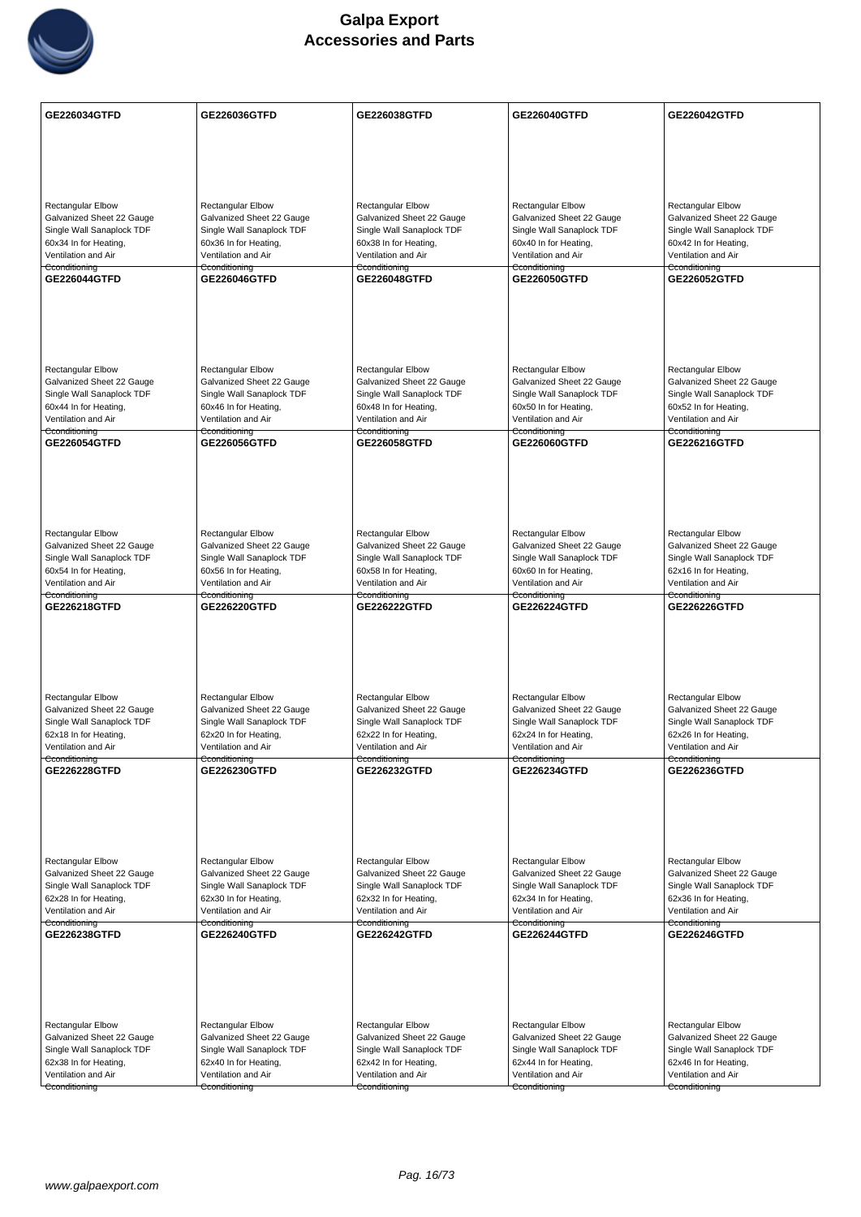

| GE226034GTFD                                                                       | GE226036GTFD                                                                       | GE226038GTFD                                                                | GE226040GTFD                                                                       | GE226042GTFD                                                                |
|------------------------------------------------------------------------------------|------------------------------------------------------------------------------------|-----------------------------------------------------------------------------|------------------------------------------------------------------------------------|-----------------------------------------------------------------------------|
|                                                                                    |                                                                                    |                                                                             |                                                                                    |                                                                             |
|                                                                                    |                                                                                    |                                                                             |                                                                                    |                                                                             |
|                                                                                    |                                                                                    |                                                                             |                                                                                    |                                                                             |
| <b>Rectangular Elbow</b><br>Galvanized Sheet 22 Gauge<br>Single Wall Sanaplock TDF | <b>Rectangular Elbow</b><br>Galvanized Sheet 22 Gauge<br>Single Wall Sanaplock TDF | Rectangular Elbow<br>Galvanized Sheet 22 Gauge<br>Single Wall Sanaplock TDF | <b>Rectangular Elbow</b><br>Galvanized Sheet 22 Gauge<br>Single Wall Sanaplock TDF | Rectangular Elbow<br>Galvanized Sheet 22 Gauge<br>Single Wall Sanaplock TDF |
| 60x34 In for Heating,<br>Ventilation and Air                                       | 60x36 In for Heating,<br>Ventilation and Air                                       | 60x38 In for Heating,<br>Ventilation and Air                                | 60x40 In for Heating,<br>Ventilation and Air                                       | 60x42 In for Heating,<br>Ventilation and Air                                |
| Cconditioning                                                                      | Cconditioning<br><b>GE226046GTFD</b>                                               | Cconditioning                                                               | Cconditioning                                                                      | Cconditioning<br>GE226052GTFD                                               |
| GE226044GTFD                                                                       |                                                                                    | GE226048GTFD                                                                | GE226050GTFD                                                                       |                                                                             |
|                                                                                    |                                                                                    |                                                                             |                                                                                    |                                                                             |
|                                                                                    |                                                                                    |                                                                             |                                                                                    |                                                                             |
|                                                                                    |                                                                                    |                                                                             |                                                                                    |                                                                             |
| <b>Rectangular Elbow</b>                                                           | <b>Rectangular Elbow</b>                                                           | Rectangular Elbow                                                           | <b>Rectangular Elbow</b>                                                           | <b>Rectangular Elbow</b>                                                    |
| Galvanized Sheet 22 Gauge                                                          | Galvanized Sheet 22 Gauge                                                          | Galvanized Sheet 22 Gauge                                                   | Galvanized Sheet 22 Gauge                                                          | Galvanized Sheet 22 Gauge                                                   |
| Single Wall Sanaplock TDF<br>60x44 In for Heating,                                 | Single Wall Sanaplock TDF<br>60x46 In for Heating,                                 | Single Wall Sanaplock TDF<br>60x48 In for Heating,                          | Single Wall Sanaplock TDF<br>60x50 In for Heating,                                 | Single Wall Sanaplock TDF<br>60x52 In for Heating,                          |
| Ventilation and Air                                                                | Ventilation and Air                                                                | Ventilation and Air                                                         | Ventilation and Air                                                                | Ventilation and Air                                                         |
| Cconditioning<br>GE226054GTFD                                                      | Cconditioning<br>GE226056GTFD                                                      | Cconditioning<br>GE226058GTFD                                               | Cconditioning<br>GE226060GTFD                                                      | Cconditioning<br><b>GE226216GTFD</b>                                        |
|                                                                                    |                                                                                    |                                                                             |                                                                                    |                                                                             |
|                                                                                    |                                                                                    |                                                                             |                                                                                    |                                                                             |
|                                                                                    |                                                                                    |                                                                             |                                                                                    |                                                                             |
|                                                                                    |                                                                                    |                                                                             |                                                                                    |                                                                             |
| <b>Rectangular Elbow</b>                                                           | <b>Rectangular Elbow</b>                                                           | <b>Rectangular Elbow</b>                                                    | <b>Rectangular Elbow</b>                                                           | <b>Rectangular Elbow</b>                                                    |
| Galvanized Sheet 22 Gauge<br>Single Wall Sanaplock TDF                             | Galvanized Sheet 22 Gauge<br>Single Wall Sanaplock TDF                             | Galvanized Sheet 22 Gauge<br>Single Wall Sanaplock TDF                      | Galvanized Sheet 22 Gauge<br>Single Wall Sanaplock TDF                             | Galvanized Sheet 22 Gauge<br>Single Wall Sanaplock TDF                      |
| 60x54 In for Heating,                                                              | 60x56 In for Heating,                                                              | 60x58 In for Heating,                                                       | 60x60 In for Heating,                                                              | 62x16 In for Heating,                                                       |
| Ventilation and Air<br>Cconditioning                                               | Ventilation and Air<br>Cconditioning                                               | Ventilation and Air<br>Cconditioning                                        | Ventilation and Air<br>Cconditioning                                               | Ventilation and Air<br>Cconditioning                                        |
| GE226218GTFD                                                                       | GE226220GTFD                                                                       | <b>GE226222GTFD</b>                                                         | GE226224GTFD                                                                       | <b>GE226226GTFD</b>                                                         |
|                                                                                    |                                                                                    |                                                                             |                                                                                    |                                                                             |
|                                                                                    |                                                                                    |                                                                             |                                                                                    |                                                                             |
|                                                                                    |                                                                                    |                                                                             |                                                                                    |                                                                             |
| Rectangular Elbow                                                                  | <b>Rectangular Elbow</b>                                                           | <b>Rectangular Elbow</b>                                                    | Rectangular Elbow                                                                  |                                                                             |
| Galvanized Sheet 22 Gauge                                                          | Galvanized Sheet 22 Gauge                                                          | Galvanized Sheet 22 Gauge                                                   | Galvanized Sheet 22 Gauge                                                          | <b>Rectangular Elbow</b><br>Galvanized Sheet 22 Gauge                       |
| Single Wall Sanaplock TDF                                                          | Single Wall Sanaplock TDF                                                          | Single Wall Sanaplock TDF                                                   | Single Wall Sanaplock TDF                                                          | Single Wall Sanaplock TDF                                                   |
| 62x18 In for Heating,<br>Ventilation and Air                                       | 62x20 In for Heating,<br>Ventilation and Air                                       | 62x22 In for Heating,<br>Ventilation and Air                                | 62x24 In for Heating,<br>Ventilation and Air                                       | 62x26 In for Heating,<br>Ventilation and Air                                |
| Cconditioning<br>GE226228GTFD                                                      | Cconditioning<br>GE226230GTFD                                                      | Cconditioning<br>GE226232GTFD                                               | Cconditioning<br><b>GE226234GTFD</b>                                               | Cconditioning<br><b>GE226236GTFD</b>                                        |
|                                                                                    |                                                                                    |                                                                             |                                                                                    |                                                                             |
|                                                                                    |                                                                                    |                                                                             |                                                                                    |                                                                             |
|                                                                                    |                                                                                    |                                                                             |                                                                                    |                                                                             |
|                                                                                    |                                                                                    |                                                                             |                                                                                    |                                                                             |
| Rectangular Elbow                                                                  | Rectangular Elbow                                                                  | <b>Rectangular Elbow</b>                                                    | <b>Rectangular Elbow</b>                                                           | Rectangular Elbow                                                           |
| Galvanized Sheet 22 Gauge                                                          | Galvanized Sheet 22 Gauge<br>Single Wall Sanaplock TDF                             | Galvanized Sheet 22 Gauge                                                   | Galvanized Sheet 22 Gauge                                                          | Galvanized Sheet 22 Gauge                                                   |
| Single Wall Sanaplock TDF<br>62x28 In for Heating,                                 | 62x30 In for Heating,                                                              | Single Wall Sanaplock TDF<br>62x32 In for Heating,                          | Single Wall Sanaplock TDF<br>62x34 In for Heating,                                 | Single Wall Sanaplock TDF<br>62x36 In for Heating,                          |
| Ventilation and Air                                                                | Ventilation and Air                                                                | Ventilation and Air                                                         | Ventilation and Air                                                                | Ventilation and Air                                                         |
| Cconditioning<br>GE226238GTFD                                                      | Cconditioning<br>GE226240GTFD                                                      | Cconditioning<br><b>GE226242GTFD</b>                                        | Cconditioning<br>GE226244GTFD                                                      | Cconditioning<br>GE226246GTFD                                               |
|                                                                                    |                                                                                    |                                                                             |                                                                                    |                                                                             |
|                                                                                    |                                                                                    |                                                                             |                                                                                    |                                                                             |
|                                                                                    |                                                                                    |                                                                             |                                                                                    |                                                                             |
|                                                                                    |                                                                                    |                                                                             |                                                                                    |                                                                             |
| Rectangular Elbow                                                                  | <b>Rectangular Elbow</b>                                                           | Rectangular Elbow                                                           | <b>Rectangular Elbow</b>                                                           | Rectangular Elbow                                                           |
| Galvanized Sheet 22 Gauge<br>Single Wall Sanaplock TDF                             | Galvanized Sheet 22 Gauge<br>Single Wall Sanaplock TDF                             | Galvanized Sheet 22 Gauge<br>Single Wall Sanaplock TDF                      | Galvanized Sheet 22 Gauge<br>Single Wall Sanaplock TDF                             | Galvanized Sheet 22 Gauge<br>Single Wall Sanaplock TDF                      |
| 62x38 In for Heating,                                                              | 62x40 In for Heating,                                                              | 62x42 In for Heating,                                                       | 62x44 In for Heating,                                                              | 62x46 In for Heating,                                                       |
| Ventilation and Air                                                                | Ventilation and Air                                                                | Ventilation and Air                                                         | Ventilation and Air                                                                | Ventilation and Air                                                         |
| Cconditioning                                                                      | Cconditioning                                                                      | Cconditioning                                                               | Cconditioning                                                                      | Cconditioning                                                               |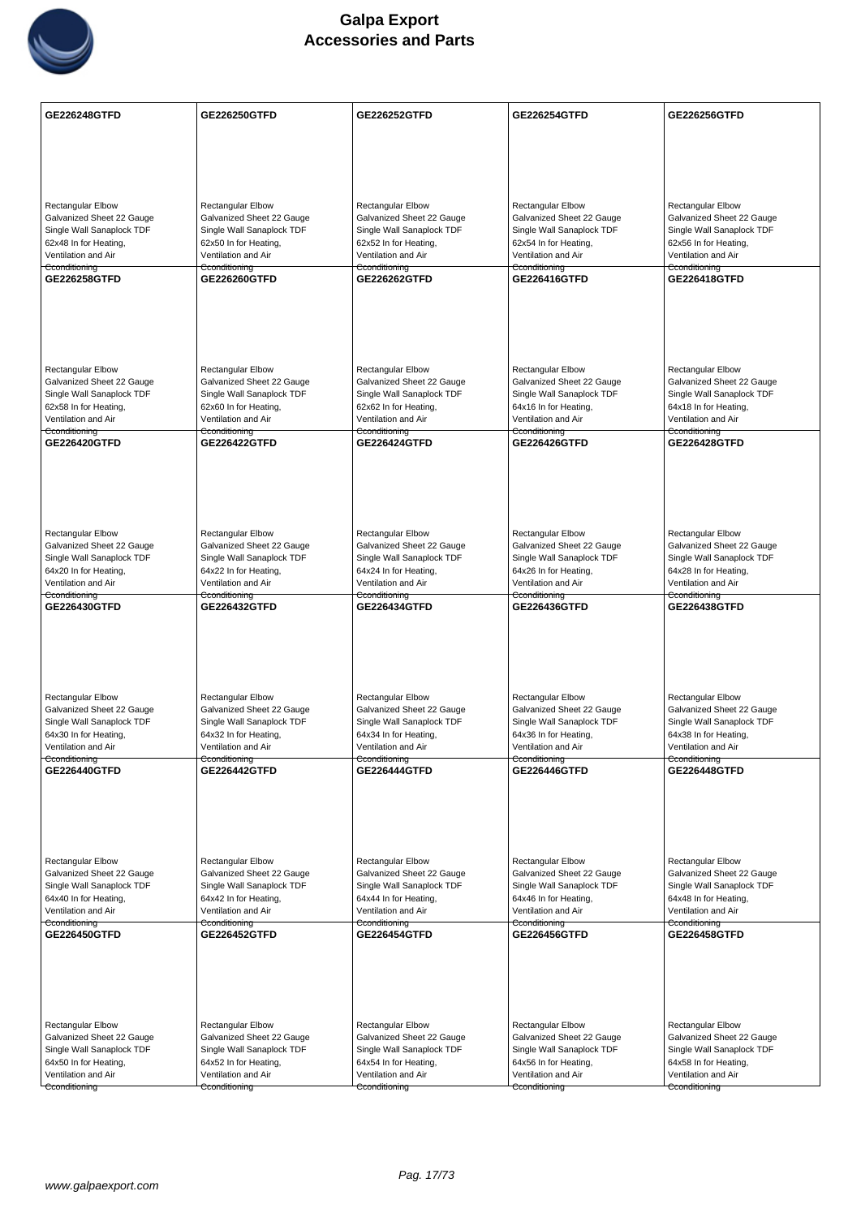

| <b>GE226248GTFD</b>                                    | GE226250GTFD                                           | GE226252GTFD                                           | GE226254GTFD                                           | GE226256GTFD                                           |
|--------------------------------------------------------|--------------------------------------------------------|--------------------------------------------------------|--------------------------------------------------------|--------------------------------------------------------|
|                                                        |                                                        |                                                        |                                                        |                                                        |
|                                                        |                                                        |                                                        |                                                        |                                                        |
|                                                        |                                                        |                                                        |                                                        |                                                        |
| <b>Rectangular Elbow</b>                               | <b>Rectangular Elbow</b>                               | Rectangular Elbow                                      | <b>Rectangular Elbow</b>                               | Rectangular Elbow                                      |
| Galvanized Sheet 22 Gauge<br>Single Wall Sanaplock TDF | Galvanized Sheet 22 Gauge<br>Single Wall Sanaplock TDF | Galvanized Sheet 22 Gauge<br>Single Wall Sanaplock TDF | Galvanized Sheet 22 Gauge<br>Single Wall Sanaplock TDF | Galvanized Sheet 22 Gauge<br>Single Wall Sanaplock TDF |
| 62x48 In for Heating,                                  | 62x50 In for Heating,                                  | 62x52 In for Heating,                                  | 62x54 In for Heating,                                  | 62x56 In for Heating,                                  |
| Ventilation and Air<br>Cconditioning                   | Ventilation and Air<br>Cconditioning                   | Ventilation and Air<br>Cconditioning                   | Ventilation and Air<br>Cconditioning                   | Ventilation and Air<br>Cconditioning                   |
| GE226258GTFD                                           | GE226260GTFD                                           | GE226262GTFD                                           | GE226416GTFD                                           | <b>GE226418GTFD</b>                                    |
|                                                        |                                                        |                                                        |                                                        |                                                        |
|                                                        |                                                        |                                                        |                                                        |                                                        |
|                                                        |                                                        |                                                        |                                                        |                                                        |
| <b>Rectangular Elbow</b>                               | <b>Rectangular Elbow</b>                               | <b>Rectangular Elbow</b>                               | <b>Rectangular Elbow</b>                               | <b>Rectangular Elbow</b>                               |
| Galvanized Sheet 22 Gauge                              | Galvanized Sheet 22 Gauge                              | Galvanized Sheet 22 Gauge                              | Galvanized Sheet 22 Gauge                              | Galvanized Sheet 22 Gauge                              |
| Single Wall Sanaplock TDF<br>62x58 In for Heating,     | Single Wall Sanaplock TDF<br>62x60 In for Heating,     | Single Wall Sanaplock TDF<br>62x62 In for Heating,     | Single Wall Sanaplock TDF<br>64x16 In for Heating,     | Single Wall Sanaplock TDF<br>64x18 In for Heating,     |
| Ventilation and Air                                    | Ventilation and Air                                    | Ventilation and Air                                    | Ventilation and Air                                    | Ventilation and Air                                    |
| Cconditioning<br>GE226420GTFD                          | Cconditioning<br><b>GE226422GTFD</b>                   | Cconditioning<br><b>GE226424GTFD</b>                   | Cconditioning<br>GE226426GTFD                          | Cconditioning<br><b>GE226428GTFD</b>                   |
|                                                        |                                                        |                                                        |                                                        |                                                        |
|                                                        |                                                        |                                                        |                                                        |                                                        |
|                                                        |                                                        |                                                        |                                                        |                                                        |
|                                                        |                                                        |                                                        |                                                        |                                                        |
| Rectangular Elbow<br>Galvanized Sheet 22 Gauge         | <b>Rectangular Elbow</b><br>Galvanized Sheet 22 Gauge  | <b>Rectangular Elbow</b><br>Galvanized Sheet 22 Gauge  | <b>Rectangular Elbow</b><br>Galvanized Sheet 22 Gauge  | <b>Rectangular Elbow</b><br>Galvanized Sheet 22 Gauge  |
| Single Wall Sanaplock TDF                              | Single Wall Sanaplock TDF                              | Single Wall Sanaplock TDF                              | Single Wall Sanaplock TDF                              | Single Wall Sanaplock TDF                              |
| 64x20 In for Heating,<br>Ventilation and Air           | 64x22 In for Heating,<br>Ventilation and Air           | 64x24 In for Heating,<br>Ventilation and Air           | 64x26 In for Heating,<br>Ventilation and Air           | 64x28 In for Heating,<br>Ventilation and Air           |
| Cconditioning<br>GE226430GTFD                          | Cconditioning<br><b>GE226432GTFD</b>                   | Cconditioning<br>GE226434GTFD                          | Cconditioning<br>GE226436GTFD                          | Cconditioning<br>GE226438GTFD                          |
|                                                        |                                                        |                                                        |                                                        |                                                        |
|                                                        |                                                        |                                                        |                                                        |                                                        |
|                                                        |                                                        |                                                        |                                                        |                                                        |
|                                                        |                                                        |                                                        |                                                        |                                                        |
| Rectangular Elbow<br>Galvanized Sheet 22 Gauge         | Rectangular Elbow<br>Galvanized Sheet 22 Gauge         | <b>Rectangular Elbow</b><br>Galvanized Sheet 22 Gauge  | Rectangular Elbow<br>Galvanized Sheet 22 Gauge         | <b>Rectangular Elbow</b><br>Galvanized Sheet 22 Gauge  |
| Single Wall Sanaplock TDF                              | Single Wall Sanaplock TDF                              | Single Wall Sanaplock TDF                              | Single Wall Sanaplock TDF                              | Single Wall Sanaplock TDF                              |
| 64x30 In for Heating,<br>Ventilation and Air           | 64x32 In for Heating,<br>Ventilation and Air           | 64x34 In for Heating,<br>Ventilation and Air           | 64x36 In for Heating,<br>Ventilation and Air           | 64x38 In for Heating,<br>Ventilation and Air           |
| Cconditioning<br><b>GE226440GTFD</b>                   | Cconditioning<br><b>GE226442GTFD</b>                   | Cconditioning<br>GE226444GTFD                          | Cconditioning<br><b>GE226446GTFD</b>                   | Cconditioning<br><b>GE226448GTFD</b>                   |
|                                                        |                                                        |                                                        |                                                        |                                                        |
|                                                        |                                                        |                                                        |                                                        |                                                        |
|                                                        |                                                        |                                                        |                                                        |                                                        |
|                                                        |                                                        |                                                        |                                                        |                                                        |
| Rectangular Elbow                                      | Rectangular Elbow                                      | <b>Rectangular Elbow</b>                               | <b>Rectangular Elbow</b>                               | <b>Rectangular Elbow</b>                               |
| Galvanized Sheet 22 Gauge<br>Single Wall Sanaplock TDF | Galvanized Sheet 22 Gauge<br>Single Wall Sanaplock TDF | Galvanized Sheet 22 Gauge<br>Single Wall Sanaplock TDF | Galvanized Sheet 22 Gauge<br>Single Wall Sanaplock TDF | Galvanized Sheet 22 Gauge<br>Single Wall Sanaplock TDF |
| 64x40 In for Heating,<br>Ventilation and Air           | 64x42 In for Heating,<br>Ventilation and Air           | 64x44 In for Heating,<br>Ventilation and Air           | 64x46 In for Heating,<br>Ventilation and Air           | 64x48 In for Heating,<br>Ventilation and Air           |
| Cconditioning                                          | Cconditioning                                          | Cconditioning                                          | Cconditioning                                          | Cconditioning                                          |
| GE226450GTFD                                           | GE226452GTFD                                           | GE226454GTFD                                           | GE226456GTFD                                           | <b>GE226458GTFD</b>                                    |
|                                                        |                                                        |                                                        |                                                        |                                                        |
|                                                        |                                                        |                                                        |                                                        |                                                        |
|                                                        |                                                        |                                                        |                                                        |                                                        |
| Rectangular Elbow                                      | <b>Rectangular Elbow</b>                               | Rectangular Elbow                                      | <b>Rectangular Elbow</b>                               | Rectangular Elbow                                      |
| Galvanized Sheet 22 Gauge<br>Single Wall Sanaplock TDF | Galvanized Sheet 22 Gauge<br>Single Wall Sanaplock TDF | Galvanized Sheet 22 Gauge<br>Single Wall Sanaplock TDF | Galvanized Sheet 22 Gauge<br>Single Wall Sanaplock TDF | Galvanized Sheet 22 Gauge<br>Single Wall Sanaplock TDF |
| 64x50 In for Heating,                                  | 64x52 In for Heating,                                  | 64x54 In for Heating,                                  | 64x56 In for Heating,                                  | 64x58 In for Heating,                                  |
| Ventilation and Air<br>Cconditioning                   | Ventilation and Air<br>Cconditioning                   | Ventilation and Air<br>Cconditioning                   | Ventilation and Air<br>Cconditioning                   | Ventilation and Air<br>Cconditioning                   |
|                                                        |                                                        |                                                        |                                                        |                                                        |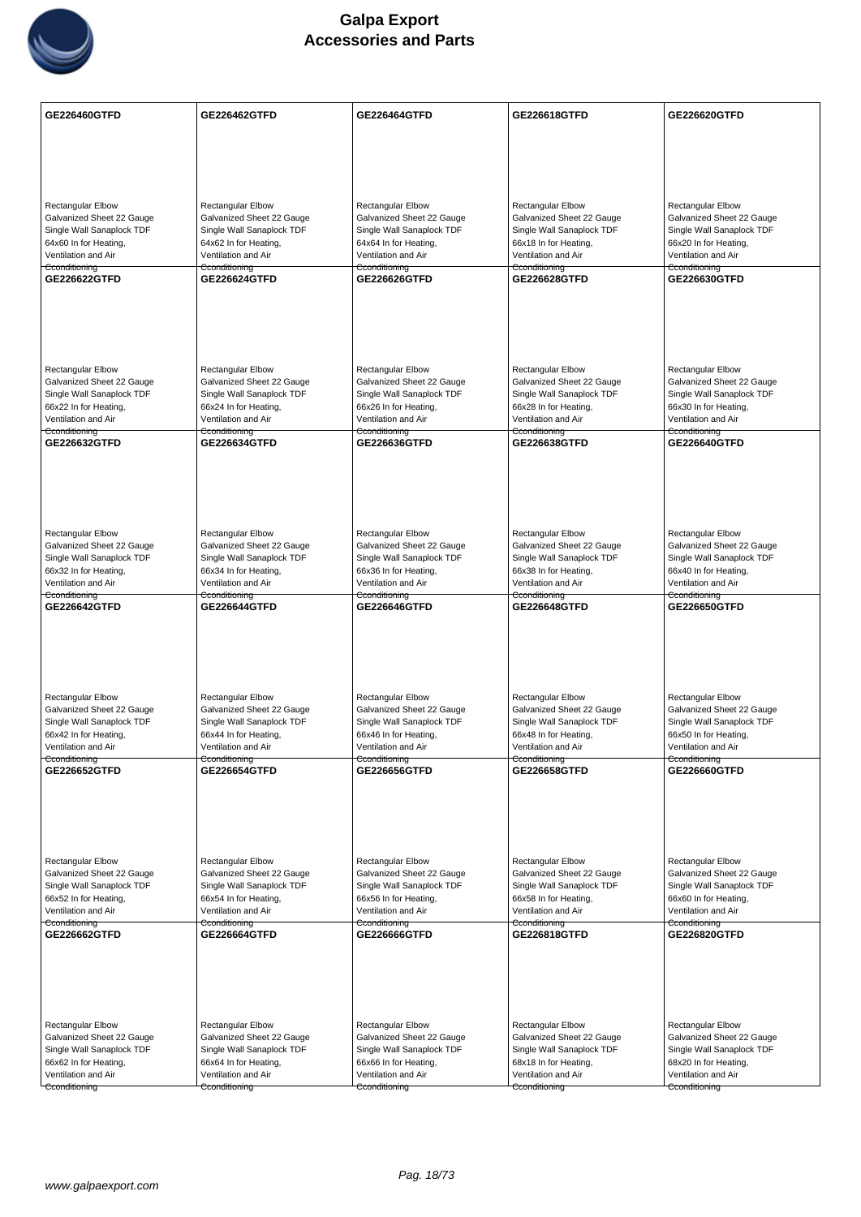

| GE226460GTFD                                           | GE226462GTFD                                           | <b>GE226464GTFD</b>                                    | GE226618GTFD                                           | <b>GE226620GTFD</b>                                    |
|--------------------------------------------------------|--------------------------------------------------------|--------------------------------------------------------|--------------------------------------------------------|--------------------------------------------------------|
|                                                        |                                                        |                                                        |                                                        |                                                        |
|                                                        |                                                        |                                                        |                                                        |                                                        |
|                                                        |                                                        |                                                        |                                                        |                                                        |
|                                                        |                                                        |                                                        | <b>Rectangular Elbow</b>                               | <b>Rectangular Elbow</b>                               |
| <b>Rectangular Elbow</b><br>Galvanized Sheet 22 Gauge  | <b>Rectangular Elbow</b><br>Galvanized Sheet 22 Gauge  | <b>Rectangular Elbow</b><br>Galvanized Sheet 22 Gauge  | Galvanized Sheet 22 Gauge                              | Galvanized Sheet 22 Gauge                              |
| Single Wall Sanaplock TDF                              | Single Wall Sanaplock TDF                              | Single Wall Sanaplock TDF                              | Single Wall Sanaplock TDF                              | Single Wall Sanaplock TDF                              |
| 64x60 In for Heating,<br>Ventilation and Air           | 64x62 In for Heating,<br>Ventilation and Air           | 64x64 In for Heating,<br>Ventilation and Air           | 66x18 In for Heating,<br>Ventilation and Air           | 66x20 In for Heating,<br>Ventilation and Air           |
| Cconditioning                                          | Cconditioning                                          | Cconditioning                                          | Cconditioning                                          | Cconditioning                                          |
| <b>GE226622GTFD</b>                                    | <b>GE226624GTFD</b>                                    | GE226626GTFD                                           | <b>GE226628GTFD</b>                                    | GE226630GTFD                                           |
|                                                        |                                                        |                                                        |                                                        |                                                        |
|                                                        |                                                        |                                                        |                                                        |                                                        |
|                                                        |                                                        |                                                        |                                                        |                                                        |
|                                                        |                                                        |                                                        |                                                        |                                                        |
| <b>Rectangular Elbow</b>                               | Rectangular Elbow                                      | <b>Rectangular Elbow</b>                               | Rectangular Elbow                                      | Rectangular Elbow                                      |
| Galvanized Sheet 22 Gauge<br>Single Wall Sanaplock TDF | Galvanized Sheet 22 Gauge<br>Single Wall Sanaplock TDF | Galvanized Sheet 22 Gauge<br>Single Wall Sanaplock TDF | Galvanized Sheet 22 Gauge<br>Single Wall Sanaplock TDF | Galvanized Sheet 22 Gauge<br>Single Wall Sanaplock TDF |
| 66x22 In for Heating,                                  | 66x24 In for Heating,                                  | 66x26 In for Heating,                                  | 66x28 In for Heating,                                  | 66x30 In for Heating,                                  |
| Ventilation and Air<br>Cconditioning                   | Ventilation and Air<br>Cconditioning                   | Ventilation and Air<br>Cconditioning                   | Ventilation and Air<br>Cconditioning                   | Ventilation and Air<br>Cconditioning                   |
| GE226632GTFD                                           | <b>GE226634GTFD</b>                                    | GE226636GTFD                                           | GE226638GTFD                                           | <b>GE226640GTFD</b>                                    |
|                                                        |                                                        |                                                        |                                                        |                                                        |
|                                                        |                                                        |                                                        |                                                        |                                                        |
|                                                        |                                                        |                                                        |                                                        |                                                        |
|                                                        |                                                        |                                                        |                                                        |                                                        |
| Rectangular Elbow                                      | <b>Rectangular Elbow</b>                               | Rectangular Elbow                                      | Rectangular Elbow                                      | Rectangular Elbow                                      |
| Galvanized Sheet 22 Gauge                              | Galvanized Sheet 22 Gauge                              | Galvanized Sheet 22 Gauge                              | Galvanized Sheet 22 Gauge                              | Galvanized Sheet 22 Gauge                              |
| Single Wall Sanaplock TDF<br>66x32 In for Heating,     | Single Wall Sanaplock TDF<br>66x34 In for Heating,     | Single Wall Sanaplock TDF<br>66x36 In for Heating,     | Single Wall Sanaplock TDF<br>66x38 In for Heating,     | Single Wall Sanaplock TDF<br>66x40 In for Heating,     |
| Ventilation and Air                                    | Ventilation and Air                                    | Ventilation and Air                                    | Ventilation and Air                                    | Ventilation and Air                                    |
| Cconditioning<br>GE226642GTFD                          | Cconditioning<br>GE226644GTFD                          | Cconditioning<br>GE226646GTFD                          | Cconditioning<br>GE226648GTFD                          | Cconditioning<br>GE226650GTFD                          |
|                                                        |                                                        |                                                        |                                                        |                                                        |
|                                                        |                                                        |                                                        |                                                        |                                                        |
|                                                        |                                                        |                                                        |                                                        |                                                        |
|                                                        |                                                        |                                                        |                                                        |                                                        |
| Rectangular Elbow                                      | Rectangular Elbow                                      | <b>Rectangular Elbow</b>                               | Rectangular Elbow                                      | <b>Rectangular Elbow</b>                               |
| Galvanized Sheet 22 Gauge                              | Galvanized Sheet 22 Gauge                              | Galvanized Sheet 22 Gauge                              | Galvanized Sheet 22 Gauge                              | Galvanized Sheet 22 Gauge                              |
| Single Wall Sanaplock TDF<br>66x42 In for Heating,     | Single Wall Sanaplock TDF<br>66x44 In for Heating,     | Single Wall Sanaplock TDF<br>66x46 In for Heating,     | Single Wall Sanaplock TDF<br>66x48 In for Heating,     | Single Wall Sanaplock TDF<br>66x50 In for Heating,     |
| Ventilation and Air                                    | Ventilation and Air                                    | Ventilation and Air                                    | Ventilation and Air                                    | Ventilation and Air                                    |
| Cconditioning<br>GE226652GTFD                          | Cconditioning<br>GE226654GTFD                          | Cconditioning<br>GE226656GTFD                          | Cconditioning<br>GE226658GTFD                          | Cconditioning<br>GE226660GTFD                          |
|                                                        |                                                        |                                                        |                                                        |                                                        |
|                                                        |                                                        |                                                        |                                                        |                                                        |
|                                                        |                                                        |                                                        |                                                        |                                                        |
|                                                        |                                                        |                                                        |                                                        |                                                        |
| Rectangular Elbow                                      | Rectangular Elbow                                      | <b>Rectangular Elbow</b>                               | <b>Rectangular Elbow</b>                               | <b>Rectangular Elbow</b>                               |
| Galvanized Sheet 22 Gauge                              | Galvanized Sheet 22 Gauge                              | Galvanized Sheet 22 Gauge                              | Galvanized Sheet 22 Gauge                              | Galvanized Sheet 22 Gauge                              |
| Single Wall Sanaplock TDF                              | Single Wall Sanaplock TDF                              | Single Wall Sanaplock TDF                              | Single Wall Sanaplock TDF                              | Single Wall Sanaplock TDF                              |
| 66x52 In for Heating,<br>Ventilation and Air           | 66x54 In for Heating,<br>Ventilation and Air           | 66x56 In for Heating,<br>Ventilation and Air           | 66x58 In for Heating,<br>Ventilation and Air           | 66x60 In for Heating,<br>Ventilation and Air           |
| Cconditioning                                          | Cconditioning                                          | Cconditioning                                          | Cconditioning                                          | Cconditioning                                          |
| GE226662GTFD                                           | GE226664GTFD                                           | GE226666GTFD                                           | GE226818GTFD                                           | <b>GE226820GTFD</b>                                    |
|                                                        |                                                        |                                                        |                                                        |                                                        |
|                                                        |                                                        |                                                        |                                                        |                                                        |
|                                                        |                                                        |                                                        |                                                        |                                                        |
|                                                        |                                                        |                                                        |                                                        |                                                        |
| Rectangular Elbow<br>Galvanized Sheet 22 Gauge         | <b>Rectangular Elbow</b><br>Galvanized Sheet 22 Gauge  | <b>Rectangular Elbow</b><br>Galvanized Sheet 22 Gauge  | Rectangular Elbow<br>Galvanized Sheet 22 Gauge         | Rectangular Elbow<br>Galvanized Sheet 22 Gauge         |
| Single Wall Sanaplock TDF                              |                                                        |                                                        |                                                        |                                                        |
|                                                        | Single Wall Sanaplock TDF                              | Single Wall Sanaplock TDF                              | Single Wall Sanaplock TDF                              | Single Wall Sanaplock TDF                              |
| 66x62 In for Heating,                                  | 66x64 In for Heating,                                  | 66x66 In for Heating,                                  | 68x18 In for Heating,                                  | 68x20 In for Heating,                                  |
| Ventilation and Air<br>Cconditioning                   | Ventilation and Air<br>Cconditioning                   | Ventilation and Air<br>Cconditioning                   | Ventilation and Air<br>Cconditioning                   | Ventilation and Air<br>Cconditioning                   |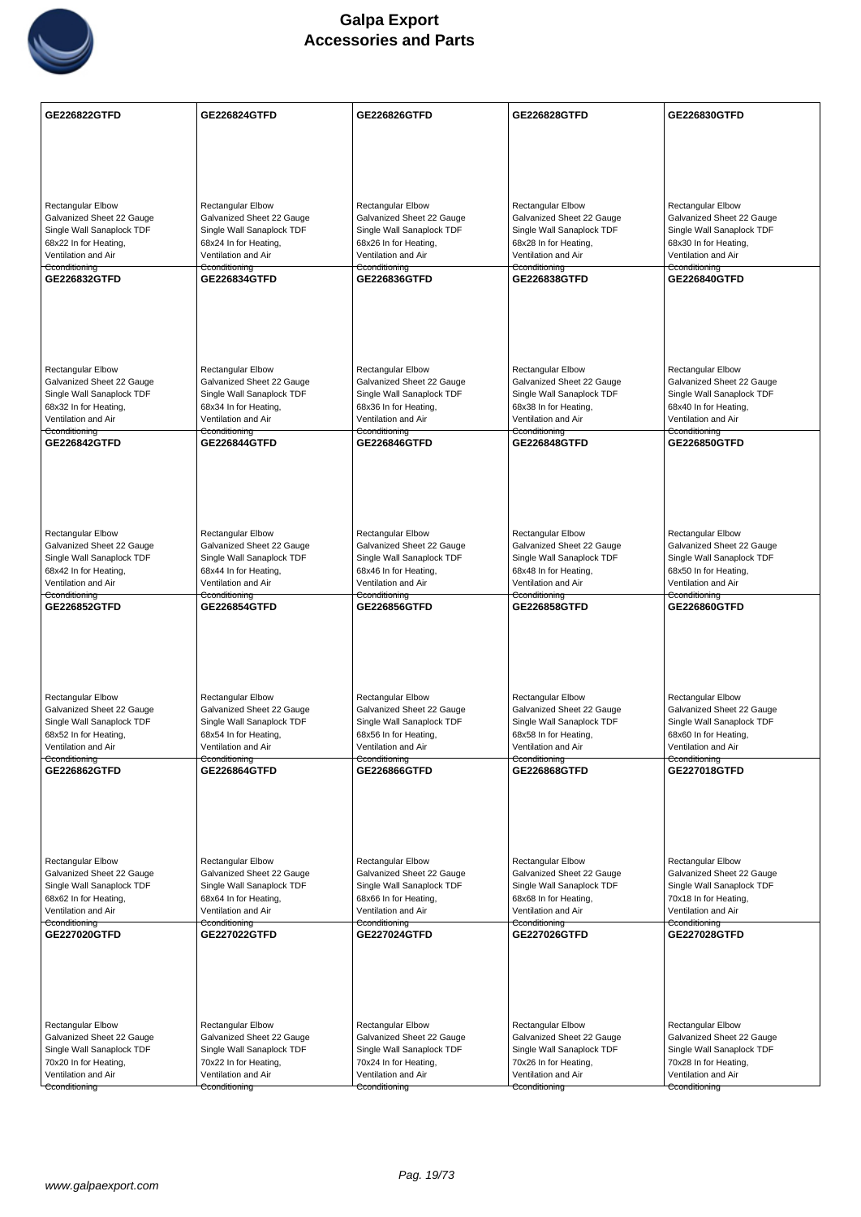

| <b>GE226822GTFD</b>                                    | GE226824GTFD                                           | GE226826GTFD                                           | GE226828GTFD                                           | GE226830GTFD                                           |
|--------------------------------------------------------|--------------------------------------------------------|--------------------------------------------------------|--------------------------------------------------------|--------------------------------------------------------|
|                                                        |                                                        |                                                        |                                                        |                                                        |
|                                                        |                                                        |                                                        |                                                        |                                                        |
|                                                        |                                                        |                                                        |                                                        |                                                        |
| <b>Rectangular Elbow</b>                               | <b>Rectangular Elbow</b>                               | Rectangular Elbow                                      | <b>Rectangular Elbow</b>                               | Rectangular Elbow                                      |
| Galvanized Sheet 22 Gauge<br>Single Wall Sanaplock TDF | Galvanized Sheet 22 Gauge<br>Single Wall Sanaplock TDF | Galvanized Sheet 22 Gauge<br>Single Wall Sanaplock TDF | Galvanized Sheet 22 Gauge<br>Single Wall Sanaplock TDF | Galvanized Sheet 22 Gauge<br>Single Wall Sanaplock TDF |
| 68x22 In for Heating,                                  | 68x24 In for Heating,                                  | 68x26 In for Heating,                                  | 68x28 In for Heating,                                  | 68x30 In for Heating,                                  |
| Ventilation and Air<br>Cconditioning                   | Ventilation and Air<br>Cconditioning                   | Ventilation and Air<br>Cconditioning                   | Ventilation and Air<br>Cconditioning                   | Ventilation and Air<br>Cconditioning                   |
| GE226832GTFD                                           | GE226834GTFD                                           | GE226836GTFD                                           | GE226838GTFD                                           | GE226840GTFD                                           |
|                                                        |                                                        |                                                        |                                                        |                                                        |
|                                                        |                                                        |                                                        |                                                        |                                                        |
|                                                        |                                                        |                                                        |                                                        |                                                        |
| <b>Rectangular Elbow</b>                               | <b>Rectangular Elbow</b>                               | <b>Rectangular Elbow</b>                               | <b>Rectangular Elbow</b>                               | <b>Rectangular Elbow</b>                               |
| Galvanized Sheet 22 Gauge                              | Galvanized Sheet 22 Gauge                              | Galvanized Sheet 22 Gauge                              | Galvanized Sheet 22 Gauge                              | Galvanized Sheet 22 Gauge                              |
| Single Wall Sanaplock TDF<br>68x32 In for Heating,     | Single Wall Sanaplock TDF<br>68x34 In for Heating,     | Single Wall Sanaplock TDF<br>68x36 In for Heating,     | Single Wall Sanaplock TDF<br>68x38 In for Heating,     | Single Wall Sanaplock TDF<br>68x40 In for Heating,     |
| Ventilation and Air                                    | Ventilation and Air                                    | Ventilation and Air                                    | Ventilation and Air                                    | Ventilation and Air                                    |
| Cconditioning<br><b>GE226842GTFD</b>                   | Cconditioning<br><b>GE226844GTFD</b>                   | Cconditioning<br>GE226846GTFD                          | Cconditioning<br>GE226848GTFD                          | Cconditioning<br><b>GE226850GTFD</b>                   |
|                                                        |                                                        |                                                        |                                                        |                                                        |
|                                                        |                                                        |                                                        |                                                        |                                                        |
|                                                        |                                                        |                                                        |                                                        |                                                        |
|                                                        |                                                        |                                                        |                                                        |                                                        |
| <b>Rectangular Elbow</b><br>Galvanized Sheet 22 Gauge  | <b>Rectangular Elbow</b><br>Galvanized Sheet 22 Gauge  | <b>Rectangular Elbow</b><br>Galvanized Sheet 22 Gauge  | <b>Rectangular Elbow</b><br>Galvanized Sheet 22 Gauge  | <b>Rectangular Elbow</b><br>Galvanized Sheet 22 Gauge  |
| Single Wall Sanaplock TDF                              | Single Wall Sanaplock TDF                              | Single Wall Sanaplock TDF                              | Single Wall Sanaplock TDF                              | Single Wall Sanaplock TDF                              |
| 68x42 In for Heating,<br>Ventilation and Air           | 68x44 In for Heating,<br>Ventilation and Air           | 68x46 In for Heating,<br>Ventilation and Air           | 68x48 In for Heating,<br>Ventilation and Air           | 68x50 In for Heating,<br>Ventilation and Air           |
| Cconditioning<br>GE226852GTFD                          | Cconditioning<br>GE226854GTFD                          | Cconditioning<br>GE226856GTFD                          | Cconditioning<br>GE226858GTFD                          | Cconditioning<br>GE226860GTFD                          |
|                                                        |                                                        |                                                        |                                                        |                                                        |
|                                                        |                                                        |                                                        |                                                        |                                                        |
|                                                        |                                                        |                                                        |                                                        |                                                        |
|                                                        |                                                        |                                                        |                                                        |                                                        |
| Rectangular Elbow                                      | Rectangular Elbow                                      | <b>Rectangular Elbow</b>                               | Rectangular Elbow                                      | <b>Rectangular Elbow</b>                               |
| Galvanized Sheet 22 Gauge<br>Single Wall Sanaplock TDF | Galvanized Sheet 22 Gauge<br>Single Wall Sanaplock TDF | Galvanized Sheet 22 Gauge<br>Single Wall Sanaplock TDF | Galvanized Sheet 22 Gauge<br>Single Wall Sanaplock TDF | Galvanized Sheet 22 Gauge<br>Single Wall Sanaplock TDF |
| 68x52 In for Heating,<br>Ventilation and Air           | 68x54 In for Heating,                                  | 68x56 In for Heating,                                  | 68x58 In for Heating,                                  | 68x60 In for Heating,                                  |
| Cconditioning                                          | Ventilation and Air<br>Cconditioning                   | Ventilation and Air<br>Cconditioning                   | Ventilation and Air<br>Cconditioning                   | Ventilation and Air<br>Cconditioning                   |
| GE226862GTFD                                           | <b>GE226864GTFD</b>                                    | GE226866GTFD                                           | GE226868GTFD                                           | <b>GE227018GTFD</b>                                    |
|                                                        |                                                        |                                                        |                                                        |                                                        |
|                                                        |                                                        |                                                        |                                                        |                                                        |
|                                                        |                                                        |                                                        |                                                        |                                                        |
| Rectangular Elbow                                      | Rectangular Elbow                                      | <b>Rectangular Elbow</b>                               | <b>Rectangular Elbow</b>                               | Rectangular Elbow                                      |
| Galvanized Sheet 22 Gauge<br>Single Wall Sanaplock TDF | Galvanized Sheet 22 Gauge<br>Single Wall Sanaplock TDF | Galvanized Sheet 22 Gauge<br>Single Wall Sanaplock TDF | Galvanized Sheet 22 Gauge<br>Single Wall Sanaplock TDF | Galvanized Sheet 22 Gauge<br>Single Wall Sanaplock TDF |
| 68x62 In for Heating,                                  | 68x64 In for Heating,                                  | 68x66 In for Heating,                                  | 68x68 In for Heating,                                  | 70x18 In for Heating,                                  |
| Ventilation and Air<br>Cconditioning                   | Ventilation and Air<br>Cconditioning                   | Ventilation and Air<br>Cconditioning                   | Ventilation and Air<br>Cconditioning                   | Ventilation and Air<br>Cconditioning                   |
| GE227020GTFD                                           | GE227022GTFD                                           | GE227024GTFD                                           | GE227026GTFD                                           | GE227028GTFD                                           |
|                                                        |                                                        |                                                        |                                                        |                                                        |
|                                                        |                                                        |                                                        |                                                        |                                                        |
|                                                        |                                                        |                                                        |                                                        |                                                        |
|                                                        |                                                        |                                                        |                                                        |                                                        |
| Rectangular Elbow<br>Galvanized Sheet 22 Gauge         | <b>Rectangular Elbow</b><br>Galvanized Sheet 22 Gauge  | Rectangular Elbow<br>Galvanized Sheet 22 Gauge         | <b>Rectangular Elbow</b><br>Galvanized Sheet 22 Gauge  | Rectangular Elbow<br>Galvanized Sheet 22 Gauge         |
| Single Wall Sanaplock TDF                              | Single Wall Sanaplock TDF                              | Single Wall Sanaplock TDF                              | Single Wall Sanaplock TDF                              | Single Wall Sanaplock TDF                              |
| 70x20 In for Heating,<br>Ventilation and Air           | 70x22 In for Heating,<br>Ventilation and Air           | 70x24 In for Heating,<br>Ventilation and Air           | 70x26 In for Heating,<br>Ventilation and Air           | 70x28 In for Heating,<br>Ventilation and Air           |
| Cconditioning                                          | Cconditioning                                          | Cconditioning                                          | Cconditioning                                          | Cconditioning                                          |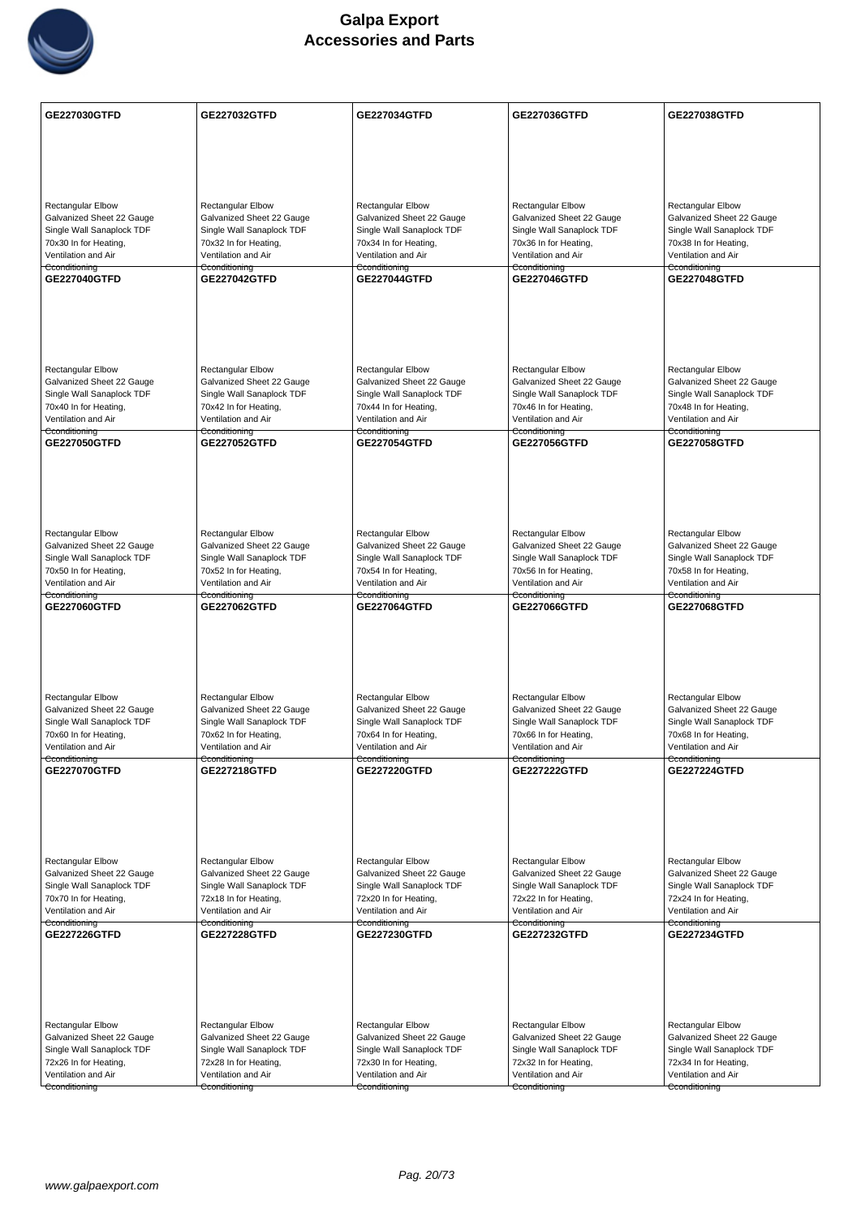

| <b>GE227030GTFD</b>                                    | GE227032GTFD                                           | GE227034GTFD                                           | GE227036GTFD                                           | GE227038GTFD                                           |
|--------------------------------------------------------|--------------------------------------------------------|--------------------------------------------------------|--------------------------------------------------------|--------------------------------------------------------|
|                                                        |                                                        |                                                        |                                                        |                                                        |
|                                                        |                                                        |                                                        |                                                        |                                                        |
|                                                        |                                                        |                                                        |                                                        |                                                        |
| <b>Rectangular Elbow</b>                               | <b>Rectangular Elbow</b>                               | <b>Rectangular Elbow</b>                               | <b>Rectangular Elbow</b>                               | <b>Rectangular Elbow</b>                               |
| Galvanized Sheet 22 Gauge                              | Galvanized Sheet 22 Gauge                              | Galvanized Sheet 22 Gauge                              | Galvanized Sheet 22 Gauge                              | Galvanized Sheet 22 Gauge                              |
| Single Wall Sanaplock TDF<br>70x30 In for Heating,     | Single Wall Sanaplock TDF<br>70x32 In for Heating,     | Single Wall Sanaplock TDF<br>70x34 In for Heating,     | Single Wall Sanaplock TDF<br>70x36 In for Heating,     | Single Wall Sanaplock TDF<br>70x38 In for Heating,     |
| Ventilation and Air                                    | Ventilation and Air                                    | Ventilation and Air                                    | Ventilation and Air                                    | Ventilation and Air                                    |
| Cconditioning<br>GE227040GTFD                          | Cconditioning<br><b>GE227042GTFD</b>                   | Cconditioning<br><b>GE227044GTFD</b>                   | Cconditioning<br><b>GE227046GTFD</b>                   | Cconditioning<br><b>GE227048GTFD</b>                   |
|                                                        |                                                        |                                                        |                                                        |                                                        |
|                                                        |                                                        |                                                        |                                                        |                                                        |
|                                                        |                                                        |                                                        |                                                        |                                                        |
|                                                        |                                                        |                                                        |                                                        |                                                        |
| <b>Rectangular Elbow</b>                               | Rectangular Elbow                                      | <b>Rectangular Elbow</b>                               | Rectangular Elbow                                      | Rectangular Elbow                                      |
| Galvanized Sheet 22 Gauge<br>Single Wall Sanaplock TDF | Galvanized Sheet 22 Gauge<br>Single Wall Sanaplock TDF | Galvanized Sheet 22 Gauge<br>Single Wall Sanaplock TDF | Galvanized Sheet 22 Gauge<br>Single Wall Sanaplock TDF | Galvanized Sheet 22 Gauge<br>Single Wall Sanaplock TDF |
| 70x40 In for Heating,                                  | 70x42 In for Heating,                                  | 70x44 In for Heating,                                  | 70x46 In for Heating,                                  | 70x48 In for Heating,                                  |
| Ventilation and Air<br>Cconditioning                   | Ventilation and Air<br>Cconditioning                   | Ventilation and Air<br>Cconditioning                   | Ventilation and Air<br>Cconditioning                   | Ventilation and Air<br>Cconditioning                   |
| GE227050GTFD                                           | <b>GE227052GTFD</b>                                    | <b>GE227054GTFD</b>                                    | <b>GE227056GTFD</b>                                    | <b>GE227058GTFD</b>                                    |
|                                                        |                                                        |                                                        |                                                        |                                                        |
|                                                        |                                                        |                                                        |                                                        |                                                        |
|                                                        |                                                        |                                                        |                                                        |                                                        |
| <b>Rectangular Elbow</b>                               | <b>Rectangular Elbow</b>                               | Rectangular Elbow                                      | Rectangular Elbow                                      | Rectangular Elbow                                      |
| Galvanized Sheet 22 Gauge                              | Galvanized Sheet 22 Gauge                              | Galvanized Sheet 22 Gauge                              | Galvanized Sheet 22 Gauge                              | Galvanized Sheet 22 Gauge                              |
| Single Wall Sanaplock TDF<br>70x50 In for Heating,     | Single Wall Sanaplock TDF<br>70x52 In for Heating,     | Single Wall Sanaplock TDF<br>70x54 In for Heating,     | Single Wall Sanaplock TDF<br>70x56 In for Heating,     | Single Wall Sanaplock TDF<br>70x58 In for Heating,     |
| Ventilation and Air                                    | Ventilation and Air                                    | Ventilation and Air                                    | Ventilation and Air                                    | Ventilation and Air                                    |
| Cconditioning<br>GE227060GTFD                          | Cconditioning<br>GE227062GTFD                          | Cconditioning<br>GE227064GTFD                          | Cconditioning<br>GE227066GTFD                          | Cconditioning<br><b>GE227068GTFD</b>                   |
|                                                        |                                                        |                                                        |                                                        |                                                        |
|                                                        |                                                        |                                                        |                                                        |                                                        |
|                                                        |                                                        |                                                        |                                                        |                                                        |
|                                                        |                                                        |                                                        |                                                        |                                                        |
| Rectangular Elbow<br>Galvanized Sheet 22 Gauge         | Rectangular Elbow<br>Galvanized Sheet 22 Gauge         | <b>Rectangular Elbow</b><br>Galvanized Sheet 22 Gauge  | Rectangular Elbow<br>Galvanized Sheet 22 Gauge         | <b>Rectangular Elbow</b><br>Galvanized Sheet 22 Gauge  |
| Single Wall Sanaplock TDF                              | Single Wall Sanaplock TDF                              | Single Wall Sanaplock TDF                              | Single Wall Sanaplock TDF                              | Single Wall Sanaplock TDF                              |
| 70x60 In for Heating,<br>Ventilation and Air           | 70x62 In for Heating,<br>Ventilation and Air           | 70x64 In for Heating,<br>Ventilation and Air           | 70x66 In for Heating,<br>Ventilation and Air           | 70x68 In for Heating,<br>Ventilation and Air           |
| Cconditioning                                          | Cconditioning                                          | Cconditioning                                          | Cconditioning                                          | Cconditioning<br><b>GE227224GTFD</b>                   |
| GE227070GTFD                                           | GE227218GTFD                                           | <b>GE227220GTFD</b>                                    | <b>GE227222GTFD</b>                                    |                                                        |
|                                                        |                                                        |                                                        |                                                        |                                                        |
|                                                        |                                                        |                                                        |                                                        |                                                        |
|                                                        |                                                        |                                                        |                                                        |                                                        |
| Rectangular Elbow                                      | Rectangular Elbow                                      | <b>Rectangular Elbow</b>                               | <b>Rectangular Elbow</b>                               | Rectangular Elbow                                      |
| Galvanized Sheet 22 Gauge<br>Single Wall Sanaplock TDF | Galvanized Sheet 22 Gauge<br>Single Wall Sanaplock TDF | Galvanized Sheet 22 Gauge<br>Single Wall Sanaplock TDF | Galvanized Sheet 22 Gauge<br>Single Wall Sanaplock TDF | Galvanized Sheet 22 Gauge<br>Single Wall Sanaplock TDF |
| 70x70 In for Heating,                                  | 72x18 In for Heating,                                  | 72x20 In for Heating,                                  | 72x22 In for Heating,                                  | 72x24 In for Heating,                                  |
| Ventilation and Air<br>Cconditioning                   | Ventilation and Air<br>Cconditioning                   | Ventilation and Air<br>Cconditioning                   | Ventilation and Air<br>Cconditioning                   | Ventilation and Air<br>Cconditioning                   |
| <b>GE227226GTFD</b>                                    | <b>GE227228GTFD</b>                                    | GE227230GTFD                                           | <b>GE227232GTFD</b>                                    | <b>GE227234GTFD</b>                                    |
|                                                        |                                                        |                                                        |                                                        |                                                        |
|                                                        |                                                        |                                                        |                                                        |                                                        |
|                                                        |                                                        |                                                        |                                                        |                                                        |
| Rectangular Elbow                                      | <b>Rectangular Elbow</b>                               | <b>Rectangular Elbow</b>                               | Rectangular Elbow                                      | Rectangular Elbow                                      |
| Galvanized Sheet 22 Gauge                              | Galvanized Sheet 22 Gauge                              | Galvanized Sheet 22 Gauge                              | Galvanized Sheet 22 Gauge                              | Galvanized Sheet 22 Gauge                              |
| Single Wall Sanaplock TDF                              | Single Wall Sanaplock TDF                              | Single Wall Sanaplock TDF                              | Single Wall Sanaplock TDF                              | Single Wall Sanaplock TDF                              |
| 72x26 In for Heating,<br>Ventilation and Air           | 72x28 In for Heating,<br>Ventilation and Air           | 72x30 In for Heating,<br>Ventilation and Air           | 72x32 In for Heating,<br>Ventilation and Air           | 72x34 In for Heating,<br>Ventilation and Air           |
| Cconditioning                                          | Cconditioning                                          | Cconditioning                                          | Cconditioning                                          | Cconditioning                                          |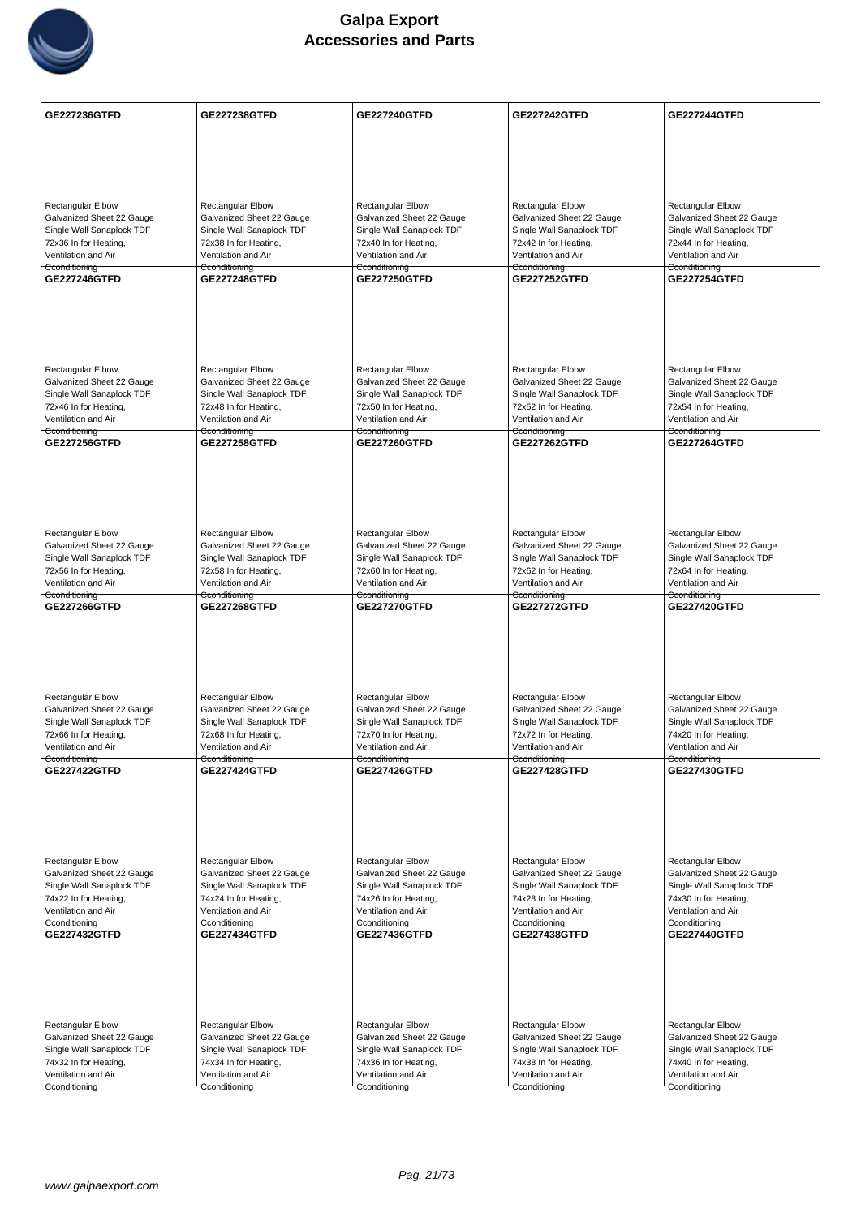

| <b>GE227236GTFD</b>                                    | <b>GE227238GTFD</b>                                    | <b>GE227240GTFD</b>                                    | <b>GE227242GTFD</b>                                    | <b>GE227244GTFD</b>                                    |
|--------------------------------------------------------|--------------------------------------------------------|--------------------------------------------------------|--------------------------------------------------------|--------------------------------------------------------|
|                                                        |                                                        |                                                        |                                                        |                                                        |
|                                                        |                                                        |                                                        |                                                        |                                                        |
|                                                        |                                                        |                                                        |                                                        |                                                        |
|                                                        |                                                        |                                                        | <b>Rectangular Elbow</b>                               | <b>Rectangular Elbow</b>                               |
| <b>Rectangular Elbow</b><br>Galvanized Sheet 22 Gauge  | <b>Rectangular Elbow</b><br>Galvanized Sheet 22 Gauge  | <b>Rectangular Elbow</b><br>Galvanized Sheet 22 Gauge  | Galvanized Sheet 22 Gauge                              | Galvanized Sheet 22 Gauge                              |
| Single Wall Sanaplock TDF                              | Single Wall Sanaplock TDF                              | Single Wall Sanaplock TDF                              | Single Wall Sanaplock TDF                              | Single Wall Sanaplock TDF                              |
| 72x36 In for Heating,                                  | 72x38 In for Heating,                                  | 72x40 In for Heating,                                  | 72x42 In for Heating,                                  | 72x44 In for Heating,                                  |
| Ventilation and Air<br>Cconditioning                   | Ventilation and Air<br>Cconditioning                   | Ventilation and Air<br>Cconditioning                   | Ventilation and Air<br>Cconditioning                   | Ventilation and Air<br>Cconditioning                   |
| <b>GE227246GTFD</b>                                    | <b>GE227248GTFD</b>                                    | <b>GE227250GTFD</b>                                    | <b>GE227252GTFD</b>                                    | <b>GE227254GTFD</b>                                    |
|                                                        |                                                        |                                                        |                                                        |                                                        |
|                                                        |                                                        |                                                        |                                                        |                                                        |
|                                                        |                                                        |                                                        |                                                        |                                                        |
|                                                        |                                                        |                                                        |                                                        |                                                        |
|                                                        |                                                        |                                                        |                                                        |                                                        |
| <b>Rectangular Elbow</b><br>Galvanized Sheet 22 Gauge  | <b>Rectangular Elbow</b><br>Galvanized Sheet 22 Gauge  | <b>Rectangular Elbow</b><br>Galvanized Sheet 22 Gauge  | <b>Rectangular Elbow</b><br>Galvanized Sheet 22 Gauge  | <b>Rectangular Elbow</b><br>Galvanized Sheet 22 Gauge  |
| Single Wall Sanaplock TDF                              | Single Wall Sanaplock TDF                              | Single Wall Sanaplock TDF                              | Single Wall Sanaplock TDF                              | Single Wall Sanaplock TDF                              |
| 72x46 In for Heating,                                  | 72x48 In for Heating,                                  | 72x50 In for Heating,                                  | 72x52 In for Heating,                                  | 72x54 In for Heating,                                  |
| Ventilation and Air<br>Cconditioning                   | Ventilation and Air<br>Cconditioning                   | Ventilation and Air<br>Cconditioning                   | Ventilation and Air<br>Cconditioning                   | Ventilation and Air<br>Cconditioning                   |
| <b>GE227256GTFD</b>                                    | <b>GE227258GTFD</b>                                    | <b>GE227260GTFD</b>                                    | <b>GE227262GTFD</b>                                    | <b>GE227264GTFD</b>                                    |
|                                                        |                                                        |                                                        |                                                        |                                                        |
|                                                        |                                                        |                                                        |                                                        |                                                        |
|                                                        |                                                        |                                                        |                                                        |                                                        |
|                                                        |                                                        |                                                        |                                                        |                                                        |
|                                                        |                                                        |                                                        |                                                        |                                                        |
| <b>Rectangular Elbow</b><br>Galvanized Sheet 22 Gauge  | Rectangular Elbow<br>Galvanized Sheet 22 Gauge         | Rectangular Elbow<br>Galvanized Sheet 22 Gauge         | Rectangular Elbow<br>Galvanized Sheet 22 Gauge         | Rectangular Elbow<br>Galvanized Sheet 22 Gauge         |
| Single Wall Sanaplock TDF                              | Single Wall Sanaplock TDF                              | Single Wall Sanaplock TDF                              | Single Wall Sanaplock TDF                              | Single Wall Sanaplock TDF                              |
| 72x56 In for Heating,                                  | 72x58 In for Heating,                                  | 72x60 In for Heating,                                  | 72x62 In for Heating,                                  | 72x64 In for Heating,                                  |
| Ventilation and Air                                    | Ventilation and Air                                    | Ventilation and Air                                    | Ventilation and Air                                    | Ventilation and Air                                    |
| Cconditioning<br><b>GE227266GTFD</b>                   | Cconditioning<br><b>GE227268GTFD</b>                   | Cconditioning<br><b>GE227270GTFD</b>                   | Cconditioning<br><b>GE227272GTFD</b>                   | Cconditioning<br><b>GE227420GTFD</b>                   |
|                                                        |                                                        |                                                        |                                                        |                                                        |
|                                                        |                                                        |                                                        |                                                        |                                                        |
|                                                        |                                                        |                                                        |                                                        |                                                        |
|                                                        |                                                        |                                                        |                                                        |                                                        |
|                                                        |                                                        |                                                        |                                                        |                                                        |
| <b>Rectangular Elbow</b><br>Galvanized Sheet 22 Gauge  | Rectangular Elbow<br>Galvanized Sheet 22 Gauge         | <b>Rectangular Elbow</b><br>Galvanized Sheet 22 Gauge  | <b>Rectangular Elbow</b><br>Galvanized Sheet 22 Gauge  | <b>Rectangular Elbow</b><br>Galvanized Sheet 22 Gauge  |
| Single Wall Sanaplock TDF                              | Single Wall Sanaplock TDF                              | Single Wall Sanaplock TDF                              | Single Wall Sanaplock TDF                              | Single Wall Sanaplock TDF                              |
| 72x66 In for Heating,                                  | 72x68 In for Heating,                                  | 72x70 In for Heating,                                  | 72x72 In for Heating,                                  | 74x20 In for Heating,                                  |
| Ventilation and Air<br>Cconditioning                   | Ventilation and Air<br>Cconditioning                   | Ventilation and Air<br>Cconditioning                   | Ventilation and Air<br>Cconditioning                   | Ventilation and Air<br>Cconditioning                   |
| <b>GE227422GTFD</b>                                    | <b>GE227424GTFD</b>                                    | <b>GE227426GTFD</b>                                    | <b>GE227428GTFD</b>                                    | GE227430GTFD                                           |
|                                                        |                                                        |                                                        |                                                        |                                                        |
|                                                        |                                                        |                                                        |                                                        |                                                        |
|                                                        |                                                        |                                                        |                                                        |                                                        |
|                                                        |                                                        |                                                        |                                                        |                                                        |
|                                                        |                                                        |                                                        |                                                        |                                                        |
| Rectangular Elbow<br>Galvanized Sheet 22 Gauge         | Rectangular Elbow<br>Galvanized Sheet 22 Gauge         | Rectangular Elbow<br>Galvanized Sheet 22 Gauge         | Rectangular Elbow<br>Galvanized Sheet 22 Gauge         | <b>Rectangular Elbow</b><br>Galvanized Sheet 22 Gauge  |
| Single Wall Sanaplock TDF                              | Single Wall Sanaplock TDF                              | Single Wall Sanaplock TDF                              | Single Wall Sanaplock TDF                              | Single Wall Sanaplock TDF                              |
| 74x22 In for Heating,                                  | 74x24 In for Heating,                                  | 74x26 In for Heating,                                  | 74x28 In for Heating,                                  | 74x30 In for Heating,                                  |
| Ventilation and Air                                    | Ventilation and Air                                    | Ventilation and Air                                    | Ventilation and Air                                    | Ventilation and Air                                    |
| Cconditioning<br>GE227432GTFD                          | Cconditioning<br><b>GE227434GTFD</b>                   | Cconditioning<br>GE227436GTFD                          | Cconditioning<br>GE227438GTFD                          | Cconditioning<br><b>GE227440GTFD</b>                   |
|                                                        |                                                        |                                                        |                                                        |                                                        |
|                                                        |                                                        |                                                        |                                                        |                                                        |
|                                                        |                                                        |                                                        |                                                        |                                                        |
|                                                        |                                                        |                                                        |                                                        |                                                        |
|                                                        |                                                        |                                                        |                                                        |                                                        |
| Rectangular Elbow                                      | Rectangular Elbow                                      | <b>Rectangular Elbow</b>                               | <b>Rectangular Elbow</b>                               | Rectangular Elbow                                      |
| Galvanized Sheet 22 Gauge<br>Single Wall Sanaplock TDF | Galvanized Sheet 22 Gauge<br>Single Wall Sanaplock TDF | Galvanized Sheet 22 Gauge<br>Single Wall Sanaplock TDF | Galvanized Sheet 22 Gauge<br>Single Wall Sanaplock TDF | Galvanized Sheet 22 Gauge<br>Single Wall Sanaplock TDF |
| 74x32 In for Heating,                                  | 74x34 In for Heating,                                  | 74x36 In for Heating,                                  | 74x38 In for Heating,                                  | 74x40 In for Heating,                                  |
| Ventilation and Air                                    | Ventilation and Air                                    | Ventilation and Air                                    | Ventilation and Air                                    | Ventilation and Air                                    |
| Cconditioning                                          | Cconditioning                                          | Cconditioning                                          | Cconditioning                                          | Cconditioning                                          |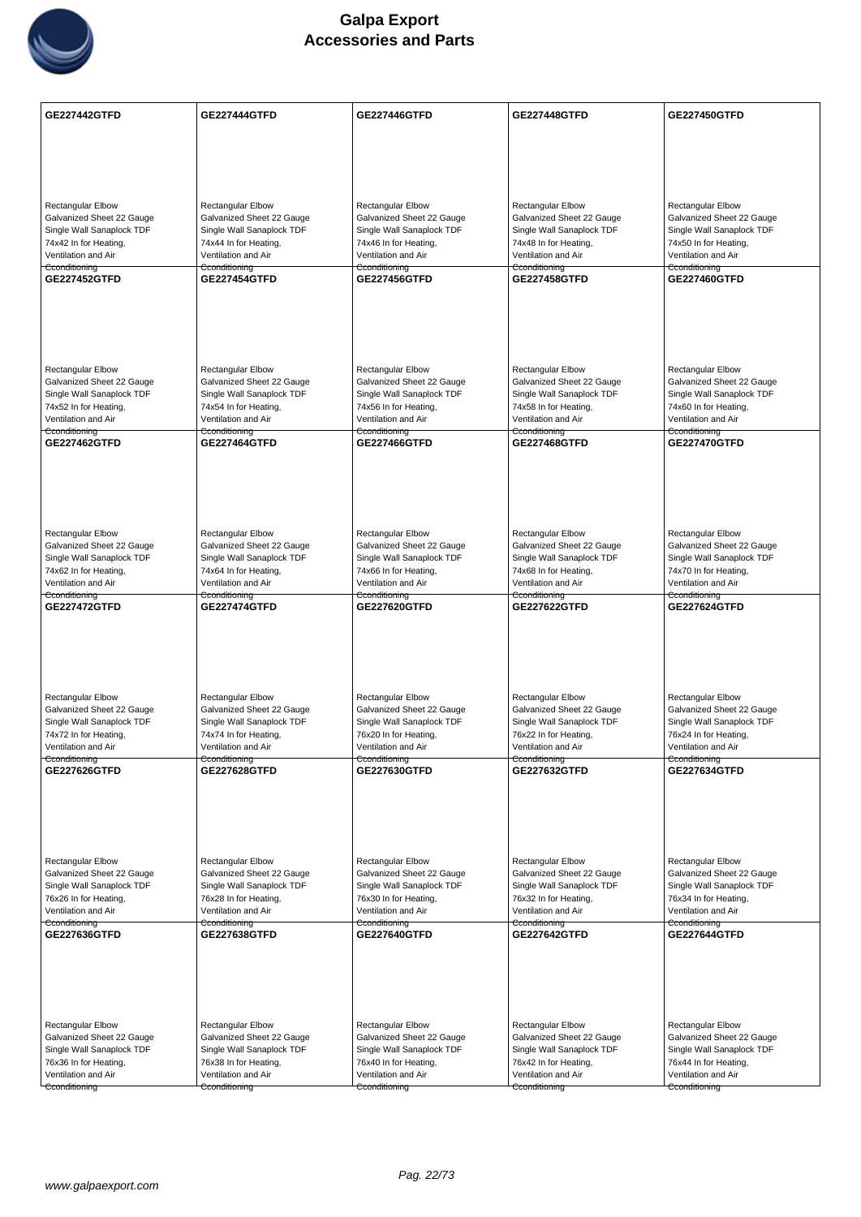

| <b>GE227442GTFD</b>                                   | <b>GE227444GTFD</b>                                | <b>GE227446GTFD</b>                                   | <b>GE227448GTFD</b>                                   | <b>GE227450GTFD</b>                                |
|-------------------------------------------------------|----------------------------------------------------|-------------------------------------------------------|-------------------------------------------------------|----------------------------------------------------|
|                                                       |                                                    |                                                       |                                                       |                                                    |
|                                                       |                                                    |                                                       |                                                       |                                                    |
|                                                       |                                                    |                                                       |                                                       |                                                    |
|                                                       |                                                    |                                                       |                                                       |                                                    |
|                                                       |                                                    |                                                       |                                                       |                                                    |
| <b>Rectangular Elbow</b><br>Galvanized Sheet 22 Gauge | Rectangular Elbow<br>Galvanized Sheet 22 Gauge     | <b>Rectangular Elbow</b><br>Galvanized Sheet 22 Gauge | <b>Rectangular Elbow</b><br>Galvanized Sheet 22 Gauge | Rectangular Elbow<br>Galvanized Sheet 22 Gauge     |
| Single Wall Sanaplock TDF                             | Single Wall Sanaplock TDF                          | Single Wall Sanaplock TDF                             | Single Wall Sanaplock TDF                             | Single Wall Sanaplock TDF                          |
| 74x42 In for Heating,                                 | 74x44 In for Heating,                              | 74x46 In for Heating,                                 | 74x48 In for Heating,                                 | 74x50 In for Heating,                              |
| Ventilation and Air                                   | Ventilation and Air                                | Ventilation and Air                                   | Ventilation and Air                                   | Ventilation and Air                                |
| Cconditioning<br><b>GE227452GTFD</b>                  | Cconditioning<br><b>GE227454GTFD</b>               | Cconditioning<br><b>GE227456GTFD</b>                  | Cconditioning<br><b>GE227458GTFD</b>                  | Cconditioning<br><b>GE227460GTFD</b>               |
|                                                       |                                                    |                                                       |                                                       |                                                    |
|                                                       |                                                    |                                                       |                                                       |                                                    |
|                                                       |                                                    |                                                       |                                                       |                                                    |
|                                                       |                                                    |                                                       |                                                       |                                                    |
|                                                       |                                                    |                                                       |                                                       |                                                    |
| <b>Rectangular Elbow</b>                              | <b>Rectangular Elbow</b>                           | <b>Rectangular Elbow</b>                              | <b>Rectangular Elbow</b>                              | Rectangular Elbow                                  |
| Galvanized Sheet 22 Gauge                             | Galvanized Sheet 22 Gauge                          | Galvanized Sheet 22 Gauge                             | Galvanized Sheet 22 Gauge                             | Galvanized Sheet 22 Gauge                          |
| Single Wall Sanaplock TDF<br>74x52 In for Heating,    | Single Wall Sanaplock TDF<br>74x54 In for Heating, | Single Wall Sanaplock TDF<br>74x56 In for Heating,    | Single Wall Sanaplock TDF<br>74x58 In for Heating,    | Single Wall Sanaplock TDF<br>74x60 In for Heating, |
| Ventilation and Air                                   | Ventilation and Air                                | Ventilation and Air                                   | Ventilation and Air                                   | Ventilation and Air                                |
| Cconditioning                                         | Cconditioning                                      | Cconditioning                                         | <del>Cconditioning</del>                              | Cconditioning                                      |
| <b>GE227462GTFD</b>                                   | <b>GE227464GTFD</b>                                | <b>GE227466GTFD</b>                                   | GE227468GTFD                                          | <b>GE227470GTFD</b>                                |
|                                                       |                                                    |                                                       |                                                       |                                                    |
|                                                       |                                                    |                                                       |                                                       |                                                    |
|                                                       |                                                    |                                                       |                                                       |                                                    |
|                                                       |                                                    |                                                       |                                                       |                                                    |
| <b>Rectangular Elbow</b>                              | Rectangular Elbow                                  | <b>Rectangular Elbow</b>                              | <b>Rectangular Elbow</b>                              | Rectangular Elbow                                  |
| Galvanized Sheet 22 Gauge                             | Galvanized Sheet 22 Gauge                          | Galvanized Sheet 22 Gauge                             | Galvanized Sheet 22 Gauge                             | Galvanized Sheet 22 Gauge                          |
| Single Wall Sanaplock TDF                             | Single Wall Sanaplock TDF                          | Single Wall Sanaplock TDF                             | Single Wall Sanaplock TDF                             | Single Wall Sanaplock TDF                          |
| 74x62 In for Heating,                                 | 74x64 In for Heating,                              | 74x66 In for Heating,                                 | 74x68 In for Heating,                                 | 74x70 In for Heating,                              |
| Ventilation and Air<br>Cconditioning                  | Ventilation and Air<br>Cconditioning               | Ventilation and Air<br>Cconditioning                  | Ventilation and Air<br>Cconditioning                  | Ventilation and Air<br>Cconditioning               |
| <b>GE227472GTFD</b>                                   | <b>GE227474GTFD</b>                                | GE227620GTFD                                          | <b>GE227622GTFD</b>                                   | <b>GE227624GTFD</b>                                |
|                                                       |                                                    |                                                       |                                                       |                                                    |
|                                                       |                                                    |                                                       |                                                       |                                                    |
|                                                       |                                                    |                                                       |                                                       |                                                    |
|                                                       |                                                    |                                                       |                                                       |                                                    |
|                                                       |                                                    |                                                       |                                                       |                                                    |
| <b>Rectangular Elbow</b><br>Galvanized Sheet 22 Gauge | Rectangular Elbow<br>Galvanized Sheet 22 Gauge     | <b>Rectangular Elbow</b><br>Galvanized Sheet 22 Gauge | Rectangular Elbow<br>Galvanized Sheet 22 Gauge        | Rectangular Elbow<br>Galvanized Sheet 22 Gauge     |
| Single Wall Sanaplock TDF                             | Single Wall Sanaplock TDF                          | Single Wall Sanaplock TDF                             | Single Wall Sanaplock TDF                             | Single Wall Sanaplock TDF                          |
| 74x72 In for Heating,                                 | 74x74 In for Heating,                              | 76x20 In for Heating,                                 | 76x22 In for Heating,                                 | 76x24 In for Heating,                              |
| Ventilation and Air                                   | Ventilation and Air                                | Ventilation and Air                                   | Ventilation and Air                                   | Ventilation and Air                                |
| Cconditioning<br>GE227626GTFD                         | Cconditioning<br><b>GE227628GTFD</b>               | Cconditioning<br>GE227630GTFD                         | Cconditioning<br>GE227632GTFD                         | Cconditioning<br>GE227634GTFD                      |
|                                                       |                                                    |                                                       |                                                       |                                                    |
|                                                       |                                                    |                                                       |                                                       |                                                    |
|                                                       |                                                    |                                                       |                                                       |                                                    |
|                                                       |                                                    |                                                       |                                                       |                                                    |
|                                                       |                                                    |                                                       |                                                       |                                                    |
| Rectangular Elbow                                     | Rectangular Elbow                                  | <b>Rectangular Elbow</b>                              | <b>Rectangular Elbow</b>                              | Rectangular Elbow                                  |
| Galvanized Sheet 22 Gauge                             | Galvanized Sheet 22 Gauge                          | Galvanized Sheet 22 Gauge                             | Galvanized Sheet 22 Gauge                             | Galvanized Sheet 22 Gauge                          |
| Single Wall Sanaplock TDF<br>76x26 In for Heating,    | Single Wall Sanaplock TDF<br>76x28 In for Heating, | Single Wall Sanaplock TDF<br>76x30 In for Heating,    | Single Wall Sanaplock TDF<br>76x32 In for Heating,    | Single Wall Sanaplock TDF<br>76x34 In for Heating, |
| Ventilation and Air                                   | Ventilation and Air                                | Ventilation and Air                                   | Ventilation and Air                                   | Ventilation and Air                                |
| Cconditioning                                         | Cconditioning                                      | Cconditioning                                         | Cconditioning                                         | Cconditioning                                      |
| GE227636GTFD                                          | <b>GE227638GTFD</b>                                | GE227640GTFD                                          | GE227642GTFD                                          | <b>GE227644GTFD</b>                                |
|                                                       |                                                    |                                                       |                                                       |                                                    |
|                                                       |                                                    |                                                       |                                                       |                                                    |
|                                                       |                                                    |                                                       |                                                       |                                                    |
|                                                       |                                                    |                                                       |                                                       |                                                    |
| <b>Rectangular Elbow</b>                              | Rectangular Elbow                                  | Rectangular Elbow                                     | Rectangular Elbow                                     | Rectangular Elbow                                  |
| Galvanized Sheet 22 Gauge                             | Galvanized Sheet 22 Gauge                          | Galvanized Sheet 22 Gauge                             | Galvanized Sheet 22 Gauge                             | Galvanized Sheet 22 Gauge                          |
| Single Wall Sanaplock TDF                             | Single Wall Sanaplock TDF                          | Single Wall Sanaplock TDF                             | Single Wall Sanaplock TDF                             | Single Wall Sanaplock TDF                          |
| 76x36 In for Heating,                                 | 76x38 In for Heating,                              | 76x40 In for Heating,                                 | 76x42 In for Heating,                                 | 76x44 In for Heating,                              |
| Ventilation and Air<br>Cconditioning                  | Ventilation and Air<br>Cconditioning               | Ventilation and Air<br>Cconditioning                  | Ventilation and Air<br>Cconditioning                  | Ventilation and Air<br>Cconditioning               |
|                                                       |                                                    |                                                       |                                                       |                                                    |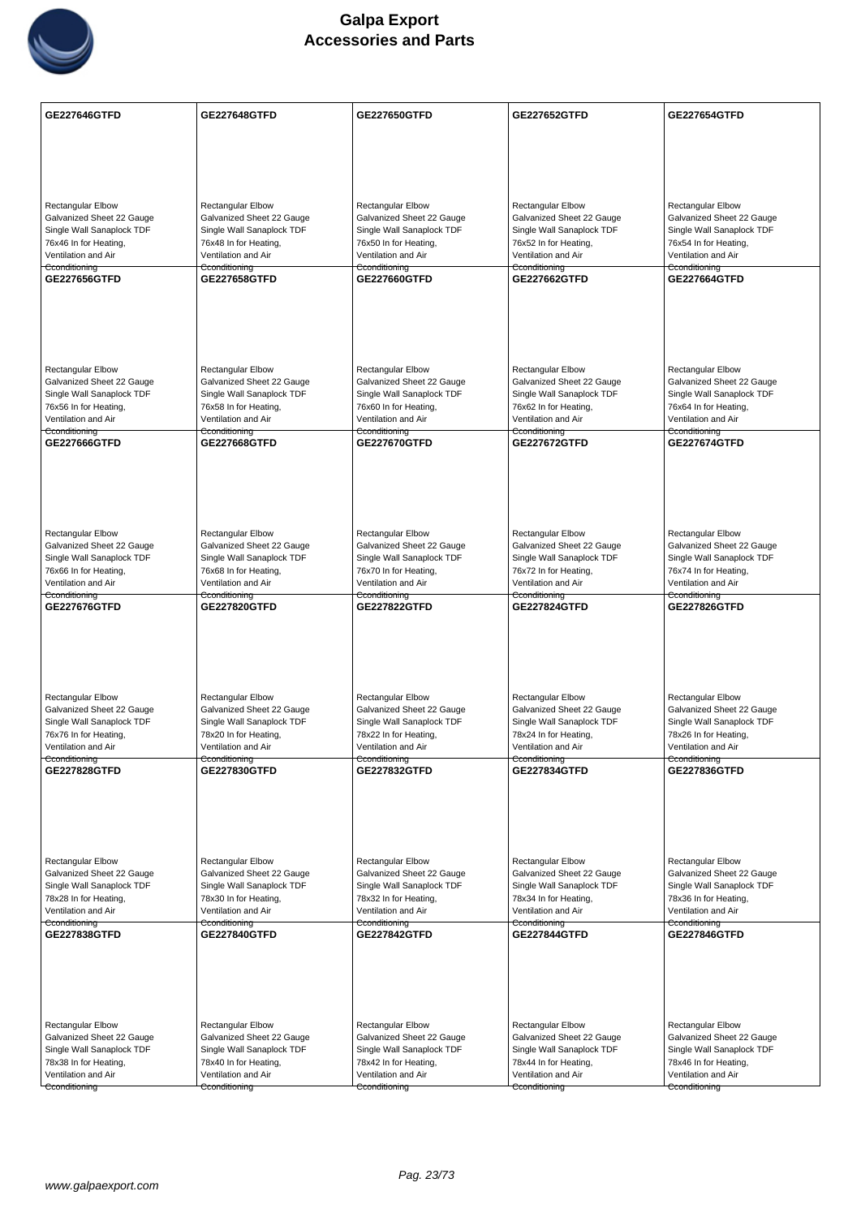

| <b>GE227646GTFD</b>                                   | <b>GE227648GTFD</b>                                    | <b>GE227650GTFD</b>                                    | <b>GE227652GTFD</b>                                    | GE227654GTFD                                       |
|-------------------------------------------------------|--------------------------------------------------------|--------------------------------------------------------|--------------------------------------------------------|----------------------------------------------------|
|                                                       |                                                        |                                                        |                                                        |                                                    |
|                                                       |                                                        |                                                        |                                                        |                                                    |
|                                                       |                                                        |                                                        |                                                        |                                                    |
| <b>Rectangular Elbow</b>                              | <b>Rectangular Elbow</b>                               | Rectangular Elbow                                      | <b>Rectangular Elbow</b>                               | Rectangular Elbow                                  |
| Galvanized Sheet 22 Gauge                             | Galvanized Sheet 22 Gauge                              | Galvanized Sheet 22 Gauge                              | Galvanized Sheet 22 Gauge                              | Galvanized Sheet 22 Gauge                          |
| Single Wall Sanaplock TDF                             | Single Wall Sanaplock TDF                              | Single Wall Sanaplock TDF                              | Single Wall Sanaplock TDF                              | Single Wall Sanaplock TDF                          |
| 76x46 In for Heating,<br>Ventilation and Air          | 76x48 In for Heating,<br>Ventilation and Air           | 76x50 In for Heating,<br>Ventilation and Air           | 76x52 In for Heating,<br>Ventilation and Air           | 76x54 In for Heating,<br>Ventilation and Air       |
| Cconditioning<br>GE227656GTFD                         | Cconditioning<br><b>GE227658GTFD</b>                   | Cconditioning<br>GE227660GTFD                          | Cconditioning<br><b>GE227662GTFD</b>                   | Cconditioning<br>GE227664GTFD                      |
|                                                       |                                                        |                                                        |                                                        |                                                    |
|                                                       |                                                        |                                                        |                                                        |                                                    |
|                                                       |                                                        |                                                        |                                                        |                                                    |
|                                                       |                                                        |                                                        |                                                        |                                                    |
| <b>Rectangular Elbow</b>                              | <b>Rectangular Elbow</b>                               | <b>Rectangular Elbow</b>                               | <b>Rectangular Elbow</b>                               | Rectangular Elbow                                  |
| Galvanized Sheet 22 Gauge                             | Galvanized Sheet 22 Gauge                              | Galvanized Sheet 22 Gauge                              | Galvanized Sheet 22 Gauge                              | Galvanized Sheet 22 Gauge                          |
| Single Wall Sanaplock TDF<br>76x56 In for Heating,    | Single Wall Sanaplock TDF<br>76x58 In for Heating,     | Single Wall Sanaplock TDF<br>76x60 In for Heating,     | Single Wall Sanaplock TDF<br>76x62 In for Heating,     | Single Wall Sanaplock TDF<br>76x64 In for Heating, |
| Ventilation and Air                                   | Ventilation and Air                                    | Ventilation and Air                                    | Ventilation and Air                                    | Ventilation and Air                                |
| Cconditioning<br>GE227666GTFD                         | Cconditioning<br><b>GE227668GTFD</b>                   | Cconditioning<br>GE227670GTFD                          | Cconditioning<br><b>GE227672GTFD</b>                   | Cconditioning<br><b>GE227674GTFD</b>               |
|                                                       |                                                        |                                                        |                                                        |                                                    |
|                                                       |                                                        |                                                        |                                                        |                                                    |
|                                                       |                                                        |                                                        |                                                        |                                                    |
|                                                       |                                                        |                                                        |                                                        |                                                    |
| <b>Rectangular Elbow</b><br>Galvanized Sheet 22 Gauge | <b>Rectangular Elbow</b><br>Galvanized Sheet 22 Gauge  | <b>Rectangular Elbow</b><br>Galvanized Sheet 22 Gauge  | <b>Rectangular Elbow</b><br>Galvanized Sheet 22 Gauge  | Rectangular Elbow<br>Galvanized Sheet 22 Gauge     |
| Single Wall Sanaplock TDF                             | Single Wall Sanaplock TDF                              | Single Wall Sanaplock TDF                              | Single Wall Sanaplock TDF                              | Single Wall Sanaplock TDF                          |
| 76x66 In for Heating,                                 | 76x68 In for Heating,                                  | 76x70 In for Heating,                                  | 76x72 In for Heating,                                  | 76x74 In for Heating,                              |
| Ventilation and Air<br>Cconditioning                  | Ventilation and Air<br>Cconditioning                   | Ventilation and Air<br>Cconditioning                   | Ventilation and Air<br>Cconditioning                   | Ventilation and Air<br>Cconditioning               |
| GE227676GTFD                                          | <b>GE227820GTFD</b>                                    | <b>GE227822GTFD</b>                                    | <b>GE227824GTFD</b>                                    | <b>GE227826GTFD</b>                                |
|                                                       |                                                        |                                                        |                                                        |                                                    |
|                                                       |                                                        |                                                        |                                                        |                                                    |
|                                                       |                                                        |                                                        |                                                        |                                                    |
| Rectangular Elbow                                     | Rectangular Elbow                                      | <b>Rectangular Elbow</b>                               | Rectangular Elbow                                      | Rectangular Elbow                                  |
| Galvanized Sheet 22 Gauge                             | Galvanized Sheet 22 Gauge                              | Galvanized Sheet 22 Gauge                              | Galvanized Sheet 22 Gauge                              | Galvanized Sheet 22 Gauge                          |
| Single Wall Sanaplock TDF                             | Single Wall Sanaplock TDF<br>78x20 In for Heating,     | Single Wall Sanaplock TDF                              | Single Wall Sanaplock TDF<br>78x24 In for Heating,     | Single Wall Sanaplock TDF<br>78x26 In for Heating, |
| 76x76 In for Heating,<br>Ventilation and Air          | Ventilation and Air                                    | 78x22 In for Heating,<br>Ventilation and Air           | Ventilation and Air                                    | Ventilation and Air                                |
| Cconditioning<br><b>GE227828GTFD</b>                  | Cconditioning<br><b>GE227830GTFD</b>                   | Cconditioning<br><b>GE227832GTFD</b>                   | Cconditioning<br><b>GE227834GTFD</b>                   | Cconditioning<br>GE227836GTFD                      |
|                                                       |                                                        |                                                        |                                                        |                                                    |
|                                                       |                                                        |                                                        |                                                        |                                                    |
|                                                       |                                                        |                                                        |                                                        |                                                    |
|                                                       |                                                        |                                                        |                                                        |                                                    |
| Rectangular Elbow<br>Galvanized Sheet 22 Gauge        | Rectangular Elbow                                      | <b>Rectangular Elbow</b>                               | Rectangular Elbow                                      | Rectangular Elbow<br>Galvanized Sheet 22 Gauge     |
| Single Wall Sanaplock TDF                             | Galvanized Sheet 22 Gauge<br>Single Wall Sanaplock TDF | Galvanized Sheet 22 Gauge<br>Single Wall Sanaplock TDF | Galvanized Sheet 22 Gauge<br>Single Wall Sanaplock TDF | Single Wall Sanaplock TDF                          |
| 78x28 In for Heating,                                 | 78x30 In for Heating,                                  | 78x32 In for Heating,                                  | 78x34 In for Heating,                                  | 78x36 In for Heating,                              |
| Ventilation and Air<br>Cconditioning                  | Ventilation and Air<br>Cconditioning                   | Ventilation and Air<br>Cconditioning                   | Ventilation and Air<br>Cconditioning                   | Ventilation and Air<br>Cconditioning               |
| <b>GE227838GTFD</b>                                   | <b>GE227840GTFD</b>                                    | <b>GE227842GTFD</b>                                    | <b>GE227844GTFD</b>                                    | GE227846GTFD                                       |
|                                                       |                                                        |                                                        |                                                        |                                                    |
|                                                       |                                                        |                                                        |                                                        |                                                    |
|                                                       |                                                        |                                                        |                                                        |                                                    |
| Rectangular Elbow                                     | <b>Rectangular Elbow</b>                               | <b>Rectangular Elbow</b>                               | Rectangular Elbow                                      | Rectangular Elbow                                  |
| Galvanized Sheet 22 Gauge                             | Galvanized Sheet 22 Gauge                              | Galvanized Sheet 22 Gauge                              | Galvanized Sheet 22 Gauge                              | Galvanized Sheet 22 Gauge                          |
| Single Wall Sanaplock TDF                             | Single Wall Sanaplock TDF                              | Single Wall Sanaplock TDF                              | Single Wall Sanaplock TDF                              | Single Wall Sanaplock TDF                          |
| 78x38 In for Heating,<br>Ventilation and Air          | 78x40 In for Heating,<br>Ventilation and Air           | 78x42 In for Heating,<br>Ventilation and Air           | 78x44 In for Heating,<br>Ventilation and Air           | 78x46 In for Heating,<br>Ventilation and Air       |
| Cconditioning                                         | Cconditioning                                          | Cconditioning                                          | Cconditioning                                          | Cconditioning                                      |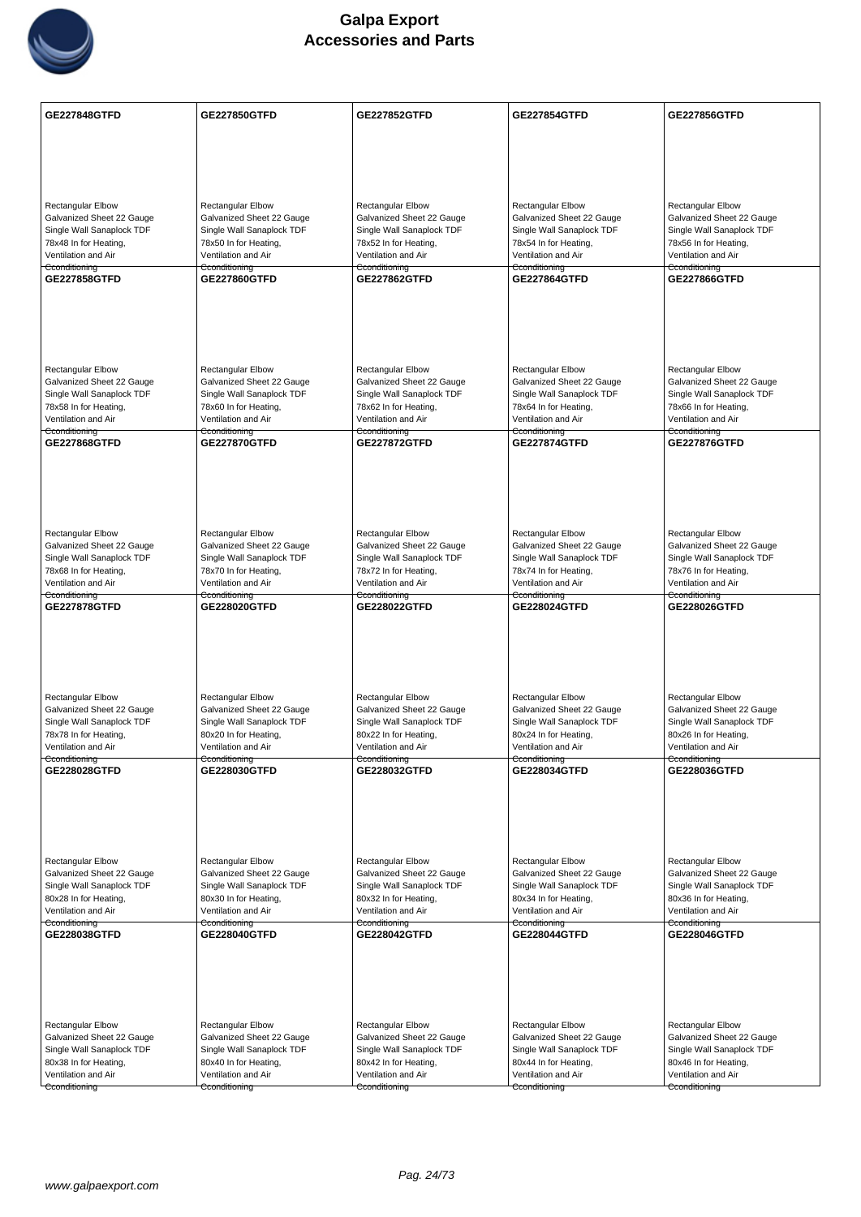

| <b>GE227848GTFD</b>                                    | GE227850GTFD                                           | <b>GE227852GTFD</b>                                    | GE227854GTFD                                           | GE227856GTFD                                           |
|--------------------------------------------------------|--------------------------------------------------------|--------------------------------------------------------|--------------------------------------------------------|--------------------------------------------------------|
|                                                        |                                                        |                                                        |                                                        |                                                        |
|                                                        |                                                        |                                                        |                                                        |                                                        |
|                                                        |                                                        |                                                        |                                                        |                                                        |
| <b>Rectangular Elbow</b>                               | <b>Rectangular Elbow</b>                               | Rectangular Elbow                                      | <b>Rectangular Elbow</b>                               | Rectangular Elbow                                      |
| Galvanized Sheet 22 Gauge                              | Galvanized Sheet 22 Gauge                              | Galvanized Sheet 22 Gauge                              | Galvanized Sheet 22 Gauge                              | Galvanized Sheet 22 Gauge                              |
| Single Wall Sanaplock TDF<br>78x48 In for Heating,     | Single Wall Sanaplock TDF<br>78x50 In for Heating,     | Single Wall Sanaplock TDF<br>78x52 In for Heating,     | Single Wall Sanaplock TDF<br>78x54 In for Heating,     | Single Wall Sanaplock TDF<br>78x56 In for Heating,     |
| Ventilation and Air                                    | Ventilation and Air                                    | Ventilation and Air                                    | Ventilation and Air                                    | Ventilation and Air                                    |
| Cconditioning<br>GE227858GTFD                          | Cconditioning<br><b>GE227860GTFD</b>                   | Cconditioning<br><b>GE227862GTFD</b>                   | Cconditioning<br><b>GE227864GTFD</b>                   | Cconditioning<br>GE227866GTFD                          |
|                                                        |                                                        |                                                        |                                                        |                                                        |
|                                                        |                                                        |                                                        |                                                        |                                                        |
|                                                        |                                                        |                                                        |                                                        |                                                        |
|                                                        |                                                        |                                                        |                                                        |                                                        |
| <b>Rectangular Elbow</b><br>Galvanized Sheet 22 Gauge  | <b>Rectangular Elbow</b><br>Galvanized Sheet 22 Gauge  | <b>Rectangular Elbow</b><br>Galvanized Sheet 22 Gauge  | <b>Rectangular Elbow</b><br>Galvanized Sheet 22 Gauge  | <b>Rectangular Elbow</b><br>Galvanized Sheet 22 Gauge  |
| Single Wall Sanaplock TDF                              | Single Wall Sanaplock TDF                              | Single Wall Sanaplock TDF                              | Single Wall Sanaplock TDF                              | Single Wall Sanaplock TDF                              |
| 78x58 In for Heating,<br>Ventilation and Air           | 78x60 In for Heating,<br>Ventilation and Air           | 78x62 In for Heating,<br>Ventilation and Air           | 78x64 In for Heating,<br>Ventilation and Air           | 78x66 In for Heating,<br>Ventilation and Air           |
| Cconditioning<br>GE227868GTFD                          | Cconditioning<br><b>GE227870GTFD</b>                   | Cconditioning<br><b>GE227872GTFD</b>                   | Cconditioning<br><b>GE227874GTFD</b>                   | Cconditioning<br><b>GE227876GTFD</b>                   |
|                                                        |                                                        |                                                        |                                                        |                                                        |
|                                                        |                                                        |                                                        |                                                        |                                                        |
|                                                        |                                                        |                                                        |                                                        |                                                        |
|                                                        |                                                        |                                                        |                                                        |                                                        |
| Rectangular Elbow                                      | <b>Rectangular Elbow</b>                               | <b>Rectangular Elbow</b>                               | <b>Rectangular Elbow</b>                               | <b>Rectangular Elbow</b>                               |
| Galvanized Sheet 22 Gauge<br>Single Wall Sanaplock TDF | Galvanized Sheet 22 Gauge<br>Single Wall Sanaplock TDF | Galvanized Sheet 22 Gauge<br>Single Wall Sanaplock TDF | Galvanized Sheet 22 Gauge<br>Single Wall Sanaplock TDF | Galvanized Sheet 22 Gauge<br>Single Wall Sanaplock TDF |
| 78x68 In for Heating,<br>Ventilation and Air           | 78x70 In for Heating,<br>Ventilation and Air           | 78x72 In for Heating,<br>Ventilation and Air           | 78x74 In for Heating,<br>Ventilation and Air           | 78x76 In for Heating,<br>Ventilation and Air           |
| Cconditioning                                          | Cconditioning                                          | Cconditioning                                          | Cconditioning                                          | Cconditioning                                          |
| <b>GE227878GTFD</b>                                    | GE228020GTFD                                           | GE228022GTFD                                           | GE228024GTFD                                           | <b>GE228026GTFD</b>                                    |
|                                                        |                                                        |                                                        |                                                        |                                                        |
|                                                        |                                                        |                                                        |                                                        |                                                        |
|                                                        |                                                        |                                                        |                                                        |                                                        |
| Rectangular Elbow                                      | Rectangular Elbow                                      | <b>Rectangular Elbow</b>                               | Rectangular Elbow                                      | Rectangular Elbow                                      |
| Galvanized Sheet 22 Gauge<br>Single Wall Sanaplock TDF | Galvanized Sheet 22 Gauge<br>Single Wall Sanaplock TDF | Galvanized Sheet 22 Gauge<br>Single Wall Sanaplock TDF | Galvanized Sheet 22 Gauge<br>Single Wall Sanaplock TDF | Galvanized Sheet 22 Gauge<br>Single Wall Sanaplock TDF |
| 78x78 In for Heating,                                  | 80x20 In for Heating,                                  | 80x22 In for Heating,                                  | 80x24 In for Heating,                                  | 80x26 In for Heating,                                  |
| Ventilation and Air<br>Cconditioning                   | Ventilation and Air<br>Cconditioning                   | Ventilation and Air<br>Cconditioning                   | Ventilation and Air<br>Cconditioning                   | Ventilation and Air<br>Cconditioning                   |
| GE228028GTFD                                           | GE228030GTFD                                           | GE228032GTFD                                           | GE228034GTFD                                           | GE228036GTFD                                           |
|                                                        |                                                        |                                                        |                                                        |                                                        |
|                                                        |                                                        |                                                        |                                                        |                                                        |
|                                                        |                                                        |                                                        |                                                        |                                                        |
| Rectangular Elbow                                      | Rectangular Elbow                                      | <b>Rectangular Elbow</b>                               | <b>Rectangular Elbow</b>                               | Rectangular Elbow                                      |
| Galvanized Sheet 22 Gauge                              | Galvanized Sheet 22 Gauge                              | Galvanized Sheet 22 Gauge                              | Galvanized Sheet 22 Gauge                              | Galvanized Sheet 22 Gauge                              |
| Single Wall Sanaplock TDF<br>80x28 In for Heating,     | Single Wall Sanaplock TDF<br>80x30 In for Heating,     | Single Wall Sanaplock TDF<br>80x32 In for Heating,     | Single Wall Sanaplock TDF<br>80x34 In for Heating,     | Single Wall Sanaplock TDF<br>80x36 In for Heating,     |
| Ventilation and Air<br>Cconditioning                   | Ventilation and Air                                    | Ventilation and Air                                    | Ventilation and Air                                    | Ventilation and Air                                    |
| GE228038GTFD                                           | Cconditioning<br>GE228040GTFD                          | Cconditioning<br>GE228042GTFD                          | Cconditioning<br>GE228044GTFD                          | Cconditioning<br>GE228046GTFD                          |
|                                                        |                                                        |                                                        |                                                        |                                                        |
|                                                        |                                                        |                                                        |                                                        |                                                        |
|                                                        |                                                        |                                                        |                                                        |                                                        |
|                                                        |                                                        |                                                        |                                                        |                                                        |
| Rectangular Elbow<br>Galvanized Sheet 22 Gauge         | <b>Rectangular Elbow</b><br>Galvanized Sheet 22 Gauge  | Rectangular Elbow<br>Galvanized Sheet 22 Gauge         | Rectangular Elbow<br>Galvanized Sheet 22 Gauge         | Rectangular Elbow<br>Galvanized Sheet 22 Gauge         |
| Single Wall Sanaplock TDF                              | Single Wall Sanaplock TDF                              | Single Wall Sanaplock TDF                              | Single Wall Sanaplock TDF                              | Single Wall Sanaplock TDF                              |
| 80x38 In for Heating,<br>Ventilation and Air           | 80x40 In for Heating,<br>Ventilation and Air           | 80x42 In for Heating,<br>Ventilation and Air           | 80x44 In for Heating,<br>Ventilation and Air           | 80x46 In for Heating,<br>Ventilation and Air           |
| Cconditioning                                          | Cconditioning                                          | Cconditioning                                          | Cconditioning                                          | Cconditioning                                          |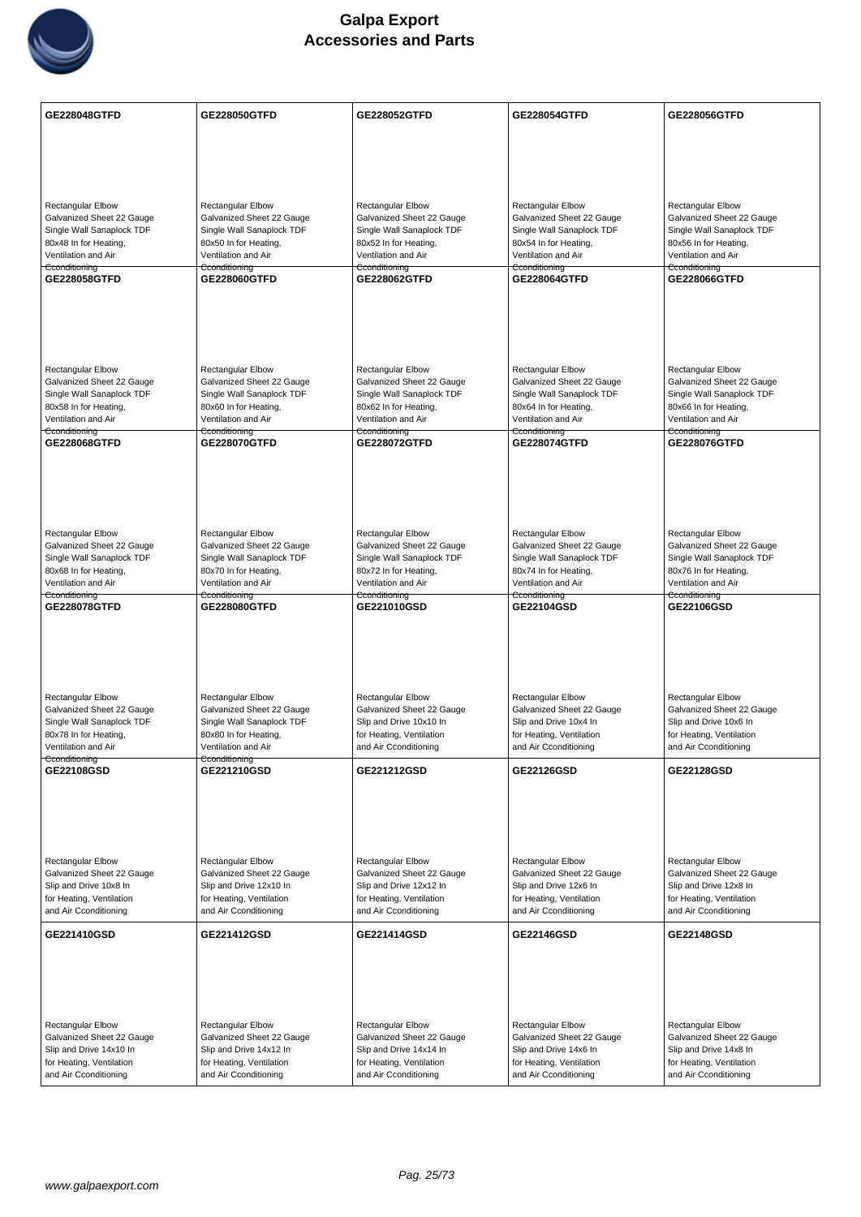

| GE228048GTFD                                                                                                                                        | <b>GE228050GTFD</b>                                                                                                                                 | <b>GE228052GTFD</b>                                                                                                                   | <b>GE228054GTFD</b>                                                                                                                  | GE228056GTFD                                                                                                                         |
|-----------------------------------------------------------------------------------------------------------------------------------------------------|-----------------------------------------------------------------------------------------------------------------------------------------------------|---------------------------------------------------------------------------------------------------------------------------------------|--------------------------------------------------------------------------------------------------------------------------------------|--------------------------------------------------------------------------------------------------------------------------------------|
|                                                                                                                                                     |                                                                                                                                                     |                                                                                                                                       |                                                                                                                                      |                                                                                                                                      |
|                                                                                                                                                     |                                                                                                                                                     |                                                                                                                                       |                                                                                                                                      |                                                                                                                                      |
| <b>Rectangular Elbow</b><br>Galvanized Sheet 22 Gauge<br>Single Wall Sanaplock TDF<br>80x48 In for Heating,<br>Ventilation and Air                  | <b>Rectangular Elbow</b><br>Galvanized Sheet 22 Gauge<br>Single Wall Sanaplock TDF<br>80x50 In for Heating,<br>Ventilation and Air                  | Rectangular Elbow<br>Galvanized Sheet 22 Gauge<br>Single Wall Sanaplock TDF<br>80x52 In for Heating,<br>Ventilation and Air           | <b>Rectangular Elbow</b><br>Galvanized Sheet 22 Gauge<br>Single Wall Sanaplock TDF<br>80x54 In for Heating,<br>Ventilation and Air   | <b>Rectangular Elbow</b><br>Galvanized Sheet 22 Gauge<br>Single Wall Sanaplock TDF<br>80x56 In for Heating,<br>Ventilation and Air   |
| Cconditioning<br>GE228058GTFD                                                                                                                       | Cconditioning<br>GE228060GTFD                                                                                                                       | Cconditioning<br>GE228062GTFD                                                                                                         | Cconditioning<br>GE228064GTFD                                                                                                        | Cconditioning<br>GE228066GTFD                                                                                                        |
|                                                                                                                                                     |                                                                                                                                                     |                                                                                                                                       |                                                                                                                                      |                                                                                                                                      |
| <b>Rectangular Elbow</b><br>Galvanized Sheet 22 Gauge<br>Single Wall Sanaplock TDF<br>80x58 In for Heating,<br>Ventilation and Air                  | <b>Rectangular Elbow</b><br>Galvanized Sheet 22 Gauge<br>Single Wall Sanaplock TDF<br>80x60 In for Heating,<br>Ventilation and Air                  | <b>Rectangular Elbow</b><br>Galvanized Sheet 22 Gauge<br>Single Wall Sanaplock TDF<br>80x62 In for Heating,<br>Ventilation and Air    | <b>Rectangular Elbow</b><br>Galvanized Sheet 22 Gauge<br>Single Wall Sanaplock TDF<br>80x64 In for Heating,<br>Ventilation and Air   | <b>Rectangular Elbow</b><br>Galvanized Sheet 22 Gauge<br>Single Wall Sanaplock TDF<br>80x66 In for Heating,<br>Ventilation and Air   |
| Cconditioning                                                                                                                                       | Cconditioning                                                                                                                                       | Cconditioning                                                                                                                         | Cconditioning                                                                                                                        | Cconditioning                                                                                                                        |
| GE228068GTFD                                                                                                                                        | GE228070GTFD                                                                                                                                        | <b>GE228072GTFD</b>                                                                                                                   | <b>GE228074GTFD</b>                                                                                                                  | <b>GE228076GTFD</b>                                                                                                                  |
| Rectangular Elbow<br>Galvanized Sheet 22 Gauge<br>Single Wall Sanaplock TDF<br>80x68 In for Heating,<br>Ventilation and Air                         | Rectangular Elbow<br>Galvanized Sheet 22 Gauge<br>Single Wall Sanaplock TDF<br>80x70 In for Heating,<br>Ventilation and Air                         | Rectangular Elbow<br>Galvanized Sheet 22 Gauge<br>Single Wall Sanaplock TDF<br>80x72 In for Heating,<br>Ventilation and Air           | Rectangular Elbow<br>Galvanized Sheet 22 Gauge<br>Single Wall Sanaplock TDF<br>80x74 In for Heating,<br>Ventilation and Air          | Rectangular Elbow<br>Galvanized Sheet 22 Gauge<br>Single Wall Sanaplock TDF<br>80x76 In for Heating,<br>Ventilation and Air          |
| Cconditioning<br><b>GE228078GTFD</b>                                                                                                                | Cconditioning<br><b>GE228080GTFD</b>                                                                                                                | Cconditioning<br>GE221010GSD                                                                                                          | Cconditioning<br>GE22104GSD                                                                                                          | Cconditioning<br>GE22106GSD                                                                                                          |
| <b>Rectangular Elbow</b><br>Galvanized Sheet 22 Gauge<br>Single Wall Sanaplock TDF<br>80x78 In for Heating,<br>Ventilation and Air<br>Cconditioning | <b>Rectangular Elbow</b><br>Galvanized Sheet 22 Gauge<br>Single Wall Sanaplock TDF<br>80x80 In for Heating,<br>Ventilation and Air<br>Cconditioning | Rectangular Elbow<br>Galvanized Sheet 22 Gauge<br>Slip and Drive 10x10 In<br>for Heating, Ventilation<br>and Air Cconditioning        | <b>Rectangular Elbow</b><br>Galvanized Sheet 22 Gauge<br>Slip and Drive 10x4 In<br>for Heating, Ventilation<br>and Air Cconditioning | <b>Rectangular Elbow</b><br>Galvanized Sheet 22 Gauge<br>Slip and Drive 10x6 In<br>for Heating, Ventilation<br>and Air Cconditioning |
| GE22108GSD                                                                                                                                          | GE221210GSD                                                                                                                                         | GE221212GSD                                                                                                                           | <b>GE22126GSD</b>                                                                                                                    | <b>GE22128GSD</b>                                                                                                                    |
| Rectangular Elbow<br>Galvanized Sheet 22 Gauge<br>Slip and Drive 10x8 In<br>for Heating, Ventilation<br>and Air Cconditioning                       | Rectangular Elbow<br>Galvanized Sheet 22 Gauge<br>Slip and Drive 12x10 In<br>for Heating, Ventilation<br>and Air Cconditioning                      | <b>Rectangular Elbow</b><br>Galvanized Sheet 22 Gauge<br>Slip and Drive 12x12 In<br>for Heating, Ventilation<br>and Air Cconditioning | <b>Rectangular Elbow</b><br>Galvanized Sheet 22 Gauge<br>Slip and Drive 12x6 In<br>for Heating, Ventilation<br>and Air Cconditioning | <b>Rectangular Elbow</b><br>Galvanized Sheet 22 Gauge<br>Slip and Drive 12x8 In<br>for Heating, Ventilation<br>and Air Cconditioning |
| GE221410GSD                                                                                                                                         | GE221412GSD                                                                                                                                         | GE221414GSD                                                                                                                           | GE22146GSD                                                                                                                           | <b>GE22148GSD</b>                                                                                                                    |
| Rectangular Elbow<br>Galvanized Sheet 22 Gauge<br>Slip and Drive 14x10 In<br>for Heating, Ventilation<br>and Air Cconditioning                      | Rectangular Elbow<br>Galvanized Sheet 22 Gauge<br>Slip and Drive 14x12 In<br>for Heating, Ventilation<br>and Air Cconditioning                      | Rectangular Elbow<br>Galvanized Sheet 22 Gauge<br>Slip and Drive 14x14 In<br>for Heating, Ventilation<br>and Air Cconditioning        | Rectangular Elbow<br>Galvanized Sheet 22 Gauge<br>Slip and Drive 14x6 In<br>for Heating, Ventilation<br>and Air Cconditioning        | <b>Rectangular Elbow</b><br>Galvanized Sheet 22 Gauge<br>Slip and Drive 14x8 In<br>for Heating, Ventilation<br>and Air Cconditioning |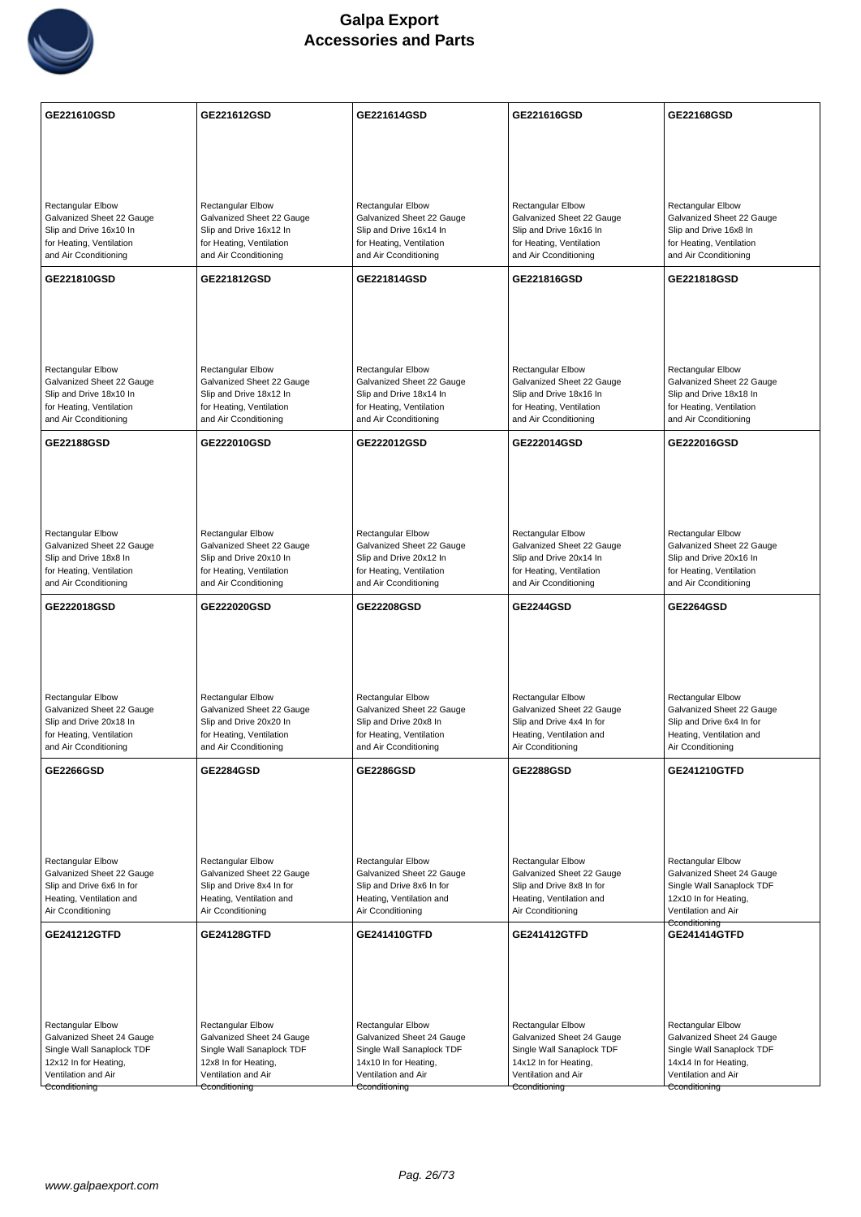

| GE221610GSD                                            | GE221612GSD                                            | GE221614GSD                                            | GE221616GSD                                            | GE22168GSD                                             |
|--------------------------------------------------------|--------------------------------------------------------|--------------------------------------------------------|--------------------------------------------------------|--------------------------------------------------------|
|                                                        |                                                        |                                                        |                                                        |                                                        |
|                                                        |                                                        |                                                        |                                                        |                                                        |
|                                                        |                                                        |                                                        |                                                        |                                                        |
| <b>Rectangular Elbow</b><br>Galvanized Sheet 22 Gauge  | Rectangular Elbow<br>Galvanized Sheet 22 Gauge         | <b>Rectangular Elbow</b><br>Galvanized Sheet 22 Gauge  | Rectangular Elbow<br>Galvanized Sheet 22 Gauge         | <b>Rectangular Elbow</b><br>Galvanized Sheet 22 Gauge  |
| Slip and Drive 16x10 In                                | Slip and Drive 16x12 In                                | Slip and Drive 16x14 In                                | Slip and Drive 16x16 In                                | Slip and Drive 16x8 In                                 |
| for Heating, Ventilation<br>and Air Cconditioning      | for Heating, Ventilation<br>and Air Cconditioning      | for Heating, Ventilation<br>and Air Cconditioning      | for Heating, Ventilation<br>and Air Cconditioning      | for Heating, Ventilation<br>and Air Cconditioning      |
| GE221810GSD                                            | GE221812GSD                                            | GE221814GSD                                            | GE221816GSD                                            | GE221818GSD                                            |
|                                                        |                                                        |                                                        |                                                        |                                                        |
|                                                        |                                                        |                                                        |                                                        |                                                        |
|                                                        |                                                        |                                                        |                                                        |                                                        |
| <b>Rectangular Elbow</b>                               | <b>Rectangular Elbow</b>                               | <b>Rectangular Elbow</b>                               | Rectangular Elbow                                      | Rectangular Elbow                                      |
| Galvanized Sheet 22 Gauge<br>Slip and Drive 18x10 In   | Galvanized Sheet 22 Gauge<br>Slip and Drive 18x12 In   | Galvanized Sheet 22 Gauge<br>Slip and Drive 18x14 In   | Galvanized Sheet 22 Gauge<br>Slip and Drive 18x16 In   | Galvanized Sheet 22 Gauge<br>Slip and Drive 18x18 In   |
| for Heating, Ventilation<br>and Air Cconditioning      | for Heating, Ventilation<br>and Air Cconditioning      | for Heating, Ventilation<br>and Air Cconditioning      | for Heating, Ventilation<br>and Air Cconditioning      | for Heating, Ventilation<br>and Air Cconditioning      |
| GE22188GSD                                             | GE222010GSD                                            | GE222012GSD                                            | GE222014GSD                                            | GE222016GSD                                            |
|                                                        |                                                        |                                                        |                                                        |                                                        |
|                                                        |                                                        |                                                        |                                                        |                                                        |
|                                                        |                                                        |                                                        |                                                        |                                                        |
| <b>Rectangular Elbow</b>                               | Rectangular Elbow                                      | <b>Rectangular Elbow</b>                               | Rectangular Elbow                                      | Rectangular Elbow                                      |
| Galvanized Sheet 22 Gauge<br>Slip and Drive 18x8 In    | Galvanized Sheet 22 Gauge<br>Slip and Drive 20x10 In   | Galvanized Sheet 22 Gauge<br>Slip and Drive 20x12 In   | Galvanized Sheet 22 Gauge<br>Slip and Drive 20x14 In   | Galvanized Sheet 22 Gauge<br>Slip and Drive 20x16 In   |
| for Heating, Ventilation                               | for Heating, Ventilation                               | for Heating, Ventilation                               | for Heating, Ventilation                               | for Heating, Ventilation                               |
| and Air Cconditioning                                  | and Air Cconditioning                                  | and Air Cconditioning                                  | and Air Cconditioning                                  | and Air Cconditioning                                  |
|                                                        |                                                        |                                                        |                                                        |                                                        |
| GE222018GSD                                            | GE222020GSD                                            | GE22208GSD                                             | <b>GE2244GSD</b>                                       | <b>GE2264GSD</b>                                       |
|                                                        |                                                        |                                                        |                                                        |                                                        |
|                                                        |                                                        |                                                        |                                                        |                                                        |
|                                                        |                                                        |                                                        |                                                        |                                                        |
| <b>Rectangular Elbow</b><br>Galvanized Sheet 22 Gauge  | Rectangular Elbow<br>Galvanized Sheet 22 Gauge         | Rectangular Elbow<br>Galvanized Sheet 22 Gauge         | Rectangular Elbow<br>Galvanized Sheet 22 Gauge         | Rectangular Elbow<br>Galvanized Sheet 22 Gauge         |
| Slip and Drive 20x18 In                                | Slip and Drive 20x20 In                                | Slip and Drive 20x8 In                                 | Slip and Drive 4x4 In for                              | Slip and Drive 6x4 In for                              |
| for Heating, Ventilation<br>and Air Cconditioning      | for Heating, Ventilation<br>and Air Cconditioning      | for Heating, Ventilation<br>and Air Cconditioning      | Heating, Ventilation and<br>Air Cconditioning          | Heating, Ventilation and<br>Air Cconditioning          |
| <b>GE2266GSD</b>                                       | <b>GE2284GSD</b>                                       | <b>GE2286GSD</b>                                       | <b>GE2288GSD</b>                                       | GE241210GTFD                                           |
|                                                        |                                                        |                                                        |                                                        |                                                        |
|                                                        |                                                        |                                                        |                                                        |                                                        |
|                                                        |                                                        |                                                        |                                                        |                                                        |
| <b>Rectangular Elbow</b>                               | Rectangular Elbow                                      | <b>Rectangular Elbow</b>                               | Rectangular Elbow                                      | Rectangular Elbow                                      |
| Galvanized Sheet 22 Gauge<br>Slip and Drive 6x6 In for | Galvanized Sheet 22 Gauge<br>Slip and Drive 8x4 In for | Galvanized Sheet 22 Gauge<br>Slip and Drive 8x6 In for | Galvanized Sheet 22 Gauge<br>Slip and Drive 8x8 In for | Galvanized Sheet 24 Gauge<br>Single Wall Sanaplock TDF |
| Heating, Ventilation and<br>Air Cconditioning          | Heating, Ventilation and<br>Air Cconditioning          | Heating, Ventilation and<br>Air Cconditioning          | Heating, Ventilation and<br>Air Cconditioning          | 12x10 In for Heating,<br>Ventilation and Air           |
| GE241212GTFD                                           | <b>GE24128GTFD</b>                                     | GE241410GTFD                                           | GE241412GTFD                                           | Cconditioning<br><b>GE241414GTFD</b>                   |
|                                                        |                                                        |                                                        |                                                        |                                                        |
|                                                        |                                                        |                                                        |                                                        |                                                        |
|                                                        |                                                        |                                                        |                                                        |                                                        |
| <b>Rectangular Elbow</b>                               | <b>Rectangular Elbow</b>                               | Rectangular Elbow                                      | <b>Rectangular Elbow</b>                               | Rectangular Elbow                                      |
| Galvanized Sheet 24 Gauge<br>Single Wall Sanaplock TDF | Galvanized Sheet 24 Gauge<br>Single Wall Sanaplock TDF | Galvanized Sheet 24 Gauge<br>Single Wall Sanaplock TDF | Galvanized Sheet 24 Gauge<br>Single Wall Sanaplock TDF | Galvanized Sheet 24 Gauge<br>Single Wall Sanaplock TDF |
| 12x12 In for Heating,<br>Ventilation and Air           | 12x8 In for Heating,<br>Ventilation and Air            | 14x10 In for Heating,<br>Ventilation and Air           | 14x12 In for Heating,<br>Ventilation and Air           | 14x14 In for Heating,<br>Ventilation and Air           |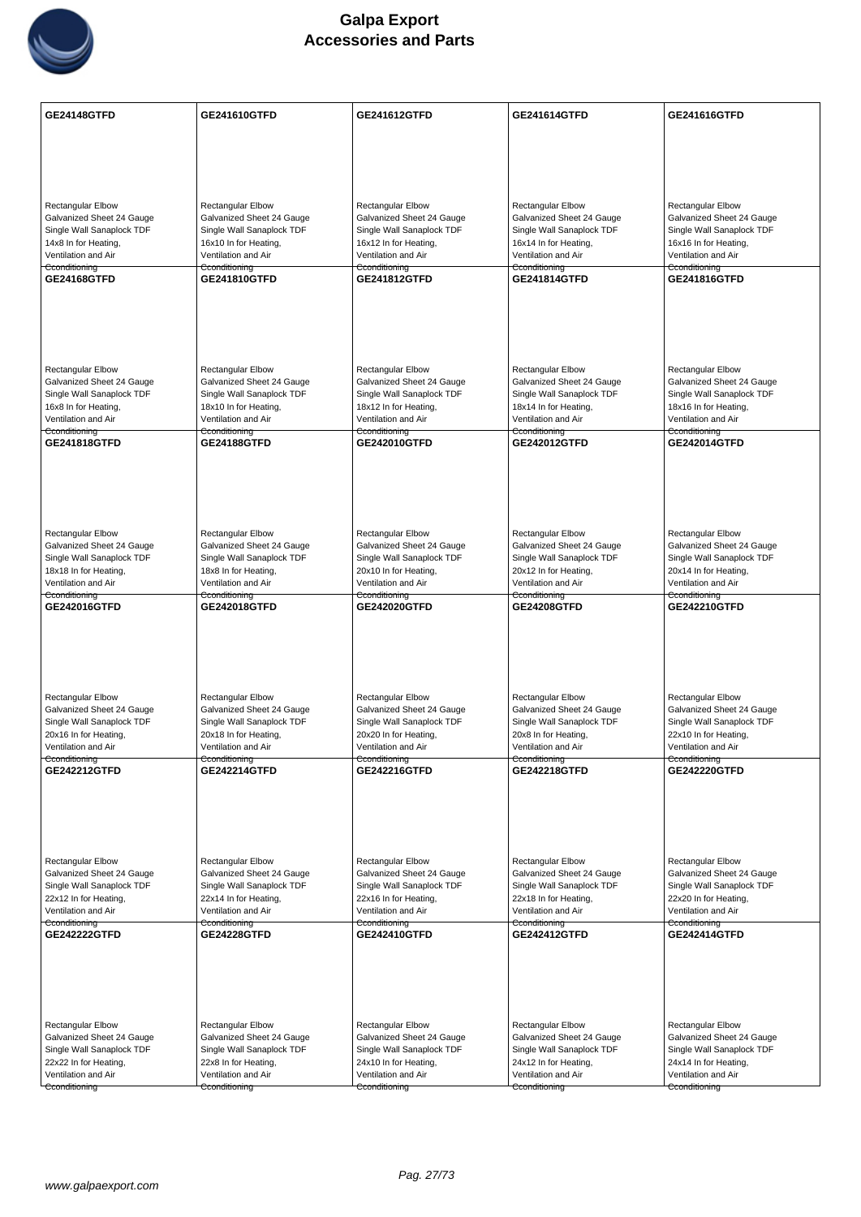

| GE24148GTFD                                            | GE241610GTFD                                           | <b>GE241612GTFD</b>                                    | <b>GE241614GTFD</b>                                    | GE241616GTFD                                           |
|--------------------------------------------------------|--------------------------------------------------------|--------------------------------------------------------|--------------------------------------------------------|--------------------------------------------------------|
|                                                        |                                                        |                                                        |                                                        |                                                        |
|                                                        |                                                        |                                                        |                                                        |                                                        |
|                                                        |                                                        |                                                        |                                                        |                                                        |
| Rectangular Elbow                                      | Rectangular Elbow                                      | <b>Rectangular Elbow</b>                               | <b>Rectangular Elbow</b>                               | Rectangular Elbow                                      |
| Galvanized Sheet 24 Gauge<br>Single Wall Sanaplock TDF | Galvanized Sheet 24 Gauge<br>Single Wall Sanaplock TDF | Galvanized Sheet 24 Gauge<br>Single Wall Sanaplock TDF | Galvanized Sheet 24 Gauge<br>Single Wall Sanaplock TDF | Galvanized Sheet 24 Gauge<br>Single Wall Sanaplock TDF |
| 14x8 In for Heating,                                   | 16x10 In for Heating,                                  | 16x12 In for Heating,                                  | 16x14 In for Heating,                                  | 16x16 In for Heating,                                  |
| Ventilation and Air<br>Cconditioning                   | Ventilation and Air<br>Cconditioning                   | Ventilation and Air<br>Cconditioning                   | Ventilation and Air<br>Cconditioning                   | Ventilation and Air<br>Cconditioning                   |
| <b>GE24168GTFD</b>                                     | <b>GE241810GTFD</b>                                    | <b>GE241812GTFD</b>                                    | <b>GE241814GTFD</b>                                    | GE241816GTFD                                           |
|                                                        |                                                        |                                                        |                                                        |                                                        |
|                                                        |                                                        |                                                        |                                                        |                                                        |
|                                                        |                                                        |                                                        |                                                        |                                                        |
| <b>Rectangular Elbow</b>                               | Rectangular Elbow                                      | <b>Rectangular Elbow</b>                               | <b>Rectangular Elbow</b>                               | <b>Rectangular Elbow</b>                               |
| Galvanized Sheet 24 Gauge                              | Galvanized Sheet 24 Gauge                              | Galvanized Sheet 24 Gauge                              | Galvanized Sheet 24 Gauge                              | Galvanized Sheet 24 Gauge                              |
| Single Wall Sanaplock TDF<br>16x8 In for Heating,      | Single Wall Sanaplock TDF<br>18x10 In for Heating,     | Single Wall Sanaplock TDF<br>18x12 In for Heating,     | Single Wall Sanaplock TDF<br>18x14 In for Heating,     | Single Wall Sanaplock TDF<br>18x16 In for Heating,     |
| Ventilation and Air<br>Cconditioning                   | Ventilation and Air<br>Cconditioning                   | Ventilation and Air<br>Cconditioning                   | Ventilation and Air<br>Cconditioning                   | Ventilation and Air<br>Cconditioning                   |
| GE241818GTFD                                           | GE24188GTFD                                            | GE242010GTFD                                           | <b>GE242012GTFD</b>                                    | <b>GE242014GTFD</b>                                    |
|                                                        |                                                        |                                                        |                                                        |                                                        |
|                                                        |                                                        |                                                        |                                                        |                                                        |
|                                                        |                                                        |                                                        |                                                        |                                                        |
| <b>Rectangular Elbow</b>                               | Rectangular Elbow                                      | Rectangular Elbow                                      | Rectangular Elbow                                      | Rectangular Elbow                                      |
| Galvanized Sheet 24 Gauge                              | Galvanized Sheet 24 Gauge                              | Galvanized Sheet 24 Gauge                              | Galvanized Sheet 24 Gauge                              | Galvanized Sheet 24 Gauge                              |
| Single Wall Sanaplock TDF<br>18x18 In for Heating,     | Single Wall Sanaplock TDF<br>18x8 In for Heating,      | Single Wall Sanaplock TDF<br>20x10 In for Heating,     | Single Wall Sanaplock TDF<br>20x12 In for Heating,     | Single Wall Sanaplock TDF<br>20x14 In for Heating,     |
| Ventilation and Air<br>Cconditioning                   | Ventilation and Air<br>Cconditioning                   | Ventilation and Air<br>Cconditioning                   | Ventilation and Air<br>Cconditioning                   | Ventilation and Air<br>Cconditioning                   |
| GE242016GTFD                                           | <b>GE242018GTFD</b>                                    | <b>GE242020GTFD</b>                                    | <b>GE24208GTFD</b>                                     | <b>GE242210GTFD</b>                                    |
|                                                        |                                                        |                                                        |                                                        |                                                        |
|                                                        |                                                        |                                                        |                                                        |                                                        |
|                                                        |                                                        |                                                        |                                                        |                                                        |
| <b>Rectangular Elbow</b>                               | Rectangular Elbow                                      | <b>Rectangular Elbow</b>                               | <b>Rectangular Elbow</b>                               | <b>Rectangular Elbow</b>                               |
| Galvanized Sheet 24 Gauge                              | Galvanized Sheet 24 Gauge                              | Galvanized Sheet 24 Gauge                              | Galvanized Sheet 24 Gauge                              | Galvanized Sheet 24 Gauge                              |
| Single Wall Sanaplock TDF<br>20x16 In for Heating,     | Single Wall Sanaplock TDF<br>20x18 In for Heating,     | Single Wall Sanaplock TDF<br>20x20 In for Heating,     | Single Wall Sanaplock TDF<br>20x8 In for Heating,      | Single Wall Sanaplock TDF<br>22x10 In for Heating,     |
| Ventilation and Air                                    | Ventilation and Air                                    | Ventilation and Air                                    | Ventilation and Air                                    | Ventilation and Air                                    |
| Cconditioning<br>GE242212GTFD                          | Cconditioning<br>GE242214GTFD                          | Cconditioning<br><b>GE242216GTFD</b>                   | Cconditioning<br>GE242218GTFD                          | Cconditioning<br><b>GE242220GTFD</b>                   |
|                                                        |                                                        |                                                        |                                                        |                                                        |
|                                                        |                                                        |                                                        |                                                        |                                                        |
|                                                        |                                                        |                                                        |                                                        |                                                        |
| <b>Rectangular Elbow</b>                               | Rectangular Elbow                                      | <b>Rectangular Elbow</b>                               | <b>Rectangular Elbow</b>                               | Rectangular Elbow                                      |
| Galvanized Sheet 24 Gauge                              | Galvanized Sheet 24 Gauge                              | Galvanized Sheet 24 Gauge                              | Galvanized Sheet 24 Gauge                              | Galvanized Sheet 24 Gauge                              |
| Single Wall Sanaplock TDF<br>22x12 In for Heating,     | Single Wall Sanaplock TDF<br>22x14 In for Heating,     | Single Wall Sanaplock TDF<br>22x16 In for Heating,     | Single Wall Sanaplock TDF<br>22x18 In for Heating,     | Single Wall Sanaplock TDF<br>22x20 In for Heating,     |
| Ventilation and Air                                    | Ventilation and Air                                    | Ventilation and Air                                    | Ventilation and Air                                    | Ventilation and Air                                    |
| Cconditioning<br>GE242222GTFD                          | Cconditioning<br><b>GE24228GTFD</b>                    | Cconditioning<br>GE242410GTFD                          | Cconditioning<br><b>GE242412GTFD</b>                   | Cconditioning<br><b>GE242414GTFD</b>                   |
|                                                        |                                                        |                                                        |                                                        |                                                        |
|                                                        |                                                        |                                                        |                                                        |                                                        |
|                                                        |                                                        |                                                        |                                                        |                                                        |
|                                                        |                                                        |                                                        |                                                        |                                                        |
| <b>Rectangular Elbow</b><br>Galvanized Sheet 24 Gauge  | Rectangular Elbow<br>Galvanized Sheet 24 Gauge         | <b>Rectangular Elbow</b><br>Galvanized Sheet 24 Gauge  | <b>Rectangular Elbow</b><br>Galvanized Sheet 24 Gauge  | <b>Rectangular Elbow</b><br>Galvanized Sheet 24 Gauge  |
| Single Wall Sanaplock TDF                              | Single Wall Sanaplock TDF                              | Single Wall Sanaplock TDF                              | Single Wall Sanaplock TDF                              | Single Wall Sanaplock TDF                              |
| 22x22 In for Heating,<br>Ventilation and Air           | 22x8 In for Heating,<br>Ventilation and Air            | 24x10 In for Heating,<br>Ventilation and Air           | 24x12 In for Heating,<br>Ventilation and Air           | 24x14 In for Heating,<br>Ventilation and Air           |
| Cconditioning                                          | Cconditioning                                          | Cconditioning                                          | Cconditioning                                          | Cconditioning                                          |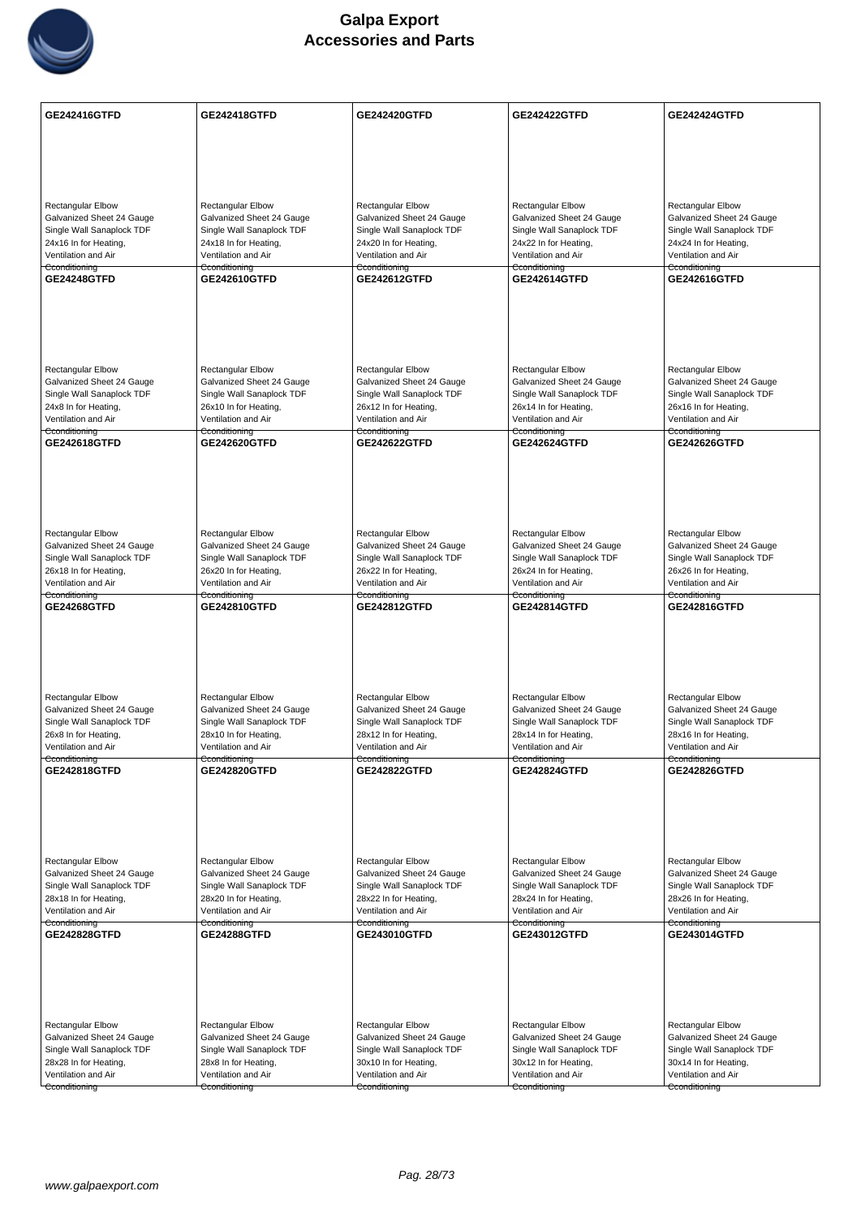

| <b>GE242416GTFD</b>                                | <b>GE242418GTFD</b>                                   | <b>GE242420GTFD</b>                                   | <b>GE242422GTFD</b>                                   | <b>GE242424GTFD</b>                                   |
|----------------------------------------------------|-------------------------------------------------------|-------------------------------------------------------|-------------------------------------------------------|-------------------------------------------------------|
|                                                    |                                                       |                                                       |                                                       |                                                       |
|                                                    |                                                       |                                                       |                                                       |                                                       |
|                                                    |                                                       |                                                       |                                                       |                                                       |
|                                                    |                                                       |                                                       |                                                       |                                                       |
| Rectangular Elbow<br>Galvanized Sheet 24 Gauge     | <b>Rectangular Elbow</b><br>Galvanized Sheet 24 Gauge | <b>Rectangular Elbow</b><br>Galvanized Sheet 24 Gauge | <b>Rectangular Elbow</b><br>Galvanized Sheet 24 Gauge | <b>Rectangular Elbow</b><br>Galvanized Sheet 24 Gauge |
| Single Wall Sanaplock TDF                          | Single Wall Sanaplock TDF                             | Single Wall Sanaplock TDF                             | Single Wall Sanaplock TDF                             | Single Wall Sanaplock TDF                             |
| 24x16 In for Heating,                              | 24x18 In for Heating,                                 | 24x20 In for Heating,                                 | 24x22 In for Heating,<br>Ventilation and Air          | 24x24 In for Heating,                                 |
| Ventilation and Air<br>Cconditioning               | Ventilation and Air<br>Cconditioning                  | Ventilation and Air<br>Cconditioning                  | Cconditioning                                         | Ventilation and Air<br>Cconditioning                  |
| <b>GE24248GTFD</b>                                 | GE242610GTFD                                          | GE242612GTFD                                          | GE242614GTFD                                          | GE242616GTFD                                          |
|                                                    |                                                       |                                                       |                                                       |                                                       |
|                                                    |                                                       |                                                       |                                                       |                                                       |
|                                                    |                                                       |                                                       |                                                       |                                                       |
|                                                    |                                                       |                                                       |                                                       |                                                       |
| Rectangular Elbow<br>Galvanized Sheet 24 Gauge     | Rectangular Elbow<br>Galvanized Sheet 24 Gauge        | Rectangular Elbow<br>Galvanized Sheet 24 Gauge        | Rectangular Elbow<br>Galvanized Sheet 24 Gauge        | Rectangular Elbow<br>Galvanized Sheet 24 Gauge        |
| Single Wall Sanaplock TDF                          | Single Wall Sanaplock TDF                             | Single Wall Sanaplock TDF                             | Single Wall Sanaplock TDF                             | Single Wall Sanaplock TDF                             |
| 24x8 In for Heating,                               | 26x10 In for Heating,                                 | 26x12 In for Heating,                                 | 26x14 In for Heating,                                 | 26x16 In for Heating,                                 |
| Ventilation and Air<br>Cconditioning               | Ventilation and Air<br>Cconditioning                  | Ventilation and Air<br>Cconditioning                  | Ventilation and Air<br>Cconditioning                  | Ventilation and Air<br>Cconditioning                  |
| GE242618GTFD                                       | <b>GE242620GTFD</b>                                   | <b>GE242622GTFD</b>                                   | <b>GE242624GTFD</b>                                   | GE242626GTFD                                          |
|                                                    |                                                       |                                                       |                                                       |                                                       |
|                                                    |                                                       |                                                       |                                                       |                                                       |
|                                                    |                                                       |                                                       |                                                       |                                                       |
|                                                    |                                                       |                                                       |                                                       |                                                       |
| Rectangular Elbow<br>Galvanized Sheet 24 Gauge     | Rectangular Elbow<br>Galvanized Sheet 24 Gauge        | <b>Rectangular Elbow</b><br>Galvanized Sheet 24 Gauge | <b>Rectangular Elbow</b><br>Galvanized Sheet 24 Gauge | <b>Rectangular Elbow</b><br>Galvanized Sheet 24 Gauge |
| Single Wall Sanaplock TDF                          | Single Wall Sanaplock TDF                             | Single Wall Sanaplock TDF                             | Single Wall Sanaplock TDF                             | Single Wall Sanaplock TDF                             |
| 26x18 In for Heating,<br>Ventilation and Air       | 26x20 In for Heating,<br>Ventilation and Air          | 26x22 In for Heating,<br>Ventilation and Air          | 26x24 In for Heating,<br>Ventilation and Air          | 26x26 In for Heating,<br>Ventilation and Air          |
| Cconditioning                                      | Cconditioning                                         | Cconditioning                                         | Cconditioning                                         | Cconditioning                                         |
| <b>GE24268GTFD</b>                                 | GE242810GTFD                                          | <b>GE242812GTFD</b>                                   | <b>GE242814GTFD</b>                                   | GE242816GTFD                                          |
|                                                    |                                                       |                                                       |                                                       |                                                       |
|                                                    |                                                       |                                                       |                                                       |                                                       |
|                                                    |                                                       |                                                       |                                                       |                                                       |
| Rectangular Elbow                                  | <b>Rectangular Elbow</b>                              | <b>Rectangular Elbow</b>                              | <b>Rectangular Elbow</b>                              | <b>Rectangular Elbow</b>                              |
| Galvanized Sheet 24 Gauge                          | Galvanized Sheet 24 Gauge                             | Galvanized Sheet 24 Gauge                             | Galvanized Sheet 24 Gauge                             | Galvanized Sheet 24 Gauge                             |
| Single Wall Sanaplock TDF                          | Single Wall Sanaplock TDF                             | Single Wall Sanaplock TDF                             | Single Wall Sanaplock TDF                             | Single Wall Sanaplock TDF                             |
| 26x8 In for Heating,<br>Ventilation and Air        | 28x10 In for Heating,<br>Ventilation and Air          | 28x12 In for Heating,<br>Ventilation and Air          | 28x14 In for Heating,<br>Ventilation and Air          | 28x16 In for Heating,<br>Ventilation and Air          |
| Cconditioning                                      | Cconditioning                                         | Cconditioning                                         | Cconditioning                                         | Cconditioning                                         |
| GE242818GTFD                                       | <b>GE242820GTFD</b>                                   | <b>GE242822GTFD</b>                                   | GE242824GTFD                                          | <b>GE242826GTFD</b>                                   |
|                                                    |                                                       |                                                       |                                                       |                                                       |
|                                                    |                                                       |                                                       |                                                       |                                                       |
|                                                    |                                                       |                                                       |                                                       |                                                       |
| Rectangular Elbow                                  | <b>Rectangular Elbow</b>                              | <b>Rectangular Elbow</b>                              | Rectangular Elbow                                     | Rectangular Elbow                                     |
| Galvanized Sheet 24 Gauge                          | Galvanized Sheet 24 Gauge                             | Galvanized Sheet 24 Gauge                             | Galvanized Sheet 24 Gauge                             | Galvanized Sheet 24 Gauge                             |
| Single Wall Sanaplock TDF<br>28x18 In for Heating, | Single Wall Sanaplock TDF<br>28x20 In for Heating,    | Single Wall Sanaplock TDF<br>28x22 In for Heating,    | Single Wall Sanaplock TDF<br>28x24 In for Heating,    | Single Wall Sanaplock TDF<br>28x26 In for Heating,    |
| Ventilation and Air                                | Ventilation and Air                                   | Ventilation and Air                                   | Ventilation and Air                                   | Ventilation and Air                                   |
| Cconditioning<br><b>GE242828GTFD</b>               | Cconditioning<br><b>GE24288GTFD</b>                   | Cconditioning<br>GE243010GTFD                         | Cconditioning<br><b>GE243012GTFD</b>                  | Cconditioning<br>GE243014GTFD                         |
|                                                    |                                                       |                                                       |                                                       |                                                       |
|                                                    |                                                       |                                                       |                                                       |                                                       |
|                                                    |                                                       |                                                       |                                                       |                                                       |
|                                                    |                                                       |                                                       |                                                       |                                                       |
| <b>Rectangular Elbow</b>                           | Rectangular Elbow                                     | <b>Rectangular Elbow</b>                              | <b>Rectangular Elbow</b>                              | <b>Rectangular Elbow</b>                              |
| Galvanized Sheet 24 Gauge                          | Galvanized Sheet 24 Gauge                             | Galvanized Sheet 24 Gauge                             | Galvanized Sheet 24 Gauge                             | Galvanized Sheet 24 Gauge                             |
| Single Wall Sanaplock TDF<br>28x28 In for Heating, | Single Wall Sanaplock TDF<br>28x8 In for Heating,     | Single Wall Sanaplock TDF<br>30x10 In for Heating,    | Single Wall Sanaplock TDF<br>30x12 In for Heating,    | Single Wall Sanaplock TDF<br>30x14 In for Heating,    |
| Ventilation and Air                                | Ventilation and Air                                   | Ventilation and Air                                   | Ventilation and Air                                   | Ventilation and Air                                   |
| Cconditioning                                      | Cconditioning                                         | Cconditioning                                         | Cconditioning                                         | Cconditioning                                         |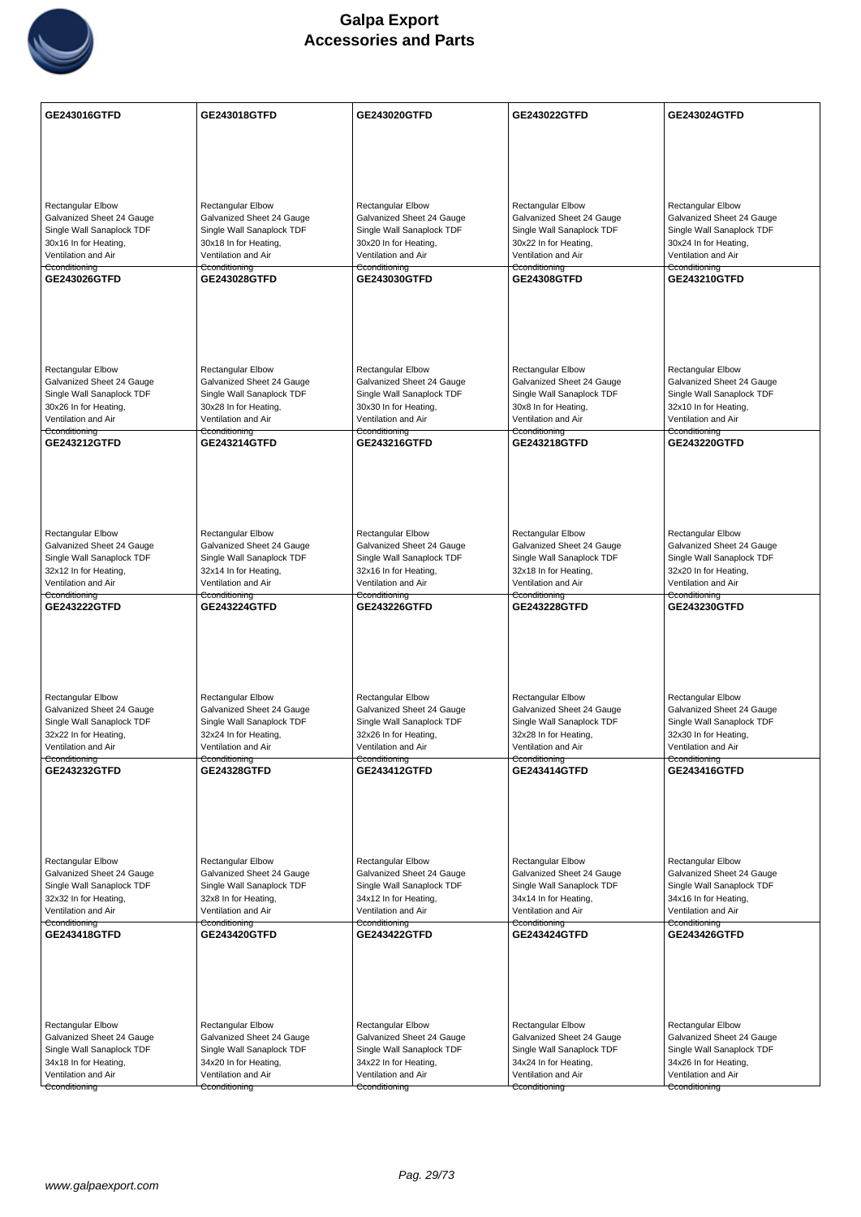

| GE243016GTFD                                                                                                                                 | GE243018GTFD                                                                                                                                        | GE243020GTFD                                                                                                                                        | <b>GE243022GTFD</b>                                                                                                                                 | GE243024GTFD                                                                                                                                        |
|----------------------------------------------------------------------------------------------------------------------------------------------|-----------------------------------------------------------------------------------------------------------------------------------------------------|-----------------------------------------------------------------------------------------------------------------------------------------------------|-----------------------------------------------------------------------------------------------------------------------------------------------------|-----------------------------------------------------------------------------------------------------------------------------------------------------|
|                                                                                                                                              |                                                                                                                                                     |                                                                                                                                                     |                                                                                                                                                     |                                                                                                                                                     |
|                                                                                                                                              |                                                                                                                                                     |                                                                                                                                                     |                                                                                                                                                     |                                                                                                                                                     |
|                                                                                                                                              |                                                                                                                                                     |                                                                                                                                                     |                                                                                                                                                     |                                                                                                                                                     |
| <b>Rectangular Elbow</b><br>Galvanized Sheet 24 Gauge<br>Single Wall Sanaplock TDF<br>30x16 In for Heating,<br>Ventilation and Air           | <b>Rectangular Elbow</b><br>Galvanized Sheet 24 Gauge<br>Single Wall Sanaplock TDF<br>30x18 In for Heating,<br>Ventilation and Air                  | Rectangular Elbow<br>Galvanized Sheet 24 Gauge<br>Single Wall Sanaplock TDF<br>30x20 In for Heating,<br>Ventilation and Air                         | <b>Rectangular Elbow</b><br>Galvanized Sheet 24 Gauge<br>Single Wall Sanaplock TDF<br>30x22 In for Heating,<br>Ventilation and Air                  | <b>Rectangular Elbow</b><br>Galvanized Sheet 24 Gauge<br>Single Wall Sanaplock TDF<br>30x24 In for Heating,<br>Ventilation and Air                  |
| Cconditioning<br><b>GE243026GTFD</b>                                                                                                         | Cconditioning<br><b>GE243028GTFD</b>                                                                                                                | Cconditioning<br>GE243030GTFD                                                                                                                       | Cconditioning<br><b>GE24308GTFD</b>                                                                                                                 | Cconditioning<br><b>GE243210GTFD</b>                                                                                                                |
|                                                                                                                                              |                                                                                                                                                     |                                                                                                                                                     |                                                                                                                                                     |                                                                                                                                                     |
| Rectangular Elbow<br>Galvanized Sheet 24 Gauge<br>Single Wall Sanaplock TDF<br>30x26 In for Heating,<br>Ventilation and Air                  | <b>Rectangular Elbow</b><br>Galvanized Sheet 24 Gauge<br>Single Wall Sanaplock TDF<br>30x28 In for Heating,<br>Ventilation and Air                  | Rectangular Elbow<br>Galvanized Sheet 24 Gauge<br>Single Wall Sanaplock TDF<br>30x30 In for Heating,<br>Ventilation and Air                         | <b>Rectangular Elbow</b><br>Galvanized Sheet 24 Gauge<br>Single Wall Sanaplock TDF<br>30x8 In for Heating,<br>Ventilation and Air                   | <b>Rectangular Elbow</b><br>Galvanized Sheet 24 Gauge<br>Single Wall Sanaplock TDF<br>32x10 In for Heating,<br>Ventilation and Air                  |
| Cconditioning<br>GE243212GTFD                                                                                                                | Cconditioning<br><b>GE243214GTFD</b>                                                                                                                | Cconditioning<br>GE243216GTFD                                                                                                                       | Cconditioning<br>GE243218GTFD                                                                                                                       | Cconditioning<br>GE243220GTFD                                                                                                                       |
| Rectangular Elbow                                                                                                                            | Rectangular Elbow                                                                                                                                   | Rectangular Elbow                                                                                                                                   | Rectangular Elbow                                                                                                                                   | Rectangular Elbow                                                                                                                                   |
| Galvanized Sheet 24 Gauge<br>Single Wall Sanaplock TDF<br>32x12 In for Heating,<br>Ventilation and Air<br>Cconditioning                      | Galvanized Sheet 24 Gauge<br>Single Wall Sanaplock TDF<br>32x14 In for Heating,<br>Ventilation and Air<br>Cconditioning                             | Galvanized Sheet 24 Gauge<br>Single Wall Sanaplock TDF<br>32x16 In for Heating,<br>Ventilation and Air<br>Cconditioning                             | Galvanized Sheet 24 Gauge<br>Single Wall Sanaplock TDF<br>32x18 In for Heating,<br>Ventilation and Air                                              | Galvanized Sheet 24 Gauge<br>Single Wall Sanaplock TDF<br>32x20 In for Heating,<br>Ventilation and Air<br>Cconditioning                             |
| <b>GE243222GTFD</b>                                                                                                                          | <b>GE243224GTFD</b>                                                                                                                                 | <b>GE243226GTFD</b>                                                                                                                                 | Cconditioning<br><b>GE243228GTFD</b>                                                                                                                | <b>GE243230GTFD</b>                                                                                                                                 |
| Rectangular Elbow<br>Galvanized Sheet 24 Gauge<br>Single Wall Sanaplock TDF<br>32x22 In for Heating,<br>Ventilation and Air<br>Cconditioning | <b>Rectangular Elbow</b><br>Galvanized Sheet 24 Gauge<br>Single Wall Sanaplock TDF<br>32x24 In for Heating,<br>Ventilation and Air<br>Cconditioning | <b>Rectangular Elbow</b><br>Galvanized Sheet 24 Gauge<br>Single Wall Sanaplock TDF<br>32x26 In for Heating,<br>Ventilation and Air<br>Cconditioning | <b>Rectangular Elbow</b><br>Galvanized Sheet 24 Gauge<br>Single Wall Sanaplock TDF<br>32x28 In for Heating,<br>Ventilation and Air<br>Cconditioning | <b>Rectangular Elbow</b><br>Galvanized Sheet 24 Gauge<br>Single Wall Sanaplock TDF<br>32x30 In for Heating,<br>Ventilation and Air<br>Cconditioning |
| <b>GE243232GTFD</b>                                                                                                                          | <b>GE24328GTFD</b>                                                                                                                                  | <b>GE243412GTFD</b>                                                                                                                                 | <b>GE243414GTFD</b>                                                                                                                                 | <b>GE243416GTFD</b>                                                                                                                                 |
| Rectangular Elbow<br>Galvanized Sheet 24 Gauge<br>Single Wall Sanaplock TDF<br>32x32 In for Heating,                                         | Rectangular Elbow<br>Galvanized Sheet 24 Gauge<br>Single Wall Sanaplock TDF<br>32x8 In for Heating,                                                 | Rectangular Elbow<br>Galvanized Sheet 24 Gauge<br>Single Wall Sanaplock TDF<br>34x12 In for Heating,                                                | Rectangular Elbow<br>Galvanized Sheet 24 Gauge<br>Single Wall Sanaplock TDF<br>34x14 In for Heating,                                                | <b>Rectangular Elbow</b><br>Galvanized Sheet 24 Gauge<br>Single Wall Sanaplock TDF<br>34x16 In for Heating,                                         |
| Ventilation and Air<br>Cconditioning                                                                                                         | Ventilation and Air<br>Cconditioning                                                                                                                | Ventilation and Air<br>Cconditioning                                                                                                                | Ventilation and Air<br>Cconditioning                                                                                                                | Ventilation and Air<br>Cconditioning                                                                                                                |
| GE243418GTFD                                                                                                                                 | GE243420GTFD                                                                                                                                        | GE243422GTFD                                                                                                                                        | GE243424GTFD                                                                                                                                        | <b>GE243426GTFD</b>                                                                                                                                 |
| <b>Rectangular Elbow</b>                                                                                                                     | Rectangular Elbow                                                                                                                                   | Rectangular Elbow                                                                                                                                   | <b>Rectangular Elbow</b>                                                                                                                            | <b>Rectangular Elbow</b>                                                                                                                            |
| Galvanized Sheet 24 Gauge<br>Single Wall Sanaplock TDF                                                                                       | Galvanized Sheet 24 Gauge<br>Single Wall Sanaplock TDF                                                                                              | Galvanized Sheet 24 Gauge<br>Single Wall Sanaplock TDF                                                                                              | Galvanized Sheet 24 Gauge<br>Single Wall Sanaplock TDF                                                                                              | Galvanized Sheet 24 Gauge<br>Single Wall Sanaplock TDF                                                                                              |
| 34x18 In for Heating,<br>Ventilation and Air                                                                                                 | 34x20 In for Heating,<br>Ventilation and Air                                                                                                        | 34x22 In for Heating,<br>Ventilation and Air                                                                                                        | 34x24 In for Heating,<br>Ventilation and Air                                                                                                        | 34x26 In for Heating,<br>Ventilation and Air                                                                                                        |
| Cconditioning                                                                                                                                | Cconditioning                                                                                                                                       | Cconditioning                                                                                                                                       | Cconditioning                                                                                                                                       | Cconditioning                                                                                                                                       |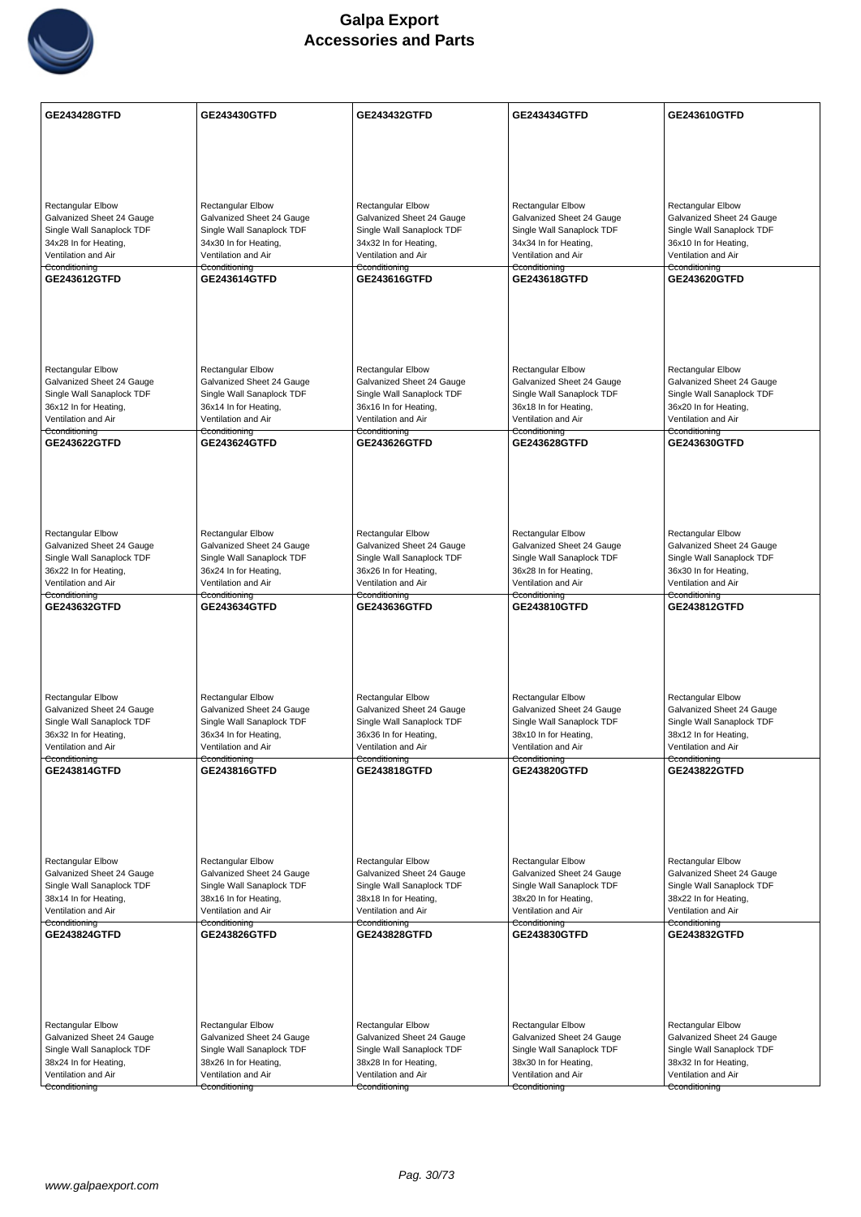

| <b>GE243428GTFD</b>                                    | GE243430GTFD                                           | GE243432GTFD                                           | <b>GE243434GTFD</b>                                    | GE243610GTFD                                           |
|--------------------------------------------------------|--------------------------------------------------------|--------------------------------------------------------|--------------------------------------------------------|--------------------------------------------------------|
|                                                        |                                                        |                                                        |                                                        |                                                        |
|                                                        |                                                        |                                                        |                                                        |                                                        |
|                                                        |                                                        |                                                        |                                                        |                                                        |
|                                                        |                                                        |                                                        |                                                        |                                                        |
| <b>Rectangular Elbow</b>                               | <b>Rectangular Elbow</b>                               | Rectangular Elbow                                      | <b>Rectangular Elbow</b>                               | Rectangular Elbow                                      |
| Galvanized Sheet 24 Gauge                              | Galvanized Sheet 24 Gauge                              | Galvanized Sheet 24 Gauge                              | Galvanized Sheet 24 Gauge                              | Galvanized Sheet 24 Gauge                              |
| Single Wall Sanaplock TDF<br>34x28 In for Heating,     | Single Wall Sanaplock TDF<br>34x30 In for Heating,     | Single Wall Sanaplock TDF<br>34x32 In for Heating,     | Single Wall Sanaplock TDF<br>34x34 In for Heating,     | Single Wall Sanaplock TDF<br>36x10 In for Heating,     |
| Ventilation and Air                                    | Ventilation and Air                                    | Ventilation and Air                                    | Ventilation and Air                                    | Ventilation and Air                                    |
| Cconditioning                                          | Cconditioning                                          | Cconditioning                                          | Cconditioning                                          | Cconditioning                                          |
| GE243612GTFD                                           | GE243614GTFD                                           | GE243616GTFD                                           | GE243618GTFD                                           | GE243620GTFD                                           |
|                                                        |                                                        |                                                        |                                                        |                                                        |
|                                                        |                                                        |                                                        |                                                        |                                                        |
|                                                        |                                                        |                                                        |                                                        |                                                        |
|                                                        |                                                        |                                                        |                                                        |                                                        |
| <b>Rectangular Elbow</b>                               | <b>Rectangular Elbow</b>                               | <b>Rectangular Elbow</b>                               | <b>Rectangular Elbow</b>                               | <b>Rectangular Elbow</b>                               |
| Galvanized Sheet 24 Gauge                              | Galvanized Sheet 24 Gauge                              | Galvanized Sheet 24 Gauge                              | Galvanized Sheet 24 Gauge                              | Galvanized Sheet 24 Gauge                              |
| Single Wall Sanaplock TDF<br>36x12 In for Heating,     | Single Wall Sanaplock TDF<br>36x14 In for Heating,     | Single Wall Sanaplock TDF<br>36x16 In for Heating,     | Single Wall Sanaplock TDF<br>36x18 In for Heating,     | Single Wall Sanaplock TDF<br>36x20 In for Heating,     |
| Ventilation and Air                                    | Ventilation and Air                                    | Ventilation and Air                                    | Ventilation and Air                                    | Ventilation and Air                                    |
| Cconditioning                                          | Cconditioning                                          | Cconditioning                                          | Cconditioning                                          | Cconditioning                                          |
| <b>GE243622GTFD</b>                                    | <b>GE243624GTFD</b>                                    | GE243626GTFD                                           | <b>GE243628GTFD</b>                                    | <b>GE243630GTFD</b>                                    |
|                                                        |                                                        |                                                        |                                                        |                                                        |
|                                                        |                                                        |                                                        |                                                        |                                                        |
|                                                        |                                                        |                                                        |                                                        |                                                        |
|                                                        |                                                        |                                                        |                                                        |                                                        |
| Rectangular Elbow                                      | <b>Rectangular Elbow</b>                               | <b>Rectangular Elbow</b>                               | <b>Rectangular Elbow</b>                               | <b>Rectangular Elbow</b>                               |
| Galvanized Sheet 24 Gauge                              | Galvanized Sheet 24 Gauge                              | Galvanized Sheet 24 Gauge                              | Galvanized Sheet 24 Gauge                              | Galvanized Sheet 24 Gauge                              |
| Single Wall Sanaplock TDF<br>36x22 In for Heating,     | Single Wall Sanaplock TDF<br>36x24 In for Heating,     | Single Wall Sanaplock TDF<br>36x26 In for Heating,     | Single Wall Sanaplock TDF<br>36x28 In for Heating,     | Single Wall Sanaplock TDF<br>36x30 In for Heating,     |
| Ventilation and Air                                    | Ventilation and Air                                    | Ventilation and Air                                    | Ventilation and Air                                    | Ventilation and Air                                    |
| Cconditioning<br>GE243632GTFD                          | Cconditioning<br>GE243634GTFD                          | Cconditioning<br>GE243636GTFD                          | Cconditioning<br>GE243810GTFD                          | Cconditioning<br><b>GE243812GTFD</b>                   |
|                                                        |                                                        |                                                        |                                                        |                                                        |
|                                                        |                                                        |                                                        |                                                        |                                                        |
|                                                        |                                                        |                                                        |                                                        |                                                        |
|                                                        |                                                        |                                                        |                                                        |                                                        |
|                                                        |                                                        |                                                        |                                                        |                                                        |
| Rectangular Elbow                                      | Rectangular Elbow                                      | <b>Rectangular Elbow</b>                               | Rectangular Elbow                                      | <b>Rectangular Elbow</b>                               |
| Galvanized Sheet 24 Gauge<br>Single Wall Sanaplock TDF | Galvanized Sheet 24 Gauge<br>Single Wall Sanaplock TDF | Galvanized Sheet 24 Gauge<br>Single Wall Sanaplock TDF | Galvanized Sheet 24 Gauge<br>Single Wall Sanaplock TDF | Galvanized Sheet 24 Gauge<br>Single Wall Sanaplock TDF |
| 36x32 In for Heating,                                  | 36x34 In for Heating,                                  | 36x36 In for Heating,                                  | 38x10 In for Heating,                                  | 38x12 In for Heating,                                  |
| Ventilation and Air                                    | Ventilation and Air                                    | Ventilation and Air                                    | Ventilation and Air                                    | Ventilation and Air                                    |
| Cconditioning<br><b>GE243814GTFD</b>                   | Cconditioning<br>GE243816GTFD                          | Cconditioning<br>GE243818GTFD                          | Cconditioning<br><b>GE243820GTFD</b>                   | Cconditioning<br><b>GE243822GTFD</b>                   |
|                                                        |                                                        |                                                        |                                                        |                                                        |
|                                                        |                                                        |                                                        |                                                        |                                                        |
|                                                        |                                                        |                                                        |                                                        |                                                        |
|                                                        |                                                        |                                                        |                                                        |                                                        |
|                                                        |                                                        |                                                        |                                                        |                                                        |
| Rectangular Elbow<br>Galvanized Sheet 24 Gauge         | Rectangular Elbow<br>Galvanized Sheet 24 Gauge         | <b>Rectangular Elbow</b><br>Galvanized Sheet 24 Gauge  | <b>Rectangular Elbow</b><br>Galvanized Sheet 24 Gauge  | <b>Rectangular Elbow</b><br>Galvanized Sheet 24 Gauge  |
| Single Wall Sanaplock TDF                              | Single Wall Sanaplock TDF                              | Single Wall Sanaplock TDF                              | Single Wall Sanaplock TDF                              | Single Wall Sanaplock TDF                              |
| 38x14 In for Heating,                                  | 38x16 In for Heating,                                  | 38x18 In for Heating,                                  | 38x20 In for Heating,                                  | 38x22 In for Heating,                                  |
| Ventilation and Air<br>Cconditioning                   | Ventilation and Air<br>Cconditioning                   | Ventilation and Air<br>Cconditioning                   | Ventilation and Air<br>Cconditioning                   | Ventilation and Air<br>Cconditioning                   |
| GE243824GTFD                                           | GE243826GTFD                                           | GE243828GTFD                                           | GE243830GTFD                                           | GE243832GTFD                                           |
|                                                        |                                                        |                                                        |                                                        |                                                        |
|                                                        |                                                        |                                                        |                                                        |                                                        |
|                                                        |                                                        |                                                        |                                                        |                                                        |
|                                                        |                                                        |                                                        |                                                        |                                                        |
|                                                        |                                                        |                                                        |                                                        |                                                        |
| Rectangular Elbow<br>Galvanized Sheet 24 Gauge         | <b>Rectangular Elbow</b><br>Galvanized Sheet 24 Gauge  | Rectangular Elbow<br>Galvanized Sheet 24 Gauge         | <b>Rectangular Elbow</b><br>Galvanized Sheet 24 Gauge  | Rectangular Elbow<br>Galvanized Sheet 24 Gauge         |
| Single Wall Sanaplock TDF                              | Single Wall Sanaplock TDF                              | Single Wall Sanaplock TDF                              | Single Wall Sanaplock TDF                              | Single Wall Sanaplock TDF                              |
| 38x24 In for Heating,                                  | 38x26 In for Heating,                                  | 38x28 In for Heating,                                  | 38x30 In for Heating,                                  | 38x32 In for Heating,                                  |
| Ventilation and Air                                    | Ventilation and Air                                    | Ventilation and Air                                    | Ventilation and Air                                    | Ventilation and Air                                    |
| Cconditioning                                          | Cconditioning                                          | Cconditioning                                          | Cconditioning                                          | Cconditioning                                          |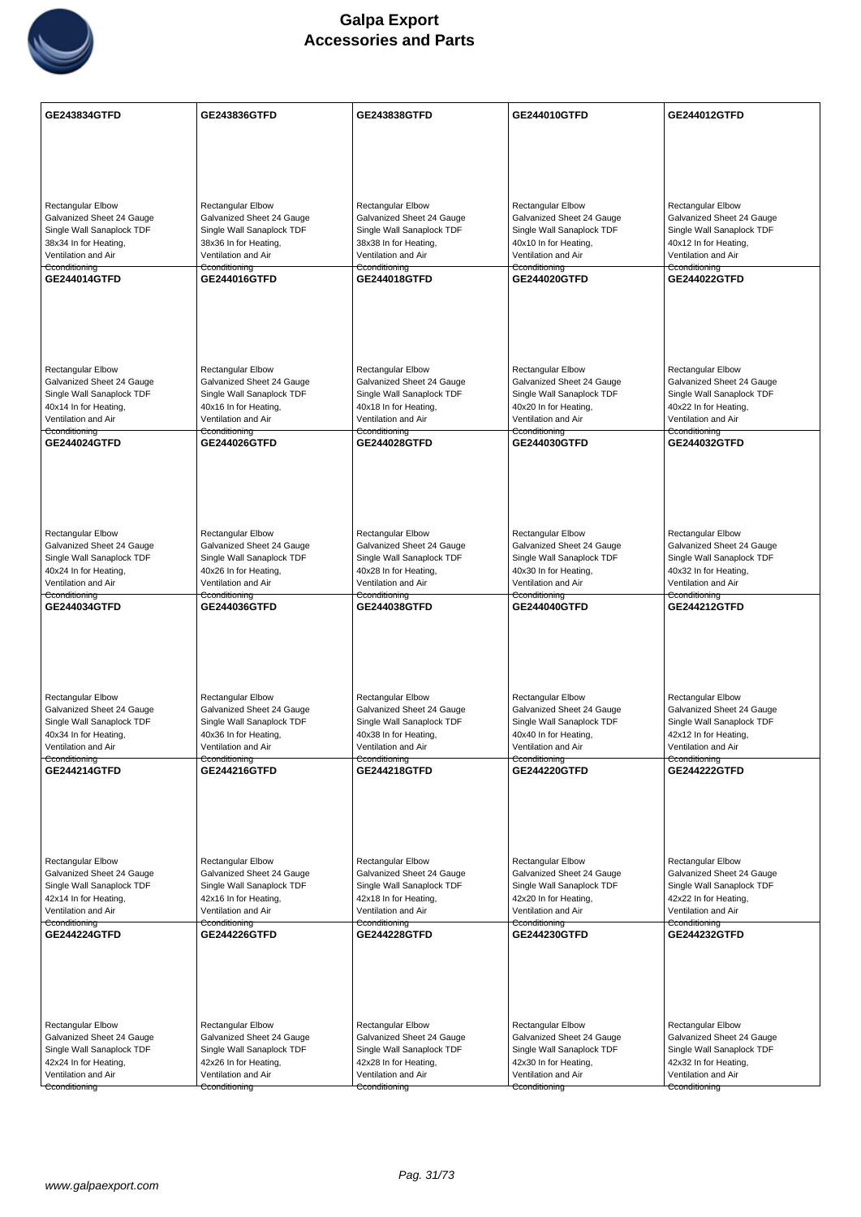

| GE243834GTFD                                       | GE243836GTFD                                       | GE243838GTFD                                       | GE244010GTFD                                       | GE244012GTFD                                       |
|----------------------------------------------------|----------------------------------------------------|----------------------------------------------------|----------------------------------------------------|----------------------------------------------------|
|                                                    |                                                    |                                                    |                                                    |                                                    |
|                                                    |                                                    |                                                    |                                                    |                                                    |
|                                                    |                                                    |                                                    |                                                    |                                                    |
| <b>Rectangular Elbow</b>                           | <b>Rectangular Elbow</b>                           | Rectangular Elbow                                  | <b>Rectangular Elbow</b>                           | Rectangular Elbow                                  |
| Galvanized Sheet 24 Gauge                          | Galvanized Sheet 24 Gauge                          | Galvanized Sheet 24 Gauge                          | Galvanized Sheet 24 Gauge                          | Galvanized Sheet 24 Gauge                          |
| Single Wall Sanaplock TDF                          | Single Wall Sanaplock TDF                          | Single Wall Sanaplock TDF                          | Single Wall Sanaplock TDF                          | Single Wall Sanaplock TDF                          |
| 38x34 In for Heating,<br>Ventilation and Air       | 38x36 In for Heating,<br>Ventilation and Air       | 38x38 In for Heating,<br>Ventilation and Air       | 40x10 In for Heating,<br>Ventilation and Air       | 40x12 In for Heating,<br>Ventilation and Air       |
| Cconditioning                                      | Cconditioning                                      | Cconditioning                                      | Cconditioning                                      | Cconditioning                                      |
| GE244014GTFD                                       | GE244016GTFD                                       | GE244018GTFD                                       | GE244020GTFD                                       | GE244022GTFD                                       |
|                                                    |                                                    |                                                    |                                                    |                                                    |
|                                                    |                                                    |                                                    |                                                    |                                                    |
|                                                    |                                                    |                                                    |                                                    |                                                    |
| <b>Rectangular Elbow</b>                           | <b>Rectangular Elbow</b>                           | <b>Rectangular Elbow</b>                           | <b>Rectangular Elbow</b>                           | <b>Rectangular Elbow</b>                           |
| Galvanized Sheet 24 Gauge                          | Galvanized Sheet 24 Gauge                          | Galvanized Sheet 24 Gauge                          | Galvanized Sheet 24 Gauge                          | Galvanized Sheet 24 Gauge                          |
| Single Wall Sanaplock TDF                          | Single Wall Sanaplock TDF                          | Single Wall Sanaplock TDF                          | Single Wall Sanaplock TDF                          | Single Wall Sanaplock TDF                          |
| 40x14 In for Heating,<br>Ventilation and Air       | 40x16 In for Heating,<br>Ventilation and Air       | 40x18 In for Heating,<br>Ventilation and Air       | 40x20 In for Heating,<br>Ventilation and Air       | 40x22 In for Heating,<br>Ventilation and Air       |
| Cconditioning                                      | Cconditioning                                      | Cconditioning                                      | Cconditioning                                      | Cconditioning                                      |
| <b>GE244024GTFD</b>                                | <b>GE244026GTFD</b>                                | GE244028GTFD                                       | GE244030GTFD                                       | <b>GE244032GTFD</b>                                |
|                                                    |                                                    |                                                    |                                                    |                                                    |
|                                                    |                                                    |                                                    |                                                    |                                                    |
|                                                    |                                                    |                                                    |                                                    |                                                    |
| Rectangular Elbow                                  | <b>Rectangular Elbow</b>                           | <b>Rectangular Elbow</b>                           | <b>Rectangular Elbow</b>                           | <b>Rectangular Elbow</b>                           |
| Galvanized Sheet 24 Gauge                          | Galvanized Sheet 24 Gauge                          | Galvanized Sheet 24 Gauge                          | Galvanized Sheet 24 Gauge                          | Galvanized Sheet 24 Gauge                          |
| Single Wall Sanaplock TDF                          | Single Wall Sanaplock TDF                          | Single Wall Sanaplock TDF                          | Single Wall Sanaplock TDF                          | Single Wall Sanaplock TDF                          |
| 40x24 In for Heating,<br>Ventilation and Air       | 40x26 In for Heating,<br>Ventilation and Air       | 40x28 In for Heating,<br>Ventilation and Air       | 40x30 In for Heating,<br>Ventilation and Air       | 40x32 In for Heating,<br>Ventilation and Air       |
| Cconditioning                                      | Cconditioning                                      | Cconditioning                                      | Cconditioning                                      | Cconditioning                                      |
| GE244034GTFD                                       | GE244036GTFD                                       | GE244038GTFD                                       | GE244040GTFD                                       | <b>GE244212GTFD</b>                                |
|                                                    |                                                    |                                                    |                                                    |                                                    |
|                                                    |                                                    |                                                    |                                                    |                                                    |
|                                                    |                                                    |                                                    |                                                    |                                                    |
| Rectangular Elbow                                  | Rectangular Elbow                                  | <b>Rectangular Elbow</b>                           | Rectangular Elbow                                  | <b>Rectangular Elbow</b>                           |
| Galvanized Sheet 24 Gauge                          | Galvanized Sheet 24 Gauge                          | Galvanized Sheet 24 Gauge                          | Galvanized Sheet 24 Gauge                          | Galvanized Sheet 24 Gauge                          |
| Single Wall Sanaplock TDF<br>40x34 In for Heating, | Single Wall Sanaplock TDF<br>40x36 In for Heating, | Single Wall Sanaplock TDF<br>40x38 In for Heating, | Single Wall Sanaplock TDF<br>40x40 In for Heating, | Single Wall Sanaplock TDF<br>42x12 In for Heating, |
| Ventilation and Air                                | Ventilation and Air                                | Ventilation and Air                                | Ventilation and Air                                | Ventilation and Air                                |
| Cconditioning<br><b>GE244214GTFD</b>               | Cconditioning<br>GE244216GTFD                      | Cconditioning<br><b>GE244218GTFD</b>               | Cconditioning<br><b>GE244220GTFD</b>               | Cconditioning<br><b>GE244222GTFD</b>               |
|                                                    |                                                    |                                                    |                                                    |                                                    |
|                                                    |                                                    |                                                    |                                                    |                                                    |
|                                                    |                                                    |                                                    |                                                    |                                                    |
|                                                    |                                                    |                                                    |                                                    |                                                    |
| Rectangular Elbow                                  | Rectangular Elbow                                  | <b>Rectangular Elbow</b>                           | <b>Rectangular Elbow</b>                           | <b>Rectangular Elbow</b>                           |
| Galvanized Sheet 24 Gauge                          | Galvanized Sheet 24 Gauge                          | Galvanized Sheet 24 Gauge                          | Galvanized Sheet 24 Gauge                          | Galvanized Sheet 24 Gauge                          |
| Single Wall Sanaplock TDF<br>42x14 In for Heating, | Single Wall Sanaplock TDF<br>42x16 In for Heating, | Single Wall Sanaplock TDF<br>42x18 In for Heating, | Single Wall Sanaplock TDF<br>42x20 In for Heating, | Single Wall Sanaplock TDF<br>42x22 In for Heating, |
| Ventilation and Air                                | Ventilation and Air                                | Ventilation and Air                                | Ventilation and Air                                | Ventilation and Air                                |
| Cconditioning<br><b>GE244224GTFD</b>               | Cconditioning<br>GE244226GTFD                      | Cconditioning<br><b>GE244228GTFD</b>               | Cconditioning<br>GE244230GTFD                      | Cconditioning<br><b>GE244232GTFD</b>               |
|                                                    |                                                    |                                                    |                                                    |                                                    |
|                                                    |                                                    |                                                    |                                                    |                                                    |
|                                                    |                                                    |                                                    |                                                    |                                                    |
|                                                    |                                                    |                                                    |                                                    |                                                    |
| Rectangular Elbow                                  | <b>Rectangular Elbow</b>                           | Rectangular Elbow                                  | <b>Rectangular Elbow</b>                           | Rectangular Elbow                                  |
| Galvanized Sheet 24 Gauge                          | Galvanized Sheet 24 Gauge                          | Galvanized Sheet 24 Gauge                          | Galvanized Sheet 24 Gauge                          | Galvanized Sheet 24 Gauge                          |
| Single Wall Sanaplock TDF<br>42x24 In for Heating, | Single Wall Sanaplock TDF<br>42x26 In for Heating, | Single Wall Sanaplock TDF<br>42x28 In for Heating, | Single Wall Sanaplock TDF<br>42x30 In for Heating, | Single Wall Sanaplock TDF<br>42x32 In for Heating, |
| Ventilation and Air                                | Ventilation and Air                                | Ventilation and Air                                | Ventilation and Air                                | Ventilation and Air                                |
| Cconditioning                                      | Cconditioning                                      | Cconditioning                                      | Cconditioning                                      | Cconditioning                                      |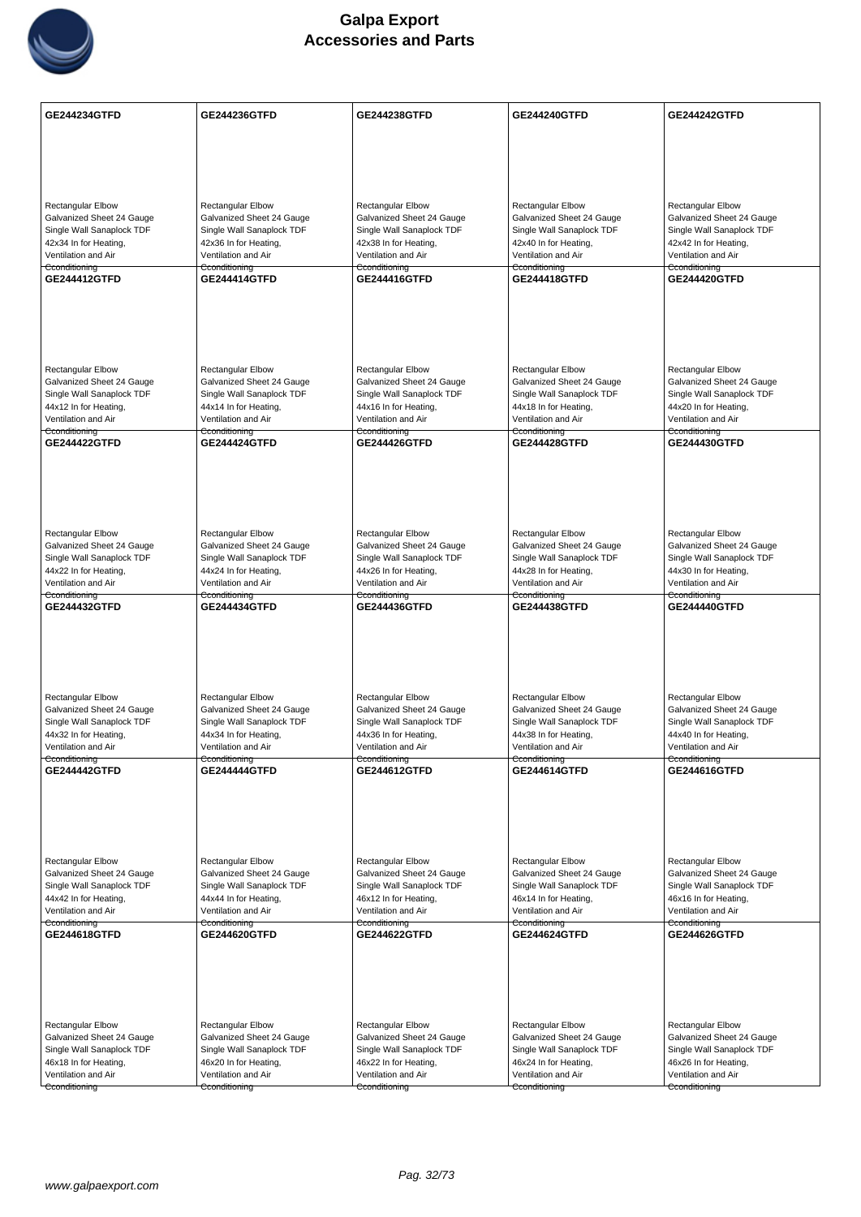

| <b>Rectangular Elbow</b><br><b>Rectangular Elbow</b><br><b>Rectangular Elbow</b><br><b>Rectangular Elbow</b><br><b>Rectangular Elbow</b><br>Galvanized Sheet 24 Gauge<br>Galvanized Sheet 24 Gauge<br>Galvanized Sheet 24 Gauge<br>Galvanized Sheet 24 Gauge<br>Galvanized Sheet 24 Gauge<br>Single Wall Sanaplock TDF<br>Single Wall Sanaplock TDF<br>Single Wall Sanaplock TDF<br>Single Wall Sanaplock TDF<br>Single Wall Sanaplock TDF<br>42x34 In for Heating,<br>42x36 In for Heating,<br>42x40 In for Heating,<br>42x42 In for Heating,<br>42x38 In for Heating,<br>Ventilation and Air<br>Ventilation and Air<br>Ventilation and Air<br>Ventilation and Air<br>Ventilation and Air<br>Cconditioning<br>Cconditioning<br>Cconditioning<br>Cconditioning<br>Cconditioning<br>GE244412GTFD<br>GE244420GTFD<br><b>GE244414GTFD</b><br>GE244416GTFD<br><b>GE244418GTFD</b><br>Rectangular Elbow<br>Rectangular Elbow<br>Rectangular Elbow<br><b>Rectangular Elbow</b><br><b>Rectangular Elbow</b><br>Galvanized Sheet 24 Gauge<br>Galvanized Sheet 24 Gauge<br>Galvanized Sheet 24 Gauge<br>Galvanized Sheet 24 Gauge<br>Galvanized Sheet 24 Gauge<br>Single Wall Sanaplock TDF<br>Single Wall Sanaplock TDF<br>Single Wall Sanaplock TDF<br>Single Wall Sanaplock TDF<br>Single Wall Sanaplock TDF<br>44x12 In for Heating,<br>44x14 In for Heating,<br>44x16 In for Heating,<br>44x18 In for Heating,<br>44x20 In for Heating,<br>Ventilation and Air<br>Ventilation and Air<br>Ventilation and Air<br>Ventilation and Air<br>Ventilation and Air<br>Cconditioning<br>Cconditioning<br>Cconditioning<br>Cconditioning<br>Cconditioning<br><b>GE244422GTFD</b><br><b>GE244424GTFD</b><br>GE244426GTFD<br><b>GE244428GTFD</b><br><b>GE244430GTFD</b><br><b>Rectangular Elbow</b><br><b>Rectangular Elbow</b><br>Rectangular Elbow<br>Rectangular Elbow<br>Rectangular Elbow<br>Galvanized Sheet 24 Gauge<br>Galvanized Sheet 24 Gauge<br>Galvanized Sheet 24 Gauge<br>Galvanized Sheet 24 Gauge<br>Galvanized Sheet 24 Gauge<br>Single Wall Sanaplock TDF<br>Single Wall Sanaplock TDF<br>Single Wall Sanaplock TDF<br>Single Wall Sanaplock TDF<br>Single Wall Sanaplock TDF<br>44x22 In for Heating,<br>44x24 In for Heating,<br>44x26 In for Heating,<br>44x28 In for Heating,<br>44x30 In for Heating,<br>Ventilation and Air<br>Ventilation and Air<br>Ventilation and Air<br>Ventilation and Air<br>Ventilation and Air<br>Cconditioning<br>Cconditioning<br>Cconditioning<br>Cconditioning<br>Cconditioning<br>GE244432GTFD<br>GE244434GTFD<br>GE244436GTFD<br>GE244438GTFD<br><b>GE244440GTFD</b><br>Rectangular Elbow<br>Rectangular Elbow<br>Rectangular Elbow<br><b>Rectangular Elbow</b><br><b>Rectangular Elbow</b><br>Galvanized Sheet 24 Gauge<br>Galvanized Sheet 24 Gauge<br>Galvanized Sheet 24 Gauge<br>Galvanized Sheet 24 Gauge<br>Galvanized Sheet 24 Gauge<br>Single Wall Sanaplock TDF<br>Single Wall Sanaplock TDF<br>Single Wall Sanaplock TDF<br>Single Wall Sanaplock TDF<br>Single Wall Sanaplock TDF<br>44x32 In for Heating,<br>44x34 In for Heating,<br>44x36 In for Heating,<br>44x38 In for Heating,<br>44x40 In for Heating,<br>Ventilation and Air<br>Ventilation and Air<br>Ventilation and Air<br>Ventilation and Air<br>Ventilation and Air<br>Cconditioning<br>Cconditioning<br>Cconditioning<br>Cconditioning<br>Cconditioning<br>GE244442GTFD<br><b>GE244444GTFD</b><br>GE244612GTFD<br>GE244614GTFD<br>GE244616GTFD<br>Rectangular Elbow<br>Rectangular Elbow<br><b>Rectangular Elbow</b><br><b>Rectangular Elbow</b><br><b>Rectangular Elbow</b><br>Galvanized Sheet 24 Gauge<br>Galvanized Sheet 24 Gauge<br>Galvanized Sheet 24 Gauge<br>Galvanized Sheet 24 Gauge<br>Galvanized Sheet 24 Gauge<br>Single Wall Sanaplock TDF<br>Single Wall Sanaplock TDF<br>Single Wall Sanaplock TDF<br>Single Wall Sanaplock TDF<br>Single Wall Sanaplock TDF<br>44x42 In for Heating,<br>44x44 In for Heating,<br>46x12 In for Heating,<br>46x14 In for Heating,<br>46x16 In for Heating,<br>Ventilation and Air<br>Ventilation and Air<br>Ventilation and Air<br>Ventilation and Air<br>Ventilation and Air<br>Cconditioning<br>Cconditioning<br>Cconditioning<br>Cconditioning<br>Cconditioning<br>GE244618GTFD<br><b>GE244622GTFD</b><br><b>GE244624GTFD</b><br><b>GE244626GTFD</b><br><b>GE244620GTFD</b><br>Rectangular Elbow<br>Rectangular Elbow<br><b>Rectangular Elbow</b><br><b>Rectangular Elbow</b><br><b>Rectangular Elbow</b><br>Galvanized Sheet 24 Gauge<br>Galvanized Sheet 24 Gauge<br>Galvanized Sheet 24 Gauge<br>Galvanized Sheet 24 Gauge<br>Galvanized Sheet 24 Gauge<br>Single Wall Sanaplock TDF<br>Single Wall Sanaplock TDF<br>Single Wall Sanaplock TDF<br>Single Wall Sanaplock TDF<br>Single Wall Sanaplock TDF<br>46x18 In for Heating,<br>46x20 In for Heating,<br>46x22 In for Heating,<br>46x24 In for Heating,<br>46x26 In for Heating,<br>Ventilation and Air<br>Ventilation and Air<br>Ventilation and Air<br>Ventilation and Air<br>Ventilation and Air<br>Cconditioning<br>Cconditioning<br>Cconditioning<br>Cconditioning<br>Cconditioning | <b>GE244234GTFD</b> | <b>GE244236GTFD</b> | <b>GE244238GTFD</b> | <b>GE244240GTFD</b> | <b>GE244242GTFD</b> |
|-------------------------------------------------------------------------------------------------------------------------------------------------------------------------------------------------------------------------------------------------------------------------------------------------------------------------------------------------------------------------------------------------------------------------------------------------------------------------------------------------------------------------------------------------------------------------------------------------------------------------------------------------------------------------------------------------------------------------------------------------------------------------------------------------------------------------------------------------------------------------------------------------------------------------------------------------------------------------------------------------------------------------------------------------------------------------------------------------------------------------------------------------------------------------------------------------------------------------------------------------------------------------------------------------------------------------------------------------------------------------------------------------------------------------------------------------------------------------------------------------------------------------------------------------------------------------------------------------------------------------------------------------------------------------------------------------------------------------------------------------------------------------------------------------------------------------------------------------------------------------------------------------------------------------------------------------------------------------------------------------------------------------------------------------------------------------------------------------------------------------------------------------------------------------------------------------------------------------------------------------------------------------------------------------------------------------------------------------------------------------------------------------------------------------------------------------------------------------------------------------------------------------------------------------------------------------------------------------------------------------------------------------------------------------------------------------------------------------------------------------------------------------------------------------------------------------------------------------------------------------------------------------------------------------------------------------------------------------------------------------------------------------------------------------------------------------------------------------------------------------------------------------------------------------------------------------------------------------------------------------------------------------------------------------------------------------------------------------------------------------------------------------------------------------------------------------------------------------------------------------------------------------------------------------------------------------------------------------------------------------------------------------------------------------------------------------------------------------------------------------------------------------------------------------------------------------------------------------------------------------------------------------------------------------------------------------------------------------------------------------------------------------------------------------------------------------------------------------------------------------------------------------------------------------------------------------------------------------------------------------------------------------------------------------------------------------------------------------------------------------------------------------------------------------------------------------------------------------------------------------------------------------------------------------------------------------------------------------------------------------------------------------------------------------------------------------------------------------------------------------------------------------------------------------------------------------------------------------------------------------------------------------------------------------------------------------------------------------------------------------------------------------------------------------------------------------------------------------------------------------|---------------------|---------------------|---------------------|---------------------|---------------------|
|                                                                                                                                                                                                                                                                                                                                                                                                                                                                                                                                                                                                                                                                                                                                                                                                                                                                                                                                                                                                                                                                                                                                                                                                                                                                                                                                                                                                                                                                                                                                                                                                                                                                                                                                                                                                                                                                                                                                                                                                                                                                                                                                                                                                                                                                                                                                                                                                                                                                                                                                                                                                                                                                                                                                                                                                                                                                                                                                                                                                                                                                                                                                                                                                                                                                                                                                                                                                                                                                                                                                                                                                                                                                                                                                                                                                                                                                                                                                                                                                                                                                                                                                                                                                                                                                                                                                                                                                                                                                                                                                                                                                                                                                                                                                                                                                                                                                                                                                                                                                                                                                                                                         |                     |                     |                     |                     |                     |
|                                                                                                                                                                                                                                                                                                                                                                                                                                                                                                                                                                                                                                                                                                                                                                                                                                                                                                                                                                                                                                                                                                                                                                                                                                                                                                                                                                                                                                                                                                                                                                                                                                                                                                                                                                                                                                                                                                                                                                                                                                                                                                                                                                                                                                                                                                                                                                                                                                                                                                                                                                                                                                                                                                                                                                                                                                                                                                                                                                                                                                                                                                                                                                                                                                                                                                                                                                                                                                                                                                                                                                                                                                                                                                                                                                                                                                                                                                                                                                                                                                                                                                                                                                                                                                                                                                                                                                                                                                                                                                                                                                                                                                                                                                                                                                                                                                                                                                                                                                                                                                                                                                                         |                     |                     |                     |                     |                     |
|                                                                                                                                                                                                                                                                                                                                                                                                                                                                                                                                                                                                                                                                                                                                                                                                                                                                                                                                                                                                                                                                                                                                                                                                                                                                                                                                                                                                                                                                                                                                                                                                                                                                                                                                                                                                                                                                                                                                                                                                                                                                                                                                                                                                                                                                                                                                                                                                                                                                                                                                                                                                                                                                                                                                                                                                                                                                                                                                                                                                                                                                                                                                                                                                                                                                                                                                                                                                                                                                                                                                                                                                                                                                                                                                                                                                                                                                                                                                                                                                                                                                                                                                                                                                                                                                                                                                                                                                                                                                                                                                                                                                                                                                                                                                                                                                                                                                                                                                                                                                                                                                                                                         |                     |                     |                     |                     |                     |
|                                                                                                                                                                                                                                                                                                                                                                                                                                                                                                                                                                                                                                                                                                                                                                                                                                                                                                                                                                                                                                                                                                                                                                                                                                                                                                                                                                                                                                                                                                                                                                                                                                                                                                                                                                                                                                                                                                                                                                                                                                                                                                                                                                                                                                                                                                                                                                                                                                                                                                                                                                                                                                                                                                                                                                                                                                                                                                                                                                                                                                                                                                                                                                                                                                                                                                                                                                                                                                                                                                                                                                                                                                                                                                                                                                                                                                                                                                                                                                                                                                                                                                                                                                                                                                                                                                                                                                                                                                                                                                                                                                                                                                                                                                                                                                                                                                                                                                                                                                                                                                                                                                                         |                     |                     |                     |                     |                     |
|                                                                                                                                                                                                                                                                                                                                                                                                                                                                                                                                                                                                                                                                                                                                                                                                                                                                                                                                                                                                                                                                                                                                                                                                                                                                                                                                                                                                                                                                                                                                                                                                                                                                                                                                                                                                                                                                                                                                                                                                                                                                                                                                                                                                                                                                                                                                                                                                                                                                                                                                                                                                                                                                                                                                                                                                                                                                                                                                                                                                                                                                                                                                                                                                                                                                                                                                                                                                                                                                                                                                                                                                                                                                                                                                                                                                                                                                                                                                                                                                                                                                                                                                                                                                                                                                                                                                                                                                                                                                                                                                                                                                                                                                                                                                                                                                                                                                                                                                                                                                                                                                                                                         |                     |                     |                     |                     |                     |
|                                                                                                                                                                                                                                                                                                                                                                                                                                                                                                                                                                                                                                                                                                                                                                                                                                                                                                                                                                                                                                                                                                                                                                                                                                                                                                                                                                                                                                                                                                                                                                                                                                                                                                                                                                                                                                                                                                                                                                                                                                                                                                                                                                                                                                                                                                                                                                                                                                                                                                                                                                                                                                                                                                                                                                                                                                                                                                                                                                                                                                                                                                                                                                                                                                                                                                                                                                                                                                                                                                                                                                                                                                                                                                                                                                                                                                                                                                                                                                                                                                                                                                                                                                                                                                                                                                                                                                                                                                                                                                                                                                                                                                                                                                                                                                                                                                                                                                                                                                                                                                                                                                                         |                     |                     |                     |                     |                     |
|                                                                                                                                                                                                                                                                                                                                                                                                                                                                                                                                                                                                                                                                                                                                                                                                                                                                                                                                                                                                                                                                                                                                                                                                                                                                                                                                                                                                                                                                                                                                                                                                                                                                                                                                                                                                                                                                                                                                                                                                                                                                                                                                                                                                                                                                                                                                                                                                                                                                                                                                                                                                                                                                                                                                                                                                                                                                                                                                                                                                                                                                                                                                                                                                                                                                                                                                                                                                                                                                                                                                                                                                                                                                                                                                                                                                                                                                                                                                                                                                                                                                                                                                                                                                                                                                                                                                                                                                                                                                                                                                                                                                                                                                                                                                                                                                                                                                                                                                                                                                                                                                                                                         |                     |                     |                     |                     |                     |
|                                                                                                                                                                                                                                                                                                                                                                                                                                                                                                                                                                                                                                                                                                                                                                                                                                                                                                                                                                                                                                                                                                                                                                                                                                                                                                                                                                                                                                                                                                                                                                                                                                                                                                                                                                                                                                                                                                                                                                                                                                                                                                                                                                                                                                                                                                                                                                                                                                                                                                                                                                                                                                                                                                                                                                                                                                                                                                                                                                                                                                                                                                                                                                                                                                                                                                                                                                                                                                                                                                                                                                                                                                                                                                                                                                                                                                                                                                                                                                                                                                                                                                                                                                                                                                                                                                                                                                                                                                                                                                                                                                                                                                                                                                                                                                                                                                                                                                                                                                                                                                                                                                                         |                     |                     |                     |                     |                     |
|                                                                                                                                                                                                                                                                                                                                                                                                                                                                                                                                                                                                                                                                                                                                                                                                                                                                                                                                                                                                                                                                                                                                                                                                                                                                                                                                                                                                                                                                                                                                                                                                                                                                                                                                                                                                                                                                                                                                                                                                                                                                                                                                                                                                                                                                                                                                                                                                                                                                                                                                                                                                                                                                                                                                                                                                                                                                                                                                                                                                                                                                                                                                                                                                                                                                                                                                                                                                                                                                                                                                                                                                                                                                                                                                                                                                                                                                                                                                                                                                                                                                                                                                                                                                                                                                                                                                                                                                                                                                                                                                                                                                                                                                                                                                                                                                                                                                                                                                                                                                                                                                                                                         |                     |                     |                     |                     |                     |
|                                                                                                                                                                                                                                                                                                                                                                                                                                                                                                                                                                                                                                                                                                                                                                                                                                                                                                                                                                                                                                                                                                                                                                                                                                                                                                                                                                                                                                                                                                                                                                                                                                                                                                                                                                                                                                                                                                                                                                                                                                                                                                                                                                                                                                                                                                                                                                                                                                                                                                                                                                                                                                                                                                                                                                                                                                                                                                                                                                                                                                                                                                                                                                                                                                                                                                                                                                                                                                                                                                                                                                                                                                                                                                                                                                                                                                                                                                                                                                                                                                                                                                                                                                                                                                                                                                                                                                                                                                                                                                                                                                                                                                                                                                                                                                                                                                                                                                                                                                                                                                                                                                                         |                     |                     |                     |                     |                     |
|                                                                                                                                                                                                                                                                                                                                                                                                                                                                                                                                                                                                                                                                                                                                                                                                                                                                                                                                                                                                                                                                                                                                                                                                                                                                                                                                                                                                                                                                                                                                                                                                                                                                                                                                                                                                                                                                                                                                                                                                                                                                                                                                                                                                                                                                                                                                                                                                                                                                                                                                                                                                                                                                                                                                                                                                                                                                                                                                                                                                                                                                                                                                                                                                                                                                                                                                                                                                                                                                                                                                                                                                                                                                                                                                                                                                                                                                                                                                                                                                                                                                                                                                                                                                                                                                                                                                                                                                                                                                                                                                                                                                                                                                                                                                                                                                                                                                                                                                                                                                                                                                                                                         |                     |                     |                     |                     |                     |
|                                                                                                                                                                                                                                                                                                                                                                                                                                                                                                                                                                                                                                                                                                                                                                                                                                                                                                                                                                                                                                                                                                                                                                                                                                                                                                                                                                                                                                                                                                                                                                                                                                                                                                                                                                                                                                                                                                                                                                                                                                                                                                                                                                                                                                                                                                                                                                                                                                                                                                                                                                                                                                                                                                                                                                                                                                                                                                                                                                                                                                                                                                                                                                                                                                                                                                                                                                                                                                                                                                                                                                                                                                                                                                                                                                                                                                                                                                                                                                                                                                                                                                                                                                                                                                                                                                                                                                                                                                                                                                                                                                                                                                                                                                                                                                                                                                                                                                                                                                                                                                                                                                                         |                     |                     |                     |                     |                     |
|                                                                                                                                                                                                                                                                                                                                                                                                                                                                                                                                                                                                                                                                                                                                                                                                                                                                                                                                                                                                                                                                                                                                                                                                                                                                                                                                                                                                                                                                                                                                                                                                                                                                                                                                                                                                                                                                                                                                                                                                                                                                                                                                                                                                                                                                                                                                                                                                                                                                                                                                                                                                                                                                                                                                                                                                                                                                                                                                                                                                                                                                                                                                                                                                                                                                                                                                                                                                                                                                                                                                                                                                                                                                                                                                                                                                                                                                                                                                                                                                                                                                                                                                                                                                                                                                                                                                                                                                                                                                                                                                                                                                                                                                                                                                                                                                                                                                                                                                                                                                                                                                                                                         |                     |                     |                     |                     |                     |
|                                                                                                                                                                                                                                                                                                                                                                                                                                                                                                                                                                                                                                                                                                                                                                                                                                                                                                                                                                                                                                                                                                                                                                                                                                                                                                                                                                                                                                                                                                                                                                                                                                                                                                                                                                                                                                                                                                                                                                                                                                                                                                                                                                                                                                                                                                                                                                                                                                                                                                                                                                                                                                                                                                                                                                                                                                                                                                                                                                                                                                                                                                                                                                                                                                                                                                                                                                                                                                                                                                                                                                                                                                                                                                                                                                                                                                                                                                                                                                                                                                                                                                                                                                                                                                                                                                                                                                                                                                                                                                                                                                                                                                                                                                                                                                                                                                                                                                                                                                                                                                                                                                                         |                     |                     |                     |                     |                     |
|                                                                                                                                                                                                                                                                                                                                                                                                                                                                                                                                                                                                                                                                                                                                                                                                                                                                                                                                                                                                                                                                                                                                                                                                                                                                                                                                                                                                                                                                                                                                                                                                                                                                                                                                                                                                                                                                                                                                                                                                                                                                                                                                                                                                                                                                                                                                                                                                                                                                                                                                                                                                                                                                                                                                                                                                                                                                                                                                                                                                                                                                                                                                                                                                                                                                                                                                                                                                                                                                                                                                                                                                                                                                                                                                                                                                                                                                                                                                                                                                                                                                                                                                                                                                                                                                                                                                                                                                                                                                                                                                                                                                                                                                                                                                                                                                                                                                                                                                                                                                                                                                                                                         |                     |                     |                     |                     |                     |
|                                                                                                                                                                                                                                                                                                                                                                                                                                                                                                                                                                                                                                                                                                                                                                                                                                                                                                                                                                                                                                                                                                                                                                                                                                                                                                                                                                                                                                                                                                                                                                                                                                                                                                                                                                                                                                                                                                                                                                                                                                                                                                                                                                                                                                                                                                                                                                                                                                                                                                                                                                                                                                                                                                                                                                                                                                                                                                                                                                                                                                                                                                                                                                                                                                                                                                                                                                                                                                                                                                                                                                                                                                                                                                                                                                                                                                                                                                                                                                                                                                                                                                                                                                                                                                                                                                                                                                                                                                                                                                                                                                                                                                                                                                                                                                                                                                                                                                                                                                                                                                                                                                                         |                     |                     |                     |                     |                     |
|                                                                                                                                                                                                                                                                                                                                                                                                                                                                                                                                                                                                                                                                                                                                                                                                                                                                                                                                                                                                                                                                                                                                                                                                                                                                                                                                                                                                                                                                                                                                                                                                                                                                                                                                                                                                                                                                                                                                                                                                                                                                                                                                                                                                                                                                                                                                                                                                                                                                                                                                                                                                                                                                                                                                                                                                                                                                                                                                                                                                                                                                                                                                                                                                                                                                                                                                                                                                                                                                                                                                                                                                                                                                                                                                                                                                                                                                                                                                                                                                                                                                                                                                                                                                                                                                                                                                                                                                                                                                                                                                                                                                                                                                                                                                                                                                                                                                                                                                                                                                                                                                                                                         |                     |                     |                     |                     |                     |
|                                                                                                                                                                                                                                                                                                                                                                                                                                                                                                                                                                                                                                                                                                                                                                                                                                                                                                                                                                                                                                                                                                                                                                                                                                                                                                                                                                                                                                                                                                                                                                                                                                                                                                                                                                                                                                                                                                                                                                                                                                                                                                                                                                                                                                                                                                                                                                                                                                                                                                                                                                                                                                                                                                                                                                                                                                                                                                                                                                                                                                                                                                                                                                                                                                                                                                                                                                                                                                                                                                                                                                                                                                                                                                                                                                                                                                                                                                                                                                                                                                                                                                                                                                                                                                                                                                                                                                                                                                                                                                                                                                                                                                                                                                                                                                                                                                                                                                                                                                                                                                                                                                                         |                     |                     |                     |                     |                     |
|                                                                                                                                                                                                                                                                                                                                                                                                                                                                                                                                                                                                                                                                                                                                                                                                                                                                                                                                                                                                                                                                                                                                                                                                                                                                                                                                                                                                                                                                                                                                                                                                                                                                                                                                                                                                                                                                                                                                                                                                                                                                                                                                                                                                                                                                                                                                                                                                                                                                                                                                                                                                                                                                                                                                                                                                                                                                                                                                                                                                                                                                                                                                                                                                                                                                                                                                                                                                                                                                                                                                                                                                                                                                                                                                                                                                                                                                                                                                                                                                                                                                                                                                                                                                                                                                                                                                                                                                                                                                                                                                                                                                                                                                                                                                                                                                                                                                                                                                                                                                                                                                                                                         |                     |                     |                     |                     |                     |
|                                                                                                                                                                                                                                                                                                                                                                                                                                                                                                                                                                                                                                                                                                                                                                                                                                                                                                                                                                                                                                                                                                                                                                                                                                                                                                                                                                                                                                                                                                                                                                                                                                                                                                                                                                                                                                                                                                                                                                                                                                                                                                                                                                                                                                                                                                                                                                                                                                                                                                                                                                                                                                                                                                                                                                                                                                                                                                                                                                                                                                                                                                                                                                                                                                                                                                                                                                                                                                                                                                                                                                                                                                                                                                                                                                                                                                                                                                                                                                                                                                                                                                                                                                                                                                                                                                                                                                                                                                                                                                                                                                                                                                                                                                                                                                                                                                                                                                                                                                                                                                                                                                                         |                     |                     |                     |                     |                     |
|                                                                                                                                                                                                                                                                                                                                                                                                                                                                                                                                                                                                                                                                                                                                                                                                                                                                                                                                                                                                                                                                                                                                                                                                                                                                                                                                                                                                                                                                                                                                                                                                                                                                                                                                                                                                                                                                                                                                                                                                                                                                                                                                                                                                                                                                                                                                                                                                                                                                                                                                                                                                                                                                                                                                                                                                                                                                                                                                                                                                                                                                                                                                                                                                                                                                                                                                                                                                                                                                                                                                                                                                                                                                                                                                                                                                                                                                                                                                                                                                                                                                                                                                                                                                                                                                                                                                                                                                                                                                                                                                                                                                                                                                                                                                                                                                                                                                                                                                                                                                                                                                                                                         |                     |                     |                     |                     |                     |
|                                                                                                                                                                                                                                                                                                                                                                                                                                                                                                                                                                                                                                                                                                                                                                                                                                                                                                                                                                                                                                                                                                                                                                                                                                                                                                                                                                                                                                                                                                                                                                                                                                                                                                                                                                                                                                                                                                                                                                                                                                                                                                                                                                                                                                                                                                                                                                                                                                                                                                                                                                                                                                                                                                                                                                                                                                                                                                                                                                                                                                                                                                                                                                                                                                                                                                                                                                                                                                                                                                                                                                                                                                                                                                                                                                                                                                                                                                                                                                                                                                                                                                                                                                                                                                                                                                                                                                                                                                                                                                                                                                                                                                                                                                                                                                                                                                                                                                                                                                                                                                                                                                                         |                     |                     |                     |                     |                     |
|                                                                                                                                                                                                                                                                                                                                                                                                                                                                                                                                                                                                                                                                                                                                                                                                                                                                                                                                                                                                                                                                                                                                                                                                                                                                                                                                                                                                                                                                                                                                                                                                                                                                                                                                                                                                                                                                                                                                                                                                                                                                                                                                                                                                                                                                                                                                                                                                                                                                                                                                                                                                                                                                                                                                                                                                                                                                                                                                                                                                                                                                                                                                                                                                                                                                                                                                                                                                                                                                                                                                                                                                                                                                                                                                                                                                                                                                                                                                                                                                                                                                                                                                                                                                                                                                                                                                                                                                                                                                                                                                                                                                                                                                                                                                                                                                                                                                                                                                                                                                                                                                                                                         |                     |                     |                     |                     |                     |
|                                                                                                                                                                                                                                                                                                                                                                                                                                                                                                                                                                                                                                                                                                                                                                                                                                                                                                                                                                                                                                                                                                                                                                                                                                                                                                                                                                                                                                                                                                                                                                                                                                                                                                                                                                                                                                                                                                                                                                                                                                                                                                                                                                                                                                                                                                                                                                                                                                                                                                                                                                                                                                                                                                                                                                                                                                                                                                                                                                                                                                                                                                                                                                                                                                                                                                                                                                                                                                                                                                                                                                                                                                                                                                                                                                                                                                                                                                                                                                                                                                                                                                                                                                                                                                                                                                                                                                                                                                                                                                                                                                                                                                                                                                                                                                                                                                                                                                                                                                                                                                                                                                                         |                     |                     |                     |                     |                     |
|                                                                                                                                                                                                                                                                                                                                                                                                                                                                                                                                                                                                                                                                                                                                                                                                                                                                                                                                                                                                                                                                                                                                                                                                                                                                                                                                                                                                                                                                                                                                                                                                                                                                                                                                                                                                                                                                                                                                                                                                                                                                                                                                                                                                                                                                                                                                                                                                                                                                                                                                                                                                                                                                                                                                                                                                                                                                                                                                                                                                                                                                                                                                                                                                                                                                                                                                                                                                                                                                                                                                                                                                                                                                                                                                                                                                                                                                                                                                                                                                                                                                                                                                                                                                                                                                                                                                                                                                                                                                                                                                                                                                                                                                                                                                                                                                                                                                                                                                                                                                                                                                                                                         |                     |                     |                     |                     |                     |
|                                                                                                                                                                                                                                                                                                                                                                                                                                                                                                                                                                                                                                                                                                                                                                                                                                                                                                                                                                                                                                                                                                                                                                                                                                                                                                                                                                                                                                                                                                                                                                                                                                                                                                                                                                                                                                                                                                                                                                                                                                                                                                                                                                                                                                                                                                                                                                                                                                                                                                                                                                                                                                                                                                                                                                                                                                                                                                                                                                                                                                                                                                                                                                                                                                                                                                                                                                                                                                                                                                                                                                                                                                                                                                                                                                                                                                                                                                                                                                                                                                                                                                                                                                                                                                                                                                                                                                                                                                                                                                                                                                                                                                                                                                                                                                                                                                                                                                                                                                                                                                                                                                                         |                     |                     |                     |                     |                     |
|                                                                                                                                                                                                                                                                                                                                                                                                                                                                                                                                                                                                                                                                                                                                                                                                                                                                                                                                                                                                                                                                                                                                                                                                                                                                                                                                                                                                                                                                                                                                                                                                                                                                                                                                                                                                                                                                                                                                                                                                                                                                                                                                                                                                                                                                                                                                                                                                                                                                                                                                                                                                                                                                                                                                                                                                                                                                                                                                                                                                                                                                                                                                                                                                                                                                                                                                                                                                                                                                                                                                                                                                                                                                                                                                                                                                                                                                                                                                                                                                                                                                                                                                                                                                                                                                                                                                                                                                                                                                                                                                                                                                                                                                                                                                                                                                                                                                                                                                                                                                                                                                                                                         |                     |                     |                     |                     |                     |
|                                                                                                                                                                                                                                                                                                                                                                                                                                                                                                                                                                                                                                                                                                                                                                                                                                                                                                                                                                                                                                                                                                                                                                                                                                                                                                                                                                                                                                                                                                                                                                                                                                                                                                                                                                                                                                                                                                                                                                                                                                                                                                                                                                                                                                                                                                                                                                                                                                                                                                                                                                                                                                                                                                                                                                                                                                                                                                                                                                                                                                                                                                                                                                                                                                                                                                                                                                                                                                                                                                                                                                                                                                                                                                                                                                                                                                                                                                                                                                                                                                                                                                                                                                                                                                                                                                                                                                                                                                                                                                                                                                                                                                                                                                                                                                                                                                                                                                                                                                                                                                                                                                                         |                     |                     |                     |                     |                     |
|                                                                                                                                                                                                                                                                                                                                                                                                                                                                                                                                                                                                                                                                                                                                                                                                                                                                                                                                                                                                                                                                                                                                                                                                                                                                                                                                                                                                                                                                                                                                                                                                                                                                                                                                                                                                                                                                                                                                                                                                                                                                                                                                                                                                                                                                                                                                                                                                                                                                                                                                                                                                                                                                                                                                                                                                                                                                                                                                                                                                                                                                                                                                                                                                                                                                                                                                                                                                                                                                                                                                                                                                                                                                                                                                                                                                                                                                                                                                                                                                                                                                                                                                                                                                                                                                                                                                                                                                                                                                                                                                                                                                                                                                                                                                                                                                                                                                                                                                                                                                                                                                                                                         |                     |                     |                     |                     |                     |
|                                                                                                                                                                                                                                                                                                                                                                                                                                                                                                                                                                                                                                                                                                                                                                                                                                                                                                                                                                                                                                                                                                                                                                                                                                                                                                                                                                                                                                                                                                                                                                                                                                                                                                                                                                                                                                                                                                                                                                                                                                                                                                                                                                                                                                                                                                                                                                                                                                                                                                                                                                                                                                                                                                                                                                                                                                                                                                                                                                                                                                                                                                                                                                                                                                                                                                                                                                                                                                                                                                                                                                                                                                                                                                                                                                                                                                                                                                                                                                                                                                                                                                                                                                                                                                                                                                                                                                                                                                                                                                                                                                                                                                                                                                                                                                                                                                                                                                                                                                                                                                                                                                                         |                     |                     |                     |                     |                     |
|                                                                                                                                                                                                                                                                                                                                                                                                                                                                                                                                                                                                                                                                                                                                                                                                                                                                                                                                                                                                                                                                                                                                                                                                                                                                                                                                                                                                                                                                                                                                                                                                                                                                                                                                                                                                                                                                                                                                                                                                                                                                                                                                                                                                                                                                                                                                                                                                                                                                                                                                                                                                                                                                                                                                                                                                                                                                                                                                                                                                                                                                                                                                                                                                                                                                                                                                                                                                                                                                                                                                                                                                                                                                                                                                                                                                                                                                                                                                                                                                                                                                                                                                                                                                                                                                                                                                                                                                                                                                                                                                                                                                                                                                                                                                                                                                                                                                                                                                                                                                                                                                                                                         |                     |                     |                     |                     |                     |
|                                                                                                                                                                                                                                                                                                                                                                                                                                                                                                                                                                                                                                                                                                                                                                                                                                                                                                                                                                                                                                                                                                                                                                                                                                                                                                                                                                                                                                                                                                                                                                                                                                                                                                                                                                                                                                                                                                                                                                                                                                                                                                                                                                                                                                                                                                                                                                                                                                                                                                                                                                                                                                                                                                                                                                                                                                                                                                                                                                                                                                                                                                                                                                                                                                                                                                                                                                                                                                                                                                                                                                                                                                                                                                                                                                                                                                                                                                                                                                                                                                                                                                                                                                                                                                                                                                                                                                                                                                                                                                                                                                                                                                                                                                                                                                                                                                                                                                                                                                                                                                                                                                                         |                     |                     |                     |                     |                     |
|                                                                                                                                                                                                                                                                                                                                                                                                                                                                                                                                                                                                                                                                                                                                                                                                                                                                                                                                                                                                                                                                                                                                                                                                                                                                                                                                                                                                                                                                                                                                                                                                                                                                                                                                                                                                                                                                                                                                                                                                                                                                                                                                                                                                                                                                                                                                                                                                                                                                                                                                                                                                                                                                                                                                                                                                                                                                                                                                                                                                                                                                                                                                                                                                                                                                                                                                                                                                                                                                                                                                                                                                                                                                                                                                                                                                                                                                                                                                                                                                                                                                                                                                                                                                                                                                                                                                                                                                                                                                                                                                                                                                                                                                                                                                                                                                                                                                                                                                                                                                                                                                                                                         |                     |                     |                     |                     |                     |
|                                                                                                                                                                                                                                                                                                                                                                                                                                                                                                                                                                                                                                                                                                                                                                                                                                                                                                                                                                                                                                                                                                                                                                                                                                                                                                                                                                                                                                                                                                                                                                                                                                                                                                                                                                                                                                                                                                                                                                                                                                                                                                                                                                                                                                                                                                                                                                                                                                                                                                                                                                                                                                                                                                                                                                                                                                                                                                                                                                                                                                                                                                                                                                                                                                                                                                                                                                                                                                                                                                                                                                                                                                                                                                                                                                                                                                                                                                                                                                                                                                                                                                                                                                                                                                                                                                                                                                                                                                                                                                                                                                                                                                                                                                                                                                                                                                                                                                                                                                                                                                                                                                                         |                     |                     |                     |                     |                     |
|                                                                                                                                                                                                                                                                                                                                                                                                                                                                                                                                                                                                                                                                                                                                                                                                                                                                                                                                                                                                                                                                                                                                                                                                                                                                                                                                                                                                                                                                                                                                                                                                                                                                                                                                                                                                                                                                                                                                                                                                                                                                                                                                                                                                                                                                                                                                                                                                                                                                                                                                                                                                                                                                                                                                                                                                                                                                                                                                                                                                                                                                                                                                                                                                                                                                                                                                                                                                                                                                                                                                                                                                                                                                                                                                                                                                                                                                                                                                                                                                                                                                                                                                                                                                                                                                                                                                                                                                                                                                                                                                                                                                                                                                                                                                                                                                                                                                                                                                                                                                                                                                                                                         |                     |                     |                     |                     |                     |
|                                                                                                                                                                                                                                                                                                                                                                                                                                                                                                                                                                                                                                                                                                                                                                                                                                                                                                                                                                                                                                                                                                                                                                                                                                                                                                                                                                                                                                                                                                                                                                                                                                                                                                                                                                                                                                                                                                                                                                                                                                                                                                                                                                                                                                                                                                                                                                                                                                                                                                                                                                                                                                                                                                                                                                                                                                                                                                                                                                                                                                                                                                                                                                                                                                                                                                                                                                                                                                                                                                                                                                                                                                                                                                                                                                                                                                                                                                                                                                                                                                                                                                                                                                                                                                                                                                                                                                                                                                                                                                                                                                                                                                                                                                                                                                                                                                                                                                                                                                                                                                                                                                                         |                     |                     |                     |                     |                     |
|                                                                                                                                                                                                                                                                                                                                                                                                                                                                                                                                                                                                                                                                                                                                                                                                                                                                                                                                                                                                                                                                                                                                                                                                                                                                                                                                                                                                                                                                                                                                                                                                                                                                                                                                                                                                                                                                                                                                                                                                                                                                                                                                                                                                                                                                                                                                                                                                                                                                                                                                                                                                                                                                                                                                                                                                                                                                                                                                                                                                                                                                                                                                                                                                                                                                                                                                                                                                                                                                                                                                                                                                                                                                                                                                                                                                                                                                                                                                                                                                                                                                                                                                                                                                                                                                                                                                                                                                                                                                                                                                                                                                                                                                                                                                                                                                                                                                                                                                                                                                                                                                                                                         |                     |                     |                     |                     |                     |
|                                                                                                                                                                                                                                                                                                                                                                                                                                                                                                                                                                                                                                                                                                                                                                                                                                                                                                                                                                                                                                                                                                                                                                                                                                                                                                                                                                                                                                                                                                                                                                                                                                                                                                                                                                                                                                                                                                                                                                                                                                                                                                                                                                                                                                                                                                                                                                                                                                                                                                                                                                                                                                                                                                                                                                                                                                                                                                                                                                                                                                                                                                                                                                                                                                                                                                                                                                                                                                                                                                                                                                                                                                                                                                                                                                                                                                                                                                                                                                                                                                                                                                                                                                                                                                                                                                                                                                                                                                                                                                                                                                                                                                                                                                                                                                                                                                                                                                                                                                                                                                                                                                                         |                     |                     |                     |                     |                     |
|                                                                                                                                                                                                                                                                                                                                                                                                                                                                                                                                                                                                                                                                                                                                                                                                                                                                                                                                                                                                                                                                                                                                                                                                                                                                                                                                                                                                                                                                                                                                                                                                                                                                                                                                                                                                                                                                                                                                                                                                                                                                                                                                                                                                                                                                                                                                                                                                                                                                                                                                                                                                                                                                                                                                                                                                                                                                                                                                                                                                                                                                                                                                                                                                                                                                                                                                                                                                                                                                                                                                                                                                                                                                                                                                                                                                                                                                                                                                                                                                                                                                                                                                                                                                                                                                                                                                                                                                                                                                                                                                                                                                                                                                                                                                                                                                                                                                                                                                                                                                                                                                                                                         |                     |                     |                     |                     |                     |
|                                                                                                                                                                                                                                                                                                                                                                                                                                                                                                                                                                                                                                                                                                                                                                                                                                                                                                                                                                                                                                                                                                                                                                                                                                                                                                                                                                                                                                                                                                                                                                                                                                                                                                                                                                                                                                                                                                                                                                                                                                                                                                                                                                                                                                                                                                                                                                                                                                                                                                                                                                                                                                                                                                                                                                                                                                                                                                                                                                                                                                                                                                                                                                                                                                                                                                                                                                                                                                                                                                                                                                                                                                                                                                                                                                                                                                                                                                                                                                                                                                                                                                                                                                                                                                                                                                                                                                                                                                                                                                                                                                                                                                                                                                                                                                                                                                                                                                                                                                                                                                                                                                                         |                     |                     |                     |                     |                     |
|                                                                                                                                                                                                                                                                                                                                                                                                                                                                                                                                                                                                                                                                                                                                                                                                                                                                                                                                                                                                                                                                                                                                                                                                                                                                                                                                                                                                                                                                                                                                                                                                                                                                                                                                                                                                                                                                                                                                                                                                                                                                                                                                                                                                                                                                                                                                                                                                                                                                                                                                                                                                                                                                                                                                                                                                                                                                                                                                                                                                                                                                                                                                                                                                                                                                                                                                                                                                                                                                                                                                                                                                                                                                                                                                                                                                                                                                                                                                                                                                                                                                                                                                                                                                                                                                                                                                                                                                                                                                                                                                                                                                                                                                                                                                                                                                                                                                                                                                                                                                                                                                                                                         |                     |                     |                     |                     |                     |
|                                                                                                                                                                                                                                                                                                                                                                                                                                                                                                                                                                                                                                                                                                                                                                                                                                                                                                                                                                                                                                                                                                                                                                                                                                                                                                                                                                                                                                                                                                                                                                                                                                                                                                                                                                                                                                                                                                                                                                                                                                                                                                                                                                                                                                                                                                                                                                                                                                                                                                                                                                                                                                                                                                                                                                                                                                                                                                                                                                                                                                                                                                                                                                                                                                                                                                                                                                                                                                                                                                                                                                                                                                                                                                                                                                                                                                                                                                                                                                                                                                                                                                                                                                                                                                                                                                                                                                                                                                                                                                                                                                                                                                                                                                                                                                                                                                                                                                                                                                                                                                                                                                                         |                     |                     |                     |                     |                     |
|                                                                                                                                                                                                                                                                                                                                                                                                                                                                                                                                                                                                                                                                                                                                                                                                                                                                                                                                                                                                                                                                                                                                                                                                                                                                                                                                                                                                                                                                                                                                                                                                                                                                                                                                                                                                                                                                                                                                                                                                                                                                                                                                                                                                                                                                                                                                                                                                                                                                                                                                                                                                                                                                                                                                                                                                                                                                                                                                                                                                                                                                                                                                                                                                                                                                                                                                                                                                                                                                                                                                                                                                                                                                                                                                                                                                                                                                                                                                                                                                                                                                                                                                                                                                                                                                                                                                                                                                                                                                                                                                                                                                                                                                                                                                                                                                                                                                                                                                                                                                                                                                                                                         |                     |                     |                     |                     |                     |
|                                                                                                                                                                                                                                                                                                                                                                                                                                                                                                                                                                                                                                                                                                                                                                                                                                                                                                                                                                                                                                                                                                                                                                                                                                                                                                                                                                                                                                                                                                                                                                                                                                                                                                                                                                                                                                                                                                                                                                                                                                                                                                                                                                                                                                                                                                                                                                                                                                                                                                                                                                                                                                                                                                                                                                                                                                                                                                                                                                                                                                                                                                                                                                                                                                                                                                                                                                                                                                                                                                                                                                                                                                                                                                                                                                                                                                                                                                                                                                                                                                                                                                                                                                                                                                                                                                                                                                                                                                                                                                                                                                                                                                                                                                                                                                                                                                                                                                                                                                                                                                                                                                                         |                     |                     |                     |                     |                     |
|                                                                                                                                                                                                                                                                                                                                                                                                                                                                                                                                                                                                                                                                                                                                                                                                                                                                                                                                                                                                                                                                                                                                                                                                                                                                                                                                                                                                                                                                                                                                                                                                                                                                                                                                                                                                                                                                                                                                                                                                                                                                                                                                                                                                                                                                                                                                                                                                                                                                                                                                                                                                                                                                                                                                                                                                                                                                                                                                                                                                                                                                                                                                                                                                                                                                                                                                                                                                                                                                                                                                                                                                                                                                                                                                                                                                                                                                                                                                                                                                                                                                                                                                                                                                                                                                                                                                                                                                                                                                                                                                                                                                                                                                                                                                                                                                                                                                                                                                                                                                                                                                                                                         |                     |                     |                     |                     |                     |
|                                                                                                                                                                                                                                                                                                                                                                                                                                                                                                                                                                                                                                                                                                                                                                                                                                                                                                                                                                                                                                                                                                                                                                                                                                                                                                                                                                                                                                                                                                                                                                                                                                                                                                                                                                                                                                                                                                                                                                                                                                                                                                                                                                                                                                                                                                                                                                                                                                                                                                                                                                                                                                                                                                                                                                                                                                                                                                                                                                                                                                                                                                                                                                                                                                                                                                                                                                                                                                                                                                                                                                                                                                                                                                                                                                                                                                                                                                                                                                                                                                                                                                                                                                                                                                                                                                                                                                                                                                                                                                                                                                                                                                                                                                                                                                                                                                                                                                                                                                                                                                                                                                                         |                     |                     |                     |                     |                     |
|                                                                                                                                                                                                                                                                                                                                                                                                                                                                                                                                                                                                                                                                                                                                                                                                                                                                                                                                                                                                                                                                                                                                                                                                                                                                                                                                                                                                                                                                                                                                                                                                                                                                                                                                                                                                                                                                                                                                                                                                                                                                                                                                                                                                                                                                                                                                                                                                                                                                                                                                                                                                                                                                                                                                                                                                                                                                                                                                                                                                                                                                                                                                                                                                                                                                                                                                                                                                                                                                                                                                                                                                                                                                                                                                                                                                                                                                                                                                                                                                                                                                                                                                                                                                                                                                                                                                                                                                                                                                                                                                                                                                                                                                                                                                                                                                                                                                                                                                                                                                                                                                                                                         |                     |                     |                     |                     |                     |
|                                                                                                                                                                                                                                                                                                                                                                                                                                                                                                                                                                                                                                                                                                                                                                                                                                                                                                                                                                                                                                                                                                                                                                                                                                                                                                                                                                                                                                                                                                                                                                                                                                                                                                                                                                                                                                                                                                                                                                                                                                                                                                                                                                                                                                                                                                                                                                                                                                                                                                                                                                                                                                                                                                                                                                                                                                                                                                                                                                                                                                                                                                                                                                                                                                                                                                                                                                                                                                                                                                                                                                                                                                                                                                                                                                                                                                                                                                                                                                                                                                                                                                                                                                                                                                                                                                                                                                                                                                                                                                                                                                                                                                                                                                                                                                                                                                                                                                                                                                                                                                                                                                                         |                     |                     |                     |                     |                     |
|                                                                                                                                                                                                                                                                                                                                                                                                                                                                                                                                                                                                                                                                                                                                                                                                                                                                                                                                                                                                                                                                                                                                                                                                                                                                                                                                                                                                                                                                                                                                                                                                                                                                                                                                                                                                                                                                                                                                                                                                                                                                                                                                                                                                                                                                                                                                                                                                                                                                                                                                                                                                                                                                                                                                                                                                                                                                                                                                                                                                                                                                                                                                                                                                                                                                                                                                                                                                                                                                                                                                                                                                                                                                                                                                                                                                                                                                                                                                                                                                                                                                                                                                                                                                                                                                                                                                                                                                                                                                                                                                                                                                                                                                                                                                                                                                                                                                                                                                                                                                                                                                                                                         |                     |                     |                     |                     |                     |
|                                                                                                                                                                                                                                                                                                                                                                                                                                                                                                                                                                                                                                                                                                                                                                                                                                                                                                                                                                                                                                                                                                                                                                                                                                                                                                                                                                                                                                                                                                                                                                                                                                                                                                                                                                                                                                                                                                                                                                                                                                                                                                                                                                                                                                                                                                                                                                                                                                                                                                                                                                                                                                                                                                                                                                                                                                                                                                                                                                                                                                                                                                                                                                                                                                                                                                                                                                                                                                                                                                                                                                                                                                                                                                                                                                                                                                                                                                                                                                                                                                                                                                                                                                                                                                                                                                                                                                                                                                                                                                                                                                                                                                                                                                                                                                                                                                                                                                                                                                                                                                                                                                                         |                     |                     |                     |                     |                     |
|                                                                                                                                                                                                                                                                                                                                                                                                                                                                                                                                                                                                                                                                                                                                                                                                                                                                                                                                                                                                                                                                                                                                                                                                                                                                                                                                                                                                                                                                                                                                                                                                                                                                                                                                                                                                                                                                                                                                                                                                                                                                                                                                                                                                                                                                                                                                                                                                                                                                                                                                                                                                                                                                                                                                                                                                                                                                                                                                                                                                                                                                                                                                                                                                                                                                                                                                                                                                                                                                                                                                                                                                                                                                                                                                                                                                                                                                                                                                                                                                                                                                                                                                                                                                                                                                                                                                                                                                                                                                                                                                                                                                                                                                                                                                                                                                                                                                                                                                                                                                                                                                                                                         |                     |                     |                     |                     |                     |
|                                                                                                                                                                                                                                                                                                                                                                                                                                                                                                                                                                                                                                                                                                                                                                                                                                                                                                                                                                                                                                                                                                                                                                                                                                                                                                                                                                                                                                                                                                                                                                                                                                                                                                                                                                                                                                                                                                                                                                                                                                                                                                                                                                                                                                                                                                                                                                                                                                                                                                                                                                                                                                                                                                                                                                                                                                                                                                                                                                                                                                                                                                                                                                                                                                                                                                                                                                                                                                                                                                                                                                                                                                                                                                                                                                                                                                                                                                                                                                                                                                                                                                                                                                                                                                                                                                                                                                                                                                                                                                                                                                                                                                                                                                                                                                                                                                                                                                                                                                                                                                                                                                                         |                     |                     |                     |                     |                     |
|                                                                                                                                                                                                                                                                                                                                                                                                                                                                                                                                                                                                                                                                                                                                                                                                                                                                                                                                                                                                                                                                                                                                                                                                                                                                                                                                                                                                                                                                                                                                                                                                                                                                                                                                                                                                                                                                                                                                                                                                                                                                                                                                                                                                                                                                                                                                                                                                                                                                                                                                                                                                                                                                                                                                                                                                                                                                                                                                                                                                                                                                                                                                                                                                                                                                                                                                                                                                                                                                                                                                                                                                                                                                                                                                                                                                                                                                                                                                                                                                                                                                                                                                                                                                                                                                                                                                                                                                                                                                                                                                                                                                                                                                                                                                                                                                                                                                                                                                                                                                                                                                                                                         |                     |                     |                     |                     |                     |
|                                                                                                                                                                                                                                                                                                                                                                                                                                                                                                                                                                                                                                                                                                                                                                                                                                                                                                                                                                                                                                                                                                                                                                                                                                                                                                                                                                                                                                                                                                                                                                                                                                                                                                                                                                                                                                                                                                                                                                                                                                                                                                                                                                                                                                                                                                                                                                                                                                                                                                                                                                                                                                                                                                                                                                                                                                                                                                                                                                                                                                                                                                                                                                                                                                                                                                                                                                                                                                                                                                                                                                                                                                                                                                                                                                                                                                                                                                                                                                                                                                                                                                                                                                                                                                                                                                                                                                                                                                                                                                                                                                                                                                                                                                                                                                                                                                                                                                                                                                                                                                                                                                                         |                     |                     |                     |                     |                     |
|                                                                                                                                                                                                                                                                                                                                                                                                                                                                                                                                                                                                                                                                                                                                                                                                                                                                                                                                                                                                                                                                                                                                                                                                                                                                                                                                                                                                                                                                                                                                                                                                                                                                                                                                                                                                                                                                                                                                                                                                                                                                                                                                                                                                                                                                                                                                                                                                                                                                                                                                                                                                                                                                                                                                                                                                                                                                                                                                                                                                                                                                                                                                                                                                                                                                                                                                                                                                                                                                                                                                                                                                                                                                                                                                                                                                                                                                                                                                                                                                                                                                                                                                                                                                                                                                                                                                                                                                                                                                                                                                                                                                                                                                                                                                                                                                                                                                                                                                                                                                                                                                                                                         |                     |                     |                     |                     |                     |
|                                                                                                                                                                                                                                                                                                                                                                                                                                                                                                                                                                                                                                                                                                                                                                                                                                                                                                                                                                                                                                                                                                                                                                                                                                                                                                                                                                                                                                                                                                                                                                                                                                                                                                                                                                                                                                                                                                                                                                                                                                                                                                                                                                                                                                                                                                                                                                                                                                                                                                                                                                                                                                                                                                                                                                                                                                                                                                                                                                                                                                                                                                                                                                                                                                                                                                                                                                                                                                                                                                                                                                                                                                                                                                                                                                                                                                                                                                                                                                                                                                                                                                                                                                                                                                                                                                                                                                                                                                                                                                                                                                                                                                                                                                                                                                                                                                                                                                                                                                                                                                                                                                                         |                     |                     |                     |                     |                     |
|                                                                                                                                                                                                                                                                                                                                                                                                                                                                                                                                                                                                                                                                                                                                                                                                                                                                                                                                                                                                                                                                                                                                                                                                                                                                                                                                                                                                                                                                                                                                                                                                                                                                                                                                                                                                                                                                                                                                                                                                                                                                                                                                                                                                                                                                                                                                                                                                                                                                                                                                                                                                                                                                                                                                                                                                                                                                                                                                                                                                                                                                                                                                                                                                                                                                                                                                                                                                                                                                                                                                                                                                                                                                                                                                                                                                                                                                                                                                                                                                                                                                                                                                                                                                                                                                                                                                                                                                                                                                                                                                                                                                                                                                                                                                                                                                                                                                                                                                                                                                                                                                                                                         |                     |                     |                     |                     |                     |
|                                                                                                                                                                                                                                                                                                                                                                                                                                                                                                                                                                                                                                                                                                                                                                                                                                                                                                                                                                                                                                                                                                                                                                                                                                                                                                                                                                                                                                                                                                                                                                                                                                                                                                                                                                                                                                                                                                                                                                                                                                                                                                                                                                                                                                                                                                                                                                                                                                                                                                                                                                                                                                                                                                                                                                                                                                                                                                                                                                                                                                                                                                                                                                                                                                                                                                                                                                                                                                                                                                                                                                                                                                                                                                                                                                                                                                                                                                                                                                                                                                                                                                                                                                                                                                                                                                                                                                                                                                                                                                                                                                                                                                                                                                                                                                                                                                                                                                                                                                                                                                                                                                                         |                     |                     |                     |                     |                     |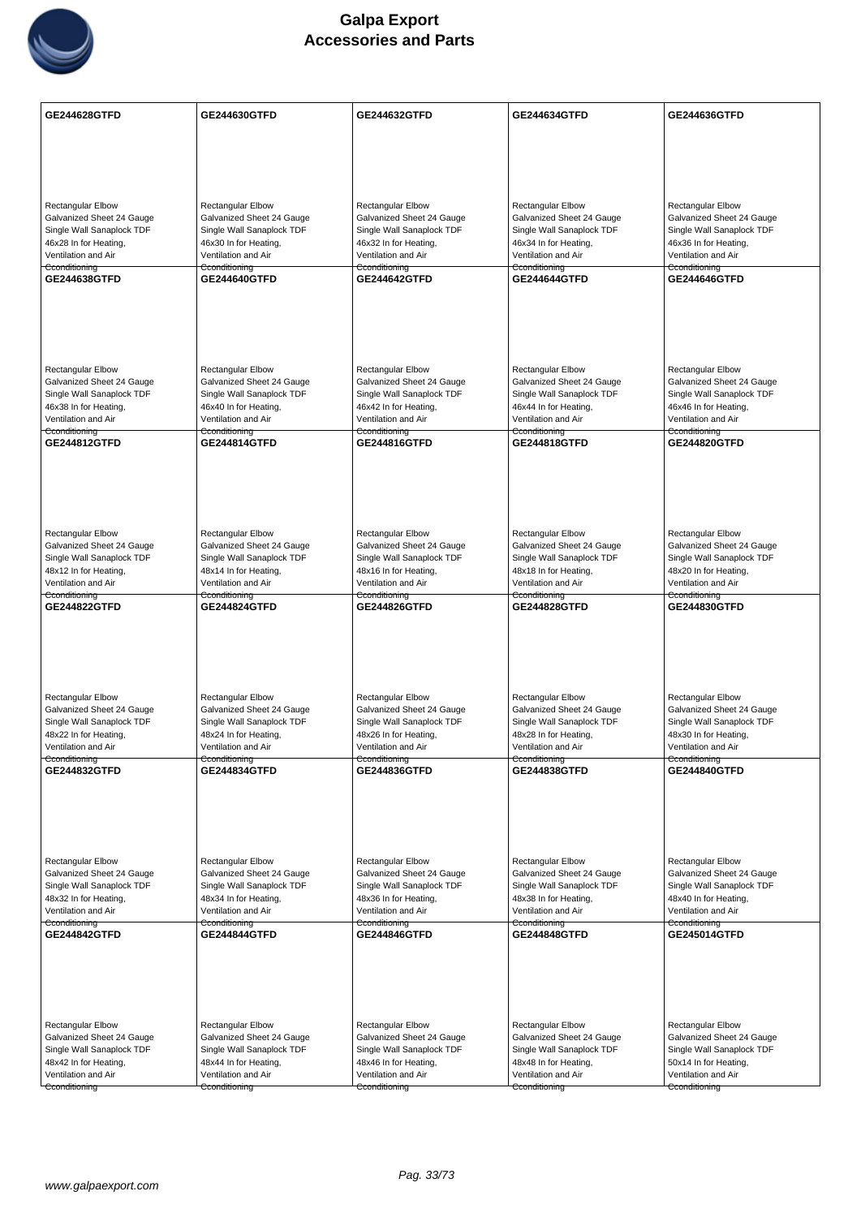

| <b>GE244628GTFD</b>                                    | GE244630GTFD                                           | GE244632GTFD                                           | GE244634GTFD                                           | GE244636GTFD                                           |
|--------------------------------------------------------|--------------------------------------------------------|--------------------------------------------------------|--------------------------------------------------------|--------------------------------------------------------|
|                                                        |                                                        |                                                        |                                                        |                                                        |
|                                                        |                                                        |                                                        |                                                        |                                                        |
|                                                        |                                                        |                                                        |                                                        |                                                        |
|                                                        |                                                        |                                                        |                                                        | <b>Rectangular Elbow</b>                               |
| <b>Rectangular Elbow</b><br>Galvanized Sheet 24 Gauge  | <b>Rectangular Elbow</b><br>Galvanized Sheet 24 Gauge  | <b>Rectangular Elbow</b><br>Galvanized Sheet 24 Gauge  | <b>Rectangular Elbow</b><br>Galvanized Sheet 24 Gauge  | Galvanized Sheet 24 Gauge                              |
| Single Wall Sanaplock TDF                              | Single Wall Sanaplock TDF                              | Single Wall Sanaplock TDF                              | Single Wall Sanaplock TDF                              | Single Wall Sanaplock TDF                              |
| 46x28 In for Heating,<br>Ventilation and Air           | 46x30 In for Heating,<br>Ventilation and Air           | 46x32 In for Heating,<br>Ventilation and Air           | 46x34 In for Heating,<br>Ventilation and Air           | 46x36 In for Heating,<br>Ventilation and Air           |
| Cconditioning                                          | Cconditioning                                          | Cconditioning                                          | Cconditioning                                          | Cconditioning                                          |
| GE244638GTFD                                           | <b>GE244640GTFD</b>                                    | <b>GE244642GTFD</b>                                    | <b>GE244644GTFD</b>                                    | GE244646GTFD                                           |
|                                                        |                                                        |                                                        |                                                        |                                                        |
|                                                        |                                                        |                                                        |                                                        |                                                        |
|                                                        |                                                        |                                                        |                                                        |                                                        |
|                                                        |                                                        |                                                        |                                                        |                                                        |
| <b>Rectangular Elbow</b><br>Galvanized Sheet 24 Gauge  | <b>Rectangular Elbow</b><br>Galvanized Sheet 24 Gauge  | <b>Rectangular Elbow</b><br>Galvanized Sheet 24 Gauge  | <b>Rectangular Elbow</b><br>Galvanized Sheet 24 Gauge  | Rectangular Elbow<br>Galvanized Sheet 24 Gauge         |
| Single Wall Sanaplock TDF                              | Single Wall Sanaplock TDF                              | Single Wall Sanaplock TDF                              | Single Wall Sanaplock TDF                              | Single Wall Sanaplock TDF                              |
| 46x38 In for Heating,<br>Ventilation and Air           | 46x40 In for Heating,<br>Ventilation and Air           | 46x42 In for Heating,<br>Ventilation and Air           | 46x44 In for Heating,<br>Ventilation and Air           | 46x46 In for Heating,<br>Ventilation and Air           |
| Cconditioning                                          | Cconditioning                                          | Cconditioning                                          | Cconditioning                                          | Cconditioning                                          |
| <b>GE244812GTFD</b>                                    | <b>GE244814GTFD</b>                                    | GE244816GTFD                                           | GE244818GTFD                                           | <b>GE244820GTFD</b>                                    |
|                                                        |                                                        |                                                        |                                                        |                                                        |
|                                                        |                                                        |                                                        |                                                        |                                                        |
|                                                        |                                                        |                                                        |                                                        |                                                        |
| Rectangular Elbow                                      | <b>Rectangular Elbow</b>                               | Rectangular Elbow                                      | Rectangular Elbow                                      | Rectangular Elbow                                      |
| Galvanized Sheet 24 Gauge                              | Galvanized Sheet 24 Gauge                              | Galvanized Sheet 24 Gauge                              | Galvanized Sheet 24 Gauge                              | Galvanized Sheet 24 Gauge                              |
| Single Wall Sanaplock TDF<br>48x12 In for Heating,     | Single Wall Sanaplock TDF<br>48x14 In for Heating,     | Single Wall Sanaplock TDF<br>48x16 In for Heating,     | Single Wall Sanaplock TDF<br>48x18 In for Heating,     | Single Wall Sanaplock TDF<br>48x20 In for Heating,     |
| Ventilation and Air                                    | Ventilation and Air                                    | Ventilation and Air                                    | Ventilation and Air                                    | Ventilation and Air                                    |
| Cconditioning<br>GE244822GTFD                          | Cconditioning<br>GE244824GTFD                          | Cconditioning<br>GE244826GTFD                          | Cconditioning<br>GE244828GTFD                          | Cconditioning<br>GE244830GTFD                          |
|                                                        |                                                        |                                                        |                                                        |                                                        |
|                                                        |                                                        |                                                        |                                                        |                                                        |
|                                                        |                                                        |                                                        |                                                        |                                                        |
|                                                        |                                                        |                                                        |                                                        |                                                        |
| Rectangular Elbow                                      | Rectangular Elbow                                      | <b>Rectangular Elbow</b>                               | Rectangular Elbow                                      | <b>Rectangular Elbow</b>                               |
| Galvanized Sheet 24 Gauge<br>Single Wall Sanaplock TDF | Galvanized Sheet 24 Gauge<br>Single Wall Sanaplock TDF | Galvanized Sheet 24 Gauge<br>Single Wall Sanaplock TDF | Galvanized Sheet 24 Gauge<br>Single Wall Sanaplock TDF | Galvanized Sheet 24 Gauge<br>Single Wall Sanaplock TDF |
| 48x22 In for Heating,                                  | 48x24 In for Heating,                                  | 48x26 In for Heating,                                  | 48x28 In for Heating,                                  | 48x30 In for Heating,                                  |
| Ventilation and Air<br>Cconditioning                   | Ventilation and Air<br>Cconditioning                   | Ventilation and Air<br>Cconditioning                   | Ventilation and Air<br>Cconditioning                   | Ventilation and Air<br>Cconditioning                   |
| GE244832GTFD                                           | GE244834GTFD                                           | GE244836GTFD                                           | GE244838GTFD                                           | GE244840GTFD                                           |
|                                                        |                                                        |                                                        |                                                        |                                                        |
|                                                        |                                                        |                                                        |                                                        |                                                        |
|                                                        |                                                        |                                                        |                                                        |                                                        |
| Rectangular Elbow                                      | Rectangular Elbow                                      | <b>Rectangular Elbow</b>                               | <b>Rectangular Elbow</b>                               | <b>Rectangular Elbow</b>                               |
| Galvanized Sheet 24 Gauge                              | Galvanized Sheet 24 Gauge                              | Galvanized Sheet 24 Gauge                              | Galvanized Sheet 24 Gauge                              | Galvanized Sheet 24 Gauge                              |
| Single Wall Sanaplock TDF                              | Single Wall Sanaplock TDF                              | Single Wall Sanaplock TDF                              | Single Wall Sanaplock TDF                              | Single Wall Sanaplock TDF                              |
| 48x32 In for Heating,<br>Ventilation and Air           | 48x34 In for Heating,<br>Ventilation and Air           | 48x36 In for Heating,<br>Ventilation and Air           | 48x38 In for Heating,<br>Ventilation and Air           | 48x40 In for Heating,<br>Ventilation and Air           |
| Cconditioning                                          | Cconditioning                                          | Cconditioning                                          | Cconditioning                                          | Cconditioning                                          |
| GE244842GTFD                                           | <b>GE244844GTFD</b>                                    | <b>GE244846GTFD</b>                                    | GE244848GTFD                                           | <b>GE245014GTFD</b>                                    |
|                                                        |                                                        |                                                        |                                                        |                                                        |
|                                                        |                                                        |                                                        |                                                        |                                                        |
|                                                        |                                                        |                                                        |                                                        |                                                        |
| Rectangular Elbow                                      | Rectangular Elbow                                      | <b>Rectangular Elbow</b>                               | <b>Rectangular Elbow</b>                               | Rectangular Elbow                                      |
| Galvanized Sheet 24 Gauge                              | Galvanized Sheet 24 Gauge                              | Galvanized Sheet 24 Gauge                              | Galvanized Sheet 24 Gauge                              | Galvanized Sheet 24 Gauge                              |
| Single Wall Sanaplock TDF<br>48x42 In for Heating,     | Single Wall Sanaplock TDF<br>48x44 In for Heating,     | Single Wall Sanaplock TDF<br>48x46 In for Heating,     | Single Wall Sanaplock TDF<br>48x48 In for Heating,     | Single Wall Sanaplock TDF<br>50x14 In for Heating,     |
| Ventilation and Air                                    | Ventilation and Air                                    | Ventilation and Air                                    | Ventilation and Air                                    | Ventilation and Air                                    |
| Cconditioning                                          | Cconditioning                                          | Cconditioning                                          | Cconditioning                                          | Cconditioning                                          |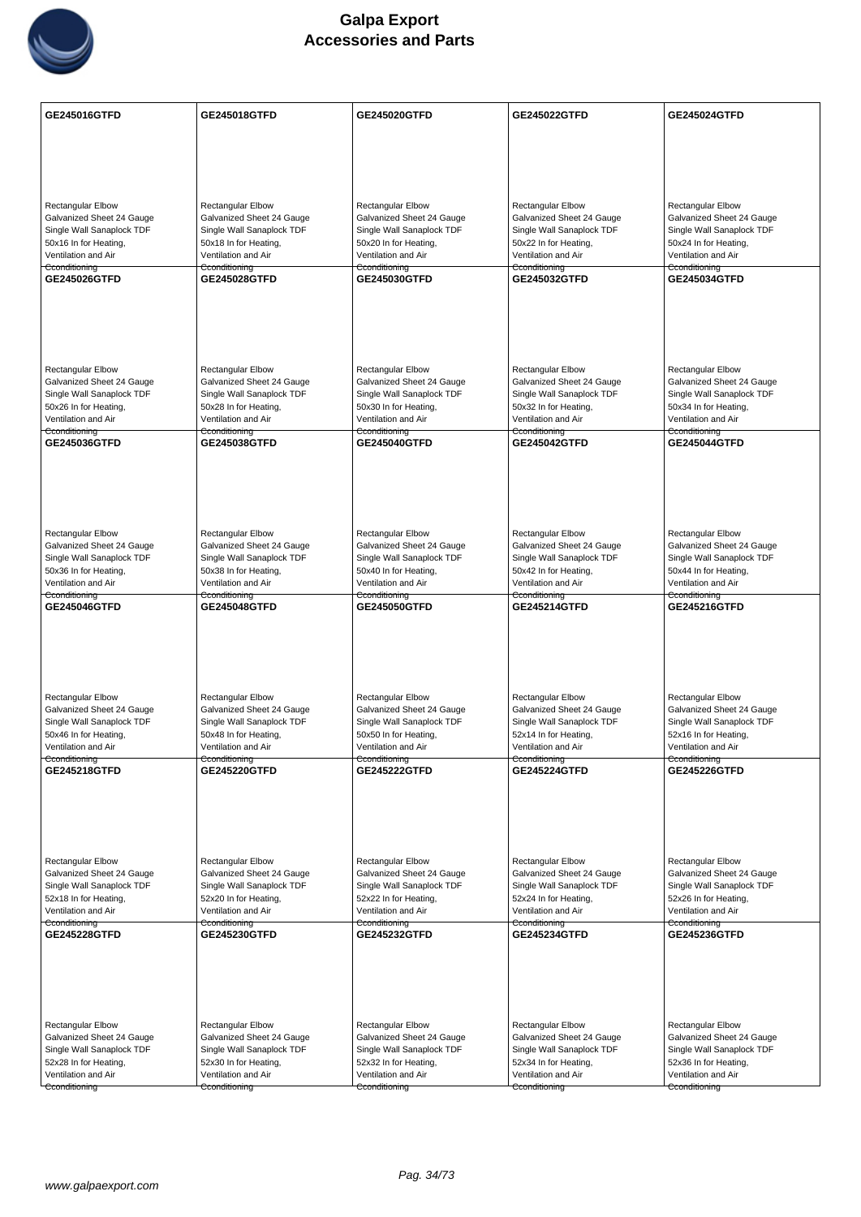

| GE245016GTFD              | <b>GE245018GTFD</b>       | GE245020GTFD              | GE245022GTFD              | GE245024GTFD              |
|---------------------------|---------------------------|---------------------------|---------------------------|---------------------------|
|                           |                           |                           |                           |                           |
|                           |                           |                           |                           |                           |
|                           |                           |                           |                           |                           |
| <b>Rectangular Elbow</b>  | Rectangular Elbow         | <b>Rectangular Elbow</b>  | Rectangular Elbow         | <b>Rectangular Elbow</b>  |
| Galvanized Sheet 24 Gauge | Galvanized Sheet 24 Gauge | Galvanized Sheet 24 Gauge | Galvanized Sheet 24 Gauge | Galvanized Sheet 24 Gauge |
| Single Wall Sanaplock TDF | Single Wall Sanaplock TDF | Single Wall Sanaplock TDF | Single Wall Sanaplock TDF | Single Wall Sanaplock TDF |
| 50x16 In for Heating,     | 50x18 In for Heating,     | 50x20 In for Heating,     | 50x22 In for Heating,     | 50x24 In for Heating,     |
| Ventilation and Air       | Ventilation and Air       | Ventilation and Air       | Ventilation and Air       | Ventilation and Air       |
| Cconditioning             | Cconditioning             | Cconditioning             | Cconditioning             | Cconditioning             |
| GE245026GTFD              | <b>GE245028GTFD</b>       | GE245030GTFD              | <b>GE245032GTFD</b>       | <b>GE245034GTFD</b>       |
| <b>Rectangular Elbow</b>  | <b>Rectangular Elbow</b>  | <b>Rectangular Elbow</b>  | <b>Rectangular Elbow</b>  | <b>Rectangular Elbow</b>  |
| Galvanized Sheet 24 Gauge | Galvanized Sheet 24 Gauge | Galvanized Sheet 24 Gauge | Galvanized Sheet 24 Gauge | Galvanized Sheet 24 Gauge |
| Single Wall Sanaplock TDF | Single Wall Sanaplock TDF | Single Wall Sanaplock TDF | Single Wall Sanaplock TDF | Single Wall Sanaplock TDF |
| 50x26 In for Heating,     | 50x28 In for Heating,     | 50x30 In for Heating,     | 50x32 In for Heating,     | 50x34 In for Heating,     |
| Ventilation and Air       | Ventilation and Air       | Ventilation and Air       | Ventilation and Air       | Ventilation and Air       |
| Cconditioning             | Cconditioning             | Cconditioning             | Cconditioning             | Cconditioning             |
| GE245036GTFD              | <b>GE245038GTFD</b>       | GE245040GTFD              | GE245042GTFD              | GE245044GTFD              |
|                           |                           |                           |                           |                           |
| <b>Rectangular Elbow</b>  | Rectangular Elbow         | Rectangular Elbow         | <b>Rectangular Elbow</b>  | Rectangular Elbow         |
| Galvanized Sheet 24 Gauge | Galvanized Sheet 24 Gauge | Galvanized Sheet 24 Gauge | Galvanized Sheet 24 Gauge | Galvanized Sheet 24 Gauge |
| Single Wall Sanaplock TDF | Single Wall Sanaplock TDF | Single Wall Sanaplock TDF | Single Wall Sanaplock TDF | Single Wall Sanaplock TDF |
| 50x36 In for Heating,     | 50x38 In for Heating,     | 50x40 In for Heating,     | 50x42 In for Heating,     | 50x44 In for Heating,     |
| Ventilation and Air       | Ventilation and Air       | Ventilation and Air       | Ventilation and Air       | Ventilation and Air       |
| Cconditioning             | Cconditioning             | Cconditioning             | Cconditioning             | Cconditioning             |
| <b>GE245046GTFD</b>       | <b>GE245048GTFD</b>       | <b>GE245050GTFD</b>       | <b>GE245214GTFD</b>       | <b>GE245216GTFD</b>       |
| <b>Rectangular Elbow</b>  | Rectangular Elbow         | <b>Rectangular Elbow</b>  | <b>Rectangular Elbow</b>  | <b>Rectangular Elbow</b>  |
| Galvanized Sheet 24 Gauge | Galvanized Sheet 24 Gauge | Galvanized Sheet 24 Gauge | Galvanized Sheet 24 Gauge | Galvanized Sheet 24 Gauge |
| Single Wall Sanaplock TDF | Single Wall Sanaplock TDF | Single Wall Sanaplock TDF | Single Wall Sanaplock TDF | Single Wall Sanaplock TDF |
| 50x46 In for Heating,     | 50x48 In for Heating,     | 50x50 In for Heating,     | 52x14 In for Heating,     | 52x16 In for Heating,     |
| Ventilation and Air       | Ventilation and Air       | Ventilation and Air       | Ventilation and Air       | Ventilation and Air       |
| Cconditioning             | Cconditioning             | Cconditioning             | Cconditioning             | Cconditioning             |
| <b>GE245218GTFD</b>       | <b>GE245220GTFD</b>       | <b>GE245222GTFD</b>       | <b>GE245224GTFD</b>       | <b>GE245226GTFD</b>       |
| Rectangular Elbow         | Rectangular Elbow         | <b>Rectangular Elbow</b>  | Rectangular Elbow         | Rectangular Elbow         |
| Galvanized Sheet 24 Gauge | Galvanized Sheet 24 Gauge | Galvanized Sheet 24 Gauge | Galvanized Sheet 24 Gauge | Galvanized Sheet 24 Gauge |
| Single Wall Sanaplock TDF | Single Wall Sanaplock TDF | Single Wall Sanaplock TDF | Single Wall Sanaplock TDF | Single Wall Sanaplock TDF |
| 52x18 In for Heating,     | 52x20 In for Heating,     | 52x22 In for Heating,     | 52x24 In for Heating,     | 52x26 In for Heating,     |
| Ventilation and Air       | Ventilation and Air       | Ventilation and Air       | Ventilation and Air       | Ventilation and Air       |
| Cconditioning             | Cconditioning             | Cconditioning             | Cconditioning             | Cconditioning             |
| <b>GE245228GTFD</b>       | GE245230GTFD              | GE245232GTFD              | GE245234GTFD              | GE245236GTFD              |
|                           |                           |                           |                           |                           |
| <b>Rectangular Elbow</b>  | <b>Rectangular Elbow</b>  | <b>Rectangular Elbow</b>  | Rectangular Elbow         | Rectangular Elbow         |
| Galvanized Sheet 24 Gauge | Galvanized Sheet 24 Gauge | Galvanized Sheet 24 Gauge | Galvanized Sheet 24 Gauge | Galvanized Sheet 24 Gauge |
| Single Wall Sanaplock TDF | Single Wall Sanaplock TDF | Single Wall Sanaplock TDF | Single Wall Sanaplock TDF | Single Wall Sanaplock TDF |
| 52x28 In for Heating,     | 52x30 In for Heating,     | 52x32 In for Heating,     | 52x34 In for Heating,     | 52x36 In for Heating,     |
| Ventilation and Air       | Ventilation and Air       | Ventilation and Air       | Ventilation and Air       | Ventilation and Air       |
| Cconditioning             | Cconditioning             | Cconditioning             | Cconditioning             | Cconditioning             |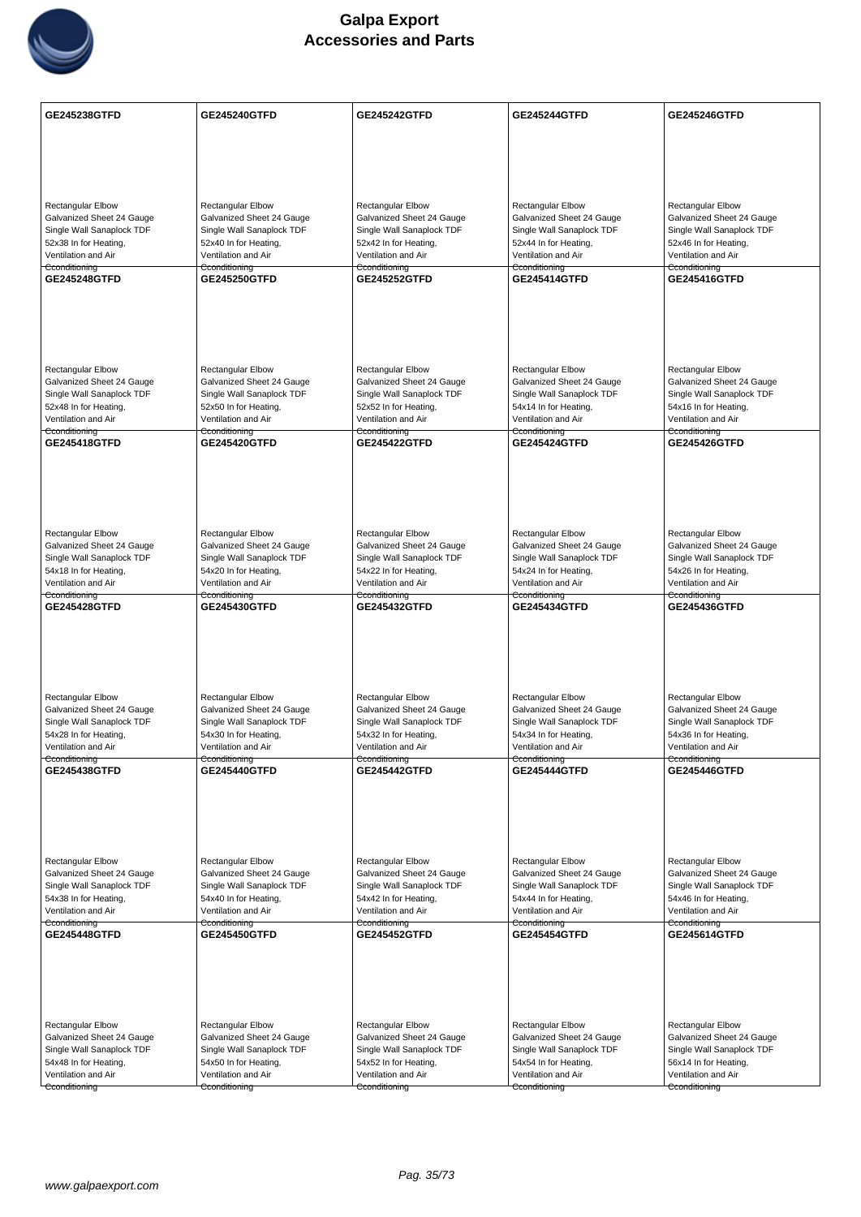

| <b>GE245238GTFD</b>                                    | <b>GE245240GTFD</b>                                    | <b>GE245242GTFD</b>                                    | <b>GE245244GTFD</b>                                    | <b>GE245246GTFD</b>                                    |
|--------------------------------------------------------|--------------------------------------------------------|--------------------------------------------------------|--------------------------------------------------------|--------------------------------------------------------|
|                                                        |                                                        |                                                        |                                                        |                                                        |
|                                                        |                                                        |                                                        |                                                        |                                                        |
|                                                        |                                                        |                                                        |                                                        |                                                        |
|                                                        |                                                        |                                                        |                                                        |                                                        |
| <b>Rectangular Elbow</b><br>Galvanized Sheet 24 Gauge  | <b>Rectangular Elbow</b><br>Galvanized Sheet 24 Gauge  | Rectangular Elbow<br>Galvanized Sheet 24 Gauge         | <b>Rectangular Elbow</b><br>Galvanized Sheet 24 Gauge  | <b>Rectangular Elbow</b><br>Galvanized Sheet 24 Gauge  |
| Single Wall Sanaplock TDF                              | Single Wall Sanaplock TDF                              | Single Wall Sanaplock TDF                              | Single Wall Sanaplock TDF                              | Single Wall Sanaplock TDF                              |
| 52x38 In for Heating,                                  | 52x40 In for Heating,                                  | 52x42 In for Heating,                                  | 52x44 In for Heating,                                  | 52x46 In for Heating,                                  |
| Ventilation and Air<br>Cconditioning                   | Ventilation and Air<br>Cconditioning                   | Ventilation and Air<br>Cconditioning                   | Ventilation and Air<br>Cconditioning                   | Ventilation and Air<br>Cconditioning                   |
| <b>GE245248GTFD</b>                                    | <b>GE245250GTFD</b>                                    | <b>GE245252GTFD</b>                                    | <b>GE245414GTFD</b>                                    | GE245416GTFD                                           |
|                                                        |                                                        |                                                        |                                                        |                                                        |
|                                                        |                                                        |                                                        |                                                        |                                                        |
|                                                        |                                                        |                                                        |                                                        |                                                        |
|                                                        |                                                        |                                                        |                                                        |                                                        |
| Rectangular Elbow                                      | <b>Rectangular Elbow</b>                               | Rectangular Elbow                                      | <b>Rectangular Elbow</b>                               | <b>Rectangular Elbow</b>                               |
| Galvanized Sheet 24 Gauge<br>Single Wall Sanaplock TDF | Galvanized Sheet 24 Gauge<br>Single Wall Sanaplock TDF | Galvanized Sheet 24 Gauge<br>Single Wall Sanaplock TDF | Galvanized Sheet 24 Gauge<br>Single Wall Sanaplock TDF | Galvanized Sheet 24 Gauge<br>Single Wall Sanaplock TDF |
| 52x48 In for Heating,                                  | 52x50 In for Heating,                                  | 52x52 In for Heating,                                  | 54x14 In for Heating,                                  | 54x16 In for Heating,                                  |
| Ventilation and Air                                    | Ventilation and Air                                    | Ventilation and Air                                    | Ventilation and Air                                    | Ventilation and Air                                    |
| Cconditioning<br>GE245418GTFD                          | Cconditioning<br><b>GE245420GTFD</b>                   | Cconditioning<br><b>GE245422GTFD</b>                   | Cconditioning<br><b>GE245424GTFD</b>                   | Cconditioning<br><b>GE245426GTFD</b>                   |
|                                                        |                                                        |                                                        |                                                        |                                                        |
|                                                        |                                                        |                                                        |                                                        |                                                        |
|                                                        |                                                        |                                                        |                                                        |                                                        |
|                                                        |                                                        |                                                        |                                                        |                                                        |
| Rectangular Elbow                                      | Rectangular Elbow                                      | Rectangular Elbow                                      | Rectangular Elbow                                      | Rectangular Elbow                                      |
| Galvanized Sheet 24 Gauge                              | Galvanized Sheet 24 Gauge                              | Galvanized Sheet 24 Gauge                              | Galvanized Sheet 24 Gauge                              | Galvanized Sheet 24 Gauge                              |
| Single Wall Sanaplock TDF<br>54x18 In for Heating,     | Single Wall Sanaplock TDF<br>54x20 In for Heating,     | Single Wall Sanaplock TDF<br>54x22 In for Heating,     | Single Wall Sanaplock TDF<br>54x24 In for Heating,     | Single Wall Sanaplock TDF<br>54x26 In for Heating,     |
| Ventilation and Air                                    | Ventilation and Air                                    | Ventilation and Air                                    | Ventilation and Air                                    | Ventilation and Air                                    |
| Cconditioning<br><b>GE245428GTFD</b>                   | Cconditioning<br><b>GE245430GTFD</b>                   | Cconditioning<br><b>GE245432GTFD</b>                   | Cconditioning<br><b>GE245434GTFD</b>                   | Cconditioning<br><b>GE245436GTFD</b>                   |
|                                                        |                                                        |                                                        |                                                        |                                                        |
|                                                        |                                                        |                                                        |                                                        |                                                        |
|                                                        |                                                        |                                                        |                                                        |                                                        |
|                                                        |                                                        |                                                        |                                                        |                                                        |
| Rectangular Elbow                                      | Rectangular Elbow                                      | <b>Rectangular Elbow</b>                               | Rectangular Elbow                                      | <b>Rectangular Elbow</b>                               |
| Galvanized Sheet 24 Gauge                              | Galvanized Sheet 24 Gauge                              | Galvanized Sheet 24 Gauge                              | Galvanized Sheet 24 Gauge                              | Galvanized Sheet 24 Gauge                              |
| Single Wall Sanaplock TDF                              | Single Wall Sanaplock TDF                              | Single Wall Sanaplock TDF                              | Single Wall Sanaplock TDF                              | Single Wall Sanaplock TDF                              |
| 54x28 In for Heating,<br>Ventilation and Air           | 54x30 In for Heating,<br>Ventilation and Air           | 54x32 In for Heating,<br>Ventilation and Air           | 54x34 In for Heating,<br>Ventilation and Air           | 54x36 In for Heating,<br>Ventilation and Air           |
| Cconditioning                                          | Cconditioning                                          | Cconditioning                                          | Cconditioning                                          | Cconditioning                                          |
| <b>GE245438GTFD</b>                                    | <b>GE245440GTFD</b>                                    | <b>GE245442GTFD</b>                                    | <b>GE245444GTFD</b>                                    | <b>GE245446GTFD</b>                                    |
|                                                        |                                                        |                                                        |                                                        |                                                        |
|                                                        |                                                        |                                                        |                                                        |                                                        |
|                                                        |                                                        |                                                        |                                                        |                                                        |
|                                                        |                                                        |                                                        |                                                        |                                                        |
| Rectangular Elbow<br>Galvanized Sheet 24 Gauge         | Rectangular Elbow<br>Galvanized Sheet 24 Gauge         | Rectangular Elbow<br>Galvanized Sheet 24 Gauge         | Rectangular Elbow<br>Galvanized Sheet 24 Gauge         | Rectangular Elbow<br>Galvanized Sheet 24 Gauge         |
| Single Wall Sanaplock TDF                              | Single Wall Sanaplock TDF                              | Single Wall Sanaplock TDF                              | Single Wall Sanaplock TDF                              | Single Wall Sanaplock TDF                              |
| 54x38 In for Heating,                                  | 54x40 In for Heating,                                  | 54x42 In for Heating,                                  | 54x44 In for Heating,                                  | 54x46 In for Heating,                                  |
| Ventilation and Air<br>Cconditioning                   | Ventilation and Air<br>Cconditioning                   | Ventilation and Air<br>Cconditioning                   | Ventilation and Air<br>Cconditioning                   | Ventilation and Air<br>Cconditioning                   |
| GE245448GTFD                                           | <b>GE245450GTFD</b>                                    | <b>GE245452GTFD</b>                                    | GE245454GTFD                                           | GE245614GTFD                                           |
|                                                        |                                                        |                                                        |                                                        |                                                        |
|                                                        |                                                        |                                                        |                                                        |                                                        |
|                                                        |                                                        |                                                        |                                                        |                                                        |
|                                                        |                                                        |                                                        |                                                        |                                                        |
| <b>Rectangular Elbow</b>                               | Rectangular Elbow                                      | Rectangular Elbow                                      | <b>Rectangular Elbow</b>                               | <b>Rectangular Elbow</b>                               |
| Galvanized Sheet 24 Gauge                              | Galvanized Sheet 24 Gauge                              | Galvanized Sheet 24 Gauge                              | Galvanized Sheet 24 Gauge                              | Galvanized Sheet 24 Gauge                              |
| Single Wall Sanaplock TDF<br>54x48 In for Heating,     | Single Wall Sanaplock TDF<br>54x50 In for Heating,     | Single Wall Sanaplock TDF<br>54x52 In for Heating,     | Single Wall Sanaplock TDF<br>54x54 In for Heating,     | Single Wall Sanaplock TDF<br>56x14 In for Heating,     |
| Ventilation and Air                                    | Ventilation and Air                                    | Ventilation and Air                                    | Ventilation and Air                                    | Ventilation and Air                                    |
| Cconditioning                                          | Cconditioning                                          | Cconditioning                                          | Cconditioning                                          | Cconditioning                                          |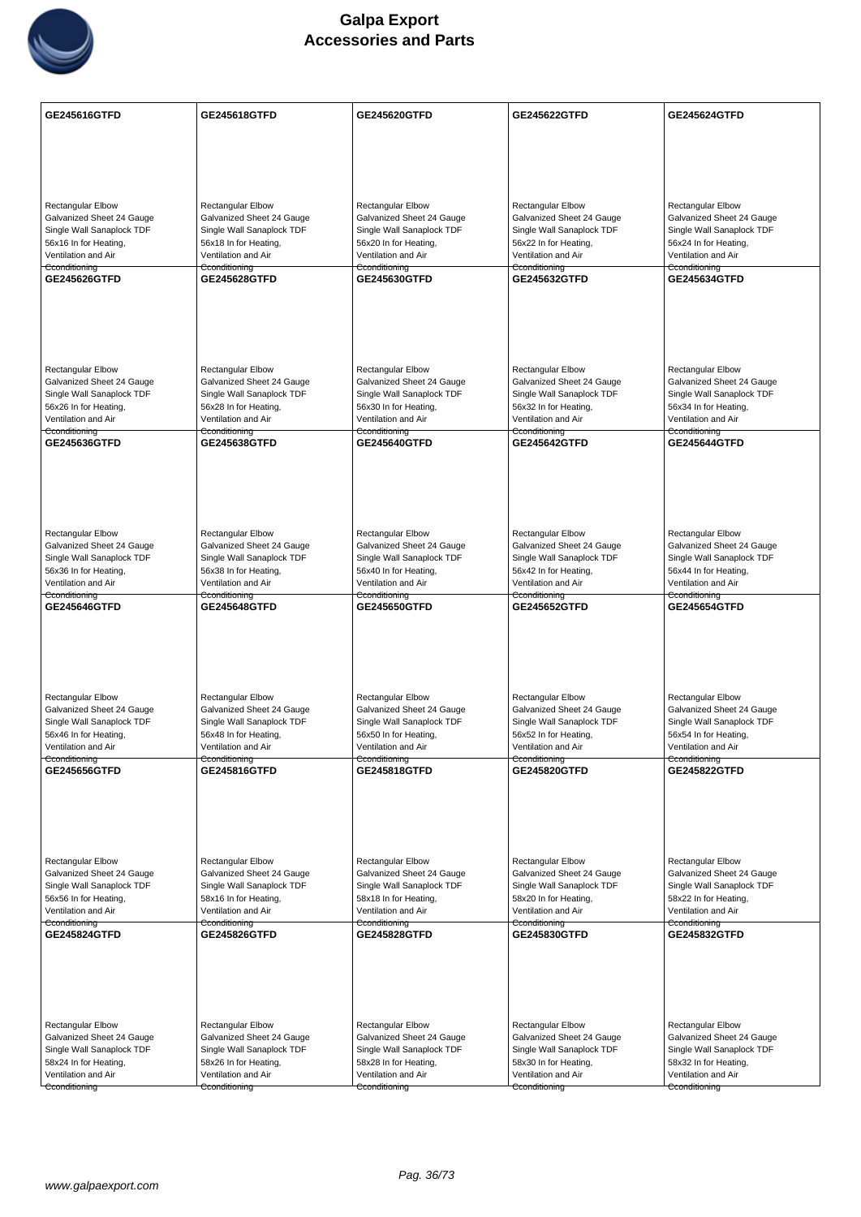

| <b>Rectangular Elbow</b><br>Rectangular Elbow<br><b>Rectangular Elbow</b><br><b>Rectangular Elbow</b><br><b>Rectangular Elbow</b><br>Galvanized Sheet 24 Gauge<br>Galvanized Sheet 24 Gauge<br>Galvanized Sheet 24 Gauge<br>Galvanized Sheet 24 Gauge<br>Galvanized Sheet 24 Gauge<br>Single Wall Sanaplock TDF<br>Single Wall Sanaplock TDF<br>Single Wall Sanaplock TDF<br>Single Wall Sanaplock TDF<br>Single Wall Sanaplock TDF<br>56x16 In for Heating,<br>56x18 In for Heating,<br>56x20 In for Heating,<br>56x22 In for Heating,<br>56x24 In for Heating,<br>Ventilation and Air<br>Ventilation and Air<br>Ventilation and Air<br>Ventilation and Air<br>Ventilation and Air<br>Cconditioning<br>Cconditioning<br>Cconditioning<br>Cconditioning<br>Cconditioning<br>GE245626GTFD<br>GE245628GTFD<br><b>GE245630GTFD</b><br>GE245632GTFD<br>GE245634GTFD<br><b>Rectangular Elbow</b><br><b>Rectangular Elbow</b><br><b>Rectangular Elbow</b><br><b>Rectangular Elbow</b><br><b>Rectangular Elbow</b><br>Galvanized Sheet 24 Gauge<br>Galvanized Sheet 24 Gauge<br>Galvanized Sheet 24 Gauge<br>Galvanized Sheet 24 Gauge<br>Galvanized Sheet 24 Gauge<br>Single Wall Sanaplock TDF<br>Single Wall Sanaplock TDF<br>Single Wall Sanaplock TDF<br>Single Wall Sanaplock TDF<br>Single Wall Sanaplock TDF<br>56x26 In for Heating,<br>56x32 In for Heating,<br>56x28 In for Heating,<br>56x30 In for Heating,<br>56x34 In for Heating,<br>Ventilation and Air<br>Ventilation and Air<br>Ventilation and Air<br>Ventilation and Air<br>Ventilation and Air<br>Cconditioning<br>Cconditioning<br>Cconditioning<br>Cconditioning<br>Cconditioning<br>GE245636GTFD<br><b>GE245638GTFD</b><br>GE245640GTFD<br><b>GE245642GTFD</b><br><b>GE245644GTFD</b><br>Rectangular Elbow<br>Rectangular Elbow<br><b>Rectangular Elbow</b><br>Rectangular Elbow<br>Rectangular Elbow<br>Galvanized Sheet 24 Gauge<br>Galvanized Sheet 24 Gauge<br>Galvanized Sheet 24 Gauge<br>Galvanized Sheet 24 Gauge<br>Galvanized Sheet 24 Gauge<br>Single Wall Sanaplock TDF<br>Single Wall Sanaplock TDF<br>Single Wall Sanaplock TDF<br>Single Wall Sanaplock TDF<br>Single Wall Sanaplock TDF<br>56x36 In for Heating,<br>56x38 In for Heating,<br>56x40 In for Heating,<br>56x42 In for Heating,<br>56x44 In for Heating,<br>Ventilation and Air<br>Ventilation and Air<br>Ventilation and Air<br>Ventilation and Air<br>Ventilation and Air<br>Cconditioning<br>Cconditioning<br>Cconditioning<br>Cconditioning<br>Cconditioning<br><b>GE245646GTFD</b><br><b>GE245648GTFD</b><br><b>GE245650GTFD</b><br><b>GE245654GTFD</b><br><b>GE245652GTFD</b><br><b>Rectangular Elbow</b><br><b>Rectangular Elbow</b><br><b>Rectangular Elbow</b><br><b>Rectangular Elbow</b><br><b>Rectangular Elbow</b><br>Galvanized Sheet 24 Gauge<br>Galvanized Sheet 24 Gauge<br>Galvanized Sheet 24 Gauge<br>Galvanized Sheet 24 Gauge<br>Galvanized Sheet 24 Gauge<br>Single Wall Sanaplock TDF<br>Single Wall Sanaplock TDF<br>Single Wall Sanaplock TDF<br>Single Wall Sanaplock TDF<br>Single Wall Sanaplock TDF<br>56x50 In for Heating,<br>56x46 In for Heating,<br>56x48 In for Heating,<br>56x52 In for Heating,<br>56x54 In for Heating,<br>Ventilation and Air<br>Ventilation and Air<br>Ventilation and Air<br>Ventilation and Air<br>Ventilation and Air<br>Cconditioning<br>Cconditioning<br>Cconditioning<br>Cconditioning<br>Cconditioning<br>GE245656GTFD<br>GE245816GTFD<br><b>GE245818GTFD</b><br>GE245820GTFD<br><b>GE245822GTFD</b><br>Rectangular Elbow<br>Rectangular Elbow<br><b>Rectangular Elbow</b><br>Rectangular Elbow<br><b>Rectangular Elbow</b><br>Galvanized Sheet 24 Gauge<br>Galvanized Sheet 24 Gauge<br>Galvanized Sheet 24 Gauge<br>Galvanized Sheet 24 Gauge<br>Galvanized Sheet 24 Gauge<br>Single Wall Sanaplock TDF<br>Single Wall Sanaplock TDF<br>Single Wall Sanaplock TDF<br>Single Wall Sanaplock TDF<br>Single Wall Sanaplock TDF<br>56x56 In for Heating,<br>58x16 In for Heating,<br>58x18 In for Heating,<br>58x20 In for Heating,<br>58x22 In for Heating,<br>Ventilation and Air<br>Ventilation and Air<br>Ventilation and Air<br>Ventilation and Air<br>Ventilation and Air<br>Cconditioning<br>Cconditioning<br>Cconditioning<br>Cconditioning<br>Cconditioning<br><b>GE245832GTFD</b><br><b>GE245824GTFD</b><br><b>GE245826GTFD</b><br>GE245828GTFD<br><b>GE245830GTFD</b><br><b>Rectangular Elbow</b><br>Rectangular Elbow<br><b>Rectangular Elbow</b><br><b>Rectangular Elbow</b><br><b>Rectangular Elbow</b><br>Galvanized Sheet 24 Gauge<br>Galvanized Sheet 24 Gauge<br>Galvanized Sheet 24 Gauge<br>Galvanized Sheet 24 Gauge<br>Galvanized Sheet 24 Gauge<br>Single Wall Sanaplock TDF<br>Single Wall Sanaplock TDF<br>Single Wall Sanaplock TDF<br>Single Wall Sanaplock TDF<br>Single Wall Sanaplock TDF<br>58x24 In for Heating,<br>58x26 In for Heating,<br>58x28 In for Heating,<br>58x30 In for Heating,<br>58x32 In for Heating,<br>Ventilation and Air<br>Ventilation and Air<br>Ventilation and Air<br>Ventilation and Air<br>Ventilation and Air<br>Cconditioning<br>Cconditioning<br>Cconditioning<br>Cconditioning<br>Cconditioning | GE245616GTFD | <b>GE245618GTFD</b> | <b>GE245620GTFD</b> | <b>GE245622GTFD</b> | <b>GE245624GTFD</b> |
|--------------------------------------------------------------------------------------------------------------------------------------------------------------------------------------------------------------------------------------------------------------------------------------------------------------------------------------------------------------------------------------------------------------------------------------------------------------------------------------------------------------------------------------------------------------------------------------------------------------------------------------------------------------------------------------------------------------------------------------------------------------------------------------------------------------------------------------------------------------------------------------------------------------------------------------------------------------------------------------------------------------------------------------------------------------------------------------------------------------------------------------------------------------------------------------------------------------------------------------------------------------------------------------------------------------------------------------------------------------------------------------------------------------------------------------------------------------------------------------------------------------------------------------------------------------------------------------------------------------------------------------------------------------------------------------------------------------------------------------------------------------------------------------------------------------------------------------------------------------------------------------------------------------------------------------------------------------------------------------------------------------------------------------------------------------------------------------------------------------------------------------------------------------------------------------------------------------------------------------------------------------------------------------------------------------------------------------------------------------------------------------------------------------------------------------------------------------------------------------------------------------------------------------------------------------------------------------------------------------------------------------------------------------------------------------------------------------------------------------------------------------------------------------------------------------------------------------------------------------------------------------------------------------------------------------------------------------------------------------------------------------------------------------------------------------------------------------------------------------------------------------------------------------------------------------------------------------------------------------------------------------------------------------------------------------------------------------------------------------------------------------------------------------------------------------------------------------------------------------------------------------------------------------------------------------------------------------------------------------------------------------------------------------------------------------------------------------------------------------------------------------------------------------------------------------------------------------------------------------------------------------------------------------------------------------------------------------------------------------------------------------------------------------------------------------------------------------------------------------------------------------------------------------------------------------------------------------------------------------------------------------------------------------------------------------------------------------------------------------------------------------------------------------------------------------------------------------------------------------------------------------------------------------------------------------------------------------------------------------------------------------------------------------------------------------------------------------------------------------------------------------------------------------------------------------------------------------------------------------------------------------------------------------------------------------------------------------------------------------------------------------------------------------------------------------------------------------------------------------------------------------------------------------------------|--------------|---------------------|---------------------|---------------------|---------------------|
|                                                                                                                                                                                                                                                                                                                                                                                                                                                                                                                                                                                                                                                                                                                                                                                                                                                                                                                                                                                                                                                                                                                                                                                                                                                                                                                                                                                                                                                                                                                                                                                                                                                                                                                                                                                                                                                                                                                                                                                                                                                                                                                                                                                                                                                                                                                                                                                                                                                                                                                                                                                                                                                                                                                                                                                                                                                                                                                                                                                                                                                                                                                                                                                                                                                                                                                                                                                                                                                                                                                                                                                                                                                                                                                                                                                                                                                                                                                                                                                                                                                                                                                                                                                                                                                                                                                                                                                                                                                                                                                                                                                                                                                                                                                                                                                                                                                                                                                                                                                                                                                                                                                                                                          |              |                     |                     |                     |                     |
|                                                                                                                                                                                                                                                                                                                                                                                                                                                                                                                                                                                                                                                                                                                                                                                                                                                                                                                                                                                                                                                                                                                                                                                                                                                                                                                                                                                                                                                                                                                                                                                                                                                                                                                                                                                                                                                                                                                                                                                                                                                                                                                                                                                                                                                                                                                                                                                                                                                                                                                                                                                                                                                                                                                                                                                                                                                                                                                                                                                                                                                                                                                                                                                                                                                                                                                                                                                                                                                                                                                                                                                                                                                                                                                                                                                                                                                                                                                                                                                                                                                                                                                                                                                                                                                                                                                                                                                                                                                                                                                                                                                                                                                                                                                                                                                                                                                                                                                                                                                                                                                                                                                                                                          |              |                     |                     |                     |                     |
|                                                                                                                                                                                                                                                                                                                                                                                                                                                                                                                                                                                                                                                                                                                                                                                                                                                                                                                                                                                                                                                                                                                                                                                                                                                                                                                                                                                                                                                                                                                                                                                                                                                                                                                                                                                                                                                                                                                                                                                                                                                                                                                                                                                                                                                                                                                                                                                                                                                                                                                                                                                                                                                                                                                                                                                                                                                                                                                                                                                                                                                                                                                                                                                                                                                                                                                                                                                                                                                                                                                                                                                                                                                                                                                                                                                                                                                                                                                                                                                                                                                                                                                                                                                                                                                                                                                                                                                                                                                                                                                                                                                                                                                                                                                                                                                                                                                                                                                                                                                                                                                                                                                                                                          |              |                     |                     |                     |                     |
|                                                                                                                                                                                                                                                                                                                                                                                                                                                                                                                                                                                                                                                                                                                                                                                                                                                                                                                                                                                                                                                                                                                                                                                                                                                                                                                                                                                                                                                                                                                                                                                                                                                                                                                                                                                                                                                                                                                                                                                                                                                                                                                                                                                                                                                                                                                                                                                                                                                                                                                                                                                                                                                                                                                                                                                                                                                                                                                                                                                                                                                                                                                                                                                                                                                                                                                                                                                                                                                                                                                                                                                                                                                                                                                                                                                                                                                                                                                                                                                                                                                                                                                                                                                                                                                                                                                                                                                                                                                                                                                                                                                                                                                                                                                                                                                                                                                                                                                                                                                                                                                                                                                                                                          |              |                     |                     |                     |                     |
|                                                                                                                                                                                                                                                                                                                                                                                                                                                                                                                                                                                                                                                                                                                                                                                                                                                                                                                                                                                                                                                                                                                                                                                                                                                                                                                                                                                                                                                                                                                                                                                                                                                                                                                                                                                                                                                                                                                                                                                                                                                                                                                                                                                                                                                                                                                                                                                                                                                                                                                                                                                                                                                                                                                                                                                                                                                                                                                                                                                                                                                                                                                                                                                                                                                                                                                                                                                                                                                                                                                                                                                                                                                                                                                                                                                                                                                                                                                                                                                                                                                                                                                                                                                                                                                                                                                                                                                                                                                                                                                                                                                                                                                                                                                                                                                                                                                                                                                                                                                                                                                                                                                                                                          |              |                     |                     |                     |                     |
|                                                                                                                                                                                                                                                                                                                                                                                                                                                                                                                                                                                                                                                                                                                                                                                                                                                                                                                                                                                                                                                                                                                                                                                                                                                                                                                                                                                                                                                                                                                                                                                                                                                                                                                                                                                                                                                                                                                                                                                                                                                                                                                                                                                                                                                                                                                                                                                                                                                                                                                                                                                                                                                                                                                                                                                                                                                                                                                                                                                                                                                                                                                                                                                                                                                                                                                                                                                                                                                                                                                                                                                                                                                                                                                                                                                                                                                                                                                                                                                                                                                                                                                                                                                                                                                                                                                                                                                                                                                                                                                                                                                                                                                                                                                                                                                                                                                                                                                                                                                                                                                                                                                                                                          |              |                     |                     |                     |                     |
|                                                                                                                                                                                                                                                                                                                                                                                                                                                                                                                                                                                                                                                                                                                                                                                                                                                                                                                                                                                                                                                                                                                                                                                                                                                                                                                                                                                                                                                                                                                                                                                                                                                                                                                                                                                                                                                                                                                                                                                                                                                                                                                                                                                                                                                                                                                                                                                                                                                                                                                                                                                                                                                                                                                                                                                                                                                                                                                                                                                                                                                                                                                                                                                                                                                                                                                                                                                                                                                                                                                                                                                                                                                                                                                                                                                                                                                                                                                                                                                                                                                                                                                                                                                                                                                                                                                                                                                                                                                                                                                                                                                                                                                                                                                                                                                                                                                                                                                                                                                                                                                                                                                                                                          |              |                     |                     |                     |                     |
|                                                                                                                                                                                                                                                                                                                                                                                                                                                                                                                                                                                                                                                                                                                                                                                                                                                                                                                                                                                                                                                                                                                                                                                                                                                                                                                                                                                                                                                                                                                                                                                                                                                                                                                                                                                                                                                                                                                                                                                                                                                                                                                                                                                                                                                                                                                                                                                                                                                                                                                                                                                                                                                                                                                                                                                                                                                                                                                                                                                                                                                                                                                                                                                                                                                                                                                                                                                                                                                                                                                                                                                                                                                                                                                                                                                                                                                                                                                                                                                                                                                                                                                                                                                                                                                                                                                                                                                                                                                                                                                                                                                                                                                                                                                                                                                                                                                                                                                                                                                                                                                                                                                                                                          |              |                     |                     |                     |                     |
|                                                                                                                                                                                                                                                                                                                                                                                                                                                                                                                                                                                                                                                                                                                                                                                                                                                                                                                                                                                                                                                                                                                                                                                                                                                                                                                                                                                                                                                                                                                                                                                                                                                                                                                                                                                                                                                                                                                                                                                                                                                                                                                                                                                                                                                                                                                                                                                                                                                                                                                                                                                                                                                                                                                                                                                                                                                                                                                                                                                                                                                                                                                                                                                                                                                                                                                                                                                                                                                                                                                                                                                                                                                                                                                                                                                                                                                                                                                                                                                                                                                                                                                                                                                                                                                                                                                                                                                                                                                                                                                                                                                                                                                                                                                                                                                                                                                                                                                                                                                                                                                                                                                                                                          |              |                     |                     |                     |                     |
|                                                                                                                                                                                                                                                                                                                                                                                                                                                                                                                                                                                                                                                                                                                                                                                                                                                                                                                                                                                                                                                                                                                                                                                                                                                                                                                                                                                                                                                                                                                                                                                                                                                                                                                                                                                                                                                                                                                                                                                                                                                                                                                                                                                                                                                                                                                                                                                                                                                                                                                                                                                                                                                                                                                                                                                                                                                                                                                                                                                                                                                                                                                                                                                                                                                                                                                                                                                                                                                                                                                                                                                                                                                                                                                                                                                                                                                                                                                                                                                                                                                                                                                                                                                                                                                                                                                                                                                                                                                                                                                                                                                                                                                                                                                                                                                                                                                                                                                                                                                                                                                                                                                                                                          |              |                     |                     |                     |                     |
|                                                                                                                                                                                                                                                                                                                                                                                                                                                                                                                                                                                                                                                                                                                                                                                                                                                                                                                                                                                                                                                                                                                                                                                                                                                                                                                                                                                                                                                                                                                                                                                                                                                                                                                                                                                                                                                                                                                                                                                                                                                                                                                                                                                                                                                                                                                                                                                                                                                                                                                                                                                                                                                                                                                                                                                                                                                                                                                                                                                                                                                                                                                                                                                                                                                                                                                                                                                                                                                                                                                                                                                                                                                                                                                                                                                                                                                                                                                                                                                                                                                                                                                                                                                                                                                                                                                                                                                                                                                                                                                                                                                                                                                                                                                                                                                                                                                                                                                                                                                                                                                                                                                                                                          |              |                     |                     |                     |                     |
|                                                                                                                                                                                                                                                                                                                                                                                                                                                                                                                                                                                                                                                                                                                                                                                                                                                                                                                                                                                                                                                                                                                                                                                                                                                                                                                                                                                                                                                                                                                                                                                                                                                                                                                                                                                                                                                                                                                                                                                                                                                                                                                                                                                                                                                                                                                                                                                                                                                                                                                                                                                                                                                                                                                                                                                                                                                                                                                                                                                                                                                                                                                                                                                                                                                                                                                                                                                                                                                                                                                                                                                                                                                                                                                                                                                                                                                                                                                                                                                                                                                                                                                                                                                                                                                                                                                                                                                                                                                                                                                                                                                                                                                                                                                                                                                                                                                                                                                                                                                                                                                                                                                                                                          |              |                     |                     |                     |                     |
|                                                                                                                                                                                                                                                                                                                                                                                                                                                                                                                                                                                                                                                                                                                                                                                                                                                                                                                                                                                                                                                                                                                                                                                                                                                                                                                                                                                                                                                                                                                                                                                                                                                                                                                                                                                                                                                                                                                                                                                                                                                                                                                                                                                                                                                                                                                                                                                                                                                                                                                                                                                                                                                                                                                                                                                                                                                                                                                                                                                                                                                                                                                                                                                                                                                                                                                                                                                                                                                                                                                                                                                                                                                                                                                                                                                                                                                                                                                                                                                                                                                                                                                                                                                                                                                                                                                                                                                                                                                                                                                                                                                                                                                                                                                                                                                                                                                                                                                                                                                                                                                                                                                                                                          |              |                     |                     |                     |                     |
|                                                                                                                                                                                                                                                                                                                                                                                                                                                                                                                                                                                                                                                                                                                                                                                                                                                                                                                                                                                                                                                                                                                                                                                                                                                                                                                                                                                                                                                                                                                                                                                                                                                                                                                                                                                                                                                                                                                                                                                                                                                                                                                                                                                                                                                                                                                                                                                                                                                                                                                                                                                                                                                                                                                                                                                                                                                                                                                                                                                                                                                                                                                                                                                                                                                                                                                                                                                                                                                                                                                                                                                                                                                                                                                                                                                                                                                                                                                                                                                                                                                                                                                                                                                                                                                                                                                                                                                                                                                                                                                                                                                                                                                                                                                                                                                                                                                                                                                                                                                                                                                                                                                                                                          |              |                     |                     |                     |                     |
|                                                                                                                                                                                                                                                                                                                                                                                                                                                                                                                                                                                                                                                                                                                                                                                                                                                                                                                                                                                                                                                                                                                                                                                                                                                                                                                                                                                                                                                                                                                                                                                                                                                                                                                                                                                                                                                                                                                                                                                                                                                                                                                                                                                                                                                                                                                                                                                                                                                                                                                                                                                                                                                                                                                                                                                                                                                                                                                                                                                                                                                                                                                                                                                                                                                                                                                                                                                                                                                                                                                                                                                                                                                                                                                                                                                                                                                                                                                                                                                                                                                                                                                                                                                                                                                                                                                                                                                                                                                                                                                                                                                                                                                                                                                                                                                                                                                                                                                                                                                                                                                                                                                                                                          |              |                     |                     |                     |                     |
|                                                                                                                                                                                                                                                                                                                                                                                                                                                                                                                                                                                                                                                                                                                                                                                                                                                                                                                                                                                                                                                                                                                                                                                                                                                                                                                                                                                                                                                                                                                                                                                                                                                                                                                                                                                                                                                                                                                                                                                                                                                                                                                                                                                                                                                                                                                                                                                                                                                                                                                                                                                                                                                                                                                                                                                                                                                                                                                                                                                                                                                                                                                                                                                                                                                                                                                                                                                                                                                                                                                                                                                                                                                                                                                                                                                                                                                                                                                                                                                                                                                                                                                                                                                                                                                                                                                                                                                                                                                                                                                                                                                                                                                                                                                                                                                                                                                                                                                                                                                                                                                                                                                                                                          |              |                     |                     |                     |                     |
|                                                                                                                                                                                                                                                                                                                                                                                                                                                                                                                                                                                                                                                                                                                                                                                                                                                                                                                                                                                                                                                                                                                                                                                                                                                                                                                                                                                                                                                                                                                                                                                                                                                                                                                                                                                                                                                                                                                                                                                                                                                                                                                                                                                                                                                                                                                                                                                                                                                                                                                                                                                                                                                                                                                                                                                                                                                                                                                                                                                                                                                                                                                                                                                                                                                                                                                                                                                                                                                                                                                                                                                                                                                                                                                                                                                                                                                                                                                                                                                                                                                                                                                                                                                                                                                                                                                                                                                                                                                                                                                                                                                                                                                                                                                                                                                                                                                                                                                                                                                                                                                                                                                                                                          |              |                     |                     |                     |                     |
|                                                                                                                                                                                                                                                                                                                                                                                                                                                                                                                                                                                                                                                                                                                                                                                                                                                                                                                                                                                                                                                                                                                                                                                                                                                                                                                                                                                                                                                                                                                                                                                                                                                                                                                                                                                                                                                                                                                                                                                                                                                                                                                                                                                                                                                                                                                                                                                                                                                                                                                                                                                                                                                                                                                                                                                                                                                                                                                                                                                                                                                                                                                                                                                                                                                                                                                                                                                                                                                                                                                                                                                                                                                                                                                                                                                                                                                                                                                                                                                                                                                                                                                                                                                                                                                                                                                                                                                                                                                                                                                                                                                                                                                                                                                                                                                                                                                                                                                                                                                                                                                                                                                                                                          |              |                     |                     |                     |                     |
|                                                                                                                                                                                                                                                                                                                                                                                                                                                                                                                                                                                                                                                                                                                                                                                                                                                                                                                                                                                                                                                                                                                                                                                                                                                                                                                                                                                                                                                                                                                                                                                                                                                                                                                                                                                                                                                                                                                                                                                                                                                                                                                                                                                                                                                                                                                                                                                                                                                                                                                                                                                                                                                                                                                                                                                                                                                                                                                                                                                                                                                                                                                                                                                                                                                                                                                                                                                                                                                                                                                                                                                                                                                                                                                                                                                                                                                                                                                                                                                                                                                                                                                                                                                                                                                                                                                                                                                                                                                                                                                                                                                                                                                                                                                                                                                                                                                                                                                                                                                                                                                                                                                                                                          |              |                     |                     |                     |                     |
|                                                                                                                                                                                                                                                                                                                                                                                                                                                                                                                                                                                                                                                                                                                                                                                                                                                                                                                                                                                                                                                                                                                                                                                                                                                                                                                                                                                                                                                                                                                                                                                                                                                                                                                                                                                                                                                                                                                                                                                                                                                                                                                                                                                                                                                                                                                                                                                                                                                                                                                                                                                                                                                                                                                                                                                                                                                                                                                                                                                                                                                                                                                                                                                                                                                                                                                                                                                                                                                                                                                                                                                                                                                                                                                                                                                                                                                                                                                                                                                                                                                                                                                                                                                                                                                                                                                                                                                                                                                                                                                                                                                                                                                                                                                                                                                                                                                                                                                                                                                                                                                                                                                                                                          |              |                     |                     |                     |                     |
|                                                                                                                                                                                                                                                                                                                                                                                                                                                                                                                                                                                                                                                                                                                                                                                                                                                                                                                                                                                                                                                                                                                                                                                                                                                                                                                                                                                                                                                                                                                                                                                                                                                                                                                                                                                                                                                                                                                                                                                                                                                                                                                                                                                                                                                                                                                                                                                                                                                                                                                                                                                                                                                                                                                                                                                                                                                                                                                                                                                                                                                                                                                                                                                                                                                                                                                                                                                                                                                                                                                                                                                                                                                                                                                                                                                                                                                                                                                                                                                                                                                                                                                                                                                                                                                                                                                                                                                                                                                                                                                                                                                                                                                                                                                                                                                                                                                                                                                                                                                                                                                                                                                                                                          |              |                     |                     |                     |                     |
|                                                                                                                                                                                                                                                                                                                                                                                                                                                                                                                                                                                                                                                                                                                                                                                                                                                                                                                                                                                                                                                                                                                                                                                                                                                                                                                                                                                                                                                                                                                                                                                                                                                                                                                                                                                                                                                                                                                                                                                                                                                                                                                                                                                                                                                                                                                                                                                                                                                                                                                                                                                                                                                                                                                                                                                                                                                                                                                                                                                                                                                                                                                                                                                                                                                                                                                                                                                                                                                                                                                                                                                                                                                                                                                                                                                                                                                                                                                                                                                                                                                                                                                                                                                                                                                                                                                                                                                                                                                                                                                                                                                                                                                                                                                                                                                                                                                                                                                                                                                                                                                                                                                                                                          |              |                     |                     |                     |                     |
|                                                                                                                                                                                                                                                                                                                                                                                                                                                                                                                                                                                                                                                                                                                                                                                                                                                                                                                                                                                                                                                                                                                                                                                                                                                                                                                                                                                                                                                                                                                                                                                                                                                                                                                                                                                                                                                                                                                                                                                                                                                                                                                                                                                                                                                                                                                                                                                                                                                                                                                                                                                                                                                                                                                                                                                                                                                                                                                                                                                                                                                                                                                                                                                                                                                                                                                                                                                                                                                                                                                                                                                                                                                                                                                                                                                                                                                                                                                                                                                                                                                                                                                                                                                                                                                                                                                                                                                                                                                                                                                                                                                                                                                                                                                                                                                                                                                                                                                                                                                                                                                                                                                                                                          |              |                     |                     |                     |                     |
|                                                                                                                                                                                                                                                                                                                                                                                                                                                                                                                                                                                                                                                                                                                                                                                                                                                                                                                                                                                                                                                                                                                                                                                                                                                                                                                                                                                                                                                                                                                                                                                                                                                                                                                                                                                                                                                                                                                                                                                                                                                                                                                                                                                                                                                                                                                                                                                                                                                                                                                                                                                                                                                                                                                                                                                                                                                                                                                                                                                                                                                                                                                                                                                                                                                                                                                                                                                                                                                                                                                                                                                                                                                                                                                                                                                                                                                                                                                                                                                                                                                                                                                                                                                                                                                                                                                                                                                                                                                                                                                                                                                                                                                                                                                                                                                                                                                                                                                                                                                                                                                                                                                                                                          |              |                     |                     |                     |                     |
|                                                                                                                                                                                                                                                                                                                                                                                                                                                                                                                                                                                                                                                                                                                                                                                                                                                                                                                                                                                                                                                                                                                                                                                                                                                                                                                                                                                                                                                                                                                                                                                                                                                                                                                                                                                                                                                                                                                                                                                                                                                                                                                                                                                                                                                                                                                                                                                                                                                                                                                                                                                                                                                                                                                                                                                                                                                                                                                                                                                                                                                                                                                                                                                                                                                                                                                                                                                                                                                                                                                                                                                                                                                                                                                                                                                                                                                                                                                                                                                                                                                                                                                                                                                                                                                                                                                                                                                                                                                                                                                                                                                                                                                                                                                                                                                                                                                                                                                                                                                                                                                                                                                                                                          |              |                     |                     |                     |                     |
|                                                                                                                                                                                                                                                                                                                                                                                                                                                                                                                                                                                                                                                                                                                                                                                                                                                                                                                                                                                                                                                                                                                                                                                                                                                                                                                                                                                                                                                                                                                                                                                                                                                                                                                                                                                                                                                                                                                                                                                                                                                                                                                                                                                                                                                                                                                                                                                                                                                                                                                                                                                                                                                                                                                                                                                                                                                                                                                                                                                                                                                                                                                                                                                                                                                                                                                                                                                                                                                                                                                                                                                                                                                                                                                                                                                                                                                                                                                                                                                                                                                                                                                                                                                                                                                                                                                                                                                                                                                                                                                                                                                                                                                                                                                                                                                                                                                                                                                                                                                                                                                                                                                                                                          |              |                     |                     |                     |                     |
|                                                                                                                                                                                                                                                                                                                                                                                                                                                                                                                                                                                                                                                                                                                                                                                                                                                                                                                                                                                                                                                                                                                                                                                                                                                                                                                                                                                                                                                                                                                                                                                                                                                                                                                                                                                                                                                                                                                                                                                                                                                                                                                                                                                                                                                                                                                                                                                                                                                                                                                                                                                                                                                                                                                                                                                                                                                                                                                                                                                                                                                                                                                                                                                                                                                                                                                                                                                                                                                                                                                                                                                                                                                                                                                                                                                                                                                                                                                                                                                                                                                                                                                                                                                                                                                                                                                                                                                                                                                                                                                                                                                                                                                                                                                                                                                                                                                                                                                                                                                                                                                                                                                                                                          |              |                     |                     |                     |                     |
|                                                                                                                                                                                                                                                                                                                                                                                                                                                                                                                                                                                                                                                                                                                                                                                                                                                                                                                                                                                                                                                                                                                                                                                                                                                                                                                                                                                                                                                                                                                                                                                                                                                                                                                                                                                                                                                                                                                                                                                                                                                                                                                                                                                                                                                                                                                                                                                                                                                                                                                                                                                                                                                                                                                                                                                                                                                                                                                                                                                                                                                                                                                                                                                                                                                                                                                                                                                                                                                                                                                                                                                                                                                                                                                                                                                                                                                                                                                                                                                                                                                                                                                                                                                                                                                                                                                                                                                                                                                                                                                                                                                                                                                                                                                                                                                                                                                                                                                                                                                                                                                                                                                                                                          |              |                     |                     |                     |                     |
|                                                                                                                                                                                                                                                                                                                                                                                                                                                                                                                                                                                                                                                                                                                                                                                                                                                                                                                                                                                                                                                                                                                                                                                                                                                                                                                                                                                                                                                                                                                                                                                                                                                                                                                                                                                                                                                                                                                                                                                                                                                                                                                                                                                                                                                                                                                                                                                                                                                                                                                                                                                                                                                                                                                                                                                                                                                                                                                                                                                                                                                                                                                                                                                                                                                                                                                                                                                                                                                                                                                                                                                                                                                                                                                                                                                                                                                                                                                                                                                                                                                                                                                                                                                                                                                                                                                                                                                                                                                                                                                                                                                                                                                                                                                                                                                                                                                                                                                                                                                                                                                                                                                                                                          |              |                     |                     |                     |                     |
|                                                                                                                                                                                                                                                                                                                                                                                                                                                                                                                                                                                                                                                                                                                                                                                                                                                                                                                                                                                                                                                                                                                                                                                                                                                                                                                                                                                                                                                                                                                                                                                                                                                                                                                                                                                                                                                                                                                                                                                                                                                                                                                                                                                                                                                                                                                                                                                                                                                                                                                                                                                                                                                                                                                                                                                                                                                                                                                                                                                                                                                                                                                                                                                                                                                                                                                                                                                                                                                                                                                                                                                                                                                                                                                                                                                                                                                                                                                                                                                                                                                                                                                                                                                                                                                                                                                                                                                                                                                                                                                                                                                                                                                                                                                                                                                                                                                                                                                                                                                                                                                                                                                                                                          |              |                     |                     |                     |                     |
|                                                                                                                                                                                                                                                                                                                                                                                                                                                                                                                                                                                                                                                                                                                                                                                                                                                                                                                                                                                                                                                                                                                                                                                                                                                                                                                                                                                                                                                                                                                                                                                                                                                                                                                                                                                                                                                                                                                                                                                                                                                                                                                                                                                                                                                                                                                                                                                                                                                                                                                                                                                                                                                                                                                                                                                                                                                                                                                                                                                                                                                                                                                                                                                                                                                                                                                                                                                                                                                                                                                                                                                                                                                                                                                                                                                                                                                                                                                                                                                                                                                                                                                                                                                                                                                                                                                                                                                                                                                                                                                                                                                                                                                                                                                                                                                                                                                                                                                                                                                                                                                                                                                                                                          |              |                     |                     |                     |                     |
|                                                                                                                                                                                                                                                                                                                                                                                                                                                                                                                                                                                                                                                                                                                                                                                                                                                                                                                                                                                                                                                                                                                                                                                                                                                                                                                                                                                                                                                                                                                                                                                                                                                                                                                                                                                                                                                                                                                                                                                                                                                                                                                                                                                                                                                                                                                                                                                                                                                                                                                                                                                                                                                                                                                                                                                                                                                                                                                                                                                                                                                                                                                                                                                                                                                                                                                                                                                                                                                                                                                                                                                                                                                                                                                                                                                                                                                                                                                                                                                                                                                                                                                                                                                                                                                                                                                                                                                                                                                                                                                                                                                                                                                                                                                                                                                                                                                                                                                                                                                                                                                                                                                                                                          |              |                     |                     |                     |                     |
|                                                                                                                                                                                                                                                                                                                                                                                                                                                                                                                                                                                                                                                                                                                                                                                                                                                                                                                                                                                                                                                                                                                                                                                                                                                                                                                                                                                                                                                                                                                                                                                                                                                                                                                                                                                                                                                                                                                                                                                                                                                                                                                                                                                                                                                                                                                                                                                                                                                                                                                                                                                                                                                                                                                                                                                                                                                                                                                                                                                                                                                                                                                                                                                                                                                                                                                                                                                                                                                                                                                                                                                                                                                                                                                                                                                                                                                                                                                                                                                                                                                                                                                                                                                                                                                                                                                                                                                                                                                                                                                                                                                                                                                                                                                                                                                                                                                                                                                                                                                                                                                                                                                                                                          |              |                     |                     |                     |                     |
|                                                                                                                                                                                                                                                                                                                                                                                                                                                                                                                                                                                                                                                                                                                                                                                                                                                                                                                                                                                                                                                                                                                                                                                                                                                                                                                                                                                                                                                                                                                                                                                                                                                                                                                                                                                                                                                                                                                                                                                                                                                                                                                                                                                                                                                                                                                                                                                                                                                                                                                                                                                                                                                                                                                                                                                                                                                                                                                                                                                                                                                                                                                                                                                                                                                                                                                                                                                                                                                                                                                                                                                                                                                                                                                                                                                                                                                                                                                                                                                                                                                                                                                                                                                                                                                                                                                                                                                                                                                                                                                                                                                                                                                                                                                                                                                                                                                                                                                                                                                                                                                                                                                                                                          |              |                     |                     |                     |                     |
|                                                                                                                                                                                                                                                                                                                                                                                                                                                                                                                                                                                                                                                                                                                                                                                                                                                                                                                                                                                                                                                                                                                                                                                                                                                                                                                                                                                                                                                                                                                                                                                                                                                                                                                                                                                                                                                                                                                                                                                                                                                                                                                                                                                                                                                                                                                                                                                                                                                                                                                                                                                                                                                                                                                                                                                                                                                                                                                                                                                                                                                                                                                                                                                                                                                                                                                                                                                                                                                                                                                                                                                                                                                                                                                                                                                                                                                                                                                                                                                                                                                                                                                                                                                                                                                                                                                                                                                                                                                                                                                                                                                                                                                                                                                                                                                                                                                                                                                                                                                                                                                                                                                                                                          |              |                     |                     |                     |                     |
|                                                                                                                                                                                                                                                                                                                                                                                                                                                                                                                                                                                                                                                                                                                                                                                                                                                                                                                                                                                                                                                                                                                                                                                                                                                                                                                                                                                                                                                                                                                                                                                                                                                                                                                                                                                                                                                                                                                                                                                                                                                                                                                                                                                                                                                                                                                                                                                                                                                                                                                                                                                                                                                                                                                                                                                                                                                                                                                                                                                                                                                                                                                                                                                                                                                                                                                                                                                                                                                                                                                                                                                                                                                                                                                                                                                                                                                                                                                                                                                                                                                                                                                                                                                                                                                                                                                                                                                                                                                                                                                                                                                                                                                                                                                                                                                                                                                                                                                                                                                                                                                                                                                                                                          |              |                     |                     |                     |                     |
|                                                                                                                                                                                                                                                                                                                                                                                                                                                                                                                                                                                                                                                                                                                                                                                                                                                                                                                                                                                                                                                                                                                                                                                                                                                                                                                                                                                                                                                                                                                                                                                                                                                                                                                                                                                                                                                                                                                                                                                                                                                                                                                                                                                                                                                                                                                                                                                                                                                                                                                                                                                                                                                                                                                                                                                                                                                                                                                                                                                                                                                                                                                                                                                                                                                                                                                                                                                                                                                                                                                                                                                                                                                                                                                                                                                                                                                                                                                                                                                                                                                                                                                                                                                                                                                                                                                                                                                                                                                                                                                                                                                                                                                                                                                                                                                                                                                                                                                                                                                                                                                                                                                                                                          |              |                     |                     |                     |                     |
|                                                                                                                                                                                                                                                                                                                                                                                                                                                                                                                                                                                                                                                                                                                                                                                                                                                                                                                                                                                                                                                                                                                                                                                                                                                                                                                                                                                                                                                                                                                                                                                                                                                                                                                                                                                                                                                                                                                                                                                                                                                                                                                                                                                                                                                                                                                                                                                                                                                                                                                                                                                                                                                                                                                                                                                                                                                                                                                                                                                                                                                                                                                                                                                                                                                                                                                                                                                                                                                                                                                                                                                                                                                                                                                                                                                                                                                                                                                                                                                                                                                                                                                                                                                                                                                                                                                                                                                                                                                                                                                                                                                                                                                                                                                                                                                                                                                                                                                                                                                                                                                                                                                                                                          |              |                     |                     |                     |                     |
|                                                                                                                                                                                                                                                                                                                                                                                                                                                                                                                                                                                                                                                                                                                                                                                                                                                                                                                                                                                                                                                                                                                                                                                                                                                                                                                                                                                                                                                                                                                                                                                                                                                                                                                                                                                                                                                                                                                                                                                                                                                                                                                                                                                                                                                                                                                                                                                                                                                                                                                                                                                                                                                                                                                                                                                                                                                                                                                                                                                                                                                                                                                                                                                                                                                                                                                                                                                                                                                                                                                                                                                                                                                                                                                                                                                                                                                                                                                                                                                                                                                                                                                                                                                                                                                                                                                                                                                                                                                                                                                                                                                                                                                                                                                                                                                                                                                                                                                                                                                                                                                                                                                                                                          |              |                     |                     |                     |                     |
|                                                                                                                                                                                                                                                                                                                                                                                                                                                                                                                                                                                                                                                                                                                                                                                                                                                                                                                                                                                                                                                                                                                                                                                                                                                                                                                                                                                                                                                                                                                                                                                                                                                                                                                                                                                                                                                                                                                                                                                                                                                                                                                                                                                                                                                                                                                                                                                                                                                                                                                                                                                                                                                                                                                                                                                                                                                                                                                                                                                                                                                                                                                                                                                                                                                                                                                                                                                                                                                                                                                                                                                                                                                                                                                                                                                                                                                                                                                                                                                                                                                                                                                                                                                                                                                                                                                                                                                                                                                                                                                                                                                                                                                                                                                                                                                                                                                                                                                                                                                                                                                                                                                                                                          |              |                     |                     |                     |                     |
|                                                                                                                                                                                                                                                                                                                                                                                                                                                                                                                                                                                                                                                                                                                                                                                                                                                                                                                                                                                                                                                                                                                                                                                                                                                                                                                                                                                                                                                                                                                                                                                                                                                                                                                                                                                                                                                                                                                                                                                                                                                                                                                                                                                                                                                                                                                                                                                                                                                                                                                                                                                                                                                                                                                                                                                                                                                                                                                                                                                                                                                                                                                                                                                                                                                                                                                                                                                                                                                                                                                                                                                                                                                                                                                                                                                                                                                                                                                                                                                                                                                                                                                                                                                                                                                                                                                                                                                                                                                                                                                                                                                                                                                                                                                                                                                                                                                                                                                                                                                                                                                                                                                                                                          |              |                     |                     |                     |                     |
|                                                                                                                                                                                                                                                                                                                                                                                                                                                                                                                                                                                                                                                                                                                                                                                                                                                                                                                                                                                                                                                                                                                                                                                                                                                                                                                                                                                                                                                                                                                                                                                                                                                                                                                                                                                                                                                                                                                                                                                                                                                                                                                                                                                                                                                                                                                                                                                                                                                                                                                                                                                                                                                                                                                                                                                                                                                                                                                                                                                                                                                                                                                                                                                                                                                                                                                                                                                                                                                                                                                                                                                                                                                                                                                                                                                                                                                                                                                                                                                                                                                                                                                                                                                                                                                                                                                                                                                                                                                                                                                                                                                                                                                                                                                                                                                                                                                                                                                                                                                                                                                                                                                                                                          |              |                     |                     |                     |                     |
|                                                                                                                                                                                                                                                                                                                                                                                                                                                                                                                                                                                                                                                                                                                                                                                                                                                                                                                                                                                                                                                                                                                                                                                                                                                                                                                                                                                                                                                                                                                                                                                                                                                                                                                                                                                                                                                                                                                                                                                                                                                                                                                                                                                                                                                                                                                                                                                                                                                                                                                                                                                                                                                                                                                                                                                                                                                                                                                                                                                                                                                                                                                                                                                                                                                                                                                                                                                                                                                                                                                                                                                                                                                                                                                                                                                                                                                                                                                                                                                                                                                                                                                                                                                                                                                                                                                                                                                                                                                                                                                                                                                                                                                                                                                                                                                                                                                                                                                                                                                                                                                                                                                                                                          |              |                     |                     |                     |                     |
|                                                                                                                                                                                                                                                                                                                                                                                                                                                                                                                                                                                                                                                                                                                                                                                                                                                                                                                                                                                                                                                                                                                                                                                                                                                                                                                                                                                                                                                                                                                                                                                                                                                                                                                                                                                                                                                                                                                                                                                                                                                                                                                                                                                                                                                                                                                                                                                                                                                                                                                                                                                                                                                                                                                                                                                                                                                                                                                                                                                                                                                                                                                                                                                                                                                                                                                                                                                                                                                                                                                                                                                                                                                                                                                                                                                                                                                                                                                                                                                                                                                                                                                                                                                                                                                                                                                                                                                                                                                                                                                                                                                                                                                                                                                                                                                                                                                                                                                                                                                                                                                                                                                                                                          |              |                     |                     |                     |                     |
|                                                                                                                                                                                                                                                                                                                                                                                                                                                                                                                                                                                                                                                                                                                                                                                                                                                                                                                                                                                                                                                                                                                                                                                                                                                                                                                                                                                                                                                                                                                                                                                                                                                                                                                                                                                                                                                                                                                                                                                                                                                                                                                                                                                                                                                                                                                                                                                                                                                                                                                                                                                                                                                                                                                                                                                                                                                                                                                                                                                                                                                                                                                                                                                                                                                                                                                                                                                                                                                                                                                                                                                                                                                                                                                                                                                                                                                                                                                                                                                                                                                                                                                                                                                                                                                                                                                                                                                                                                                                                                                                                                                                                                                                                                                                                                                                                                                                                                                                                                                                                                                                                                                                                                          |              |                     |                     |                     |                     |
|                                                                                                                                                                                                                                                                                                                                                                                                                                                                                                                                                                                                                                                                                                                                                                                                                                                                                                                                                                                                                                                                                                                                                                                                                                                                                                                                                                                                                                                                                                                                                                                                                                                                                                                                                                                                                                                                                                                                                                                                                                                                                                                                                                                                                                                                                                                                                                                                                                                                                                                                                                                                                                                                                                                                                                                                                                                                                                                                                                                                                                                                                                                                                                                                                                                                                                                                                                                                                                                                                                                                                                                                                                                                                                                                                                                                                                                                                                                                                                                                                                                                                                                                                                                                                                                                                                                                                                                                                                                                                                                                                                                                                                                                                                                                                                                                                                                                                                                                                                                                                                                                                                                                                                          |              |                     |                     |                     |                     |
|                                                                                                                                                                                                                                                                                                                                                                                                                                                                                                                                                                                                                                                                                                                                                                                                                                                                                                                                                                                                                                                                                                                                                                                                                                                                                                                                                                                                                                                                                                                                                                                                                                                                                                                                                                                                                                                                                                                                                                                                                                                                                                                                                                                                                                                                                                                                                                                                                                                                                                                                                                                                                                                                                                                                                                                                                                                                                                                                                                                                                                                                                                                                                                                                                                                                                                                                                                                                                                                                                                                                                                                                                                                                                                                                                                                                                                                                                                                                                                                                                                                                                                                                                                                                                                                                                                                                                                                                                                                                                                                                                                                                                                                                                                                                                                                                                                                                                                                                                                                                                                                                                                                                                                          |              |                     |                     |                     |                     |
|                                                                                                                                                                                                                                                                                                                                                                                                                                                                                                                                                                                                                                                                                                                                                                                                                                                                                                                                                                                                                                                                                                                                                                                                                                                                                                                                                                                                                                                                                                                                                                                                                                                                                                                                                                                                                                                                                                                                                                                                                                                                                                                                                                                                                                                                                                                                                                                                                                                                                                                                                                                                                                                                                                                                                                                                                                                                                                                                                                                                                                                                                                                                                                                                                                                                                                                                                                                                                                                                                                                                                                                                                                                                                                                                                                                                                                                                                                                                                                                                                                                                                                                                                                                                                                                                                                                                                                                                                                                                                                                                                                                                                                                                                                                                                                                                                                                                                                                                                                                                                                                                                                                                                                          |              |                     |                     |                     |                     |
|                                                                                                                                                                                                                                                                                                                                                                                                                                                                                                                                                                                                                                                                                                                                                                                                                                                                                                                                                                                                                                                                                                                                                                                                                                                                                                                                                                                                                                                                                                                                                                                                                                                                                                                                                                                                                                                                                                                                                                                                                                                                                                                                                                                                                                                                                                                                                                                                                                                                                                                                                                                                                                                                                                                                                                                                                                                                                                                                                                                                                                                                                                                                                                                                                                                                                                                                                                                                                                                                                                                                                                                                                                                                                                                                                                                                                                                                                                                                                                                                                                                                                                                                                                                                                                                                                                                                                                                                                                                                                                                                                                                                                                                                                                                                                                                                                                                                                                                                                                                                                                                                                                                                                                          |              |                     |                     |                     |                     |
|                                                                                                                                                                                                                                                                                                                                                                                                                                                                                                                                                                                                                                                                                                                                                                                                                                                                                                                                                                                                                                                                                                                                                                                                                                                                                                                                                                                                                                                                                                                                                                                                                                                                                                                                                                                                                                                                                                                                                                                                                                                                                                                                                                                                                                                                                                                                                                                                                                                                                                                                                                                                                                                                                                                                                                                                                                                                                                                                                                                                                                                                                                                                                                                                                                                                                                                                                                                                                                                                                                                                                                                                                                                                                                                                                                                                                                                                                                                                                                                                                                                                                                                                                                                                                                                                                                                                                                                                                                                                                                                                                                                                                                                                                                                                                                                                                                                                                                                                                                                                                                                                                                                                                                          |              |                     |                     |                     |                     |
|                                                                                                                                                                                                                                                                                                                                                                                                                                                                                                                                                                                                                                                                                                                                                                                                                                                                                                                                                                                                                                                                                                                                                                                                                                                                                                                                                                                                                                                                                                                                                                                                                                                                                                                                                                                                                                                                                                                                                                                                                                                                                                                                                                                                                                                                                                                                                                                                                                                                                                                                                                                                                                                                                                                                                                                                                                                                                                                                                                                                                                                                                                                                                                                                                                                                                                                                                                                                                                                                                                                                                                                                                                                                                                                                                                                                                                                                                                                                                                                                                                                                                                                                                                                                                                                                                                                                                                                                                                                                                                                                                                                                                                                                                                                                                                                                                                                                                                                                                                                                                                                                                                                                                                          |              |                     |                     |                     |                     |
|                                                                                                                                                                                                                                                                                                                                                                                                                                                                                                                                                                                                                                                                                                                                                                                                                                                                                                                                                                                                                                                                                                                                                                                                                                                                                                                                                                                                                                                                                                                                                                                                                                                                                                                                                                                                                                                                                                                                                                                                                                                                                                                                                                                                                                                                                                                                                                                                                                                                                                                                                                                                                                                                                                                                                                                                                                                                                                                                                                                                                                                                                                                                                                                                                                                                                                                                                                                                                                                                                                                                                                                                                                                                                                                                                                                                                                                                                                                                                                                                                                                                                                                                                                                                                                                                                                                                                                                                                                                                                                                                                                                                                                                                                                                                                                                                                                                                                                                                                                                                                                                                                                                                                                          |              |                     |                     |                     |                     |
|                                                                                                                                                                                                                                                                                                                                                                                                                                                                                                                                                                                                                                                                                                                                                                                                                                                                                                                                                                                                                                                                                                                                                                                                                                                                                                                                                                                                                                                                                                                                                                                                                                                                                                                                                                                                                                                                                                                                                                                                                                                                                                                                                                                                                                                                                                                                                                                                                                                                                                                                                                                                                                                                                                                                                                                                                                                                                                                                                                                                                                                                                                                                                                                                                                                                                                                                                                                                                                                                                                                                                                                                                                                                                                                                                                                                                                                                                                                                                                                                                                                                                                                                                                                                                                                                                                                                                                                                                                                                                                                                                                                                                                                                                                                                                                                                                                                                                                                                                                                                                                                                                                                                                                          |              |                     |                     |                     |                     |
|                                                                                                                                                                                                                                                                                                                                                                                                                                                                                                                                                                                                                                                                                                                                                                                                                                                                                                                                                                                                                                                                                                                                                                                                                                                                                                                                                                                                                                                                                                                                                                                                                                                                                                                                                                                                                                                                                                                                                                                                                                                                                                                                                                                                                                                                                                                                                                                                                                                                                                                                                                                                                                                                                                                                                                                                                                                                                                                                                                                                                                                                                                                                                                                                                                                                                                                                                                                                                                                                                                                                                                                                                                                                                                                                                                                                                                                                                                                                                                                                                                                                                                                                                                                                                                                                                                                                                                                                                                                                                                                                                                                                                                                                                                                                                                                                                                                                                                                                                                                                                                                                                                                                                                          |              |                     |                     |                     |                     |
|                                                                                                                                                                                                                                                                                                                                                                                                                                                                                                                                                                                                                                                                                                                                                                                                                                                                                                                                                                                                                                                                                                                                                                                                                                                                                                                                                                                                                                                                                                                                                                                                                                                                                                                                                                                                                                                                                                                                                                                                                                                                                                                                                                                                                                                                                                                                                                                                                                                                                                                                                                                                                                                                                                                                                                                                                                                                                                                                                                                                                                                                                                                                                                                                                                                                                                                                                                                                                                                                                                                                                                                                                                                                                                                                                                                                                                                                                                                                                                                                                                                                                                                                                                                                                                                                                                                                                                                                                                                                                                                                                                                                                                                                                                                                                                                                                                                                                                                                                                                                                                                                                                                                                                          |              |                     |                     |                     |                     |
|                                                                                                                                                                                                                                                                                                                                                                                                                                                                                                                                                                                                                                                                                                                                                                                                                                                                                                                                                                                                                                                                                                                                                                                                                                                                                                                                                                                                                                                                                                                                                                                                                                                                                                                                                                                                                                                                                                                                                                                                                                                                                                                                                                                                                                                                                                                                                                                                                                                                                                                                                                                                                                                                                                                                                                                                                                                                                                                                                                                                                                                                                                                                                                                                                                                                                                                                                                                                                                                                                                                                                                                                                                                                                                                                                                                                                                                                                                                                                                                                                                                                                                                                                                                                                                                                                                                                                                                                                                                                                                                                                                                                                                                                                                                                                                                                                                                                                                                                                                                                                                                                                                                                                                          |              |                     |                     |                     |                     |
|                                                                                                                                                                                                                                                                                                                                                                                                                                                                                                                                                                                                                                                                                                                                                                                                                                                                                                                                                                                                                                                                                                                                                                                                                                                                                                                                                                                                                                                                                                                                                                                                                                                                                                                                                                                                                                                                                                                                                                                                                                                                                                                                                                                                                                                                                                                                                                                                                                                                                                                                                                                                                                                                                                                                                                                                                                                                                                                                                                                                                                                                                                                                                                                                                                                                                                                                                                                                                                                                                                                                                                                                                                                                                                                                                                                                                                                                                                                                                                                                                                                                                                                                                                                                                                                                                                                                                                                                                                                                                                                                                                                                                                                                                                                                                                                                                                                                                                                                                                                                                                                                                                                                                                          |              |                     |                     |                     |                     |
|                                                                                                                                                                                                                                                                                                                                                                                                                                                                                                                                                                                                                                                                                                                                                                                                                                                                                                                                                                                                                                                                                                                                                                                                                                                                                                                                                                                                                                                                                                                                                                                                                                                                                                                                                                                                                                                                                                                                                                                                                                                                                                                                                                                                                                                                                                                                                                                                                                                                                                                                                                                                                                                                                                                                                                                                                                                                                                                                                                                                                                                                                                                                                                                                                                                                                                                                                                                                                                                                                                                                                                                                                                                                                                                                                                                                                                                                                                                                                                                                                                                                                                                                                                                                                                                                                                                                                                                                                                                                                                                                                                                                                                                                                                                                                                                                                                                                                                                                                                                                                                                                                                                                                                          |              |                     |                     |                     |                     |
|                                                                                                                                                                                                                                                                                                                                                                                                                                                                                                                                                                                                                                                                                                                                                                                                                                                                                                                                                                                                                                                                                                                                                                                                                                                                                                                                                                                                                                                                                                                                                                                                                                                                                                                                                                                                                                                                                                                                                                                                                                                                                                                                                                                                                                                                                                                                                                                                                                                                                                                                                                                                                                                                                                                                                                                                                                                                                                                                                                                                                                                                                                                                                                                                                                                                                                                                                                                                                                                                                                                                                                                                                                                                                                                                                                                                                                                                                                                                                                                                                                                                                                                                                                                                                                                                                                                                                                                                                                                                                                                                                                                                                                                                                                                                                                                                                                                                                                                                                                                                                                                                                                                                                                          |              |                     |                     |                     |                     |
|                                                                                                                                                                                                                                                                                                                                                                                                                                                                                                                                                                                                                                                                                                                                                                                                                                                                                                                                                                                                                                                                                                                                                                                                                                                                                                                                                                                                                                                                                                                                                                                                                                                                                                                                                                                                                                                                                                                                                                                                                                                                                                                                                                                                                                                                                                                                                                                                                                                                                                                                                                                                                                                                                                                                                                                                                                                                                                                                                                                                                                                                                                                                                                                                                                                                                                                                                                                                                                                                                                                                                                                                                                                                                                                                                                                                                                                                                                                                                                                                                                                                                                                                                                                                                                                                                                                                                                                                                                                                                                                                                                                                                                                                                                                                                                                                                                                                                                                                                                                                                                                                                                                                                                          |              |                     |                     |                     |                     |
|                                                                                                                                                                                                                                                                                                                                                                                                                                                                                                                                                                                                                                                                                                                                                                                                                                                                                                                                                                                                                                                                                                                                                                                                                                                                                                                                                                                                                                                                                                                                                                                                                                                                                                                                                                                                                                                                                                                                                                                                                                                                                                                                                                                                                                                                                                                                                                                                                                                                                                                                                                                                                                                                                                                                                                                                                                                                                                                                                                                                                                                                                                                                                                                                                                                                                                                                                                                                                                                                                                                                                                                                                                                                                                                                                                                                                                                                                                                                                                                                                                                                                                                                                                                                                                                                                                                                                                                                                                                                                                                                                                                                                                                                                                                                                                                                                                                                                                                                                                                                                                                                                                                                                                          |              |                     |                     |                     |                     |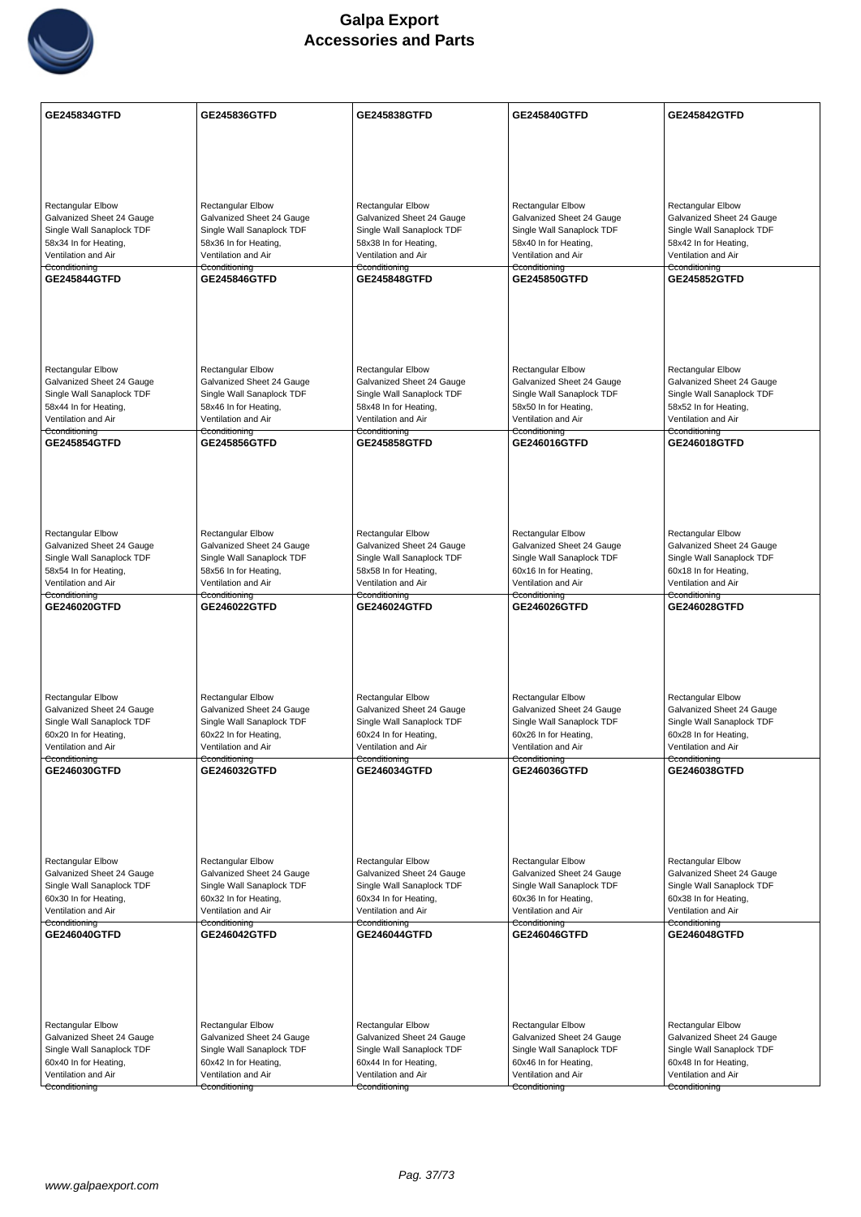

| <b>GE245834GTFD</b>                                    | GE245836GTFD                                           | GE245838GTFD                                           | <b>GE245840GTFD</b>                                    | GE245842GTFD                                           |
|--------------------------------------------------------|--------------------------------------------------------|--------------------------------------------------------|--------------------------------------------------------|--------------------------------------------------------|
|                                                        |                                                        |                                                        |                                                        |                                                        |
|                                                        |                                                        |                                                        |                                                        |                                                        |
|                                                        |                                                        |                                                        |                                                        |                                                        |
| <b>Rectangular Elbow</b>                               | <b>Rectangular Elbow</b>                               | Rectangular Elbow                                      | <b>Rectangular Elbow</b>                               | Rectangular Elbow                                      |
| Galvanized Sheet 24 Gauge                              | Galvanized Sheet 24 Gauge                              | Galvanized Sheet 24 Gauge                              | Galvanized Sheet 24 Gauge                              | Galvanized Sheet 24 Gauge                              |
| Single Wall Sanaplock TDF                              | Single Wall Sanaplock TDF                              | Single Wall Sanaplock TDF                              | Single Wall Sanaplock TDF                              | Single Wall Sanaplock TDF                              |
| 58x34 In for Heating,<br>Ventilation and Air           | 58x36 In for Heating,<br>Ventilation and Air           | 58x38 In for Heating,<br>Ventilation and Air           | 58x40 In for Heating,<br>Ventilation and Air           | 58x42 In for Heating,<br>Ventilation and Air           |
| Cconditioning<br><b>GE245844GTFD</b>                   | Cconditioning<br><b>GE245846GTFD</b>                   | Cconditioning<br><b>GE245848GTFD</b>                   | Cconditioning                                          | Cconditioning<br>GE245852GTFD                          |
|                                                        |                                                        |                                                        | <b>GE245850GTFD</b>                                    |                                                        |
|                                                        |                                                        |                                                        |                                                        |                                                        |
|                                                        |                                                        |                                                        |                                                        |                                                        |
|                                                        |                                                        |                                                        |                                                        |                                                        |
| <b>Rectangular Elbow</b>                               | <b>Rectangular Elbow</b>                               | Rectangular Elbow                                      | <b>Rectangular Elbow</b>                               | Rectangular Elbow                                      |
| Galvanized Sheet 24 Gauge                              | Galvanized Sheet 24 Gauge                              | Galvanized Sheet 24 Gauge                              | Galvanized Sheet 24 Gauge                              | Galvanized Sheet 24 Gauge                              |
| Single Wall Sanaplock TDF                              | Single Wall Sanaplock TDF                              | Single Wall Sanaplock TDF<br>58x48 In for Heating,     | Single Wall Sanaplock TDF<br>58x50 In for Heating,     | Single Wall Sanaplock TDF                              |
| 58x44 In for Heating,<br>Ventilation and Air           | 58x46 In for Heating,<br>Ventilation and Air           | Ventilation and Air                                    | Ventilation and Air                                    | 58x52 In for Heating,<br>Ventilation and Air           |
| Cconditioning<br><b>GE245854GTFD</b>                   | Cconditioning<br><b>GE245856GTFD</b>                   | Cconditioning<br>GE245858GTFD                          | Cconditioning<br>GE246016GTFD                          | Cconditioning<br><b>GE246018GTFD</b>                   |
|                                                        |                                                        |                                                        |                                                        |                                                        |
|                                                        |                                                        |                                                        |                                                        |                                                        |
|                                                        |                                                        |                                                        |                                                        |                                                        |
|                                                        |                                                        |                                                        |                                                        |                                                        |
| <b>Rectangular Elbow</b>                               | <b>Rectangular Elbow</b>                               | <b>Rectangular Elbow</b>                               | <b>Rectangular Elbow</b>                               | <b>Rectangular Elbow</b>                               |
| Galvanized Sheet 24 Gauge                              | Galvanized Sheet 24 Gauge                              | Galvanized Sheet 24 Gauge                              | Galvanized Sheet 24 Gauge                              | Galvanized Sheet 24 Gauge                              |
| Single Wall Sanaplock TDF<br>58x54 In for Heating,     | Single Wall Sanaplock TDF<br>58x56 In for Heating,     | Single Wall Sanaplock TDF<br>58x58 In for Heating,     | Single Wall Sanaplock TDF<br>60x16 In for Heating,     | Single Wall Sanaplock TDF<br>60x18 In for Heating,     |
| Ventilation and Air                                    | Ventilation and Air                                    | Ventilation and Air                                    | Ventilation and Air                                    | Ventilation and Air                                    |
| Cconditioning<br>GE246020GTFD                          | Cconditioning<br><b>GE246022GTFD</b>                   | Cconditioning<br>GE246024GTFD                          | Cconditioning<br>GE246026GTFD                          | Cconditioning<br><b>GE246028GTFD</b>                   |
|                                                        |                                                        |                                                        |                                                        |                                                        |
|                                                        |                                                        |                                                        |                                                        |                                                        |
|                                                        |                                                        |                                                        |                                                        |                                                        |
|                                                        |                                                        |                                                        |                                                        |                                                        |
| Rectangular Elbow                                      | Rectangular Elbow                                      | <b>Rectangular Elbow</b>                               | Rectangular Elbow                                      | <b>Rectangular Elbow</b>                               |
| Galvanized Sheet 24 Gauge<br>Single Wall Sanaplock TDF | Galvanized Sheet 24 Gauge<br>Single Wall Sanaplock TDF | Galvanized Sheet 24 Gauge<br>Single Wall Sanaplock TDF | Galvanized Sheet 24 Gauge<br>Single Wall Sanaplock TDF | Galvanized Sheet 24 Gauge<br>Single Wall Sanaplock TDF |
| 60x20 In for Heating,                                  | 60x22 In for Heating,                                  | 60x24 In for Heating,                                  | 60x26 In for Heating,                                  | 60x28 In for Heating,                                  |
| Ventilation and Air<br>Cconditioning                   | Ventilation and Air<br>Cconditioning                   | Ventilation and Air<br>Cconditioning                   | Ventilation and Air<br>Cconditioning                   | Ventilation and Air<br>Cconditioning                   |
| GE246030GTFD                                           | GE246032GTFD                                           | GE246034GTFD                                           | GE246036GTFD                                           | GE246038GTFD                                           |
|                                                        |                                                        |                                                        |                                                        |                                                        |
|                                                        |                                                        |                                                        |                                                        |                                                        |
|                                                        |                                                        |                                                        |                                                        |                                                        |
|                                                        |                                                        |                                                        |                                                        |                                                        |
| Rectangular Elbow<br>Galvanized Sheet 24 Gauge         | Rectangular Elbow<br>Galvanized Sheet 24 Gauge         | <b>Rectangular Elbow</b><br>Galvanized Sheet 24 Gauge  | <b>Rectangular Elbow</b><br>Galvanized Sheet 24 Gauge  | Rectangular Elbow<br>Galvanized Sheet 24 Gauge         |
| Single Wall Sanaplock TDF                              | Single Wall Sanaplock TDF                              | Single Wall Sanaplock TDF                              | Single Wall Sanaplock TDF                              | Single Wall Sanaplock TDF                              |
| 60x30 In for Heating,<br>Ventilation and Air           | 60x32 In for Heating,<br>Ventilation and Air           | 60x34 In for Heating,<br>Ventilation and Air           | 60x36 In for Heating,<br>Ventilation and Air           | 60x38 In for Heating,<br>Ventilation and Air           |
| Cconditioning                                          | Cconditioning                                          | Cconditioning                                          | Cconditioning                                          | Cconditioning                                          |
| GE246040GTFD                                           | GE246042GTFD                                           | GE246044GTFD                                           | GE246046GTFD                                           | GE246048GTFD                                           |
|                                                        |                                                        |                                                        |                                                        |                                                        |
|                                                        |                                                        |                                                        |                                                        |                                                        |
|                                                        |                                                        |                                                        |                                                        |                                                        |
| Rectangular Elbow                                      | <b>Rectangular Elbow</b>                               | Rectangular Elbow                                      | <b>Rectangular Elbow</b>                               | Rectangular Elbow                                      |
| Galvanized Sheet 24 Gauge                              | Galvanized Sheet 24 Gauge                              | Galvanized Sheet 24 Gauge                              | Galvanized Sheet 24 Gauge                              | Galvanized Sheet 24 Gauge                              |
| Single Wall Sanaplock TDF                              | Single Wall Sanaplock TDF                              | Single Wall Sanaplock TDF                              | Single Wall Sanaplock TDF                              | Single Wall Sanaplock TDF                              |
| 60x40 In for Heating,<br>Ventilation and Air           | 60x42 In for Heating,<br>Ventilation and Air           | 60x44 In for Heating,<br>Ventilation and Air           | 60x46 In for Heating,<br>Ventilation and Air           | 60x48 In for Heating,<br>Ventilation and Air           |
| Cconditioning                                          | Cconditioning                                          | Cconditioning                                          | Cconditioning                                          | Cconditioning                                          |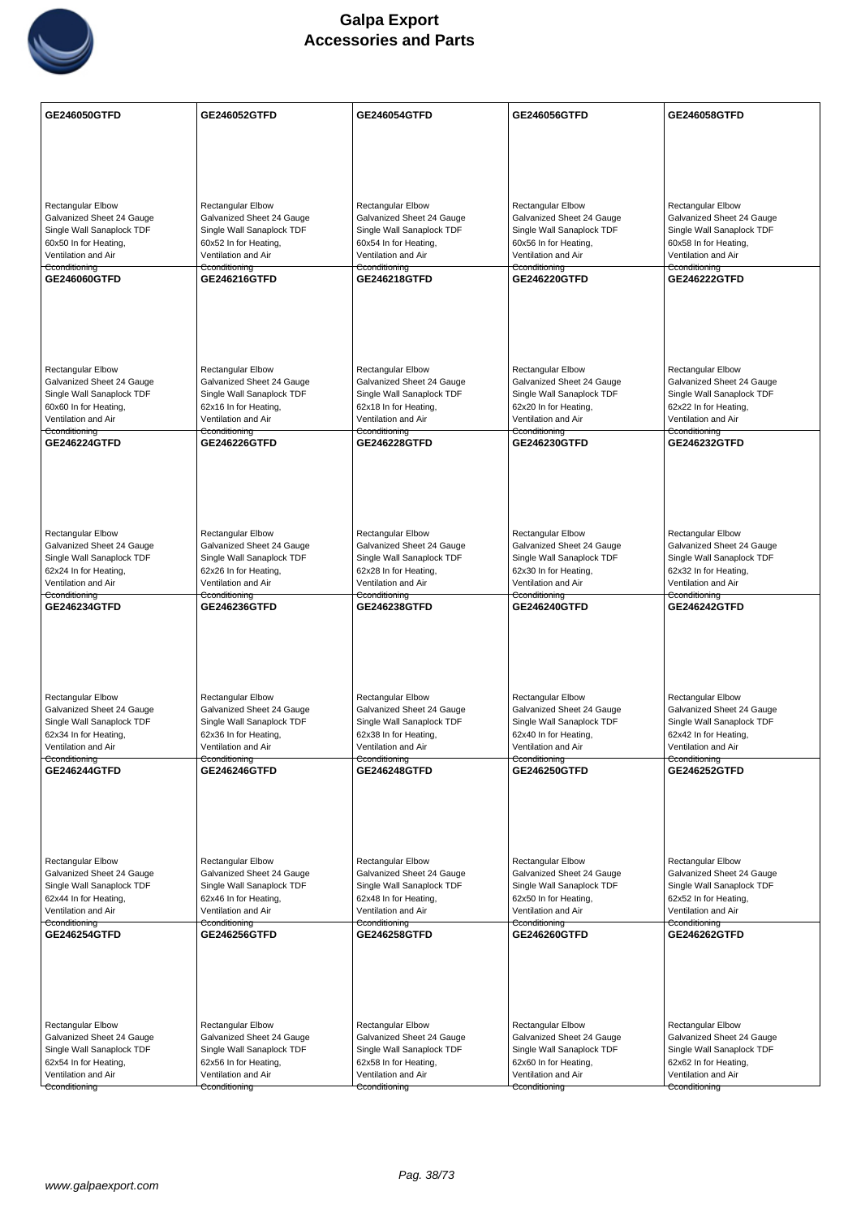

| GE246050GTFD                                                                                                                                 | GE246052GTFD                                                                                                                                 | GE246054GTFD                                                                                                                                        | GE246056GTFD                                                                                                                                        | GE246058GTFD                                                                                                                                        |
|----------------------------------------------------------------------------------------------------------------------------------------------|----------------------------------------------------------------------------------------------------------------------------------------------|-----------------------------------------------------------------------------------------------------------------------------------------------------|-----------------------------------------------------------------------------------------------------------------------------------------------------|-----------------------------------------------------------------------------------------------------------------------------------------------------|
|                                                                                                                                              |                                                                                                                                              |                                                                                                                                                     |                                                                                                                                                     |                                                                                                                                                     |
|                                                                                                                                              |                                                                                                                                              |                                                                                                                                                     |                                                                                                                                                     |                                                                                                                                                     |
|                                                                                                                                              |                                                                                                                                              |                                                                                                                                                     |                                                                                                                                                     |                                                                                                                                                     |
| <b>Rectangular Elbow</b><br>Galvanized Sheet 24 Gauge<br>Single Wall Sanaplock TDF<br>60x50 In for Heating,                                  | <b>Rectangular Elbow</b><br>Galvanized Sheet 24 Gauge<br>Single Wall Sanaplock TDF<br>60x52 In for Heating,                                  | Rectangular Elbow<br>Galvanized Sheet 24 Gauge<br>Single Wall Sanaplock TDF<br>60x54 In for Heating,                                                | <b>Rectangular Elbow</b><br>Galvanized Sheet 24 Gauge<br>Single Wall Sanaplock TDF<br>60x56 In for Heating,                                         | Rectangular Elbow<br>Galvanized Sheet 24 Gauge<br>Single Wall Sanaplock TDF<br>60x58 In for Heating,                                                |
| Ventilation and Air<br>Cconditioning                                                                                                         | Ventilation and Air<br>Cconditioning                                                                                                         | Ventilation and Air<br>Cconditioning                                                                                                                | Ventilation and Air<br>Cconditioning                                                                                                                | Ventilation and Air<br>Cconditioning                                                                                                                |
| GE246060GTFD                                                                                                                                 | GE246216GTFD                                                                                                                                 | GE246218GTFD                                                                                                                                        | <b>GE246220GTFD</b>                                                                                                                                 | <b>GE246222GTFD</b>                                                                                                                                 |
|                                                                                                                                              |                                                                                                                                              |                                                                                                                                                     |                                                                                                                                                     |                                                                                                                                                     |
| <b>Rectangular Elbow</b><br>Galvanized Sheet 24 Gauge<br>Single Wall Sanaplock TDF<br>60x60 In for Heating,<br>Ventilation and Air           | <b>Rectangular Elbow</b><br>Galvanized Sheet 24 Gauge<br>Single Wall Sanaplock TDF<br>62x16 In for Heating,<br>Ventilation and Air           | <b>Rectangular Elbow</b><br>Galvanized Sheet 24 Gauge<br>Single Wall Sanaplock TDF<br>62x18 In for Heating,<br>Ventilation and Air                  | <b>Rectangular Elbow</b><br>Galvanized Sheet 24 Gauge<br>Single Wall Sanaplock TDF<br>62x20 In for Heating,<br>Ventilation and Air                  | <b>Rectangular Elbow</b><br>Galvanized Sheet 24 Gauge<br>Single Wall Sanaplock TDF<br>62x22 In for Heating,<br>Ventilation and Air                  |
| Cconditioning<br><b>GE246224GTFD</b>                                                                                                         | Cconditioning<br><b>GE246226GTFD</b>                                                                                                         | Cconditioning<br>GE246228GTFD                                                                                                                       | Cconditioning<br>GE246230GTFD                                                                                                                       | Cconditioning<br><b>GE246232GTFD</b>                                                                                                                |
|                                                                                                                                              |                                                                                                                                              |                                                                                                                                                     |                                                                                                                                                     |                                                                                                                                                     |
| <b>Rectangular Elbow</b><br>Galvanized Sheet 24 Gauge<br>Single Wall Sanaplock TDF<br>62x24 In for Heating,<br>Ventilation and Air           | <b>Rectangular Elbow</b><br>Galvanized Sheet 24 Gauge<br>Single Wall Sanaplock TDF<br>62x26 In for Heating,<br>Ventilation and Air           | <b>Rectangular Elbow</b><br>Galvanized Sheet 24 Gauge<br>Single Wall Sanaplock TDF<br>62x28 In for Heating,<br>Ventilation and Air                  | <b>Rectangular Elbow</b><br>Galvanized Sheet 24 Gauge<br>Single Wall Sanaplock TDF<br>62x30 In for Heating,<br>Ventilation and Air                  | <b>Rectangular Elbow</b><br>Galvanized Sheet 24 Gauge<br>Single Wall Sanaplock TDF<br>62x32 In for Heating,<br>Ventilation and Air                  |
| Cconditioning<br>GE246234GTFD                                                                                                                | Cconditioning<br>GE246236GTFD                                                                                                                | Cconditioning<br>GE246238GTFD                                                                                                                       | Cconditioning<br>GE246240GTFD                                                                                                                       | Cconditioning<br><b>GE246242GTFD</b>                                                                                                                |
| Rectangular Elbow<br>Galvanized Sheet 24 Gauge<br>Single Wall Sanaplock TDF<br>62x34 In for Heating,<br>Ventilation and Air<br>Cconditioning | Rectangular Elbow<br>Galvanized Sheet 24 Gauge<br>Single Wall Sanaplock TDF<br>62x36 In for Heating,<br>Ventilation and Air<br>Cconditioning | <b>Rectangular Elbow</b><br>Galvanized Sheet 24 Gauge<br>Single Wall Sanaplock TDF<br>62x38 In for Heating,<br>Ventilation and Air<br>Cconditioning | Rectangular Elbow<br>Galvanized Sheet 24 Gauge<br>Single Wall Sanaplock TDF<br>62x40 In for Heating,<br>Ventilation and Air<br>Cconditioning        | <b>Rectangular Elbow</b><br>Galvanized Sheet 24 Gauge<br>Single Wall Sanaplock TDF<br>62x42 In for Heating,<br>Ventilation and Air<br>Cconditioning |
| <b>GE246244GTFD</b>                                                                                                                          | <b>GE246246GTFD</b>                                                                                                                          | <b>GE246248GTFD</b>                                                                                                                                 | <b>GE246250GTFD</b>                                                                                                                                 | <b>GE246252GTFD</b>                                                                                                                                 |
| Rectangular Elbow<br>Galvanized Sheet 24 Gauge<br>Single Wall Sanaplock TDF<br>62x44 In for Heating,<br>Ventilation and Air<br>Cconditioning | Rectangular Elbow<br>Galvanized Sheet 24 Gauge<br>Single Wall Sanaplock TDF<br>62x46 In for Heating,<br>Ventilation and Air<br>Cconditioning | <b>Rectangular Elbow</b><br>Galvanized Sheet 24 Gauge<br>Single Wall Sanaplock TDF<br>62x48 In for Heating,<br>Ventilation and Air<br>Cconditioning | <b>Rectangular Elbow</b><br>Galvanized Sheet 24 Gauge<br>Single Wall Sanaplock TDF<br>62x50 In for Heating,<br>Ventilation and Air<br>Cconditioning | <b>Rectangular Elbow</b><br>Galvanized Sheet 24 Gauge<br>Single Wall Sanaplock TDF<br>62x52 In for Heating,<br>Ventilation and Air<br>Cconditioning |
| <b>GE246254GTFD</b>                                                                                                                          | GE246256GTFD                                                                                                                                 | GE246258GTFD                                                                                                                                        | GE246260GTFD                                                                                                                                        | GE246262GTFD                                                                                                                                        |
|                                                                                                                                              |                                                                                                                                              |                                                                                                                                                     |                                                                                                                                                     |                                                                                                                                                     |
| Rectangular Elbow<br>Galvanized Sheet 24 Gauge                                                                                               | <b>Rectangular Elbow</b><br>Galvanized Sheet 24 Gauge                                                                                        | Rectangular Elbow<br>Galvanized Sheet 24 Gauge                                                                                                      | <b>Rectangular Elbow</b><br>Galvanized Sheet 24 Gauge                                                                                               | Rectangular Elbow<br>Galvanized Sheet 24 Gauge                                                                                                      |
| Single Wall Sanaplock TDF                                                                                                                    | Single Wall Sanaplock TDF                                                                                                                    | Single Wall Sanaplock TDF                                                                                                                           | Single Wall Sanaplock TDF                                                                                                                           | Single Wall Sanaplock TDF                                                                                                                           |
| 62x54 In for Heating,<br>Ventilation and Air                                                                                                 | 62x56 In for Heating,<br>Ventilation and Air                                                                                                 | 62x58 In for Heating,<br>Ventilation and Air                                                                                                        | 62x60 In for Heating,<br>Ventilation and Air                                                                                                        | 62x62 In for Heating,<br>Ventilation and Air                                                                                                        |
| Cconditioning                                                                                                                                | Cconditioning                                                                                                                                | Cconditioning                                                                                                                                       | Cconditioning                                                                                                                                       | Cconditioning                                                                                                                                       |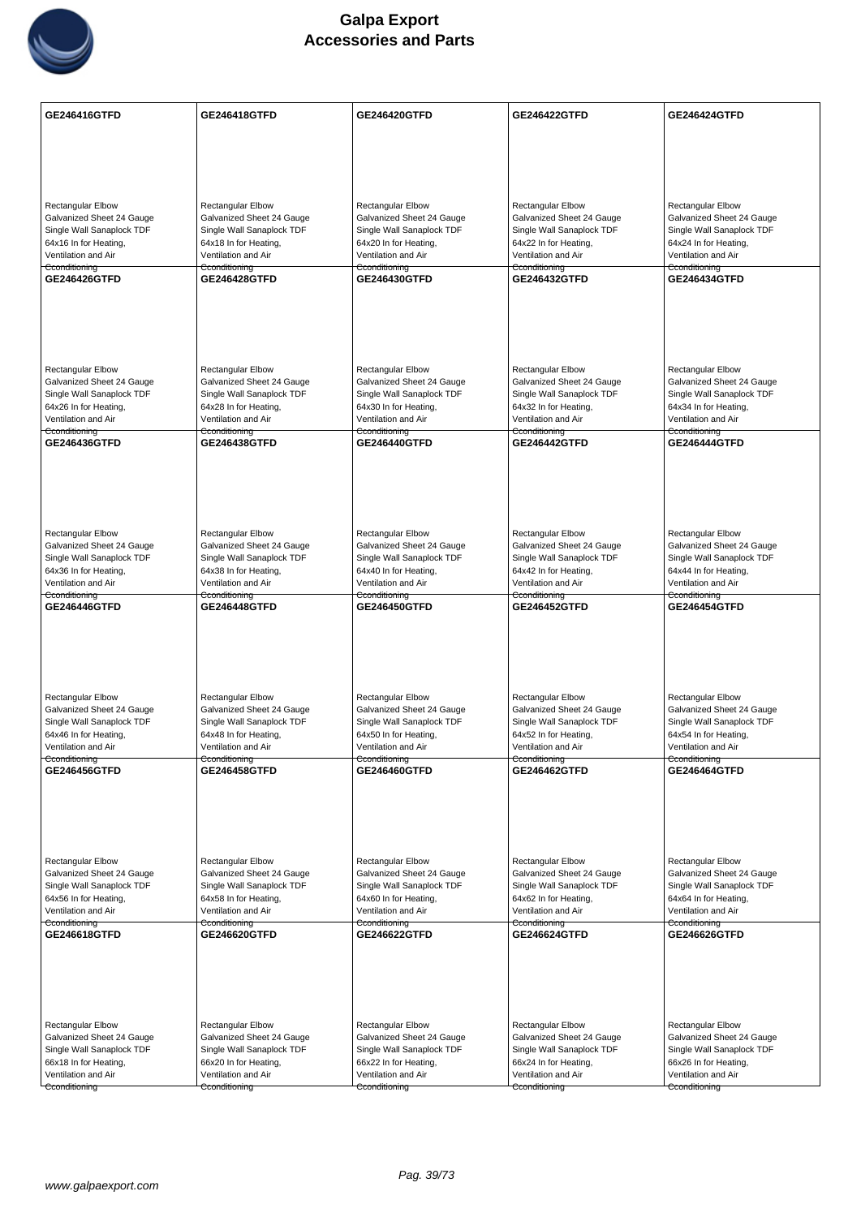

| GE246416GTFD                                           | <b>GE246418GTFD</b>                                    | <b>GE246420GTFD</b>                                    | GE246422GTFD                                           | <b>GE246424GTFD</b>                                    |
|--------------------------------------------------------|--------------------------------------------------------|--------------------------------------------------------|--------------------------------------------------------|--------------------------------------------------------|
|                                                        |                                                        |                                                        |                                                        |                                                        |
|                                                        |                                                        |                                                        |                                                        |                                                        |
|                                                        |                                                        |                                                        |                                                        |                                                        |
| <b>Rectangular Elbow</b>                               | Rectangular Elbow                                      | <b>Rectangular Elbow</b>                               | <b>Rectangular Elbow</b>                               |                                                        |
| Galvanized Sheet 24 Gauge                              | Galvanized Sheet 24 Gauge                              | Galvanized Sheet 24 Gauge                              | Galvanized Sheet 24 Gauge                              | Rectangular Elbow<br>Galvanized Sheet 24 Gauge         |
| Single Wall Sanaplock TDF                              | Single Wall Sanaplock TDF                              | Single Wall Sanaplock TDF                              | Single Wall Sanaplock TDF                              | Single Wall Sanaplock TDF                              |
| 64x16 In for Heating,<br>Ventilation and Air           | 64x18 In for Heating,<br>Ventilation and Air           | 64x20 In for Heating,<br>Ventilation and Air           | 64x22 In for Heating,<br>Ventilation and Air           | 64x24 In for Heating,<br>Ventilation and Air           |
| Cconditioning<br>GE246426GTFD                          | Cconditioning<br><b>GE246428GTFD</b>                   | Cconditioning<br><b>GE246430GTFD</b>                   | Cconditioning<br><b>GE246432GTFD</b>                   | Cconditioning<br><b>GE246434GTFD</b>                   |
|                                                        |                                                        |                                                        |                                                        |                                                        |
|                                                        |                                                        |                                                        |                                                        |                                                        |
|                                                        |                                                        |                                                        |                                                        |                                                        |
|                                                        |                                                        |                                                        |                                                        |                                                        |
| <b>Rectangular Elbow</b>                               | <b>Rectangular Elbow</b>                               | <b>Rectangular Elbow</b>                               | <b>Rectangular Elbow</b>                               | <b>Rectangular Elbow</b>                               |
| Galvanized Sheet 24 Gauge<br>Single Wall Sanaplock TDF | Galvanized Sheet 24 Gauge<br>Single Wall Sanaplock TDF | Galvanized Sheet 24 Gauge<br>Single Wall Sanaplock TDF | Galvanized Sheet 24 Gauge<br>Single Wall Sanaplock TDF | Galvanized Sheet 24 Gauge<br>Single Wall Sanaplock TDF |
| 64x26 In for Heating,                                  | 64x28 In for Heating,                                  | 64x30 In for Heating,                                  | 64x32 In for Heating,                                  | 64x34 In for Heating,                                  |
| Ventilation and Air<br>Cconditioning                   | Ventilation and Air<br><del>Cconditioning</del>        | Ventilation and Air<br>Cconditioning                   | Ventilation and Air<br><del>Cconditioning</del>        | Ventilation and Air<br>Cconditioning                   |
| GE246436GTFD                                           | <b>GE246438GTFD</b>                                    | <b>GE246440GTFD</b>                                    | <b>GE246442GTFD</b>                                    | <b>GE246444GTFD</b>                                    |
|                                                        |                                                        |                                                        |                                                        |                                                        |
|                                                        |                                                        |                                                        |                                                        |                                                        |
|                                                        |                                                        |                                                        |                                                        |                                                        |
| <b>Rectangular Elbow</b>                               | Rectangular Elbow                                      | Rectangular Elbow                                      | <b>Rectangular Elbow</b>                               | Rectangular Elbow                                      |
| Galvanized Sheet 24 Gauge                              | Galvanized Sheet 24 Gauge                              | Galvanized Sheet 24 Gauge                              | Galvanized Sheet 24 Gauge                              | Galvanized Sheet 24 Gauge                              |
| Single Wall Sanaplock TDF                              | Single Wall Sanaplock TDF                              | Single Wall Sanaplock TDF                              | Single Wall Sanaplock TDF                              | Single Wall Sanaplock TDF                              |
| 64x36 In for Heating,<br>Ventilation and Air           | 64x38 In for Heating,<br>Ventilation and Air           | 64x40 In for Heating,<br>Ventilation and Air           | 64x42 In for Heating,<br>Ventilation and Air           | 64x44 In for Heating,<br>Ventilation and Air           |
| Cconditioning<br>GE246446GTFD                          | Cconditioning<br><b>GE246448GTFD</b>                   | Cconditioning<br>GE246450GTFD                          | Cconditioning<br>GE246452GTFD                          | Cconditioning<br><b>GE246454GTFD</b>                   |
|                                                        |                                                        |                                                        |                                                        |                                                        |
|                                                        |                                                        |                                                        |                                                        |                                                        |
|                                                        |                                                        |                                                        |                                                        |                                                        |
|                                                        |                                                        |                                                        |                                                        |                                                        |
| <b>Rectangular Elbow</b>                               | Rectangular Elbow                                      | <b>Rectangular Elbow</b>                               | <b>Rectangular Elbow</b>                               | <b>Rectangular Elbow</b>                               |
| Galvanized Sheet 24 Gauge<br>Single Wall Sanaplock TDF | Galvanized Sheet 24 Gauge<br>Single Wall Sanaplock TDF | Galvanized Sheet 24 Gauge<br>Single Wall Sanaplock TDF | Galvanized Sheet 24 Gauge<br>Single Wall Sanaplock TDF | Galvanized Sheet 24 Gauge<br>Single Wall Sanaplock TDF |
| 64x46 In for Heating,                                  | 64x48 In for Heating,                                  | 64x50 In for Heating,                                  | 64x52 In for Heating,                                  | 64x54 In for Heating,                                  |
| Ventilation and Air<br>Cconditioning                   | Ventilation and Air<br>Cconditioning                   | Ventilation and Air<br>Cconditioning                   | Ventilation and Air<br>Cconditioning                   | Ventilation and Air<br>Cconditioning                   |
| GE246456GTFD                                           | GE246458GTFD                                           | GE246460GTFD                                           | GE246462GTFD                                           | GE246464GTFD                                           |
|                                                        |                                                        |                                                        |                                                        |                                                        |
|                                                        |                                                        |                                                        |                                                        |                                                        |
|                                                        |                                                        |                                                        |                                                        |                                                        |
| <b>Rectangular Elbow</b>                               | <b>Rectangular Elbow</b>                               | <b>Rectangular Elbow</b>                               | <b>Rectangular Elbow</b>                               | <b>Rectangular Elbow</b>                               |
| Galvanized Sheet 24 Gauge                              | Galvanized Sheet 24 Gauge                              | Galvanized Sheet 24 Gauge                              | Galvanized Sheet 24 Gauge                              | Galvanized Sheet 24 Gauge                              |
| Single Wall Sanaplock TDF                              | Single Wall Sanaplock TDF                              | Single Wall Sanaplock TDF                              | Single Wall Sanaplock TDF                              | Single Wall Sanaplock TDF                              |
| 64x56 In for Heating,<br>Ventilation and Air           | 64x58 In for Heating,<br>Ventilation and Air           | 64x60 In for Heating,<br>Ventilation and Air           | 64x62 In for Heating,<br>Ventilation and Air           | 64x64 In for Heating,<br>Ventilation and Air           |
| Cconditioning<br>GE246618GTFD                          | Cconditioning<br><b>GE246620GTFD</b>                   | Cconditioning<br>GE246622GTFD                          | Cconditioning<br><b>GE246624GTFD</b>                   | Cconditioning<br>GE246626GTFD                          |
|                                                        |                                                        |                                                        |                                                        |                                                        |
|                                                        |                                                        |                                                        |                                                        |                                                        |
|                                                        |                                                        |                                                        |                                                        |                                                        |
|                                                        |                                                        |                                                        |                                                        |                                                        |
| Rectangular Elbow                                      | Rectangular Elbow                                      | Rectangular Elbow                                      | Rectangular Elbow                                      | Rectangular Elbow                                      |
| Galvanized Sheet 24 Gauge<br>Single Wall Sanaplock TDF | Galvanized Sheet 24 Gauge<br>Single Wall Sanaplock TDF | Galvanized Sheet 24 Gauge<br>Single Wall Sanaplock TDF | Galvanized Sheet 24 Gauge<br>Single Wall Sanaplock TDF | Galvanized Sheet 24 Gauge<br>Single Wall Sanaplock TDF |
| 66x18 In for Heating,                                  | 66x20 In for Heating,                                  | 66x22 In for Heating,                                  | 66x24 In for Heating,                                  | 66x26 In for Heating,                                  |
| Ventilation and Air<br>Cconditioning                   | Ventilation and Air<br>Cconditioning                   | Ventilation and Air<br>Cconditioning                   | Ventilation and Air<br>Cconditioning                   | Ventilation and Air<br>Cconditioning                   |
|                                                        |                                                        |                                                        |                                                        |                                                        |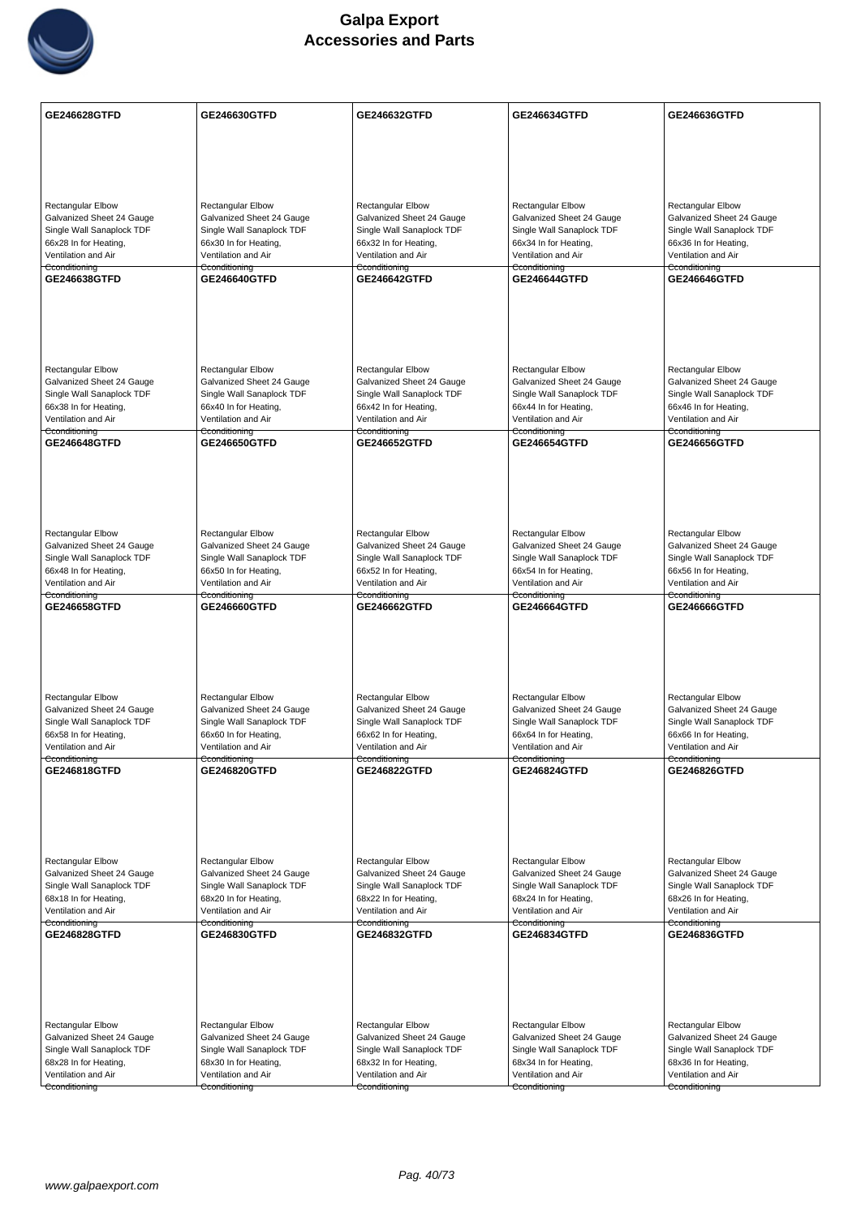

| GE246628GTFD                                          | GE246630GTFD                                          | GE246632GTFD                                          | GE246634GTFD                                          | GE246636GTFD                                          |
|-------------------------------------------------------|-------------------------------------------------------|-------------------------------------------------------|-------------------------------------------------------|-------------------------------------------------------|
|                                                       |                                                       |                                                       |                                                       |                                                       |
|                                                       |                                                       |                                                       |                                                       |                                                       |
|                                                       |                                                       |                                                       |                                                       |                                                       |
|                                                       |                                                       |                                                       | <b>Rectangular Elbow</b>                              |                                                       |
| <b>Rectangular Elbow</b><br>Galvanized Sheet 24 Gauge | <b>Rectangular Elbow</b><br>Galvanized Sheet 24 Gauge | <b>Rectangular Elbow</b><br>Galvanized Sheet 24 Gauge | Galvanized Sheet 24 Gauge                             | <b>Rectangular Elbow</b><br>Galvanized Sheet 24 Gauge |
| Single Wall Sanaplock TDF                             | Single Wall Sanaplock TDF                             | Single Wall Sanaplock TDF                             | Single Wall Sanaplock TDF                             | Single Wall Sanaplock TDF                             |
| 66x28 In for Heating,<br>Ventilation and Air          | 66x30 In for Heating,<br>Ventilation and Air          | 66x32 In for Heating,<br>Ventilation and Air          | 66x34 In for Heating,<br>Ventilation and Air          | 66x36 In for Heating,<br>Ventilation and Air          |
| Cconditioning                                         | Cconditioning                                         | Cconditioning                                         | Cconditioning                                         | Cconditioning                                         |
| GE246638GTFD                                          | <b>GE246640GTFD</b>                                   | <b>GE246642GTFD</b>                                   | <b>GE246644GTFD</b>                                   | GE246646GTFD                                          |
|                                                       |                                                       |                                                       |                                                       |                                                       |
|                                                       |                                                       |                                                       |                                                       |                                                       |
|                                                       |                                                       |                                                       |                                                       |                                                       |
|                                                       |                                                       |                                                       |                                                       |                                                       |
| <b>Rectangular Elbow</b><br>Galvanized Sheet 24 Gauge | <b>Rectangular Elbow</b><br>Galvanized Sheet 24 Gauge | <b>Rectangular Elbow</b><br>Galvanized Sheet 24 Gauge | <b>Rectangular Elbow</b><br>Galvanized Sheet 24 Gauge | Rectangular Elbow<br>Galvanized Sheet 24 Gauge        |
| Single Wall Sanaplock TDF                             | Single Wall Sanaplock TDF                             | Single Wall Sanaplock TDF                             | Single Wall Sanaplock TDF                             | Single Wall Sanaplock TDF                             |
| 66x38 In for Heating,                                 | 66x40 In for Heating,                                 | 66x42 In for Heating,                                 | 66x44 In for Heating,<br>Ventilation and Air          | 66x46 In for Heating,                                 |
| Ventilation and Air<br>Cconditioning                  | Ventilation and Air<br>Cconditioning                  | Ventilation and Air<br>Cconditioning                  | Cconditioning                                         | Ventilation and Air<br>Cconditioning                  |
| <b>GE246648GTFD</b>                                   | <b>GE246650GTFD</b>                                   | <b>GE246652GTFD</b>                                   | <b>GE246654GTFD</b>                                   | <b>GE246656GTFD</b>                                   |
|                                                       |                                                       |                                                       |                                                       |                                                       |
|                                                       |                                                       |                                                       |                                                       |                                                       |
|                                                       |                                                       |                                                       |                                                       |                                                       |
| Rectangular Elbow                                     | <b>Rectangular Elbow</b>                              | Rectangular Elbow                                     | Rectangular Elbow                                     | Rectangular Elbow                                     |
| Galvanized Sheet 24 Gauge                             | Galvanized Sheet 24 Gauge                             | Galvanized Sheet 24 Gauge                             | Galvanized Sheet 24 Gauge                             | Galvanized Sheet 24 Gauge                             |
| Single Wall Sanaplock TDF                             | Single Wall Sanaplock TDF                             | Single Wall Sanaplock TDF                             | Single Wall Sanaplock TDF                             | Single Wall Sanaplock TDF                             |
| 66x48 In for Heating,<br>Ventilation and Air          | 66x50 In for Heating,<br>Ventilation and Air          | 66x52 In for Heating,<br>Ventilation and Air          | 66x54 In for Heating,<br>Ventilation and Air          | 66x56 In for Heating,<br>Ventilation and Air          |
| Cconditioning                                         | Cconditioning                                         | Cconditioning                                         | Cconditioning                                         | Cconditioning                                         |
| GE246658GTFD                                          | GE246660GTFD                                          | GE246662GTFD                                          | GE246664GTFD                                          | GE246666GTFD                                          |
|                                                       |                                                       |                                                       |                                                       |                                                       |
|                                                       |                                                       |                                                       |                                                       |                                                       |
|                                                       |                                                       |                                                       |                                                       |                                                       |
| Rectangular Elbow                                     | Rectangular Elbow                                     | <b>Rectangular Elbow</b>                              | Rectangular Elbow                                     | Rectangular Elbow                                     |
| Galvanized Sheet 24 Gauge                             | Galvanized Sheet 24 Gauge                             | Galvanized Sheet 24 Gauge                             | Galvanized Sheet 24 Gauge                             | Galvanized Sheet 24 Gauge                             |
| Single Wall Sanaplock TDF<br>66x58 In for Heating,    | Single Wall Sanaplock TDF<br>66x60 In for Heating,    | Single Wall Sanaplock TDF<br>66x62 In for Heating,    | Single Wall Sanaplock TDF<br>66x64 In for Heating,    | Single Wall Sanaplock TDF<br>66x66 In for Heating,    |
| Ventilation and Air                                   | Ventilation and Air                                   | Ventilation and Air                                   | Ventilation and Air                                   | Ventilation and Air                                   |
| Cconditioning<br>GE246818GTFD                         | Cconditioning<br>GE246820GTFD                         | Cconditioning<br>GE246822GTFD                         | Cconditioning<br>GE246824GTFD                         | Cconditioning<br>GE246826GTFD                         |
|                                                       |                                                       |                                                       |                                                       |                                                       |
|                                                       |                                                       |                                                       |                                                       |                                                       |
|                                                       |                                                       |                                                       |                                                       |                                                       |
|                                                       |                                                       |                                                       |                                                       |                                                       |
| Rectangular Elbow<br>Galvanized Sheet 24 Gauge        | Rectangular Elbow<br>Galvanized Sheet 24 Gauge        | <b>Rectangular Elbow</b><br>Galvanized Sheet 24 Gauge | <b>Rectangular Elbow</b><br>Galvanized Sheet 24 Gauge | <b>Rectangular Elbow</b><br>Galvanized Sheet 24 Gauge |
| Single Wall Sanaplock TDF                             | Single Wall Sanaplock TDF                             | Single Wall Sanaplock TDF                             | Single Wall Sanaplock TDF                             | Single Wall Sanaplock TDF                             |
| 68x18 In for Heating,<br>Ventilation and Air          | 68x20 In for Heating,<br>Ventilation and Air          | 68x22 In for Heating,<br>Ventilation and Air          | 68x24 In for Heating,<br>Ventilation and Air          | 68x26 In for Heating,<br>Ventilation and Air          |
| Cconditioning                                         | Cconditioning                                         | Cconditioning                                         | Cconditioning                                         | Cconditioning                                         |
| GE246828GTFD                                          | <b>GE246830GTFD</b>                                   | GE246832GTFD                                          | <b>GE246834GTFD</b>                                   | GE246836GTFD                                          |
|                                                       |                                                       |                                                       |                                                       |                                                       |
|                                                       |                                                       |                                                       |                                                       |                                                       |
|                                                       |                                                       |                                                       |                                                       |                                                       |
| Rectangular Elbow                                     | Rectangular Elbow                                     | <b>Rectangular Elbow</b>                              | <b>Rectangular Elbow</b>                              | Rectangular Elbow                                     |
| Galvanized Sheet 24 Gauge                             | Galvanized Sheet 24 Gauge                             | Galvanized Sheet 24 Gauge                             | Galvanized Sheet 24 Gauge                             | Galvanized Sheet 24 Gauge                             |
| Single Wall Sanaplock TDF                             | Single Wall Sanaplock TDF                             | Single Wall Sanaplock TDF                             | Single Wall Sanaplock TDF                             | Single Wall Sanaplock TDF                             |
| 68x28 In for Heating,<br>Ventilation and Air          | 68x30 In for Heating,<br>Ventilation and Air          | 68x32 In for Heating,<br>Ventilation and Air          | 68x34 In for Heating,<br>Ventilation and Air          | 68x36 In for Heating,<br>Ventilation and Air          |
| Cconditioning                                         | Cconditioning                                         | Cconditioning                                         | Cconditioning                                         | Cconditioning                                         |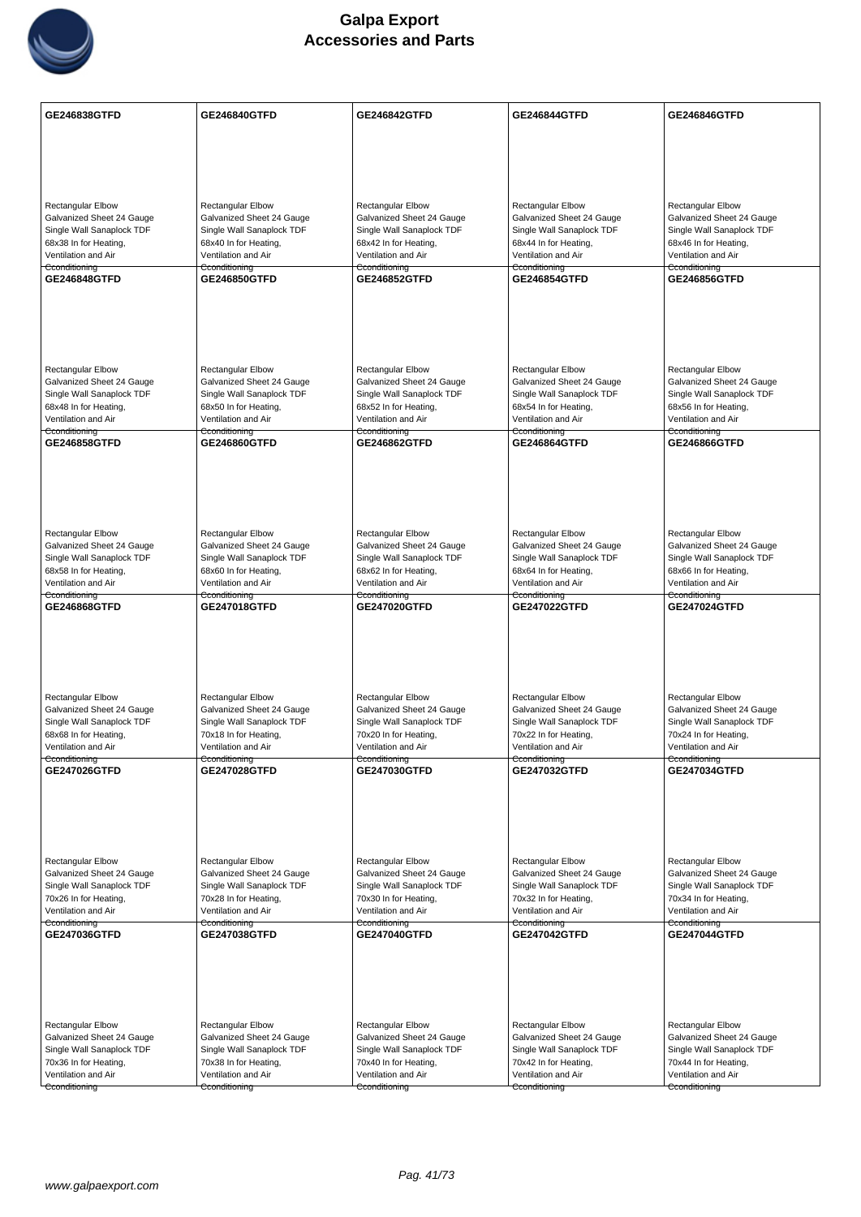

| <b>Rectangular Elbow</b><br><b>Rectangular Elbow</b><br><b>Rectangular Elbow</b><br><b>Rectangular Elbow</b><br>Rectangular Elbow<br>Galvanized Sheet 24 Gauge<br>Galvanized Sheet 24 Gauge<br>Galvanized Sheet 24 Gauge<br>Galvanized Sheet 24 Gauge<br>Galvanized Sheet 24 Gauge<br>Single Wall Sanaplock TDF<br>Single Wall Sanaplock TDF<br>Single Wall Sanaplock TDF<br>Single Wall Sanaplock TDF<br>Single Wall Sanaplock TDF<br>68x38 In for Heating,<br>68x40 In for Heating,<br>68x42 In for Heating,<br>68x44 In for Heating,<br>68x46 In for Heating,<br>Ventilation and Air<br>Ventilation and Air<br>Ventilation and Air<br>Ventilation and Air<br>Ventilation and Air<br>Cconditioning<br>Cconditioning<br>Cconditioning<br>Cconditioning<br>Cconditioning<br>GE246848GTFD<br>GE246856GTFD<br><b>GE246850GTFD</b><br><b>GE246852GTFD</b><br><b>GE246854GTFD</b><br>Rectangular Elbow<br><b>Rectangular Elbow</b><br><b>Rectangular Elbow</b><br><b>Rectangular Elbow</b><br><b>Rectangular Elbow</b><br>Galvanized Sheet 24 Gauge<br>Galvanized Sheet 24 Gauge<br>Galvanized Sheet 24 Gauge<br>Galvanized Sheet 24 Gauge<br>Galvanized Sheet 24 Gauge<br>Single Wall Sanaplock TDF<br>Single Wall Sanaplock TDF<br>Single Wall Sanaplock TDF<br>Single Wall Sanaplock TDF<br>Single Wall Sanaplock TDF<br>68x48 In for Heating,<br>68x50 In for Heating,<br>68x52 In for Heating,<br>68x54 In for Heating,<br>68x56 In for Heating,<br>Ventilation and Air<br>Ventilation and Air<br>Ventilation and Air<br>Ventilation and Air<br>Ventilation and Air<br>Cconditioning<br>Cconditioning<br>Cconditioning<br>Cconditioning<br>Cconditioning<br>GE246858GTFD<br><b>GE246860GTFD</b><br><b>GE246862GTFD</b><br><b>GE246864GTFD</b><br><b>GE246866GTFD</b><br>Rectangular Elbow<br><b>Rectangular Elbow</b><br>Rectangular Elbow<br>Rectangular Elbow<br>Rectangular Elbow<br>Galvanized Sheet 24 Gauge<br>Galvanized Sheet 24 Gauge<br>Galvanized Sheet 24 Gauge<br>Galvanized Sheet 24 Gauge<br>Galvanized Sheet 24 Gauge<br>Single Wall Sanaplock TDF<br>Single Wall Sanaplock TDF<br>Single Wall Sanaplock TDF<br>Single Wall Sanaplock TDF<br>Single Wall Sanaplock TDF<br>68x58 In for Heating,<br>68x60 In for Heating,<br>68x62 In for Heating,<br>68x64 In for Heating,<br>68x66 In for Heating,<br>Ventilation and Air<br>Ventilation and Air<br>Ventilation and Air<br>Ventilation and Air<br>Ventilation and Air<br>Cconditioning<br>Cconditioning<br>Cconditioning<br>Cconditioning<br>Cconditioning<br>GE246868GTFD<br>GE247018GTFD<br>GE247020GTFD<br>GE247022GTFD<br>GE247024GTFD<br>Rectangular Elbow<br>Rectangular Elbow<br><b>Rectangular Elbow</b><br><b>Rectangular Elbow</b><br>Rectangular Elbow<br>Galvanized Sheet 24 Gauge<br>Galvanized Sheet 24 Gauge<br>Galvanized Sheet 24 Gauge<br>Galvanized Sheet 24 Gauge<br>Galvanized Sheet 24 Gauge<br>Single Wall Sanaplock TDF<br>Single Wall Sanaplock TDF<br>Single Wall Sanaplock TDF<br>Single Wall Sanaplock TDF<br>Single Wall Sanaplock TDF<br>68x68 In for Heating,<br>70x18 In for Heating,<br>70x20 In for Heating,<br>70x22 In for Heating,<br>70x24 In for Heating,<br>Ventilation and Air<br>Ventilation and Air<br>Ventilation and Air<br>Ventilation and Air<br>Ventilation and Air<br>Cconditioning<br>Cconditioning<br>Cconditioning<br>Cconditioning<br>Cconditioning<br><b>GE247026GTFD</b><br>GE247028GTFD<br>GE247030GTFD<br>GE247032GTFD<br>GE247034GTFD<br>Rectangular Elbow<br>Rectangular Elbow<br><b>Rectangular Elbow</b><br><b>Rectangular Elbow</b><br><b>Rectangular Elbow</b><br>Galvanized Sheet 24 Gauge<br>Galvanized Sheet 24 Gauge<br>Galvanized Sheet 24 Gauge<br>Galvanized Sheet 24 Gauge<br>Galvanized Sheet 24 Gauge<br>Single Wall Sanaplock TDF<br>Single Wall Sanaplock TDF<br>Single Wall Sanaplock TDF<br>Single Wall Sanaplock TDF<br>Single Wall Sanaplock TDF<br>70x26 In for Heating,<br>70x28 In for Heating,<br>70x30 In for Heating,<br>70x32 In for Heating,<br>70x34 In for Heating,<br>Ventilation and Air<br>Ventilation and Air<br>Ventilation and Air<br>Ventilation and Air<br>Ventilation and Air<br>Cconditioning<br>Cconditioning<br>Cconditioning<br>Cconditioning<br>Cconditioning<br>GE247036GTFD<br>GE247038GTFD<br>GE247040GTFD<br>GE247042GTFD<br>GE247044GTFD<br>Rectangular Elbow<br>Rectangular Elbow<br>Rectangular Elbow<br><b>Rectangular Elbow</b><br><b>Rectangular Elbow</b><br>Galvanized Sheet 24 Gauge<br>Galvanized Sheet 24 Gauge<br>Galvanized Sheet 24 Gauge<br>Galvanized Sheet 24 Gauge<br>Galvanized Sheet 24 Gauge<br>Single Wall Sanaplock TDF<br>Single Wall Sanaplock TDF<br>Single Wall Sanaplock TDF<br>Single Wall Sanaplock TDF<br>Single Wall Sanaplock TDF<br>70x36 In for Heating,<br>70x44 In for Heating,<br>70x38 In for Heating,<br>70x40 In for Heating,<br>70x42 In for Heating,<br>Ventilation and Air<br>Ventilation and Air<br>Ventilation and Air<br>Ventilation and Air<br>Ventilation and Air<br>Cconditioning<br>Cconditioning<br>Cconditioning<br>Cconditioning<br>Cconditioning | <b>GE246838GTFD</b> | <b>GE246840GTFD</b> | GE246842GTFD | GE246844GTFD | GE246846GTFD |
|--------------------------------------------------------------------------------------------------------------------------------------------------------------------------------------------------------------------------------------------------------------------------------------------------------------------------------------------------------------------------------------------------------------------------------------------------------------------------------------------------------------------------------------------------------------------------------------------------------------------------------------------------------------------------------------------------------------------------------------------------------------------------------------------------------------------------------------------------------------------------------------------------------------------------------------------------------------------------------------------------------------------------------------------------------------------------------------------------------------------------------------------------------------------------------------------------------------------------------------------------------------------------------------------------------------------------------------------------------------------------------------------------------------------------------------------------------------------------------------------------------------------------------------------------------------------------------------------------------------------------------------------------------------------------------------------------------------------------------------------------------------------------------------------------------------------------------------------------------------------------------------------------------------------------------------------------------------------------------------------------------------------------------------------------------------------------------------------------------------------------------------------------------------------------------------------------------------------------------------------------------------------------------------------------------------------------------------------------------------------------------------------------------------------------------------------------------------------------------------------------------------------------------------------------------------------------------------------------------------------------------------------------------------------------------------------------------------------------------------------------------------------------------------------------------------------------------------------------------------------------------------------------------------------------------------------------------------------------------------------------------------------------------------------------------------------------------------------------------------------------------------------------------------------------------------------------------------------------------------------------------------------------------------------------------------------------------------------------------------------------------------------------------------------------------------------------------------------------------------------------------------------------------------------------------------------------------------------------------------------------------------------------------------------------------------------------------------------------------------------------------------------------------------------------------------------------------------------------------------------------------------------------------------------------------------------------------------------------------------------------------------------------------------------------------------------------------------------------------------------------------------------------------------------------------------------------------------------------------------------------------------------------------------------------------------------------------------------------------------------------------------------------------------------------------------------------------------------------------------------------------------------------------------------------------------------------------------------------------------------------------------------------------------------------------------------------------------------------------------------------------------------------------------------------------------------------------------------------------------------------------------------------------------------------------------------------------------------------------------------------------------------------------------------------------------------------------------|---------------------|---------------------|--------------|--------------|--------------|
|                                                                                                                                                                                                                                                                                                                                                                                                                                                                                                                                                                                                                                                                                                                                                                                                                                                                                                                                                                                                                                                                                                                                                                                                                                                                                                                                                                                                                                                                                                                                                                                                                                                                                                                                                                                                                                                                                                                                                                                                                                                                                                                                                                                                                                                                                                                                                                                                                                                                                                                                                                                                                                                                                                                                                                                                                                                                                                                                                                                                                                                                                                                                                                                                                                                                                                                                                                                                                                                                                                                                                                                                                                                                                                                                                                                                                                                                                                                                                                                                                                                                                                                                                                                                                                                                                                                                                                                                                                                                                                                                                                                                                                                                                                                                                                                                                                                                                                                                                                                                                                                                                      |                     |                     |              |              |              |
|                                                                                                                                                                                                                                                                                                                                                                                                                                                                                                                                                                                                                                                                                                                                                                                                                                                                                                                                                                                                                                                                                                                                                                                                                                                                                                                                                                                                                                                                                                                                                                                                                                                                                                                                                                                                                                                                                                                                                                                                                                                                                                                                                                                                                                                                                                                                                                                                                                                                                                                                                                                                                                                                                                                                                                                                                                                                                                                                                                                                                                                                                                                                                                                                                                                                                                                                                                                                                                                                                                                                                                                                                                                                                                                                                                                                                                                                                                                                                                                                                                                                                                                                                                                                                                                                                                                                                                                                                                                                                                                                                                                                                                                                                                                                                                                                                                                                                                                                                                                                                                                                                      |                     |                     |              |              |              |
|                                                                                                                                                                                                                                                                                                                                                                                                                                                                                                                                                                                                                                                                                                                                                                                                                                                                                                                                                                                                                                                                                                                                                                                                                                                                                                                                                                                                                                                                                                                                                                                                                                                                                                                                                                                                                                                                                                                                                                                                                                                                                                                                                                                                                                                                                                                                                                                                                                                                                                                                                                                                                                                                                                                                                                                                                                                                                                                                                                                                                                                                                                                                                                                                                                                                                                                                                                                                                                                                                                                                                                                                                                                                                                                                                                                                                                                                                                                                                                                                                                                                                                                                                                                                                                                                                                                                                                                                                                                                                                                                                                                                                                                                                                                                                                                                                                                                                                                                                                                                                                                                                      |                     |                     |              |              |              |
|                                                                                                                                                                                                                                                                                                                                                                                                                                                                                                                                                                                                                                                                                                                                                                                                                                                                                                                                                                                                                                                                                                                                                                                                                                                                                                                                                                                                                                                                                                                                                                                                                                                                                                                                                                                                                                                                                                                                                                                                                                                                                                                                                                                                                                                                                                                                                                                                                                                                                                                                                                                                                                                                                                                                                                                                                                                                                                                                                                                                                                                                                                                                                                                                                                                                                                                                                                                                                                                                                                                                                                                                                                                                                                                                                                                                                                                                                                                                                                                                                                                                                                                                                                                                                                                                                                                                                                                                                                                                                                                                                                                                                                                                                                                                                                                                                                                                                                                                                                                                                                                                                      |                     |                     |              |              |              |
|                                                                                                                                                                                                                                                                                                                                                                                                                                                                                                                                                                                                                                                                                                                                                                                                                                                                                                                                                                                                                                                                                                                                                                                                                                                                                                                                                                                                                                                                                                                                                                                                                                                                                                                                                                                                                                                                                                                                                                                                                                                                                                                                                                                                                                                                                                                                                                                                                                                                                                                                                                                                                                                                                                                                                                                                                                                                                                                                                                                                                                                                                                                                                                                                                                                                                                                                                                                                                                                                                                                                                                                                                                                                                                                                                                                                                                                                                                                                                                                                                                                                                                                                                                                                                                                                                                                                                                                                                                                                                                                                                                                                                                                                                                                                                                                                                                                                                                                                                                                                                                                                                      |                     |                     |              |              |              |
|                                                                                                                                                                                                                                                                                                                                                                                                                                                                                                                                                                                                                                                                                                                                                                                                                                                                                                                                                                                                                                                                                                                                                                                                                                                                                                                                                                                                                                                                                                                                                                                                                                                                                                                                                                                                                                                                                                                                                                                                                                                                                                                                                                                                                                                                                                                                                                                                                                                                                                                                                                                                                                                                                                                                                                                                                                                                                                                                                                                                                                                                                                                                                                                                                                                                                                                                                                                                                                                                                                                                                                                                                                                                                                                                                                                                                                                                                                                                                                                                                                                                                                                                                                                                                                                                                                                                                                                                                                                                                                                                                                                                                                                                                                                                                                                                                                                                                                                                                                                                                                                                                      |                     |                     |              |              |              |
|                                                                                                                                                                                                                                                                                                                                                                                                                                                                                                                                                                                                                                                                                                                                                                                                                                                                                                                                                                                                                                                                                                                                                                                                                                                                                                                                                                                                                                                                                                                                                                                                                                                                                                                                                                                                                                                                                                                                                                                                                                                                                                                                                                                                                                                                                                                                                                                                                                                                                                                                                                                                                                                                                                                                                                                                                                                                                                                                                                                                                                                                                                                                                                                                                                                                                                                                                                                                                                                                                                                                                                                                                                                                                                                                                                                                                                                                                                                                                                                                                                                                                                                                                                                                                                                                                                                                                                                                                                                                                                                                                                                                                                                                                                                                                                                                                                                                                                                                                                                                                                                                                      |                     |                     |              |              |              |
|                                                                                                                                                                                                                                                                                                                                                                                                                                                                                                                                                                                                                                                                                                                                                                                                                                                                                                                                                                                                                                                                                                                                                                                                                                                                                                                                                                                                                                                                                                                                                                                                                                                                                                                                                                                                                                                                                                                                                                                                                                                                                                                                                                                                                                                                                                                                                                                                                                                                                                                                                                                                                                                                                                                                                                                                                                                                                                                                                                                                                                                                                                                                                                                                                                                                                                                                                                                                                                                                                                                                                                                                                                                                                                                                                                                                                                                                                                                                                                                                                                                                                                                                                                                                                                                                                                                                                                                                                                                                                                                                                                                                                                                                                                                                                                                                                                                                                                                                                                                                                                                                                      |                     |                     |              |              |              |
|                                                                                                                                                                                                                                                                                                                                                                                                                                                                                                                                                                                                                                                                                                                                                                                                                                                                                                                                                                                                                                                                                                                                                                                                                                                                                                                                                                                                                                                                                                                                                                                                                                                                                                                                                                                                                                                                                                                                                                                                                                                                                                                                                                                                                                                                                                                                                                                                                                                                                                                                                                                                                                                                                                                                                                                                                                                                                                                                                                                                                                                                                                                                                                                                                                                                                                                                                                                                                                                                                                                                                                                                                                                                                                                                                                                                                                                                                                                                                                                                                                                                                                                                                                                                                                                                                                                                                                                                                                                                                                                                                                                                                                                                                                                                                                                                                                                                                                                                                                                                                                                                                      |                     |                     |              |              |              |
|                                                                                                                                                                                                                                                                                                                                                                                                                                                                                                                                                                                                                                                                                                                                                                                                                                                                                                                                                                                                                                                                                                                                                                                                                                                                                                                                                                                                                                                                                                                                                                                                                                                                                                                                                                                                                                                                                                                                                                                                                                                                                                                                                                                                                                                                                                                                                                                                                                                                                                                                                                                                                                                                                                                                                                                                                                                                                                                                                                                                                                                                                                                                                                                                                                                                                                                                                                                                                                                                                                                                                                                                                                                                                                                                                                                                                                                                                                                                                                                                                                                                                                                                                                                                                                                                                                                                                                                                                                                                                                                                                                                                                                                                                                                                                                                                                                                                                                                                                                                                                                                                                      |                     |                     |              |              |              |
|                                                                                                                                                                                                                                                                                                                                                                                                                                                                                                                                                                                                                                                                                                                                                                                                                                                                                                                                                                                                                                                                                                                                                                                                                                                                                                                                                                                                                                                                                                                                                                                                                                                                                                                                                                                                                                                                                                                                                                                                                                                                                                                                                                                                                                                                                                                                                                                                                                                                                                                                                                                                                                                                                                                                                                                                                                                                                                                                                                                                                                                                                                                                                                                                                                                                                                                                                                                                                                                                                                                                                                                                                                                                                                                                                                                                                                                                                                                                                                                                                                                                                                                                                                                                                                                                                                                                                                                                                                                                                                                                                                                                                                                                                                                                                                                                                                                                                                                                                                                                                                                                                      |                     |                     |              |              |              |
|                                                                                                                                                                                                                                                                                                                                                                                                                                                                                                                                                                                                                                                                                                                                                                                                                                                                                                                                                                                                                                                                                                                                                                                                                                                                                                                                                                                                                                                                                                                                                                                                                                                                                                                                                                                                                                                                                                                                                                                                                                                                                                                                                                                                                                                                                                                                                                                                                                                                                                                                                                                                                                                                                                                                                                                                                                                                                                                                                                                                                                                                                                                                                                                                                                                                                                                                                                                                                                                                                                                                                                                                                                                                                                                                                                                                                                                                                                                                                                                                                                                                                                                                                                                                                                                                                                                                                                                                                                                                                                                                                                                                                                                                                                                                                                                                                                                                                                                                                                                                                                                                                      |                     |                     |              |              |              |
|                                                                                                                                                                                                                                                                                                                                                                                                                                                                                                                                                                                                                                                                                                                                                                                                                                                                                                                                                                                                                                                                                                                                                                                                                                                                                                                                                                                                                                                                                                                                                                                                                                                                                                                                                                                                                                                                                                                                                                                                                                                                                                                                                                                                                                                                                                                                                                                                                                                                                                                                                                                                                                                                                                                                                                                                                                                                                                                                                                                                                                                                                                                                                                                                                                                                                                                                                                                                                                                                                                                                                                                                                                                                                                                                                                                                                                                                                                                                                                                                                                                                                                                                                                                                                                                                                                                                                                                                                                                                                                                                                                                                                                                                                                                                                                                                                                                                                                                                                                                                                                                                                      |                     |                     |              |              |              |
|                                                                                                                                                                                                                                                                                                                                                                                                                                                                                                                                                                                                                                                                                                                                                                                                                                                                                                                                                                                                                                                                                                                                                                                                                                                                                                                                                                                                                                                                                                                                                                                                                                                                                                                                                                                                                                                                                                                                                                                                                                                                                                                                                                                                                                                                                                                                                                                                                                                                                                                                                                                                                                                                                                                                                                                                                                                                                                                                                                                                                                                                                                                                                                                                                                                                                                                                                                                                                                                                                                                                                                                                                                                                                                                                                                                                                                                                                                                                                                                                                                                                                                                                                                                                                                                                                                                                                                                                                                                                                                                                                                                                                                                                                                                                                                                                                                                                                                                                                                                                                                                                                      |                     |                     |              |              |              |
|                                                                                                                                                                                                                                                                                                                                                                                                                                                                                                                                                                                                                                                                                                                                                                                                                                                                                                                                                                                                                                                                                                                                                                                                                                                                                                                                                                                                                                                                                                                                                                                                                                                                                                                                                                                                                                                                                                                                                                                                                                                                                                                                                                                                                                                                                                                                                                                                                                                                                                                                                                                                                                                                                                                                                                                                                                                                                                                                                                                                                                                                                                                                                                                                                                                                                                                                                                                                                                                                                                                                                                                                                                                                                                                                                                                                                                                                                                                                                                                                                                                                                                                                                                                                                                                                                                                                                                                                                                                                                                                                                                                                                                                                                                                                                                                                                                                                                                                                                                                                                                                                                      |                     |                     |              |              |              |
|                                                                                                                                                                                                                                                                                                                                                                                                                                                                                                                                                                                                                                                                                                                                                                                                                                                                                                                                                                                                                                                                                                                                                                                                                                                                                                                                                                                                                                                                                                                                                                                                                                                                                                                                                                                                                                                                                                                                                                                                                                                                                                                                                                                                                                                                                                                                                                                                                                                                                                                                                                                                                                                                                                                                                                                                                                                                                                                                                                                                                                                                                                                                                                                                                                                                                                                                                                                                                                                                                                                                                                                                                                                                                                                                                                                                                                                                                                                                                                                                                                                                                                                                                                                                                                                                                                                                                                                                                                                                                                                                                                                                                                                                                                                                                                                                                                                                                                                                                                                                                                                                                      |                     |                     |              |              |              |
|                                                                                                                                                                                                                                                                                                                                                                                                                                                                                                                                                                                                                                                                                                                                                                                                                                                                                                                                                                                                                                                                                                                                                                                                                                                                                                                                                                                                                                                                                                                                                                                                                                                                                                                                                                                                                                                                                                                                                                                                                                                                                                                                                                                                                                                                                                                                                                                                                                                                                                                                                                                                                                                                                                                                                                                                                                                                                                                                                                                                                                                                                                                                                                                                                                                                                                                                                                                                                                                                                                                                                                                                                                                                                                                                                                                                                                                                                                                                                                                                                                                                                                                                                                                                                                                                                                                                                                                                                                                                                                                                                                                                                                                                                                                                                                                                                                                                                                                                                                                                                                                                                      |                     |                     |              |              |              |
|                                                                                                                                                                                                                                                                                                                                                                                                                                                                                                                                                                                                                                                                                                                                                                                                                                                                                                                                                                                                                                                                                                                                                                                                                                                                                                                                                                                                                                                                                                                                                                                                                                                                                                                                                                                                                                                                                                                                                                                                                                                                                                                                                                                                                                                                                                                                                                                                                                                                                                                                                                                                                                                                                                                                                                                                                                                                                                                                                                                                                                                                                                                                                                                                                                                                                                                                                                                                                                                                                                                                                                                                                                                                                                                                                                                                                                                                                                                                                                                                                                                                                                                                                                                                                                                                                                                                                                                                                                                                                                                                                                                                                                                                                                                                                                                                                                                                                                                                                                                                                                                                                      |                     |                     |              |              |              |
|                                                                                                                                                                                                                                                                                                                                                                                                                                                                                                                                                                                                                                                                                                                                                                                                                                                                                                                                                                                                                                                                                                                                                                                                                                                                                                                                                                                                                                                                                                                                                                                                                                                                                                                                                                                                                                                                                                                                                                                                                                                                                                                                                                                                                                                                                                                                                                                                                                                                                                                                                                                                                                                                                                                                                                                                                                                                                                                                                                                                                                                                                                                                                                                                                                                                                                                                                                                                                                                                                                                                                                                                                                                                                                                                                                                                                                                                                                                                                                                                                                                                                                                                                                                                                                                                                                                                                                                                                                                                                                                                                                                                                                                                                                                                                                                                                                                                                                                                                                                                                                                                                      |                     |                     |              |              |              |
|                                                                                                                                                                                                                                                                                                                                                                                                                                                                                                                                                                                                                                                                                                                                                                                                                                                                                                                                                                                                                                                                                                                                                                                                                                                                                                                                                                                                                                                                                                                                                                                                                                                                                                                                                                                                                                                                                                                                                                                                                                                                                                                                                                                                                                                                                                                                                                                                                                                                                                                                                                                                                                                                                                                                                                                                                                                                                                                                                                                                                                                                                                                                                                                                                                                                                                                                                                                                                                                                                                                                                                                                                                                                                                                                                                                                                                                                                                                                                                                                                                                                                                                                                                                                                                                                                                                                                                                                                                                                                                                                                                                                                                                                                                                                                                                                                                                                                                                                                                                                                                                                                      |                     |                     |              |              |              |
|                                                                                                                                                                                                                                                                                                                                                                                                                                                                                                                                                                                                                                                                                                                                                                                                                                                                                                                                                                                                                                                                                                                                                                                                                                                                                                                                                                                                                                                                                                                                                                                                                                                                                                                                                                                                                                                                                                                                                                                                                                                                                                                                                                                                                                                                                                                                                                                                                                                                                                                                                                                                                                                                                                                                                                                                                                                                                                                                                                                                                                                                                                                                                                                                                                                                                                                                                                                                                                                                                                                                                                                                                                                                                                                                                                                                                                                                                                                                                                                                                                                                                                                                                                                                                                                                                                                                                                                                                                                                                                                                                                                                                                                                                                                                                                                                                                                                                                                                                                                                                                                                                      |                     |                     |              |              |              |
|                                                                                                                                                                                                                                                                                                                                                                                                                                                                                                                                                                                                                                                                                                                                                                                                                                                                                                                                                                                                                                                                                                                                                                                                                                                                                                                                                                                                                                                                                                                                                                                                                                                                                                                                                                                                                                                                                                                                                                                                                                                                                                                                                                                                                                                                                                                                                                                                                                                                                                                                                                                                                                                                                                                                                                                                                                                                                                                                                                                                                                                                                                                                                                                                                                                                                                                                                                                                                                                                                                                                                                                                                                                                                                                                                                                                                                                                                                                                                                                                                                                                                                                                                                                                                                                                                                                                                                                                                                                                                                                                                                                                                                                                                                                                                                                                                                                                                                                                                                                                                                                                                      |                     |                     |              |              |              |
|                                                                                                                                                                                                                                                                                                                                                                                                                                                                                                                                                                                                                                                                                                                                                                                                                                                                                                                                                                                                                                                                                                                                                                                                                                                                                                                                                                                                                                                                                                                                                                                                                                                                                                                                                                                                                                                                                                                                                                                                                                                                                                                                                                                                                                                                                                                                                                                                                                                                                                                                                                                                                                                                                                                                                                                                                                                                                                                                                                                                                                                                                                                                                                                                                                                                                                                                                                                                                                                                                                                                                                                                                                                                                                                                                                                                                                                                                                                                                                                                                                                                                                                                                                                                                                                                                                                                                                                                                                                                                                                                                                                                                                                                                                                                                                                                                                                                                                                                                                                                                                                                                      |                     |                     |              |              |              |
|                                                                                                                                                                                                                                                                                                                                                                                                                                                                                                                                                                                                                                                                                                                                                                                                                                                                                                                                                                                                                                                                                                                                                                                                                                                                                                                                                                                                                                                                                                                                                                                                                                                                                                                                                                                                                                                                                                                                                                                                                                                                                                                                                                                                                                                                                                                                                                                                                                                                                                                                                                                                                                                                                                                                                                                                                                                                                                                                                                                                                                                                                                                                                                                                                                                                                                                                                                                                                                                                                                                                                                                                                                                                                                                                                                                                                                                                                                                                                                                                                                                                                                                                                                                                                                                                                                                                                                                                                                                                                                                                                                                                                                                                                                                                                                                                                                                                                                                                                                                                                                                                                      |                     |                     |              |              |              |
|                                                                                                                                                                                                                                                                                                                                                                                                                                                                                                                                                                                                                                                                                                                                                                                                                                                                                                                                                                                                                                                                                                                                                                                                                                                                                                                                                                                                                                                                                                                                                                                                                                                                                                                                                                                                                                                                                                                                                                                                                                                                                                                                                                                                                                                                                                                                                                                                                                                                                                                                                                                                                                                                                                                                                                                                                                                                                                                                                                                                                                                                                                                                                                                                                                                                                                                                                                                                                                                                                                                                                                                                                                                                                                                                                                                                                                                                                                                                                                                                                                                                                                                                                                                                                                                                                                                                                                                                                                                                                                                                                                                                                                                                                                                                                                                                                                                                                                                                                                                                                                                                                      |                     |                     |              |              |              |
|                                                                                                                                                                                                                                                                                                                                                                                                                                                                                                                                                                                                                                                                                                                                                                                                                                                                                                                                                                                                                                                                                                                                                                                                                                                                                                                                                                                                                                                                                                                                                                                                                                                                                                                                                                                                                                                                                                                                                                                                                                                                                                                                                                                                                                                                                                                                                                                                                                                                                                                                                                                                                                                                                                                                                                                                                                                                                                                                                                                                                                                                                                                                                                                                                                                                                                                                                                                                                                                                                                                                                                                                                                                                                                                                                                                                                                                                                                                                                                                                                                                                                                                                                                                                                                                                                                                                                                                                                                                                                                                                                                                                                                                                                                                                                                                                                                                                                                                                                                                                                                                                                      |                     |                     |              |              |              |
|                                                                                                                                                                                                                                                                                                                                                                                                                                                                                                                                                                                                                                                                                                                                                                                                                                                                                                                                                                                                                                                                                                                                                                                                                                                                                                                                                                                                                                                                                                                                                                                                                                                                                                                                                                                                                                                                                                                                                                                                                                                                                                                                                                                                                                                                                                                                                                                                                                                                                                                                                                                                                                                                                                                                                                                                                                                                                                                                                                                                                                                                                                                                                                                                                                                                                                                                                                                                                                                                                                                                                                                                                                                                                                                                                                                                                                                                                                                                                                                                                                                                                                                                                                                                                                                                                                                                                                                                                                                                                                                                                                                                                                                                                                                                                                                                                                                                                                                                                                                                                                                                                      |                     |                     |              |              |              |
|                                                                                                                                                                                                                                                                                                                                                                                                                                                                                                                                                                                                                                                                                                                                                                                                                                                                                                                                                                                                                                                                                                                                                                                                                                                                                                                                                                                                                                                                                                                                                                                                                                                                                                                                                                                                                                                                                                                                                                                                                                                                                                                                                                                                                                                                                                                                                                                                                                                                                                                                                                                                                                                                                                                                                                                                                                                                                                                                                                                                                                                                                                                                                                                                                                                                                                                                                                                                                                                                                                                                                                                                                                                                                                                                                                                                                                                                                                                                                                                                                                                                                                                                                                                                                                                                                                                                                                                                                                                                                                                                                                                                                                                                                                                                                                                                                                                                                                                                                                                                                                                                                      |                     |                     |              |              |              |
|                                                                                                                                                                                                                                                                                                                                                                                                                                                                                                                                                                                                                                                                                                                                                                                                                                                                                                                                                                                                                                                                                                                                                                                                                                                                                                                                                                                                                                                                                                                                                                                                                                                                                                                                                                                                                                                                                                                                                                                                                                                                                                                                                                                                                                                                                                                                                                                                                                                                                                                                                                                                                                                                                                                                                                                                                                                                                                                                                                                                                                                                                                                                                                                                                                                                                                                                                                                                                                                                                                                                                                                                                                                                                                                                                                                                                                                                                                                                                                                                                                                                                                                                                                                                                                                                                                                                                                                                                                                                                                                                                                                                                                                                                                                                                                                                                                                                                                                                                                                                                                                                                      |                     |                     |              |              |              |
|                                                                                                                                                                                                                                                                                                                                                                                                                                                                                                                                                                                                                                                                                                                                                                                                                                                                                                                                                                                                                                                                                                                                                                                                                                                                                                                                                                                                                                                                                                                                                                                                                                                                                                                                                                                                                                                                                                                                                                                                                                                                                                                                                                                                                                                                                                                                                                                                                                                                                                                                                                                                                                                                                                                                                                                                                                                                                                                                                                                                                                                                                                                                                                                                                                                                                                                                                                                                                                                                                                                                                                                                                                                                                                                                                                                                                                                                                                                                                                                                                                                                                                                                                                                                                                                                                                                                                                                                                                                                                                                                                                                                                                                                                                                                                                                                                                                                                                                                                                                                                                                                                      |                     |                     |              |              |              |
|                                                                                                                                                                                                                                                                                                                                                                                                                                                                                                                                                                                                                                                                                                                                                                                                                                                                                                                                                                                                                                                                                                                                                                                                                                                                                                                                                                                                                                                                                                                                                                                                                                                                                                                                                                                                                                                                                                                                                                                                                                                                                                                                                                                                                                                                                                                                                                                                                                                                                                                                                                                                                                                                                                                                                                                                                                                                                                                                                                                                                                                                                                                                                                                                                                                                                                                                                                                                                                                                                                                                                                                                                                                                                                                                                                                                                                                                                                                                                                                                                                                                                                                                                                                                                                                                                                                                                                                                                                                                                                                                                                                                                                                                                                                                                                                                                                                                                                                                                                                                                                                                                      |                     |                     |              |              |              |
|                                                                                                                                                                                                                                                                                                                                                                                                                                                                                                                                                                                                                                                                                                                                                                                                                                                                                                                                                                                                                                                                                                                                                                                                                                                                                                                                                                                                                                                                                                                                                                                                                                                                                                                                                                                                                                                                                                                                                                                                                                                                                                                                                                                                                                                                                                                                                                                                                                                                                                                                                                                                                                                                                                                                                                                                                                                                                                                                                                                                                                                                                                                                                                                                                                                                                                                                                                                                                                                                                                                                                                                                                                                                                                                                                                                                                                                                                                                                                                                                                                                                                                                                                                                                                                                                                                                                                                                                                                                                                                                                                                                                                                                                                                                                                                                                                                                                                                                                                                                                                                                                                      |                     |                     |              |              |              |
|                                                                                                                                                                                                                                                                                                                                                                                                                                                                                                                                                                                                                                                                                                                                                                                                                                                                                                                                                                                                                                                                                                                                                                                                                                                                                                                                                                                                                                                                                                                                                                                                                                                                                                                                                                                                                                                                                                                                                                                                                                                                                                                                                                                                                                                                                                                                                                                                                                                                                                                                                                                                                                                                                                                                                                                                                                                                                                                                                                                                                                                                                                                                                                                                                                                                                                                                                                                                                                                                                                                                                                                                                                                                                                                                                                                                                                                                                                                                                                                                                                                                                                                                                                                                                                                                                                                                                                                                                                                                                                                                                                                                                                                                                                                                                                                                                                                                                                                                                                                                                                                                                      |                     |                     |              |              |              |
|                                                                                                                                                                                                                                                                                                                                                                                                                                                                                                                                                                                                                                                                                                                                                                                                                                                                                                                                                                                                                                                                                                                                                                                                                                                                                                                                                                                                                                                                                                                                                                                                                                                                                                                                                                                                                                                                                                                                                                                                                                                                                                                                                                                                                                                                                                                                                                                                                                                                                                                                                                                                                                                                                                                                                                                                                                                                                                                                                                                                                                                                                                                                                                                                                                                                                                                                                                                                                                                                                                                                                                                                                                                                                                                                                                                                                                                                                                                                                                                                                                                                                                                                                                                                                                                                                                                                                                                                                                                                                                                                                                                                                                                                                                                                                                                                                                                                                                                                                                                                                                                                                      |                     |                     |              |              |              |
|                                                                                                                                                                                                                                                                                                                                                                                                                                                                                                                                                                                                                                                                                                                                                                                                                                                                                                                                                                                                                                                                                                                                                                                                                                                                                                                                                                                                                                                                                                                                                                                                                                                                                                                                                                                                                                                                                                                                                                                                                                                                                                                                                                                                                                                                                                                                                                                                                                                                                                                                                                                                                                                                                                                                                                                                                                                                                                                                                                                                                                                                                                                                                                                                                                                                                                                                                                                                                                                                                                                                                                                                                                                                                                                                                                                                                                                                                                                                                                                                                                                                                                                                                                                                                                                                                                                                                                                                                                                                                                                                                                                                                                                                                                                                                                                                                                                                                                                                                                                                                                                                                      |                     |                     |              |              |              |
|                                                                                                                                                                                                                                                                                                                                                                                                                                                                                                                                                                                                                                                                                                                                                                                                                                                                                                                                                                                                                                                                                                                                                                                                                                                                                                                                                                                                                                                                                                                                                                                                                                                                                                                                                                                                                                                                                                                                                                                                                                                                                                                                                                                                                                                                                                                                                                                                                                                                                                                                                                                                                                                                                                                                                                                                                                                                                                                                                                                                                                                                                                                                                                                                                                                                                                                                                                                                                                                                                                                                                                                                                                                                                                                                                                                                                                                                                                                                                                                                                                                                                                                                                                                                                                                                                                                                                                                                                                                                                                                                                                                                                                                                                                                                                                                                                                                                                                                                                                                                                                                                                      |                     |                     |              |              |              |
|                                                                                                                                                                                                                                                                                                                                                                                                                                                                                                                                                                                                                                                                                                                                                                                                                                                                                                                                                                                                                                                                                                                                                                                                                                                                                                                                                                                                                                                                                                                                                                                                                                                                                                                                                                                                                                                                                                                                                                                                                                                                                                                                                                                                                                                                                                                                                                                                                                                                                                                                                                                                                                                                                                                                                                                                                                                                                                                                                                                                                                                                                                                                                                                                                                                                                                                                                                                                                                                                                                                                                                                                                                                                                                                                                                                                                                                                                                                                                                                                                                                                                                                                                                                                                                                                                                                                                                                                                                                                                                                                                                                                                                                                                                                                                                                                                                                                                                                                                                                                                                                                                      |                     |                     |              |              |              |
|                                                                                                                                                                                                                                                                                                                                                                                                                                                                                                                                                                                                                                                                                                                                                                                                                                                                                                                                                                                                                                                                                                                                                                                                                                                                                                                                                                                                                                                                                                                                                                                                                                                                                                                                                                                                                                                                                                                                                                                                                                                                                                                                                                                                                                                                                                                                                                                                                                                                                                                                                                                                                                                                                                                                                                                                                                                                                                                                                                                                                                                                                                                                                                                                                                                                                                                                                                                                                                                                                                                                                                                                                                                                                                                                                                                                                                                                                                                                                                                                                                                                                                                                                                                                                                                                                                                                                                                                                                                                                                                                                                                                                                                                                                                                                                                                                                                                                                                                                                                                                                                                                      |                     |                     |              |              |              |
|                                                                                                                                                                                                                                                                                                                                                                                                                                                                                                                                                                                                                                                                                                                                                                                                                                                                                                                                                                                                                                                                                                                                                                                                                                                                                                                                                                                                                                                                                                                                                                                                                                                                                                                                                                                                                                                                                                                                                                                                                                                                                                                                                                                                                                                                                                                                                                                                                                                                                                                                                                                                                                                                                                                                                                                                                                                                                                                                                                                                                                                                                                                                                                                                                                                                                                                                                                                                                                                                                                                                                                                                                                                                                                                                                                                                                                                                                                                                                                                                                                                                                                                                                                                                                                                                                                                                                                                                                                                                                                                                                                                                                                                                                                                                                                                                                                                                                                                                                                                                                                                                                      |                     |                     |              |              |              |
|                                                                                                                                                                                                                                                                                                                                                                                                                                                                                                                                                                                                                                                                                                                                                                                                                                                                                                                                                                                                                                                                                                                                                                                                                                                                                                                                                                                                                                                                                                                                                                                                                                                                                                                                                                                                                                                                                                                                                                                                                                                                                                                                                                                                                                                                                                                                                                                                                                                                                                                                                                                                                                                                                                                                                                                                                                                                                                                                                                                                                                                                                                                                                                                                                                                                                                                                                                                                                                                                                                                                                                                                                                                                                                                                                                                                                                                                                                                                                                                                                                                                                                                                                                                                                                                                                                                                                                                                                                                                                                                                                                                                                                                                                                                                                                                                                                                                                                                                                                                                                                                                                      |                     |                     |              |              |              |
|                                                                                                                                                                                                                                                                                                                                                                                                                                                                                                                                                                                                                                                                                                                                                                                                                                                                                                                                                                                                                                                                                                                                                                                                                                                                                                                                                                                                                                                                                                                                                                                                                                                                                                                                                                                                                                                                                                                                                                                                                                                                                                                                                                                                                                                                                                                                                                                                                                                                                                                                                                                                                                                                                                                                                                                                                                                                                                                                                                                                                                                                                                                                                                                                                                                                                                                                                                                                                                                                                                                                                                                                                                                                                                                                                                                                                                                                                                                                                                                                                                                                                                                                                                                                                                                                                                                                                                                                                                                                                                                                                                                                                                                                                                                                                                                                                                                                                                                                                                                                                                                                                      |                     |                     |              |              |              |
|                                                                                                                                                                                                                                                                                                                                                                                                                                                                                                                                                                                                                                                                                                                                                                                                                                                                                                                                                                                                                                                                                                                                                                                                                                                                                                                                                                                                                                                                                                                                                                                                                                                                                                                                                                                                                                                                                                                                                                                                                                                                                                                                                                                                                                                                                                                                                                                                                                                                                                                                                                                                                                                                                                                                                                                                                                                                                                                                                                                                                                                                                                                                                                                                                                                                                                                                                                                                                                                                                                                                                                                                                                                                                                                                                                                                                                                                                                                                                                                                                                                                                                                                                                                                                                                                                                                                                                                                                                                                                                                                                                                                                                                                                                                                                                                                                                                                                                                                                                                                                                                                                      |                     |                     |              |              |              |
|                                                                                                                                                                                                                                                                                                                                                                                                                                                                                                                                                                                                                                                                                                                                                                                                                                                                                                                                                                                                                                                                                                                                                                                                                                                                                                                                                                                                                                                                                                                                                                                                                                                                                                                                                                                                                                                                                                                                                                                                                                                                                                                                                                                                                                                                                                                                                                                                                                                                                                                                                                                                                                                                                                                                                                                                                                                                                                                                                                                                                                                                                                                                                                                                                                                                                                                                                                                                                                                                                                                                                                                                                                                                                                                                                                                                                                                                                                                                                                                                                                                                                                                                                                                                                                                                                                                                                                                                                                                                                                                                                                                                                                                                                                                                                                                                                                                                                                                                                                                                                                                                                      |                     |                     |              |              |              |
|                                                                                                                                                                                                                                                                                                                                                                                                                                                                                                                                                                                                                                                                                                                                                                                                                                                                                                                                                                                                                                                                                                                                                                                                                                                                                                                                                                                                                                                                                                                                                                                                                                                                                                                                                                                                                                                                                                                                                                                                                                                                                                                                                                                                                                                                                                                                                                                                                                                                                                                                                                                                                                                                                                                                                                                                                                                                                                                                                                                                                                                                                                                                                                                                                                                                                                                                                                                                                                                                                                                                                                                                                                                                                                                                                                                                                                                                                                                                                                                                                                                                                                                                                                                                                                                                                                                                                                                                                                                                                                                                                                                                                                                                                                                                                                                                                                                                                                                                                                                                                                                                                      |                     |                     |              |              |              |
|                                                                                                                                                                                                                                                                                                                                                                                                                                                                                                                                                                                                                                                                                                                                                                                                                                                                                                                                                                                                                                                                                                                                                                                                                                                                                                                                                                                                                                                                                                                                                                                                                                                                                                                                                                                                                                                                                                                                                                                                                                                                                                                                                                                                                                                                                                                                                                                                                                                                                                                                                                                                                                                                                                                                                                                                                                                                                                                                                                                                                                                                                                                                                                                                                                                                                                                                                                                                                                                                                                                                                                                                                                                                                                                                                                                                                                                                                                                                                                                                                                                                                                                                                                                                                                                                                                                                                                                                                                                                                                                                                                                                                                                                                                                                                                                                                                                                                                                                                                                                                                                                                      |                     |                     |              |              |              |
|                                                                                                                                                                                                                                                                                                                                                                                                                                                                                                                                                                                                                                                                                                                                                                                                                                                                                                                                                                                                                                                                                                                                                                                                                                                                                                                                                                                                                                                                                                                                                                                                                                                                                                                                                                                                                                                                                                                                                                                                                                                                                                                                                                                                                                                                                                                                                                                                                                                                                                                                                                                                                                                                                                                                                                                                                                                                                                                                                                                                                                                                                                                                                                                                                                                                                                                                                                                                                                                                                                                                                                                                                                                                                                                                                                                                                                                                                                                                                                                                                                                                                                                                                                                                                                                                                                                                                                                                                                                                                                                                                                                                                                                                                                                                                                                                                                                                                                                                                                                                                                                                                      |                     |                     |              |              |              |
|                                                                                                                                                                                                                                                                                                                                                                                                                                                                                                                                                                                                                                                                                                                                                                                                                                                                                                                                                                                                                                                                                                                                                                                                                                                                                                                                                                                                                                                                                                                                                                                                                                                                                                                                                                                                                                                                                                                                                                                                                                                                                                                                                                                                                                                                                                                                                                                                                                                                                                                                                                                                                                                                                                                                                                                                                                                                                                                                                                                                                                                                                                                                                                                                                                                                                                                                                                                                                                                                                                                                                                                                                                                                                                                                                                                                                                                                                                                                                                                                                                                                                                                                                                                                                                                                                                                                                                                                                                                                                                                                                                                                                                                                                                                                                                                                                                                                                                                                                                                                                                                                                      |                     |                     |              |              |              |
|                                                                                                                                                                                                                                                                                                                                                                                                                                                                                                                                                                                                                                                                                                                                                                                                                                                                                                                                                                                                                                                                                                                                                                                                                                                                                                                                                                                                                                                                                                                                                                                                                                                                                                                                                                                                                                                                                                                                                                                                                                                                                                                                                                                                                                                                                                                                                                                                                                                                                                                                                                                                                                                                                                                                                                                                                                                                                                                                                                                                                                                                                                                                                                                                                                                                                                                                                                                                                                                                                                                                                                                                                                                                                                                                                                                                                                                                                                                                                                                                                                                                                                                                                                                                                                                                                                                                                                                                                                                                                                                                                                                                                                                                                                                                                                                                                                                                                                                                                                                                                                                                                      |                     |                     |              |              |              |
|                                                                                                                                                                                                                                                                                                                                                                                                                                                                                                                                                                                                                                                                                                                                                                                                                                                                                                                                                                                                                                                                                                                                                                                                                                                                                                                                                                                                                                                                                                                                                                                                                                                                                                                                                                                                                                                                                                                                                                                                                                                                                                                                                                                                                                                                                                                                                                                                                                                                                                                                                                                                                                                                                                                                                                                                                                                                                                                                                                                                                                                                                                                                                                                                                                                                                                                                                                                                                                                                                                                                                                                                                                                                                                                                                                                                                                                                                                                                                                                                                                                                                                                                                                                                                                                                                                                                                                                                                                                                                                                                                                                                                                                                                                                                                                                                                                                                                                                                                                                                                                                                                      |                     |                     |              |              |              |
|                                                                                                                                                                                                                                                                                                                                                                                                                                                                                                                                                                                                                                                                                                                                                                                                                                                                                                                                                                                                                                                                                                                                                                                                                                                                                                                                                                                                                                                                                                                                                                                                                                                                                                                                                                                                                                                                                                                                                                                                                                                                                                                                                                                                                                                                                                                                                                                                                                                                                                                                                                                                                                                                                                                                                                                                                                                                                                                                                                                                                                                                                                                                                                                                                                                                                                                                                                                                                                                                                                                                                                                                                                                                                                                                                                                                                                                                                                                                                                                                                                                                                                                                                                                                                                                                                                                                                                                                                                                                                                                                                                                                                                                                                                                                                                                                                                                                                                                                                                                                                                                                                      |                     |                     |              |              |              |
|                                                                                                                                                                                                                                                                                                                                                                                                                                                                                                                                                                                                                                                                                                                                                                                                                                                                                                                                                                                                                                                                                                                                                                                                                                                                                                                                                                                                                                                                                                                                                                                                                                                                                                                                                                                                                                                                                                                                                                                                                                                                                                                                                                                                                                                                                                                                                                                                                                                                                                                                                                                                                                                                                                                                                                                                                                                                                                                                                                                                                                                                                                                                                                                                                                                                                                                                                                                                                                                                                                                                                                                                                                                                                                                                                                                                                                                                                                                                                                                                                                                                                                                                                                                                                                                                                                                                                                                                                                                                                                                                                                                                                                                                                                                                                                                                                                                                                                                                                                                                                                                                                      |                     |                     |              |              |              |
|                                                                                                                                                                                                                                                                                                                                                                                                                                                                                                                                                                                                                                                                                                                                                                                                                                                                                                                                                                                                                                                                                                                                                                                                                                                                                                                                                                                                                                                                                                                                                                                                                                                                                                                                                                                                                                                                                                                                                                                                                                                                                                                                                                                                                                                                                                                                                                                                                                                                                                                                                                                                                                                                                                                                                                                                                                                                                                                                                                                                                                                                                                                                                                                                                                                                                                                                                                                                                                                                                                                                                                                                                                                                                                                                                                                                                                                                                                                                                                                                                                                                                                                                                                                                                                                                                                                                                                                                                                                                                                                                                                                                                                                                                                                                                                                                                                                                                                                                                                                                                                                                                      |                     |                     |              |              |              |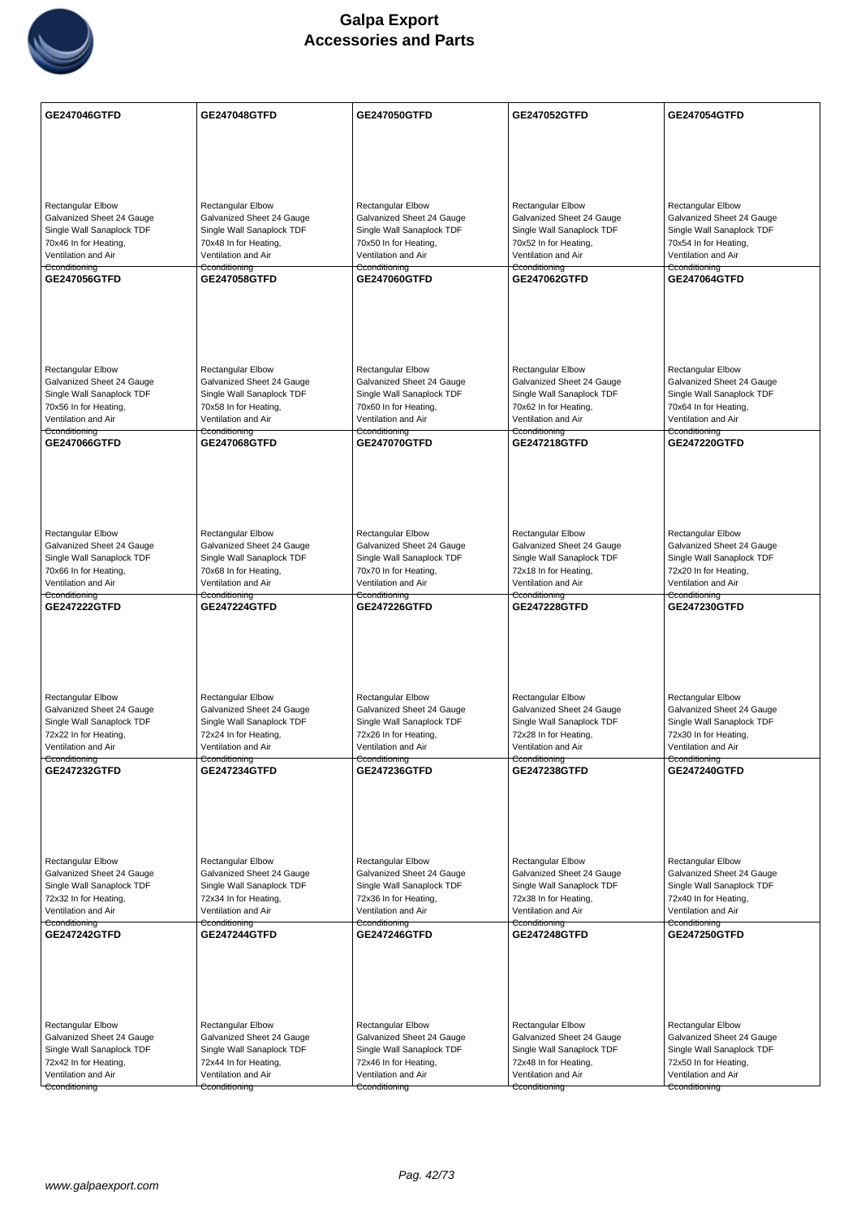

| <b>Rectangular Elbow</b><br>Rectangular Elbow<br><b>Rectangular Elbow</b><br><b>Rectangular Elbow</b><br>Rectangular Elbow<br>Galvanized Sheet 24 Gauge<br>Galvanized Sheet 24 Gauge<br>Galvanized Sheet 24 Gauge<br>Galvanized Sheet 24 Gauge<br>Galvanized Sheet 24 Gauge<br>Single Wall Sanaplock TDF<br>Single Wall Sanaplock TDF<br>Single Wall Sanaplock TDF<br>Single Wall Sanaplock TDF<br>Single Wall Sanaplock TDF<br>70x46 In for Heating,<br>70x48 In for Heating,<br>70x50 In for Heating,<br>70x52 In for Heating,<br>70x54 In for Heating,<br>Ventilation and Air<br>Ventilation and Air<br>Ventilation and Air<br>Ventilation and Air<br>Ventilation and Air<br>Cconditioning<br>Cconditioning<br>Cconditioning<br>Cconditioning<br>Cconditioning<br>GE247056GTFD<br>GE247060GTFD<br>GE247064GTFD<br><b>GE247058GTFD</b><br>GE247062GTFD<br><b>Rectangular Elbow</b><br><b>Rectangular Elbow</b><br><b>Rectangular Elbow</b><br><b>Rectangular Elbow</b><br><b>Rectangular Elbow</b><br>Galvanized Sheet 24 Gauge<br>Galvanized Sheet 24 Gauge<br>Galvanized Sheet 24 Gauge<br>Galvanized Sheet 24 Gauge<br>Galvanized Sheet 24 Gauge<br>Single Wall Sanaplock TDF<br>Single Wall Sanaplock TDF<br>Single Wall Sanaplock TDF<br>Single Wall Sanaplock TDF<br>Single Wall Sanaplock TDF<br>70x56 In for Heating,<br>70x58 In for Heating,<br>70x60 In for Heating,<br>70x62 In for Heating,<br>70x64 In for Heating,<br>Ventilation and Air<br>Ventilation and Air<br>Ventilation and Air<br>Ventilation and Air<br>Ventilation and Air<br>Cconditioning<br>Cconditioning<br>Cconditioning<br>Cconditioning<br>Cconditioning<br>GE247070GTFD<br>GE247066GTFD<br><b>GE247068GTFD</b><br><b>GE247218GTFD</b><br><b>GE247220GTFD</b><br><b>Rectangular Elbow</b><br>Rectangular Elbow<br>Rectangular Elbow<br>Rectangular Elbow<br>Rectangular Elbow<br>Galvanized Sheet 24 Gauge<br>Galvanized Sheet 24 Gauge<br>Galvanized Sheet 24 Gauge<br>Galvanized Sheet 24 Gauge<br>Galvanized Sheet 24 Gauge<br>Single Wall Sanaplock TDF<br>Single Wall Sanaplock TDF<br>Single Wall Sanaplock TDF<br>Single Wall Sanaplock TDF<br>Single Wall Sanaplock TDF<br>70x66 In for Heating,<br>70x68 In for Heating,<br>70x70 In for Heating,<br>72x18 In for Heating,<br>72x20 In for Heating,<br>Ventilation and Air<br>Ventilation and Air<br>Ventilation and Air<br>Ventilation and Air<br>Ventilation and Air<br>Cconditioning<br>Cconditioning<br>Cconditioning<br>Cconditioning<br>Cconditioning<br><b>GE247222GTFD</b><br><b>GE247224GTFD</b><br><b>GE247226GTFD</b><br><b>GE247228GTFD</b><br>GE247230GTFD<br>Rectangular Elbow<br>Rectangular Elbow<br>Rectangular Elbow<br>Rectangular Elbow<br><b>Rectangular Elbow</b><br>Galvanized Sheet 24 Gauge<br>Galvanized Sheet 24 Gauge<br>Galvanized Sheet 24 Gauge<br>Galvanized Sheet 24 Gauge<br>Galvanized Sheet 24 Gauge<br>Single Wall Sanaplock TDF<br>Single Wall Sanaplock TDF<br>Single Wall Sanaplock TDF<br>Single Wall Sanaplock TDF<br>Single Wall Sanaplock TDF<br>72x22 In for Heating,<br>72x24 In for Heating,<br>72x26 In for Heating,<br>72x28 In for Heating,<br>72x30 In for Heating,<br>Ventilation and Air<br>Ventilation and Air<br>Ventilation and Air<br>Ventilation and Air<br>Ventilation and Air<br>Cconditioning<br>Cconditioning<br>Cconditioning<br>Cconditioning<br>Cconditioning<br>GE247232GTFD<br><b>GE247234GTFD</b><br>GE247236GTFD<br>GE247238GTFD<br>GE247240GTFD<br>Rectangular Elbow<br>Rectangular Elbow<br>Rectangular Elbow<br><b>Rectangular Elbow</b><br><b>Rectangular Elbow</b><br>Galvanized Sheet 24 Gauge<br>Galvanized Sheet 24 Gauge<br>Galvanized Sheet 24 Gauge<br>Galvanized Sheet 24 Gauge<br>Galvanized Sheet 24 Gauge<br>Single Wall Sanaplock TDF<br>Single Wall Sanaplock TDF<br>Single Wall Sanaplock TDF<br>Single Wall Sanaplock TDF<br>Single Wall Sanaplock TDF<br>72x32 In for Heating,<br>72x34 In for Heating,<br>72x36 In for Heating,<br>72x38 In for Heating,<br>72x40 In for Heating,<br>Ventilation and Air<br>Ventilation and Air<br>Ventilation and Air<br>Ventilation and Air<br>Ventilation and Air<br>Cconditioning<br>Cconditioning<br>Cconditioning<br>Cconditioning<br>Cconditioning<br><b>GE247250GTFD</b><br><b>GE247242GTFD</b><br><b>GE247244GTFD</b><br>GE247246GTFD<br><b>GE247248GTFD</b><br>Rectangular Elbow<br>Rectangular Elbow<br>Rectangular Elbow<br>Rectangular Elbow<br><b>Rectangular Elbow</b><br>Galvanized Sheet 24 Gauge<br>Galvanized Sheet 24 Gauge<br>Galvanized Sheet 24 Gauge<br>Galvanized Sheet 24 Gauge<br>Galvanized Sheet 24 Gauge<br>Single Wall Sanaplock TDF<br>Single Wall Sanaplock TDF<br>Single Wall Sanaplock TDF<br>Single Wall Sanaplock TDF<br>Single Wall Sanaplock TDF<br>72x42 In for Heating,<br>72x50 In for Heating,<br>72x44 In for Heating,<br>72x46 In for Heating,<br>72x48 In for Heating,<br>Ventilation and Air<br>Ventilation and Air<br>Ventilation and Air<br>Ventilation and Air<br>Ventilation and Air<br>Cconditioning<br>Cconditioning<br>Cconditioning<br>Cconditioning<br>Cconditioning | GE247046GTFD | <b>GE247048GTFD</b> | GE247050GTFD | <b>GE247052GTFD</b> | GE247054GTFD |
|----------------------------------------------------------------------------------------------------------------------------------------------------------------------------------------------------------------------------------------------------------------------------------------------------------------------------------------------------------------------------------------------------------------------------------------------------------------------------------------------------------------------------------------------------------------------------------------------------------------------------------------------------------------------------------------------------------------------------------------------------------------------------------------------------------------------------------------------------------------------------------------------------------------------------------------------------------------------------------------------------------------------------------------------------------------------------------------------------------------------------------------------------------------------------------------------------------------------------------------------------------------------------------------------------------------------------------------------------------------------------------------------------------------------------------------------------------------------------------------------------------------------------------------------------------------------------------------------------------------------------------------------------------------------------------------------------------------------------------------------------------------------------------------------------------------------------------------------------------------------------------------------------------------------------------------------------------------------------------------------------------------------------------------------------------------------------------------------------------------------------------------------------------------------------------------------------------------------------------------------------------------------------------------------------------------------------------------------------------------------------------------------------------------------------------------------------------------------------------------------------------------------------------------------------------------------------------------------------------------------------------------------------------------------------------------------------------------------------------------------------------------------------------------------------------------------------------------------------------------------------------------------------------------------------------------------------------------------------------------------------------------------------------------------------------------------------------------------------------------------------------------------------------------------------------------------------------------------------------------------------------------------------------------------------------------------------------------------------------------------------------------------------------------------------------------------------------------------------------------------------------------------------------------------------------------------------------------------------------------------------------------------------------------------------------------------------------------------------------------------------------------------------------------------------------------------------------------------------------------------------------------------------------------------------------------------------------------------------------------------------------------------------------------------------------------------------------------------------------------------------------------------------------------------------------------------------------------------------------------------------------------------------------------------------------------------------------------------------------------------------------------------------------------------------------------------------------------------------------------------------------------------------------------------------------------------------------------------------------------------------------------------------------------------------------------------------------------------------------------------------------------------------------------------------------------------------------------------------------------------------------------------------------------------------------------------------------------------------------------------------------------------------------------------------------------------------------------------------|--------------|---------------------|--------------|---------------------|--------------|
|                                                                                                                                                                                                                                                                                                                                                                                                                                                                                                                                                                                                                                                                                                                                                                                                                                                                                                                                                                                                                                                                                                                                                                                                                                                                                                                                                                                                                                                                                                                                                                                                                                                                                                                                                                                                                                                                                                                                                                                                                                                                                                                                                                                                                                                                                                                                                                                                                                                                                                                                                                                                                                                                                                                                                                                                                                                                                                                                                                                                                                                                                                                                                                                                                                                                                                                                                                                                                                                                                                                                                                                                                                                                                                                                                                                                                                                                                                                                                                                                                                                                                                                                                                                                                                                                                                                                                                                                                                                                                                                                                                                                                                                                                                                                                                                                                                                                                                                                                                                                                                                                                                    |              |                     |              |                     |              |
|                                                                                                                                                                                                                                                                                                                                                                                                                                                                                                                                                                                                                                                                                                                                                                                                                                                                                                                                                                                                                                                                                                                                                                                                                                                                                                                                                                                                                                                                                                                                                                                                                                                                                                                                                                                                                                                                                                                                                                                                                                                                                                                                                                                                                                                                                                                                                                                                                                                                                                                                                                                                                                                                                                                                                                                                                                                                                                                                                                                                                                                                                                                                                                                                                                                                                                                                                                                                                                                                                                                                                                                                                                                                                                                                                                                                                                                                                                                                                                                                                                                                                                                                                                                                                                                                                                                                                                                                                                                                                                                                                                                                                                                                                                                                                                                                                                                                                                                                                                                                                                                                                                    |              |                     |              |                     |              |
|                                                                                                                                                                                                                                                                                                                                                                                                                                                                                                                                                                                                                                                                                                                                                                                                                                                                                                                                                                                                                                                                                                                                                                                                                                                                                                                                                                                                                                                                                                                                                                                                                                                                                                                                                                                                                                                                                                                                                                                                                                                                                                                                                                                                                                                                                                                                                                                                                                                                                                                                                                                                                                                                                                                                                                                                                                                                                                                                                                                                                                                                                                                                                                                                                                                                                                                                                                                                                                                                                                                                                                                                                                                                                                                                                                                                                                                                                                                                                                                                                                                                                                                                                                                                                                                                                                                                                                                                                                                                                                                                                                                                                                                                                                                                                                                                                                                                                                                                                                                                                                                                                                    |              |                     |              |                     |              |
|                                                                                                                                                                                                                                                                                                                                                                                                                                                                                                                                                                                                                                                                                                                                                                                                                                                                                                                                                                                                                                                                                                                                                                                                                                                                                                                                                                                                                                                                                                                                                                                                                                                                                                                                                                                                                                                                                                                                                                                                                                                                                                                                                                                                                                                                                                                                                                                                                                                                                                                                                                                                                                                                                                                                                                                                                                                                                                                                                                                                                                                                                                                                                                                                                                                                                                                                                                                                                                                                                                                                                                                                                                                                                                                                                                                                                                                                                                                                                                                                                                                                                                                                                                                                                                                                                                                                                                                                                                                                                                                                                                                                                                                                                                                                                                                                                                                                                                                                                                                                                                                                                                    |              |                     |              |                     |              |
|                                                                                                                                                                                                                                                                                                                                                                                                                                                                                                                                                                                                                                                                                                                                                                                                                                                                                                                                                                                                                                                                                                                                                                                                                                                                                                                                                                                                                                                                                                                                                                                                                                                                                                                                                                                                                                                                                                                                                                                                                                                                                                                                                                                                                                                                                                                                                                                                                                                                                                                                                                                                                                                                                                                                                                                                                                                                                                                                                                                                                                                                                                                                                                                                                                                                                                                                                                                                                                                                                                                                                                                                                                                                                                                                                                                                                                                                                                                                                                                                                                                                                                                                                                                                                                                                                                                                                                                                                                                                                                                                                                                                                                                                                                                                                                                                                                                                                                                                                                                                                                                                                                    |              |                     |              |                     |              |
|                                                                                                                                                                                                                                                                                                                                                                                                                                                                                                                                                                                                                                                                                                                                                                                                                                                                                                                                                                                                                                                                                                                                                                                                                                                                                                                                                                                                                                                                                                                                                                                                                                                                                                                                                                                                                                                                                                                                                                                                                                                                                                                                                                                                                                                                                                                                                                                                                                                                                                                                                                                                                                                                                                                                                                                                                                                                                                                                                                                                                                                                                                                                                                                                                                                                                                                                                                                                                                                                                                                                                                                                                                                                                                                                                                                                                                                                                                                                                                                                                                                                                                                                                                                                                                                                                                                                                                                                                                                                                                                                                                                                                                                                                                                                                                                                                                                                                                                                                                                                                                                                                                    |              |                     |              |                     |              |
|                                                                                                                                                                                                                                                                                                                                                                                                                                                                                                                                                                                                                                                                                                                                                                                                                                                                                                                                                                                                                                                                                                                                                                                                                                                                                                                                                                                                                                                                                                                                                                                                                                                                                                                                                                                                                                                                                                                                                                                                                                                                                                                                                                                                                                                                                                                                                                                                                                                                                                                                                                                                                                                                                                                                                                                                                                                                                                                                                                                                                                                                                                                                                                                                                                                                                                                                                                                                                                                                                                                                                                                                                                                                                                                                                                                                                                                                                                                                                                                                                                                                                                                                                                                                                                                                                                                                                                                                                                                                                                                                                                                                                                                                                                                                                                                                                                                                                                                                                                                                                                                                                                    |              |                     |              |                     |              |
|                                                                                                                                                                                                                                                                                                                                                                                                                                                                                                                                                                                                                                                                                                                                                                                                                                                                                                                                                                                                                                                                                                                                                                                                                                                                                                                                                                                                                                                                                                                                                                                                                                                                                                                                                                                                                                                                                                                                                                                                                                                                                                                                                                                                                                                                                                                                                                                                                                                                                                                                                                                                                                                                                                                                                                                                                                                                                                                                                                                                                                                                                                                                                                                                                                                                                                                                                                                                                                                                                                                                                                                                                                                                                                                                                                                                                                                                                                                                                                                                                                                                                                                                                                                                                                                                                                                                                                                                                                                                                                                                                                                                                                                                                                                                                                                                                                                                                                                                                                                                                                                                                                    |              |                     |              |                     |              |
|                                                                                                                                                                                                                                                                                                                                                                                                                                                                                                                                                                                                                                                                                                                                                                                                                                                                                                                                                                                                                                                                                                                                                                                                                                                                                                                                                                                                                                                                                                                                                                                                                                                                                                                                                                                                                                                                                                                                                                                                                                                                                                                                                                                                                                                                                                                                                                                                                                                                                                                                                                                                                                                                                                                                                                                                                                                                                                                                                                                                                                                                                                                                                                                                                                                                                                                                                                                                                                                                                                                                                                                                                                                                                                                                                                                                                                                                                                                                                                                                                                                                                                                                                                                                                                                                                                                                                                                                                                                                                                                                                                                                                                                                                                                                                                                                                                                                                                                                                                                                                                                                                                    |              |                     |              |                     |              |
|                                                                                                                                                                                                                                                                                                                                                                                                                                                                                                                                                                                                                                                                                                                                                                                                                                                                                                                                                                                                                                                                                                                                                                                                                                                                                                                                                                                                                                                                                                                                                                                                                                                                                                                                                                                                                                                                                                                                                                                                                                                                                                                                                                                                                                                                                                                                                                                                                                                                                                                                                                                                                                                                                                                                                                                                                                                                                                                                                                                                                                                                                                                                                                                                                                                                                                                                                                                                                                                                                                                                                                                                                                                                                                                                                                                                                                                                                                                                                                                                                                                                                                                                                                                                                                                                                                                                                                                                                                                                                                                                                                                                                                                                                                                                                                                                                                                                                                                                                                                                                                                                                                    |              |                     |              |                     |              |
|                                                                                                                                                                                                                                                                                                                                                                                                                                                                                                                                                                                                                                                                                                                                                                                                                                                                                                                                                                                                                                                                                                                                                                                                                                                                                                                                                                                                                                                                                                                                                                                                                                                                                                                                                                                                                                                                                                                                                                                                                                                                                                                                                                                                                                                                                                                                                                                                                                                                                                                                                                                                                                                                                                                                                                                                                                                                                                                                                                                                                                                                                                                                                                                                                                                                                                                                                                                                                                                                                                                                                                                                                                                                                                                                                                                                                                                                                                                                                                                                                                                                                                                                                                                                                                                                                                                                                                                                                                                                                                                                                                                                                                                                                                                                                                                                                                                                                                                                                                                                                                                                                                    |              |                     |              |                     |              |
|                                                                                                                                                                                                                                                                                                                                                                                                                                                                                                                                                                                                                                                                                                                                                                                                                                                                                                                                                                                                                                                                                                                                                                                                                                                                                                                                                                                                                                                                                                                                                                                                                                                                                                                                                                                                                                                                                                                                                                                                                                                                                                                                                                                                                                                                                                                                                                                                                                                                                                                                                                                                                                                                                                                                                                                                                                                                                                                                                                                                                                                                                                                                                                                                                                                                                                                                                                                                                                                                                                                                                                                                                                                                                                                                                                                                                                                                                                                                                                                                                                                                                                                                                                                                                                                                                                                                                                                                                                                                                                                                                                                                                                                                                                                                                                                                                                                                                                                                                                                                                                                                                                    |              |                     |              |                     |              |
|                                                                                                                                                                                                                                                                                                                                                                                                                                                                                                                                                                                                                                                                                                                                                                                                                                                                                                                                                                                                                                                                                                                                                                                                                                                                                                                                                                                                                                                                                                                                                                                                                                                                                                                                                                                                                                                                                                                                                                                                                                                                                                                                                                                                                                                                                                                                                                                                                                                                                                                                                                                                                                                                                                                                                                                                                                                                                                                                                                                                                                                                                                                                                                                                                                                                                                                                                                                                                                                                                                                                                                                                                                                                                                                                                                                                                                                                                                                                                                                                                                                                                                                                                                                                                                                                                                                                                                                                                                                                                                                                                                                                                                                                                                                                                                                                                                                                                                                                                                                                                                                                                                    |              |                     |              |                     |              |
|                                                                                                                                                                                                                                                                                                                                                                                                                                                                                                                                                                                                                                                                                                                                                                                                                                                                                                                                                                                                                                                                                                                                                                                                                                                                                                                                                                                                                                                                                                                                                                                                                                                                                                                                                                                                                                                                                                                                                                                                                                                                                                                                                                                                                                                                                                                                                                                                                                                                                                                                                                                                                                                                                                                                                                                                                                                                                                                                                                                                                                                                                                                                                                                                                                                                                                                                                                                                                                                                                                                                                                                                                                                                                                                                                                                                                                                                                                                                                                                                                                                                                                                                                                                                                                                                                                                                                                                                                                                                                                                                                                                                                                                                                                                                                                                                                                                                                                                                                                                                                                                                                                    |              |                     |              |                     |              |
|                                                                                                                                                                                                                                                                                                                                                                                                                                                                                                                                                                                                                                                                                                                                                                                                                                                                                                                                                                                                                                                                                                                                                                                                                                                                                                                                                                                                                                                                                                                                                                                                                                                                                                                                                                                                                                                                                                                                                                                                                                                                                                                                                                                                                                                                                                                                                                                                                                                                                                                                                                                                                                                                                                                                                                                                                                                                                                                                                                                                                                                                                                                                                                                                                                                                                                                                                                                                                                                                                                                                                                                                                                                                                                                                                                                                                                                                                                                                                                                                                                                                                                                                                                                                                                                                                                                                                                                                                                                                                                                                                                                                                                                                                                                                                                                                                                                                                                                                                                                                                                                                                                    |              |                     |              |                     |              |
|                                                                                                                                                                                                                                                                                                                                                                                                                                                                                                                                                                                                                                                                                                                                                                                                                                                                                                                                                                                                                                                                                                                                                                                                                                                                                                                                                                                                                                                                                                                                                                                                                                                                                                                                                                                                                                                                                                                                                                                                                                                                                                                                                                                                                                                                                                                                                                                                                                                                                                                                                                                                                                                                                                                                                                                                                                                                                                                                                                                                                                                                                                                                                                                                                                                                                                                                                                                                                                                                                                                                                                                                                                                                                                                                                                                                                                                                                                                                                                                                                                                                                                                                                                                                                                                                                                                                                                                                                                                                                                                                                                                                                                                                                                                                                                                                                                                                                                                                                                                                                                                                                                    |              |                     |              |                     |              |
|                                                                                                                                                                                                                                                                                                                                                                                                                                                                                                                                                                                                                                                                                                                                                                                                                                                                                                                                                                                                                                                                                                                                                                                                                                                                                                                                                                                                                                                                                                                                                                                                                                                                                                                                                                                                                                                                                                                                                                                                                                                                                                                                                                                                                                                                                                                                                                                                                                                                                                                                                                                                                                                                                                                                                                                                                                                                                                                                                                                                                                                                                                                                                                                                                                                                                                                                                                                                                                                                                                                                                                                                                                                                                                                                                                                                                                                                                                                                                                                                                                                                                                                                                                                                                                                                                                                                                                                                                                                                                                                                                                                                                                                                                                                                                                                                                                                                                                                                                                                                                                                                                                    |              |                     |              |                     |              |
|                                                                                                                                                                                                                                                                                                                                                                                                                                                                                                                                                                                                                                                                                                                                                                                                                                                                                                                                                                                                                                                                                                                                                                                                                                                                                                                                                                                                                                                                                                                                                                                                                                                                                                                                                                                                                                                                                                                                                                                                                                                                                                                                                                                                                                                                                                                                                                                                                                                                                                                                                                                                                                                                                                                                                                                                                                                                                                                                                                                                                                                                                                                                                                                                                                                                                                                                                                                                                                                                                                                                                                                                                                                                                                                                                                                                                                                                                                                                                                                                                                                                                                                                                                                                                                                                                                                                                                                                                                                                                                                                                                                                                                                                                                                                                                                                                                                                                                                                                                                                                                                                                                    |              |                     |              |                     |              |
|                                                                                                                                                                                                                                                                                                                                                                                                                                                                                                                                                                                                                                                                                                                                                                                                                                                                                                                                                                                                                                                                                                                                                                                                                                                                                                                                                                                                                                                                                                                                                                                                                                                                                                                                                                                                                                                                                                                                                                                                                                                                                                                                                                                                                                                                                                                                                                                                                                                                                                                                                                                                                                                                                                                                                                                                                                                                                                                                                                                                                                                                                                                                                                                                                                                                                                                                                                                                                                                                                                                                                                                                                                                                                                                                                                                                                                                                                                                                                                                                                                                                                                                                                                                                                                                                                                                                                                                                                                                                                                                                                                                                                                                                                                                                                                                                                                                                                                                                                                                                                                                                                                    |              |                     |              |                     |              |
|                                                                                                                                                                                                                                                                                                                                                                                                                                                                                                                                                                                                                                                                                                                                                                                                                                                                                                                                                                                                                                                                                                                                                                                                                                                                                                                                                                                                                                                                                                                                                                                                                                                                                                                                                                                                                                                                                                                                                                                                                                                                                                                                                                                                                                                                                                                                                                                                                                                                                                                                                                                                                                                                                                                                                                                                                                                                                                                                                                                                                                                                                                                                                                                                                                                                                                                                                                                                                                                                                                                                                                                                                                                                                                                                                                                                                                                                                                                                                                                                                                                                                                                                                                                                                                                                                                                                                                                                                                                                                                                                                                                                                                                                                                                                                                                                                                                                                                                                                                                                                                                                                                    |              |                     |              |                     |              |
|                                                                                                                                                                                                                                                                                                                                                                                                                                                                                                                                                                                                                                                                                                                                                                                                                                                                                                                                                                                                                                                                                                                                                                                                                                                                                                                                                                                                                                                                                                                                                                                                                                                                                                                                                                                                                                                                                                                                                                                                                                                                                                                                                                                                                                                                                                                                                                                                                                                                                                                                                                                                                                                                                                                                                                                                                                                                                                                                                                                                                                                                                                                                                                                                                                                                                                                                                                                                                                                                                                                                                                                                                                                                                                                                                                                                                                                                                                                                                                                                                                                                                                                                                                                                                                                                                                                                                                                                                                                                                                                                                                                                                                                                                                                                                                                                                                                                                                                                                                                                                                                                                                    |              |                     |              |                     |              |
|                                                                                                                                                                                                                                                                                                                                                                                                                                                                                                                                                                                                                                                                                                                                                                                                                                                                                                                                                                                                                                                                                                                                                                                                                                                                                                                                                                                                                                                                                                                                                                                                                                                                                                                                                                                                                                                                                                                                                                                                                                                                                                                                                                                                                                                                                                                                                                                                                                                                                                                                                                                                                                                                                                                                                                                                                                                                                                                                                                                                                                                                                                                                                                                                                                                                                                                                                                                                                                                                                                                                                                                                                                                                                                                                                                                                                                                                                                                                                                                                                                                                                                                                                                                                                                                                                                                                                                                                                                                                                                                                                                                                                                                                                                                                                                                                                                                                                                                                                                                                                                                                                                    |              |                     |              |                     |              |
|                                                                                                                                                                                                                                                                                                                                                                                                                                                                                                                                                                                                                                                                                                                                                                                                                                                                                                                                                                                                                                                                                                                                                                                                                                                                                                                                                                                                                                                                                                                                                                                                                                                                                                                                                                                                                                                                                                                                                                                                                                                                                                                                                                                                                                                                                                                                                                                                                                                                                                                                                                                                                                                                                                                                                                                                                                                                                                                                                                                                                                                                                                                                                                                                                                                                                                                                                                                                                                                                                                                                                                                                                                                                                                                                                                                                                                                                                                                                                                                                                                                                                                                                                                                                                                                                                                                                                                                                                                                                                                                                                                                                                                                                                                                                                                                                                                                                                                                                                                                                                                                                                                    |              |                     |              |                     |              |
|                                                                                                                                                                                                                                                                                                                                                                                                                                                                                                                                                                                                                                                                                                                                                                                                                                                                                                                                                                                                                                                                                                                                                                                                                                                                                                                                                                                                                                                                                                                                                                                                                                                                                                                                                                                                                                                                                                                                                                                                                                                                                                                                                                                                                                                                                                                                                                                                                                                                                                                                                                                                                                                                                                                                                                                                                                                                                                                                                                                                                                                                                                                                                                                                                                                                                                                                                                                                                                                                                                                                                                                                                                                                                                                                                                                                                                                                                                                                                                                                                                                                                                                                                                                                                                                                                                                                                                                                                                                                                                                                                                                                                                                                                                                                                                                                                                                                                                                                                                                                                                                                                                    |              |                     |              |                     |              |
|                                                                                                                                                                                                                                                                                                                                                                                                                                                                                                                                                                                                                                                                                                                                                                                                                                                                                                                                                                                                                                                                                                                                                                                                                                                                                                                                                                                                                                                                                                                                                                                                                                                                                                                                                                                                                                                                                                                                                                                                                                                                                                                                                                                                                                                                                                                                                                                                                                                                                                                                                                                                                                                                                                                                                                                                                                                                                                                                                                                                                                                                                                                                                                                                                                                                                                                                                                                                                                                                                                                                                                                                                                                                                                                                                                                                                                                                                                                                                                                                                                                                                                                                                                                                                                                                                                                                                                                                                                                                                                                                                                                                                                                                                                                                                                                                                                                                                                                                                                                                                                                                                                    |              |                     |              |                     |              |
|                                                                                                                                                                                                                                                                                                                                                                                                                                                                                                                                                                                                                                                                                                                                                                                                                                                                                                                                                                                                                                                                                                                                                                                                                                                                                                                                                                                                                                                                                                                                                                                                                                                                                                                                                                                                                                                                                                                                                                                                                                                                                                                                                                                                                                                                                                                                                                                                                                                                                                                                                                                                                                                                                                                                                                                                                                                                                                                                                                                                                                                                                                                                                                                                                                                                                                                                                                                                                                                                                                                                                                                                                                                                                                                                                                                                                                                                                                                                                                                                                                                                                                                                                                                                                                                                                                                                                                                                                                                                                                                                                                                                                                                                                                                                                                                                                                                                                                                                                                                                                                                                                                    |              |                     |              |                     |              |
|                                                                                                                                                                                                                                                                                                                                                                                                                                                                                                                                                                                                                                                                                                                                                                                                                                                                                                                                                                                                                                                                                                                                                                                                                                                                                                                                                                                                                                                                                                                                                                                                                                                                                                                                                                                                                                                                                                                                                                                                                                                                                                                                                                                                                                                                                                                                                                                                                                                                                                                                                                                                                                                                                                                                                                                                                                                                                                                                                                                                                                                                                                                                                                                                                                                                                                                                                                                                                                                                                                                                                                                                                                                                                                                                                                                                                                                                                                                                                                                                                                                                                                                                                                                                                                                                                                                                                                                                                                                                                                                                                                                                                                                                                                                                                                                                                                                                                                                                                                                                                                                                                                    |              |                     |              |                     |              |
|                                                                                                                                                                                                                                                                                                                                                                                                                                                                                                                                                                                                                                                                                                                                                                                                                                                                                                                                                                                                                                                                                                                                                                                                                                                                                                                                                                                                                                                                                                                                                                                                                                                                                                                                                                                                                                                                                                                                                                                                                                                                                                                                                                                                                                                                                                                                                                                                                                                                                                                                                                                                                                                                                                                                                                                                                                                                                                                                                                                                                                                                                                                                                                                                                                                                                                                                                                                                                                                                                                                                                                                                                                                                                                                                                                                                                                                                                                                                                                                                                                                                                                                                                                                                                                                                                                                                                                                                                                                                                                                                                                                                                                                                                                                                                                                                                                                                                                                                                                                                                                                                                                    |              |                     |              |                     |              |
|                                                                                                                                                                                                                                                                                                                                                                                                                                                                                                                                                                                                                                                                                                                                                                                                                                                                                                                                                                                                                                                                                                                                                                                                                                                                                                                                                                                                                                                                                                                                                                                                                                                                                                                                                                                                                                                                                                                                                                                                                                                                                                                                                                                                                                                                                                                                                                                                                                                                                                                                                                                                                                                                                                                                                                                                                                                                                                                                                                                                                                                                                                                                                                                                                                                                                                                                                                                                                                                                                                                                                                                                                                                                                                                                                                                                                                                                                                                                                                                                                                                                                                                                                                                                                                                                                                                                                                                                                                                                                                                                                                                                                                                                                                                                                                                                                                                                                                                                                                                                                                                                                                    |              |                     |              |                     |              |
|                                                                                                                                                                                                                                                                                                                                                                                                                                                                                                                                                                                                                                                                                                                                                                                                                                                                                                                                                                                                                                                                                                                                                                                                                                                                                                                                                                                                                                                                                                                                                                                                                                                                                                                                                                                                                                                                                                                                                                                                                                                                                                                                                                                                                                                                                                                                                                                                                                                                                                                                                                                                                                                                                                                                                                                                                                                                                                                                                                                                                                                                                                                                                                                                                                                                                                                                                                                                                                                                                                                                                                                                                                                                                                                                                                                                                                                                                                                                                                                                                                                                                                                                                                                                                                                                                                                                                                                                                                                                                                                                                                                                                                                                                                                                                                                                                                                                                                                                                                                                                                                                                                    |              |                     |              |                     |              |
|                                                                                                                                                                                                                                                                                                                                                                                                                                                                                                                                                                                                                                                                                                                                                                                                                                                                                                                                                                                                                                                                                                                                                                                                                                                                                                                                                                                                                                                                                                                                                                                                                                                                                                                                                                                                                                                                                                                                                                                                                                                                                                                                                                                                                                                                                                                                                                                                                                                                                                                                                                                                                                                                                                                                                                                                                                                                                                                                                                                                                                                                                                                                                                                                                                                                                                                                                                                                                                                                                                                                                                                                                                                                                                                                                                                                                                                                                                                                                                                                                                                                                                                                                                                                                                                                                                                                                                                                                                                                                                                                                                                                                                                                                                                                                                                                                                                                                                                                                                                                                                                                                                    |              |                     |              |                     |              |
|                                                                                                                                                                                                                                                                                                                                                                                                                                                                                                                                                                                                                                                                                                                                                                                                                                                                                                                                                                                                                                                                                                                                                                                                                                                                                                                                                                                                                                                                                                                                                                                                                                                                                                                                                                                                                                                                                                                                                                                                                                                                                                                                                                                                                                                                                                                                                                                                                                                                                                                                                                                                                                                                                                                                                                                                                                                                                                                                                                                                                                                                                                                                                                                                                                                                                                                                                                                                                                                                                                                                                                                                                                                                                                                                                                                                                                                                                                                                                                                                                                                                                                                                                                                                                                                                                                                                                                                                                                                                                                                                                                                                                                                                                                                                                                                                                                                                                                                                                                                                                                                                                                    |              |                     |              |                     |              |
|                                                                                                                                                                                                                                                                                                                                                                                                                                                                                                                                                                                                                                                                                                                                                                                                                                                                                                                                                                                                                                                                                                                                                                                                                                                                                                                                                                                                                                                                                                                                                                                                                                                                                                                                                                                                                                                                                                                                                                                                                                                                                                                                                                                                                                                                                                                                                                                                                                                                                                                                                                                                                                                                                                                                                                                                                                                                                                                                                                                                                                                                                                                                                                                                                                                                                                                                                                                                                                                                                                                                                                                                                                                                                                                                                                                                                                                                                                                                                                                                                                                                                                                                                                                                                                                                                                                                                                                                                                                                                                                                                                                                                                                                                                                                                                                                                                                                                                                                                                                                                                                                                                    |              |                     |              |                     |              |
|                                                                                                                                                                                                                                                                                                                                                                                                                                                                                                                                                                                                                                                                                                                                                                                                                                                                                                                                                                                                                                                                                                                                                                                                                                                                                                                                                                                                                                                                                                                                                                                                                                                                                                                                                                                                                                                                                                                                                                                                                                                                                                                                                                                                                                                                                                                                                                                                                                                                                                                                                                                                                                                                                                                                                                                                                                                                                                                                                                                                                                                                                                                                                                                                                                                                                                                                                                                                                                                                                                                                                                                                                                                                                                                                                                                                                                                                                                                                                                                                                                                                                                                                                                                                                                                                                                                                                                                                                                                                                                                                                                                                                                                                                                                                                                                                                                                                                                                                                                                                                                                                                                    |              |                     |              |                     |              |
|                                                                                                                                                                                                                                                                                                                                                                                                                                                                                                                                                                                                                                                                                                                                                                                                                                                                                                                                                                                                                                                                                                                                                                                                                                                                                                                                                                                                                                                                                                                                                                                                                                                                                                                                                                                                                                                                                                                                                                                                                                                                                                                                                                                                                                                                                                                                                                                                                                                                                                                                                                                                                                                                                                                                                                                                                                                                                                                                                                                                                                                                                                                                                                                                                                                                                                                                                                                                                                                                                                                                                                                                                                                                                                                                                                                                                                                                                                                                                                                                                                                                                                                                                                                                                                                                                                                                                                                                                                                                                                                                                                                                                                                                                                                                                                                                                                                                                                                                                                                                                                                                                                    |              |                     |              |                     |              |
|                                                                                                                                                                                                                                                                                                                                                                                                                                                                                                                                                                                                                                                                                                                                                                                                                                                                                                                                                                                                                                                                                                                                                                                                                                                                                                                                                                                                                                                                                                                                                                                                                                                                                                                                                                                                                                                                                                                                                                                                                                                                                                                                                                                                                                                                                                                                                                                                                                                                                                                                                                                                                                                                                                                                                                                                                                                                                                                                                                                                                                                                                                                                                                                                                                                                                                                                                                                                                                                                                                                                                                                                                                                                                                                                                                                                                                                                                                                                                                                                                                                                                                                                                                                                                                                                                                                                                                                                                                                                                                                                                                                                                                                                                                                                                                                                                                                                                                                                                                                                                                                                                                    |              |                     |              |                     |              |
|                                                                                                                                                                                                                                                                                                                                                                                                                                                                                                                                                                                                                                                                                                                                                                                                                                                                                                                                                                                                                                                                                                                                                                                                                                                                                                                                                                                                                                                                                                                                                                                                                                                                                                                                                                                                                                                                                                                                                                                                                                                                                                                                                                                                                                                                                                                                                                                                                                                                                                                                                                                                                                                                                                                                                                                                                                                                                                                                                                                                                                                                                                                                                                                                                                                                                                                                                                                                                                                                                                                                                                                                                                                                                                                                                                                                                                                                                                                                                                                                                                                                                                                                                                                                                                                                                                                                                                                                                                                                                                                                                                                                                                                                                                                                                                                                                                                                                                                                                                                                                                                                                                    |              |                     |              |                     |              |
|                                                                                                                                                                                                                                                                                                                                                                                                                                                                                                                                                                                                                                                                                                                                                                                                                                                                                                                                                                                                                                                                                                                                                                                                                                                                                                                                                                                                                                                                                                                                                                                                                                                                                                                                                                                                                                                                                                                                                                                                                                                                                                                                                                                                                                                                                                                                                                                                                                                                                                                                                                                                                                                                                                                                                                                                                                                                                                                                                                                                                                                                                                                                                                                                                                                                                                                                                                                                                                                                                                                                                                                                                                                                                                                                                                                                                                                                                                                                                                                                                                                                                                                                                                                                                                                                                                                                                                                                                                                                                                                                                                                                                                                                                                                                                                                                                                                                                                                                                                                                                                                                                                    |              |                     |              |                     |              |
|                                                                                                                                                                                                                                                                                                                                                                                                                                                                                                                                                                                                                                                                                                                                                                                                                                                                                                                                                                                                                                                                                                                                                                                                                                                                                                                                                                                                                                                                                                                                                                                                                                                                                                                                                                                                                                                                                                                                                                                                                                                                                                                                                                                                                                                                                                                                                                                                                                                                                                                                                                                                                                                                                                                                                                                                                                                                                                                                                                                                                                                                                                                                                                                                                                                                                                                                                                                                                                                                                                                                                                                                                                                                                                                                                                                                                                                                                                                                                                                                                                                                                                                                                                                                                                                                                                                                                                                                                                                                                                                                                                                                                                                                                                                                                                                                                                                                                                                                                                                                                                                                                                    |              |                     |              |                     |              |
|                                                                                                                                                                                                                                                                                                                                                                                                                                                                                                                                                                                                                                                                                                                                                                                                                                                                                                                                                                                                                                                                                                                                                                                                                                                                                                                                                                                                                                                                                                                                                                                                                                                                                                                                                                                                                                                                                                                                                                                                                                                                                                                                                                                                                                                                                                                                                                                                                                                                                                                                                                                                                                                                                                                                                                                                                                                                                                                                                                                                                                                                                                                                                                                                                                                                                                                                                                                                                                                                                                                                                                                                                                                                                                                                                                                                                                                                                                                                                                                                                                                                                                                                                                                                                                                                                                                                                                                                                                                                                                                                                                                                                                                                                                                                                                                                                                                                                                                                                                                                                                                                                                    |              |                     |              |                     |              |
|                                                                                                                                                                                                                                                                                                                                                                                                                                                                                                                                                                                                                                                                                                                                                                                                                                                                                                                                                                                                                                                                                                                                                                                                                                                                                                                                                                                                                                                                                                                                                                                                                                                                                                                                                                                                                                                                                                                                                                                                                                                                                                                                                                                                                                                                                                                                                                                                                                                                                                                                                                                                                                                                                                                                                                                                                                                                                                                                                                                                                                                                                                                                                                                                                                                                                                                                                                                                                                                                                                                                                                                                                                                                                                                                                                                                                                                                                                                                                                                                                                                                                                                                                                                                                                                                                                                                                                                                                                                                                                                                                                                                                                                                                                                                                                                                                                                                                                                                                                                                                                                                                                    |              |                     |              |                     |              |
|                                                                                                                                                                                                                                                                                                                                                                                                                                                                                                                                                                                                                                                                                                                                                                                                                                                                                                                                                                                                                                                                                                                                                                                                                                                                                                                                                                                                                                                                                                                                                                                                                                                                                                                                                                                                                                                                                                                                                                                                                                                                                                                                                                                                                                                                                                                                                                                                                                                                                                                                                                                                                                                                                                                                                                                                                                                                                                                                                                                                                                                                                                                                                                                                                                                                                                                                                                                                                                                                                                                                                                                                                                                                                                                                                                                                                                                                                                                                                                                                                                                                                                                                                                                                                                                                                                                                                                                                                                                                                                                                                                                                                                                                                                                                                                                                                                                                                                                                                                                                                                                                                                    |              |                     |              |                     |              |
|                                                                                                                                                                                                                                                                                                                                                                                                                                                                                                                                                                                                                                                                                                                                                                                                                                                                                                                                                                                                                                                                                                                                                                                                                                                                                                                                                                                                                                                                                                                                                                                                                                                                                                                                                                                                                                                                                                                                                                                                                                                                                                                                                                                                                                                                                                                                                                                                                                                                                                                                                                                                                                                                                                                                                                                                                                                                                                                                                                                                                                                                                                                                                                                                                                                                                                                                                                                                                                                                                                                                                                                                                                                                                                                                                                                                                                                                                                                                                                                                                                                                                                                                                                                                                                                                                                                                                                                                                                                                                                                                                                                                                                                                                                                                                                                                                                                                                                                                                                                                                                                                                                    |              |                     |              |                     |              |
|                                                                                                                                                                                                                                                                                                                                                                                                                                                                                                                                                                                                                                                                                                                                                                                                                                                                                                                                                                                                                                                                                                                                                                                                                                                                                                                                                                                                                                                                                                                                                                                                                                                                                                                                                                                                                                                                                                                                                                                                                                                                                                                                                                                                                                                                                                                                                                                                                                                                                                                                                                                                                                                                                                                                                                                                                                                                                                                                                                                                                                                                                                                                                                                                                                                                                                                                                                                                                                                                                                                                                                                                                                                                                                                                                                                                                                                                                                                                                                                                                                                                                                                                                                                                                                                                                                                                                                                                                                                                                                                                                                                                                                                                                                                                                                                                                                                                                                                                                                                                                                                                                                    |              |                     |              |                     |              |
|                                                                                                                                                                                                                                                                                                                                                                                                                                                                                                                                                                                                                                                                                                                                                                                                                                                                                                                                                                                                                                                                                                                                                                                                                                                                                                                                                                                                                                                                                                                                                                                                                                                                                                                                                                                                                                                                                                                                                                                                                                                                                                                                                                                                                                                                                                                                                                                                                                                                                                                                                                                                                                                                                                                                                                                                                                                                                                                                                                                                                                                                                                                                                                                                                                                                                                                                                                                                                                                                                                                                                                                                                                                                                                                                                                                                                                                                                                                                                                                                                                                                                                                                                                                                                                                                                                                                                                                                                                                                                                                                                                                                                                                                                                                                                                                                                                                                                                                                                                                                                                                                                                    |              |                     |              |                     |              |
|                                                                                                                                                                                                                                                                                                                                                                                                                                                                                                                                                                                                                                                                                                                                                                                                                                                                                                                                                                                                                                                                                                                                                                                                                                                                                                                                                                                                                                                                                                                                                                                                                                                                                                                                                                                                                                                                                                                                                                                                                                                                                                                                                                                                                                                                                                                                                                                                                                                                                                                                                                                                                                                                                                                                                                                                                                                                                                                                                                                                                                                                                                                                                                                                                                                                                                                                                                                                                                                                                                                                                                                                                                                                                                                                                                                                                                                                                                                                                                                                                                                                                                                                                                                                                                                                                                                                                                                                                                                                                                                                                                                                                                                                                                                                                                                                                                                                                                                                                                                                                                                                                                    |              |                     |              |                     |              |
|                                                                                                                                                                                                                                                                                                                                                                                                                                                                                                                                                                                                                                                                                                                                                                                                                                                                                                                                                                                                                                                                                                                                                                                                                                                                                                                                                                                                                                                                                                                                                                                                                                                                                                                                                                                                                                                                                                                                                                                                                                                                                                                                                                                                                                                                                                                                                                                                                                                                                                                                                                                                                                                                                                                                                                                                                                                                                                                                                                                                                                                                                                                                                                                                                                                                                                                                                                                                                                                                                                                                                                                                                                                                                                                                                                                                                                                                                                                                                                                                                                                                                                                                                                                                                                                                                                                                                                                                                                                                                                                                                                                                                                                                                                                                                                                                                                                                                                                                                                                                                                                                                                    |              |                     |              |                     |              |
|                                                                                                                                                                                                                                                                                                                                                                                                                                                                                                                                                                                                                                                                                                                                                                                                                                                                                                                                                                                                                                                                                                                                                                                                                                                                                                                                                                                                                                                                                                                                                                                                                                                                                                                                                                                                                                                                                                                                                                                                                                                                                                                                                                                                                                                                                                                                                                                                                                                                                                                                                                                                                                                                                                                                                                                                                                                                                                                                                                                                                                                                                                                                                                                                                                                                                                                                                                                                                                                                                                                                                                                                                                                                                                                                                                                                                                                                                                                                                                                                                                                                                                                                                                                                                                                                                                                                                                                                                                                                                                                                                                                                                                                                                                                                                                                                                                                                                                                                                                                                                                                                                                    |              |                     |              |                     |              |
|                                                                                                                                                                                                                                                                                                                                                                                                                                                                                                                                                                                                                                                                                                                                                                                                                                                                                                                                                                                                                                                                                                                                                                                                                                                                                                                                                                                                                                                                                                                                                                                                                                                                                                                                                                                                                                                                                                                                                                                                                                                                                                                                                                                                                                                                                                                                                                                                                                                                                                                                                                                                                                                                                                                                                                                                                                                                                                                                                                                                                                                                                                                                                                                                                                                                                                                                                                                                                                                                                                                                                                                                                                                                                                                                                                                                                                                                                                                                                                                                                                                                                                                                                                                                                                                                                                                                                                                                                                                                                                                                                                                                                                                                                                                                                                                                                                                                                                                                                                                                                                                                                                    |              |                     |              |                     |              |
|                                                                                                                                                                                                                                                                                                                                                                                                                                                                                                                                                                                                                                                                                                                                                                                                                                                                                                                                                                                                                                                                                                                                                                                                                                                                                                                                                                                                                                                                                                                                                                                                                                                                                                                                                                                                                                                                                                                                                                                                                                                                                                                                                                                                                                                                                                                                                                                                                                                                                                                                                                                                                                                                                                                                                                                                                                                                                                                                                                                                                                                                                                                                                                                                                                                                                                                                                                                                                                                                                                                                                                                                                                                                                                                                                                                                                                                                                                                                                                                                                                                                                                                                                                                                                                                                                                                                                                                                                                                                                                                                                                                                                                                                                                                                                                                                                                                                                                                                                                                                                                                                                                    |              |                     |              |                     |              |
|                                                                                                                                                                                                                                                                                                                                                                                                                                                                                                                                                                                                                                                                                                                                                                                                                                                                                                                                                                                                                                                                                                                                                                                                                                                                                                                                                                                                                                                                                                                                                                                                                                                                                                                                                                                                                                                                                                                                                                                                                                                                                                                                                                                                                                                                                                                                                                                                                                                                                                                                                                                                                                                                                                                                                                                                                                                                                                                                                                                                                                                                                                                                                                                                                                                                                                                                                                                                                                                                                                                                                                                                                                                                                                                                                                                                                                                                                                                                                                                                                                                                                                                                                                                                                                                                                                                                                                                                                                                                                                                                                                                                                                                                                                                                                                                                                                                                                                                                                                                                                                                                                                    |              |                     |              |                     |              |
|                                                                                                                                                                                                                                                                                                                                                                                                                                                                                                                                                                                                                                                                                                                                                                                                                                                                                                                                                                                                                                                                                                                                                                                                                                                                                                                                                                                                                                                                                                                                                                                                                                                                                                                                                                                                                                                                                                                                                                                                                                                                                                                                                                                                                                                                                                                                                                                                                                                                                                                                                                                                                                                                                                                                                                                                                                                                                                                                                                                                                                                                                                                                                                                                                                                                                                                                                                                                                                                                                                                                                                                                                                                                                                                                                                                                                                                                                                                                                                                                                                                                                                                                                                                                                                                                                                                                                                                                                                                                                                                                                                                                                                                                                                                                                                                                                                                                                                                                                                                                                                                                                                    |              |                     |              |                     |              |
|                                                                                                                                                                                                                                                                                                                                                                                                                                                                                                                                                                                                                                                                                                                                                                                                                                                                                                                                                                                                                                                                                                                                                                                                                                                                                                                                                                                                                                                                                                                                                                                                                                                                                                                                                                                                                                                                                                                                                                                                                                                                                                                                                                                                                                                                                                                                                                                                                                                                                                                                                                                                                                                                                                                                                                                                                                                                                                                                                                                                                                                                                                                                                                                                                                                                                                                                                                                                                                                                                                                                                                                                                                                                                                                                                                                                                                                                                                                                                                                                                                                                                                                                                                                                                                                                                                                                                                                                                                                                                                                                                                                                                                                                                                                                                                                                                                                                                                                                                                                                                                                                                                    |              |                     |              |                     |              |
|                                                                                                                                                                                                                                                                                                                                                                                                                                                                                                                                                                                                                                                                                                                                                                                                                                                                                                                                                                                                                                                                                                                                                                                                                                                                                                                                                                                                                                                                                                                                                                                                                                                                                                                                                                                                                                                                                                                                                                                                                                                                                                                                                                                                                                                                                                                                                                                                                                                                                                                                                                                                                                                                                                                                                                                                                                                                                                                                                                                                                                                                                                                                                                                                                                                                                                                                                                                                                                                                                                                                                                                                                                                                                                                                                                                                                                                                                                                                                                                                                                                                                                                                                                                                                                                                                                                                                                                                                                                                                                                                                                                                                                                                                                                                                                                                                                                                                                                                                                                                                                                                                                    |              |                     |              |                     |              |
|                                                                                                                                                                                                                                                                                                                                                                                                                                                                                                                                                                                                                                                                                                                                                                                                                                                                                                                                                                                                                                                                                                                                                                                                                                                                                                                                                                                                                                                                                                                                                                                                                                                                                                                                                                                                                                                                                                                                                                                                                                                                                                                                                                                                                                                                                                                                                                                                                                                                                                                                                                                                                                                                                                                                                                                                                                                                                                                                                                                                                                                                                                                                                                                                                                                                                                                                                                                                                                                                                                                                                                                                                                                                                                                                                                                                                                                                                                                                                                                                                                                                                                                                                                                                                                                                                                                                                                                                                                                                                                                                                                                                                                                                                                                                                                                                                                                                                                                                                                                                                                                                                                    |              |                     |              |                     |              |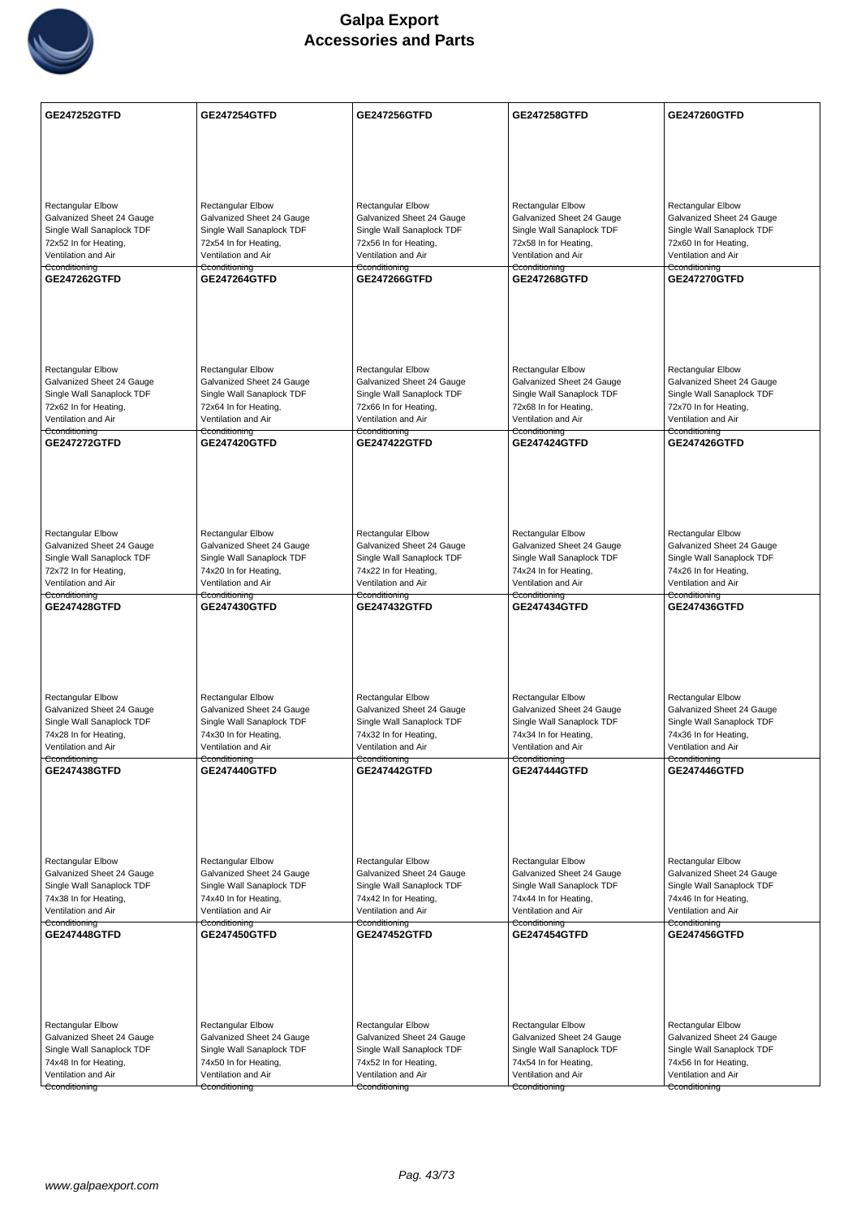

| <b>GE247252GTFD</b>                                    | <b>GE247254GTFD</b>                                    | <b>GE247256GTFD</b>                                    | <b>GE247258GTFD</b>                                    | GE247260GTFD                                           |
|--------------------------------------------------------|--------------------------------------------------------|--------------------------------------------------------|--------------------------------------------------------|--------------------------------------------------------|
|                                                        |                                                        |                                                        |                                                        |                                                        |
|                                                        |                                                        |                                                        |                                                        |                                                        |
|                                                        |                                                        |                                                        |                                                        |                                                        |
|                                                        |                                                        |                                                        |                                                        |                                                        |
|                                                        |                                                        |                                                        |                                                        |                                                        |
| <b>Rectangular Elbow</b><br>Galvanized Sheet 24 Gauge  | <b>Rectangular Elbow</b><br>Galvanized Sheet 24 Gauge  | Rectangular Elbow<br>Galvanized Sheet 24 Gauge         | <b>Rectangular Elbow</b><br>Galvanized Sheet 24 Gauge  | Rectangular Elbow<br>Galvanized Sheet 24 Gauge         |
| Single Wall Sanaplock TDF                              | Single Wall Sanaplock TDF                              | Single Wall Sanaplock TDF                              | Single Wall Sanaplock TDF                              | Single Wall Sanaplock TDF                              |
| 72x52 In for Heating,                                  | 72x54 In for Heating,                                  | 72x56 In for Heating,                                  | 72x58 In for Heating,                                  | 72x60 In for Heating,                                  |
| Ventilation and Air                                    | Ventilation and Air                                    | Ventilation and Air                                    | Ventilation and Air                                    | Ventilation and Air                                    |
| Cconditioning<br>GE247262GTFD                          | Cconditioning<br><b>GE247264GTFD</b>                   | Cconditioning<br>GE247266GTFD                          | Cconditioning<br><b>GE247268GTFD</b>                   | Cconditioning<br><b>GE247270GTFD</b>                   |
|                                                        |                                                        |                                                        |                                                        |                                                        |
|                                                        |                                                        |                                                        |                                                        |                                                        |
|                                                        |                                                        |                                                        |                                                        |                                                        |
|                                                        |                                                        |                                                        |                                                        |                                                        |
|                                                        |                                                        |                                                        |                                                        |                                                        |
| <b>Rectangular Elbow</b>                               | <b>Rectangular Elbow</b>                               | <b>Rectangular Elbow</b>                               | <b>Rectangular Elbow</b>                               | <b>Rectangular Elbow</b>                               |
| Galvanized Sheet 24 Gauge                              | Galvanized Sheet 24 Gauge                              | Galvanized Sheet 24 Gauge                              | Galvanized Sheet 24 Gauge                              | Galvanized Sheet 24 Gauge                              |
| Single Wall Sanaplock TDF                              | Single Wall Sanaplock TDF                              | Single Wall Sanaplock TDF                              | Single Wall Sanaplock TDF                              | Single Wall Sanaplock TDF                              |
| 72x62 In for Heating,                                  | 72x64 In for Heating,                                  | 72x66 In for Heating,                                  | 72x68 In for Heating,                                  | 72x70 In for Heating,                                  |
| Ventilation and Air<br>Cconditioning                   | Ventilation and Air<br>Cconditioning                   | Ventilation and Air<br>Cconditioning                   | Ventilation and Air<br>Cconditioning                   | Ventilation and Air<br>Cconditioning                   |
| <b>GE247272GTFD</b>                                    | <b>GE247420GTFD</b>                                    | <b>GE247422GTFD</b>                                    | <b>GE247424GTFD</b>                                    | <b>GE247426GTFD</b>                                    |
|                                                        |                                                        |                                                        |                                                        |                                                        |
|                                                        |                                                        |                                                        |                                                        |                                                        |
|                                                        |                                                        |                                                        |                                                        |                                                        |
|                                                        |                                                        |                                                        |                                                        |                                                        |
|                                                        |                                                        |                                                        |                                                        |                                                        |
| <b>Rectangular Elbow</b>                               | <b>Rectangular Elbow</b>                               | <b>Rectangular Elbow</b>                               | <b>Rectangular Elbow</b>                               | <b>Rectangular Elbow</b>                               |
| Galvanized Sheet 24 Gauge                              | Galvanized Sheet 24 Gauge                              | Galvanized Sheet 24 Gauge                              | Galvanized Sheet 24 Gauge                              | Galvanized Sheet 24 Gauge                              |
| Single Wall Sanaplock TDF                              | Single Wall Sanaplock TDF                              | Single Wall Sanaplock TDF                              | Single Wall Sanaplock TDF                              | Single Wall Sanaplock TDF                              |
| 72x72 In for Heating,<br>Ventilation and Air           | 74x20 In for Heating,<br>Ventilation and Air           | 74x22 In for Heating,<br>Ventilation and Air           | 74x24 In for Heating,<br>Ventilation and Air           | 74x26 In for Heating,<br>Ventilation and Air           |
| Cconditioning                                          | Cconditioning                                          | Cconditioning                                          | Cconditioning                                          | Cconditioning                                          |
| GE247428GTFD                                           | GE247430GTFD                                           | GE247432GTFD                                           | GE247434GTFD                                           | <b>GE247436GTFD</b>                                    |
|                                                        |                                                        |                                                        |                                                        |                                                        |
|                                                        |                                                        |                                                        |                                                        |                                                        |
|                                                        |                                                        |                                                        |                                                        |                                                        |
|                                                        |                                                        |                                                        |                                                        |                                                        |
|                                                        |                                                        |                                                        |                                                        |                                                        |
| Rectangular Elbow                                      | Rectangular Elbow                                      | <b>Rectangular Elbow</b>                               | Rectangular Elbow                                      | <b>Rectangular Elbow</b>                               |
| Galvanized Sheet 24 Gauge<br>Single Wall Sanaplock TDF | Galvanized Sheet 24 Gauge<br>Single Wall Sanaplock TDF | Galvanized Sheet 24 Gauge<br>Single Wall Sanaplock TDF | Galvanized Sheet 24 Gauge<br>Single Wall Sanaplock TDF | Galvanized Sheet 24 Gauge<br>Single Wall Sanaplock TDF |
| 74x28 In for Heating,                                  | 74x30 In for Heating,                                  | 74x32 In for Heating,                                  | 74x34 In for Heating,                                  | 74x36 In for Heating,                                  |
| Ventilation and Air                                    | Ventilation and Air                                    | Ventilation and Air                                    | Ventilation and Air                                    | Ventilation and Air                                    |
| Cconditioning                                          | Cconditioning                                          | Cconditioning                                          | Cconditioning                                          | Cconditioning                                          |
| <b>GE247438GTFD</b>                                    | <b>GE247440GTFD</b>                                    | <b>GE247442GTFD</b>                                    | <b>GE247444GTFD</b>                                    | <b>GE247446GTFD</b>                                    |
|                                                        |                                                        |                                                        |                                                        |                                                        |
|                                                        |                                                        |                                                        |                                                        |                                                        |
|                                                        |                                                        |                                                        |                                                        |                                                        |
|                                                        |                                                        |                                                        |                                                        |                                                        |
| Rectangular Elbow                                      | <b>Rectangular Elbow</b>                               | <b>Rectangular Elbow</b>                               | <b>Rectangular Elbow</b>                               | <b>Rectangular Elbow</b>                               |
| Galvanized Sheet 24 Gauge                              | Galvanized Sheet 24 Gauge                              | Galvanized Sheet 24 Gauge                              | Galvanized Sheet 24 Gauge                              | Galvanized Sheet 24 Gauge                              |
| Single Wall Sanaplock TDF                              | Single Wall Sanaplock TDF                              | Single Wall Sanaplock TDF                              | Single Wall Sanaplock TDF                              | Single Wall Sanaplock TDF                              |
| 74x38 In for Heating,                                  | 74x40 In for Heating,                                  | 74x42 In for Heating,                                  | 74x44 In for Heating,                                  | 74x46 In for Heating,                                  |
| Ventilation and Air                                    | Ventilation and Air                                    | Ventilation and Air                                    | Ventilation and Air                                    | Ventilation and Air                                    |
| Cconditioning<br><b>GE247448GTFD</b>                   | Cconditioning<br>GE247450GTFD                          | Cconditioning<br><b>GE247452GTFD</b>                   | Cconditioning<br><b>GE247454GTFD</b>                   | Cconditioning<br>GE247456GTFD                          |
|                                                        |                                                        |                                                        |                                                        |                                                        |
|                                                        |                                                        |                                                        |                                                        |                                                        |
|                                                        |                                                        |                                                        |                                                        |                                                        |
|                                                        |                                                        |                                                        |                                                        |                                                        |
|                                                        |                                                        |                                                        |                                                        |                                                        |
| Rectangular Elbow                                      | <b>Rectangular Elbow</b>                               | Rectangular Elbow                                      | <b>Rectangular Elbow</b>                               | Rectangular Elbow                                      |
| Galvanized Sheet 24 Gauge                              | Galvanized Sheet 24 Gauge                              | Galvanized Sheet 24 Gauge                              | Galvanized Sheet 24 Gauge                              | Galvanized Sheet 24 Gauge                              |
| Single Wall Sanaplock TDF                              | Single Wall Sanaplock TDF                              | Single Wall Sanaplock TDF                              | Single Wall Sanaplock TDF                              | Single Wall Sanaplock TDF                              |
| 74x48 In for Heating,<br>Ventilation and Air           | 74x50 In for Heating,<br>Ventilation and Air           | 74x52 In for Heating,<br>Ventilation and Air           | 74x54 In for Heating,<br>Ventilation and Air           | 74x56 In for Heating,<br>Ventilation and Air           |
| Cconditioning                                          | Cconditioning                                          | Cconditioning                                          | Cconditioning                                          | Cconditioning                                          |
|                                                        |                                                        |                                                        |                                                        |                                                        |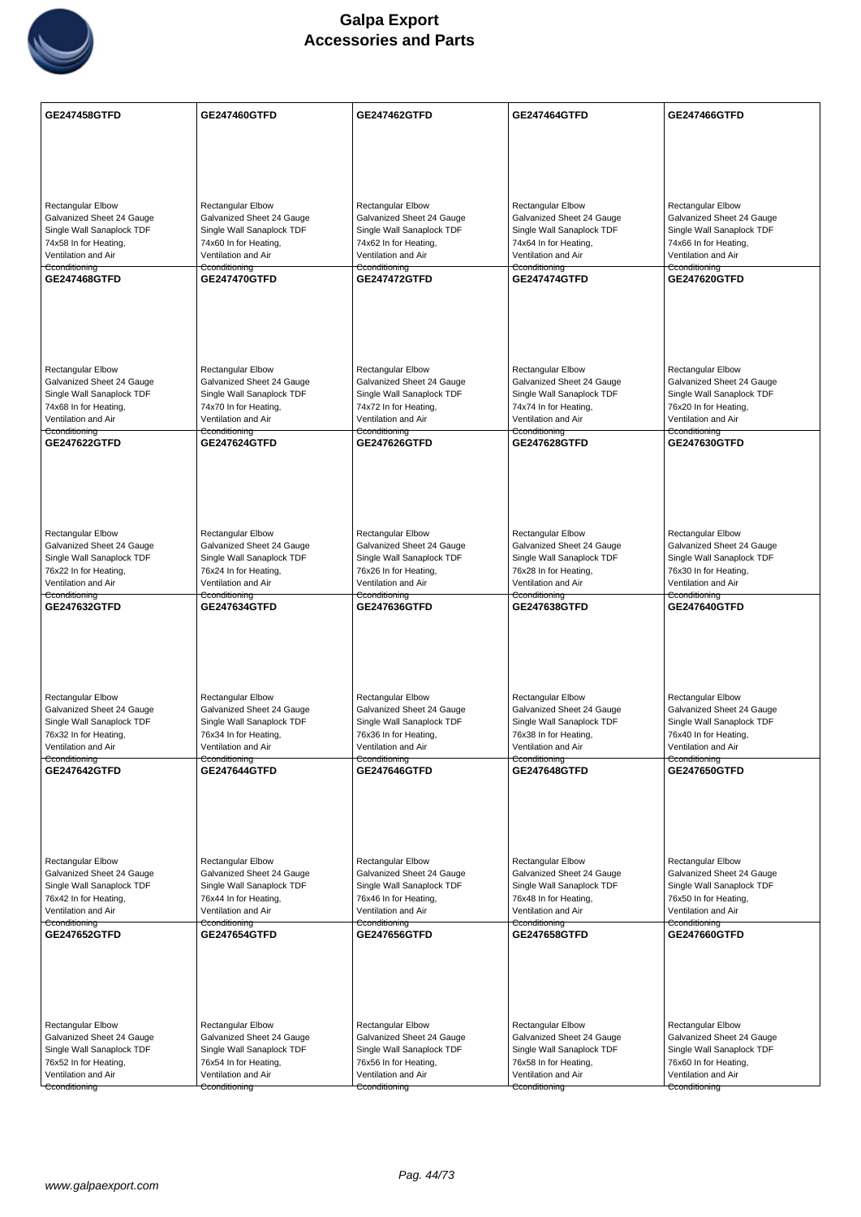

| <b>Rectangular Elbow</b><br>Rectangular Elbow<br><b>Rectangular Elbow</b><br><b>Rectangular Elbow</b><br>Rectangular Elbow<br>Galvanized Sheet 24 Gauge<br>Galvanized Sheet 24 Gauge<br>Galvanized Sheet 24 Gauge<br>Galvanized Sheet 24 Gauge<br>Galvanized Sheet 24 Gauge<br>Single Wall Sanaplock TDF<br>Single Wall Sanaplock TDF<br>Single Wall Sanaplock TDF<br>Single Wall Sanaplock TDF<br>Single Wall Sanaplock TDF<br>74x58 In for Heating,<br>74x60 In for Heating,<br>74x62 In for Heating,<br>74x64 In for Heating,<br>74x66 In for Heating,<br>Ventilation and Air<br>Ventilation and Air<br>Ventilation and Air<br>Ventilation and Air<br>Ventilation and Air<br>Cconditioning<br>Cconditioning<br>Cconditioning<br>Cconditioning<br>Cconditioning<br>GE247468GTFD<br><b>GE247470GTFD</b><br><b>GE247472GTFD</b><br><b>GE247474GTFD</b><br><b>GE247620GTFD</b> | GE247458GTFD | GE247460GTFD | <b>GE247462GTFD</b> | <b>GE247464GTFD</b> | <b>GE247466GTFD</b> |
|-------------------------------------------------------------------------------------------------------------------------------------------------------------------------------------------------------------------------------------------------------------------------------------------------------------------------------------------------------------------------------------------------------------------------------------------------------------------------------------------------------------------------------------------------------------------------------------------------------------------------------------------------------------------------------------------------------------------------------------------------------------------------------------------------------------------------------------------------------------------------------|--------------|--------------|---------------------|---------------------|---------------------|
|                                                                                                                                                                                                                                                                                                                                                                                                                                                                                                                                                                                                                                                                                                                                                                                                                                                                               |              |              |                     |                     |                     |
|                                                                                                                                                                                                                                                                                                                                                                                                                                                                                                                                                                                                                                                                                                                                                                                                                                                                               |              |              |                     |                     |                     |
|                                                                                                                                                                                                                                                                                                                                                                                                                                                                                                                                                                                                                                                                                                                                                                                                                                                                               |              |              |                     |                     |                     |
|                                                                                                                                                                                                                                                                                                                                                                                                                                                                                                                                                                                                                                                                                                                                                                                                                                                                               |              |              |                     |                     |                     |
|                                                                                                                                                                                                                                                                                                                                                                                                                                                                                                                                                                                                                                                                                                                                                                                                                                                                               |              |              |                     |                     |                     |
|                                                                                                                                                                                                                                                                                                                                                                                                                                                                                                                                                                                                                                                                                                                                                                                                                                                                               |              |              |                     |                     |                     |
|                                                                                                                                                                                                                                                                                                                                                                                                                                                                                                                                                                                                                                                                                                                                                                                                                                                                               |              |              |                     |                     |                     |
|                                                                                                                                                                                                                                                                                                                                                                                                                                                                                                                                                                                                                                                                                                                                                                                                                                                                               |              |              |                     |                     |                     |
|                                                                                                                                                                                                                                                                                                                                                                                                                                                                                                                                                                                                                                                                                                                                                                                                                                                                               |              |              |                     |                     |                     |
|                                                                                                                                                                                                                                                                                                                                                                                                                                                                                                                                                                                                                                                                                                                                                                                                                                                                               |              |              |                     |                     |                     |
|                                                                                                                                                                                                                                                                                                                                                                                                                                                                                                                                                                                                                                                                                                                                                                                                                                                                               |              |              |                     |                     |                     |
|                                                                                                                                                                                                                                                                                                                                                                                                                                                                                                                                                                                                                                                                                                                                                                                                                                                                               |              |              |                     |                     |                     |
| <b>Rectangular Elbow</b><br>Rectangular Elbow<br><b>Rectangular Elbow</b><br><b>Rectangular Elbow</b><br><b>Rectangular Elbow</b>                                                                                                                                                                                                                                                                                                                                                                                                                                                                                                                                                                                                                                                                                                                                             |              |              |                     |                     |                     |
| Galvanized Sheet 24 Gauge<br>Galvanized Sheet 24 Gauge<br>Galvanized Sheet 24 Gauge<br>Galvanized Sheet 24 Gauge<br>Galvanized Sheet 24 Gauge<br>Single Wall Sanaplock TDF<br>Single Wall Sanaplock TDF<br>Single Wall Sanaplock TDF<br>Single Wall Sanaplock TDF<br>Single Wall Sanaplock TDF                                                                                                                                                                                                                                                                                                                                                                                                                                                                                                                                                                                |              |              |                     |                     |                     |
| 74x68 In for Heating,<br>74x70 In for Heating,<br>74x72 In for Heating,<br>74x74 In for Heating,<br>76x20 In for Heating,                                                                                                                                                                                                                                                                                                                                                                                                                                                                                                                                                                                                                                                                                                                                                     |              |              |                     |                     |                     |
| Ventilation and Air<br>Ventilation and Air<br>Ventilation and Air<br>Ventilation and Air<br>Ventilation and Air<br>Cconditioning<br><del>Cconditioning</del><br>Cconditioning<br><del>Cconditioning</del><br>Cconditioning                                                                                                                                                                                                                                                                                                                                                                                                                                                                                                                                                                                                                                                    |              |              |                     |                     |                     |
| GE247622GTFD<br><b>GE247624GTFD</b><br><b>GE247626GTFD</b><br><b>GE247628GTFD</b><br><b>GE247630GTFD</b>                                                                                                                                                                                                                                                                                                                                                                                                                                                                                                                                                                                                                                                                                                                                                                      |              |              |                     |                     |                     |
|                                                                                                                                                                                                                                                                                                                                                                                                                                                                                                                                                                                                                                                                                                                                                                                                                                                                               |              |              |                     |                     |                     |
|                                                                                                                                                                                                                                                                                                                                                                                                                                                                                                                                                                                                                                                                                                                                                                                                                                                                               |              |              |                     |                     |                     |
|                                                                                                                                                                                                                                                                                                                                                                                                                                                                                                                                                                                                                                                                                                                                                                                                                                                                               |              |              |                     |                     |                     |
| <b>Rectangular Elbow</b><br>Rectangular Elbow<br>Rectangular Elbow<br><b>Rectangular Elbow</b><br>Rectangular Elbow                                                                                                                                                                                                                                                                                                                                                                                                                                                                                                                                                                                                                                                                                                                                                           |              |              |                     |                     |                     |
| Galvanized Sheet 24 Gauge<br>Galvanized Sheet 24 Gauge<br>Galvanized Sheet 24 Gauge<br>Galvanized Sheet 24 Gauge<br>Galvanized Sheet 24 Gauge                                                                                                                                                                                                                                                                                                                                                                                                                                                                                                                                                                                                                                                                                                                                 |              |              |                     |                     |                     |
| Single Wall Sanaplock TDF<br>Single Wall Sanaplock TDF<br>Single Wall Sanaplock TDF<br>Single Wall Sanaplock TDF<br>Single Wall Sanaplock TDF<br>76x22 In for Heating,<br>76x24 In for Heating,<br>76x26 In for Heating,<br>76x28 In for Heating,<br>76x30 In for Heating,                                                                                                                                                                                                                                                                                                                                                                                                                                                                                                                                                                                                    |              |              |                     |                     |                     |
| Ventilation and Air<br>Ventilation and Air<br>Ventilation and Air<br>Ventilation and Air<br>Ventilation and Air                                                                                                                                                                                                                                                                                                                                                                                                                                                                                                                                                                                                                                                                                                                                                               |              |              |                     |                     |                     |
| Cconditioning<br>Cconditioning<br>Cconditioning<br>Cconditioning<br>Cconditioning<br>GE247632GTFD<br><b>GE247634GTFD</b><br>GE247636GTFD<br>GE247638GTFD<br>GE247640GTFD                                                                                                                                                                                                                                                                                                                                                                                                                                                                                                                                                                                                                                                                                                      |              |              |                     |                     |                     |
|                                                                                                                                                                                                                                                                                                                                                                                                                                                                                                                                                                                                                                                                                                                                                                                                                                                                               |              |              |                     |                     |                     |
|                                                                                                                                                                                                                                                                                                                                                                                                                                                                                                                                                                                                                                                                                                                                                                                                                                                                               |              |              |                     |                     |                     |
|                                                                                                                                                                                                                                                                                                                                                                                                                                                                                                                                                                                                                                                                                                                                                                                                                                                                               |              |              |                     |                     |                     |
|                                                                                                                                                                                                                                                                                                                                                                                                                                                                                                                                                                                                                                                                                                                                                                                                                                                                               |              |              |                     |                     |                     |
| <b>Rectangular Elbow</b><br>Rectangular Elbow<br><b>Rectangular Elbow</b><br><b>Rectangular Elbow</b><br><b>Rectangular Elbow</b><br>Galvanized Sheet 24 Gauge<br>Galvanized Sheet 24 Gauge<br>Galvanized Sheet 24 Gauge<br>Galvanized Sheet 24 Gauge<br>Galvanized Sheet 24 Gauge                                                                                                                                                                                                                                                                                                                                                                                                                                                                                                                                                                                            |              |              |                     |                     |                     |
| Single Wall Sanaplock TDF<br>Single Wall Sanaplock TDF<br>Single Wall Sanaplock TDF<br>Single Wall Sanaplock TDF<br>Single Wall Sanaplock TDF                                                                                                                                                                                                                                                                                                                                                                                                                                                                                                                                                                                                                                                                                                                                 |              |              |                     |                     |                     |
| 76x32 In for Heating,<br>76x34 In for Heating,<br>76x36 In for Heating,<br>76x38 In for Heating,<br>76x40 In for Heating,                                                                                                                                                                                                                                                                                                                                                                                                                                                                                                                                                                                                                                                                                                                                                     |              |              |                     |                     |                     |
| Ventilation and Air<br>Ventilation and Air<br>Ventilation and Air<br>Ventilation and Air<br>Ventilation and Air<br>Cconditioning<br>Cconditioning<br>Cconditioning<br>Cconditioning<br>Cconditioning                                                                                                                                                                                                                                                                                                                                                                                                                                                                                                                                                                                                                                                                          |              |              |                     |                     |                     |
| <b>GE247642GTFD</b><br><b>GE247644GTFD</b><br>GE247646GTFD<br>GE247648GTFD<br><b>GE247650GTFD</b>                                                                                                                                                                                                                                                                                                                                                                                                                                                                                                                                                                                                                                                                                                                                                                             |              |              |                     |                     |                     |
|                                                                                                                                                                                                                                                                                                                                                                                                                                                                                                                                                                                                                                                                                                                                                                                                                                                                               |              |              |                     |                     |                     |
|                                                                                                                                                                                                                                                                                                                                                                                                                                                                                                                                                                                                                                                                                                                                                                                                                                                                               |              |              |                     |                     |                     |
|                                                                                                                                                                                                                                                                                                                                                                                                                                                                                                                                                                                                                                                                                                                                                                                                                                                                               |              |              |                     |                     |                     |
| Rectangular Elbow<br><b>Rectangular Elbow</b><br><b>Rectangular Elbow</b><br><b>Rectangular Elbow</b><br><b>Rectangular Elbow</b>                                                                                                                                                                                                                                                                                                                                                                                                                                                                                                                                                                                                                                                                                                                                             |              |              |                     |                     |                     |
| Galvanized Sheet 24 Gauge<br>Galvanized Sheet 24 Gauge<br>Galvanized Sheet 24 Gauge<br>Galvanized Sheet 24 Gauge<br>Galvanized Sheet 24 Gauge                                                                                                                                                                                                                                                                                                                                                                                                                                                                                                                                                                                                                                                                                                                                 |              |              |                     |                     |                     |
| Single Wall Sanaplock TDF<br>Single Wall Sanaplock TDF<br>Single Wall Sanaplock TDF<br>Single Wall Sanaplock TDF<br>Single Wall Sanaplock TDF<br>76x42 In for Heating,<br>76x44 In for Heating,<br>76x46 In for Heating,<br>76x48 In for Heating,<br>76x50 In for Heating,                                                                                                                                                                                                                                                                                                                                                                                                                                                                                                                                                                                                    |              |              |                     |                     |                     |
| Ventilation and Air<br>Ventilation and Air<br>Ventilation and Air<br>Ventilation and Air<br>Ventilation and Air                                                                                                                                                                                                                                                                                                                                                                                                                                                                                                                                                                                                                                                                                                                                                               |              |              |                     |                     |                     |
| Cconditioning<br>Cconditioning<br>Cconditioning<br>Cconditioning<br>Cconditioning<br><b>GE247652GTFD</b><br><b>GE247654GTFD</b><br><b>GE247656GTFD</b><br>GE247658GTFD<br>GE247660GTFD                                                                                                                                                                                                                                                                                                                                                                                                                                                                                                                                                                                                                                                                                        |              |              |                     |                     |                     |
|                                                                                                                                                                                                                                                                                                                                                                                                                                                                                                                                                                                                                                                                                                                                                                                                                                                                               |              |              |                     |                     |                     |
|                                                                                                                                                                                                                                                                                                                                                                                                                                                                                                                                                                                                                                                                                                                                                                                                                                                                               |              |              |                     |                     |                     |
|                                                                                                                                                                                                                                                                                                                                                                                                                                                                                                                                                                                                                                                                                                                                                                                                                                                                               |              |              |                     |                     |                     |
|                                                                                                                                                                                                                                                                                                                                                                                                                                                                                                                                                                                                                                                                                                                                                                                                                                                                               |              |              |                     |                     |                     |
| <b>Rectangular Elbow</b><br>Rectangular Elbow<br>Rectangular Elbow<br>Rectangular Elbow<br>Rectangular Elbow<br>Galvanized Sheet 24 Gauge<br>Galvanized Sheet 24 Gauge<br>Galvanized Sheet 24 Gauge<br>Galvanized Sheet 24 Gauge<br>Galvanized Sheet 24 Gauge                                                                                                                                                                                                                                                                                                                                                                                                                                                                                                                                                                                                                 |              |              |                     |                     |                     |
| Single Wall Sanaplock TDF<br>Single Wall Sanaplock TDF<br>Single Wall Sanaplock TDF<br>Single Wall Sanaplock TDF<br>Single Wall Sanaplock TDF                                                                                                                                                                                                                                                                                                                                                                                                                                                                                                                                                                                                                                                                                                                                 |              |              |                     |                     |                     |
| 76x52 In for Heating,<br>76x60 In for Heating,<br>76x54 In for Heating,<br>76x56 In for Heating,<br>76x58 In for Heating,<br>Ventilation and Air<br>Ventilation and Air<br>Ventilation and Air<br>Ventilation and Air<br>Ventilation and Air                                                                                                                                                                                                                                                                                                                                                                                                                                                                                                                                                                                                                                  |              |              |                     |                     |                     |
| Cconditioning<br>Cconditioning<br>Cconditioning<br>Cconditioning<br>Cconditioning                                                                                                                                                                                                                                                                                                                                                                                                                                                                                                                                                                                                                                                                                                                                                                                             |              |              |                     |                     |                     |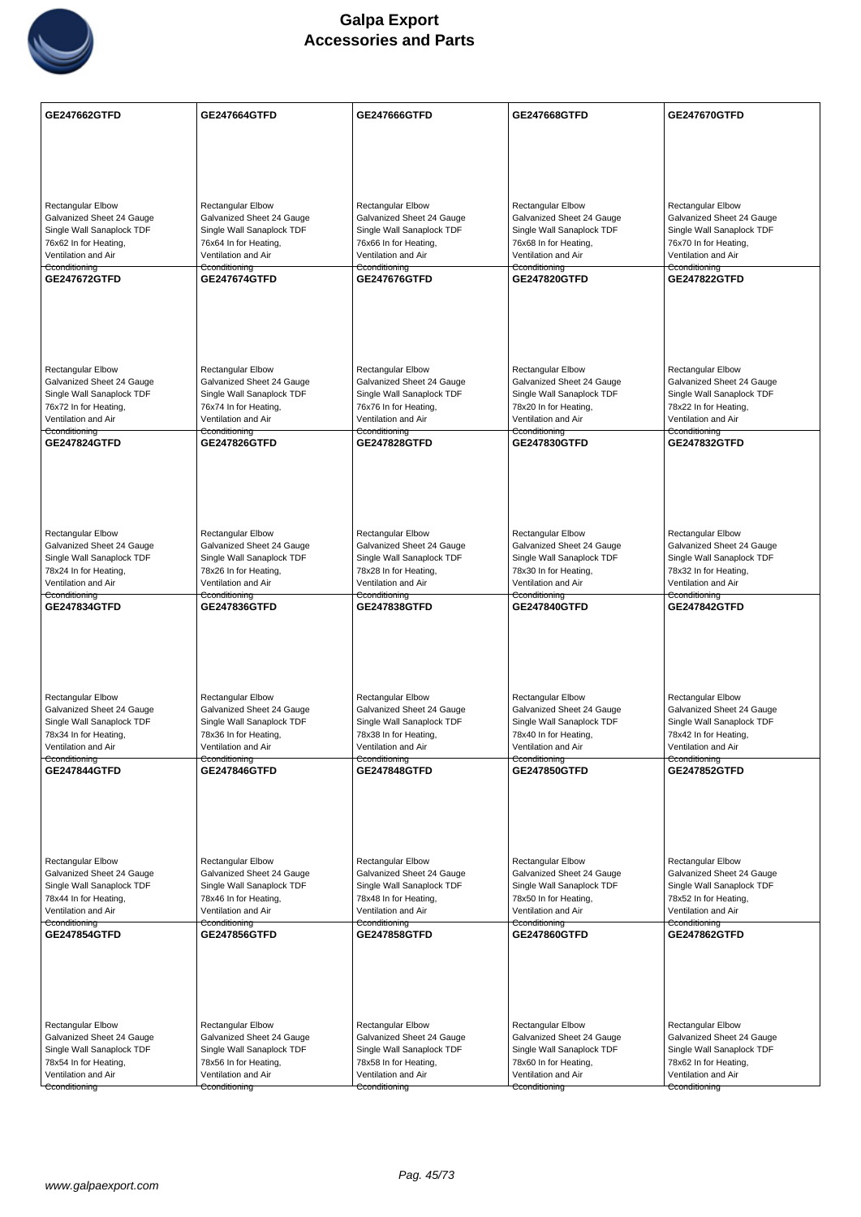

| <b>GE247662GTFD</b>                                    | <b>GE247664GTFD</b>                                    | GE247666GTFD                                           | GE247668GTFD                                           | <b>GE247670GTFD</b>                                    |
|--------------------------------------------------------|--------------------------------------------------------|--------------------------------------------------------|--------------------------------------------------------|--------------------------------------------------------|
|                                                        |                                                        |                                                        |                                                        |                                                        |
|                                                        |                                                        |                                                        |                                                        |                                                        |
|                                                        |                                                        |                                                        |                                                        |                                                        |
| <b>Rectangular Elbow</b>                               | <b>Rectangular Elbow</b>                               | <b>Rectangular Elbow</b>                               | <b>Rectangular Elbow</b>                               | <b>Rectangular Elbow</b>                               |
| Galvanized Sheet 24 Gauge                              | Galvanized Sheet 24 Gauge                              | Galvanized Sheet 24 Gauge                              | Galvanized Sheet 24 Gauge                              | Galvanized Sheet 24 Gauge                              |
| Single Wall Sanaplock TDF<br>76x62 In for Heating,     | Single Wall Sanaplock TDF<br>76x64 In for Heating,     | Single Wall Sanaplock TDF<br>76x66 In for Heating,     | Single Wall Sanaplock TDF<br>76x68 In for Heating,     | Single Wall Sanaplock TDF<br>76x70 In for Heating,     |
| Ventilation and Air                                    | Ventilation and Air                                    | Ventilation and Air                                    | Ventilation and Air                                    | Ventilation and Air                                    |
| Cconditioning<br>GE247672GTFD                          | Cconditioning<br><b>GE247674GTFD</b>                   | Cconditioning<br><b>GE247676GTFD</b>                   | Cconditioning<br><b>GE247820GTFD</b>                   | Cconditioning<br><b>GE247822GTFD</b>                   |
|                                                        |                                                        |                                                        |                                                        |                                                        |
|                                                        |                                                        |                                                        |                                                        |                                                        |
|                                                        |                                                        |                                                        |                                                        |                                                        |
|                                                        |                                                        |                                                        |                                                        |                                                        |
| <b>Rectangular Elbow</b><br>Galvanized Sheet 24 Gauge  | <b>Rectangular Elbow</b><br>Galvanized Sheet 24 Gauge  | <b>Rectangular Elbow</b><br>Galvanized Sheet 24 Gauge  | Rectangular Elbow<br>Galvanized Sheet 24 Gauge         | Rectangular Elbow<br>Galvanized Sheet 24 Gauge         |
| Single Wall Sanaplock TDF                              | Single Wall Sanaplock TDF                              | Single Wall Sanaplock TDF                              | Single Wall Sanaplock TDF                              | Single Wall Sanaplock TDF                              |
| 76x72 In for Heating,<br>Ventilation and Air           | 76x74 In for Heating,<br>Ventilation and Air           | 76x76 In for Heating,<br>Ventilation and Air           | 78x20 In for Heating,<br>Ventilation and Air           | 78x22 In for Heating,<br>Ventilation and Air           |
| Cconditioning<br><b>GE247824GTFD</b>                   | Cconditioning<br><b>GE247826GTFD</b>                   | Cconditioning<br><b>GE247828GTFD</b>                   | Cconditioning<br><b>GE247830GTFD</b>                   | Cconditioning<br><b>GE247832GTFD</b>                   |
|                                                        |                                                        |                                                        |                                                        |                                                        |
|                                                        |                                                        |                                                        |                                                        |                                                        |
|                                                        |                                                        |                                                        |                                                        |                                                        |
|                                                        |                                                        |                                                        |                                                        |                                                        |
| <b>Rectangular Elbow</b><br>Galvanized Sheet 24 Gauge  | <b>Rectangular Elbow</b><br>Galvanized Sheet 24 Gauge  | Rectangular Elbow<br>Galvanized Sheet 24 Gauge         | Rectangular Elbow<br>Galvanized Sheet 24 Gauge         | Rectangular Elbow<br>Galvanized Sheet 24 Gauge         |
| Single Wall Sanaplock TDF                              | Single Wall Sanaplock TDF                              | Single Wall Sanaplock TDF                              | Single Wall Sanaplock TDF                              | Single Wall Sanaplock TDF                              |
| 78x24 In for Heating,<br>Ventilation and Air           | 78x26 In for Heating,<br>Ventilation and Air           | 78x28 In for Heating,<br>Ventilation and Air           | 78x30 In for Heating,<br>Ventilation and Air           | 78x32 In for Heating,<br>Ventilation and Air           |
| Cconditioning<br>GE247834GTFD                          | Cconditioning<br>GE247836GTFD                          | Cconditioning<br>GE247838GTFD                          | Cconditioning<br>GE247840GTFD                          | Cconditioning<br><b>GE247842GTFD</b>                   |
|                                                        |                                                        |                                                        |                                                        |                                                        |
|                                                        |                                                        |                                                        |                                                        |                                                        |
|                                                        |                                                        |                                                        |                                                        |                                                        |
|                                                        |                                                        |                                                        |                                                        |                                                        |
| Rectangular Elbow                                      | Rectangular Elbow                                      | <b>Rectangular Elbow</b>                               | <b>Rectangular Elbow</b>                               | <b>Rectangular Elbow</b>                               |
| Galvanized Sheet 24 Gauge<br>Single Wall Sanaplock TDF | Galvanized Sheet 24 Gauge<br>Single Wall Sanaplock TDF | Galvanized Sheet 24 Gauge<br>Single Wall Sanaplock TDF | Galvanized Sheet 24 Gauge<br>Single Wall Sanaplock TDF | Galvanized Sheet 24 Gauge<br>Single Wall Sanaplock TDF |
| 78x34 In for Heating,<br>Ventilation and Air           | 78x36 In for Heating,<br>Ventilation and Air           | 78x38 In for Heating,<br>Ventilation and Air           | 78x40 In for Heating,<br>Ventilation and Air           | 78x42 In for Heating,<br>Ventilation and Air           |
| Cconditioning                                          | Cconditioning                                          | Cconditioning                                          | Cconditioning                                          | Cconditioning                                          |
| <b>GE247844GTFD</b>                                    | <b>GE247846GTFD</b>                                    | GE247848GTFD                                           | GE247850GTFD                                           | <b>GE247852GTFD</b>                                    |
|                                                        |                                                        |                                                        |                                                        |                                                        |
|                                                        |                                                        |                                                        |                                                        |                                                        |
|                                                        |                                                        |                                                        |                                                        |                                                        |
| Rectangular Elbow                                      | <b>Rectangular Elbow</b>                               | <b>Rectangular Elbow</b>                               | <b>Rectangular Elbow</b>                               | Rectangular Elbow                                      |
| Galvanized Sheet 24 Gauge<br>Single Wall Sanaplock TDF | Galvanized Sheet 24 Gauge<br>Single Wall Sanaplock TDF | Galvanized Sheet 24 Gauge<br>Single Wall Sanaplock TDF | Galvanized Sheet 24 Gauge<br>Single Wall Sanaplock TDF | Galvanized Sheet 24 Gauge<br>Single Wall Sanaplock TDF |
| 78x44 In for Heating,                                  | 78x46 In for Heating,                                  | 78x48 In for Heating,                                  | 78x50 In for Heating,                                  | 78x52 In for Heating,                                  |
| Ventilation and Air<br>Cconditioning                   | Ventilation and Air<br>Cconditioning                   | Ventilation and Air<br>Cconditioning                   | Ventilation and Air<br>Cconditioning                   | Ventilation and Air<br>Cconditioning                   |
| <b>GE247854GTFD</b>                                    | <b>GE247856GTFD</b>                                    | <b>GE247858GTFD</b>                                    | <b>GE247860GTFD</b>                                    | GE247862GTFD                                           |
|                                                        |                                                        |                                                        |                                                        |                                                        |
|                                                        |                                                        |                                                        |                                                        |                                                        |
|                                                        |                                                        |                                                        |                                                        |                                                        |
| Rectangular Elbow                                      | <b>Rectangular Elbow</b>                               | <b>Rectangular Elbow</b>                               | Rectangular Elbow                                      | Rectangular Elbow                                      |
| Galvanized Sheet 24 Gauge                              | Galvanized Sheet 24 Gauge                              | Galvanized Sheet 24 Gauge                              | Galvanized Sheet 24 Gauge                              | Galvanized Sheet 24 Gauge                              |
| Single Wall Sanaplock TDF<br>78x54 In for Heating,     | Single Wall Sanaplock TDF<br>78x56 In for Heating,     | Single Wall Sanaplock TDF<br>78x58 In for Heating,     | Single Wall Sanaplock TDF<br>78x60 In for Heating,     | Single Wall Sanaplock TDF<br>78x62 In for Heating,     |
| Ventilation and Air                                    | Ventilation and Air                                    | Ventilation and Air                                    | Ventilation and Air                                    | Ventilation and Air                                    |
| Cconditioning                                          | Cconditioning                                          | Cconditioning                                          | Cconditioning                                          | Cconditioning                                          |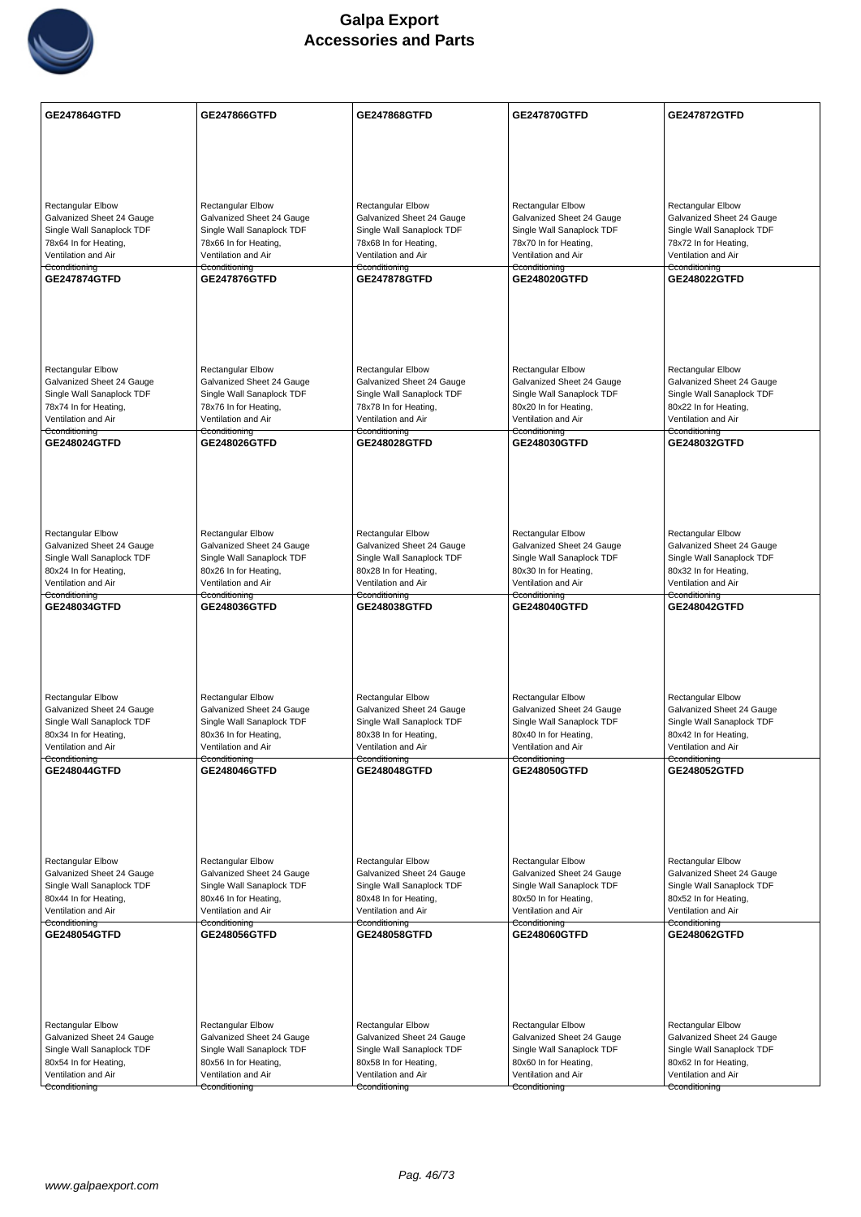

| <b>GE247864GTFD</b>                                    | <b>GE247866GTFD</b>                                    | GE247868GTFD                                           | GE247870GTFD                                           | <b>GE247872GTFD</b>                                    |
|--------------------------------------------------------|--------------------------------------------------------|--------------------------------------------------------|--------------------------------------------------------|--------------------------------------------------------|
|                                                        |                                                        |                                                        |                                                        |                                                        |
|                                                        |                                                        |                                                        |                                                        |                                                        |
|                                                        |                                                        |                                                        |                                                        |                                                        |
| <b>Rectangular Elbow</b>                               | <b>Rectangular Elbow</b>                               | <b>Rectangular Elbow</b>                               | <b>Rectangular Elbow</b>                               | <b>Rectangular Elbow</b>                               |
| Galvanized Sheet 24 Gauge                              | Galvanized Sheet 24 Gauge                              | Galvanized Sheet 24 Gauge                              | Galvanized Sheet 24 Gauge                              | Galvanized Sheet 24 Gauge                              |
| Single Wall Sanaplock TDF<br>78x64 In for Heating,     | Single Wall Sanaplock TDF<br>78x66 In for Heating,     | Single Wall Sanaplock TDF<br>78x68 In for Heating,     | Single Wall Sanaplock TDF<br>78x70 In for Heating,     | Single Wall Sanaplock TDF<br>78x72 In for Heating,     |
| Ventilation and Air                                    | Ventilation and Air                                    | Ventilation and Air                                    | Ventilation and Air                                    | Ventilation and Air                                    |
| Cconditioning<br><b>GE247874GTFD</b>                   | Cconditioning<br><b>GE247876GTFD</b>                   | Cconditioning<br><b>GE247878GTFD</b>                   | Cconditioning<br>GE248020GTFD                          | Cconditioning<br><b>GE248022GTFD</b>                   |
|                                                        |                                                        |                                                        |                                                        |                                                        |
|                                                        |                                                        |                                                        |                                                        |                                                        |
|                                                        |                                                        |                                                        |                                                        |                                                        |
|                                                        |                                                        |                                                        |                                                        |                                                        |
| <b>Rectangular Elbow</b><br>Galvanized Sheet 24 Gauge  | <b>Rectangular Elbow</b><br>Galvanized Sheet 24 Gauge  | <b>Rectangular Elbow</b><br>Galvanized Sheet 24 Gauge  | <b>Rectangular Elbow</b><br>Galvanized Sheet 24 Gauge  | Rectangular Elbow<br>Galvanized Sheet 24 Gauge         |
| Single Wall Sanaplock TDF                              | Single Wall Sanaplock TDF                              | Single Wall Sanaplock TDF                              | Single Wall Sanaplock TDF                              | Single Wall Sanaplock TDF                              |
| 78x74 In for Heating,<br>Ventilation and Air           | 78x76 In for Heating,<br>Ventilation and Air           | 78x78 In for Heating,<br>Ventilation and Air           | 80x20 In for Heating,<br>Ventilation and Air           | 80x22 In for Heating,<br>Ventilation and Air           |
| Cconditioning<br><b>GE248024GTFD</b>                   | Cconditioning<br><b>GE248026GTFD</b>                   | Cconditioning<br><b>GE248028GTFD</b>                   | Cconditioning<br>GE248030GTFD                          | Cconditioning<br><b>GE248032GTFD</b>                   |
|                                                        |                                                        |                                                        |                                                        |                                                        |
|                                                        |                                                        |                                                        |                                                        |                                                        |
|                                                        |                                                        |                                                        |                                                        |                                                        |
|                                                        |                                                        |                                                        |                                                        |                                                        |
| <b>Rectangular Elbow</b><br>Galvanized Sheet 24 Gauge  | <b>Rectangular Elbow</b><br>Galvanized Sheet 24 Gauge  | Rectangular Elbow<br>Galvanized Sheet 24 Gauge         | Rectangular Elbow<br>Galvanized Sheet 24 Gauge         | Rectangular Elbow<br>Galvanized Sheet 24 Gauge         |
| Single Wall Sanaplock TDF                              | Single Wall Sanaplock TDF                              | Single Wall Sanaplock TDF                              | Single Wall Sanaplock TDF                              | Single Wall Sanaplock TDF                              |
| 80x24 In for Heating,<br>Ventilation and Air           | 80x26 In for Heating,<br>Ventilation and Air           | 80x28 In for Heating,<br>Ventilation and Air           | 80x30 In for Heating,<br>Ventilation and Air           | 80x32 In for Heating,<br>Ventilation and Air           |
| Cconditioning<br>GE248034GTFD                          | Cconditioning<br>GE248036GTFD                          | Cconditioning<br>GE248038GTFD                          | Cconditioning<br>GE248040GTFD                          | Cconditioning<br>GE248042GTFD                          |
|                                                        |                                                        |                                                        |                                                        |                                                        |
|                                                        |                                                        |                                                        |                                                        |                                                        |
|                                                        |                                                        |                                                        |                                                        |                                                        |
|                                                        |                                                        |                                                        |                                                        |                                                        |
| Rectangular Elbow                                      | Rectangular Elbow                                      | <b>Rectangular Elbow</b>                               | <b>Rectangular Elbow</b>                               | Rectangular Elbow                                      |
| Galvanized Sheet 24 Gauge<br>Single Wall Sanaplock TDF | Galvanized Sheet 24 Gauge<br>Single Wall Sanaplock TDF | Galvanized Sheet 24 Gauge<br>Single Wall Sanaplock TDF | Galvanized Sheet 24 Gauge<br>Single Wall Sanaplock TDF | Galvanized Sheet 24 Gauge<br>Single Wall Sanaplock TDF |
| 80x34 In for Heating,<br>Ventilation and Air           | 80x36 In for Heating,                                  | 80x38 In for Heating,<br>Ventilation and Air           | 80x40 In for Heating,                                  | 80x42 In for Heating,                                  |
| Cconditioning                                          | Ventilation and Air<br>Cconditioning                   | Cconditioning                                          | Ventilation and Air<br>Cconditioning                   | Ventilation and Air<br>Cconditioning                   |
| GE248044GTFD                                           | GE248046GTFD                                           | GE248048GTFD                                           | GE248050GTFD                                           | <b>GE248052GTFD</b>                                    |
|                                                        |                                                        |                                                        |                                                        |                                                        |
|                                                        |                                                        |                                                        |                                                        |                                                        |
|                                                        |                                                        |                                                        |                                                        |                                                        |
| Rectangular Elbow                                      | <b>Rectangular Elbow</b>                               | <b>Rectangular Elbow</b>                               | <b>Rectangular Elbow</b>                               | <b>Rectangular Elbow</b>                               |
| Galvanized Sheet 24 Gauge<br>Single Wall Sanaplock TDF | Galvanized Sheet 24 Gauge<br>Single Wall Sanaplock TDF | Galvanized Sheet 24 Gauge<br>Single Wall Sanaplock TDF | Galvanized Sheet 24 Gauge<br>Single Wall Sanaplock TDF | Galvanized Sheet 24 Gauge<br>Single Wall Sanaplock TDF |
| 80x44 In for Heating,                                  | 80x46 In for Heating,                                  | 80x48 In for Heating,                                  | 80x50 In for Heating,                                  | 80x52 In for Heating,                                  |
| Ventilation and Air<br>Cconditioning                   | Ventilation and Air<br>Cconditioning                   | Ventilation and Air<br>Cconditioning                   | Ventilation and Air<br>Cconditioning                   | Ventilation and Air<br>Cconditioning                   |
| GE248054GTFD                                           | <b>GE248056GTFD</b>                                    | GE248058GTFD                                           | GE248060GTFD                                           | GE248062GTFD                                           |
|                                                        |                                                        |                                                        |                                                        |                                                        |
|                                                        |                                                        |                                                        |                                                        |                                                        |
|                                                        |                                                        |                                                        |                                                        |                                                        |
| Rectangular Elbow                                      | <b>Rectangular Elbow</b>                               | <b>Rectangular Elbow</b>                               | Rectangular Elbow                                      | Rectangular Elbow                                      |
| Galvanized Sheet 24 Gauge                              | Galvanized Sheet 24 Gauge                              | Galvanized Sheet 24 Gauge                              | Galvanized Sheet 24 Gauge                              | Galvanized Sheet 24 Gauge                              |
| Single Wall Sanaplock TDF<br>80x54 In for Heating,     | Single Wall Sanaplock TDF<br>80x56 In for Heating,     | Single Wall Sanaplock TDF<br>80x58 In for Heating,     | Single Wall Sanaplock TDF<br>80x60 In for Heating,     | Single Wall Sanaplock TDF<br>80x62 In for Heating,     |
| Ventilation and Air                                    | Ventilation and Air                                    | Ventilation and Air                                    | Ventilation and Air                                    | Ventilation and Air                                    |
| Cconditioning                                          | Cconditioning                                          | Cconditioning                                          | Cconditioning                                          | Cconditioning                                          |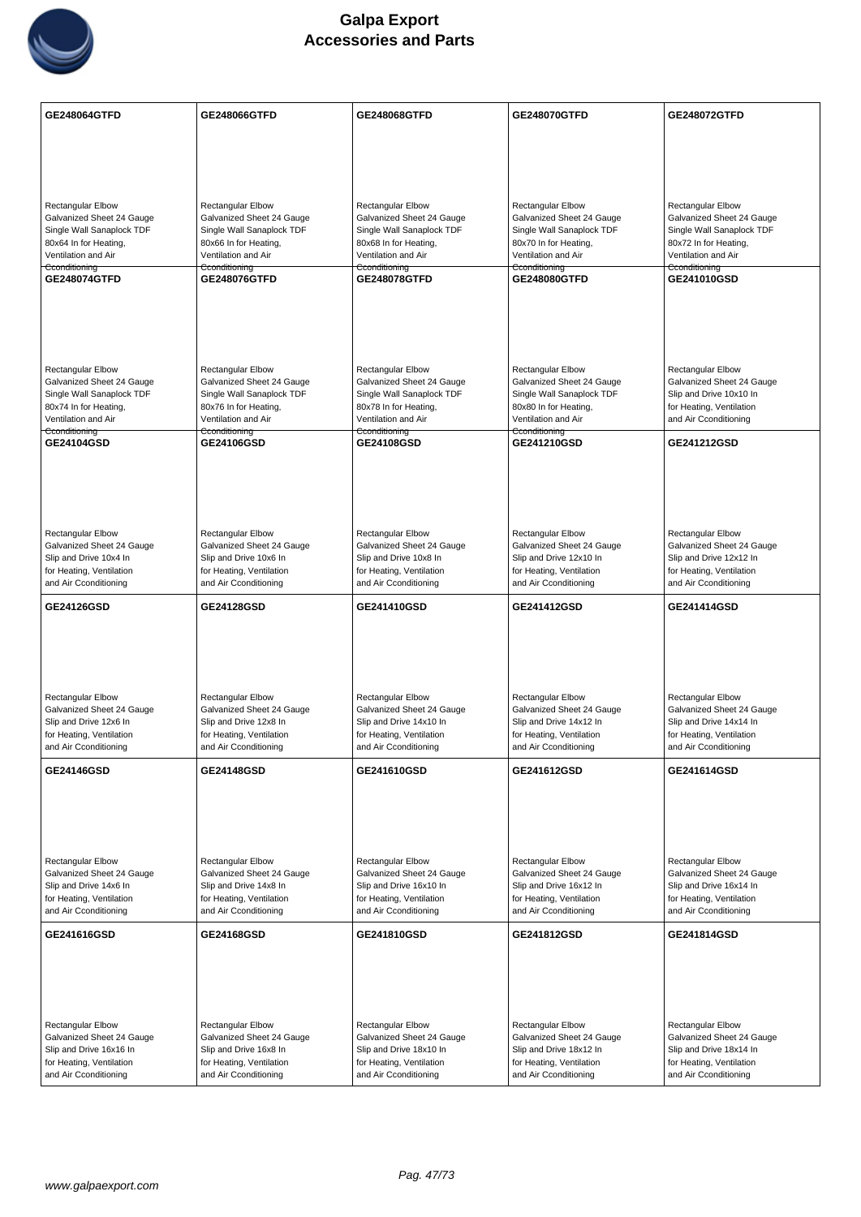

| GE248064GTFD                                           | GE248066GTFD                                           | GE248068GTFD                                           | GE248070GTFD                                           | <b>GE248072GTFD</b>                                    |
|--------------------------------------------------------|--------------------------------------------------------|--------------------------------------------------------|--------------------------------------------------------|--------------------------------------------------------|
|                                                        |                                                        |                                                        |                                                        |                                                        |
|                                                        |                                                        |                                                        |                                                        |                                                        |
|                                                        |                                                        |                                                        |                                                        |                                                        |
| Rectangular Elbow                                      | Rectangular Elbow                                      | <b>Rectangular Elbow</b>                               | Rectangular Elbow                                      | <b>Rectangular Elbow</b>                               |
| Galvanized Sheet 24 Gauge<br>Single Wall Sanaplock TDF | Galvanized Sheet 24 Gauge<br>Single Wall Sanaplock TDF | Galvanized Sheet 24 Gauge<br>Single Wall Sanaplock TDF | Galvanized Sheet 24 Gauge<br>Single Wall Sanaplock TDF | Galvanized Sheet 24 Gauge<br>Single Wall Sanaplock TDF |
| 80x64 In for Heating,                                  | 80x66 In for Heating,                                  | 80x68 In for Heating,                                  | 80x70 In for Heating,                                  | 80x72 In for Heating,                                  |
| Ventilation and Air<br>Cconditioning                   | Ventilation and Air<br>Cconditioning                   | Ventilation and Air<br>Cconditioning                   | Ventilation and Air<br>Cconditioning                   | Ventilation and Air<br>Cconditioning                   |
| <b>GE248074GTFD</b>                                    | GE248076GTFD                                           | GE248078GTFD                                           | GE248080GTFD                                           | GE241010GSD                                            |
|                                                        |                                                        |                                                        |                                                        |                                                        |
|                                                        |                                                        |                                                        |                                                        |                                                        |
|                                                        |                                                        |                                                        |                                                        |                                                        |
| Rectangular Elbow                                      | <b>Rectangular Elbow</b>                               | <b>Rectangular Elbow</b>                               | <b>Rectangular Elbow</b>                               | <b>Rectangular Elbow</b>                               |
| Galvanized Sheet 24 Gauge                              | Galvanized Sheet 24 Gauge                              | Galvanized Sheet 24 Gauge                              | Galvanized Sheet 24 Gauge                              | Galvanized Sheet 24 Gauge                              |
| Single Wall Sanaplock TDF                              | Single Wall Sanaplock TDF                              | Single Wall Sanaplock TDF                              | Single Wall Sanaplock TDF                              | Slip and Drive 10x10 In                                |
| 80x74 In for Heating,<br>Ventilation and Air           | 80x76 In for Heating,<br>Ventilation and Air           | 80x78 In for Heating,<br>Ventilation and Air           | 80x80 In for Heating,<br>Ventilation and Air           | for Heating, Ventilation<br>and Air Cconditioning      |
| Cconditioning                                          | Cconditioning                                          | Cconditioning                                          | Cconditioning                                          |                                                        |
| GE24104GSD                                             | GE24106GSD                                             | GE24108GSD                                             | GE241210GSD                                            | GE241212GSD                                            |
|                                                        |                                                        |                                                        |                                                        |                                                        |
|                                                        |                                                        |                                                        |                                                        |                                                        |
|                                                        |                                                        |                                                        |                                                        |                                                        |
| Rectangular Elbow                                      | <b>Rectangular Elbow</b>                               | Rectangular Elbow                                      | <b>Rectangular Elbow</b>                               | Rectangular Elbow                                      |
| Galvanized Sheet 24 Gauge                              | Galvanized Sheet 24 Gauge                              | Galvanized Sheet 24 Gauge                              | Galvanized Sheet 24 Gauge                              | Galvanized Sheet 24 Gauge                              |
| Slip and Drive 10x4 In<br>for Heating, Ventilation     | Slip and Drive 10x6 In<br>for Heating, Ventilation     | Slip and Drive 10x8 In<br>for Heating, Ventilation     | Slip and Drive 12x10 In<br>for Heating, Ventilation    | Slip and Drive 12x12 In<br>for Heating, Ventilation    |
| and Air Cconditioning                                  | and Air Cconditioning                                  | and Air Cconditioning                                  | and Air Cconditioning                                  | and Air Cconditioning                                  |
| <b>GE24126GSD</b>                                      | <b>GE24128GSD</b>                                      | GE241410GSD                                            | GE241412GSD                                            | GE241414GSD                                            |
|                                                        |                                                        |                                                        |                                                        |                                                        |
|                                                        |                                                        |                                                        |                                                        |                                                        |
|                                                        |                                                        |                                                        |                                                        |                                                        |
|                                                        |                                                        |                                                        |                                                        |                                                        |
|                                                        |                                                        |                                                        |                                                        |                                                        |
| Rectangular Elbow<br>Galvanized Sheet 24 Gauge         | <b>Rectangular Elbow</b><br>Galvanized Sheet 24 Gauge  | <b>Rectangular Elbow</b><br>Galvanized Sheet 24 Gauge  | <b>Rectangular Elbow</b><br>Galvanized Sheet 24 Gauge  | Rectangular Elbow<br>Galvanized Sheet 24 Gauge         |
| Slip and Drive 12x6 In                                 | Slip and Drive 12x8 In                                 | Slip and Drive 14x10 In                                | Slip and Drive 14x12 In                                | Slip and Drive 14x14 In                                |
| for Heating, Ventilation<br>and Air Cconditioning      | for Heating, Ventilation<br>and Air Cconditioning      | for Heating, Ventilation<br>and Air Cconditioning      | for Heating, Ventilation<br>and Air Cconditioning      | for Heating, Ventilation<br>and Air Cconditioning      |
|                                                        |                                                        |                                                        |                                                        |                                                        |
| <b>GE24146GSD</b>                                      | <b>GE24148GSD</b>                                      | GE241610GSD                                            | GE241612GSD                                            | GE241614GSD                                            |
|                                                        |                                                        |                                                        |                                                        |                                                        |
|                                                        |                                                        |                                                        |                                                        |                                                        |
|                                                        |                                                        |                                                        |                                                        |                                                        |
| Rectangular Elbow                                      | <b>Rectangular Elbow</b>                               | <b>Rectangular Elbow</b>                               | <b>Rectangular Elbow</b>                               | Rectangular Elbow                                      |
| Galvanized Sheet 24 Gauge<br>Slip and Drive 14x6 In    | Galvanized Sheet 24 Gauge                              | Galvanized Sheet 24 Gauge<br>Slip and Drive 16x10 In   | Galvanized Sheet 24 Gauge                              | Galvanized Sheet 24 Gauge<br>Slip and Drive 16x14 In   |
| for Heating, Ventilation                               | Slip and Drive 14x8 In<br>for Heating, Ventilation     | for Heating, Ventilation                               | Slip and Drive 16x12 In<br>for Heating, Ventilation    | for Heating, Ventilation                               |
| and Air Cconditioning                                  | and Air Cconditioning                                  | and Air Cconditioning                                  | and Air Cconditioning                                  | and Air Cconditioning                                  |
| GE241616GSD                                            | <b>GE24168GSD</b>                                      | GE241810GSD                                            | GE241812GSD                                            | GE241814GSD                                            |
|                                                        |                                                        |                                                        |                                                        |                                                        |
|                                                        |                                                        |                                                        |                                                        |                                                        |
|                                                        |                                                        |                                                        |                                                        |                                                        |
| Rectangular Elbow                                      | Rectangular Elbow                                      | Rectangular Elbow                                      | Rectangular Elbow                                      | Rectangular Elbow                                      |
| Galvanized Sheet 24 Gauge                              | Galvanized Sheet 24 Gauge                              | Galvanized Sheet 24 Gauge                              | Galvanized Sheet 24 Gauge                              | Galvanized Sheet 24 Gauge                              |
| Slip and Drive 16x16 In                                | Slip and Drive 16x8 In                                 | Slip and Drive 18x10 In                                | Slip and Drive 18x12 In                                | Slip and Drive 18x14 In                                |
| for Heating, Ventilation<br>and Air Cconditioning      | for Heating, Ventilation<br>and Air Cconditioning      | for Heating, Ventilation<br>and Air Cconditioning      | for Heating, Ventilation<br>and Air Cconditioning      | for Heating, Ventilation<br>and Air Cconditioning      |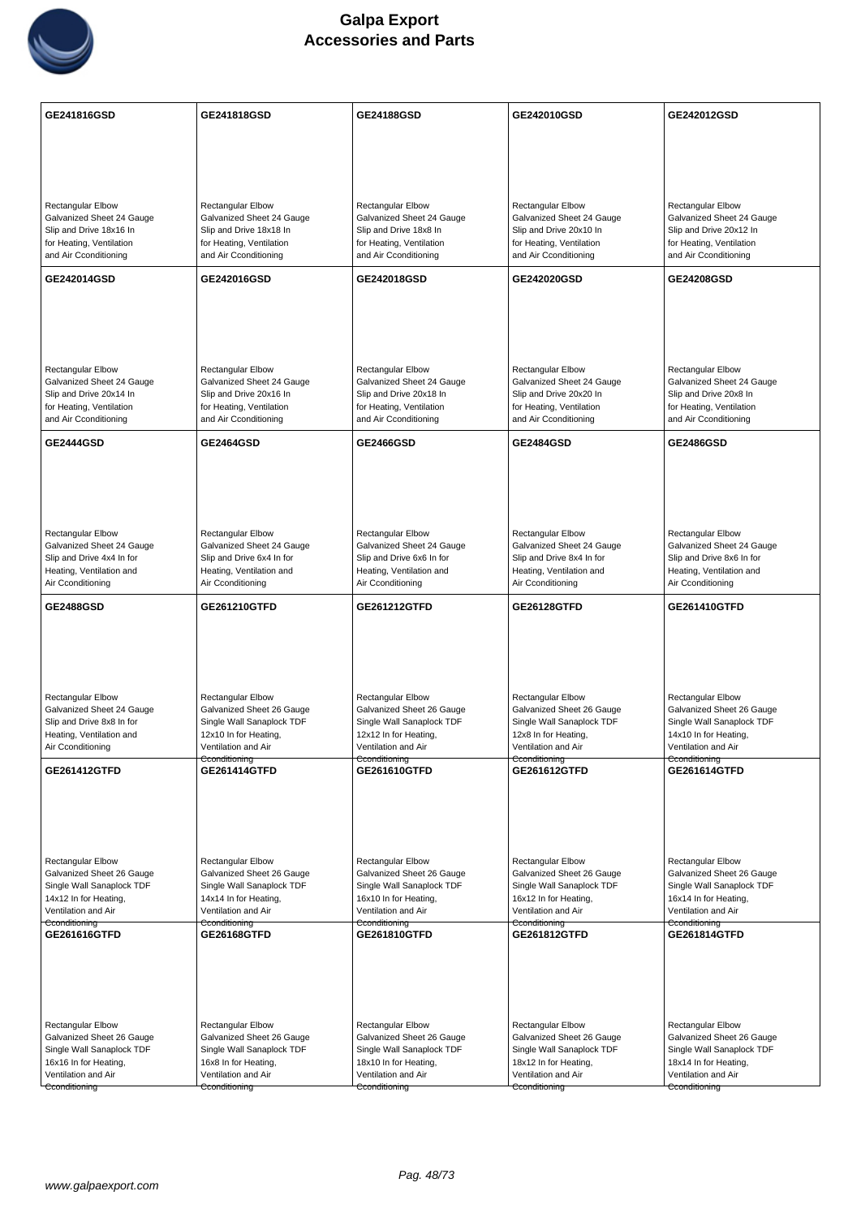

| GE241816GSD                                                   | GE241818GSD                                                  | GE24188GSD                                                    | GE242010GSD                                                   | GE242012GSD                                                   |
|---------------------------------------------------------------|--------------------------------------------------------------|---------------------------------------------------------------|---------------------------------------------------------------|---------------------------------------------------------------|
|                                                               |                                                              |                                                               |                                                               |                                                               |
|                                                               |                                                              |                                                               |                                                               |                                                               |
|                                                               |                                                              |                                                               |                                                               |                                                               |
| <b>Rectangular Elbow</b>                                      | <b>Rectangular Elbow</b>                                     | <b>Rectangular Elbow</b>                                      | <b>Rectangular Elbow</b>                                      | Rectangular Elbow                                             |
| Galvanized Sheet 24 Gauge<br>Slip and Drive 18x16 In          | Galvanized Sheet 24 Gauge<br>Slip and Drive 18x18 In         | Galvanized Sheet 24 Gauge<br>Slip and Drive 18x8 In           | Galvanized Sheet 24 Gauge<br>Slip and Drive 20x10 In          | Galvanized Sheet 24 Gauge<br>Slip and Drive 20x12 In          |
| for Heating, Ventilation<br>and Air Cconditioning             | for Heating, Ventilation<br>and Air Cconditioning            | for Heating, Ventilation<br>and Air Cconditioning             | for Heating, Ventilation<br>and Air Cconditioning             | for Heating, Ventilation<br>and Air Cconditioning             |
|                                                               |                                                              |                                                               |                                                               |                                                               |
| GE242014GSD                                                   | GE242016GSD                                                  | GE242018GSD                                                   | GE242020GSD                                                   | <b>GE24208GSD</b>                                             |
|                                                               |                                                              |                                                               |                                                               |                                                               |
|                                                               |                                                              |                                                               |                                                               |                                                               |
|                                                               |                                                              |                                                               |                                                               |                                                               |
| <b>Rectangular Elbow</b><br>Galvanized Sheet 24 Gauge         | <b>Rectangular Elbow</b><br>Galvanized Sheet 24 Gauge        | <b>Rectangular Elbow</b><br>Galvanized Sheet 24 Gauge         | <b>Rectangular Elbow</b><br>Galvanized Sheet 24 Gauge         | Rectangular Elbow<br>Galvanized Sheet 24 Gauge                |
| Slip and Drive 20x14 In                                       | Slip and Drive 20x16 In                                      | Slip and Drive 20x18 In                                       | Slip and Drive 20x20 In                                       | Slip and Drive 20x8 In                                        |
| for Heating, Ventilation<br>and Air Cconditioning             | for Heating, Ventilation<br>and Air Cconditioning            | for Heating, Ventilation<br>and Air Cconditioning             | for Heating, Ventilation<br>and Air Cconditioning             | for Heating, Ventilation<br>and Air Cconditioning             |
| <b>GE2444GSD</b>                                              | <b>GE2464GSD</b>                                             | GE2466GSD                                                     | <b>GE2484GSD</b>                                              | <b>GE2486GSD</b>                                              |
|                                                               |                                                              |                                                               |                                                               |                                                               |
|                                                               |                                                              |                                                               |                                                               |                                                               |
|                                                               |                                                              |                                                               |                                                               |                                                               |
| <b>Rectangular Elbow</b>                                      | <b>Rectangular Elbow</b>                                     | Rectangular Elbow                                             | Rectangular Elbow                                             | <b>Rectangular Elbow</b>                                      |
| Galvanized Sheet 24 Gauge<br>Slip and Drive 4x4 In for        | Galvanized Sheet 24 Gauge<br>Slip and Drive 6x4 In for       | Galvanized Sheet 24 Gauge<br>Slip and Drive 6x6 In for        | Galvanized Sheet 24 Gauge<br>Slip and Drive 8x4 In for        | Galvanized Sheet 24 Gauge<br>Slip and Drive 8x6 In for        |
| Heating, Ventilation and                                      | Heating, Ventilation and                                     | Heating, Ventilation and                                      | Heating, Ventilation and                                      | Heating, Ventilation and                                      |
| Air Cconditioning                                             | Air Cconditioning                                            | Air Cconditioning                                             | Air Cconditioning                                             | Air Cconditioning                                             |
| <b>GE2488GSD</b>                                              | GE261210GTFD                                                 | GE261212GTFD                                                  | <b>GE26128GTFD</b>                                            | GE261410GTFD                                                  |
|                                                               |                                                              |                                                               |                                                               |                                                               |
|                                                               |                                                              |                                                               |                                                               |                                                               |
|                                                               |                                                              |                                                               |                                                               |                                                               |
| <b>Rectangular Elbow</b>                                      |                                                              | <b>Rectangular Elbow</b>                                      |                                                               |                                                               |
|                                                               | <b>Rectangular Elbow</b>                                     |                                                               | <b>Rectangular Elbow</b>                                      | <b>Rectangular Elbow</b>                                      |
| Galvanized Sheet 24 Gauge<br>Slip and Drive 8x8 In for        | Galvanized Sheet 26 Gauge<br>Single Wall Sanaplock TDF       | Galvanized Sheet 26 Gauge<br>Single Wall Sanaplock TDF        | Galvanized Sheet 26 Gauge<br>Single Wall Sanaplock TDF        | Galvanized Sheet 26 Gauge<br>Single Wall Sanaplock TDF        |
| Heating, Ventilation and                                      | 12x10 In for Heating,<br>Ventilation and Air                 | 12x12 In for Heating,<br>Ventilation and Air                  | 12x8 In for Heating,<br>Ventilation and Air                   | 14x10 In for Heating,<br>Ventilation and Air                  |
| Air Cconditioning                                             | Cconditioning                                                | Cconditioning                                                 | Cconditioning                                                 | Cconditioning                                                 |
| GE261412GTFD                                                  | GE261414GTFD                                                 | GE261610GTFD                                                  | GE261612GTFD                                                  | GE261614GTFD                                                  |
|                                                               |                                                              |                                                               |                                                               |                                                               |
|                                                               |                                                              |                                                               |                                                               |                                                               |
|                                                               |                                                              |                                                               |                                                               |                                                               |
| <b>Rectangular Elbow</b><br>Galvanized Sheet 26 Gauge         | <b>Rectangular Elbow</b><br>Galvanized Sheet 26 Gauge        | <b>Rectangular Elbow</b><br>Galvanized Sheet 26 Gauge         | Rectangular Elbow<br>Galvanized Sheet 26 Gauge                | Rectangular Elbow<br>Galvanized Sheet 26 Gauge                |
| Single Wall Sanaplock TDF                                     | Single Wall Sanaplock TDF                                    | Single Wall Sanaplock TDF                                     | Single Wall Sanaplock TDF                                     | Single Wall Sanaplock TDF                                     |
| 14x12 In for Heating,<br>Ventilation and Air                  | 14x14 In for Heating,<br>Ventilation and Air                 | 16x10 In for Heating,<br>Ventilation and Air                  | 16x12 In for Heating,<br>Ventilation and Air                  | 16x14 In for Heating,<br>Ventilation and Air                  |
| Cconditioning<br>GE261616GTFD                                 | Cconditioning<br><b>GE26168GTFD</b>                          | Cconditioning<br>GE261810GTFD                                 | Cconditioning<br>GE261812GTFD                                 | Cconditioning<br>GE261814GTFD                                 |
|                                                               |                                                              |                                                               |                                                               |                                                               |
|                                                               |                                                              |                                                               |                                                               |                                                               |
|                                                               |                                                              |                                                               |                                                               |                                                               |
|                                                               |                                                              |                                                               |                                                               |                                                               |
| <b>Rectangular Elbow</b><br>Galvanized Sheet 26 Gauge         | Rectangular Elbow<br>Galvanized Sheet 26 Gauge               | Rectangular Elbow<br>Galvanized Sheet 26 Gauge                | Rectangular Elbow<br>Galvanized Sheet 26 Gauge                | Rectangular Elbow<br>Galvanized Sheet 26 Gauge                |
| Single Wall Sanaplock TDF                                     | Single Wall Sanaplock TDF                                    | Single Wall Sanaplock TDF                                     | Single Wall Sanaplock TDF                                     | Single Wall Sanaplock TDF                                     |
| 16x16 In for Heating,<br>Ventilation and Air<br>Cconditioning | 16x8 In for Heating,<br>Ventilation and Air<br>Cconditioning | 18x10 In for Heating,<br>Ventilation and Air<br>Cconditioning | 18x12 In for Heating,<br>Ventilation and Air<br>Cconditioning | 18x14 In for Heating,<br>Ventilation and Air<br>Cconditioning |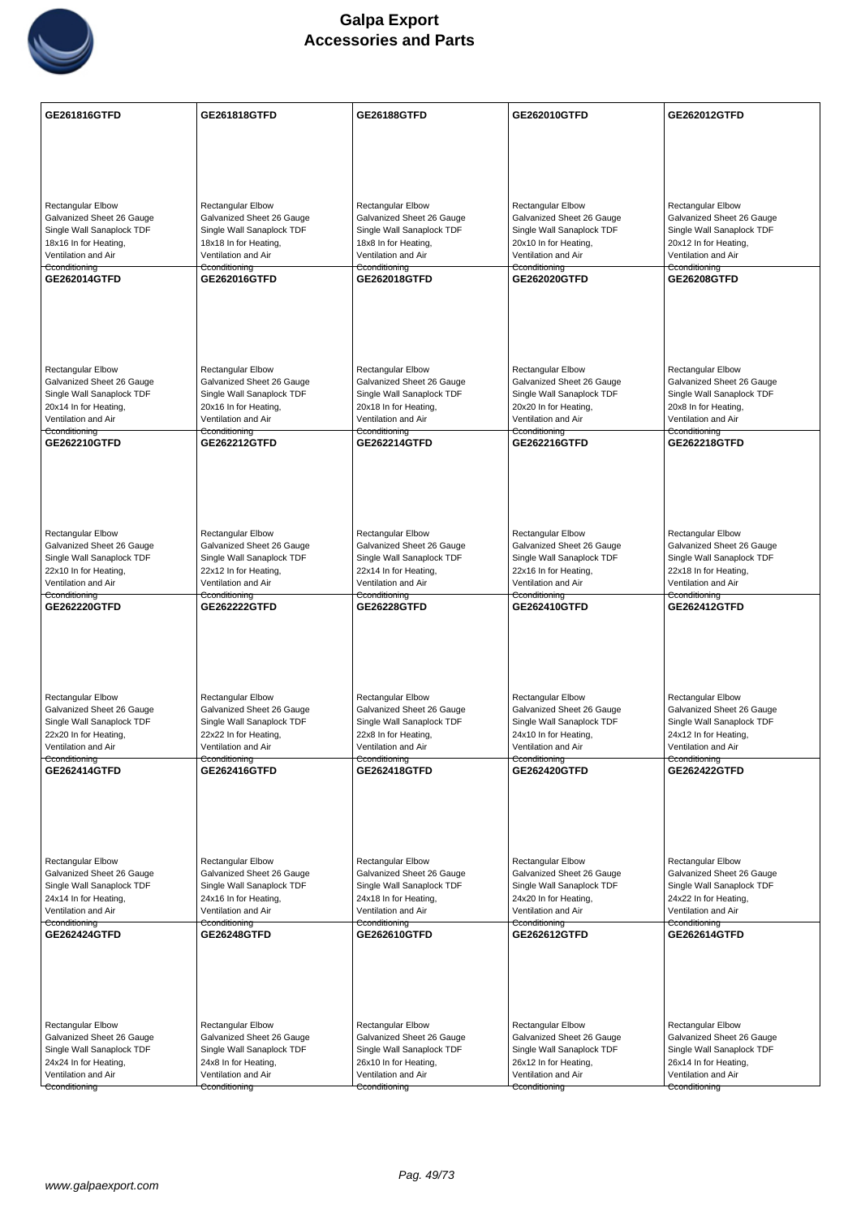

| GE261816GTFD                                           | <b>GE261818GTFD</b>                                    | <b>GE26188GTFD</b>                                     | GE262010GTFD                                           | GE262012GTFD                                           |
|--------------------------------------------------------|--------------------------------------------------------|--------------------------------------------------------|--------------------------------------------------------|--------------------------------------------------------|
|                                                        |                                                        |                                                        |                                                        |                                                        |
|                                                        |                                                        |                                                        |                                                        |                                                        |
|                                                        |                                                        |                                                        |                                                        |                                                        |
|                                                        |                                                        |                                                        |                                                        |                                                        |
| <b>Rectangular Elbow</b><br>Galvanized Sheet 26 Gauge  | Rectangular Elbow<br>Galvanized Sheet 26 Gauge         | <b>Rectangular Elbow</b><br>Galvanized Sheet 26 Gauge  | <b>Rectangular Elbow</b><br>Galvanized Sheet 26 Gauge  | Rectangular Elbow<br>Galvanized Sheet 26 Gauge         |
| Single Wall Sanaplock TDF                              | Single Wall Sanaplock TDF                              | Single Wall Sanaplock TDF                              | Single Wall Sanaplock TDF                              | Single Wall Sanaplock TDF                              |
| 18x16 In for Heating,                                  | 18x18 In for Heating,                                  | 18x8 In for Heating,                                   | 20x10 In for Heating,                                  | 20x12 In for Heating,                                  |
| Ventilation and Air<br>Cconditioning                   | Ventilation and Air<br>Cconditioning                   | Ventilation and Air<br>Cconditioning                   | Ventilation and Air<br>Cconditioning                   | Ventilation and Air<br>Cconditioning                   |
| GE262014GTFD                                           | <b>GE262016GTFD</b>                                    | GE262018GTFD                                           | <b>GE262020GTFD</b>                                    | <b>GE26208GTFD</b>                                     |
|                                                        |                                                        |                                                        |                                                        |                                                        |
|                                                        |                                                        |                                                        |                                                        |                                                        |
|                                                        |                                                        |                                                        |                                                        |                                                        |
|                                                        |                                                        |                                                        |                                                        |                                                        |
| <b>Rectangular Elbow</b>                               | <b>Rectangular Elbow</b>                               | <b>Rectangular Elbow</b>                               | <b>Rectangular Elbow</b>                               | <b>Rectangular Elbow</b>                               |
| Galvanized Sheet 26 Gauge<br>Single Wall Sanaplock TDF | Galvanized Sheet 26 Gauge<br>Single Wall Sanaplock TDF | Galvanized Sheet 26 Gauge<br>Single Wall Sanaplock TDF | Galvanized Sheet 26 Gauge<br>Single Wall Sanaplock TDF | Galvanized Sheet 26 Gauge<br>Single Wall Sanaplock TDF |
| 20x14 In for Heating,                                  | 20x16 In for Heating,                                  | 20x18 In for Heating,                                  | 20x20 In for Heating,                                  | 20x8 In for Heating,                                   |
| Ventilation and Air<br>Cconditioning                   | Ventilation and Air<br><del>Cconditioning</del>        | Ventilation and Air<br>Cconditioning                   | Ventilation and Air<br><del>Cconditioning</del>        | Ventilation and Air<br>Cconditioning                   |
| GE262210GTFD                                           | <b>GE262212GTFD</b>                                    | <b>GE262214GTFD</b>                                    | GE262216GTFD                                           | <b>GE262218GTFD</b>                                    |
|                                                        |                                                        |                                                        |                                                        |                                                        |
|                                                        |                                                        |                                                        |                                                        |                                                        |
|                                                        |                                                        |                                                        |                                                        |                                                        |
|                                                        |                                                        |                                                        |                                                        |                                                        |
| <b>Rectangular Elbow</b>                               | Rectangular Elbow                                      | Rectangular Elbow                                      | <b>Rectangular Elbow</b>                               | Rectangular Elbow                                      |
| Galvanized Sheet 26 Gauge<br>Single Wall Sanaplock TDF | Galvanized Sheet 26 Gauge<br>Single Wall Sanaplock TDF | Galvanized Sheet 26 Gauge<br>Single Wall Sanaplock TDF | Galvanized Sheet 26 Gauge<br>Single Wall Sanaplock TDF | Galvanized Sheet 26 Gauge<br>Single Wall Sanaplock TDF |
| 22x10 In for Heating,                                  | 22x12 In for Heating,                                  | 22x14 In for Heating,                                  | 22x16 In for Heating,                                  | 22x18 In for Heating,                                  |
| Ventilation and Air                                    | Ventilation and Air                                    | Ventilation and Air                                    | Ventilation and Air                                    | Ventilation and Air                                    |
| Cconditioning<br>GE262220GTFD                          | Cconditioning<br><b>GE262222GTFD</b>                   | Cconditioning<br><b>GE26228GTFD</b>                    | Cconditioning<br>GE262410GTFD                          | Cconditioning<br>GE262412GTFD                          |
|                                                        |                                                        |                                                        |                                                        |                                                        |
|                                                        |                                                        |                                                        |                                                        |                                                        |
|                                                        |                                                        |                                                        |                                                        |                                                        |
|                                                        |                                                        |                                                        |                                                        |                                                        |
| <b>Rectangular Elbow</b>                               | Rectangular Elbow                                      | <b>Rectangular Elbow</b>                               | <b>Rectangular Elbow</b>                               | <b>Rectangular Elbow</b>                               |
| Galvanized Sheet 26 Gauge<br>Single Wall Sanaplock TDF | Galvanized Sheet 26 Gauge                              | Galvanized Sheet 26 Gauge                              | Galvanized Sheet 26 Gauge                              | Galvanized Sheet 26 Gauge                              |
| 22x20 In for Heating,                                  | Single Wall Sanaplock TDF<br>22x22 In for Heating,     | Single Wall Sanaplock TDF<br>22x8 In for Heating,      | Single Wall Sanaplock TDF<br>24x10 In for Heating,     | Single Wall Sanaplock TDF<br>24x12 In for Heating,     |
| Ventilation and Air                                    | Ventilation and Air                                    | Ventilation and Air                                    | Ventilation and Air                                    | Ventilation and Air                                    |
| Cconditioning<br>GE262414GTFD                          | Cconditioning<br>GE262416GTFD                          | Cconditioning<br>GE262418GTFD                          | Cconditioning<br>GE262420GTFD                          | Cconditioning<br><b>GE262422GTFD</b>                   |
|                                                        |                                                        |                                                        |                                                        |                                                        |
|                                                        |                                                        |                                                        |                                                        |                                                        |
|                                                        |                                                        |                                                        |                                                        |                                                        |
|                                                        |                                                        |                                                        |                                                        |                                                        |
| <b>Rectangular Elbow</b>                               | <b>Rectangular Elbow</b>                               | <b>Rectangular Elbow</b>                               | <b>Rectangular Elbow</b>                               | <b>Rectangular Elbow</b>                               |
| Galvanized Sheet 26 Gauge<br>Single Wall Sanaplock TDF | Galvanized Sheet 26 Gauge<br>Single Wall Sanaplock TDF | Galvanized Sheet 26 Gauge<br>Single Wall Sanaplock TDF | Galvanized Sheet 26 Gauge<br>Single Wall Sanaplock TDF | Galvanized Sheet 26 Gauge<br>Single Wall Sanaplock TDF |
| 24x14 In for Heating,                                  | 24x16 In for Heating,                                  | 24x18 In for Heating,                                  | 24x20 In for Heating,                                  | 24x22 In for Heating,                                  |
| Ventilation and Air<br>Cconditioning                   | Ventilation and Air<br>Cconditioning                   | Ventilation and Air<br>Cconditioning                   | Ventilation and Air<br>Cconditioning                   | Ventilation and Air<br>Cconditioning                   |
| GE262424GTFD                                           | <b>GE26248GTFD</b>                                     | GE262610GTFD                                           | GE262612GTFD                                           | GE262614GTFD                                           |
|                                                        |                                                        |                                                        |                                                        |                                                        |
|                                                        |                                                        |                                                        |                                                        |                                                        |
|                                                        |                                                        |                                                        |                                                        |                                                        |
|                                                        |                                                        |                                                        |                                                        |                                                        |
| <b>Rectangular Elbow</b>                               | Rectangular Elbow                                      | Rectangular Elbow                                      | Rectangular Elbow                                      | Rectangular Elbow                                      |
| Galvanized Sheet 26 Gauge<br>Single Wall Sanaplock TDF | Galvanized Sheet 26 Gauge<br>Single Wall Sanaplock TDF | Galvanized Sheet 26 Gauge<br>Single Wall Sanaplock TDF | Galvanized Sheet 26 Gauge<br>Single Wall Sanaplock TDF | Galvanized Sheet 26 Gauge<br>Single Wall Sanaplock TDF |
| 24x24 In for Heating,                                  | 24x8 In for Heating,                                   | 26x10 In for Heating,                                  | 26x12 In for Heating,                                  | 26x14 In for Heating,                                  |
| Ventilation and Air                                    | Ventilation and Air                                    | Ventilation and Air                                    | Ventilation and Air                                    | Ventilation and Air                                    |
| Cconditioning                                          | Cconditioning                                          | Cconditioning                                          | Cconditioning                                          | Cconditioning                                          |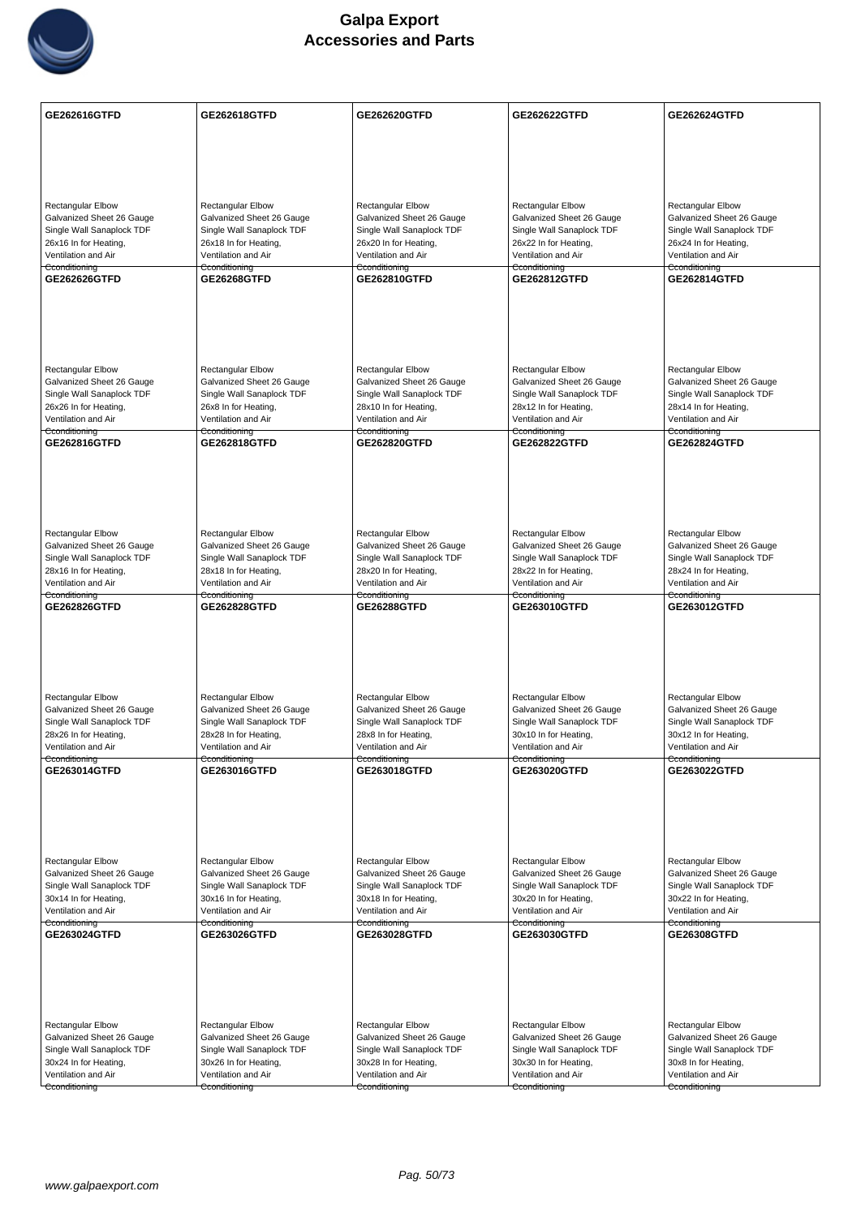

| GE262616GTFD              | GE262618GTFD              | GE262620GTFD              | <b>GE262622GTFD</b>       | GE262624GTFD              |
|---------------------------|---------------------------|---------------------------|---------------------------|---------------------------|
|                           |                           |                           |                           |                           |
|                           |                           |                           |                           |                           |
|                           |                           |                           |                           |                           |
| <b>Rectangular Elbow</b>  | <b>Rectangular Elbow</b>  | Rectangular Elbow         | <b>Rectangular Elbow</b>  | <b>Rectangular Elbow</b>  |
| Galvanized Sheet 26 Gauge | Galvanized Sheet 26 Gauge | Galvanized Sheet 26 Gauge | Galvanized Sheet 26 Gauge | Galvanized Sheet 26 Gauge |
| Single Wall Sanaplock TDF | Single Wall Sanaplock TDF | Single Wall Sanaplock TDF | Single Wall Sanaplock TDF | Single Wall Sanaplock TDF |
| 26x16 In for Heating,     | 26x18 In for Heating,     | 26x20 In for Heating,     | 26x22 In for Heating,     | 26x24 In for Heating,     |
| Ventilation and Air       | Ventilation and Air       | Ventilation and Air       | Ventilation and Air       | Ventilation and Air       |
| Cconditioning             | Cconditioning             | Cconditioning             | Cconditioning             | Cconditioning             |
| GE262626GTFD              | <b>GE26268GTFD</b>        | GE262810GTFD              | GE262812GTFD              | <b>GE262814GTFD</b>       |
|                           |                           |                           |                           |                           |
| Rectangular Elbow         | <b>Rectangular Elbow</b>  | Rectangular Elbow         | <b>Rectangular Elbow</b>  | <b>Rectangular Elbow</b>  |
| Galvanized Sheet 26 Gauge | Galvanized Sheet 26 Gauge | Galvanized Sheet 26 Gauge | Galvanized Sheet 26 Gauge | Galvanized Sheet 26 Gauge |
| Single Wall Sanaplock TDF | Single Wall Sanaplock TDF | Single Wall Sanaplock TDF | Single Wall Sanaplock TDF | Single Wall Sanaplock TDF |
| 26x26 In for Heating,     | 26x8 In for Heating,      | 28x10 In for Heating,     | 28x12 In for Heating,     | 28x14 In for Heating,     |
| Ventilation and Air       | Ventilation and Air       | Ventilation and Air       | Ventilation and Air       | Ventilation and Air       |
| Cconditioning             | Cconditioning             | Cconditioning             | Cconditioning             | Cconditioning             |
| GE262816GTFD              | GE262818GTFD              | GE262820GTFD              | GE262822GTFD              | GE262824GTFD              |
|                           |                           |                           |                           |                           |
| Rectangular Elbow         | Rectangular Elbow         | Rectangular Elbow         | Rectangular Elbow         | Rectangular Elbow         |
| Galvanized Sheet 26 Gauge | Galvanized Sheet 26 Gauge | Galvanized Sheet 26 Gauge | Galvanized Sheet 26 Gauge | Galvanized Sheet 26 Gauge |
| Single Wall Sanaplock TDF | Single Wall Sanaplock TDF | Single Wall Sanaplock TDF | Single Wall Sanaplock TDF | Single Wall Sanaplock TDF |
| 28x16 In for Heating,     | 28x18 In for Heating,     | 28x20 In for Heating,     | 28x22 In for Heating,     | 28x24 In for Heating,     |
| Ventilation and Air       | Ventilation and Air       | Ventilation and Air       | Ventilation and Air       | Ventilation and Air       |
| Cconditioning             | Cconditioning             | Cconditioning             | Cconditioning             | Cconditioning             |
| <b>GE262826GTFD</b>       | <b>GE262828GTFD</b>       | <b>GE26288GTFD</b>        | GE263010GTFD              | <b>GE263012GTFD</b>       |
| Rectangular Elbow         | <b>Rectangular Elbow</b>  | <b>Rectangular Elbow</b>  | <b>Rectangular Elbow</b>  | <b>Rectangular Elbow</b>  |
| Galvanized Sheet 26 Gauge | Galvanized Sheet 26 Gauge | Galvanized Sheet 26 Gauge | Galvanized Sheet 26 Gauge | Galvanized Sheet 26 Gauge |
| Single Wall Sanaplock TDF | Single Wall Sanaplock TDF | Single Wall Sanaplock TDF | Single Wall Sanaplock TDF | Single Wall Sanaplock TDF |
| 28x26 In for Heating,     | 28x28 In for Heating,     | 28x8 In for Heating,      | 30x10 In for Heating,     | 30x12 In for Heating,     |
| Ventilation and Air       | Ventilation and Air       | Ventilation and Air       | Ventilation and Air       | Ventilation and Air       |
| Cconditioning             | Cconditioning             | Cconditioning             | Cconditioning             | Cconditioning             |
| GE263014GTFD              | GE263016GTFD              | GE263018GTFD              | GE263020GTFD              | GE263022GTFD              |
| Rectangular Elbow         | Rectangular Elbow         | <b>Rectangular Elbow</b>  | Rectangular Elbow         | Rectangular Elbow         |
| Galvanized Sheet 26 Gauge | Galvanized Sheet 26 Gauge | Galvanized Sheet 26 Gauge | Galvanized Sheet 26 Gauge | Galvanized Sheet 26 Gauge |
| Single Wall Sanaplock TDF | Single Wall Sanaplock TDF | Single Wall Sanaplock TDF | Single Wall Sanaplock TDF | Single Wall Sanaplock TDF |
| 30x14 In for Heating,     | 30x16 In for Heating,     | 30x18 In for Heating,     | 30x20 In for Heating,     | 30x22 In for Heating,     |
| Ventilation and Air       | Ventilation and Air       | Ventilation and Air       | Ventilation and Air       | Ventilation and Air       |
| Cconditioning             | Cconditioning             | Cconditioning             | Cconditioning             | Cconditioning             |
| GE263024GTFD              | GE263026GTFD              | GE263028GTFD              | GE263030GTFD              | <b>GE26308GTFD</b>        |
| <b>Rectangular Elbow</b>  | Rectangular Elbow         | Rectangular Elbow         | <b>Rectangular Elbow</b>  | <b>Rectangular Elbow</b>  |
| Galvanized Sheet 26 Gauge | Galvanized Sheet 26 Gauge | Galvanized Sheet 26 Gauge | Galvanized Sheet 26 Gauge | Galvanized Sheet 26 Gauge |
| Single Wall Sanaplock TDF | Single Wall Sanaplock TDF | Single Wall Sanaplock TDF | Single Wall Sanaplock TDF | Single Wall Sanaplock TDF |
| 30x24 In for Heating,     | 30x26 In for Heating,     | 30x28 In for Heating,     | 30x30 In for Heating,     | 30x8 In for Heating,      |
| Ventilation and Air       | Ventilation and Air       | Ventilation and Air       | Ventilation and Air       | Ventilation and Air       |
| Cconditioning             | Cconditioning             | Cconditioning             | Cconditioning             | Cconditioning             |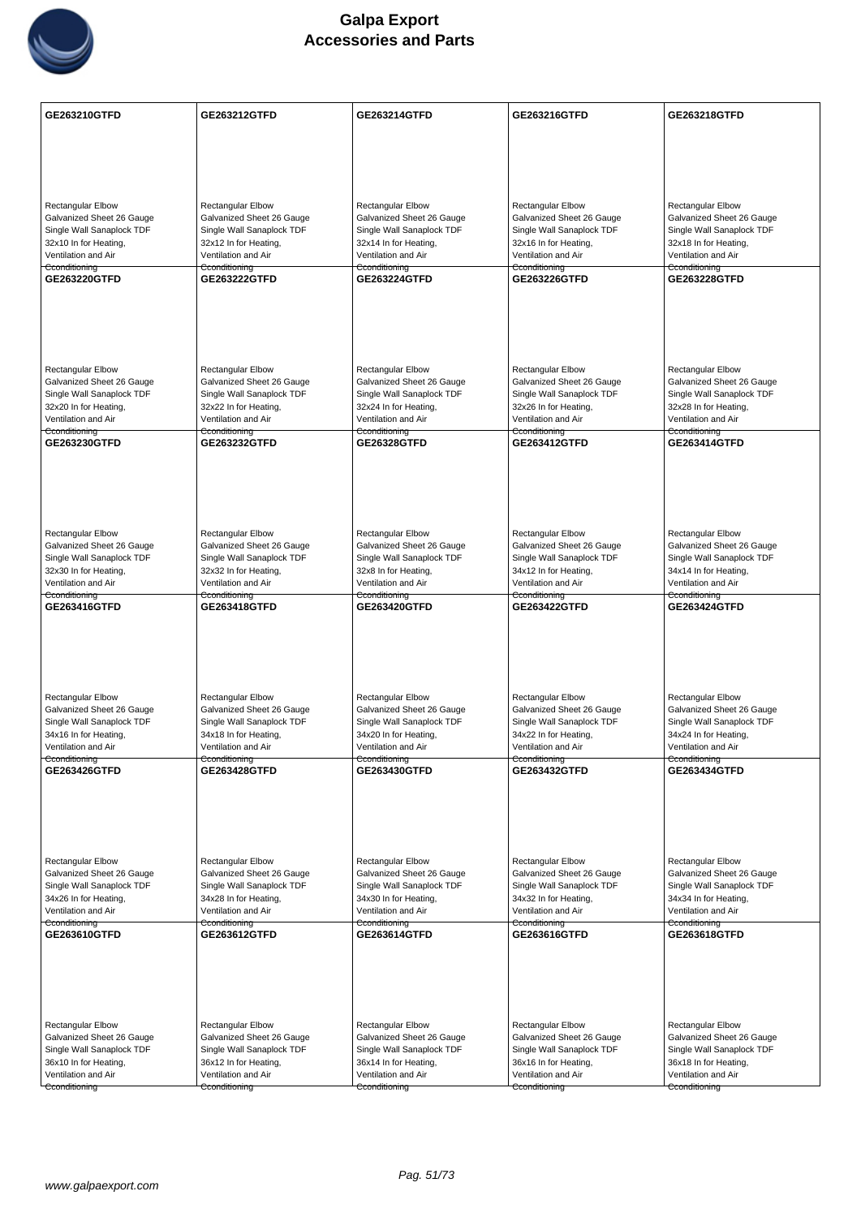

| <b>GE263210GTFD</b>                                    | GE263212GTFD                                           | GE263214GTFD                                           | GE263216GTFD                                           | <b>GE263218GTFD</b>                                    |
|--------------------------------------------------------|--------------------------------------------------------|--------------------------------------------------------|--------------------------------------------------------|--------------------------------------------------------|
|                                                        |                                                        |                                                        |                                                        |                                                        |
|                                                        |                                                        |                                                        |                                                        |                                                        |
|                                                        |                                                        |                                                        |                                                        |                                                        |
|                                                        |                                                        |                                                        |                                                        |                                                        |
| <b>Rectangular Elbow</b>                               | <b>Rectangular Elbow</b>                               | Rectangular Elbow                                      | <b>Rectangular Elbow</b>                               | Rectangular Elbow                                      |
| Galvanized Sheet 26 Gauge<br>Single Wall Sanaplock TDF | Galvanized Sheet 26 Gauge<br>Single Wall Sanaplock TDF | Galvanized Sheet 26 Gauge<br>Single Wall Sanaplock TDF | Galvanized Sheet 26 Gauge<br>Single Wall Sanaplock TDF | Galvanized Sheet 26 Gauge<br>Single Wall Sanaplock TDF |
| 32x10 In for Heating,                                  | 32x12 In for Heating,                                  | 32x14 In for Heating,                                  | 32x16 In for Heating,                                  | 32x18 In for Heating,                                  |
| Ventilation and Air                                    | Ventilation and Air                                    | Ventilation and Air                                    | Ventilation and Air                                    | Ventilation and Air                                    |
| Cconditioning<br>GE263220GTFD                          | Cconditioning<br><b>GE263222GTFD</b>                   | Cconditioning<br>GE263224GTFD                          | Cconditioning<br>GE263226GTFD                          | Cconditioning<br><b>GE263228GTFD</b>                   |
|                                                        |                                                        |                                                        |                                                        |                                                        |
|                                                        |                                                        |                                                        |                                                        |                                                        |
|                                                        |                                                        |                                                        |                                                        |                                                        |
|                                                        |                                                        |                                                        |                                                        |                                                        |
| Rectangular Elbow                                      | Rectangular Elbow                                      | Rectangular Elbow                                      | Rectangular Elbow                                      | Rectangular Elbow                                      |
| Galvanized Sheet 26 Gauge                              | Galvanized Sheet 26 Gauge                              | Galvanized Sheet 26 Gauge                              | Galvanized Sheet 26 Gauge                              | Galvanized Sheet 26 Gauge                              |
| Single Wall Sanaplock TDF                              | Single Wall Sanaplock TDF                              | Single Wall Sanaplock TDF                              | Single Wall Sanaplock TDF                              | Single Wall Sanaplock TDF                              |
| 32x20 In for Heating,<br>Ventilation and Air           | 32x22 In for Heating,<br>Ventilation and Air           | 32x24 In for Heating,<br>Ventilation and Air           | 32x26 In for Heating,<br>Ventilation and Air           | 32x28 In for Heating,<br>Ventilation and Air           |
| Cconditioning                                          | Cconditioning                                          | Cconditioning                                          | Cconditioning                                          | Cconditioning                                          |
| GE263230GTFD                                           | GE263232GTFD                                           | <b>GE26328GTFD</b>                                     | GE263412GTFD                                           | GE263414GTFD                                           |
|                                                        |                                                        |                                                        |                                                        |                                                        |
|                                                        |                                                        |                                                        |                                                        |                                                        |
|                                                        |                                                        |                                                        |                                                        |                                                        |
|                                                        |                                                        |                                                        |                                                        |                                                        |
| Rectangular Elbow                                      | Rectangular Elbow                                      | <b>Rectangular Elbow</b>                               | <b>Rectangular Elbow</b>                               | <b>Rectangular Elbow</b>                               |
| Galvanized Sheet 26 Gauge                              | Galvanized Sheet 26 Gauge                              | Galvanized Sheet 26 Gauge                              | Galvanized Sheet 26 Gauge                              | Galvanized Sheet 26 Gauge                              |
| Single Wall Sanaplock TDF<br>32x30 In for Heating,     | Single Wall Sanaplock TDF<br>32x32 In for Heating,     | Single Wall Sanaplock TDF<br>32x8 In for Heating,      | Single Wall Sanaplock TDF<br>34x12 In for Heating,     | Single Wall Sanaplock TDF<br>34x14 In for Heating,     |
| Ventilation and Air                                    | Ventilation and Air                                    | Ventilation and Air                                    | Ventilation and Air                                    | Ventilation and Air                                    |
| Cconditioning<br>GE263416GTFD                          | Cconditioning<br><b>GE263418GTFD</b>                   | Cconditioning<br>GE263420GTFD                          | Cconditioning<br><b>GE263422GTFD</b>                   | Cconditioning<br><b>GE263424GTFD</b>                   |
|                                                        |                                                        |                                                        |                                                        |                                                        |
|                                                        |                                                        |                                                        |                                                        |                                                        |
|                                                        |                                                        |                                                        |                                                        |                                                        |
|                                                        |                                                        |                                                        |                                                        |                                                        |
| Rectangular Elbow                                      | Rectangular Elbow                                      | <b>Rectangular Elbow</b>                               | Rectangular Elbow                                      | <b>Rectangular Elbow</b>                               |
| Galvanized Sheet 26 Gauge                              | Galvanized Sheet 26 Gauge                              | Galvanized Sheet 26 Gauge                              | Galvanized Sheet 26 Gauge                              | Galvanized Sheet 26 Gauge                              |
| Single Wall Sanaplock TDF                              | Single Wall Sanaplock TDF                              | Single Wall Sanaplock TDF                              | Single Wall Sanaplock TDF                              | Single Wall Sanaplock TDF                              |
| 34x16 In for Heating,<br>Ventilation and Air           | 34x18 In for Heating,<br>Ventilation and Air           | 34x20 In for Heating,<br>Ventilation and Air           | 34x22 In for Heating,<br>Ventilation and Air           | 34x24 In for Heating,<br>Ventilation and Air           |
| Cconditioning                                          | Cconditioning                                          | Cconditioning                                          | Cconditioning                                          | Cconditioning                                          |
| GE263426GTFD                                           | GE263428GTFD                                           | GE263430GTFD                                           | GE263432GTFD                                           | GE263434GTFD                                           |
|                                                        |                                                        |                                                        |                                                        |                                                        |
|                                                        |                                                        |                                                        |                                                        |                                                        |
|                                                        |                                                        |                                                        |                                                        |                                                        |
|                                                        |                                                        |                                                        |                                                        |                                                        |
| Rectangular Elbow                                      | <b>Rectangular Elbow</b>                               | Rectangular Elbow                                      | <b>Rectangular Elbow</b>                               | Rectangular Elbow                                      |
| Galvanized Sheet 26 Gauge<br>Single Wall Sanaplock TDF | Galvanized Sheet 26 Gauge<br>Single Wall Sanaplock TDF | Galvanized Sheet 26 Gauge<br>Single Wall Sanaplock TDF | Galvanized Sheet 26 Gauge<br>Single Wall Sanaplock TDF | Galvanized Sheet 26 Gauge<br>Single Wall Sanaplock TDF |
| 34x26 In for Heating,                                  | 34x28 In for Heating,                                  | 34x30 In for Heating,                                  | 34x32 In for Heating,                                  | 34x34 In for Heating,                                  |
| Ventilation and Air                                    | Ventilation and Air                                    | Ventilation and Air                                    | Ventilation and Air                                    | Ventilation and Air                                    |
| Cconditioning<br>GE263610GTFD                          | Cconditioning<br>GE263612GTFD                          | Cconditioning<br>GE263614GTFD                          | Cconditioning<br>GE263616GTFD                          | Cconditioning<br>GE263618GTFD                          |
|                                                        |                                                        |                                                        |                                                        |                                                        |
|                                                        |                                                        |                                                        |                                                        |                                                        |
|                                                        |                                                        |                                                        |                                                        |                                                        |
|                                                        |                                                        |                                                        |                                                        |                                                        |
| <b>Rectangular Elbow</b>                               | Rectangular Elbow                                      | <b>Rectangular Elbow</b>                               | <b>Rectangular Elbow</b>                               | <b>Rectangular Elbow</b>                               |
| Galvanized Sheet 26 Gauge                              | Galvanized Sheet 26 Gauge                              | Galvanized Sheet 26 Gauge                              | Galvanized Sheet 26 Gauge                              | Galvanized Sheet 26 Gauge                              |
| Single Wall Sanaplock TDF                              | Single Wall Sanaplock TDF                              | Single Wall Sanaplock TDF                              | Single Wall Sanaplock TDF                              | Single Wall Sanaplock TDF                              |
| 36x10 In for Heating,<br>Ventilation and Air           | 36x12 In for Heating,<br>Ventilation and Air           | 36x14 In for Heating,<br>Ventilation and Air           | 36x16 In for Heating,<br>Ventilation and Air           | 36x18 In for Heating,<br>Ventilation and Air           |
| Cconditioning                                          | Cconditioning                                          | Cconditioning                                          | Cconditioning                                          | Cconditioning                                          |
|                                                        |                                                        |                                                        |                                                        |                                                        |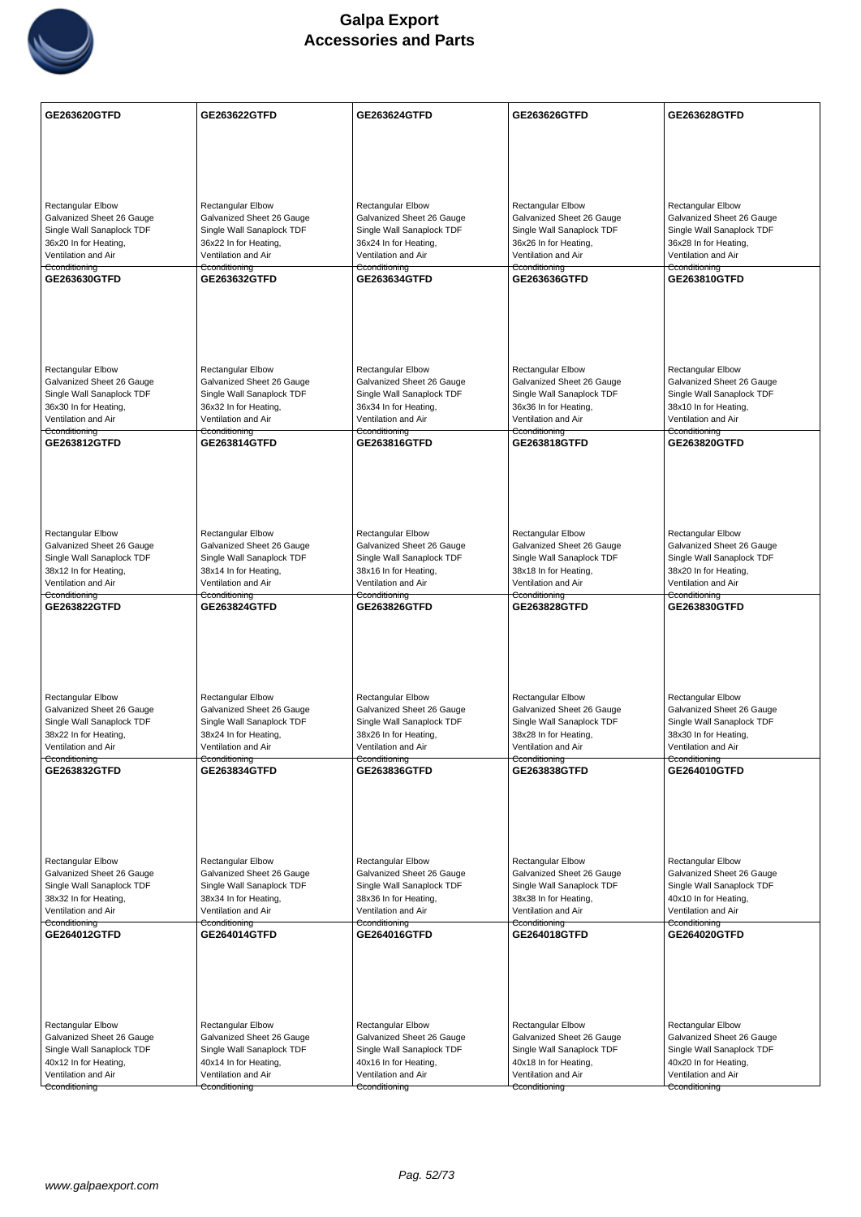

| GE263620GTFD                                           | GE263622GTFD                                           | GE263624GTFD                                           | GE263626GTFD                                           | GE263628GTFD                                           |
|--------------------------------------------------------|--------------------------------------------------------|--------------------------------------------------------|--------------------------------------------------------|--------------------------------------------------------|
|                                                        |                                                        |                                                        |                                                        |                                                        |
|                                                        |                                                        |                                                        |                                                        |                                                        |
|                                                        |                                                        |                                                        |                                                        |                                                        |
| <b>Rectangular Elbow</b>                               | <b>Rectangular Elbow</b>                               | Rectangular Elbow                                      | <b>Rectangular Elbow</b>                               | Rectangular Elbow                                      |
| Galvanized Sheet 26 Gauge                              | Galvanized Sheet 26 Gauge                              | Galvanized Sheet 26 Gauge                              | Galvanized Sheet 26 Gauge                              | Galvanized Sheet 26 Gauge                              |
| Single Wall Sanaplock TDF<br>36x20 In for Heating,     | Single Wall Sanaplock TDF<br>36x22 In for Heating,     | Single Wall Sanaplock TDF<br>36x24 In for Heating,     | Single Wall Sanaplock TDF<br>36x26 In for Heating,     | Single Wall Sanaplock TDF<br>36x28 In for Heating,     |
| Ventilation and Air                                    | Ventilation and Air                                    | Ventilation and Air                                    | Ventilation and Air                                    | Ventilation and Air                                    |
| Cconditioning<br>GE263630GTFD                          | Cconditioning<br>GE263632GTFD                          | Cconditioning<br>GE263634GTFD                          | Cconditioning<br>GE263636GTFD                          | Cconditioning<br>GE263810GTFD                          |
|                                                        |                                                        |                                                        |                                                        |                                                        |
|                                                        |                                                        |                                                        |                                                        |                                                        |
|                                                        |                                                        |                                                        |                                                        |                                                        |
|                                                        |                                                        |                                                        |                                                        |                                                        |
| <b>Rectangular Elbow</b><br>Galvanized Sheet 26 Gauge  | <b>Rectangular Elbow</b><br>Galvanized Sheet 26 Gauge  | Rectangular Elbow<br>Galvanized Sheet 26 Gauge         | <b>Rectangular Elbow</b><br>Galvanized Sheet 26 Gauge  | <b>Rectangular Elbow</b><br>Galvanized Sheet 26 Gauge  |
| Single Wall Sanaplock TDF                              | Single Wall Sanaplock TDF                              | Single Wall Sanaplock TDF                              | Single Wall Sanaplock TDF                              | Single Wall Sanaplock TDF                              |
| 36x30 In for Heating,<br>Ventilation and Air           | 36x32 In for Heating,<br>Ventilation and Air           | 36x34 In for Heating,<br>Ventilation and Air           | 36x36 In for Heating,<br>Ventilation and Air           | 38x10 In for Heating,<br>Ventilation and Air           |
| Cconditioning<br>GE263812GTFD                          | Cconditioning<br><b>GE263814GTFD</b>                   | Cconditioning<br>GE263816GTFD                          | Cconditioning<br>GE263818GTFD                          | Cconditioning<br><b>GE263820GTFD</b>                   |
|                                                        |                                                        |                                                        |                                                        |                                                        |
|                                                        |                                                        |                                                        |                                                        |                                                        |
|                                                        |                                                        |                                                        |                                                        |                                                        |
|                                                        |                                                        |                                                        |                                                        |                                                        |
| <b>Rectangular Elbow</b>                               | <b>Rectangular Elbow</b>                               | <b>Rectangular Elbow</b>                               | <b>Rectangular Elbow</b>                               | <b>Rectangular Elbow</b>                               |
| Galvanized Sheet 26 Gauge<br>Single Wall Sanaplock TDF | Galvanized Sheet 26 Gauge<br>Single Wall Sanaplock TDF | Galvanized Sheet 26 Gauge<br>Single Wall Sanaplock TDF | Galvanized Sheet 26 Gauge<br>Single Wall Sanaplock TDF | Galvanized Sheet 26 Gauge<br>Single Wall Sanaplock TDF |
| 38x12 In for Heating,                                  | 38x14 In for Heating,                                  | 38x16 In for Heating,                                  | 38x18 In for Heating,                                  | 38x20 In for Heating,                                  |
| Ventilation and Air<br>Cconditioning                   | Ventilation and Air<br>Cconditioning                   | Ventilation and Air<br>Cconditioning                   | Ventilation and Air<br>Cconditioning                   | Ventilation and Air<br>Cconditioning                   |
| GE263822GTFD                                           | GE263824GTFD                                           | GE263826GTFD                                           | GE263828GTFD                                           | GE263830GTFD                                           |
|                                                        |                                                        |                                                        |                                                        |                                                        |
|                                                        |                                                        |                                                        |                                                        |                                                        |
|                                                        |                                                        |                                                        |                                                        |                                                        |
| Rectangular Elbow                                      | Rectangular Elbow                                      | <b>Rectangular Elbow</b>                               | Rectangular Elbow                                      | <b>Rectangular Elbow</b>                               |
| Galvanized Sheet 26 Gauge<br>Single Wall Sanaplock TDF | Galvanized Sheet 26 Gauge<br>Single Wall Sanaplock TDF | Galvanized Sheet 26 Gauge<br>Single Wall Sanaplock TDF | Galvanized Sheet 26 Gauge<br>Single Wall Sanaplock TDF | Galvanized Sheet 26 Gauge<br>Single Wall Sanaplock TDF |
| 38x22 In for Heating,                                  | 38x24 In for Heating,                                  | 38x26 In for Heating,                                  | 38x28 In for Heating,                                  | 38x30 In for Heating,                                  |
| Ventilation and Air<br>Cconditioning                   | Ventilation and Air<br>Cconditioning                   | Ventilation and Air<br>Cconditioning                   | Ventilation and Air<br>Cconditioning                   | Ventilation and Air<br>Cconditioning                   |
| GE263832GTFD                                           | GE263834GTFD                                           | GE263836GTFD                                           | GE263838GTFD                                           | GE264010GTFD                                           |
|                                                        |                                                        |                                                        |                                                        |                                                        |
|                                                        |                                                        |                                                        |                                                        |                                                        |
|                                                        |                                                        |                                                        |                                                        |                                                        |
| Rectangular Elbow                                      | Rectangular Elbow                                      | <b>Rectangular Elbow</b>                               | <b>Rectangular Elbow</b>                               | <b>Rectangular Elbow</b>                               |
| Galvanized Sheet 26 Gauge                              | Galvanized Sheet 26 Gauge                              | Galvanized Sheet 26 Gauge                              | Galvanized Sheet 26 Gauge                              | Galvanized Sheet 26 Gauge                              |
| Single Wall Sanaplock TDF<br>38x32 In for Heating,     | Single Wall Sanaplock TDF<br>38x34 In for Heating,     | Single Wall Sanaplock TDF<br>38x36 In for Heating,     | Single Wall Sanaplock TDF<br>38x38 In for Heating,     | Single Wall Sanaplock TDF<br>40x10 In for Heating,     |
| Ventilation and Air                                    | Ventilation and Air                                    | Ventilation and Air                                    | Ventilation and Air                                    | Ventilation and Air                                    |
| Cconditioning<br>GE264012GTFD                          | Cconditioning<br>GE264014GTFD                          | Cconditioning<br>GE264016GTFD                          | Cconditioning<br>GE264018GTFD                          | Cconditioning<br>GE264020GTFD                          |
|                                                        |                                                        |                                                        |                                                        |                                                        |
|                                                        |                                                        |                                                        |                                                        |                                                        |
|                                                        |                                                        |                                                        |                                                        |                                                        |
|                                                        |                                                        |                                                        |                                                        |                                                        |
| Rectangular Elbow<br>Galvanized Sheet 26 Gauge         | <b>Rectangular Elbow</b><br>Galvanized Sheet 26 Gauge  | Rectangular Elbow<br>Galvanized Sheet 26 Gauge         | <b>Rectangular Elbow</b><br>Galvanized Sheet 26 Gauge  | Rectangular Elbow<br>Galvanized Sheet 26 Gauge         |
| Single Wall Sanaplock TDF                              | Single Wall Sanaplock TDF                              | Single Wall Sanaplock TDF                              | Single Wall Sanaplock TDF                              | Single Wall Sanaplock TDF                              |
| 40x12 In for Heating,<br>Ventilation and Air           | 40x14 In for Heating,<br>Ventilation and Air           | 40x16 In for Heating,<br>Ventilation and Air           | 40x18 In for Heating,<br>Ventilation and Air           | 40x20 In for Heating,<br>Ventilation and Air           |
| Cconditioning                                          | Cconditioning                                          | Cconditioning                                          | Cconditioning                                          | Cconditioning                                          |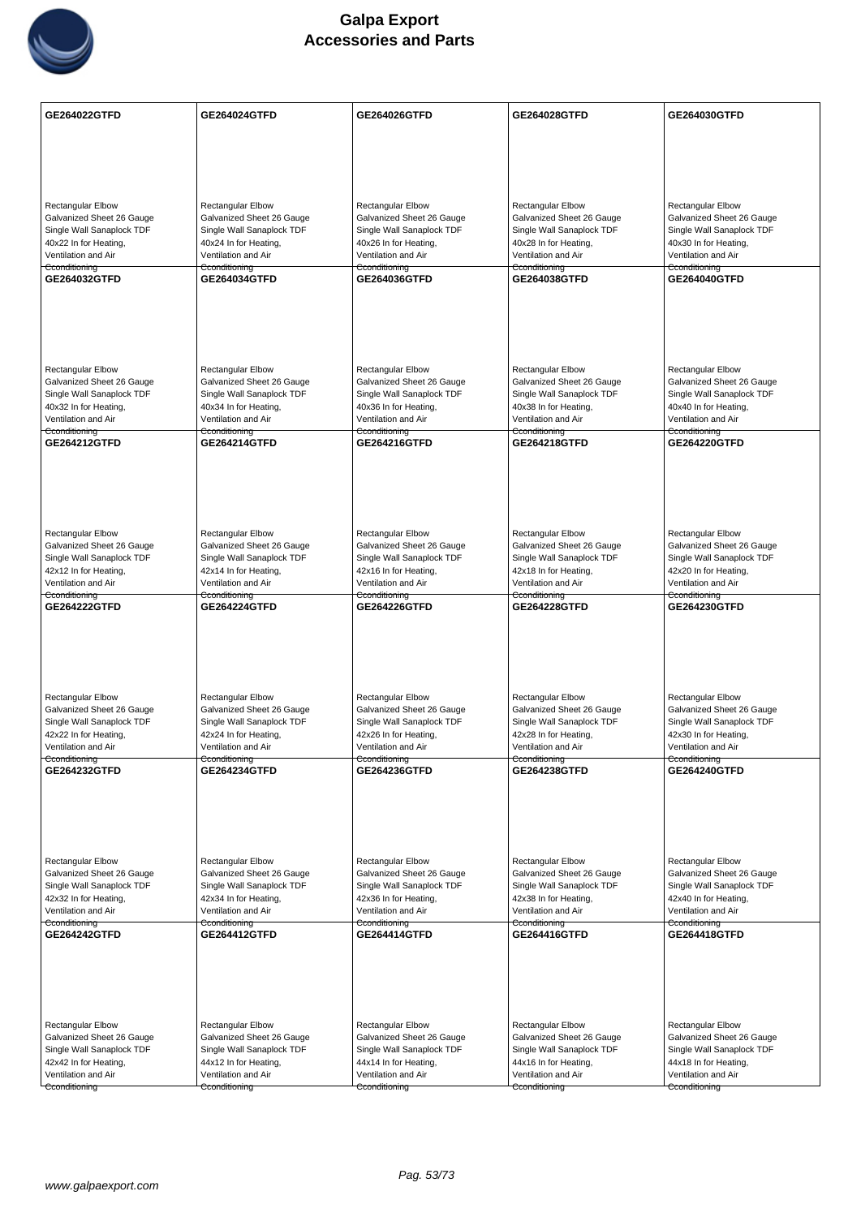

| <b>GE264022GTFD</b>       | GE264024GTFD              | GE264026GTFD              | GE264028GTFD              | GE264030GTFD              |
|---------------------------|---------------------------|---------------------------|---------------------------|---------------------------|
|                           |                           |                           |                           |                           |
|                           |                           |                           |                           |                           |
|                           |                           |                           |                           |                           |
| <b>Rectangular Elbow</b>  | <b>Rectangular Elbow</b>  | Rectangular Elbow         | <b>Rectangular Elbow</b>  | <b>Rectangular Elbow</b>  |
| Galvanized Sheet 26 Gauge | Galvanized Sheet 26 Gauge | Galvanized Sheet 26 Gauge | Galvanized Sheet 26 Gauge | Galvanized Sheet 26 Gauge |
| Single Wall Sanaplock TDF | Single Wall Sanaplock TDF | Single Wall Sanaplock TDF | Single Wall Sanaplock TDF | Single Wall Sanaplock TDF |
| 40x22 In for Heating,     | 40x24 In for Heating,     | 40x26 In for Heating,     | 40x28 In for Heating,     | 40x30 In for Heating,     |
| Ventilation and Air       | Ventilation and Air       | Ventilation and Air       | Ventilation and Air       | Ventilation and Air       |
| Cconditioning             | Cconditioning             | Cconditioning             | Cconditioning             | Cconditioning             |
| GE264032GTFD              | GE264034GTFD              | GE264036GTFD              | GE264038GTFD              | GE264040GTFD              |
|                           |                           |                           |                           |                           |
| <b>Rectangular Elbow</b>  | <b>Rectangular Elbow</b>  | Rectangular Elbow         | <b>Rectangular Elbow</b>  | <b>Rectangular Elbow</b>  |
| Galvanized Sheet 26 Gauge | Galvanized Sheet 26 Gauge | Galvanized Sheet 26 Gauge | Galvanized Sheet 26 Gauge | Galvanized Sheet 26 Gauge |
| Single Wall Sanaplock TDF | Single Wall Sanaplock TDF | Single Wall Sanaplock TDF | Single Wall Sanaplock TDF | Single Wall Sanaplock TDF |
| 40x32 In for Heating,     | 40x34 In for Heating,     | 40x36 In for Heating,     | 40x38 In for Heating,     | 40x40 In for Heating,     |
| Ventilation and Air       | Ventilation and Air       | Ventilation and Air       | Ventilation and Air       | Ventilation and Air       |
| Cconditioning             | Cconditioning             | Cconditioning             | Cconditioning             | Cconditioning             |
| GE264212GTFD              | GE264214GTFD              | GE264216GTFD              | GE264218GTFD              | GE264220GTFD              |
|                           |                           |                           |                           |                           |
| Rectangular Elbow         | Rectangular Elbow         | Rectangular Elbow         | Rectangular Elbow         | Rectangular Elbow         |
| Galvanized Sheet 26 Gauge | Galvanized Sheet 26 Gauge | Galvanized Sheet 26 Gauge | Galvanized Sheet 26 Gauge | Galvanized Sheet 26 Gauge |
| Single Wall Sanaplock TDF | Single Wall Sanaplock TDF | Single Wall Sanaplock TDF | Single Wall Sanaplock TDF | Single Wall Sanaplock TDF |
| 42x12 In for Heating,     | 42x14 In for Heating,     | 42x16 In for Heating,     | 42x18 In for Heating,     | 42x20 In for Heating,     |
| Ventilation and Air       | Ventilation and Air       | Ventilation and Air       | Ventilation and Air       | Ventilation and Air       |
| Cconditioning             | Cconditioning             | Cconditioning             | Cconditioning             | Cconditioning             |
| <b>GE264222GTFD</b>       | <b>GE264224GTFD</b>       | <b>GE264226GTFD</b>       | <b>GE264228GTFD</b>       | <b>GE264230GTFD</b>       |
| Rectangular Elbow         | <b>Rectangular Elbow</b>  | <b>Rectangular Elbow</b>  | <b>Rectangular Elbow</b>  | <b>Rectangular Elbow</b>  |
| Galvanized Sheet 26 Gauge | Galvanized Sheet 26 Gauge | Galvanized Sheet 26 Gauge | Galvanized Sheet 26 Gauge | Galvanized Sheet 26 Gauge |
| Single Wall Sanaplock TDF | Single Wall Sanaplock TDF | Single Wall Sanaplock TDF | Single Wall Sanaplock TDF | Single Wall Sanaplock TDF |
| 42x22 In for Heating,     | 42x24 In for Heating,     | 42x26 In for Heating,     | 42x28 In for Heating,     | 42x30 In for Heating,     |
| Ventilation and Air       | Ventilation and Air       | Ventilation and Air       | Ventilation and Air       | Ventilation and Air       |
| Cconditioning             | Cconditioning             | Cconditioning             | Cconditioning             | Cconditioning             |
| <b>GE264232GTFD</b>       | GE264234GTFD              | GE264236GTFD              | <b>GE264238GTFD</b>       | <b>GE264240GTFD</b>       |
| Rectangular Elbow         | Rectangular Elbow         | Rectangular Elbow         | Rectangular Elbow         | Rectangular Elbow         |
| Galvanized Sheet 26 Gauge | Galvanized Sheet 26 Gauge | Galvanized Sheet 26 Gauge | Galvanized Sheet 26 Gauge | Galvanized Sheet 26 Gauge |
| Single Wall Sanaplock TDF | Single Wall Sanaplock TDF | Single Wall Sanaplock TDF | Single Wall Sanaplock TDF | Single Wall Sanaplock TDF |
| 42x32 In for Heating,     | 42x34 In for Heating,     | 42x36 In for Heating,     | 42x38 In for Heating,     | 42x40 In for Heating,     |
| Ventilation and Air       | Ventilation and Air       | Ventilation and Air       | Ventilation and Air       | Ventilation and Air       |
| Cconditioning             | Cconditioning             | Cconditioning             | Cconditioning             | Cconditioning             |
| GE264242GTFD              | <b>GE264412GTFD</b>       | GE264414GTFD              | GE264416GTFD              | GE264418GTFD              |
|                           |                           |                           |                           |                           |
| <b>Rectangular Elbow</b>  | Rectangular Elbow         | Rectangular Elbow         | <b>Rectangular Elbow</b>  | <b>Rectangular Elbow</b>  |
| Galvanized Sheet 26 Gauge | Galvanized Sheet 26 Gauge | Galvanized Sheet 26 Gauge | Galvanized Sheet 26 Gauge | Galvanized Sheet 26 Gauge |
| Single Wall Sanaplock TDF | Single Wall Sanaplock TDF | Single Wall Sanaplock TDF | Single Wall Sanaplock TDF | Single Wall Sanaplock TDF |
| 42x42 In for Heating,     | 44x12 In for Heating,     | 44x14 In for Heating,     | 44x16 In for Heating,     | 44x18 In for Heating,     |
| Ventilation and Air       | Ventilation and Air       | Ventilation and Air       | Ventilation and Air       | Ventilation and Air       |
| Cconditioning             | Cconditioning             | Cconditioning             | Cconditioning             | Cconditioning             |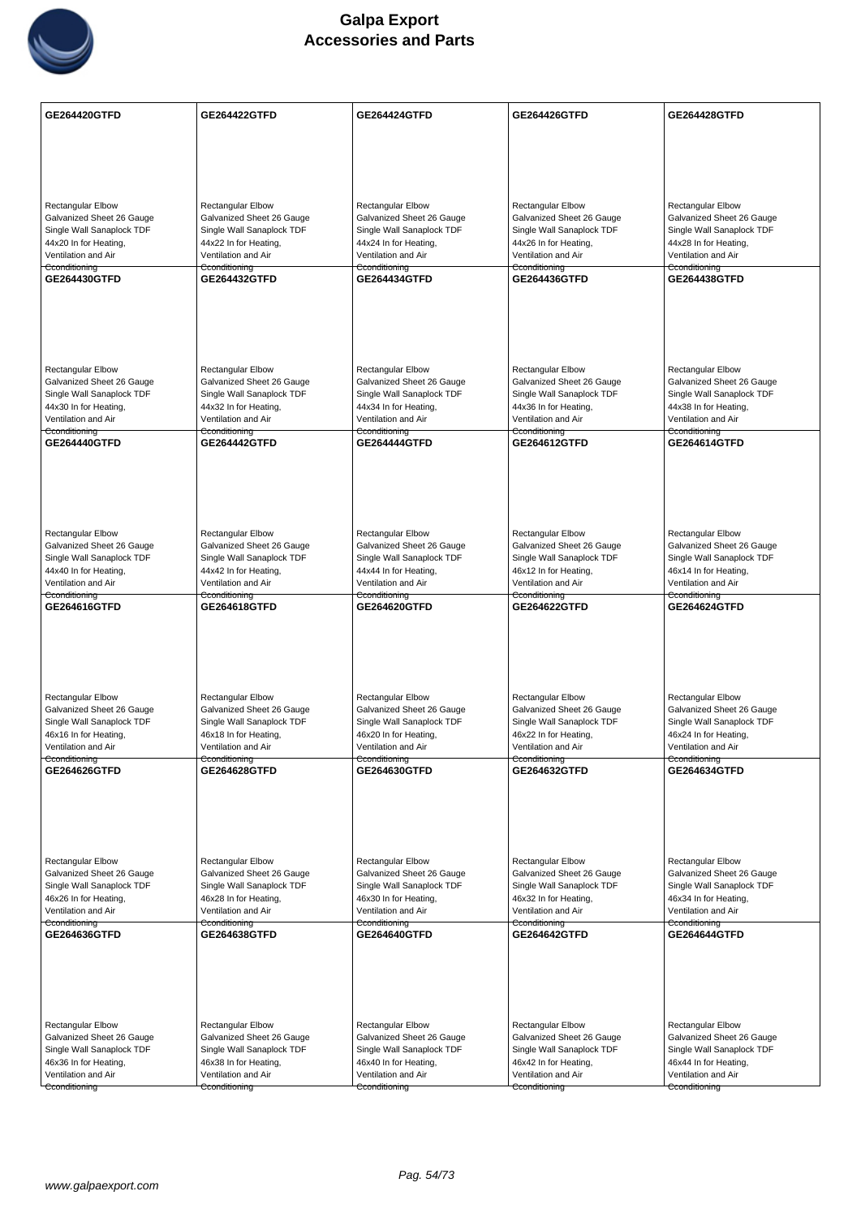

| <b>GE264420GTFD</b>                                    | GE264422GTFD                                           | GE264424GTFD                                           | <b>GE264426GTFD</b>                                    | GE264428GTFD                                           |
|--------------------------------------------------------|--------------------------------------------------------|--------------------------------------------------------|--------------------------------------------------------|--------------------------------------------------------|
|                                                        |                                                        |                                                        |                                                        |                                                        |
|                                                        |                                                        |                                                        |                                                        |                                                        |
|                                                        |                                                        |                                                        |                                                        |                                                        |
|                                                        |                                                        |                                                        |                                                        |                                                        |
| <b>Rectangular Elbow</b>                               | <b>Rectangular Elbow</b>                               | Rectangular Elbow                                      | <b>Rectangular Elbow</b>                               | Rectangular Elbow                                      |
| Galvanized Sheet 26 Gauge<br>Single Wall Sanaplock TDF | Galvanized Sheet 26 Gauge<br>Single Wall Sanaplock TDF | Galvanized Sheet 26 Gauge<br>Single Wall Sanaplock TDF | Galvanized Sheet 26 Gauge<br>Single Wall Sanaplock TDF | Galvanized Sheet 26 Gauge<br>Single Wall Sanaplock TDF |
| 44x20 In for Heating,                                  | 44x22 In for Heating,                                  | 44x24 In for Heating,                                  | 44x26 In for Heating,                                  | 44x28 In for Heating,                                  |
| Ventilation and Air                                    | Ventilation and Air                                    | Ventilation and Air                                    | Ventilation and Air                                    | Ventilation and Air                                    |
| Cconditioning<br>GE264430GTFD                          | Cconditioning<br><b>GE264432GTFD</b>                   | Cconditioning<br>GE264434GTFD                          | Cconditioning<br><b>GE264436GTFD</b>                   | Cconditioning<br>GE264438GTFD                          |
|                                                        |                                                        |                                                        |                                                        |                                                        |
|                                                        |                                                        |                                                        |                                                        |                                                        |
|                                                        |                                                        |                                                        |                                                        |                                                        |
|                                                        |                                                        |                                                        |                                                        |                                                        |
|                                                        |                                                        |                                                        |                                                        |                                                        |
| <b>Rectangular Elbow</b>                               | <b>Rectangular Elbow</b>                               | Rectangular Elbow                                      | <b>Rectangular Elbow</b>                               | <b>Rectangular Elbow</b>                               |
| Galvanized Sheet 26 Gauge<br>Single Wall Sanaplock TDF | Galvanized Sheet 26 Gauge<br>Single Wall Sanaplock TDF | Galvanized Sheet 26 Gauge<br>Single Wall Sanaplock TDF | Galvanized Sheet 26 Gauge<br>Single Wall Sanaplock TDF | Galvanized Sheet 26 Gauge<br>Single Wall Sanaplock TDF |
| 44x30 In for Heating,                                  | 44x32 In for Heating,                                  | 44x34 In for Heating,                                  | 44x36 In for Heating,                                  | 44x38 In for Heating,                                  |
| Ventilation and Air<br>Cconditioning                   | Ventilation and Air<br>Cconditioning                   | Ventilation and Air                                    | Ventilation and Air                                    | Ventilation and Air                                    |
| <b>GE264440GTFD</b>                                    | <b>GE264442GTFD</b>                                    | Cconditioning<br><b>GE264444GTFD</b>                   | Cconditioning<br>GE264612GTFD                          | Cconditioning<br><b>GE264614GTFD</b>                   |
|                                                        |                                                        |                                                        |                                                        |                                                        |
|                                                        |                                                        |                                                        |                                                        |                                                        |
|                                                        |                                                        |                                                        |                                                        |                                                        |
|                                                        |                                                        |                                                        |                                                        |                                                        |
| <b>Rectangular Elbow</b>                               | <b>Rectangular Elbow</b>                               | Rectangular Elbow                                      | <b>Rectangular Elbow</b>                               | <b>Rectangular Elbow</b>                               |
| Galvanized Sheet 26 Gauge                              | Galvanized Sheet 26 Gauge                              | Galvanized Sheet 26 Gauge                              | Galvanized Sheet 26 Gauge                              | Galvanized Sheet 26 Gauge                              |
| Single Wall Sanaplock TDF                              | Single Wall Sanaplock TDF                              | Single Wall Sanaplock TDF                              | Single Wall Sanaplock TDF                              | Single Wall Sanaplock TDF                              |
| 44x40 In for Heating,<br>Ventilation and Air           | 44x42 In for Heating,<br>Ventilation and Air           | 44x44 In for Heating,<br>Ventilation and Air           | 46x12 In for Heating,<br>Ventilation and Air           | 46x14 In for Heating,<br>Ventilation and Air           |
| Cconditioning                                          | Cconditioning                                          | Cconditioning                                          | Cconditioning                                          | Cconditioning                                          |
| GE264616GTFD                                           | GE264618GTFD                                           | GE264620GTFD                                           | GE264622GTFD                                           | GE264624GTFD                                           |
|                                                        |                                                        |                                                        |                                                        |                                                        |
|                                                        |                                                        |                                                        |                                                        |                                                        |
|                                                        |                                                        |                                                        |                                                        |                                                        |
|                                                        |                                                        |                                                        |                                                        |                                                        |
| Rectangular Elbow                                      | <b>Rectangular Elbow</b>                               | <b>Rectangular Elbow</b>                               | Rectangular Elbow                                      | <b>Rectangular Elbow</b>                               |
| Galvanized Sheet 26 Gauge                              | Galvanized Sheet 26 Gauge                              | Galvanized Sheet 26 Gauge                              | Galvanized Sheet 26 Gauge                              | Galvanized Sheet 26 Gauge                              |
| Single Wall Sanaplock TDF<br>46x16 In for Heating,     | Single Wall Sanaplock TDF<br>46x18 In for Heating,     | Single Wall Sanaplock TDF<br>46x20 In for Heating,     | Single Wall Sanaplock TDF<br>46x22 In for Heating,     | Single Wall Sanaplock TDF<br>46x24 In for Heating,     |
| Ventilation and Air                                    | Ventilation and Air                                    | Ventilation and Air                                    | Ventilation and Air                                    | Ventilation and Air                                    |
| Cconditioning                                          | Cconditioning                                          | Cconditioning                                          | Cconditioning                                          | Cconditioning                                          |
| GE264626GTFD                                           | <b>GE264628GTFD</b>                                    | GE264630GTFD                                           | GE264632GTFD                                           | <b>GE264634GTFD</b>                                    |
|                                                        |                                                        |                                                        |                                                        |                                                        |
|                                                        |                                                        |                                                        |                                                        |                                                        |
|                                                        |                                                        |                                                        |                                                        |                                                        |
|                                                        |                                                        |                                                        |                                                        |                                                        |
| Rectangular Elbow                                      | <b>Rectangular Elbow</b>                               | <b>Rectangular Elbow</b>                               | <b>Rectangular Elbow</b>                               | <b>Rectangular Elbow</b>                               |
| Galvanized Sheet 26 Gauge<br>Single Wall Sanaplock TDF | Galvanized Sheet 26 Gauge<br>Single Wall Sanaplock TDF | Galvanized Sheet 26 Gauge<br>Single Wall Sanaplock TDF | Galvanized Sheet 26 Gauge<br>Single Wall Sanaplock TDF | Galvanized Sheet 26 Gauge<br>Single Wall Sanaplock TDF |
| 46x26 In for Heating,                                  | 46x28 In for Heating,                                  | 46x30 In for Heating,                                  | 46x32 In for Heating,                                  | 46x34 In for Heating,                                  |
| Ventilation and Air                                    | Ventilation and Air                                    | Ventilation and Air                                    | Ventilation and Air                                    | Ventilation and Air                                    |
| Cconditioning<br>GE264636GTFD                          | Cconditioning<br>GE264638GTFD                          | Cconditioning<br>GE264640GTFD                          | Cconditioning<br>GE264642GTFD                          | Cconditioning<br>GE264644GTFD                          |
|                                                        |                                                        |                                                        |                                                        |                                                        |
|                                                        |                                                        |                                                        |                                                        |                                                        |
|                                                        |                                                        |                                                        |                                                        |                                                        |
|                                                        |                                                        |                                                        |                                                        |                                                        |
|                                                        |                                                        |                                                        |                                                        |                                                        |
| Rectangular Elbow                                      | <b>Rectangular Elbow</b>                               | Rectangular Elbow                                      | <b>Rectangular Elbow</b>                               | Rectangular Elbow                                      |
| Galvanized Sheet 26 Gauge<br>Single Wall Sanaplock TDF | Galvanized Sheet 26 Gauge<br>Single Wall Sanaplock TDF | Galvanized Sheet 26 Gauge<br>Single Wall Sanaplock TDF | Galvanized Sheet 26 Gauge<br>Single Wall Sanaplock TDF | Galvanized Sheet 26 Gauge<br>Single Wall Sanaplock TDF |
| 46x36 In for Heating,                                  | 46x38 In for Heating,                                  | 46x40 In for Heating,                                  | 46x42 In for Heating,                                  | 46x44 In for Heating,                                  |
| Ventilation and Air                                    | Ventilation and Air                                    | Ventilation and Air                                    | Ventilation and Air                                    | Ventilation and Air                                    |
| Cconditioning                                          | Cconditioning                                          | Cconditioning                                          | Cconditioning                                          | Cconditioning                                          |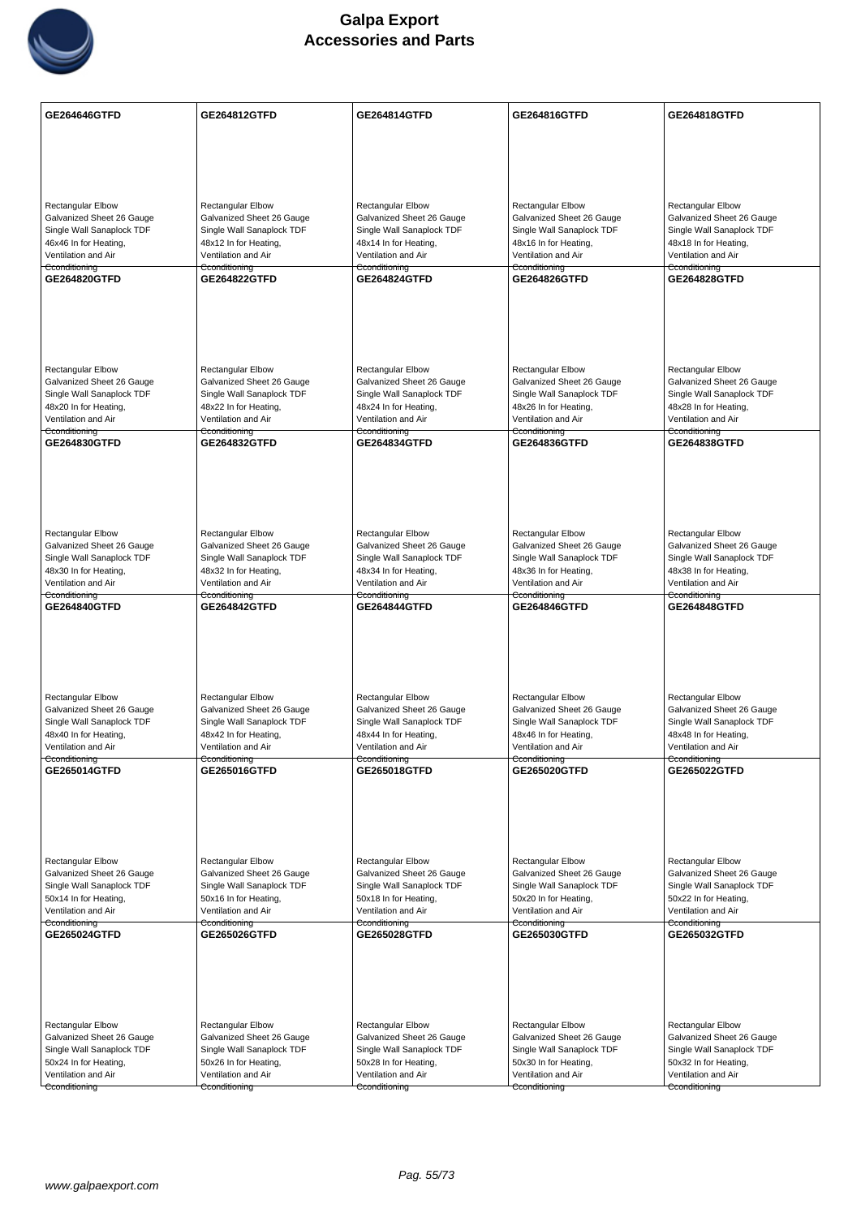

| GE264646GTFD                                           | GE264812GTFD                                           | GE264814GTFD                                           | GE264816GTFD                                           | GE264818GTFD                                           |
|--------------------------------------------------------|--------------------------------------------------------|--------------------------------------------------------|--------------------------------------------------------|--------------------------------------------------------|
|                                                        |                                                        |                                                        |                                                        |                                                        |
|                                                        |                                                        |                                                        |                                                        |                                                        |
|                                                        |                                                        |                                                        |                                                        |                                                        |
|                                                        |                                                        |                                                        |                                                        |                                                        |
| <b>Rectangular Elbow</b>                               | <b>Rectangular Elbow</b>                               | Rectangular Elbow                                      | <b>Rectangular Elbow</b>                               | Rectangular Elbow                                      |
| Galvanized Sheet 26 Gauge                              | Galvanized Sheet 26 Gauge                              | Galvanized Sheet 26 Gauge                              | Galvanized Sheet 26 Gauge                              | Galvanized Sheet 26 Gauge                              |
| Single Wall Sanaplock TDF<br>46x46 In for Heating,     | Single Wall Sanaplock TDF<br>48x12 In for Heating,     | Single Wall Sanaplock TDF<br>48x14 In for Heating,     | Single Wall Sanaplock TDF<br>48x16 In for Heating,     | Single Wall Sanaplock TDF<br>48x18 In for Heating,     |
| Ventilation and Air                                    | Ventilation and Air                                    | Ventilation and Air                                    | Ventilation and Air                                    | Ventilation and Air                                    |
| Cconditioning                                          | Cconditioning                                          | Cconditioning                                          | Cconditioning                                          | Cconditioning                                          |
| GE264820GTFD                                           | <b>GE264822GTFD</b>                                    | GE264824GTFD                                           | GE264826GTFD                                           | <b>GE264828GTFD</b>                                    |
|                                                        |                                                        |                                                        |                                                        |                                                        |
|                                                        |                                                        |                                                        |                                                        |                                                        |
|                                                        |                                                        |                                                        |                                                        |                                                        |
|                                                        |                                                        |                                                        |                                                        |                                                        |
| <b>Rectangular Elbow</b>                               | <b>Rectangular Elbow</b>                               | Rectangular Elbow                                      | <b>Rectangular Elbow</b>                               | <b>Rectangular Elbow</b>                               |
| Galvanized Sheet 26 Gauge                              | Galvanized Sheet 26 Gauge                              | Galvanized Sheet 26 Gauge                              | Galvanized Sheet 26 Gauge                              | Galvanized Sheet 26 Gauge                              |
| Single Wall Sanaplock TDF<br>48x20 In for Heating,     | Single Wall Sanaplock TDF<br>48x22 In for Heating,     | Single Wall Sanaplock TDF<br>48x24 In for Heating,     | Single Wall Sanaplock TDF<br>48x26 In for Heating,     | Single Wall Sanaplock TDF<br>48x28 In for Heating,     |
| Ventilation and Air                                    | Ventilation and Air                                    | Ventilation and Air                                    | Ventilation and Air                                    | Ventilation and Air                                    |
| Cconditioning                                          | Cconditioning                                          | Cconditioning                                          | Cconditioning                                          | Cconditioning                                          |
| GE264830GTFD                                           | <b>GE264832GTFD</b>                                    | <b>GE264834GTFD</b>                                    | GE264836GTFD                                           | <b>GE264838GTFD</b>                                    |
|                                                        |                                                        |                                                        |                                                        |                                                        |
|                                                        |                                                        |                                                        |                                                        |                                                        |
|                                                        |                                                        |                                                        |                                                        |                                                        |
|                                                        |                                                        |                                                        |                                                        |                                                        |
| <b>Rectangular Elbow</b>                               | <b>Rectangular Elbow</b>                               | Rectangular Elbow                                      | <b>Rectangular Elbow</b>                               | <b>Rectangular Elbow</b>                               |
| Galvanized Sheet 26 Gauge                              | Galvanized Sheet 26 Gauge                              | Galvanized Sheet 26 Gauge                              | Galvanized Sheet 26 Gauge                              | Galvanized Sheet 26 Gauge                              |
| Single Wall Sanaplock TDF<br>48x30 In for Heating,     | Single Wall Sanaplock TDF<br>48x32 In for Heating,     | Single Wall Sanaplock TDF<br>48x34 In for Heating,     | Single Wall Sanaplock TDF<br>48x36 In for Heating,     | Single Wall Sanaplock TDF<br>48x38 In for Heating,     |
| Ventilation and Air                                    | Ventilation and Air                                    | Ventilation and Air                                    | Ventilation and Air                                    | Ventilation and Air                                    |
| Cconditioning<br>GE264840GTFD                          | Cconditioning<br>GE264842GTFD                          | Cconditioning<br>GE264844GTFD                          | Cconditioning<br>GE264846GTFD                          | Cconditioning<br>GE264848GTFD                          |
|                                                        |                                                        |                                                        |                                                        |                                                        |
|                                                        |                                                        |                                                        |                                                        |                                                        |
|                                                        |                                                        |                                                        |                                                        |                                                        |
|                                                        |                                                        |                                                        |                                                        |                                                        |
|                                                        |                                                        |                                                        |                                                        |                                                        |
| Rectangular Elbow                                      | Rectangular Elbow                                      | <b>Rectangular Elbow</b>                               | Rectangular Elbow                                      | <b>Rectangular Elbow</b>                               |
| Galvanized Sheet 26 Gauge<br>Single Wall Sanaplock TDF | Galvanized Sheet 26 Gauge<br>Single Wall Sanaplock TDF | Galvanized Sheet 26 Gauge<br>Single Wall Sanaplock TDF | Galvanized Sheet 26 Gauge<br>Single Wall Sanaplock TDF | Galvanized Sheet 26 Gauge<br>Single Wall Sanaplock TDF |
| 48x40 In for Heating,                                  | 48x42 In for Heating,                                  | 48x44 In for Heating,                                  | 48x46 In for Heating,                                  | 48x48 In for Heating,                                  |
| Ventilation and Air                                    | Ventilation and Air                                    | Ventilation and Air                                    | Ventilation and Air                                    | Ventilation and Air                                    |
| Cconditioning<br><b>GE265014GTFD</b>                   | Cconditioning<br>GE265016GTFD                          | Cconditioning<br>GE265018GTFD                          | Cconditioning<br><b>GE265020GTFD</b>                   | Cconditioning<br>GE265022GTFD                          |
|                                                        |                                                        |                                                        |                                                        |                                                        |
|                                                        |                                                        |                                                        |                                                        |                                                        |
|                                                        |                                                        |                                                        |                                                        |                                                        |
|                                                        |                                                        |                                                        |                                                        |                                                        |
|                                                        |                                                        |                                                        |                                                        |                                                        |
| Rectangular Elbow<br>Galvanized Sheet 26 Gauge         | <b>Rectangular Elbow</b><br>Galvanized Sheet 26 Gauge  | <b>Rectangular Elbow</b><br>Galvanized Sheet 26 Gauge  | <b>Rectangular Elbow</b><br>Galvanized Sheet 26 Gauge  | <b>Rectangular Elbow</b><br>Galvanized Sheet 26 Gauge  |
| Single Wall Sanaplock TDF                              | Single Wall Sanaplock TDF                              | Single Wall Sanaplock TDF                              | Single Wall Sanaplock TDF                              | Single Wall Sanaplock TDF                              |
| 50x14 In for Heating,                                  | 50x16 In for Heating,                                  | 50x18 In for Heating,                                  | 50x20 In for Heating,                                  | 50x22 In for Heating,                                  |
| Ventilation and Air<br>Cconditioning                   | Ventilation and Air<br>Cconditioning                   | Ventilation and Air<br>Cconditioning                   | Ventilation and Air<br>Cconditioning                   | Ventilation and Air<br>Cconditioning                   |
| GE265024GTFD                                           | GE265026GTFD                                           | GE265028GTFD                                           | GE265030GTFD                                           | GE265032GTFD                                           |
|                                                        |                                                        |                                                        |                                                        |                                                        |
|                                                        |                                                        |                                                        |                                                        |                                                        |
|                                                        |                                                        |                                                        |                                                        |                                                        |
|                                                        |                                                        |                                                        |                                                        |                                                        |
|                                                        |                                                        |                                                        |                                                        |                                                        |
| Rectangular Elbow<br>Galvanized Sheet 26 Gauge         | <b>Rectangular Elbow</b><br>Galvanized Sheet 26 Gauge  | Rectangular Elbow<br>Galvanized Sheet 26 Gauge         | <b>Rectangular Elbow</b><br>Galvanized Sheet 26 Gauge  | Rectangular Elbow<br>Galvanized Sheet 26 Gauge         |
| Single Wall Sanaplock TDF                              | Single Wall Sanaplock TDF                              | Single Wall Sanaplock TDF                              | Single Wall Sanaplock TDF                              | Single Wall Sanaplock TDF                              |
| 50x24 In for Heating,                                  | 50x26 In for Heating,                                  | 50x28 In for Heating,                                  | 50x30 In for Heating,                                  | 50x32 In for Heating,                                  |
| Ventilation and Air                                    | Ventilation and Air                                    | Ventilation and Air                                    | Ventilation and Air                                    | Ventilation and Air                                    |
| Cconditioning                                          | Cconditioning                                          | Cconditioning                                          | Cconditioning                                          | Cconditioning                                          |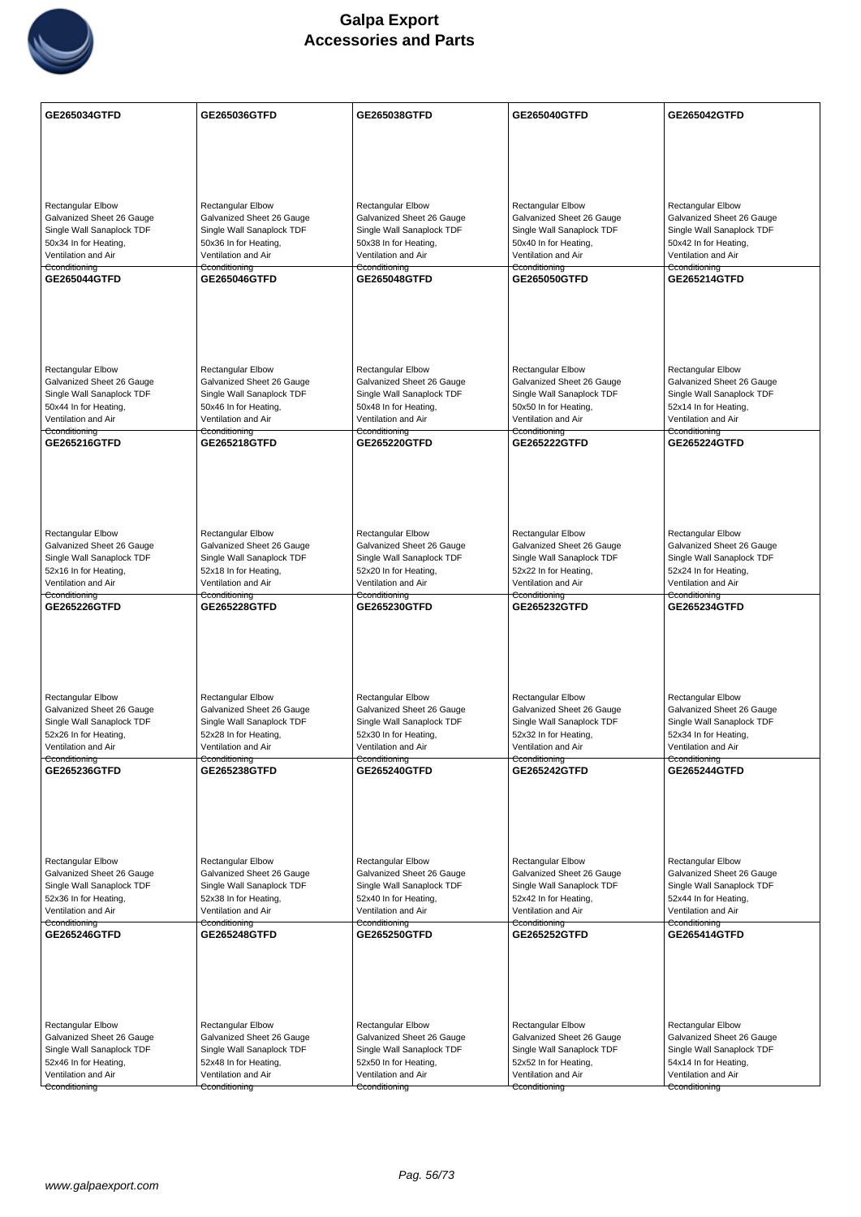

| <b>GE265034GTFD</b>                                   | GE265036GTFD                                          | GE265038GTFD                                          | GE265040GTFD                                          | GE265042GTFD                                          |
|-------------------------------------------------------|-------------------------------------------------------|-------------------------------------------------------|-------------------------------------------------------|-------------------------------------------------------|
|                                                       |                                                       |                                                       |                                                       |                                                       |
|                                                       |                                                       |                                                       |                                                       |                                                       |
|                                                       |                                                       |                                                       |                                                       |                                                       |
| <b>Rectangular Elbow</b>                              | <b>Rectangular Elbow</b>                              | Rectangular Elbow                                     | <b>Rectangular Elbow</b>                              | <b>Rectangular Elbow</b>                              |
| Galvanized Sheet 26 Gauge                             | Galvanized Sheet 26 Gauge                             | Galvanized Sheet 26 Gauge                             | Galvanized Sheet 26 Gauge                             | Galvanized Sheet 26 Gauge                             |
| Single Wall Sanaplock TDF                             | Single Wall Sanaplock TDF                             | Single Wall Sanaplock TDF                             | Single Wall Sanaplock TDF                             | Single Wall Sanaplock TDF                             |
| 50x34 In for Heating,<br>Ventilation and Air          | 50x36 In for Heating,<br>Ventilation and Air          | 50x38 In for Heating,<br>Ventilation and Air          | 50x40 In for Heating,<br>Ventilation and Air          | 50x42 In for Heating,<br>Ventilation and Air          |
| Cconditioning                                         | Cconditioning                                         | Cconditioning                                         | Cconditioning                                         | Cconditioning                                         |
| GE265044GTFD                                          | <b>GE265046GTFD</b>                                   | GE265048GTFD                                          | GE265050GTFD                                          | GE265214GTFD                                          |
|                                                       |                                                       |                                                       |                                                       |                                                       |
|                                                       |                                                       |                                                       |                                                       |                                                       |
|                                                       |                                                       |                                                       |                                                       |                                                       |
| <b>Rectangular Elbow</b>                              | <b>Rectangular Elbow</b>                              | <b>Rectangular Elbow</b>                              | <b>Rectangular Elbow</b>                              | Rectangular Elbow                                     |
| Galvanized Sheet 26 Gauge                             | Galvanized Sheet 26 Gauge                             | Galvanized Sheet 26 Gauge                             | Galvanized Sheet 26 Gauge                             | Galvanized Sheet 26 Gauge                             |
| Single Wall Sanaplock TDF<br>50x44 In for Heating,    | Single Wall Sanaplock TDF<br>50x46 In for Heating,    | Single Wall Sanaplock TDF<br>50x48 In for Heating,    | Single Wall Sanaplock TDF<br>50x50 In for Heating,    | Single Wall Sanaplock TDF<br>52x14 In for Heating,    |
| Ventilation and Air                                   | Ventilation and Air                                   | Ventilation and Air                                   | Ventilation and Air                                   | Ventilation and Air                                   |
| Cconditioning<br>GE265216GTFD                         | Cconditioning<br><b>GE265218GTFD</b>                  | Cconditioning<br><b>GE265220GTFD</b>                  | Cconditioning<br><b>GE265222GTFD</b>                  | Cconditioning<br><b>GE265224GTFD</b>                  |
|                                                       |                                                       |                                                       |                                                       |                                                       |
|                                                       |                                                       |                                                       |                                                       |                                                       |
|                                                       |                                                       |                                                       |                                                       |                                                       |
|                                                       |                                                       |                                                       |                                                       |                                                       |
| <b>Rectangular Elbow</b><br>Galvanized Sheet 26 Gauge | <b>Rectangular Elbow</b><br>Galvanized Sheet 26 Gauge | Rectangular Elbow<br>Galvanized Sheet 26 Gauge        | Rectangular Elbow<br>Galvanized Sheet 26 Gauge        | Rectangular Elbow<br>Galvanized Sheet 26 Gauge        |
| Single Wall Sanaplock TDF                             | Single Wall Sanaplock TDF                             | Single Wall Sanaplock TDF                             | Single Wall Sanaplock TDF                             | Single Wall Sanaplock TDF                             |
| 52x16 In for Heating,                                 | 52x18 In for Heating,                                 | 52x20 In for Heating,                                 | 52x22 In for Heating,                                 | 52x24 In for Heating,                                 |
| Ventilation and Air<br>Cconditioning                  | Ventilation and Air<br>Cconditioning                  | Ventilation and Air<br>Cconditioning                  | Ventilation and Air<br>Cconditioning                  | Ventilation and Air<br>Cconditioning                  |
| GE265226GTFD                                          | GE265228GTFD                                          | GE265230GTFD                                          | GE265232GTFD                                          | GE265234GTFD                                          |
|                                                       |                                                       |                                                       |                                                       |                                                       |
|                                                       |                                                       |                                                       |                                                       |                                                       |
|                                                       |                                                       |                                                       |                                                       |                                                       |
| Rectangular Elbow                                     | Rectangular Elbow                                     | <b>Rectangular Elbow</b>                              | Rectangular Elbow                                     | <b>Rectangular Elbow</b>                              |
| Galvanized Sheet 26 Gauge                             | Galvanized Sheet 26 Gauge                             | Galvanized Sheet 26 Gauge                             | Galvanized Sheet 26 Gauge                             | Galvanized Sheet 26 Gauge                             |
| Single Wall Sanaplock TDF<br>52x26 In for Heating,    | Single Wall Sanaplock TDF<br>52x28 In for Heating,    | Single Wall Sanaplock TDF<br>52x30 In for Heating,    | Single Wall Sanaplock TDF<br>52x32 In for Heating,    | Single Wall Sanaplock TDF<br>52x34 In for Heating,    |
| Ventilation and Air                                   | Ventilation and Air                                   | Ventilation and Air                                   | Ventilation and Air                                   | Ventilation and Air                                   |
| Cconditioning<br>GE265236GTFD                         | Cconditioning<br>GE265238GTFD                         | Cconditioning<br>GE265240GTFD                         | Cconditioning<br>GE265242GTFD                         | Cconditioning<br><b>GE265244GTFD</b>                  |
|                                                       |                                                       |                                                       |                                                       |                                                       |
|                                                       |                                                       |                                                       |                                                       |                                                       |
|                                                       |                                                       |                                                       |                                                       |                                                       |
|                                                       |                                                       |                                                       |                                                       |                                                       |
| Rectangular Elbow<br>Galvanized Sheet 26 Gauge        | Rectangular Elbow<br>Galvanized Sheet 26 Gauge        | <b>Rectangular Elbow</b><br>Galvanized Sheet 26 Gauge | <b>Rectangular Elbow</b><br>Galvanized Sheet 26 Gauge | <b>Rectangular Elbow</b><br>Galvanized Sheet 26 Gauge |
| Single Wall Sanaplock TDF                             | Single Wall Sanaplock TDF                             | Single Wall Sanaplock TDF                             | Single Wall Sanaplock TDF                             | Single Wall Sanaplock TDF                             |
| 52x36 In for Heating,<br>Ventilation and Air          | 52x38 In for Heating,<br>Ventilation and Air          | 52x40 In for Heating,<br>Ventilation and Air          | 52x42 In for Heating,<br>Ventilation and Air          | 52x44 In for Heating,<br>Ventilation and Air          |
| Cconditioning                                         | Cconditioning                                         | Cconditioning                                         | Cconditioning                                         | Cconditioning                                         |
| GE265246GTFD                                          | <b>GE265248GTFD</b>                                   | GE265250GTFD                                          | GE265252GTFD                                          | <b>GE265414GTFD</b>                                   |
|                                                       |                                                       |                                                       |                                                       |                                                       |
|                                                       |                                                       |                                                       |                                                       |                                                       |
|                                                       |                                                       |                                                       |                                                       |                                                       |
| Rectangular Elbow                                     | <b>Rectangular Elbow</b>                              | <b>Rectangular Elbow</b>                              | Rectangular Elbow                                     | Rectangular Elbow                                     |
| Galvanized Sheet 26 Gauge                             | Galvanized Sheet 26 Gauge                             | Galvanized Sheet 26 Gauge                             | Galvanized Sheet 26 Gauge                             | Galvanized Sheet 26 Gauge                             |
| Single Wall Sanaplock TDF<br>52x46 In for Heating,    | Single Wall Sanaplock TDF<br>52x48 In for Heating,    | Single Wall Sanaplock TDF<br>52x50 In for Heating,    | Single Wall Sanaplock TDF<br>52x52 In for Heating,    | Single Wall Sanaplock TDF<br>54x14 In for Heating,    |
| Ventilation and Air                                   | Ventilation and Air                                   | Ventilation and Air                                   | Ventilation and Air                                   | Ventilation and Air                                   |
| Cconditioning                                         | Cconditioning                                         | Cconditioning                                         | Cconditioning                                         | Cconditioning                                         |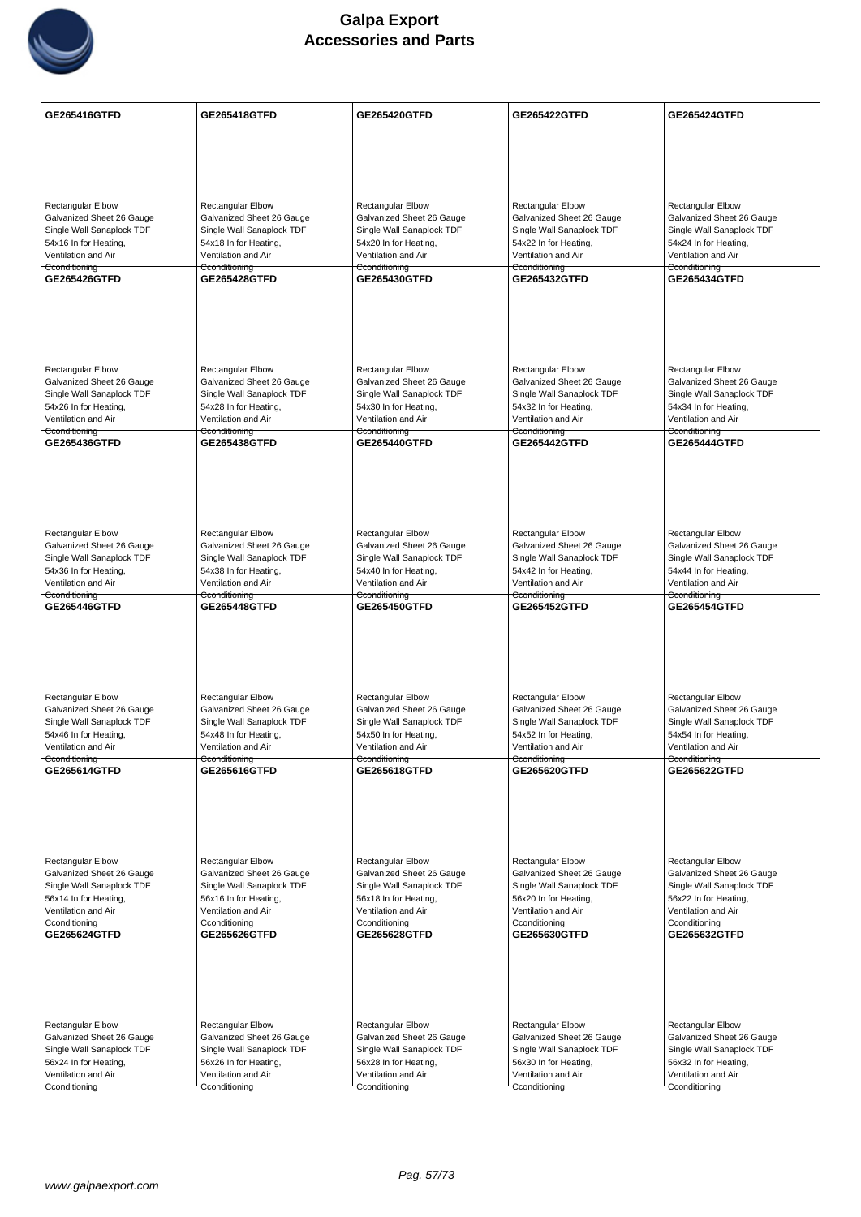

| <b>GE265416GTFD</b>                                    | GE265418GTFD                                           | GE265420GTFD                                           | GE265422GTFD                                           | <b>GE265424GTFD</b>                                    |
|--------------------------------------------------------|--------------------------------------------------------|--------------------------------------------------------|--------------------------------------------------------|--------------------------------------------------------|
|                                                        |                                                        |                                                        |                                                        |                                                        |
|                                                        |                                                        |                                                        |                                                        |                                                        |
|                                                        |                                                        |                                                        |                                                        |                                                        |
| <b>Rectangular Elbow</b>                               | Rectangular Elbow                                      | <b>Rectangular Elbow</b>                               | <b>Rectangular Elbow</b>                               | Rectangular Elbow                                      |
| Galvanized Sheet 26 Gauge                              | Galvanized Sheet 26 Gauge                              | Galvanized Sheet 26 Gauge                              | Galvanized Sheet 26 Gauge                              | Galvanized Sheet 26 Gauge                              |
| Single Wall Sanaplock TDF                              | Single Wall Sanaplock TDF                              | Single Wall Sanaplock TDF                              | Single Wall Sanaplock TDF                              | Single Wall Sanaplock TDF                              |
| 54x16 In for Heating,<br>Ventilation and Air           | 54x18 In for Heating,<br>Ventilation and Air           | 54x20 In for Heating,<br>Ventilation and Air           | 54x22 In for Heating,<br>Ventilation and Air           | 54x24 In for Heating,<br>Ventilation and Air           |
| Cconditioning<br>GE265426GTFD                          | Cconditioning<br><b>GE265428GTFD</b>                   | Cconditioning<br><b>GE265430GTFD</b>                   | Cconditioning<br><b>GE265432GTFD</b>                   | Cconditioning<br><b>GE265434GTFD</b>                   |
|                                                        |                                                        |                                                        |                                                        |                                                        |
|                                                        |                                                        |                                                        |                                                        |                                                        |
|                                                        |                                                        |                                                        |                                                        |                                                        |
|                                                        |                                                        |                                                        |                                                        |                                                        |
| <b>Rectangular Elbow</b>                               | <b>Rectangular Elbow</b>                               | <b>Rectangular Elbow</b>                               | <b>Rectangular Elbow</b>                               | <b>Rectangular Elbow</b>                               |
| Galvanized Sheet 26 Gauge<br>Single Wall Sanaplock TDF | Galvanized Sheet 26 Gauge<br>Single Wall Sanaplock TDF | Galvanized Sheet 26 Gauge<br>Single Wall Sanaplock TDF | Galvanized Sheet 26 Gauge<br>Single Wall Sanaplock TDF | Galvanized Sheet 26 Gauge<br>Single Wall Sanaplock TDF |
| 54x26 In for Heating,                                  | 54x28 In for Heating,                                  | 54x30 In for Heating,                                  | 54x32 In for Heating,                                  | 54x34 In for Heating,                                  |
| Ventilation and Air<br>Cconditioning                   | Ventilation and Air<br>Cconditioning                   | Ventilation and Air<br>Cconditioning                   | Ventilation and Air<br><del>Cconditioning</del>        | Ventilation and Air<br>Cconditioning                   |
| <b>GE265436GTFD</b>                                    | <b>GE265438GTFD</b>                                    | <b>GE265440GTFD</b>                                    | GE265442GTFD                                           | <b>GE265444GTFD</b>                                    |
|                                                        |                                                        |                                                        |                                                        |                                                        |
|                                                        |                                                        |                                                        |                                                        |                                                        |
|                                                        |                                                        |                                                        |                                                        |                                                        |
| <b>Rectangular Elbow</b>                               | Rectangular Elbow                                      | Rectangular Elbow                                      | <b>Rectangular Elbow</b>                               | Rectangular Elbow                                      |
| Galvanized Sheet 26 Gauge                              | Galvanized Sheet 26 Gauge                              | Galvanized Sheet 26 Gauge                              | Galvanized Sheet 26 Gauge                              | Galvanized Sheet 26 Gauge                              |
| Single Wall Sanaplock TDF<br>54x36 In for Heating,     | Single Wall Sanaplock TDF<br>54x38 In for Heating,     | Single Wall Sanaplock TDF<br>54x40 In for Heating,     | Single Wall Sanaplock TDF<br>54x42 In for Heating,     | Single Wall Sanaplock TDF<br>54x44 In for Heating,     |
| Ventilation and Air                                    | Ventilation and Air                                    | Ventilation and Air                                    | Ventilation and Air                                    | Ventilation and Air                                    |
| Cconditioning<br>GE265446GTFD                          | Cconditioning<br><b>GE265448GTFD</b>                   | Cconditioning<br>GE265450GTFD                          | Cconditioning<br><b>GE265452GTFD</b>                   | Cconditioning<br><b>GE265454GTFD</b>                   |
|                                                        |                                                        |                                                        |                                                        |                                                        |
|                                                        |                                                        |                                                        |                                                        |                                                        |
|                                                        |                                                        |                                                        |                                                        |                                                        |
|                                                        |                                                        |                                                        |                                                        |                                                        |
| <b>Rectangular Elbow</b>                               | Rectangular Elbow                                      | <b>Rectangular Elbow</b>                               | <b>Rectangular Elbow</b>                               | <b>Rectangular Elbow</b>                               |
| Galvanized Sheet 26 Gauge<br>Single Wall Sanaplock TDF | Galvanized Sheet 26 Gauge<br>Single Wall Sanaplock TDF | Galvanized Sheet 26 Gauge<br>Single Wall Sanaplock TDF | Galvanized Sheet 26 Gauge<br>Single Wall Sanaplock TDF | Galvanized Sheet 26 Gauge<br>Single Wall Sanaplock TDF |
| 54x46 In for Heating,                                  | 54x48 In for Heating,                                  | 54x50 In for Heating,                                  | 54x52 In for Heating,                                  | 54x54 In for Heating,                                  |
| Ventilation and Air<br>Cconditioning                   | Ventilation and Air<br>Cconditioning                   | Ventilation and Air<br>Cconditioning                   | Ventilation and Air<br>Cconditioning                   | Ventilation and Air<br>Cconditioning                   |
| GE265614GTFD                                           | GE265616GTFD                                           | GE265618GTFD                                           | GE265620GTFD                                           | GE265622GTFD                                           |
|                                                        |                                                        |                                                        |                                                        |                                                        |
|                                                        |                                                        |                                                        |                                                        |                                                        |
|                                                        |                                                        |                                                        |                                                        |                                                        |
| <b>Rectangular Elbow</b>                               | <b>Rectangular Elbow</b>                               | <b>Rectangular Elbow</b>                               | <b>Rectangular Elbow</b>                               | <b>Rectangular Elbow</b>                               |
| Galvanized Sheet 26 Gauge                              | Galvanized Sheet 26 Gauge                              | Galvanized Sheet 26 Gauge                              | Galvanized Sheet 26 Gauge                              | Galvanized Sheet 26 Gauge                              |
| Single Wall Sanaplock TDF<br>56x14 In for Heating,     | Single Wall Sanaplock TDF<br>56x16 In for Heating,     | Single Wall Sanaplock TDF<br>56x18 In for Heating,     | Single Wall Sanaplock TDF<br>56x20 In for Heating,     | Single Wall Sanaplock TDF<br>56x22 In for Heating,     |
| Ventilation and Air                                    | Ventilation and Air                                    | Ventilation and Air                                    | Ventilation and Air                                    | Ventilation and Air                                    |
| Cconditioning<br>GE265624GTFD                          | Cconditioning<br><b>GE265626GTFD</b>                   | Cconditioning<br><b>GE265628GTFD</b>                   | Cconditioning<br>GE265630GTFD                          | Cconditioning<br>GE265632GTFD                          |
|                                                        |                                                        |                                                        |                                                        |                                                        |
|                                                        |                                                        |                                                        |                                                        |                                                        |
|                                                        |                                                        |                                                        |                                                        |                                                        |
|                                                        |                                                        |                                                        |                                                        |                                                        |
| Rectangular Elbow<br>Galvanized Sheet 26 Gauge         | Rectangular Elbow<br>Galvanized Sheet 26 Gauge         | Rectangular Elbow                                      | Rectangular Elbow<br>Galvanized Sheet 26 Gauge         | Rectangular Elbow                                      |
| Single Wall Sanaplock TDF                              | Single Wall Sanaplock TDF                              | Galvanized Sheet 26 Gauge<br>Single Wall Sanaplock TDF | Single Wall Sanaplock TDF                              | Galvanized Sheet 26 Gauge<br>Single Wall Sanaplock TDF |
| 56x24 In for Heating,                                  | 56x26 In for Heating,                                  | 56x28 In for Heating,                                  | 56x30 In for Heating,                                  | 56x32 In for Heating,                                  |
| Ventilation and Air<br>Cconditioning                   | Ventilation and Air                                    | Ventilation and Air                                    | Ventilation and Air                                    | Ventilation and Air                                    |
|                                                        | Cconditioning                                          | Cconditioning                                          | Cconditioning                                          | Cconditioning                                          |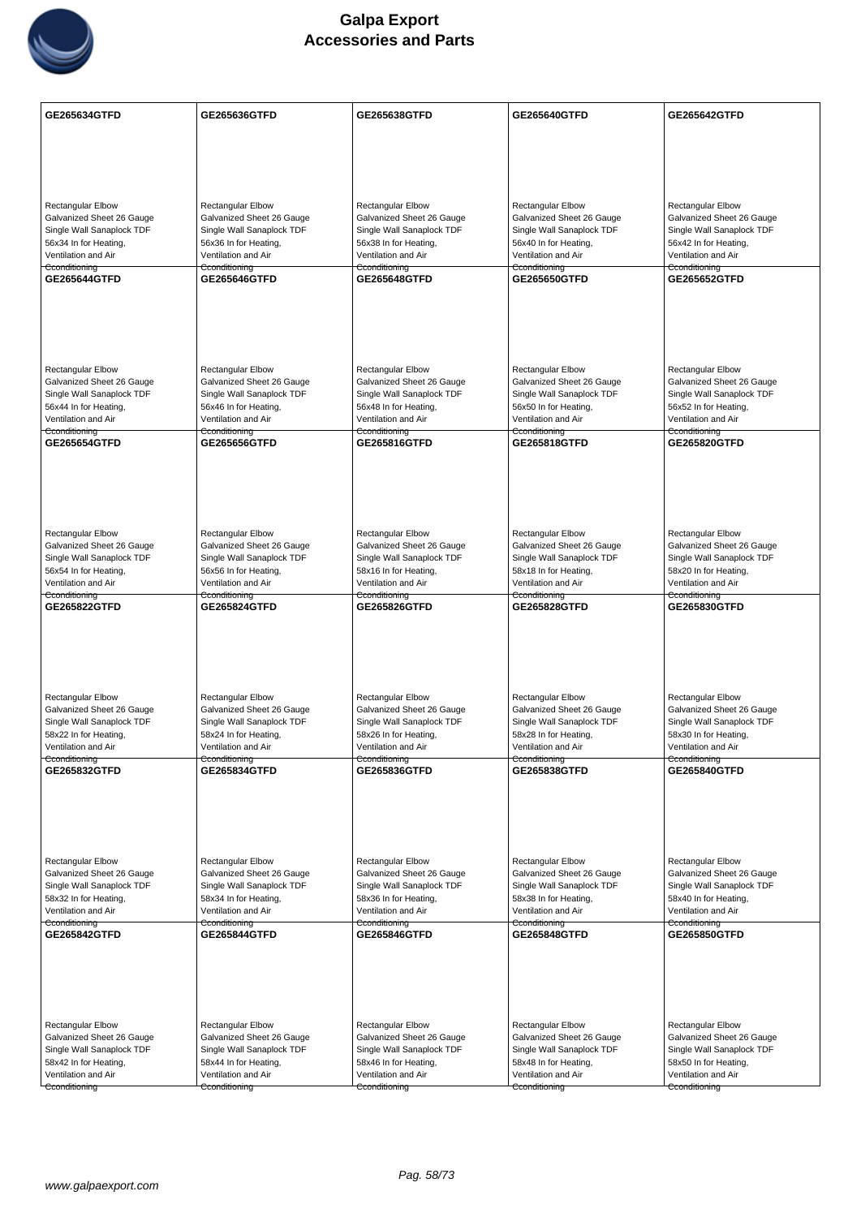

| <b>GE265634GTFD</b>                                    | GE265636GTFD                                           | GE265638GTFD                                           | GE265640GTFD                                           | GE265642GTFD                                           |
|--------------------------------------------------------|--------------------------------------------------------|--------------------------------------------------------|--------------------------------------------------------|--------------------------------------------------------|
|                                                        |                                                        |                                                        |                                                        |                                                        |
|                                                        |                                                        |                                                        |                                                        |                                                        |
|                                                        |                                                        |                                                        |                                                        |                                                        |
|                                                        |                                                        |                                                        |                                                        |                                                        |
| <b>Rectangular Elbow</b><br>Galvanized Sheet 26 Gauge  | <b>Rectangular Elbow</b><br>Galvanized Sheet 26 Gauge  | Rectangular Elbow<br>Galvanized Sheet 26 Gauge         | <b>Rectangular Elbow</b><br>Galvanized Sheet 26 Gauge  | Rectangular Elbow<br>Galvanized Sheet 26 Gauge         |
| Single Wall Sanaplock TDF                              | Single Wall Sanaplock TDF                              | Single Wall Sanaplock TDF                              | Single Wall Sanaplock TDF                              | Single Wall Sanaplock TDF                              |
| 56x34 In for Heating,                                  | 56x36 In for Heating,                                  | 56x38 In for Heating,                                  | 56x40 In for Heating,                                  | 56x42 In for Heating,                                  |
| Ventilation and Air<br>Cconditioning                   | Ventilation and Air<br>Cconditioning                   | Ventilation and Air<br>Cconditioning                   | Ventilation and Air<br>Cconditioning                   | Ventilation and Air<br>Cconditioning                   |
| GE265644GTFD                                           | <b>GE265646GTFD</b>                                    | GE265648GTFD                                           | GE265650GTFD                                           | <b>GE265652GTFD</b>                                    |
|                                                        |                                                        |                                                        |                                                        |                                                        |
|                                                        |                                                        |                                                        |                                                        |                                                        |
|                                                        |                                                        |                                                        |                                                        |                                                        |
|                                                        |                                                        |                                                        |                                                        |                                                        |
| <b>Rectangular Elbow</b>                               | <b>Rectangular Elbow</b>                               | Rectangular Elbow                                      | <b>Rectangular Elbow</b>                               | <b>Rectangular Elbow</b>                               |
| Galvanized Sheet 26 Gauge<br>Single Wall Sanaplock TDF | Galvanized Sheet 26 Gauge<br>Single Wall Sanaplock TDF | Galvanized Sheet 26 Gauge<br>Single Wall Sanaplock TDF | Galvanized Sheet 26 Gauge<br>Single Wall Sanaplock TDF | Galvanized Sheet 26 Gauge<br>Single Wall Sanaplock TDF |
| 56x44 In for Heating,                                  | 56x46 In for Heating,                                  | 56x48 In for Heating,                                  | 56x50 In for Heating,                                  | 56x52 In for Heating,                                  |
| Ventilation and Air<br>Cconditioning                   | Ventilation and Air<br>Cconditioning                   | Ventilation and Air<br>Cconditioning                   | Ventilation and Air<br>Cconditioning                   | Ventilation and Air<br>Cconditioning                   |
| <b>GE265654GTFD</b>                                    | <b>GE265656GTFD</b>                                    | GE265816GTFD                                           | GE265818GTFD                                           | <b>GE265820GTFD</b>                                    |
|                                                        |                                                        |                                                        |                                                        |                                                        |
|                                                        |                                                        |                                                        |                                                        |                                                        |
|                                                        |                                                        |                                                        |                                                        |                                                        |
|                                                        |                                                        |                                                        |                                                        |                                                        |
| <b>Rectangular Elbow</b>                               | <b>Rectangular Elbow</b>                               | <b>Rectangular Elbow</b>                               | <b>Rectangular Elbow</b>                               | <b>Rectangular Elbow</b>                               |
| Galvanized Sheet 26 Gauge<br>Single Wall Sanaplock TDF | Galvanized Sheet 26 Gauge<br>Single Wall Sanaplock TDF | Galvanized Sheet 26 Gauge<br>Single Wall Sanaplock TDF | Galvanized Sheet 26 Gauge<br>Single Wall Sanaplock TDF | Galvanized Sheet 26 Gauge<br>Single Wall Sanaplock TDF |
| 56x54 In for Heating,                                  | 56x56 In for Heating,                                  | 58x16 In for Heating,                                  | 58x18 In for Heating,                                  | 58x20 In for Heating,                                  |
| Ventilation and Air<br>Cconditioning                   | Ventilation and Air<br>Cconditioning                   | Ventilation and Air<br>Cconditioning                   | Ventilation and Air<br>Cconditioning                   | Ventilation and Air<br>Cconditioning                   |
| GE265822GTFD                                           | GE265824GTFD                                           | GE265826GTFD                                           | GE265828GTFD                                           | GE265830GTFD                                           |
|                                                        |                                                        |                                                        |                                                        |                                                        |
|                                                        |                                                        |                                                        |                                                        |                                                        |
|                                                        |                                                        |                                                        |                                                        |                                                        |
|                                                        |                                                        |                                                        |                                                        |                                                        |
| Rectangular Elbow                                      | Rectangular Elbow                                      | <b>Rectangular Elbow</b>                               | Rectangular Elbow                                      | <b>Rectangular Elbow</b>                               |
| Galvanized Sheet 26 Gauge<br>Single Wall Sanaplock TDF | Galvanized Sheet 26 Gauge<br>Single Wall Sanaplock TDF | Galvanized Sheet 26 Gauge<br>Single Wall Sanaplock TDF | Galvanized Sheet 26 Gauge<br>Single Wall Sanaplock TDF | Galvanized Sheet 26 Gauge<br>Single Wall Sanaplock TDF |
| 58x22 In for Heating,                                  | 58x24 In for Heating,                                  | 58x26 In for Heating,                                  | 58x28 In for Heating,                                  | 58x30 In for Heating,                                  |
| Ventilation and Air<br>Cconditioning                   | Ventilation and Air<br>Cconditioning                   | Ventilation and Air<br>Cconditioning                   | Ventilation and Air<br>Cconditioning                   | Ventilation and Air<br>Cconditioning                   |
| GE265832GTFD                                           | GE265834GTFD                                           | GE265836GTFD                                           | GE265838GTFD                                           | <b>GE265840GTFD</b>                                    |
|                                                        |                                                        |                                                        |                                                        |                                                        |
|                                                        |                                                        |                                                        |                                                        |                                                        |
|                                                        |                                                        |                                                        |                                                        |                                                        |
|                                                        |                                                        |                                                        |                                                        |                                                        |
| Rectangular Elbow<br>Galvanized Sheet 26 Gauge         | Rectangular Elbow<br>Galvanized Sheet 26 Gauge         | <b>Rectangular Elbow</b><br>Galvanized Sheet 26 Gauge  | <b>Rectangular Elbow</b><br>Galvanized Sheet 26 Gauge  | <b>Rectangular Elbow</b><br>Galvanized Sheet 26 Gauge  |
| Single Wall Sanaplock TDF                              | Single Wall Sanaplock TDF                              | Single Wall Sanaplock TDF                              | Single Wall Sanaplock TDF                              | Single Wall Sanaplock TDF                              |
| 58x32 In for Heating,                                  | 58x34 In for Heating,                                  | 58x36 In for Heating,                                  | 58x38 In for Heating,                                  | 58x40 In for Heating,                                  |
| Ventilation and Air<br>Cconditioning                   | Ventilation and Air<br>Cconditioning                   | Ventilation and Air<br>Cconditioning                   | Ventilation and Air<br>Cconditioning                   | Ventilation and Air<br>Cconditioning                   |
| GE265842GTFD                                           | GE265844GTFD                                           | GE265846GTFD                                           | GE265848GTFD                                           | GE265850GTFD                                           |
|                                                        |                                                        |                                                        |                                                        |                                                        |
|                                                        |                                                        |                                                        |                                                        |                                                        |
|                                                        |                                                        |                                                        |                                                        |                                                        |
|                                                        |                                                        |                                                        |                                                        |                                                        |
| Rectangular Elbow<br>Galvanized Sheet 26 Gauge         | <b>Rectangular Elbow</b><br>Galvanized Sheet 26 Gauge  | Rectangular Elbow<br>Galvanized Sheet 26 Gauge         | <b>Rectangular Elbow</b><br>Galvanized Sheet 26 Gauge  | Rectangular Elbow<br>Galvanized Sheet 26 Gauge         |
| Single Wall Sanaplock TDF                              | Single Wall Sanaplock TDF                              | Single Wall Sanaplock TDF                              | Single Wall Sanaplock TDF                              | Single Wall Sanaplock TDF                              |
| 58x42 In for Heating,                                  | 58x44 In for Heating,                                  | 58x46 In for Heating,                                  | 58x48 In for Heating,                                  | 58x50 In for Heating,                                  |
| Ventilation and Air<br>Cconditioning                   | Ventilation and Air<br>Cconditioning                   | Ventilation and Air<br>Cconditioning                   | Ventilation and Air<br>Cconditioning                   | Ventilation and Air<br>Cconditioning                   |
|                                                        |                                                        |                                                        |                                                        |                                                        |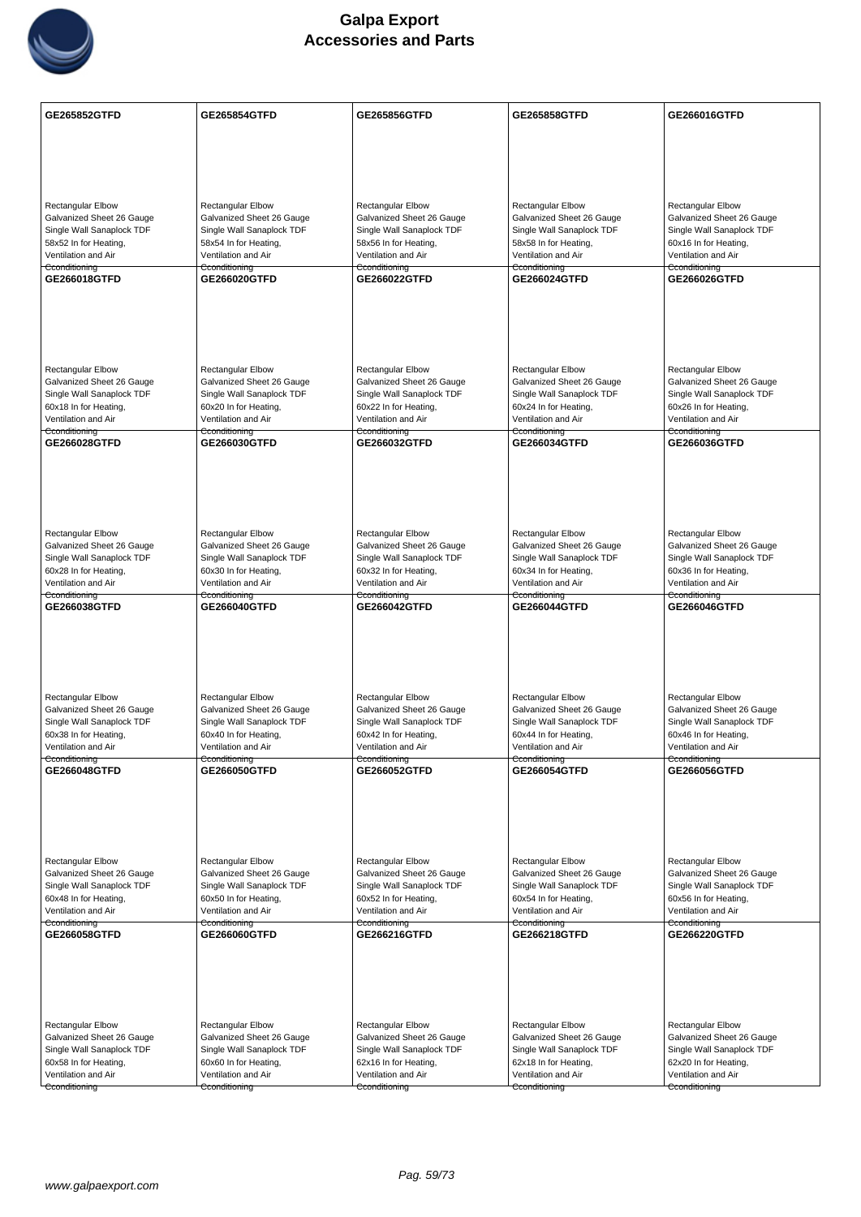

| <b>GE265852GTFD</b>                                    | GE265854GTFD                                           | GE265856GTFD                                           | <b>GE265858GTFD</b>                                    | GE266016GTFD                                           |
|--------------------------------------------------------|--------------------------------------------------------|--------------------------------------------------------|--------------------------------------------------------|--------------------------------------------------------|
|                                                        |                                                        |                                                        |                                                        |                                                        |
|                                                        |                                                        |                                                        |                                                        |                                                        |
|                                                        |                                                        |                                                        |                                                        |                                                        |
| <b>Rectangular Elbow</b>                               | <b>Rectangular Elbow</b>                               | Rectangular Elbow                                      | <b>Rectangular Elbow</b>                               | Rectangular Elbow                                      |
| Galvanized Sheet 26 Gauge                              | Galvanized Sheet 26 Gauge                              | Galvanized Sheet 26 Gauge                              | Galvanized Sheet 26 Gauge                              | Galvanized Sheet 26 Gauge                              |
| Single Wall Sanaplock TDF<br>58x52 In for Heating,     | Single Wall Sanaplock TDF<br>58x54 In for Heating,     | Single Wall Sanaplock TDF<br>58x56 In for Heating,     | Single Wall Sanaplock TDF<br>58x58 In for Heating,     | Single Wall Sanaplock TDF<br>60x16 In for Heating,     |
| Ventilation and Air                                    | Ventilation and Air                                    | Ventilation and Air                                    | Ventilation and Air                                    | Ventilation and Air                                    |
| Cconditioning<br>GE266018GTFD                          | Cconditioning<br>GE266020GTFD                          | Cconditioning<br>GE266022GTFD                          | Cconditioning<br>GE266024GTFD                          | Cconditioning<br>GE266026GTFD                          |
|                                                        |                                                        |                                                        |                                                        |                                                        |
|                                                        |                                                        |                                                        |                                                        |                                                        |
|                                                        |                                                        |                                                        |                                                        |                                                        |
|                                                        |                                                        |                                                        |                                                        |                                                        |
| <b>Rectangular Elbow</b><br>Galvanized Sheet 26 Gauge  | <b>Rectangular Elbow</b><br>Galvanized Sheet 26 Gauge  | Rectangular Elbow<br>Galvanized Sheet 26 Gauge         | <b>Rectangular Elbow</b><br>Galvanized Sheet 26 Gauge  | <b>Rectangular Elbow</b><br>Galvanized Sheet 26 Gauge  |
| Single Wall Sanaplock TDF                              | Single Wall Sanaplock TDF                              | Single Wall Sanaplock TDF                              | Single Wall Sanaplock TDF                              | Single Wall Sanaplock TDF                              |
| 60x18 In for Heating,<br>Ventilation and Air           | 60x20 In for Heating,<br>Ventilation and Air           | 60x22 In for Heating,<br>Ventilation and Air           | 60x24 In for Heating,<br>Ventilation and Air           | 60x26 In for Heating,<br>Ventilation and Air           |
| Cconditioning<br>GE266028GTFD                          | Cconditioning<br>GE266030GTFD                          | Cconditioning<br>GE266032GTFD                          | Cconditioning<br>GE266034GTFD                          | Cconditioning<br><b>GE266036GTFD</b>                   |
|                                                        |                                                        |                                                        |                                                        |                                                        |
|                                                        |                                                        |                                                        |                                                        |                                                        |
|                                                        |                                                        |                                                        |                                                        |                                                        |
|                                                        |                                                        |                                                        |                                                        |                                                        |
| <b>Rectangular Elbow</b>                               | <b>Rectangular Elbow</b>                               | <b>Rectangular Elbow</b>                               | <b>Rectangular Elbow</b>                               | <b>Rectangular Elbow</b>                               |
| Galvanized Sheet 26 Gauge<br>Single Wall Sanaplock TDF | Galvanized Sheet 26 Gauge<br>Single Wall Sanaplock TDF | Galvanized Sheet 26 Gauge<br>Single Wall Sanaplock TDF | Galvanized Sheet 26 Gauge<br>Single Wall Sanaplock TDF | Galvanized Sheet 26 Gauge<br>Single Wall Sanaplock TDF |
| 60x28 In for Heating,                                  | 60x30 In for Heating,                                  | 60x32 In for Heating,                                  | 60x34 In for Heating,                                  | 60x36 In for Heating,                                  |
| Ventilation and Air<br>Cconditioning                   | Ventilation and Air<br>Cconditioning                   | Ventilation and Air<br>Cconditioning                   | Ventilation and Air<br>Cconditioning                   | Ventilation and Air<br>Cconditioning                   |
| GE266038GTFD                                           | GE266040GTFD                                           | GE266042GTFD                                           | GE266044GTFD                                           | GE266046GTFD                                           |
|                                                        |                                                        |                                                        |                                                        |                                                        |
|                                                        |                                                        |                                                        |                                                        |                                                        |
|                                                        |                                                        |                                                        |                                                        |                                                        |
| Rectangular Elbow                                      | Rectangular Elbow                                      | <b>Rectangular Elbow</b>                               | <b>Rectangular Elbow</b>                               | <b>Rectangular Elbow</b>                               |
| Galvanized Sheet 26 Gauge                              | Galvanized Sheet 26 Gauge                              | Galvanized Sheet 26 Gauge                              | Galvanized Sheet 26 Gauge                              | Galvanized Sheet 26 Gauge                              |
| Single Wall Sanaplock TDF<br>60x38 In for Heating,     | Single Wall Sanaplock TDF<br>60x40 In for Heating,     | Single Wall Sanaplock TDF<br>60x42 In for Heating,     | Single Wall Sanaplock TDF<br>60x44 In for Heating,     | Single Wall Sanaplock TDF<br>60x46 In for Heating,     |
| Ventilation and Air<br>Cconditioning                   | Ventilation and Air<br>Cconditioning                   | Ventilation and Air<br>Cconditioning                   | Ventilation and Air<br>Cconditioning                   | Ventilation and Air<br>Cconditioning                   |
| GE266048GTFD                                           | GE266050GTFD                                           | GE266052GTFD                                           | GE266054GTFD                                           | GE266056GTFD                                           |
|                                                        |                                                        |                                                        |                                                        |                                                        |
|                                                        |                                                        |                                                        |                                                        |                                                        |
|                                                        |                                                        |                                                        |                                                        |                                                        |
|                                                        |                                                        |                                                        | <b>Rectangular Elbow</b>                               | <b>Rectangular Elbow</b>                               |
| Rectangular Elbow<br>Galvanized Sheet 26 Gauge         | Rectangular Elbow<br>Galvanized Sheet 26 Gauge         | <b>Rectangular Elbow</b><br>Galvanized Sheet 26 Gauge  | Galvanized Sheet 26 Gauge                              | Galvanized Sheet 26 Gauge                              |
| Single Wall Sanaplock TDF<br>60x48 In for Heating,     | Single Wall Sanaplock TDF<br>60x50 In for Heating,     | Single Wall Sanaplock TDF<br>60x52 In for Heating,     | Single Wall Sanaplock TDF<br>60x54 In for Heating,     | Single Wall Sanaplock TDF<br>60x56 In for Heating,     |
| Ventilation and Air                                    | Ventilation and Air                                    | Ventilation and Air                                    | Ventilation and Air                                    | Ventilation and Air                                    |
| Cconditioning<br>GE266058GTFD                          | Cconditioning<br>GE266060GTFD                          | Cconditioning<br>GE266216GTFD                          | Cconditioning<br>GE266218GTFD                          | Cconditioning<br>GE266220GTFD                          |
|                                                        |                                                        |                                                        |                                                        |                                                        |
|                                                        |                                                        |                                                        |                                                        |                                                        |
|                                                        |                                                        |                                                        |                                                        |                                                        |
|                                                        |                                                        |                                                        |                                                        |                                                        |
| Rectangular Elbow                                      | <b>Rectangular Elbow</b>                               | Rectangular Elbow                                      | <b>Rectangular Elbow</b>                               | Rectangular Elbow                                      |
| Galvanized Sheet 26 Gauge<br>Single Wall Sanaplock TDF | Galvanized Sheet 26 Gauge<br>Single Wall Sanaplock TDF | Galvanized Sheet 26 Gauge<br>Single Wall Sanaplock TDF | Galvanized Sheet 26 Gauge<br>Single Wall Sanaplock TDF | Galvanized Sheet 26 Gauge<br>Single Wall Sanaplock TDF |
| 60x58 In for Heating,                                  | 60x60 In for Heating,                                  | 62x16 In for Heating,                                  | 62x18 In for Heating,                                  | 62x20 In for Heating,                                  |
| Ventilation and Air<br>Cconditioning                   | Ventilation and Air<br>Cconditioning                   | Ventilation and Air<br>Cconditioning                   | Ventilation and Air<br>Cconditioning                   | Ventilation and Air<br>Cconditioning                   |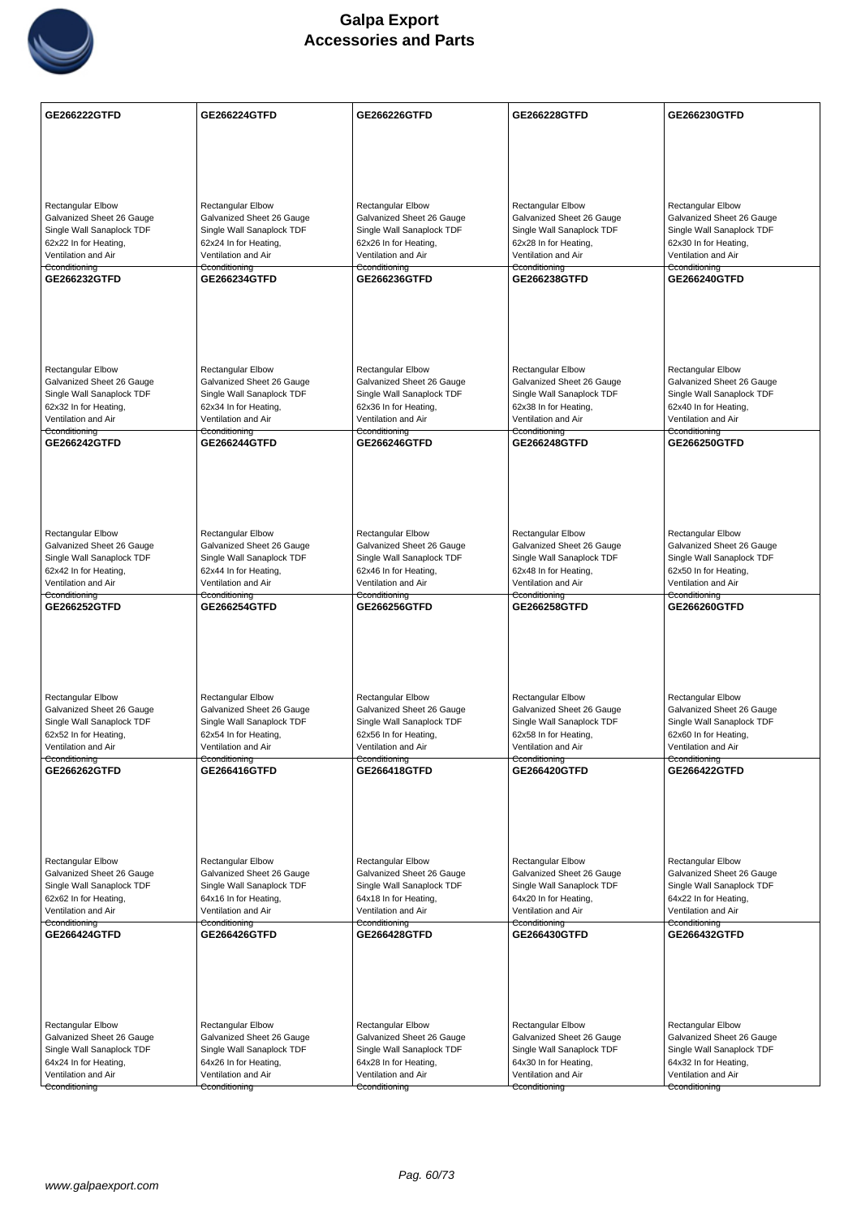

| <b>GE266222GTFD</b>                                    | GE266224GTFD                                           | GE266226GTFD                                           | GE266228GTFD                                           | GE266230GTFD                                           |
|--------------------------------------------------------|--------------------------------------------------------|--------------------------------------------------------|--------------------------------------------------------|--------------------------------------------------------|
|                                                        |                                                        |                                                        |                                                        |                                                        |
|                                                        |                                                        |                                                        |                                                        |                                                        |
|                                                        |                                                        |                                                        |                                                        |                                                        |
| <b>Rectangular Elbow</b>                               | <b>Rectangular Elbow</b>                               | Rectangular Elbow                                      | <b>Rectangular Elbow</b>                               | Rectangular Elbow                                      |
| Galvanized Sheet 26 Gauge<br>Single Wall Sanaplock TDF | Galvanized Sheet 26 Gauge<br>Single Wall Sanaplock TDF | Galvanized Sheet 26 Gauge<br>Single Wall Sanaplock TDF | Galvanized Sheet 26 Gauge<br>Single Wall Sanaplock TDF | Galvanized Sheet 26 Gauge<br>Single Wall Sanaplock TDF |
| 62x22 In for Heating,                                  | 62x24 In for Heating,                                  | 62x26 In for Heating,                                  | 62x28 In for Heating,                                  | 62x30 In for Heating,                                  |
| Ventilation and Air<br>Cconditioning                   | Ventilation and Air<br>Cconditioning                   | Ventilation and Air<br>Cconditioning                   | Ventilation and Air<br>Cconditioning                   | Ventilation and Air<br>Cconditioning                   |
| GE266232GTFD                                           | GE266234GTFD                                           | GE266236GTFD                                           | GE266238GTFD                                           | <b>GE266240GTFD</b>                                    |
|                                                        |                                                        |                                                        |                                                        |                                                        |
|                                                        |                                                        |                                                        |                                                        |                                                        |
|                                                        |                                                        |                                                        |                                                        |                                                        |
|                                                        |                                                        |                                                        |                                                        |                                                        |
| <b>Rectangular Elbow</b><br>Galvanized Sheet 26 Gauge  | <b>Rectangular Elbow</b><br>Galvanized Sheet 26 Gauge  | Rectangular Elbow<br>Galvanized Sheet 26 Gauge         | <b>Rectangular Elbow</b><br>Galvanized Sheet 26 Gauge  | <b>Rectangular Elbow</b><br>Galvanized Sheet 26 Gauge  |
| Single Wall Sanaplock TDF                              | Single Wall Sanaplock TDF                              | Single Wall Sanaplock TDF<br>62x36 In for Heating,     | Single Wall Sanaplock TDF<br>62x38 In for Heating,     | Single Wall Sanaplock TDF                              |
| 62x32 In for Heating,<br>Ventilation and Air           | 62x34 In for Heating,<br>Ventilation and Air           | Ventilation and Air                                    | Ventilation and Air                                    | 62x40 In for Heating,<br>Ventilation and Air           |
| Cconditioning<br>GE266242GTFD                          | Cconditioning<br><b>GE266244GTFD</b>                   | Cconditioning<br>GE266246GTFD                          | Cconditioning<br>GE266248GTFD                          | Cconditioning<br><b>GE266250GTFD</b>                   |
|                                                        |                                                        |                                                        |                                                        |                                                        |
|                                                        |                                                        |                                                        |                                                        |                                                        |
|                                                        |                                                        |                                                        |                                                        |                                                        |
|                                                        |                                                        |                                                        |                                                        |                                                        |
| <b>Rectangular Elbow</b>                               | <b>Rectangular Elbow</b>                               | <b>Rectangular Elbow</b>                               | <b>Rectangular Elbow</b>                               | <b>Rectangular Elbow</b>                               |
| Galvanized Sheet 26 Gauge<br>Single Wall Sanaplock TDF | Galvanized Sheet 26 Gauge<br>Single Wall Sanaplock TDF | Galvanized Sheet 26 Gauge<br>Single Wall Sanaplock TDF | Galvanized Sheet 26 Gauge<br>Single Wall Sanaplock TDF | Galvanized Sheet 26 Gauge<br>Single Wall Sanaplock TDF |
| 62x42 In for Heating,                                  | 62x44 In for Heating,                                  | 62x46 In for Heating,                                  | 62x48 In for Heating,                                  | 62x50 In for Heating,                                  |
| Ventilation and Air<br>Cconditioning                   | Ventilation and Air<br>Cconditioning                   | Ventilation and Air<br>Cconditioning                   | Ventilation and Air<br>Cconditioning                   | Ventilation and Air<br>Cconditioning                   |
| GE266252GTFD                                           | GE266254GTFD                                           | GE266256GTFD                                           | GE266258GTFD                                           | GE266260GTFD                                           |
|                                                        |                                                        |                                                        |                                                        |                                                        |
|                                                        |                                                        |                                                        |                                                        |                                                        |
|                                                        |                                                        |                                                        |                                                        |                                                        |
| Rectangular Elbow                                      | Rectangular Elbow                                      | <b>Rectangular Elbow</b>                               | Rectangular Elbow                                      | <b>Rectangular Elbow</b>                               |
| Galvanized Sheet 26 Gauge                              | Galvanized Sheet 26 Gauge                              | Galvanized Sheet 26 Gauge                              | Galvanized Sheet 26 Gauge                              | Galvanized Sheet 26 Gauge                              |
| Single Wall Sanaplock TDF<br>62x52 In for Heating,     | Single Wall Sanaplock TDF<br>62x54 In for Heating,     | Single Wall Sanaplock TDF<br>62x56 In for Heating,     | Single Wall Sanaplock TDF<br>62x58 In for Heating,     | Single Wall Sanaplock TDF<br>62x60 In for Heating,     |
| Ventilation and Air<br>Cconditioning                   | Ventilation and Air<br>Cconditioning                   | Ventilation and Air<br>Cconditioning                   | Ventilation and Air<br>Cconditioning                   | Ventilation and Air<br>Cconditioning                   |
| GE266262GTFD                                           | <b>GE266416GTFD</b>                                    | <b>GE266418GTFD</b>                                    | <b>GE266420GTFD</b>                                    | GE266422GTFD                                           |
|                                                        |                                                        |                                                        |                                                        |                                                        |
|                                                        |                                                        |                                                        |                                                        |                                                        |
|                                                        |                                                        |                                                        |                                                        |                                                        |
| Rectangular Elbow                                      | <b>Rectangular Elbow</b>                               | <b>Rectangular Elbow</b>                               | <b>Rectangular Elbow</b>                               | <b>Rectangular Elbow</b>                               |
| Galvanized Sheet 26 Gauge                              | Galvanized Sheet 26 Gauge                              | Galvanized Sheet 26 Gauge                              | Galvanized Sheet 26 Gauge                              | Galvanized Sheet 26 Gauge                              |
| Single Wall Sanaplock TDF<br>62x62 In for Heating,     | Single Wall Sanaplock TDF<br>64x16 In for Heating,     | Single Wall Sanaplock TDF<br>64x18 In for Heating,     | Single Wall Sanaplock TDF<br>64x20 In for Heating,     | Single Wall Sanaplock TDF<br>64x22 In for Heating,     |
| Ventilation and Air                                    | Ventilation and Air                                    | Ventilation and Air                                    | Ventilation and Air                                    | Ventilation and Air                                    |
| Cconditioning<br>GE266424GTFD                          | Cconditioning<br>GE266426GTFD                          | Cconditioning<br>GE266428GTFD                          | Cconditioning<br>GE266430GTFD                          | Cconditioning<br>GE266432GTFD                          |
|                                                        |                                                        |                                                        |                                                        |                                                        |
|                                                        |                                                        |                                                        |                                                        |                                                        |
|                                                        |                                                        |                                                        |                                                        |                                                        |
|                                                        |                                                        |                                                        |                                                        |                                                        |
| Rectangular Elbow                                      | <b>Rectangular Elbow</b>                               | Rectangular Elbow                                      | <b>Rectangular Elbow</b>                               | Rectangular Elbow                                      |
| Galvanized Sheet 26 Gauge<br>Single Wall Sanaplock TDF | Galvanized Sheet 26 Gauge<br>Single Wall Sanaplock TDF | Galvanized Sheet 26 Gauge<br>Single Wall Sanaplock TDF | Galvanized Sheet 26 Gauge<br>Single Wall Sanaplock TDF | Galvanized Sheet 26 Gauge<br>Single Wall Sanaplock TDF |
| 64x24 In for Heating,                                  | 64x26 In for Heating,                                  | 64x28 In for Heating,                                  | 64x30 In for Heating,                                  | 64x32 In for Heating,                                  |
| Ventilation and Air                                    | Ventilation and Air                                    | Ventilation and Air                                    | Ventilation and Air                                    | Ventilation and Air                                    |
| Cconditioning                                          | Cconditioning                                          | Cconditioning                                          | Cconditioning                                          | Cconditioning                                          |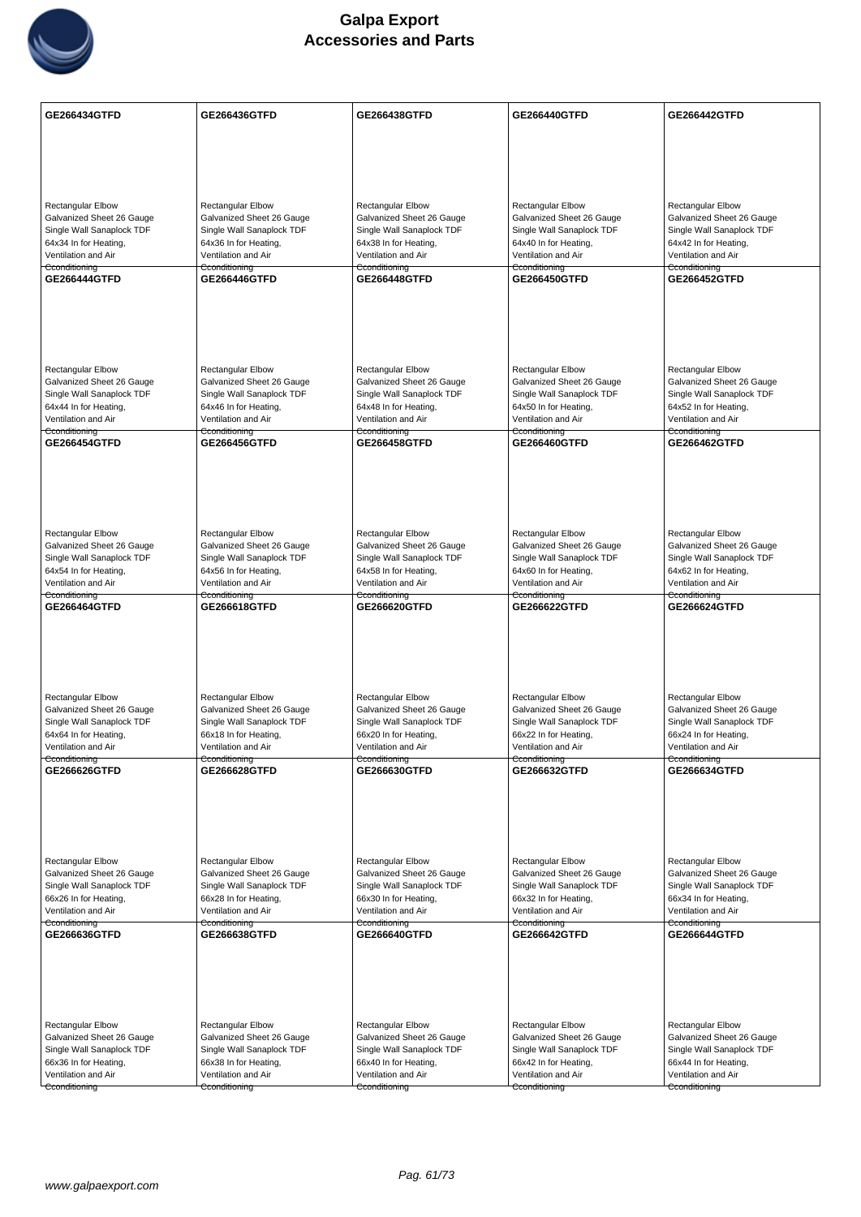

| <b>GE266434GTFD</b>                                    | GE266436GTFD                                           | GE266438GTFD                                           | GE266440GTFD                                           | GE266442GTFD                                           |
|--------------------------------------------------------|--------------------------------------------------------|--------------------------------------------------------|--------------------------------------------------------|--------------------------------------------------------|
|                                                        |                                                        |                                                        |                                                        |                                                        |
|                                                        |                                                        |                                                        |                                                        |                                                        |
|                                                        |                                                        |                                                        |                                                        |                                                        |
|                                                        | <b>Rectangular Elbow</b>                               |                                                        | <b>Rectangular Elbow</b>                               |                                                        |
| <b>Rectangular Elbow</b><br>Galvanized Sheet 26 Gauge  | Galvanized Sheet 26 Gauge                              | Rectangular Elbow<br>Galvanized Sheet 26 Gauge         | Galvanized Sheet 26 Gauge                              | <b>Rectangular Elbow</b><br>Galvanized Sheet 26 Gauge  |
| Single Wall Sanaplock TDF                              | Single Wall Sanaplock TDF                              | Single Wall Sanaplock TDF                              | Single Wall Sanaplock TDF                              | Single Wall Sanaplock TDF                              |
| 64x34 In for Heating,<br>Ventilation and Air           | 64x36 In for Heating,<br>Ventilation and Air           | 64x38 In for Heating,<br>Ventilation and Air           | 64x40 In for Heating,<br>Ventilation and Air           | 64x42 In for Heating,<br>Ventilation and Air           |
| Cconditioning                                          | Cconditioning                                          | Cconditioning                                          | Cconditioning                                          | Cconditioning                                          |
| GE266444GTFD                                           | <b>GE266446GTFD</b>                                    | GE266448GTFD                                           | GE266450GTFD                                           | <b>GE266452GTFD</b>                                    |
|                                                        |                                                        |                                                        |                                                        |                                                        |
|                                                        |                                                        |                                                        |                                                        |                                                        |
|                                                        |                                                        |                                                        |                                                        |                                                        |
| <b>Rectangular Elbow</b>                               | <b>Rectangular Elbow</b>                               | <b>Rectangular Elbow</b>                               | <b>Rectangular Elbow</b>                               | Rectangular Elbow                                      |
| Galvanized Sheet 26 Gauge                              | Galvanized Sheet 26 Gauge                              | Galvanized Sheet 26 Gauge                              | Galvanized Sheet 26 Gauge                              | Galvanized Sheet 26 Gauge                              |
| Single Wall Sanaplock TDF                              | Single Wall Sanaplock TDF                              | Single Wall Sanaplock TDF                              | Single Wall Sanaplock TDF                              | Single Wall Sanaplock TDF                              |
| 64x44 In for Heating,<br>Ventilation and Air           | 64x46 In for Heating,<br>Ventilation and Air           | 64x48 In for Heating,<br>Ventilation and Air           | 64x50 In for Heating,<br>Ventilation and Air           | 64x52 In for Heating,<br>Ventilation and Air           |
| Cconditioning                                          | Cconditioning                                          | Cconditioning                                          | Cconditioning                                          | Cconditioning                                          |
| <b>GE266454GTFD</b>                                    | <b>GE266456GTFD</b>                                    | <b>GE266458GTFD</b>                                    | GE266460GTFD                                           | <b>GE266462GTFD</b>                                    |
|                                                        |                                                        |                                                        |                                                        |                                                        |
|                                                        |                                                        |                                                        |                                                        |                                                        |
|                                                        |                                                        |                                                        |                                                        |                                                        |
| <b>Rectangular Elbow</b>                               | <b>Rectangular Elbow</b>                               | Rectangular Elbow                                      | Rectangular Elbow                                      | Rectangular Elbow                                      |
| Galvanized Sheet 26 Gauge                              | Galvanized Sheet 26 Gauge                              | Galvanized Sheet 26 Gauge                              | Galvanized Sheet 26 Gauge                              | Galvanized Sheet 26 Gauge                              |
| Single Wall Sanaplock TDF                              | Single Wall Sanaplock TDF                              | Single Wall Sanaplock TDF                              | Single Wall Sanaplock TDF                              | Single Wall Sanaplock TDF                              |
| 64x54 In for Heating,<br>Ventilation and Air           | 64x56 In for Heating,<br>Ventilation and Air           | 64x58 In for Heating,<br>Ventilation and Air           | 64x60 In for Heating,<br>Ventilation and Air           | 64x62 In for Heating,<br>Ventilation and Air           |
| Cconditioning<br>GE266464GTFD                          | Cconditioning<br>GE266618GTFD                          | Cconditioning<br>GE266620GTFD                          | Cconditioning<br>GE266622GTFD                          | Cconditioning<br>GE266624GTFD                          |
|                                                        |                                                        |                                                        |                                                        |                                                        |
|                                                        |                                                        |                                                        |                                                        |                                                        |
|                                                        |                                                        |                                                        |                                                        |                                                        |
|                                                        |                                                        |                                                        |                                                        |                                                        |
| Rectangular Elbow                                      | Rectangular Elbow                                      | <b>Rectangular Elbow</b>                               | Rectangular Elbow                                      | <b>Rectangular Elbow</b>                               |
| Galvanized Sheet 26 Gauge<br>Single Wall Sanaplock TDF | Galvanized Sheet 26 Gauge<br>Single Wall Sanaplock TDF | Galvanized Sheet 26 Gauge<br>Single Wall Sanaplock TDF | Galvanized Sheet 26 Gauge<br>Single Wall Sanaplock TDF | Galvanized Sheet 26 Gauge<br>Single Wall Sanaplock TDF |
| 64x64 In for Heating,                                  | 66x18 In for Heating,                                  | 66x20 In for Heating,                                  | 66x22 In for Heating,                                  | 66x24 In for Heating,                                  |
| Ventilation and Air<br>Cconditioning                   | Ventilation and Air<br>Cconditioning                   | Ventilation and Air<br>Cconditioning                   | Ventilation and Air<br>Cconditioning                   | Ventilation and Air<br>Cconditioning                   |
| GE266626GTFD                                           | GE266628GTFD                                           | GE266630GTFD                                           | GE266632GTFD                                           | GE266634GTFD                                           |
|                                                        |                                                        |                                                        |                                                        |                                                        |
|                                                        |                                                        |                                                        |                                                        |                                                        |
|                                                        |                                                        |                                                        |                                                        |                                                        |
| Rectangular Elbow                                      | Rectangular Elbow                                      | <b>Rectangular Elbow</b>                               | <b>Rectangular Elbow</b>                               | <b>Rectangular Elbow</b>                               |
| Galvanized Sheet 26 Gauge                              | Galvanized Sheet 26 Gauge                              | Galvanized Sheet 26 Gauge                              | Galvanized Sheet 26 Gauge                              | Galvanized Sheet 26 Gauge                              |
| Single Wall Sanaplock TDF                              | Single Wall Sanaplock TDF                              | Single Wall Sanaplock TDF                              | Single Wall Sanaplock TDF                              | Single Wall Sanaplock TDF                              |
| 66x26 In for Heating,<br>Ventilation and Air           | 66x28 In for Heating,<br>Ventilation and Air           | 66x30 In for Heating,<br>Ventilation and Air           | 66x32 In for Heating,<br>Ventilation and Air           | 66x34 In for Heating,<br>Ventilation and Air           |
| Cconditioning                                          | Cconditioning                                          | Cconditioning                                          | Cconditioning                                          | Cconditioning                                          |
| GE266636GTFD                                           | GE266638GTFD                                           | GE266640GTFD                                           | GE266642GTFD                                           | <b>GE266644GTFD</b>                                    |
|                                                        |                                                        |                                                        |                                                        |                                                        |
|                                                        |                                                        |                                                        |                                                        |                                                        |
|                                                        |                                                        |                                                        |                                                        |                                                        |
| Rectangular Elbow                                      | <b>Rectangular Elbow</b>                               | <b>Rectangular Elbow</b>                               | <b>Rectangular Elbow</b>                               | Rectangular Elbow                                      |
| Galvanized Sheet 26 Gauge                              | Galvanized Sheet 26 Gauge                              | Galvanized Sheet 26 Gauge                              | Galvanized Sheet 26 Gauge                              | Galvanized Sheet 26 Gauge                              |
| Single Wall Sanaplock TDF<br>66x36 In for Heating,     | Single Wall Sanaplock TDF<br>66x38 In for Heating,     | Single Wall Sanaplock TDF<br>66x40 In for Heating,     | Single Wall Sanaplock TDF<br>66x42 In for Heating,     | Single Wall Sanaplock TDF<br>66x44 In for Heating,     |
| Ventilation and Air                                    | Ventilation and Air                                    | Ventilation and Air                                    | Ventilation and Air                                    | Ventilation and Air                                    |
| Cconditioning                                          | Cconditioning                                          | Cconditioning                                          | Cconditioning                                          | Cconditioning                                          |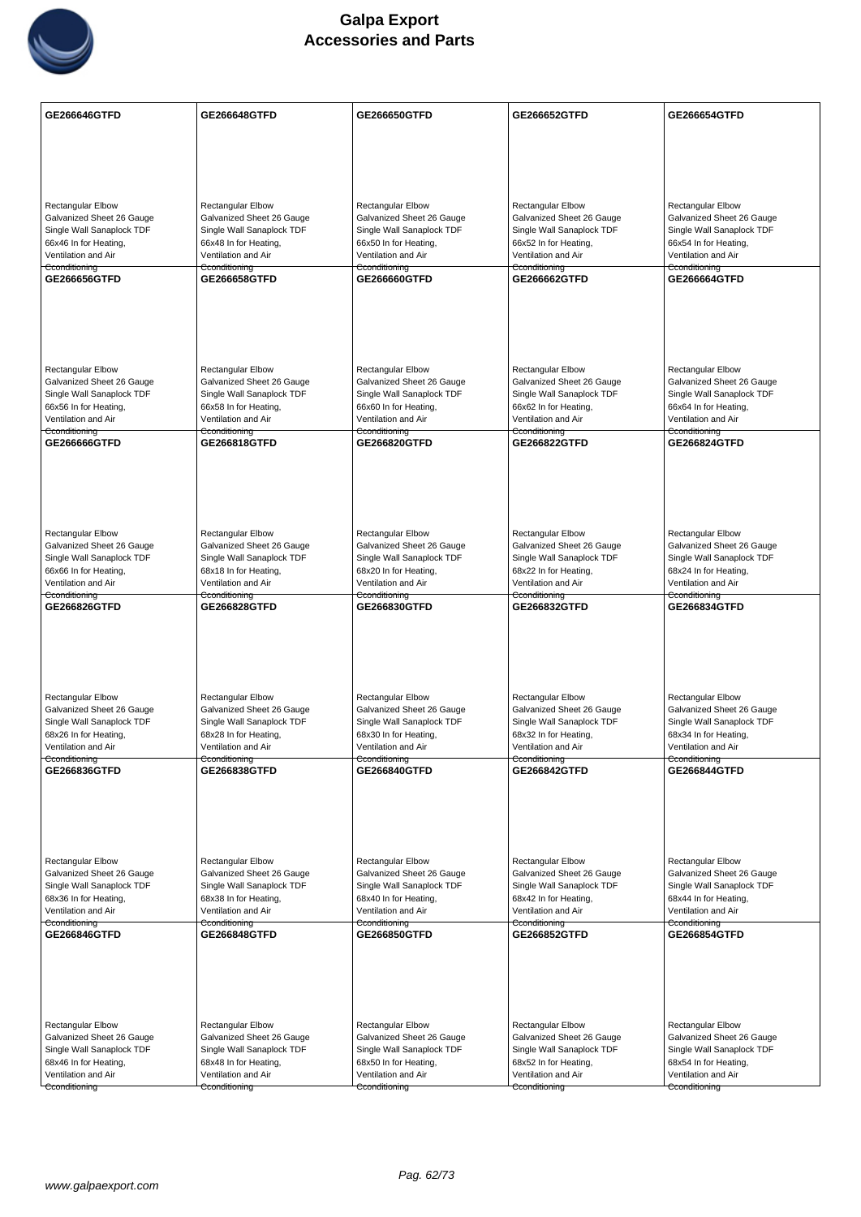

| GE266646GTFD                                       | GE266648GTFD                                          | GE266650GTFD                                       | GE266652GTFD                                          | GE266654GTFD                                          |
|----------------------------------------------------|-------------------------------------------------------|----------------------------------------------------|-------------------------------------------------------|-------------------------------------------------------|
|                                                    |                                                       |                                                    |                                                       |                                                       |
|                                                    |                                                       |                                                    |                                                       |                                                       |
|                                                    |                                                       |                                                    |                                                       |                                                       |
| <b>Rectangular Elbow</b>                           | <b>Rectangular Elbow</b>                              | Rectangular Elbow                                  | Rectangular Elbow                                     | <b>Rectangular Elbow</b>                              |
| Galvanized Sheet 26 Gauge                          | Galvanized Sheet 26 Gauge                             | Galvanized Sheet 26 Gauge                          | Galvanized Sheet 26 Gauge                             | Galvanized Sheet 26 Gauge                             |
| Single Wall Sanaplock TDF<br>66x46 In for Heating, | Single Wall Sanaplock TDF                             | Single Wall Sanaplock TDF                          | Single Wall Sanaplock TDF                             | Single Wall Sanaplock TDF                             |
| Ventilation and Air                                | 66x48 In for Heating,<br>Ventilation and Air          | 66x50 In for Heating,<br>Ventilation and Air       | 66x52 In for Heating,<br>Ventilation and Air          | 66x54 In for Heating,<br>Ventilation and Air          |
| Cconditioning                                      | Cconditioning                                         | Cconditioning                                      | Cconditioning                                         | Cconditioning                                         |
| GE266656GTFD                                       | GE266658GTFD                                          | GE266660GTFD                                       | GE266662GTFD                                          | GE266664GTFD                                          |
|                                                    |                                                       |                                                    |                                                       |                                                       |
|                                                    |                                                       |                                                    |                                                       |                                                       |
|                                                    |                                                       |                                                    |                                                       |                                                       |
|                                                    |                                                       |                                                    |                                                       |                                                       |
| Rectangular Elbow<br>Galvanized Sheet 26 Gauge     | <b>Rectangular Elbow</b><br>Galvanized Sheet 26 Gauge | Rectangular Elbow<br>Galvanized Sheet 26 Gauge     | <b>Rectangular Elbow</b><br>Galvanized Sheet 26 Gauge | <b>Rectangular Elbow</b><br>Galvanized Sheet 26 Gauge |
| Single Wall Sanaplock TDF                          | Single Wall Sanaplock TDF                             | Single Wall Sanaplock TDF                          | Single Wall Sanaplock TDF                             | Single Wall Sanaplock TDF                             |
| 66x56 In for Heating,<br>Ventilation and Air       | 66x58 In for Heating,<br>Ventilation and Air          | 66x60 In for Heating,<br>Ventilation and Air       | 66x62 In for Heating,<br>Ventilation and Air          | 66x64 In for Heating,<br>Ventilation and Air          |
| Cconditioning                                      | Cconditioning                                         | Cconditioning                                      | Cconditioning                                         | Cconditioning                                         |
| GE266666GTFD                                       | GE266818GTFD                                          | GE266820GTFD                                       | GE266822GTFD                                          | GE266824GTFD                                          |
|                                                    |                                                       |                                                    |                                                       |                                                       |
|                                                    |                                                       |                                                    |                                                       |                                                       |
|                                                    |                                                       |                                                    |                                                       |                                                       |
|                                                    |                                                       |                                                    |                                                       |                                                       |
| Rectangular Elbow<br>Galvanized Sheet 26 Gauge     | Rectangular Elbow<br>Galvanized Sheet 26 Gauge        | Rectangular Elbow<br>Galvanized Sheet 26 Gauge     | Rectangular Elbow<br>Galvanized Sheet 26 Gauge        | Rectangular Elbow<br>Galvanized Sheet 26 Gauge        |
| Single Wall Sanaplock TDF                          | Single Wall Sanaplock TDF                             | Single Wall Sanaplock TDF                          | Single Wall Sanaplock TDF                             | Single Wall Sanaplock TDF                             |
| 66x66 In for Heating,<br>Ventilation and Air       | 68x18 In for Heating,<br>Ventilation and Air          | 68x20 In for Heating,<br>Ventilation and Air       | 68x22 In for Heating,<br>Ventilation and Air          | 68x24 In for Heating,<br>Ventilation and Air          |
| Cconditioning                                      | Cconditioning                                         | Cconditioning                                      | Cconditioning                                         | Cconditioning                                         |
| GE266826GTFD                                       | <b>GE266828GTFD</b>                                   | GE266830GTFD                                       | GE266832GTFD                                          | <b>GE266834GTFD</b>                                   |
|                                                    |                                                       |                                                    |                                                       |                                                       |
|                                                    |                                                       |                                                    |                                                       |                                                       |
|                                                    |                                                       |                                                    |                                                       |                                                       |
| Rectangular Elbow                                  | <b>Rectangular Elbow</b>                              | <b>Rectangular Elbow</b>                           | <b>Rectangular Elbow</b>                              | <b>Rectangular Elbow</b>                              |
| Galvanized Sheet 26 Gauge                          | Galvanized Sheet 26 Gauge                             | Galvanized Sheet 26 Gauge                          | Galvanized Sheet 26 Gauge                             | Galvanized Sheet 26 Gauge                             |
| Single Wall Sanaplock TDF<br>68x26 In for Heating, | Single Wall Sanaplock TDF                             | Single Wall Sanaplock TDF                          | Single Wall Sanaplock TDF                             | Single Wall Sanaplock TDF<br>68x34 In for Heating,    |
| Ventilation and Air                                | 68x28 In for Heating,<br>Ventilation and Air          | 68x30 In for Heating,<br>Ventilation and Air       | 68x32 In for Heating,<br>Ventilation and Air          | Ventilation and Air                                   |
| Cconditioning<br>GE266836GTFD                      | Cconditioning<br>GE266838GTFD                         | Cconditioning<br>GE266840GTFD                      | Cconditioning<br><b>GE266842GTFD</b>                  | Cconditioning<br>GE266844GTFD                         |
|                                                    |                                                       |                                                    |                                                       |                                                       |
|                                                    |                                                       |                                                    |                                                       |                                                       |
|                                                    |                                                       |                                                    |                                                       |                                                       |
|                                                    |                                                       |                                                    |                                                       |                                                       |
| Rectangular Elbow                                  | Rectangular Elbow                                     | Rectangular Elbow                                  | Rectangular Elbow                                     | <b>Rectangular Elbow</b>                              |
| Galvanized Sheet 26 Gauge                          | Galvanized Sheet 26 Gauge                             | Galvanized Sheet 26 Gauge                          | Galvanized Sheet 26 Gauge                             | Galvanized Sheet 26 Gauge                             |
| Single Wall Sanaplock TDF<br>68x36 In for Heating, | Single Wall Sanaplock TDF<br>68x38 In for Heating,    | Single Wall Sanaplock TDF<br>68x40 In for Heating, | Single Wall Sanaplock TDF<br>68x42 In for Heating,    | Single Wall Sanaplock TDF<br>68x44 In for Heating,    |
| Ventilation and Air                                | Ventilation and Air                                   | Ventilation and Air                                | Ventilation and Air                                   | Ventilation and Air                                   |
| Cconditioning                                      | Cconditioning                                         | Cconditioning                                      | Cconditioning                                         | Cconditioning<br>GE266854GTFD                         |
| GE266846GTFD                                       | GE266848GTFD                                          | GE266850GTFD                                       | GE266852GTFD                                          |                                                       |
|                                                    |                                                       |                                                    |                                                       |                                                       |
|                                                    |                                                       |                                                    |                                                       |                                                       |
|                                                    |                                                       |                                                    |                                                       |                                                       |
| <b>Rectangular Elbow</b>                           | Rectangular Elbow                                     | Rectangular Elbow                                  | <b>Rectangular Elbow</b>                              | <b>Rectangular Elbow</b>                              |
| Galvanized Sheet 26 Gauge                          | Galvanized Sheet 26 Gauge                             | Galvanized Sheet 26 Gauge                          | Galvanized Sheet 26 Gauge                             | Galvanized Sheet 26 Gauge                             |
| Single Wall Sanaplock TDF                          | Single Wall Sanaplock TDF                             | Single Wall Sanaplock TDF                          | Single Wall Sanaplock TDF                             | Single Wall Sanaplock TDF                             |
| 68x46 In for Heating,<br>Ventilation and Air       | 68x48 In for Heating,<br>Ventilation and Air          | 68x50 In for Heating,<br>Ventilation and Air       | 68x52 In for Heating,<br>Ventilation and Air          | 68x54 In for Heating,<br>Ventilation and Air          |
| Cconditioning                                      | Cconditioning                                         | Cconditioning                                      | Cconditioning                                         | Cconditioning                                         |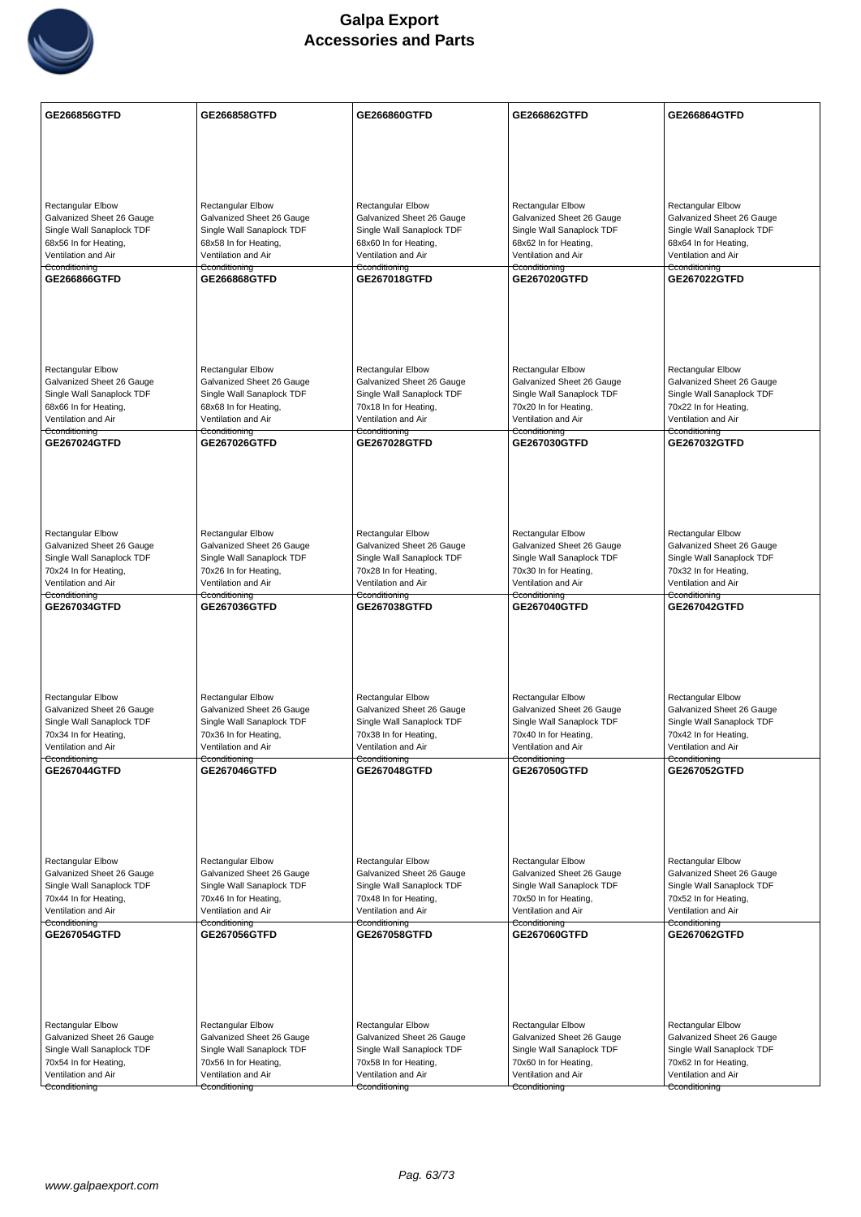

| <b>GE266856GTFD</b>                                    | GE266858GTFD                                           | GE266860GTFD                                           | GE266862GTFD                                           | GE266864GTFD                                           |
|--------------------------------------------------------|--------------------------------------------------------|--------------------------------------------------------|--------------------------------------------------------|--------------------------------------------------------|
|                                                        |                                                        |                                                        |                                                        |                                                        |
|                                                        |                                                        |                                                        |                                                        |                                                        |
|                                                        |                                                        |                                                        |                                                        |                                                        |
|                                                        |                                                        |                                                        | <b>Rectangular Elbow</b>                               |                                                        |
| <b>Rectangular Elbow</b><br>Galvanized Sheet 26 Gauge  | <b>Rectangular Elbow</b><br>Galvanized Sheet 26 Gauge  | Rectangular Elbow<br>Galvanized Sheet 26 Gauge         | Galvanized Sheet 26 Gauge                              | Rectangular Elbow<br>Galvanized Sheet 26 Gauge         |
| Single Wall Sanaplock TDF                              | Single Wall Sanaplock TDF                              | Single Wall Sanaplock TDF                              | Single Wall Sanaplock TDF                              | Single Wall Sanaplock TDF                              |
| 68x56 In for Heating,<br>Ventilation and Air           | 68x58 In for Heating,<br>Ventilation and Air           | 68x60 In for Heating,<br>Ventilation and Air           | 68x62 In for Heating,<br>Ventilation and Air           | 68x64 In for Heating,<br>Ventilation and Air           |
| Cconditioning<br>GE266866GTFD                          | Cconditioning<br>GE266868GTFD                          | Cconditioning<br>GE267018GTFD                          | Cconditioning<br>GE267020GTFD                          | Cconditioning<br><b>GE267022GTFD</b>                   |
|                                                        |                                                        |                                                        |                                                        |                                                        |
|                                                        |                                                        |                                                        |                                                        |                                                        |
|                                                        |                                                        |                                                        |                                                        |                                                        |
|                                                        |                                                        |                                                        |                                                        |                                                        |
| <b>Rectangular Elbow</b>                               | <b>Rectangular Elbow</b>                               | Rectangular Elbow                                      | <b>Rectangular Elbow</b>                               | <b>Rectangular Elbow</b>                               |
| Galvanized Sheet 26 Gauge<br>Single Wall Sanaplock TDF | Galvanized Sheet 26 Gauge<br>Single Wall Sanaplock TDF | Galvanized Sheet 26 Gauge<br>Single Wall Sanaplock TDF | Galvanized Sheet 26 Gauge<br>Single Wall Sanaplock TDF | Galvanized Sheet 26 Gauge<br>Single Wall Sanaplock TDF |
| 68x66 In for Heating,                                  | 68x68 In for Heating,                                  | 70x18 In for Heating,                                  | 70x20 In for Heating,                                  | 70x22 In for Heating,                                  |
| Ventilation and Air<br>Cconditioning                   | Ventilation and Air<br>Cconditioning                   | Ventilation and Air<br>Cconditioning                   | Ventilation and Air<br>Cconditioning                   | Ventilation and Air<br>Cconditioning                   |
| GE267024GTFD                                           | GE267026GTFD                                           | GE267028GTFD                                           | GE267030GTFD                                           | GE267032GTFD                                           |
|                                                        |                                                        |                                                        |                                                        |                                                        |
|                                                        |                                                        |                                                        |                                                        |                                                        |
|                                                        |                                                        |                                                        |                                                        |                                                        |
| <b>Rectangular Elbow</b>                               | <b>Rectangular Elbow</b>                               | <b>Rectangular Elbow</b>                               | <b>Rectangular Elbow</b>                               | <b>Rectangular Elbow</b>                               |
| Galvanized Sheet 26 Gauge                              | Galvanized Sheet 26 Gauge                              | Galvanized Sheet 26 Gauge                              | Galvanized Sheet 26 Gauge                              | Galvanized Sheet 26 Gauge                              |
| Single Wall Sanaplock TDF                              | Single Wall Sanaplock TDF                              | Single Wall Sanaplock TDF                              | Single Wall Sanaplock TDF                              | Single Wall Sanaplock TDF                              |
| 70x24 In for Heating,<br>Ventilation and Air           | 70x26 In for Heating,<br>Ventilation and Air           | 70x28 In for Heating,<br>Ventilation and Air           | 70x30 In for Heating,<br>Ventilation and Air           | 70x32 In for Heating,<br>Ventilation and Air           |
| Cconditioning<br>GE267034GTFD                          | Cconditioning<br>GE267036GTFD                          | Cconditioning<br>GE267038GTFD                          | Cconditioning<br>GE267040GTFD                          | Cconditioning<br>GE267042GTFD                          |
|                                                        |                                                        |                                                        |                                                        |                                                        |
|                                                        |                                                        |                                                        |                                                        |                                                        |
|                                                        |                                                        |                                                        |                                                        |                                                        |
|                                                        |                                                        |                                                        |                                                        |                                                        |
| Rectangular Elbow                                      | Rectangular Elbow                                      | <b>Rectangular Elbow</b>                               | Rectangular Elbow<br>Galvanized Sheet 26 Gauge         | <b>Rectangular Elbow</b><br>Galvanized Sheet 26 Gauge  |
| Galvanized Sheet 26 Gauge<br>Single Wall Sanaplock TDF | Galvanized Sheet 26 Gauge<br>Single Wall Sanaplock TDF | Galvanized Sheet 26 Gauge<br>Single Wall Sanaplock TDF | Single Wall Sanaplock TDF                              | Single Wall Sanaplock TDF                              |
| 70x34 In for Heating,<br>Ventilation and Air           | 70x36 In for Heating,<br>Ventilation and Air           | 70x38 In for Heating,<br>Ventilation and Air           | 70x40 In for Heating,<br>Ventilation and Air           | 70x42 In for Heating,<br>Ventilation and Air           |
| Cconditioning                                          | Cconditioning                                          | Cconditioning                                          | Cconditioning                                          | Cconditioning                                          |
| <b>GE267044GTFD</b>                                    | <b>GE267046GTFD</b>                                    | <b>GE267048GTFD</b>                                    | GE267050GTFD                                           | <b>GE267052GTFD</b>                                    |
|                                                        |                                                        |                                                        |                                                        |                                                        |
|                                                        |                                                        |                                                        |                                                        |                                                        |
|                                                        |                                                        |                                                        |                                                        |                                                        |
| Rectangular Elbow                                      | Rectangular Elbow                                      | <b>Rectangular Elbow</b>                               | <b>Rectangular Elbow</b>                               | <b>Rectangular Elbow</b>                               |
| Galvanized Sheet 26 Gauge                              | Galvanized Sheet 26 Gauge                              | Galvanized Sheet 26 Gauge                              | Galvanized Sheet 26 Gauge                              | Galvanized Sheet 26 Gauge                              |
| Single Wall Sanaplock TDF<br>70x44 In for Heating,     | Single Wall Sanaplock TDF<br>70x46 In for Heating,     | Single Wall Sanaplock TDF<br>70x48 In for Heating,     | Single Wall Sanaplock TDF<br>70x50 In for Heating,     | Single Wall Sanaplock TDF<br>70x52 In for Heating,     |
| Ventilation and Air                                    | Ventilation and Air                                    | Ventilation and Air                                    | Ventilation and Air                                    | Ventilation and Air                                    |
| Cconditioning                                          | Cconditioning                                          | Cconditioning                                          | Cconditioning<br>GE267060GTFD                          | Cconditioning                                          |
| GE267054GTFD                                           | GE267056GTFD                                           | GE267058GTFD                                           |                                                        | GE267062GTFD                                           |
|                                                        |                                                        |                                                        |                                                        |                                                        |
|                                                        |                                                        |                                                        |                                                        |                                                        |
|                                                        |                                                        |                                                        |                                                        |                                                        |
| Rectangular Elbow                                      | <b>Rectangular Elbow</b>                               | Rectangular Elbow                                      | <b>Rectangular Elbow</b>                               | Rectangular Elbow                                      |
| Galvanized Sheet 26 Gauge                              | Galvanized Sheet 26 Gauge                              | Galvanized Sheet 26 Gauge                              | Galvanized Sheet 26 Gauge                              | Galvanized Sheet 26 Gauge                              |
| Single Wall Sanaplock TDF<br>70x54 In for Heating,     | Single Wall Sanaplock TDF<br>70x56 In for Heating,     | Single Wall Sanaplock TDF<br>70x58 In for Heating,     | Single Wall Sanaplock TDF<br>70x60 In for Heating,     | Single Wall Sanaplock TDF<br>70x62 In for Heating,     |
| Ventilation and Air                                    | Ventilation and Air                                    | Ventilation and Air                                    | Ventilation and Air                                    | Ventilation and Air                                    |
| Cconditioning                                          | Cconditioning                                          | Cconditioning                                          | Cconditioning                                          | Cconditioning                                          |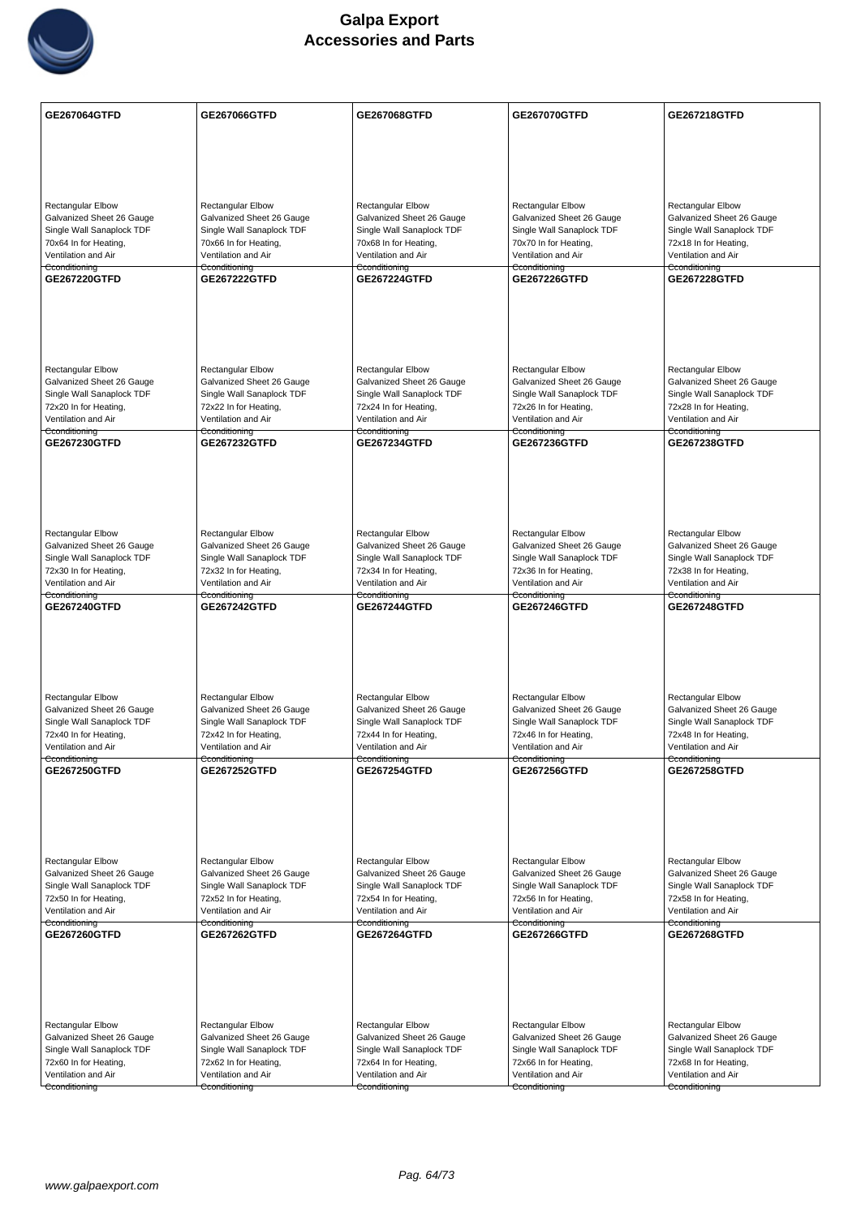

| <b>GE267064GTFD</b>                                   | GE267066GTFD                                          | GE267068GTFD                                          | GE267070GTFD                                          | <b>GE267218GTFD</b>                                   |
|-------------------------------------------------------|-------------------------------------------------------|-------------------------------------------------------|-------------------------------------------------------|-------------------------------------------------------|
|                                                       |                                                       |                                                       |                                                       |                                                       |
|                                                       |                                                       |                                                       |                                                       |                                                       |
|                                                       |                                                       |                                                       |                                                       |                                                       |
| <b>Rectangular Elbow</b>                              | <b>Rectangular Elbow</b>                              | <b>Rectangular Elbow</b>                              | <b>Rectangular Elbow</b>                              | <b>Rectangular Elbow</b>                              |
| Galvanized Sheet 26 Gauge                             | Galvanized Sheet 26 Gauge                             | Galvanized Sheet 26 Gauge                             | Galvanized Sheet 26 Gauge                             | Galvanized Sheet 26 Gauge                             |
| Single Wall Sanaplock TDF                             | Single Wall Sanaplock TDF                             | Single Wall Sanaplock TDF                             | Single Wall Sanaplock TDF                             | Single Wall Sanaplock TDF                             |
| 70x64 In for Heating,<br>Ventilation and Air          | 70x66 In for Heating,<br>Ventilation and Air          | 70x68 In for Heating,<br>Ventilation and Air          | 70x70 In for Heating,<br>Ventilation and Air          | 72x18 In for Heating,<br>Ventilation and Air          |
| Cconditioning                                         | Cconditioning                                         | Cconditioning                                         | Cconditioning                                         | Cconditioning                                         |
| GE267220GTFD                                          | <b>GE267222GTFD</b>                                   | <b>GE267224GTFD</b>                                   | <b>GE267226GTFD</b>                                   | GE267228GTFD                                          |
|                                                       |                                                       |                                                       |                                                       |                                                       |
|                                                       |                                                       |                                                       |                                                       |                                                       |
|                                                       |                                                       |                                                       |                                                       |                                                       |
| <b>Rectangular Elbow</b>                              | <b>Rectangular Elbow</b>                              | <b>Rectangular Elbow</b>                              | <b>Rectangular Elbow</b>                              | Rectangular Elbow                                     |
| Galvanized Sheet 26 Gauge                             | Galvanized Sheet 26 Gauge                             | Galvanized Sheet 26 Gauge                             | Galvanized Sheet 26 Gauge                             | Galvanized Sheet 26 Gauge                             |
| Single Wall Sanaplock TDF<br>72x20 In for Heating,    | Single Wall Sanaplock TDF<br>72x22 In for Heating,    | Single Wall Sanaplock TDF<br>72x24 In for Heating,    | Single Wall Sanaplock TDF<br>72x26 In for Heating,    | Single Wall Sanaplock TDF<br>72x28 In for Heating,    |
| Ventilation and Air                                   | Ventilation and Air                                   | Ventilation and Air                                   | Ventilation and Air                                   | Ventilation and Air                                   |
| Cconditioning<br>GE267230GTFD                         | Cconditioning<br><b>GE267232GTFD</b>                  | Cconditioning<br><b>GE267234GTFD</b>                  | Cconditioning<br>GE267236GTFD                         | Cconditioning<br><b>GE267238GTFD</b>                  |
|                                                       |                                                       |                                                       |                                                       |                                                       |
|                                                       |                                                       |                                                       |                                                       |                                                       |
|                                                       |                                                       |                                                       |                                                       |                                                       |
|                                                       |                                                       |                                                       |                                                       |                                                       |
| <b>Rectangular Elbow</b><br>Galvanized Sheet 26 Gauge | <b>Rectangular Elbow</b><br>Galvanized Sheet 26 Gauge | Rectangular Elbow<br>Galvanized Sheet 26 Gauge        | Rectangular Elbow<br>Galvanized Sheet 26 Gauge        | Rectangular Elbow<br>Galvanized Sheet 26 Gauge        |
| Single Wall Sanaplock TDF                             | Single Wall Sanaplock TDF                             | Single Wall Sanaplock TDF                             | Single Wall Sanaplock TDF                             | Single Wall Sanaplock TDF                             |
| 72x30 In for Heating,                                 | 72x32 In for Heating,                                 | 72x34 In for Heating,                                 | 72x36 In for Heating,                                 | 72x38 In for Heating,                                 |
| Ventilation and Air<br>Cconditioning                  | Ventilation and Air<br>Cconditioning                  | Ventilation and Air<br>Cconditioning                  | Ventilation and Air<br>Cconditioning                  | Ventilation and Air<br>Cconditioning                  |
| GE267240GTFD                                          | GE267242GTFD                                          | <b>GE267244GTFD</b>                                   | GE267246GTFD                                          | <b>GE267248GTFD</b>                                   |
|                                                       |                                                       |                                                       |                                                       |                                                       |
|                                                       |                                                       |                                                       |                                                       |                                                       |
|                                                       |                                                       |                                                       |                                                       |                                                       |
| Rectangular Elbow                                     | Rectangular Elbow                                     | <b>Rectangular Elbow</b>                              | Rectangular Elbow                                     | <b>Rectangular Elbow</b>                              |
| Galvanized Sheet 26 Gauge                             | Galvanized Sheet 26 Gauge                             | Galvanized Sheet 26 Gauge                             | Galvanized Sheet 26 Gauge                             | Galvanized Sheet 26 Gauge                             |
| Single Wall Sanaplock TDF<br>72x40 In for Heating,    | Single Wall Sanaplock TDF<br>72x42 In for Heating,    | Single Wall Sanaplock TDF<br>72x44 In for Heating,    | Single Wall Sanaplock TDF<br>72x46 In for Heating,    | Single Wall Sanaplock TDF<br>72x48 In for Heating,    |
| Ventilation and Air                                   | Ventilation and Air                                   | Ventilation and Air                                   | Ventilation and Air                                   | Ventilation and Air                                   |
| Cconditioning<br>GE267250GTFD                         | Cconditioning<br><b>GE267252GTFD</b>                  | Cconditioning<br><b>GE267254GTFD</b>                  | Cconditioning<br>GE267256GTFD                         | Cconditioning<br><b>GE267258GTFD</b>                  |
|                                                       |                                                       |                                                       |                                                       |                                                       |
|                                                       |                                                       |                                                       |                                                       |                                                       |
|                                                       |                                                       |                                                       |                                                       |                                                       |
| Rectangular Elbow                                     |                                                       |                                                       |                                                       |                                                       |
| Galvanized Sheet 26 Gauge                             | <b>Rectangular Elbow</b><br>Galvanized Sheet 26 Gauge | <b>Rectangular Elbow</b><br>Galvanized Sheet 26 Gauge | <b>Rectangular Elbow</b><br>Galvanized Sheet 26 Gauge | <b>Rectangular Elbow</b><br>Galvanized Sheet 26 Gauge |
| Single Wall Sanaplock TDF                             | Single Wall Sanaplock TDF                             | Single Wall Sanaplock TDF                             | Single Wall Sanaplock TDF                             | Single Wall Sanaplock TDF                             |
| 72x50 In for Heating,<br>Ventilation and Air          | 72x52 In for Heating,<br>Ventilation and Air          | 72x54 In for Heating,<br>Ventilation and Air          | 72x56 In for Heating,<br>Ventilation and Air          | 72x58 In for Heating,<br>Ventilation and Air          |
| Cconditioning<br>GE267260GTFD                         | Cconditioning<br><b>GE267262GTFD</b>                  | Cconditioning<br>GE267264GTFD                         | Cconditioning<br>GE267266GTFD                         | Cconditioning<br><b>GE267268GTFD</b>                  |
|                                                       |                                                       |                                                       |                                                       |                                                       |
|                                                       |                                                       |                                                       |                                                       |                                                       |
|                                                       |                                                       |                                                       |                                                       |                                                       |
|                                                       |                                                       |                                                       |                                                       |                                                       |
| Rectangular Elbow                                     | <b>Rectangular Elbow</b>                              | <b>Rectangular Elbow</b>                              | Rectangular Elbow                                     | Rectangular Elbow                                     |
| Galvanized Sheet 26 Gauge                             | Galvanized Sheet 26 Gauge                             | Galvanized Sheet 26 Gauge                             | Galvanized Sheet 26 Gauge                             | Galvanized Sheet 26 Gauge                             |
| Single Wall Sanaplock TDF<br>72x60 In for Heating,    | Single Wall Sanaplock TDF<br>72x62 In for Heating,    | Single Wall Sanaplock TDF<br>72x64 In for Heating,    | Single Wall Sanaplock TDF<br>72x66 In for Heating,    | Single Wall Sanaplock TDF<br>72x68 In for Heating,    |
| Ventilation and Air                                   | Ventilation and Air                                   | Ventilation and Air                                   | Ventilation and Air                                   | Ventilation and Air                                   |
| Cconditioning                                         | Cconditioning                                         | Cconditioning                                         | Cconditioning                                         | Cconditioning                                         |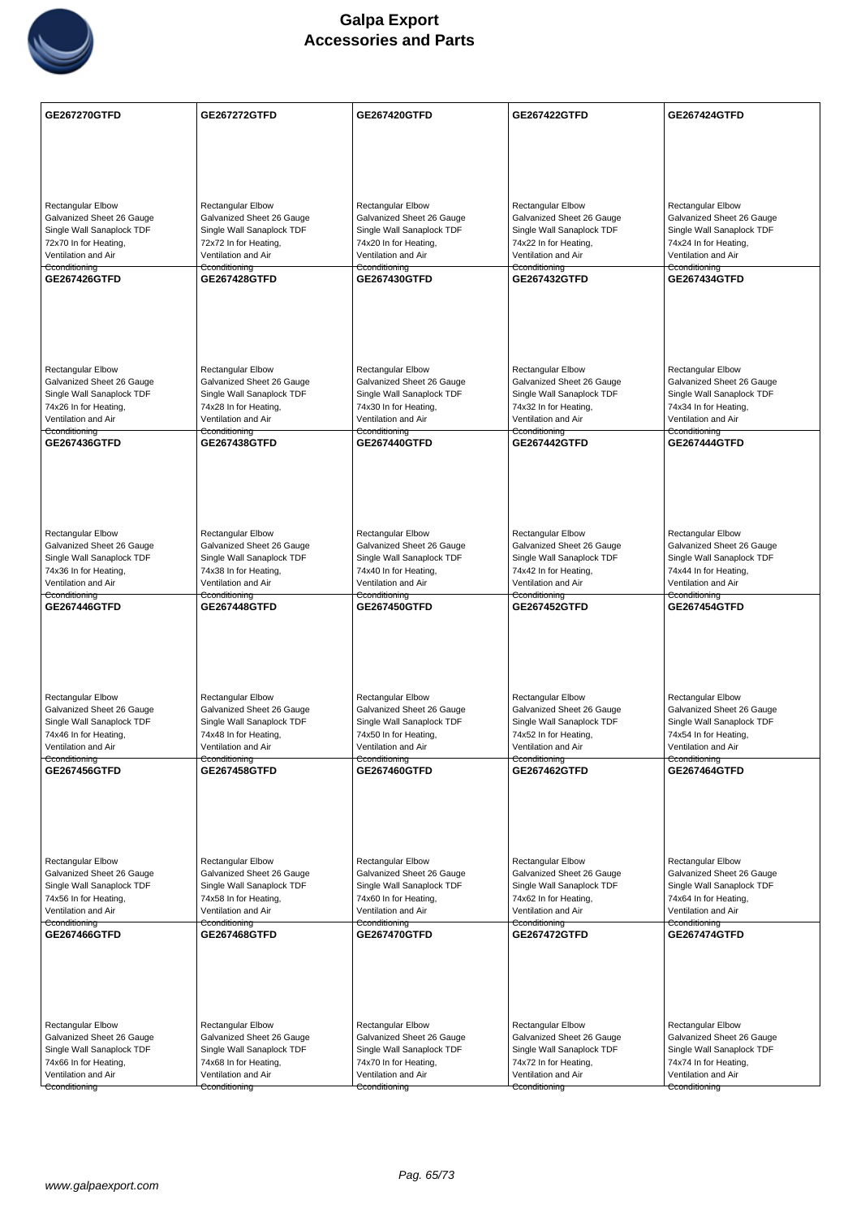

| GE267270GTFD                                           | <b>GE267272GTFD</b>                                    | GE267420GTFD                                           | <b>GE267422GTFD</b>                                    | <b>GE267424GTFD</b>                                    |
|--------------------------------------------------------|--------------------------------------------------------|--------------------------------------------------------|--------------------------------------------------------|--------------------------------------------------------|
|                                                        |                                                        |                                                        |                                                        |                                                        |
|                                                        |                                                        |                                                        |                                                        |                                                        |
|                                                        |                                                        |                                                        |                                                        |                                                        |
| <b>Rectangular Elbow</b>                               | Rectangular Elbow                                      | <b>Rectangular Elbow</b>                               | <b>Rectangular Elbow</b>                               | Rectangular Elbow                                      |
| Galvanized Sheet 26 Gauge                              | Galvanized Sheet 26 Gauge                              | Galvanized Sheet 26 Gauge                              | Galvanized Sheet 26 Gauge                              | Galvanized Sheet 26 Gauge                              |
| Single Wall Sanaplock TDF                              | Single Wall Sanaplock TDF                              | Single Wall Sanaplock TDF                              | Single Wall Sanaplock TDF                              | Single Wall Sanaplock TDF                              |
| 72x70 In for Heating,<br>Ventilation and Air           | 72x72 In for Heating,<br>Ventilation and Air           | 74x20 In for Heating,<br>Ventilation and Air           | 74x22 In for Heating,<br>Ventilation and Air           | 74x24 In for Heating,<br>Ventilation and Air           |
| Cconditioning                                          | Cconditioning                                          | Cconditioning                                          | Cconditioning                                          | Cconditioning                                          |
| GE267426GTFD                                           | <b>GE267428GTFD</b>                                    | GE267430GTFD                                           | <b>GE267432GTFD</b>                                    | <b>GE267434GTFD</b>                                    |
|                                                        |                                                        |                                                        |                                                        |                                                        |
|                                                        |                                                        |                                                        |                                                        |                                                        |
|                                                        |                                                        |                                                        |                                                        |                                                        |
| <b>Rectangular Elbow</b>                               | <b>Rectangular Elbow</b>                               | <b>Rectangular Elbow</b>                               | <b>Rectangular Elbow</b>                               | <b>Rectangular Elbow</b>                               |
| Galvanized Sheet 26 Gauge                              | Galvanized Sheet 26 Gauge                              | Galvanized Sheet 26 Gauge                              | Galvanized Sheet 26 Gauge                              | Galvanized Sheet 26 Gauge                              |
| Single Wall Sanaplock TDF<br>74x26 In for Heating,     | Single Wall Sanaplock TDF<br>74x28 In for Heating,     | Single Wall Sanaplock TDF<br>74x30 In for Heating,     | Single Wall Sanaplock TDF<br>74x32 In for Heating,     | Single Wall Sanaplock TDF<br>74x34 In for Heating,     |
| Ventilation and Air                                    | Ventilation and Air                                    | Ventilation and Air                                    | Ventilation and Air                                    | Ventilation and Air                                    |
| Cconditioning<br>GE267436GTFD                          | <del>Cconditioning</del><br><b>GE267438GTFD</b>        | Cconditioning<br><b>GE267440GTFD</b>                   | <del>Cconditioning</del><br><b>GE267442GTFD</b>        | Cconditioning<br><b>GE267444GTFD</b>                   |
|                                                        |                                                        |                                                        |                                                        |                                                        |
|                                                        |                                                        |                                                        |                                                        |                                                        |
|                                                        |                                                        |                                                        |                                                        |                                                        |
|                                                        |                                                        |                                                        |                                                        |                                                        |
| <b>Rectangular Elbow</b><br>Galvanized Sheet 26 Gauge  | Rectangular Elbow<br>Galvanized Sheet 26 Gauge         | Rectangular Elbow<br>Galvanized Sheet 26 Gauge         | <b>Rectangular Elbow</b><br>Galvanized Sheet 26 Gauge  | Rectangular Elbow<br>Galvanized Sheet 26 Gauge         |
| Single Wall Sanaplock TDF                              | Single Wall Sanaplock TDF                              | Single Wall Sanaplock TDF                              | Single Wall Sanaplock TDF                              | Single Wall Sanaplock TDF                              |
| 74x36 In for Heating,                                  | 74x38 In for Heating,                                  | 74x40 In for Heating,                                  | 74x42 In for Heating,                                  | 74x44 In for Heating,                                  |
| Ventilation and Air<br>Cconditioning                   | Ventilation and Air<br>Cconditioning                   | Ventilation and Air<br>Cconditioning                   | Ventilation and Air<br>Cconditioning                   | Ventilation and Air<br>Cconditioning                   |
| GE267446GTFD                                           | <b>GE267448GTFD</b>                                    | GE267450GTFD                                           | GE267452GTFD                                           | <b>GE267454GTFD</b>                                    |
|                                                        |                                                        |                                                        |                                                        |                                                        |
|                                                        |                                                        |                                                        |                                                        |                                                        |
|                                                        |                                                        |                                                        |                                                        |                                                        |
| <b>Rectangular Elbow</b>                               | Rectangular Elbow                                      | <b>Rectangular Elbow</b>                               | <b>Rectangular Elbow</b>                               | <b>Rectangular Elbow</b>                               |
| Galvanized Sheet 26 Gauge                              | Galvanized Sheet 26 Gauge                              | Galvanized Sheet 26 Gauge                              | Galvanized Sheet 26 Gauge                              | Galvanized Sheet 26 Gauge                              |
| Single Wall Sanaplock TDF<br>74x46 In for Heating,     | Single Wall Sanaplock TDF<br>74x48 In for Heating,     | Single Wall Sanaplock TDF<br>74x50 In for Heating,     | Single Wall Sanaplock TDF<br>74x52 In for Heating,     | Single Wall Sanaplock TDF<br>74x54 In for Heating,     |
| Ventilation and Air                                    | Ventilation and Air                                    | Ventilation and Air                                    | Ventilation and Air                                    | Ventilation and Air                                    |
| Cconditioning<br>GE267456GTFD                          | Cconditioning<br>GE267458GTFD                          | Cconditioning<br>GE267460GTFD                          | Cconditioning<br>GE267462GTFD                          | Cconditioning<br>GE267464GTFD                          |
|                                                        |                                                        |                                                        |                                                        |                                                        |
|                                                        |                                                        |                                                        |                                                        |                                                        |
|                                                        |                                                        |                                                        |                                                        |                                                        |
|                                                        |                                                        |                                                        |                                                        |                                                        |
| Rectangular Elbow                                      | <b>Rectangular Elbow</b>                               | <b>Rectangular Elbow</b>                               | <b>Rectangular Elbow</b>                               | <b>Rectangular Elbow</b>                               |
| Galvanized Sheet 26 Gauge<br>Single Wall Sanaplock TDF | Galvanized Sheet 26 Gauge<br>Single Wall Sanaplock TDF | Galvanized Sheet 26 Gauge<br>Single Wall Sanaplock TDF | Galvanized Sheet 26 Gauge<br>Single Wall Sanaplock TDF | Galvanized Sheet 26 Gauge<br>Single Wall Sanaplock TDF |
| 74x56 In for Heating,                                  | 74x58 In for Heating,                                  | 74x60 In for Heating,                                  | 74x62 In for Heating,                                  | 74x64 In for Heating,                                  |
| Ventilation and Air<br>Cconditioning                   | Ventilation and Air<br>Cconditioning                   | Ventilation and Air<br>Cconditioning                   | Ventilation and Air<br>Cconditioning                   | Ventilation and Air<br>Cconditioning                   |
| GE267466GTFD                                           | <b>GE267468GTFD</b>                                    | <b>GE267470GTFD</b>                                    | <b>GE267472GTFD</b>                                    | <b>GE267474GTFD</b>                                    |
|                                                        |                                                        |                                                        |                                                        |                                                        |
|                                                        |                                                        |                                                        |                                                        |                                                        |
|                                                        |                                                        |                                                        |                                                        |                                                        |
| <b>Rectangular Elbow</b>                               | Rectangular Elbow                                      | Rectangular Elbow                                      | Rectangular Elbow                                      | Rectangular Elbow                                      |
| Galvanized Sheet 26 Gauge                              | Galvanized Sheet 26 Gauge                              | Galvanized Sheet 26 Gauge                              | Galvanized Sheet 26 Gauge                              | Galvanized Sheet 26 Gauge                              |
| Single Wall Sanaplock TDF                              | Single Wall Sanaplock TDF                              | Single Wall Sanaplock TDF                              | Single Wall Sanaplock TDF                              | Single Wall Sanaplock TDF                              |
| 74x66 In for Heating,<br>Ventilation and Air           | 74x68 In for Heating,<br>Ventilation and Air           | 74x70 In for Heating,<br>Ventilation and Air           | 74x72 In for Heating,<br>Ventilation and Air           | 74x74 In for Heating,<br>Ventilation and Air           |
| Cconditioning                                          | Cconditioning                                          | Cconditioning                                          | Cconditioning                                          | Cconditioning                                          |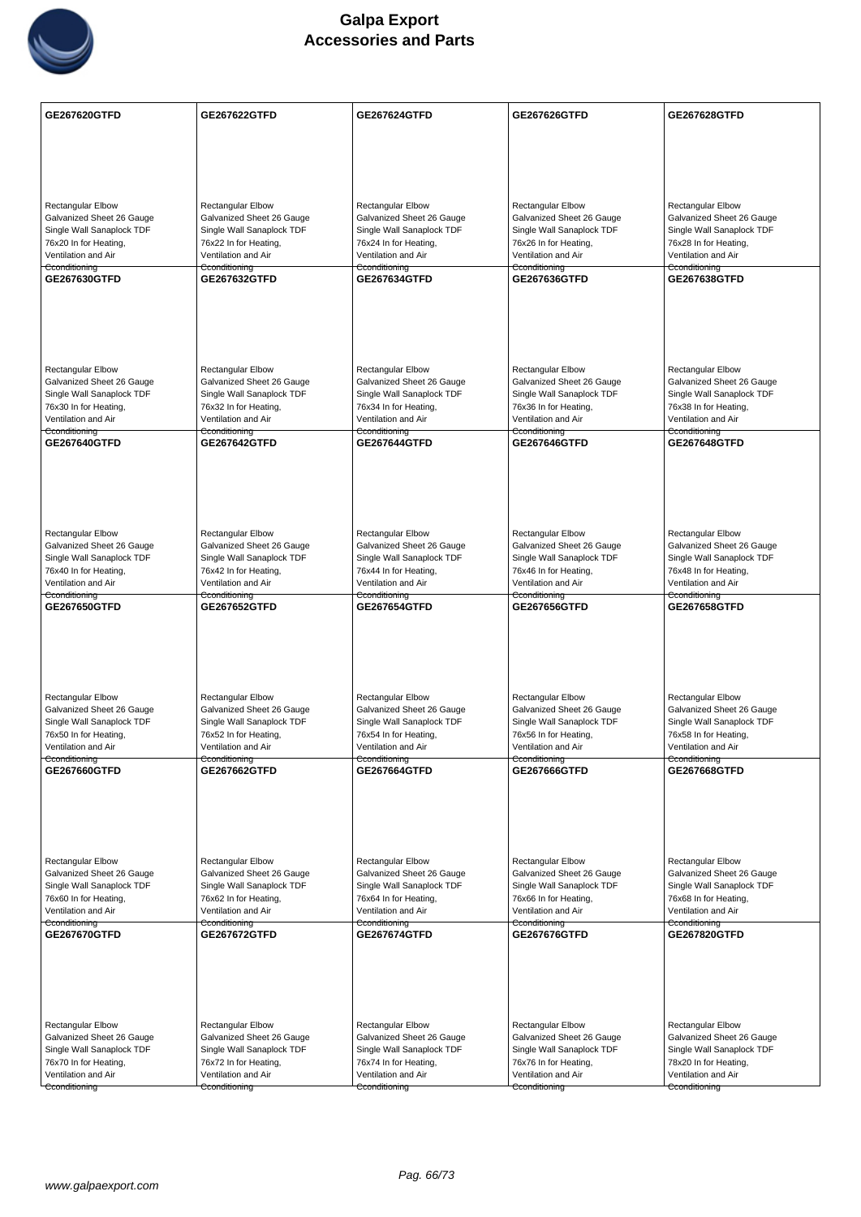

| GE267620GTFD                                           | <b>GE267622GTFD</b>                                    | GE267624GTFD                                           | GE267626GTFD                                           | GE267628GTFD                                           |
|--------------------------------------------------------|--------------------------------------------------------|--------------------------------------------------------|--------------------------------------------------------|--------------------------------------------------------|
|                                                        |                                                        |                                                        |                                                        |                                                        |
|                                                        |                                                        |                                                        |                                                        |                                                        |
|                                                        |                                                        |                                                        |                                                        |                                                        |
| <b>Rectangular Elbow</b>                               | <b>Rectangular Elbow</b>                               | Rectangular Elbow                                      | <b>Rectangular Elbow</b>                               | Rectangular Elbow                                      |
| Galvanized Sheet 26 Gauge                              | Galvanized Sheet 26 Gauge                              | Galvanized Sheet 26 Gauge                              | Galvanized Sheet 26 Gauge                              | Galvanized Sheet 26 Gauge                              |
| Single Wall Sanaplock TDF<br>76x20 In for Heating,     | Single Wall Sanaplock TDF<br>76x22 In for Heating,     | Single Wall Sanaplock TDF<br>76x24 In for Heating,     | Single Wall Sanaplock TDF<br>76x26 In for Heating,     | Single Wall Sanaplock TDF<br>76x28 In for Heating,     |
| Ventilation and Air                                    | Ventilation and Air                                    | Ventilation and Air                                    | Ventilation and Air                                    | Ventilation and Air                                    |
| Cconditioning<br>GE267630GTFD                          | Cconditioning<br>GE267632GTFD                          | Cconditioning<br>GE267634GTFD                          | Cconditioning<br>GE267636GTFD                          | Cconditioning<br>GE267638GTFD                          |
|                                                        |                                                        |                                                        |                                                        |                                                        |
|                                                        |                                                        |                                                        |                                                        |                                                        |
|                                                        |                                                        |                                                        |                                                        |                                                        |
|                                                        |                                                        |                                                        |                                                        |                                                        |
| <b>Rectangular Elbow</b><br>Galvanized Sheet 26 Gauge  | <b>Rectangular Elbow</b><br>Galvanized Sheet 26 Gauge  | Rectangular Elbow<br>Galvanized Sheet 26 Gauge         | <b>Rectangular Elbow</b><br>Galvanized Sheet 26 Gauge  | <b>Rectangular Elbow</b><br>Galvanized Sheet 26 Gauge  |
| Single Wall Sanaplock TDF                              | Single Wall Sanaplock TDF                              | Single Wall Sanaplock TDF                              | Single Wall Sanaplock TDF                              | Single Wall Sanaplock TDF                              |
| 76x30 In for Heating,<br>Ventilation and Air           | 76x32 In for Heating,<br>Ventilation and Air           | 76x34 In for Heating,<br>Ventilation and Air           | 76x36 In for Heating,<br>Ventilation and Air           | 76x38 In for Heating,<br>Ventilation and Air           |
| Cconditioning<br>GE267640GTFD                          | Cconditioning<br><b>GE267642GTFD</b>                   | Cconditioning<br>GE267644GTFD                          | Cconditioning<br>GE267646GTFD                          | Cconditioning<br><b>GE267648GTFD</b>                   |
|                                                        |                                                        |                                                        |                                                        |                                                        |
|                                                        |                                                        |                                                        |                                                        |                                                        |
|                                                        |                                                        |                                                        |                                                        |                                                        |
|                                                        |                                                        |                                                        |                                                        |                                                        |
| <b>Rectangular Elbow</b>                               | <b>Rectangular Elbow</b>                               | Rectangular Elbow                                      | <b>Rectangular Elbow</b>                               | <b>Rectangular Elbow</b>                               |
| Galvanized Sheet 26 Gauge<br>Single Wall Sanaplock TDF | Galvanized Sheet 26 Gauge<br>Single Wall Sanaplock TDF | Galvanized Sheet 26 Gauge<br>Single Wall Sanaplock TDF | Galvanized Sheet 26 Gauge<br>Single Wall Sanaplock TDF | Galvanized Sheet 26 Gauge<br>Single Wall Sanaplock TDF |
| 76x40 In for Heating,                                  | 76x42 In for Heating,                                  | 76x44 In for Heating,                                  | 76x46 In for Heating,                                  | 76x48 In for Heating,                                  |
| Ventilation and Air<br>Cconditioning                   | Ventilation and Air<br>Cconditioning                   | Ventilation and Air<br>Cconditioning                   | Ventilation and Air<br>Cconditioning                   | Ventilation and Air<br>Cconditioning                   |
| GE267650GTFD                                           | GE267652GTFD                                           | GE267654GTFD                                           | GE267656GTFD                                           | <b>GE267658GTFD</b>                                    |
|                                                        |                                                        |                                                        |                                                        |                                                        |
|                                                        |                                                        |                                                        |                                                        |                                                        |
|                                                        |                                                        |                                                        |                                                        |                                                        |
| Rectangular Elbow                                      | Rectangular Elbow                                      | <b>Rectangular Elbow</b>                               | Rectangular Elbow                                      | <b>Rectangular Elbow</b>                               |
| Galvanized Sheet 26 Gauge                              | Galvanized Sheet 26 Gauge                              | Galvanized Sheet 26 Gauge                              | Galvanized Sheet 26 Gauge                              | Galvanized Sheet 26 Gauge                              |
| Single Wall Sanaplock TDF<br>76x50 In for Heating,     | Single Wall Sanaplock TDF<br>76x52 In for Heating,     | Single Wall Sanaplock TDF<br>76x54 In for Heating,     | Single Wall Sanaplock TDF<br>76x56 In for Heating,     | Single Wall Sanaplock TDF<br>76x58 In for Heating,     |
| Ventilation and Air<br>Cconditioning                   | Ventilation and Air<br>Cconditioning                   | Ventilation and Air<br>Cconditioning                   | Ventilation and Air<br>Cconditioning                   | Ventilation and Air<br>Cconditioning                   |
| GE267660GTFD                                           | GE267662GTFD                                           | GE267664GTFD                                           | GE267666GTFD                                           | GE267668GTFD                                           |
|                                                        |                                                        |                                                        |                                                        |                                                        |
|                                                        |                                                        |                                                        |                                                        |                                                        |
|                                                        |                                                        |                                                        |                                                        |                                                        |
| Rectangular Elbow                                      |                                                        |                                                        | <b>Rectangular Elbow</b>                               | <b>Rectangular Elbow</b>                               |
| Galvanized Sheet 26 Gauge                              | Rectangular Elbow<br>Galvanized Sheet 26 Gauge         | <b>Rectangular Elbow</b><br>Galvanized Sheet 26 Gauge  | Galvanized Sheet 26 Gauge                              | Galvanized Sheet 26 Gauge                              |
| Single Wall Sanaplock TDF<br>76x60 In for Heating,     | Single Wall Sanaplock TDF<br>76x62 In for Heating,     | Single Wall Sanaplock TDF<br>76x64 In for Heating,     | Single Wall Sanaplock TDF<br>76x66 In for Heating,     | Single Wall Sanaplock TDF<br>76x68 In for Heating,     |
| Ventilation and Air                                    | Ventilation and Air                                    | Ventilation and Air                                    | Ventilation and Air                                    | Ventilation and Air                                    |
| Cconditioning<br><b>GE267670GTFD</b>                   | Cconditioning<br>GE267672GTFD                          | Cconditioning<br><b>GE267674GTFD</b>                   | Cconditioning<br>GE267676GTFD                          | Cconditioning<br>GE267820GTFD                          |
|                                                        |                                                        |                                                        |                                                        |                                                        |
|                                                        |                                                        |                                                        |                                                        |                                                        |
|                                                        |                                                        |                                                        |                                                        |                                                        |
|                                                        |                                                        |                                                        |                                                        |                                                        |
| Rectangular Elbow                                      | <b>Rectangular Elbow</b>                               | Rectangular Elbow                                      | <b>Rectangular Elbow</b>                               | Rectangular Elbow                                      |
| Galvanized Sheet 26 Gauge<br>Single Wall Sanaplock TDF | Galvanized Sheet 26 Gauge<br>Single Wall Sanaplock TDF | Galvanized Sheet 26 Gauge<br>Single Wall Sanaplock TDF | Galvanized Sheet 26 Gauge<br>Single Wall Sanaplock TDF | Galvanized Sheet 26 Gauge<br>Single Wall Sanaplock TDF |
| 76x70 In for Heating,                                  | 76x72 In for Heating,                                  | 76x74 In for Heating,                                  | 76x76 In for Heating,                                  | 78x20 In for Heating,                                  |
| Ventilation and Air<br>Cconditioning                   | Ventilation and Air<br>Cconditioning                   | Ventilation and Air<br>Cconditioning                   | Ventilation and Air<br>Cconditioning                   | Ventilation and Air<br>Cconditioning                   |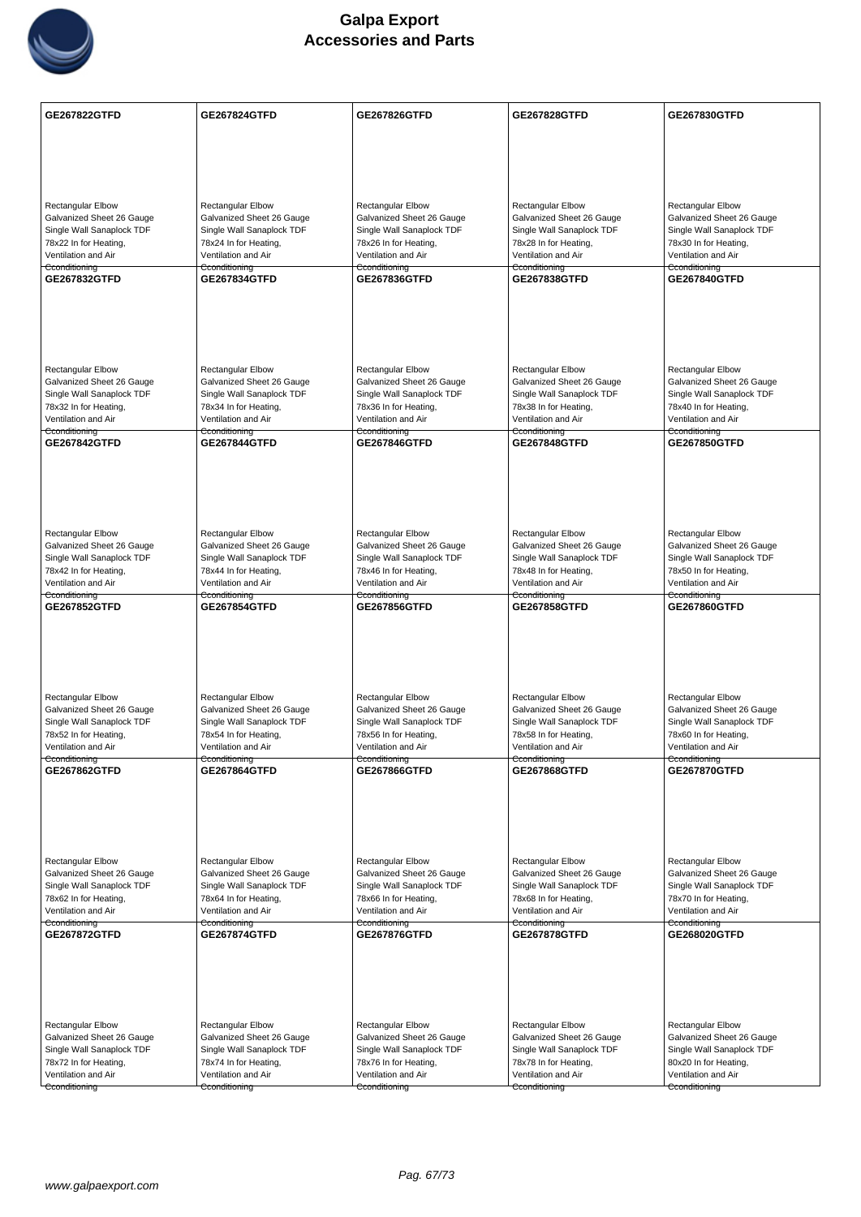

| <b>GE267822GTFD</b>                                    | <b>GE267824GTFD</b>                                    | GE267826GTFD                                           | GE267828GTFD                                           | GE267830GTFD                                           |
|--------------------------------------------------------|--------------------------------------------------------|--------------------------------------------------------|--------------------------------------------------------|--------------------------------------------------------|
|                                                        |                                                        |                                                        |                                                        |                                                        |
|                                                        |                                                        |                                                        |                                                        |                                                        |
|                                                        |                                                        |                                                        |                                                        |                                                        |
|                                                        |                                                        |                                                        |                                                        |                                                        |
| <b>Rectangular Elbow</b>                               | <b>Rectangular Elbow</b>                               | Rectangular Elbow                                      | <b>Rectangular Elbow</b>                               | <b>Rectangular Elbow</b>                               |
| Galvanized Sheet 26 Gauge<br>Single Wall Sanaplock TDF | Galvanized Sheet 26 Gauge<br>Single Wall Sanaplock TDF | Galvanized Sheet 26 Gauge<br>Single Wall Sanaplock TDF | Galvanized Sheet 26 Gauge<br>Single Wall Sanaplock TDF | Galvanized Sheet 26 Gauge<br>Single Wall Sanaplock TDF |
| 78x22 In for Heating,                                  | 78x24 In for Heating,                                  | 78x26 In for Heating,                                  | 78x28 In for Heating,                                  | 78x30 In for Heating,                                  |
| Ventilation and Air<br>Cconditioning                   | Ventilation and Air                                    | Ventilation and Air                                    | Ventilation and Air                                    | Ventilation and Air                                    |
| GE267832GTFD                                           | Cconditioning<br><b>GE267834GTFD</b>                   | Cconditioning<br>GE267836GTFD                          | Cconditioning<br><b>GE267838GTFD</b>                   | Cconditioning<br><b>GE267840GTFD</b>                   |
|                                                        |                                                        |                                                        |                                                        |                                                        |
|                                                        |                                                        |                                                        |                                                        |                                                        |
|                                                        |                                                        |                                                        |                                                        |                                                        |
|                                                        |                                                        |                                                        |                                                        |                                                        |
| <b>Rectangular Elbow</b>                               | <b>Rectangular Elbow</b>                               | <b>Rectangular Elbow</b>                               | <b>Rectangular Elbow</b>                               | Rectangular Elbow                                      |
| Galvanized Sheet 26 Gauge                              | Galvanized Sheet 26 Gauge                              | Galvanized Sheet 26 Gauge                              | Galvanized Sheet 26 Gauge                              | Galvanized Sheet 26 Gauge                              |
| Single Wall Sanaplock TDF                              | Single Wall Sanaplock TDF                              | Single Wall Sanaplock TDF                              | Single Wall Sanaplock TDF                              | Single Wall Sanaplock TDF                              |
| 78x32 In for Heating,<br>Ventilation and Air           | 78x34 In for Heating,<br>Ventilation and Air           | 78x36 In for Heating,<br>Ventilation and Air           | 78x38 In for Heating,<br>Ventilation and Air           | 78x40 In for Heating,<br>Ventilation and Air           |
| Cconditioning                                          | Cconditioning                                          | Cconditioning                                          | Cconditioning                                          | Cconditioning                                          |
| <b>GE267842GTFD</b>                                    | <b>GE267844GTFD</b>                                    | <b>GE267846GTFD</b>                                    | <b>GE267848GTFD</b>                                    | <b>GE267850GTFD</b>                                    |
|                                                        |                                                        |                                                        |                                                        |                                                        |
|                                                        |                                                        |                                                        |                                                        |                                                        |
|                                                        |                                                        |                                                        |                                                        |                                                        |
|                                                        |                                                        |                                                        |                                                        |                                                        |
| <b>Rectangular Elbow</b>                               | <b>Rectangular Elbow</b>                               | Rectangular Elbow                                      | Rectangular Elbow                                      | Rectangular Elbow                                      |
| Galvanized Sheet 26 Gauge                              | Galvanized Sheet 26 Gauge                              | Galvanized Sheet 26 Gauge                              | Galvanized Sheet 26 Gauge                              | Galvanized Sheet 26 Gauge                              |
| Single Wall Sanaplock TDF<br>78x42 In for Heating,     | Single Wall Sanaplock TDF<br>78x44 In for Heating,     | Single Wall Sanaplock TDF<br>78x46 In for Heating,     | Single Wall Sanaplock TDF<br>78x48 In for Heating,     | Single Wall Sanaplock TDF<br>78x50 In for Heating,     |
| Ventilation and Air                                    | Ventilation and Air                                    | Ventilation and Air                                    | Ventilation and Air                                    | Ventilation and Air                                    |
| Cconditioning                                          | Cconditioning                                          | Cconditioning                                          | Cconditioning                                          | Cconditioning                                          |
| GE267852GTFD                                           | GE267854GTFD                                           | GE267856GTFD                                           | GE267858GTFD                                           | GE267860GTFD                                           |
|                                                        |                                                        |                                                        |                                                        |                                                        |
|                                                        |                                                        |                                                        |                                                        |                                                        |
|                                                        |                                                        |                                                        |                                                        |                                                        |
|                                                        |                                                        |                                                        |                                                        |                                                        |
| Rectangular Elbow                                      | <b>Rectangular Elbow</b>                               | <b>Rectangular Elbow</b>                               | Rectangular Elbow                                      | <b>Rectangular Elbow</b>                               |
| Galvanized Sheet 26 Gauge<br>Single Wall Sanaplock TDF | Galvanized Sheet 26 Gauge<br>Single Wall Sanaplock TDF | Galvanized Sheet 26 Gauge<br>Single Wall Sanaplock TDF | Galvanized Sheet 26 Gauge<br>Single Wall Sanaplock TDF | Galvanized Sheet 26 Gauge<br>Single Wall Sanaplock TDF |
| 78x52 In for Heating,                                  | 78x54 In for Heating,                                  | 78x56 In for Heating,                                  | 78x58 In for Heating,                                  | 78x60 In for Heating,                                  |
| Ventilation and Air<br>Cconditioning                   | Ventilation and Air<br>Cconditioning                   | Ventilation and Air<br>Cconditioning                   | Ventilation and Air<br>Cconditioning                   | Ventilation and Air<br>Cconditioning                   |
| GE267862GTFD                                           | GE267864GTFD                                           | GE267866GTFD                                           | GE267868GTFD                                           | GE267870GTFD                                           |
|                                                        |                                                        |                                                        |                                                        |                                                        |
|                                                        |                                                        |                                                        |                                                        |                                                        |
|                                                        |                                                        |                                                        |                                                        |                                                        |
|                                                        |                                                        |                                                        |                                                        |                                                        |
| Rectangular Elbow                                      | <b>Rectangular Elbow</b>                               | <b>Rectangular Elbow</b>                               | <b>Rectangular Elbow</b>                               | <b>Rectangular Elbow</b>                               |
| Galvanized Sheet 26 Gauge                              | Galvanized Sheet 26 Gauge                              | Galvanized Sheet 26 Gauge                              | Galvanized Sheet 26 Gauge                              | Galvanized Sheet 26 Gauge                              |
| Single Wall Sanaplock TDF                              | Single Wall Sanaplock TDF                              | Single Wall Sanaplock TDF                              | Single Wall Sanaplock TDF                              | Single Wall Sanaplock TDF                              |
| 78x62 In for Heating,<br>Ventilation and Air           | 78x64 In for Heating,<br>Ventilation and Air           | 78x66 In for Heating,<br>Ventilation and Air           | 78x68 In for Heating,<br>Ventilation and Air           | 78x70 In for Heating,<br>Ventilation and Air           |
| Cconditioning                                          | Cconditioning                                          | Cconditioning                                          | Cconditioning                                          | Cconditioning                                          |
| <b>GE267872GTFD</b>                                    | <b>GE267874GTFD</b>                                    | <b>GE267876GTFD</b>                                    | <b>GE267878GTFD</b>                                    | GE268020GTFD                                           |
|                                                        |                                                        |                                                        |                                                        |                                                        |
|                                                        |                                                        |                                                        |                                                        |                                                        |
|                                                        |                                                        |                                                        |                                                        |                                                        |
|                                                        |                                                        |                                                        |                                                        |                                                        |
| Rectangular Elbow                                      | <b>Rectangular Elbow</b>                               | <b>Rectangular Elbow</b>                               | Rectangular Elbow                                      | Rectangular Elbow                                      |
| Galvanized Sheet 26 Gauge                              | Galvanized Sheet 26 Gauge                              | Galvanized Sheet 26 Gauge                              | Galvanized Sheet 26 Gauge                              | Galvanized Sheet 26 Gauge                              |
| Single Wall Sanaplock TDF<br>78x72 In for Heating,     | Single Wall Sanaplock TDF<br>78x74 In for Heating,     | Single Wall Sanaplock TDF<br>78x76 In for Heating,     | Single Wall Sanaplock TDF<br>78x78 In for Heating,     | Single Wall Sanaplock TDF<br>80x20 In for Heating,     |
| Ventilation and Air                                    | Ventilation and Air                                    | Ventilation and Air                                    | Ventilation and Air                                    | Ventilation and Air                                    |
| Cconditioning                                          | Cconditioning                                          | Cconditioning                                          | Cconditioning                                          | Cconditioning                                          |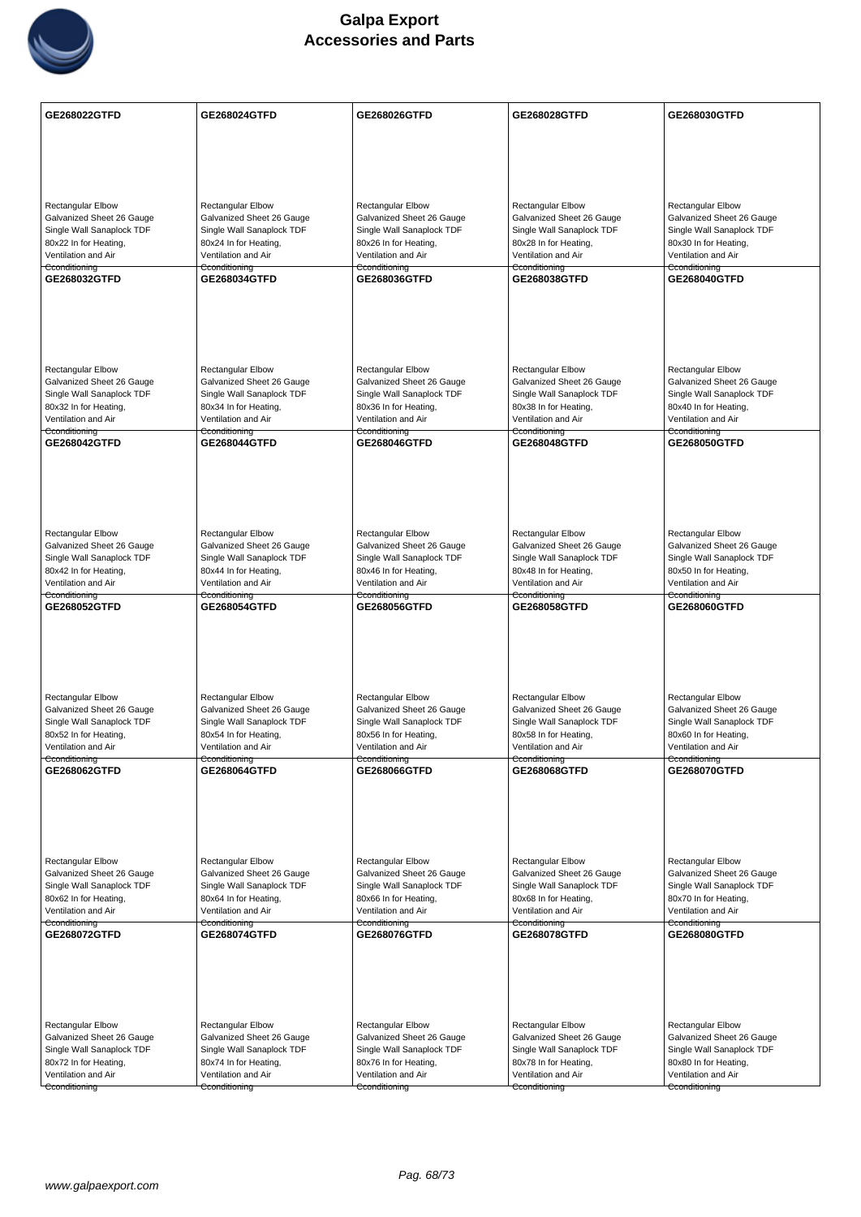

| GE268022GTFD                                           | GE268024GTFD                                           | GE268026GTFD                                           | GE268028GTFD                                           | GE268030GTFD                                           |
|--------------------------------------------------------|--------------------------------------------------------|--------------------------------------------------------|--------------------------------------------------------|--------------------------------------------------------|
|                                                        |                                                        |                                                        |                                                        |                                                        |
|                                                        |                                                        |                                                        |                                                        |                                                        |
|                                                        |                                                        |                                                        |                                                        |                                                        |
|                                                        | <b>Rectangular Elbow</b>                               |                                                        | <b>Rectangular Elbow</b>                               |                                                        |
| <b>Rectangular Elbow</b><br>Galvanized Sheet 26 Gauge  | Galvanized Sheet 26 Gauge                              | Rectangular Elbow<br>Galvanized Sheet 26 Gauge         | Galvanized Sheet 26 Gauge                              | <b>Rectangular Elbow</b><br>Galvanized Sheet 26 Gauge  |
| Single Wall Sanaplock TDF                              | Single Wall Sanaplock TDF                              | Single Wall Sanaplock TDF                              | Single Wall Sanaplock TDF                              | Single Wall Sanaplock TDF                              |
| 80x22 In for Heating,<br>Ventilation and Air           | 80x24 In for Heating,<br>Ventilation and Air           | 80x26 In for Heating,<br>Ventilation and Air           | 80x28 In for Heating,<br>Ventilation and Air           | 80x30 In for Heating,<br>Ventilation and Air           |
| Cconditioning                                          | Cconditioning                                          | Cconditioning                                          | Cconditioning                                          | Cconditioning                                          |
| GE268032GTFD                                           | GE268034GTFD                                           | GE268036GTFD                                           | GE268038GTFD                                           | <b>GE268040GTFD</b>                                    |
|                                                        |                                                        |                                                        |                                                        |                                                        |
|                                                        |                                                        |                                                        |                                                        |                                                        |
|                                                        |                                                        |                                                        |                                                        |                                                        |
| <b>Rectangular Elbow</b>                               | <b>Rectangular Elbow</b>                               | <b>Rectangular Elbow</b>                               | <b>Rectangular Elbow</b>                               | Rectangular Elbow                                      |
| Galvanized Sheet 26 Gauge                              | Galvanized Sheet 26 Gauge                              | Galvanized Sheet 26 Gauge                              | Galvanized Sheet 26 Gauge                              | Galvanized Sheet 26 Gauge                              |
| Single Wall Sanaplock TDF<br>80x32 In for Heating,     | Single Wall Sanaplock TDF<br>80x34 In for Heating,     | Single Wall Sanaplock TDF<br>80x36 In for Heating,     | Single Wall Sanaplock TDF<br>80x38 In for Heating,     | Single Wall Sanaplock TDF<br>80x40 In for Heating,     |
| Ventilation and Air                                    | Ventilation and Air                                    | Ventilation and Air                                    | Ventilation and Air                                    | Ventilation and Air                                    |
| Cconditioning<br>GE268042GTFD                          | Cconditioning<br><b>GE268044GTFD</b>                   | Cconditioning<br>GE268046GTFD                          | Cconditioning<br>GE268048GTFD                          | Cconditioning<br><b>GE268050GTFD</b>                   |
|                                                        |                                                        |                                                        |                                                        |                                                        |
|                                                        |                                                        |                                                        |                                                        |                                                        |
|                                                        |                                                        |                                                        |                                                        |                                                        |
|                                                        |                                                        |                                                        |                                                        |                                                        |
| <b>Rectangular Elbow</b><br>Galvanized Sheet 26 Gauge  | <b>Rectangular Elbow</b><br>Galvanized Sheet 26 Gauge  | Rectangular Elbow<br>Galvanized Sheet 26 Gauge         | Rectangular Elbow<br>Galvanized Sheet 26 Gauge         | Rectangular Elbow<br>Galvanized Sheet 26 Gauge         |
| Single Wall Sanaplock TDF                              | Single Wall Sanaplock TDF                              | Single Wall Sanaplock TDF                              | Single Wall Sanaplock TDF                              | Single Wall Sanaplock TDF                              |
| 80x42 In for Heating,<br>Ventilation and Air           | 80x44 In for Heating,<br>Ventilation and Air           | 80x46 In for Heating,<br>Ventilation and Air           | 80x48 In for Heating,<br>Ventilation and Air           | 80x50 In for Heating,<br>Ventilation and Air           |
| Cconditioning                                          | Cconditioning                                          | Cconditioning                                          | Cconditioning                                          | Cconditioning                                          |
| GE268052GTFD                                           | GE268054GTFD                                           | GE268056GTFD                                           | GE268058GTFD                                           | GE268060GTFD                                           |
|                                                        |                                                        |                                                        |                                                        |                                                        |
|                                                        |                                                        |                                                        |                                                        |                                                        |
|                                                        |                                                        |                                                        |                                                        |                                                        |
| Rectangular Elbow                                      | Rectangular Elbow                                      | <b>Rectangular Elbow</b>                               | Rectangular Elbow                                      | <b>Rectangular Elbow</b>                               |
| Galvanized Sheet 26 Gauge<br>Single Wall Sanaplock TDF | Galvanized Sheet 26 Gauge<br>Single Wall Sanaplock TDF | Galvanized Sheet 26 Gauge<br>Single Wall Sanaplock TDF | Galvanized Sheet 26 Gauge<br>Single Wall Sanaplock TDF | Galvanized Sheet 26 Gauge<br>Single Wall Sanaplock TDF |
| 80x52 In for Heating,                                  | 80x54 In for Heating,                                  | 80x56 In for Heating,                                  | 80x58 In for Heating,                                  | 80x60 In for Heating,                                  |
| Ventilation and Air<br>Cconditioning                   | Ventilation and Air<br>Cconditioning                   | Ventilation and Air<br>Cconditioning                   | Ventilation and Air<br>Cconditioning                   | Ventilation and Air<br>Cconditioning                   |
| GE268062GTFD                                           | GE268064GTFD                                           | GE268066GTFD                                           | GE268068GTFD                                           | GE268070GTFD                                           |
|                                                        |                                                        |                                                        |                                                        |                                                        |
|                                                        |                                                        |                                                        |                                                        |                                                        |
|                                                        |                                                        |                                                        |                                                        |                                                        |
| Rectangular Elbow                                      | <b>Rectangular Elbow</b>                               | <b>Rectangular Elbow</b>                               | <b>Rectangular Elbow</b>                               | <b>Rectangular Elbow</b>                               |
| Galvanized Sheet 26 Gauge                              | Galvanized Sheet 26 Gauge                              | Galvanized Sheet 26 Gauge                              | Galvanized Sheet 26 Gauge                              | Galvanized Sheet 26 Gauge                              |
| Single Wall Sanaplock TDF<br>80x62 In for Heating,     | Single Wall Sanaplock TDF<br>80x64 In for Heating,     | Single Wall Sanaplock TDF<br>80x66 In for Heating,     | Single Wall Sanaplock TDF<br>80x68 In for Heating,     | Single Wall Sanaplock TDF<br>80x70 In for Heating,     |
| Ventilation and Air                                    | Ventilation and Air                                    | Ventilation and Air                                    | Ventilation and Air                                    | Ventilation and Air                                    |
| Cconditioning<br>GE268072GTFD                          | Cconditioning<br><b>GE268074GTFD</b>                   | Cconditioning<br>GE268076GTFD                          | Cconditioning<br>GE268078GTFD                          | Cconditioning<br>GE268080GTFD                          |
|                                                        |                                                        |                                                        |                                                        |                                                        |
|                                                        |                                                        |                                                        |                                                        |                                                        |
|                                                        |                                                        |                                                        |                                                        |                                                        |
|                                                        |                                                        |                                                        |                                                        |                                                        |
| Rectangular Elbow                                      | <b>Rectangular Elbow</b>                               | <b>Rectangular Elbow</b>                               | <b>Rectangular Elbow</b>                               | Rectangular Elbow                                      |
| Galvanized Sheet 26 Gauge<br>Single Wall Sanaplock TDF | Galvanized Sheet 26 Gauge<br>Single Wall Sanaplock TDF | Galvanized Sheet 26 Gauge<br>Single Wall Sanaplock TDF | Galvanized Sheet 26 Gauge<br>Single Wall Sanaplock TDF | Galvanized Sheet 26 Gauge<br>Single Wall Sanaplock TDF |
| 80x72 In for Heating,                                  | 80x74 In for Heating,                                  | 80x76 In for Heating,                                  | 80x78 In for Heating,                                  | 80x80 In for Heating,                                  |
| Ventilation and Air                                    | Ventilation and Air                                    | Ventilation and Air                                    | Ventilation and Air                                    | Ventilation and Air                                    |
| Cconditioning                                          | Cconditioning                                          | Cconditioning                                          | Cconditioning                                          | Cconditioning                                          |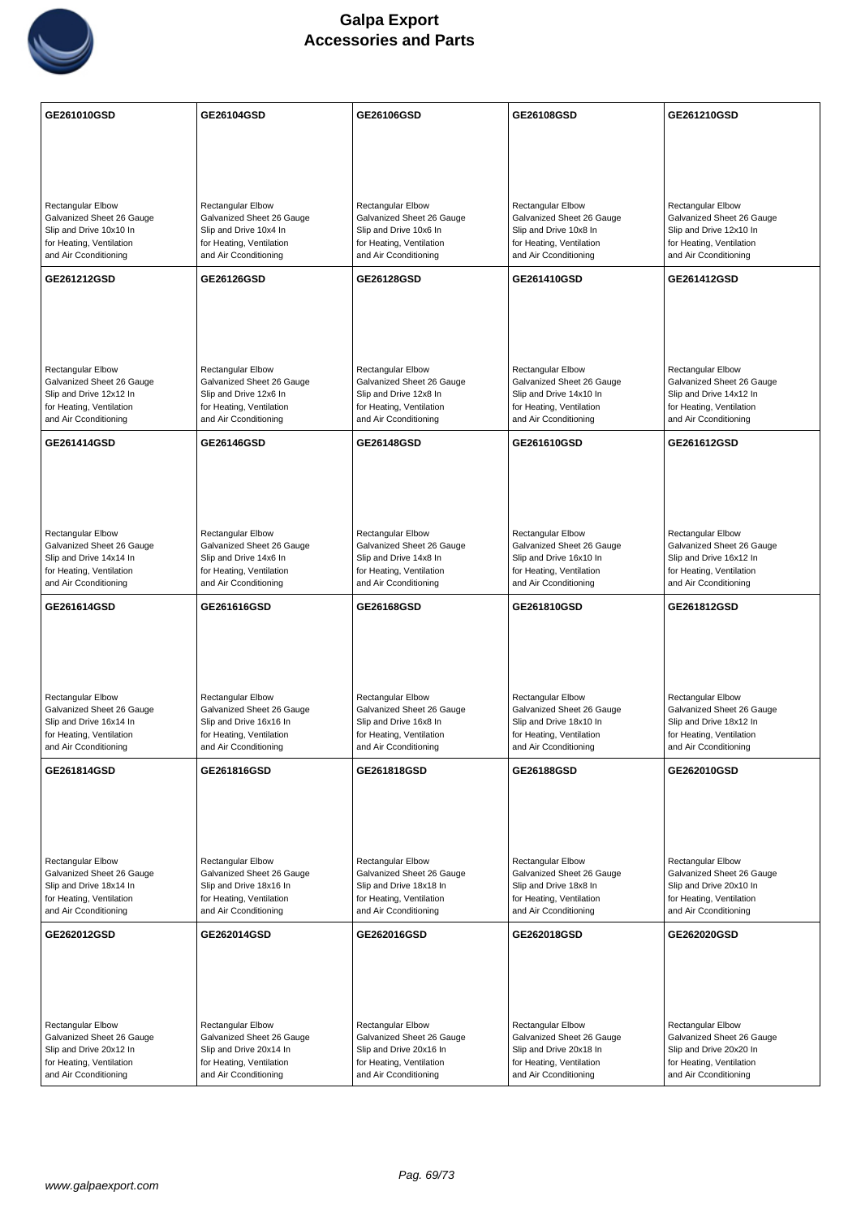

| GE261010GSD                                                                  | GE26104GSD                                                                   | GE26106GSD                                                                   | GE26108GSD                                                                   | GE261210GSD                                                                  |
|------------------------------------------------------------------------------|------------------------------------------------------------------------------|------------------------------------------------------------------------------|------------------------------------------------------------------------------|------------------------------------------------------------------------------|
|                                                                              |                                                                              |                                                                              |                                                                              |                                                                              |
|                                                                              |                                                                              |                                                                              |                                                                              |                                                                              |
|                                                                              |                                                                              |                                                                              |                                                                              |                                                                              |
| Rectangular Elbow<br>Galvanized Sheet 26 Gauge                               | Rectangular Elbow<br>Galvanized Sheet 26 Gauge                               | <b>Rectangular Elbow</b><br>Galvanized Sheet 26 Gauge                        | Rectangular Elbow<br>Galvanized Sheet 26 Gauge                               | Rectangular Elbow<br>Galvanized Sheet 26 Gauge                               |
| Slip and Drive 10x10 In<br>for Heating, Ventilation                          | Slip and Drive 10x4 In<br>for Heating, Ventilation                           | Slip and Drive 10x6 In<br>for Heating, Ventilation                           | Slip and Drive 10x8 In<br>for Heating, Ventilation                           | Slip and Drive 12x10 In<br>for Heating, Ventilation                          |
| and Air Cconditioning                                                        | and Air Cconditioning                                                        | and Air Cconditioning                                                        | and Air Cconditioning                                                        | and Air Cconditioning                                                        |
| GE261212GSD                                                                  | <b>GE26126GSD</b>                                                            | GE26128GSD                                                                   | GE261410GSD                                                                  | GE261412GSD                                                                  |
|                                                                              |                                                                              |                                                                              |                                                                              |                                                                              |
|                                                                              |                                                                              |                                                                              |                                                                              |                                                                              |
|                                                                              |                                                                              |                                                                              |                                                                              |                                                                              |
| <b>Rectangular Elbow</b><br>Galvanized Sheet 26 Gauge                        | <b>Rectangular Elbow</b><br>Galvanized Sheet 26 Gauge                        | <b>Rectangular Elbow</b><br>Galvanized Sheet 26 Gauge                        | <b>Rectangular Elbow</b><br>Galvanized Sheet 26 Gauge                        | <b>Rectangular Elbow</b><br>Galvanized Sheet 26 Gauge                        |
| Slip and Drive 12x12 In<br>for Heating, Ventilation                          | Slip and Drive 12x6 In<br>for Heating, Ventilation                           | Slip and Drive 12x8 In<br>for Heating, Ventilation                           | Slip and Drive 14x10 In<br>for Heating, Ventilation                          | Slip and Drive 14x12 In<br>for Heating, Ventilation                          |
| and Air Cconditioning                                                        | and Air Cconditioning                                                        | and Air Cconditioning                                                        | and Air Cconditioning                                                        | and Air Cconditioning                                                        |
| GE261414GSD                                                                  | GE26146GSD                                                                   | GE26148GSD                                                                   | GE261610GSD                                                                  | GE261612GSD                                                                  |
|                                                                              |                                                                              |                                                                              |                                                                              |                                                                              |
|                                                                              |                                                                              |                                                                              |                                                                              |                                                                              |
| <b>Rectangular Elbow</b>                                                     | Rectangular Elbow                                                            | <b>Rectangular Elbow</b>                                                     | Rectangular Elbow                                                            | Rectangular Elbow                                                            |
| Galvanized Sheet 26 Gauge                                                    | Galvanized Sheet 26 Gauge                                                    | Galvanized Sheet 26 Gauge                                                    | Galvanized Sheet 26 Gauge                                                    | Galvanized Sheet 26 Gauge                                                    |
| Slip and Drive 14x14 In<br>for Heating, Ventilation                          | Slip and Drive 14x6 In<br>for Heating, Ventilation                           | Slip and Drive 14x8 In<br>for Heating, Ventilation                           | Slip and Drive 16x10 In<br>for Heating, Ventilation                          | Slip and Drive 16x12 In<br>for Heating, Ventilation                          |
| and Air Cconditioning                                                        | and Air Cconditioning                                                        | and Air Cconditioning                                                        | and Air Cconditioning                                                        | and Air Cconditioning                                                        |
|                                                                              |                                                                              |                                                                              |                                                                              |                                                                              |
| GE261614GSD                                                                  | GE261616GSD                                                                  | GE26168GSD                                                                   | GE261810GSD                                                                  | GE261812GSD                                                                  |
|                                                                              |                                                                              |                                                                              |                                                                              |                                                                              |
|                                                                              |                                                                              |                                                                              |                                                                              |                                                                              |
| <b>Rectangular Elbow</b>                                                     | <b>Rectangular Elbow</b>                                                     | Rectangular Elbow                                                            | Rectangular Elbow                                                            | Rectangular Elbow                                                            |
| Galvanized Sheet 26 Gauge<br>Slip and Drive 16x14 In                         | Galvanized Sheet 26 Gauge<br>Slip and Drive 16x16 In                         | Galvanized Sheet 26 Gauge<br>Slip and Drive 16x8 In                          | Galvanized Sheet 26 Gauge<br>Slip and Drive 18x10 In                         | Galvanized Sheet 26 Gauge<br>Slip and Drive 18x12 In                         |
| for Heating, Ventilation<br>and Air Cconditioning                            | for Heating, Ventilation<br>and Air Cconditioning                            | for Heating, Ventilation<br>and Air Cconditioning                            | for Heating, Ventilation<br>and Air Cconditioning                            | for Heating, Ventilation<br>and Air Cconditioning                            |
| GE261814GSD                                                                  | GE261816GSD                                                                  | GE261818GSD                                                                  | GE26188GSD                                                                   | GE262010GSD                                                                  |
|                                                                              |                                                                              |                                                                              |                                                                              |                                                                              |
|                                                                              |                                                                              |                                                                              |                                                                              |                                                                              |
|                                                                              |                                                                              |                                                                              |                                                                              |                                                                              |
| <b>Rectangular Elbow</b><br>Galvanized Sheet 26 Gauge                        | <b>Rectangular Elbow</b><br>Galvanized Sheet 26 Gauge                        | <b>Rectangular Elbow</b><br>Galvanized Sheet 26 Gauge                        | <b>Rectangular Elbow</b><br>Galvanized Sheet 26 Gauge                        | <b>Rectangular Elbow</b><br>Galvanized Sheet 26 Gauge                        |
| Slip and Drive 18x14 In                                                      | Slip and Drive 18x16 In                                                      | Slip and Drive 18x18 In                                                      | Slip and Drive 18x8 In                                                       | Slip and Drive 20x10 In                                                      |
| for Heating, Ventilation<br>and Air Cconditioning                            | for Heating, Ventilation<br>and Air Cconditioning                            | for Heating, Ventilation<br>and Air Cconditioning                            | for Heating, Ventilation<br>and Air Cconditioning                            | for Heating, Ventilation<br>and Air Cconditioning                            |
| GE262012GSD                                                                  | GE262014GSD                                                                  | GE262016GSD                                                                  | GE262018GSD                                                                  | GE262020GSD                                                                  |
|                                                                              |                                                                              |                                                                              |                                                                              |                                                                              |
|                                                                              |                                                                              |                                                                              |                                                                              |                                                                              |
|                                                                              |                                                                              |                                                                              |                                                                              |                                                                              |
| Rectangular Elbow<br>Galvanized Sheet 26 Gauge                               | Rectangular Elbow<br>Galvanized Sheet 26 Gauge                               | Rectangular Elbow<br>Galvanized Sheet 26 Gauge                               | Rectangular Elbow<br>Galvanized Sheet 26 Gauge                               | Rectangular Elbow<br>Galvanized Sheet 26 Gauge                               |
| Slip and Drive 20x12 In<br>for Heating, Ventilation<br>and Air Cconditioning | Slip and Drive 20x14 In<br>for Heating, Ventilation<br>and Air Cconditioning | Slip and Drive 20x16 In<br>for Heating, Ventilation<br>and Air Cconditioning | Slip and Drive 20x18 In<br>for Heating, Ventilation<br>and Air Cconditioning | Slip and Drive 20x20 In<br>for Heating, Ventilation<br>and Air Cconditioning |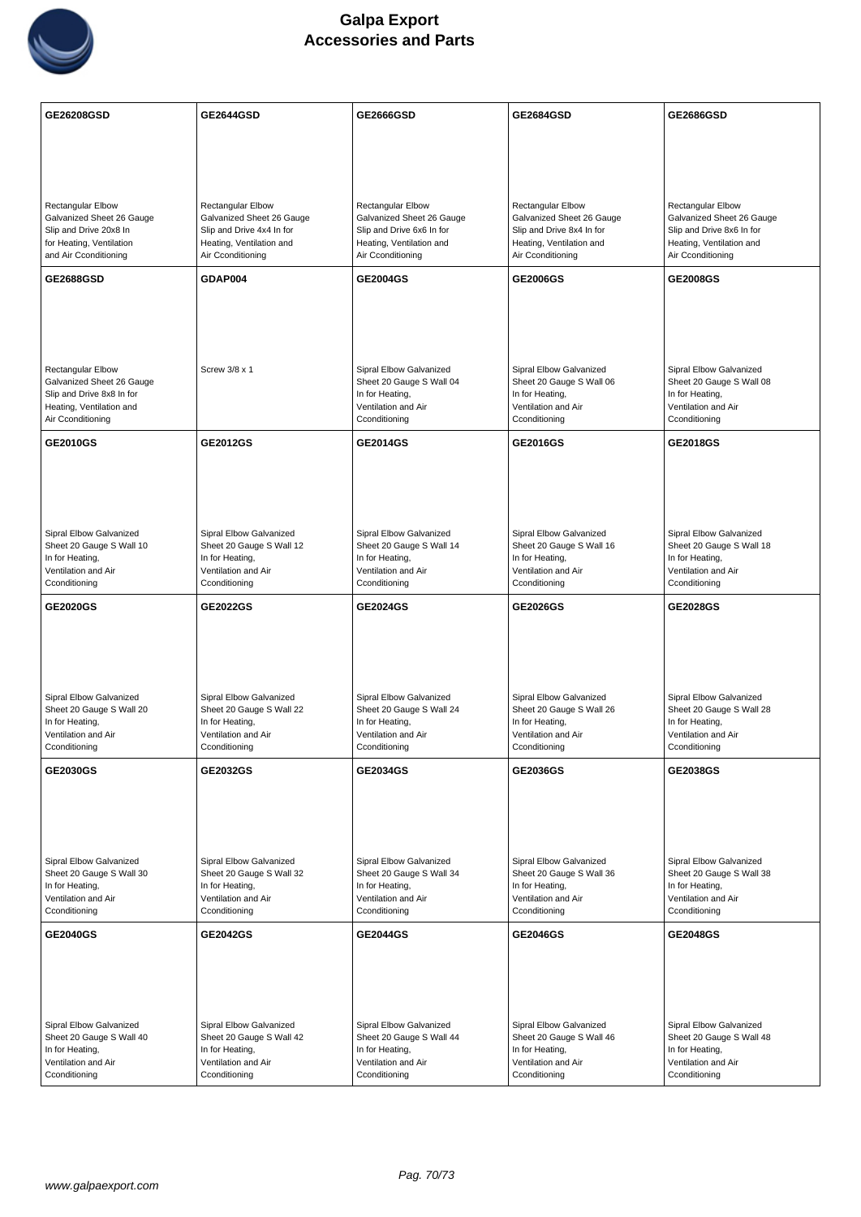

| GE26208GSD                                                                                                                    | <b>GE2644GSD</b>                                                                                                             | <b>GE2666GSD</b>                                                                                                             | <b>GE2684GSD</b>                                                                                                             | <b>GE2686GSD</b>                                                                                                             |
|-------------------------------------------------------------------------------------------------------------------------------|------------------------------------------------------------------------------------------------------------------------------|------------------------------------------------------------------------------------------------------------------------------|------------------------------------------------------------------------------------------------------------------------------|------------------------------------------------------------------------------------------------------------------------------|
|                                                                                                                               |                                                                                                                              |                                                                                                                              |                                                                                                                              |                                                                                                                              |
|                                                                                                                               |                                                                                                                              |                                                                                                                              |                                                                                                                              |                                                                                                                              |
| Rectangular Elbow<br>Galvanized Sheet 26 Gauge<br>Slip and Drive 20x8 In<br>for Heating, Ventilation<br>and Air Cconditioning | Rectangular Elbow<br>Galvanized Sheet 26 Gauge<br>Slip and Drive 4x4 In for<br>Heating, Ventilation and<br>Air Cconditioning | Rectangular Elbow<br>Galvanized Sheet 26 Gauge<br>Slip and Drive 6x6 In for<br>Heating, Ventilation and<br>Air Cconditioning | Rectangular Elbow<br>Galvanized Sheet 26 Gauge<br>Slip and Drive 8x4 In for<br>Heating, Ventilation and<br>Air Cconditioning | Rectangular Elbow<br>Galvanized Sheet 26 Gauge<br>Slip and Drive 8x6 In for<br>Heating, Ventilation and<br>Air Cconditioning |
| <b>GE2688GSD</b>                                                                                                              | GDAP004                                                                                                                      | GE2004GS                                                                                                                     | GE2006GS                                                                                                                     | <b>GE2008GS</b>                                                                                                              |
| Rectangular Elbow<br>Galvanized Sheet 26 Gauge<br>Slip and Drive 8x8 In for<br>Heating, Ventilation and<br>Air Cconditioning  | Screw 3/8 x 1                                                                                                                | Sipral Elbow Galvanized<br>Sheet 20 Gauge S Wall 04<br>In for Heating,<br>Ventilation and Air<br>Cconditioning               | Sipral Elbow Galvanized<br>Sheet 20 Gauge S Wall 06<br>In for Heating,<br>Ventilation and Air<br>Cconditioning               | Sipral Elbow Galvanized<br>Sheet 20 Gauge S Wall 08<br>In for Heating,<br>Ventilation and Air<br>Cconditioning               |
| GE2010GS                                                                                                                      | <b>GE2012GS</b>                                                                                                              | GE2014GS                                                                                                                     | GE2016GS                                                                                                                     | <b>GE2018GS</b>                                                                                                              |
| Sipral Elbow Galvanized<br>Sheet 20 Gauge S Wall 10<br>In for Heating,<br>Ventilation and Air<br>Cconditioning                | Sipral Elbow Galvanized<br>Sheet 20 Gauge S Wall 12<br>In for Heating,<br>Ventilation and Air<br>Cconditioning               | Sipral Elbow Galvanized<br>Sheet 20 Gauge S Wall 14<br>In for Heating,<br>Ventilation and Air<br>Cconditioning               | Sipral Elbow Galvanized<br>Sheet 20 Gauge S Wall 16<br>In for Heating,<br>Ventilation and Air<br>Cconditioning               | Sipral Elbow Galvanized<br>Sheet 20 Gauge S Wall 18<br>In for Heating,<br>Ventilation and Air<br>Cconditioning               |
| <b>GE2020GS</b>                                                                                                               | GE2022GS                                                                                                                     | GE2024GS                                                                                                                     | GE2026GS                                                                                                                     | <b>GE2028GS</b>                                                                                                              |
| Sipral Elbow Galvanized<br>Sheet 20 Gauge S Wall 20<br>In for Heating,<br>Ventilation and Air<br>Cconditioning                | Sipral Elbow Galvanized<br>Sheet 20 Gauge S Wall 22<br>In for Heating,<br>Ventilation and Air<br>Cconditioning               | Sipral Elbow Galvanized<br>Sheet 20 Gauge S Wall 24<br>In for Heating,<br>Ventilation and Air<br>Cconditioning               | Sipral Elbow Galvanized<br>Sheet 20 Gauge S Wall 26<br>In for Heating,<br>Ventilation and Air<br>Cconditioning               | Sipral Elbow Galvanized<br>Sheet 20 Gauge S Wall 28<br>In for Heating,<br>Ventilation and Air<br>Cconditioning               |
| <b>GE2030GS</b>                                                                                                               | <b>GE2032GS</b>                                                                                                              | GE2034GS                                                                                                                     | <b>GE2036GS</b>                                                                                                              | <b>GE2038GS</b>                                                                                                              |
| Sipral Elbow Galvanized<br>Sheet 20 Gauge S Wall 30<br>In for Heating,<br>Ventilation and Air<br>Cconditioning                | Sipral Elbow Galvanized<br>Sheet 20 Gauge S Wall 32<br>In for Heating,<br>Ventilation and Air<br>Cconditioning               | Sipral Elbow Galvanized<br>Sheet 20 Gauge S Wall 34<br>In for Heating,<br>Ventilation and Air<br>Cconditioning               | Sipral Elbow Galvanized<br>Sheet 20 Gauge S Wall 36<br>In for Heating,<br>Ventilation and Air<br>Cconditioning               | Sipral Elbow Galvanized<br>Sheet 20 Gauge S Wall 38<br>In for Heating,<br>Ventilation and Air<br>Cconditioning               |
| <b>GE2040GS</b>                                                                                                               | <b>GE2042GS</b>                                                                                                              | <b>GE2044GS</b>                                                                                                              | <b>GE2046GS</b>                                                                                                              | <b>GE2048GS</b>                                                                                                              |
| Sipral Elbow Galvanized<br>Sheet 20 Gauge S Wall 40<br>In for Heating,<br>Ventilation and Air<br>Cconditioning                | Sipral Elbow Galvanized<br>Sheet 20 Gauge S Wall 42<br>In for Heating,<br>Ventilation and Air<br>Cconditioning               | Sipral Elbow Galvanized<br>Sheet 20 Gauge S Wall 44<br>In for Heating,<br>Ventilation and Air<br>Cconditioning               | Sipral Elbow Galvanized<br>Sheet 20 Gauge S Wall 46<br>In for Heating,<br>Ventilation and Air<br>Cconditioning               | Sipral Elbow Galvanized<br>Sheet 20 Gauge S Wall 48<br>In for Heating,<br>Ventilation and Air<br>Cconditioning               |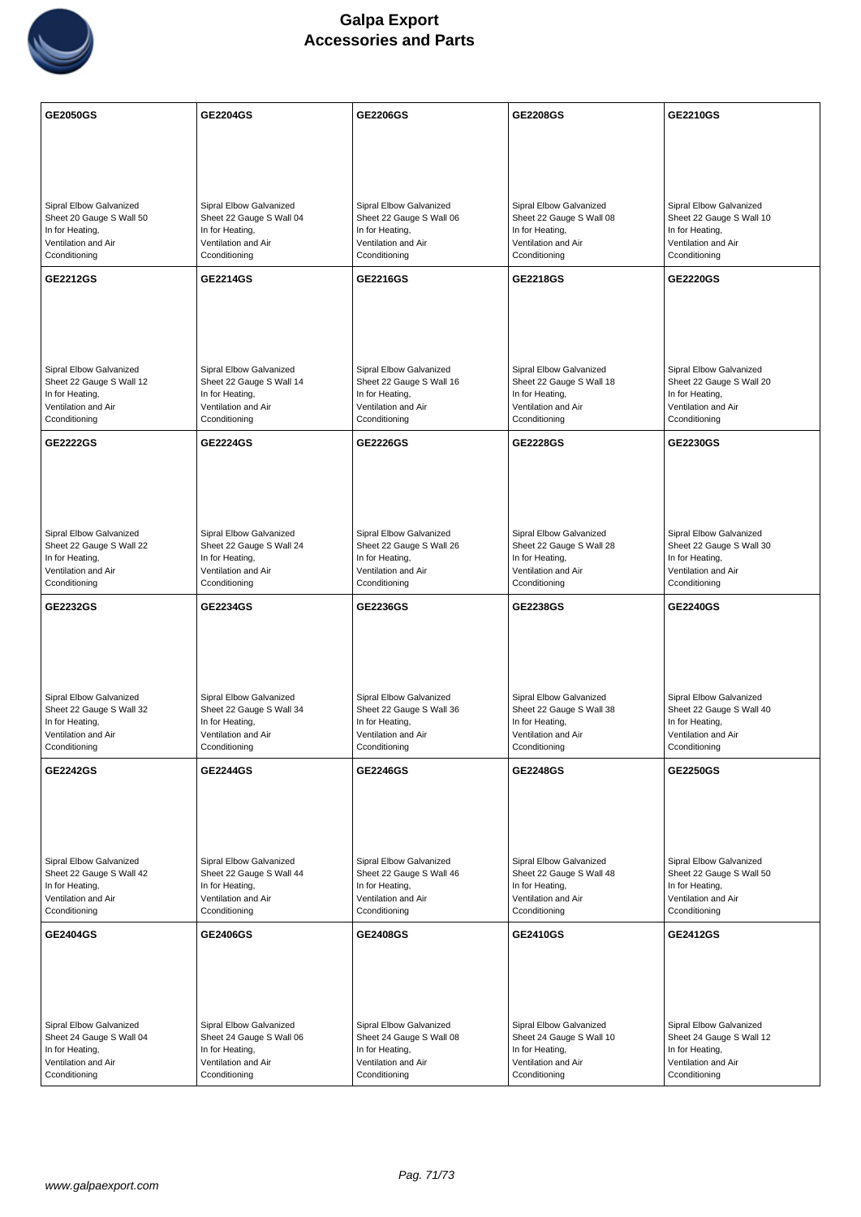

| <b>GE2050GS</b>                                                                                                | <b>GE2204GS</b>                                                                                                | <b>GE2206GS</b>                                                                                                | <b>GE2208GS</b>                                                                                                | <b>GE2210GS</b>                                                                                                |
|----------------------------------------------------------------------------------------------------------------|----------------------------------------------------------------------------------------------------------------|----------------------------------------------------------------------------------------------------------------|----------------------------------------------------------------------------------------------------------------|----------------------------------------------------------------------------------------------------------------|
|                                                                                                                |                                                                                                                |                                                                                                                |                                                                                                                |                                                                                                                |
|                                                                                                                |                                                                                                                |                                                                                                                |                                                                                                                |                                                                                                                |
| Sipral Elbow Galvanized<br>Sheet 20 Gauge S Wall 50<br>In for Heating,<br>Ventilation and Air<br>Cconditioning | Sipral Elbow Galvanized<br>Sheet 22 Gauge S Wall 04<br>In for Heating,<br>Ventilation and Air<br>Cconditioning | Sipral Elbow Galvanized<br>Sheet 22 Gauge S Wall 06<br>In for Heating,<br>Ventilation and Air<br>Cconditioning | Sipral Elbow Galvanized<br>Sheet 22 Gauge S Wall 08<br>In for Heating,<br>Ventilation and Air<br>Cconditioning | Sipral Elbow Galvanized<br>Sheet 22 Gauge S Wall 10<br>In for Heating,<br>Ventilation and Air<br>Cconditioning |
| GE2212GS                                                                                                       | <b>GE2214GS</b>                                                                                                | GE2216GS                                                                                                       | <b>GE2218GS</b>                                                                                                | <b>GE2220GS</b>                                                                                                |
| Sipral Elbow Galvanized<br>Sheet 22 Gauge S Wall 12<br>In for Heating,<br>Ventilation and Air<br>Cconditioning | Sipral Elbow Galvanized<br>Sheet 22 Gauge S Wall 14<br>In for Heating,<br>Ventilation and Air<br>Cconditioning | Sipral Elbow Galvanized<br>Sheet 22 Gauge S Wall 16<br>In for Heating,<br>Ventilation and Air<br>Cconditioning | Sipral Elbow Galvanized<br>Sheet 22 Gauge S Wall 18<br>In for Heating,<br>Ventilation and Air<br>Cconditioning | Sipral Elbow Galvanized<br>Sheet 22 Gauge S Wall 20<br>In for Heating,<br>Ventilation and Air<br>Cconditioning |
| <b>GE2222GS</b>                                                                                                | <b>GE2224GS</b>                                                                                                | <b>GE2226GS</b>                                                                                                | <b>GE2228GS</b>                                                                                                | <b>GE2230GS</b>                                                                                                |
| Sipral Elbow Galvanized<br>Sheet 22 Gauge S Wall 22<br>In for Heating,<br>Ventilation and Air<br>Cconditioning | Sipral Elbow Galvanized<br>Sheet 22 Gauge S Wall 24<br>In for Heating,<br>Ventilation and Air<br>Cconditioning | Sipral Elbow Galvanized<br>Sheet 22 Gauge S Wall 26<br>In for Heating,<br>Ventilation and Air<br>Cconditioning | Sipral Elbow Galvanized<br>Sheet 22 Gauge S Wall 28<br>In for Heating,<br>Ventilation and Air<br>Cconditioning | Sipral Elbow Galvanized<br>Sheet 22 Gauge S Wall 30<br>In for Heating,<br>Ventilation and Air<br>Cconditioning |
| GE2232GS                                                                                                       | <b>GE2234GS</b>                                                                                                | GE2236GS                                                                                                       | GE2238GS                                                                                                       | <b>GE2240GS</b>                                                                                                |
| Sipral Elbow Galvanized<br>Sheet 22 Gauge S Wall 32<br>In for Heating,<br>Ventilation and Air<br>Cconditioning | Sipral Elbow Galvanized<br>Sheet 22 Gauge S Wall 34<br>In for Heating,<br>Ventilation and Air<br>Cconditioning | Sipral Elbow Galvanized<br>Sheet 22 Gauge S Wall 36<br>In for Heating,<br>Ventilation and Air<br>Cconditioning | Sipral Elbow Galvanized<br>Sheet 22 Gauge S Wall 38<br>In for Heating,<br>Ventilation and Air<br>Cconditioning | Sipral Elbow Galvanized<br>Sheet 22 Gauge S Wall 40<br>In for Heating,<br>Ventilation and Air<br>Cconditioning |
| <b>GE2242GS</b>                                                                                                | <b>GE2244GS</b>                                                                                                | GE2246GS                                                                                                       | GE2248GS                                                                                                       | <b>GE2250GS</b>                                                                                                |
| Sipral Elbow Galvanized<br>Sheet 22 Gauge S Wall 42<br>In for Heating,<br>Ventilation and Air<br>Cconditioning | Sipral Elbow Galvanized<br>Sheet 22 Gauge S Wall 44<br>In for Heating,<br>Ventilation and Air<br>Cconditioning | Sipral Elbow Galvanized<br>Sheet 22 Gauge S Wall 46<br>In for Heating,<br>Ventilation and Air<br>Cconditioning | Sipral Elbow Galvanized<br>Sheet 22 Gauge S Wall 48<br>In for Heating,<br>Ventilation and Air<br>Cconditioning | Sipral Elbow Galvanized<br>Sheet 22 Gauge S Wall 50<br>In for Heating,<br>Ventilation and Air<br>Cconditioning |
| <b>GE2404GS</b>                                                                                                | <b>GE2406GS</b>                                                                                                | <b>GE2408GS</b>                                                                                                | <b>GE2410GS</b>                                                                                                | <b>GE2412GS</b>                                                                                                |
| Sipral Elbow Galvanized<br>Sheet 24 Gauge S Wall 04<br>In for Heating,<br>Ventilation and Air<br>Cconditioning | Sipral Elbow Galvanized<br>Sheet 24 Gauge S Wall 06<br>In for Heating,<br>Ventilation and Air<br>Cconditioning | Sipral Elbow Galvanized<br>Sheet 24 Gauge S Wall 08<br>In for Heating,<br>Ventilation and Air<br>Cconditioning | Sipral Elbow Galvanized<br>Sheet 24 Gauge S Wall 10<br>In for Heating,<br>Ventilation and Air<br>Cconditioning | Sipral Elbow Galvanized<br>Sheet 24 Gauge S Wall 12<br>In for Heating,<br>Ventilation and Air<br>Cconditioning |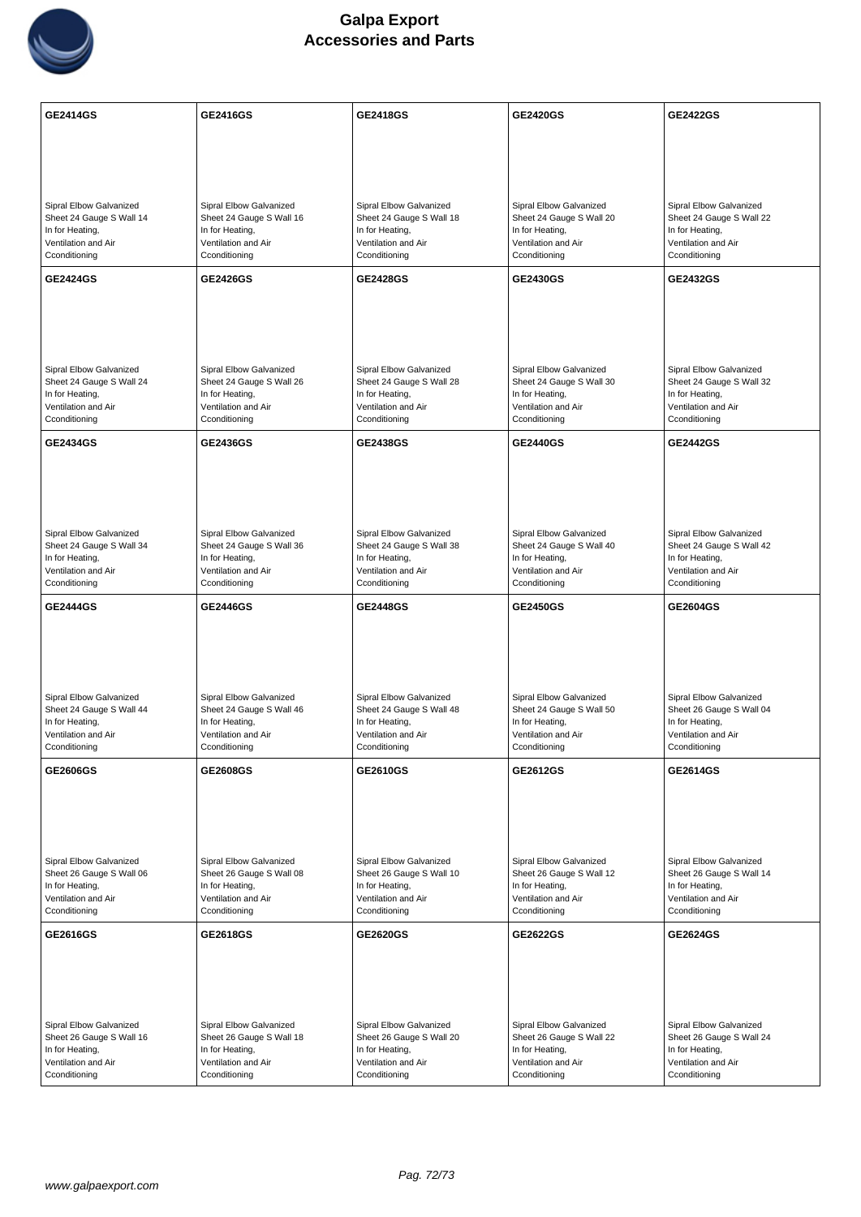

| <b>GE2414GS</b>                                                                                                | GE2416GS                                                                                                       | GE2418GS                                                                                                       | <b>GE2420GS</b>                                                                                                | <b>GE2422GS</b>                                                                                                |
|----------------------------------------------------------------------------------------------------------------|----------------------------------------------------------------------------------------------------------------|----------------------------------------------------------------------------------------------------------------|----------------------------------------------------------------------------------------------------------------|----------------------------------------------------------------------------------------------------------------|
|                                                                                                                |                                                                                                                |                                                                                                                |                                                                                                                |                                                                                                                |
|                                                                                                                |                                                                                                                |                                                                                                                |                                                                                                                |                                                                                                                |
| Sipral Elbow Galvanized<br>Sheet 24 Gauge S Wall 14<br>In for Heating,<br>Ventilation and Air<br>Cconditioning | Sipral Elbow Galvanized<br>Sheet 24 Gauge S Wall 16<br>In for Heating,<br>Ventilation and Air<br>Cconditioning | Sipral Elbow Galvanized<br>Sheet 24 Gauge S Wall 18<br>In for Heating,<br>Ventilation and Air<br>Cconditioning | Sipral Elbow Galvanized<br>Sheet 24 Gauge S Wall 20<br>In for Heating,<br>Ventilation and Air<br>Cconditioning | Sipral Elbow Galvanized<br>Sheet 24 Gauge S Wall 22<br>In for Heating,<br>Ventilation and Air<br>Cconditioning |
| <b>GE2424GS</b>                                                                                                | <b>GE2426GS</b>                                                                                                | GE2428GS                                                                                                       | GE2430GS                                                                                                       | GE2432GS                                                                                                       |
| Sipral Elbow Galvanized<br>Sheet 24 Gauge S Wall 24<br>In for Heating,<br>Ventilation and Air<br>Cconditioning | Sipral Elbow Galvanized<br>Sheet 24 Gauge S Wall 26<br>In for Heating,<br>Ventilation and Air<br>Cconditioning | Sipral Elbow Galvanized<br>Sheet 24 Gauge S Wall 28<br>In for Heating,<br>Ventilation and Air<br>Cconditioning | Sipral Elbow Galvanized<br>Sheet 24 Gauge S Wall 30<br>In for Heating,<br>Ventilation and Air<br>Cconditioning | Sipral Elbow Galvanized<br>Sheet 24 Gauge S Wall 32<br>In for Heating,<br>Ventilation and Air<br>Cconditioning |
| <b>GE2434GS</b>                                                                                                | <b>GE2436GS</b>                                                                                                | <b>GE2438GS</b>                                                                                                | <b>GE2440GS</b>                                                                                                | <b>GE2442GS</b>                                                                                                |
| Sipral Elbow Galvanized<br>Sheet 24 Gauge S Wall 34<br>In for Heating,<br>Ventilation and Air<br>Cconditioning | Sipral Elbow Galvanized<br>Sheet 24 Gauge S Wall 36<br>In for Heating,<br>Ventilation and Air<br>Cconditioning | Sipral Elbow Galvanized<br>Sheet 24 Gauge S Wall 38<br>In for Heating,<br>Ventilation and Air<br>Cconditioning | Sipral Elbow Galvanized<br>Sheet 24 Gauge S Wall 40<br>In for Heating,<br>Ventilation and Air<br>Cconditioning | Sipral Elbow Galvanized<br>Sheet 24 Gauge S Wall 42<br>In for Heating,<br>Ventilation and Air<br>Cconditioning |
| <b>GE2444GS</b>                                                                                                | <b>GE2446GS</b>                                                                                                | GE2448GS                                                                                                       | <b>GE2450GS</b>                                                                                                | GE2604GS                                                                                                       |
| Sipral Elbow Galvanized<br>Sheet 24 Gauge S Wall 44<br>In for Heating,<br>Ventilation and Air<br>Cconditioning | Sipral Elbow Galvanized<br>Sheet 24 Gauge S Wall 46<br>In for Heating,<br>Ventilation and Air<br>Cconditioning | Sipral Elbow Galvanized<br>Sheet 24 Gauge S Wall 48<br>In for Heating,<br>Ventilation and Air<br>Cconditioning | Sipral Elbow Galvanized<br>Sheet 24 Gauge S Wall 50<br>In for Heating,<br>Ventilation and Air<br>Cconditioning | Sipral Elbow Galvanized<br>Sheet 26 Gauge S Wall 04<br>In for Heating,<br>Ventilation and Air<br>Cconditioning |
| GE2606GS                                                                                                       | <b>GE2608GS</b>                                                                                                | GE2610GS                                                                                                       | GE2612GS                                                                                                       | GE2614GS                                                                                                       |
| Sipral Elbow Galvanized<br>Sheet 26 Gauge S Wall 06<br>In for Heating,<br>Ventilation and Air<br>Cconditioning | Sipral Elbow Galvanized<br>Sheet 26 Gauge S Wall 08<br>In for Heating,<br>Ventilation and Air<br>Cconditioning | Sipral Elbow Galvanized<br>Sheet 26 Gauge S Wall 10<br>In for Heating,<br>Ventilation and Air<br>Cconditioning | Sipral Elbow Galvanized<br>Sheet 26 Gauge S Wall 12<br>In for Heating,<br>Ventilation and Air<br>Cconditioning | Sipral Elbow Galvanized<br>Sheet 26 Gauge S Wall 14<br>In for Heating,<br>Ventilation and Air<br>Cconditioning |
| GE2616GS                                                                                                       | GE2618GS                                                                                                       | GE2620GS                                                                                                       | GE2622GS                                                                                                       | <b>GE2624GS</b>                                                                                                |
| Sipral Elbow Galvanized<br>Sheet 26 Gauge S Wall 16<br>In for Heating,<br>Ventilation and Air<br>Cconditioning | Sipral Elbow Galvanized<br>Sheet 26 Gauge S Wall 18<br>In for Heating,<br>Ventilation and Air<br>Cconditioning | Sipral Elbow Galvanized<br>Sheet 26 Gauge S Wall 20<br>In for Heating,<br>Ventilation and Air<br>Cconditioning | Sipral Elbow Galvanized<br>Sheet 26 Gauge S Wall 22<br>In for Heating,<br>Ventilation and Air<br>Cconditioning | Sipral Elbow Galvanized<br>Sheet 26 Gauge S Wall 24<br>In for Heating,<br>Ventilation and Air<br>Cconditioning |